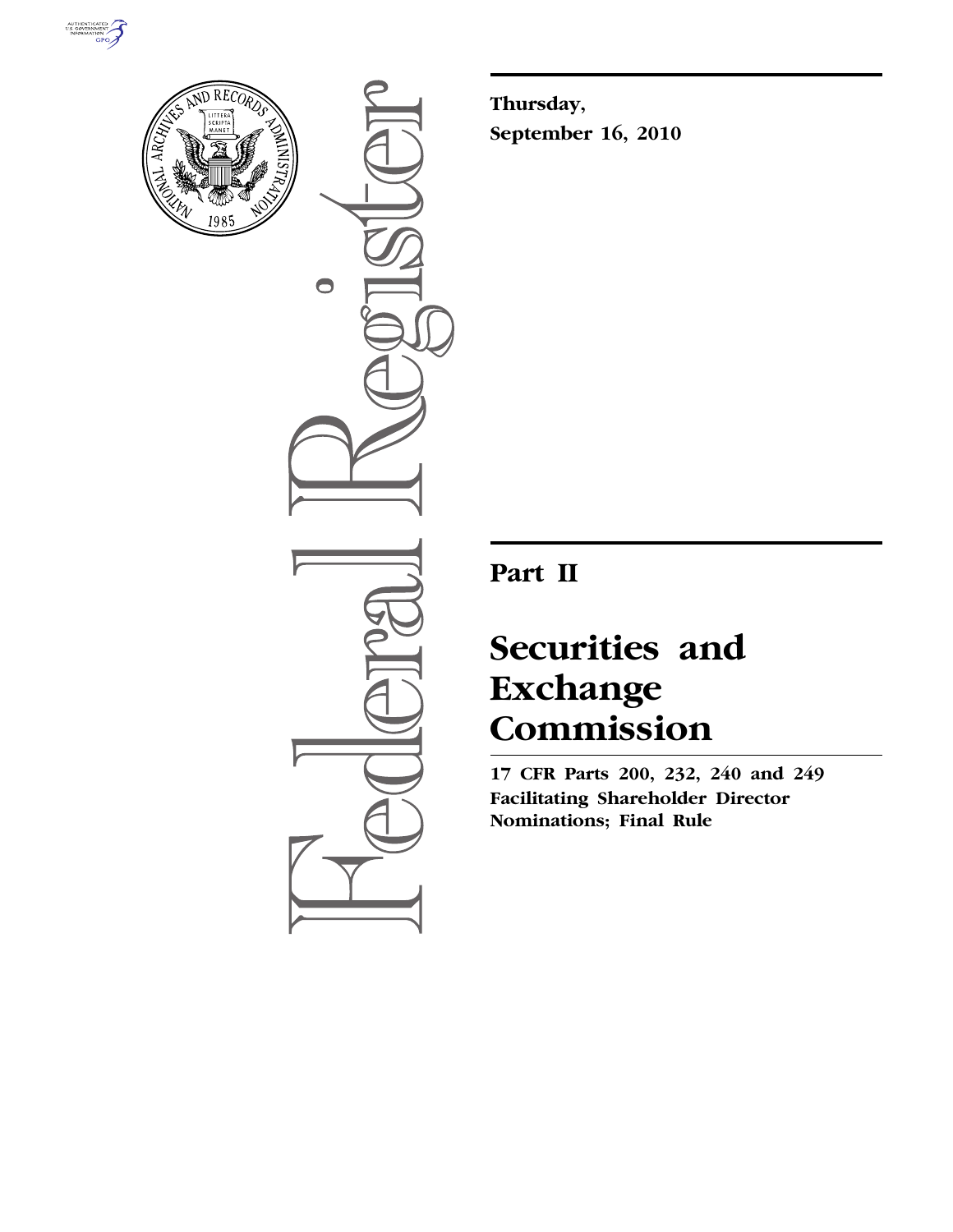



 $\bullet$ 

**Thursday, September 16, 2010** 

**Part II** 

# **Securities and Exchange Commission**

**17 CFR Parts 200, 232, 240 and 249 Facilitating Shareholder Director Nominations; Final Rule**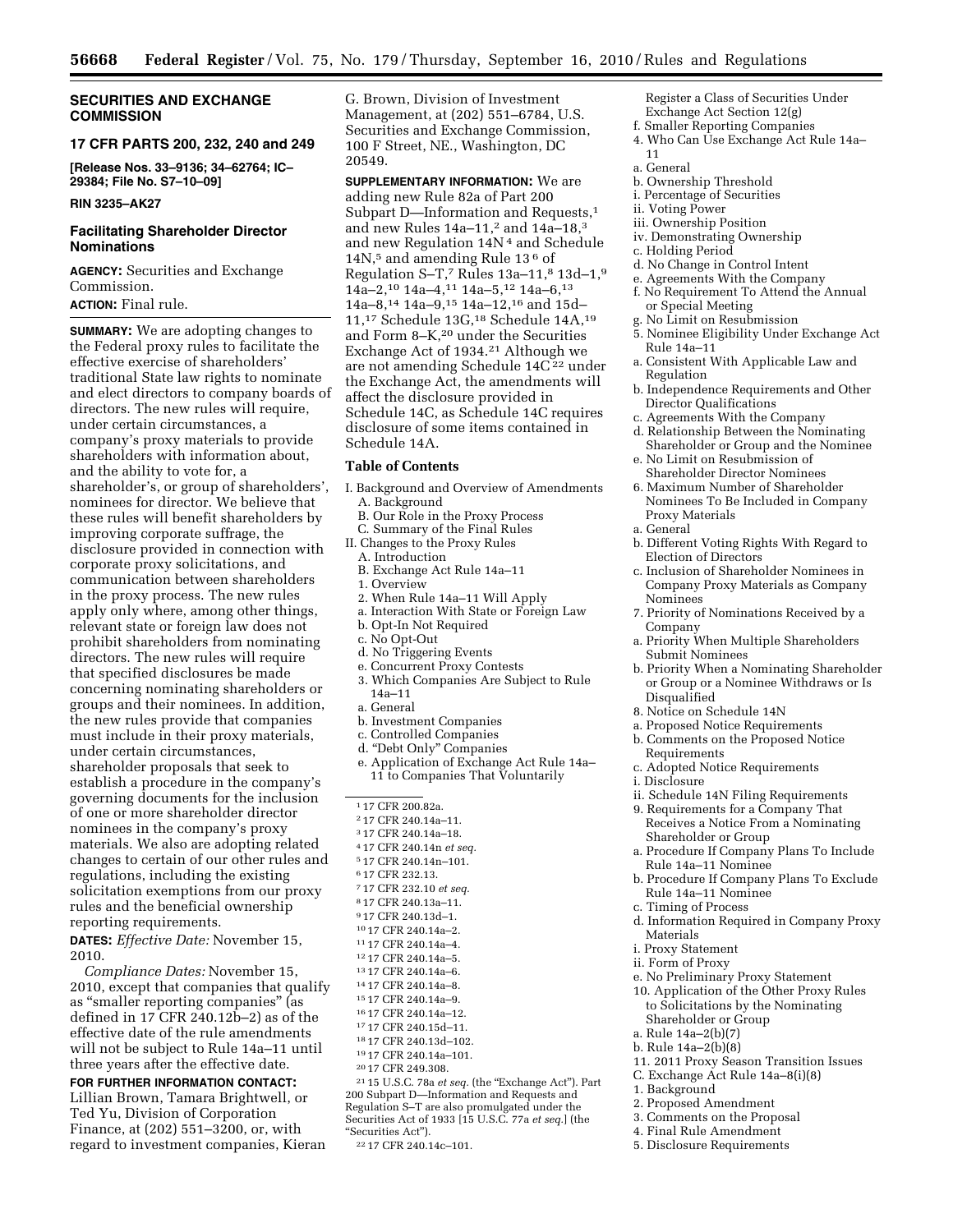## **SECURITIES AND EXCHANGE COMMISSION**

## **17 CFR PARTS 200, 232, 240 and 249**

**[Release Nos. 33–9136; 34–62764; IC– 29384; File No. S7–10–09]** 

## **RIN 3235–AK27**

# **Facilitating Shareholder Director Nominations**

**AGENCY:** Securities and Exchange Commission. **ACTION:** Final rule.

**SUMMARY:** We are adopting changes to the Federal proxy rules to facilitate the effective exercise of shareholders' traditional State law rights to nominate and elect directors to company boards of directors. The new rules will require, under certain circumstances, a company's proxy materials to provide shareholders with information about, and the ability to vote for, a shareholder's, or group of shareholders', nominees for director. We believe that these rules will benefit shareholders by improving corporate suffrage, the disclosure provided in connection with corporate proxy solicitations, and communication between shareholders in the proxy process. The new rules apply only where, among other things, relevant state or foreign law does not prohibit shareholders from nominating directors. The new rules will require that specified disclosures be made concerning nominating shareholders or groups and their nominees. In addition, the new rules provide that companies must include in their proxy materials, under certain circumstances, shareholder proposals that seek to establish a procedure in the company's governing documents for the inclusion of one or more shareholder director nominees in the company's proxy materials. We also are adopting related changes to certain of our other rules and regulations, including the existing solicitation exemptions from our proxy rules and the beneficial ownership reporting requirements.

**DATES:** *Effective Date:* November 15, 2010.

*Compliance Dates:* November 15, 2010, except that companies that qualify as ''smaller reporting companies'' (as defined in 17 CFR 240.12b–2) as of the effective date of the rule amendments will not be subject to Rule 14a–11 until three years after the effective date.

# **FOR FURTHER INFORMATION CONTACT:**

Lillian Brown, Tamara Brightwell, or Ted Yu, Division of Corporation Finance, at (202) 551–3200, or, with regard to investment companies, Kieran G. Brown, Division of Investment Management, at (202) 551–6784, U.S. Securities and Exchange Commission, 100 F Street, NE., Washington, DC 20549.

**SUPPLEMENTARY INFORMATION:** We are adding new Rule 82a of Part 200 Subpart D-Information and Requests,<sup>1</sup> and new Rules  $14a-11$ ,<sup>2</sup> and  $14a-18$ ,<sup>3</sup> and new Regulation 14N 4 and Schedule 14N,<sup>5</sup> and amending Rule 13  $^{\rm 6}$  of Regulation S-T, $7$  Rules 13a-11, $8$  13d-1, $9$ 14a–2,10 14a–4,11 14a–5,12 14a–6,13 14a–8,14 14a–9,15 14a–12,16 and 15d– 11,17 Schedule 13G,18 Schedule 14A,19 and Form 8–K,20 under the Securities Exchange Act of 1934.21 Although we are not amending Schedule 14C<sup>22</sup> under the Exchange Act, the amendments will affect the disclosure provided in Schedule 14C, as Schedule 14C requires disclosure of some items contained in Schedule 14A.

#### **Table of Contents**

- I. Background and Overview of Amendments A. Background
	- B. Our Role in the Proxy Process
- C. Summary of the Final Rules
- II. Changes to the Proxy Rules
	- A. Introduction
- B. Exchange Act Rule 14a–11
- 1. Overview
- 2. When Rule 14a–11 Will Apply
- a. Interaction With State or Foreign Law
- b. Opt-In Not Required
- c. No Opt-Out
- d. No Triggering Events
- e. Concurrent Proxy Contests
- 3. Which Companies Are Subject to Rule 14a–11
- a. General
- b. Investment Companies
- c. Controlled Companies
- d. ''Debt Only'' Companies
- e. Application of Exchange Act Rule 14a– 11 to Companies That Voluntarily
- 1 17 CFR 200.82a.
- 2 17 CFR 240.14a–11.
- 3 17 CFR 240.14a–18.
- 4 17 CFR 240.14n *et seq.*
- 5 17 CFR 240.14n–101.
- 6 17 CFR 232.13.
- 
- 7 17 CFR 232.10 *et seq.*
- 8 17 CFR 240.13a–11. 9 17 CFR 240.13d–1.
- 
- 10 17 CFR 240.14a–2.
- 11 17 CFR 240.14a–4.
- 12 17 CFR 240.14a–5.
- 13 17 CFR 240.14a–6.
- 14 17 CFR 240.14a–8.
- 15 17 CFR 240.14a–9.
- 16 17 CFR 240.14a–12.
- 17 17 CFR 240.15d–11.
- 18 17 CFR 240.13d–102.
- 19 17 CFR 240.14a–101.
- 20 17 CFR 249.308.

<sup>21</sup> 15 U.S.C. 78a et seq. (the "Exchange Act"). Part 200 Subpart D—Information and Requests and Regulation S–T are also promulgated under the Securities Act of 1933 [15 U.S.C. 77a *et seq.*] (the ''Securities Act'').

22 17 CFR 240.14c–101.

Register a Class of Securities Under Exchange Act Section 12(g)

- f. Smaller Reporting Companies
- 4. Who Can Use Exchange Act Rule 14a– 11
- a. General
- b. Ownership Threshold
- i. Percentage of Securities
- ii. Voting Power
- iii. Ownership Position
- iv. Demonstrating Ownership
- c. Holding Period
- d. No Change in Control Intent
- e. Agreements With the Company
- f. No Requirement To Attend the Annual or Special Meeting
- g. No Limit on Resubmission
- 5. Nominee Eligibility Under Exchange Act Rule 14a–11
- a. Consistent With Applicable Law and Regulation
- b. Independence Requirements and Other Director Qualifications
- c. Agreements With the Company
- d. Relationship Between the Nominating Shareholder or Group and the Nominee e. No Limit on Resubmission of
- Shareholder Director Nominees
- 6. Maximum Number of Shareholder Nominees To Be Included in Company Proxy Materials
- a. General
- b. Different Voting Rights With Regard to Election of Directors
- c. Inclusion of Shareholder Nominees in Company Proxy Materials as Company Nominees
- 7. Priority of Nominations Received by a Company
- a. Priority When Multiple Shareholders Submit Nominees
- b. Priority When a Nominating Shareholder or Group or a Nominee Withdraws or Is Disqualified
- 8. Notice on Schedule 14N
- a. Proposed Notice Requirements
- b. Comments on the Proposed Notice Requirements
- c. Adopted Notice Requirements
- i. Disclosure
- ii. Schedule 14N Filing Requirements
- 9. Requirements for a Company That Receives a Notice From a Nominating Shareholder or Group
- a. Procedure If Company Plans To Include Rule 14a–11 Nominee
- b. Procedure If Company Plans To Exclude Rule 14a–11 Nominee
- c. Timing of Process
- d. Information Required in Company Proxy Materials
- i. Proxy Statement
- ii. Form of Proxy
- e. No Preliminary Proxy Statement
- 10. Application of the Other Proxy Rules to Solicitations by the Nominating Shareholder or Group

11. 2011 Proxy Season Transition Issues C. Exchange Act Rule 14a–8(i)(8)

a. Rule 14a–2(b)(7) b. Rule 14a–2(b)(8)

2. Proposed Amendment 3. Comments on the Proposal 4. Final Rule Amendment 5. Disclosure Requirements

1. Background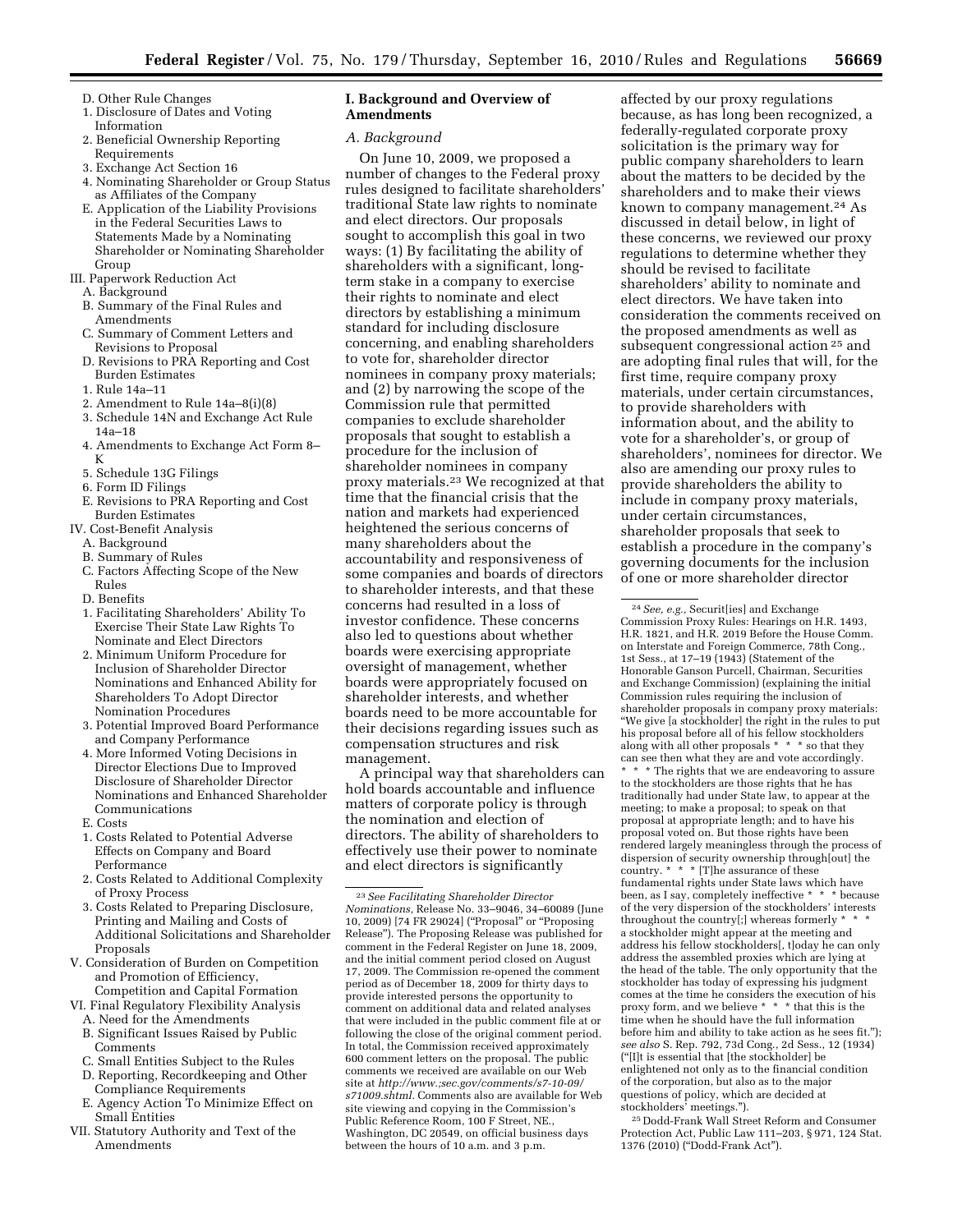- D. Other Rule Changes
- 1. Disclosure of Dates and Voting
- Information
- 2. Beneficial Ownership Reporting Requirements
- 3. Exchange Act Section 16
- 4. Nominating Shareholder or Group Status as Affiliates of the Company
- E. Application of the Liability Provisions in the Federal Securities Laws to Statements Made by a Nominating Shareholder or Nominating Shareholder Group
- III. Paperwork Reduction Act
	- A. Background
	- B. Summary of the Final Rules and Amendments
	- C. Summary of Comment Letters and Revisions to Proposal
	- D. Revisions to PRA Reporting and Cost Burden Estimates
	- 1. Rule 14a–11
	- 2. Amendment to Rule 14a–8(i)(8)
	- 3. Schedule 14N and Exchange Act Rule 14a–18
	- 4. Amendments to Exchange Act Form 8– K
	- 5. Schedule 13G Filings
	- 6. Form ID Filings
	- E. Revisions to PRA Reporting and Cost Burden Estimates
- IV. Cost-Benefit Analysis
	- A. Background
	- B. Summary of Rules
	- C. Factors Affecting Scope of the New Rules
	- D. Benefits
	- 1. Facilitating Shareholders' Ability To Exercise Their State Law Rights To Nominate and Elect Directors
	- 2. Minimum Uniform Procedure for Inclusion of Shareholder Director Nominations and Enhanced Ability for Shareholders To Adopt Director Nomination Procedures
	- 3. Potential Improved Board Performance and Company Performance
	- 4. More Informed Voting Decisions in Director Elections Due to Improved Disclosure of Shareholder Director Nominations and Enhanced Shareholder Communications
	- E. Costs
	- 1. Costs Related to Potential Adverse Effects on Company and Board Performance
	- 2. Costs Related to Additional Complexity of Proxy Process
- 3. Costs Related to Preparing Disclosure, Printing and Mailing and Costs of Additional Solicitations and Shareholder Proposals
- V. Consideration of Burden on Competition and Promotion of Efficiency, Competition and Capital Formation
- VI. Final Regulatory Flexibility Analysis A. Need for the Amendments
- B. Significant Issues Raised by Public
- Comments
- C. Small Entities Subject to the Rules
- D. Reporting, Recordkeeping and Other Compliance Requirements
- E. Agency Action To Minimize Effect on Small Entities
- VII. Statutory Authority and Text of the Amendments

## **I. Background and Overview of Amendments**

## *A. Background*

On June 10, 2009, we proposed a number of changes to the Federal proxy rules designed to facilitate shareholders' traditional State law rights to nominate and elect directors. Our proposals sought to accomplish this goal in two ways: (1) By facilitating the ability of shareholders with a significant, longterm stake in a company to exercise their rights to nominate and elect directors by establishing a minimum standard for including disclosure concerning, and enabling shareholders to vote for, shareholder director nominees in company proxy materials; and (2) by narrowing the scope of the Commission rule that permitted companies to exclude shareholder proposals that sought to establish a procedure for the inclusion of shareholder nominees in company proxy materials.23 We recognized at that time that the financial crisis that the nation and markets had experienced heightened the serious concerns of many shareholders about the accountability and responsiveness of some companies and boards of directors to shareholder interests, and that these concerns had resulted in a loss of investor confidence. These concerns also led to questions about whether boards were exercising appropriate oversight of management, whether boards were appropriately focused on shareholder interests, and whether boards need to be more accountable for their decisions regarding issues such as compensation structures and risk management.

A principal way that shareholders can hold boards accountable and influence matters of corporate policy is through the nomination and election of directors. The ability of shareholders to effectively use their power to nominate and elect directors is significantly

affected by our proxy regulations because, as has long been recognized, a federally-regulated corporate proxy solicitation is the primary way for public company shareholders to learn about the matters to be decided by the shareholders and to make their views known to company management.24 As discussed in detail below, in light of these concerns, we reviewed our proxy regulations to determine whether they should be revised to facilitate shareholders' ability to nominate and elect directors. We have taken into consideration the comments received on the proposed amendments as well as subsequent congressional action 25 and are adopting final rules that will, for the first time, require company proxy materials, under certain circumstances, to provide shareholders with information about, and the ability to vote for a shareholder's, or group of shareholders', nominees for director. We also are amending our proxy rules to provide shareholders the ability to include in company proxy materials, under certain circumstances, shareholder proposals that seek to establish a procedure in the company's governing documents for the inclusion of one or more shareholder director

\* \* \* The rights that we are endeavoring to assure to the stockholders are those rights that he has traditionally had under State law, to appear at the meeting; to make a proposal; to speak on that proposal at appropriate length; and to have his proposal voted on. But those rights have been rendered largely meaningless through the process of dispersion of security ownership through[out] the country. \* \* \* [T]he assurance of these fundamental rights under State laws which have been, as I say, completely ineffective \* \* \* because of the very dispersion of the stockholders' interests throughout the country $[:]$  whereas formerly  $*$ a stockholder might appear at the meeting and address his fellow stockholders[, t]oday he can only address the assembled proxies which are lying at the head of the table. The only opportunity that the stockholder has today of expressing his judgment comes at the time he considers the execution of his proxy form, and we believe \* \* \* that this is the time when he should have the full information before him and ability to take action as he sees fit.''); *see also* S. Rep. 792, 73d Cong., 2d Sess., 12 (1934) (''[I]t is essential that [the stockholder] be enlightened not only as to the financial condition of the corporation, but also as to the major questions of policy, which are decided at stockholders' meetings.'').

25 Dodd-Frank Wall Street Reform and Consumer Protection Act, Public Law 111–203, § 971, 124 Stat. 1376 (2010) (''Dodd-Frank Act'').

<sup>23</sup>*See Facilitating Shareholder Director Nominations,* Release No. 33–9046, 34–60089 (June 10, 2009) [74 FR 29024] (''Proposal'' or ''Proposing Release''). The Proposing Release was published for comment in the Federal Register on June 18, 2009, and the initial comment period closed on August 17, 2009. The Commission re-opened the comment period as of December 18, 2009 for thirty days to provide interested persons the opportunity to comment on additional data and related analyses that were included in the public comment file at or following the close of the original comment period. In total, the Commission received approximately 600 comment letters on the proposal. The public comments we received are available on our Web site at *[http://www.;sec.gov/comments/s7-10-09/](http://www.;sec.gov/comments/s7-10-09/s71009.shtml) s71009.shtml.* Comments also are available for Web site viewing and copying in the Commission's Public Reference Room, 100 F Street, NE., Washington, DC 20549, on official business days between the hours of 10 a.m. and 3 p.m.

<sup>24</sup>*See, e.g.,* Securit[ies] and Exchange Commission Proxy Rules: Hearings on H.R. 1493, H.R. 1821, and H.R. 2019 Before the House Comm. on Interstate and Foreign Commerce, 78th Cong., 1st Sess., at 17–19 (1943) (Statement of the Honorable Ganson Purcell, Chairman, Securities and Exchange Commission) (explaining the initial Commission rules requiring the inclusion of shareholder proposals in company proxy materials: ''We give [a stockholder] the right in the rules to put his proposal before all of his fellow stockholders along with all other proposals \* \* \* so that they can see then what they are and vote accordingly.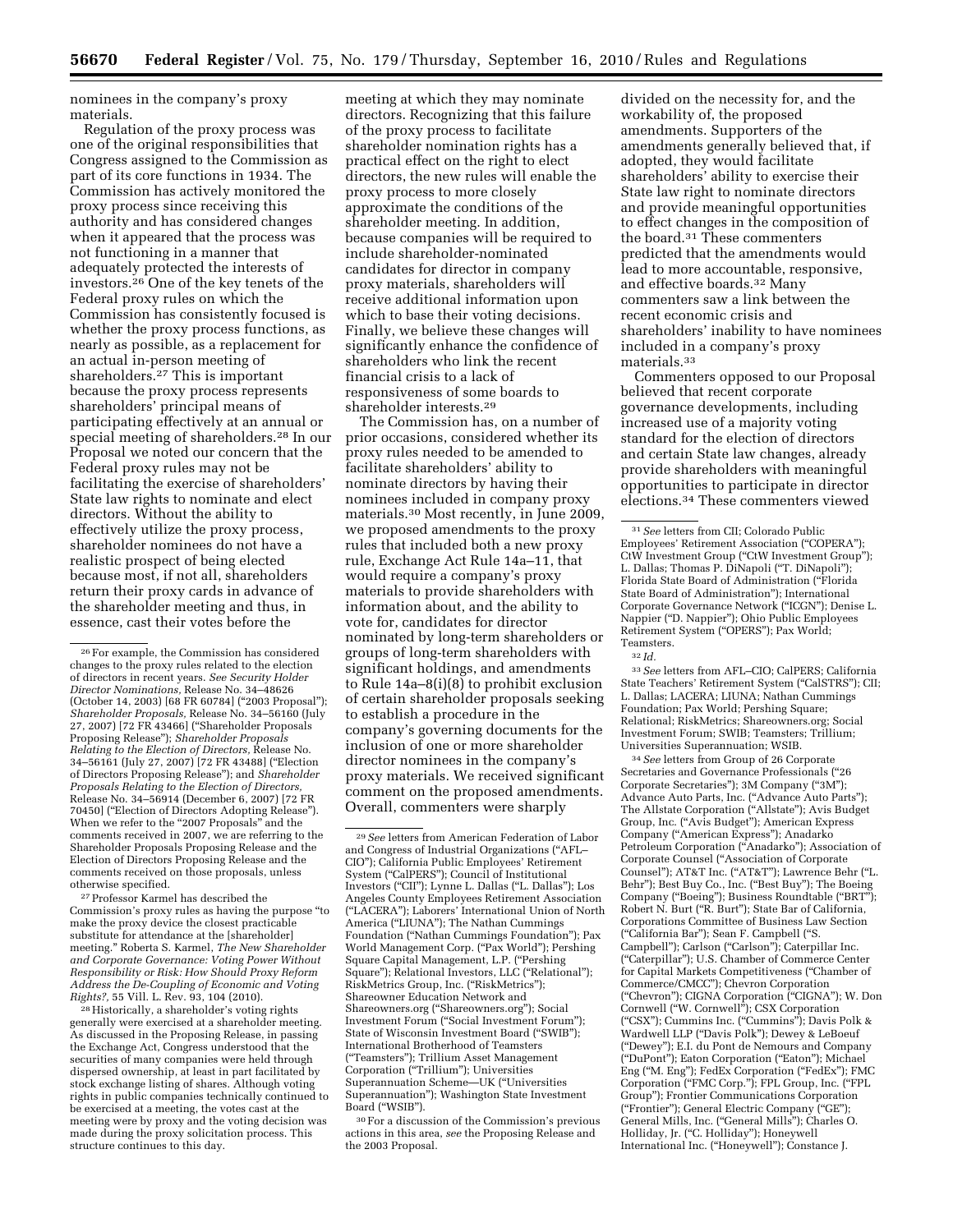nominees in the company's proxy materials.

Regulation of the proxy process was one of the original responsibilities that Congress assigned to the Commission as part of its core functions in 1934. The Commission has actively monitored the proxy process since receiving this authority and has considered changes when it appeared that the process was not functioning in a manner that adequately protected the interests of investors.26 One of the key tenets of the Federal proxy rules on which the Commission has consistently focused is whether the proxy process functions, as nearly as possible, as a replacement for an actual in-person meeting of shareholders.27 This is important because the proxy process represents shareholders' principal means of participating effectively at an annual or special meeting of shareholders.28 In our Proposal we noted our concern that the Federal proxy rules may not be facilitating the exercise of shareholders' State law rights to nominate and elect directors. Without the ability to effectively utilize the proxy process, shareholder nominees do not have a realistic prospect of being elected because most, if not all, shareholders return their proxy cards in advance of the shareholder meeting and thus, in essence, cast their votes before the

27Professor Karmel has described the Commission's proxy rules as having the purpose ''to make the proxy device the closest practicable substitute for attendance at the [shareholder] meeting.'' Roberta S. Karmel, *The New Shareholder and Corporate Governance: Voting Power Without Responsibility or Risk: How Should Proxy Reform Address the De-Coupling of Economic and Voting Rights?,* 55 Vill. L. Rev. 93, 104 (2010).

<sup>28</sup> Historically, a shareholder's voting rights generally were exercised at a shareholder meeting. As discussed in the Proposing Release, in passing the Exchange Act, Congress understood that the securities of many companies were held through dispersed ownership, at least in part facilitated by stock exchange listing of shares. Although voting rights in public companies technically continued to be exercised at a meeting, the votes cast at the meeting were by proxy and the voting decision was made during the proxy solicitation process. This structure continues to this day.

meeting at which they may nominate directors. Recognizing that this failure of the proxy process to facilitate shareholder nomination rights has a practical effect on the right to elect directors, the new rules will enable the proxy process to more closely approximate the conditions of the shareholder meeting. In addition, because companies will be required to include shareholder-nominated candidates for director in company proxy materials, shareholders will receive additional information upon which to base their voting decisions. Finally, we believe these changes will significantly enhance the confidence of shareholders who link the recent financial crisis to a lack of responsiveness of some boards to shareholder interests.29

The Commission has, on a number of prior occasions, considered whether its proxy rules needed to be amended to facilitate shareholders' ability to nominate directors by having their nominees included in company proxy materials.30 Most recently, in June 2009, we proposed amendments to the proxy rules that included both a new proxy rule, Exchange Act Rule 14a–11, that would require a company's proxy materials to provide shareholders with information about, and the ability to vote for, candidates for director nominated by long-term shareholders or groups of long-term shareholders with significant holdings, and amendments to Rule 14a–8(i)(8) to prohibit exclusion of certain shareholder proposals seeking to establish a procedure in the company's governing documents for the inclusion of one or more shareholder director nominees in the company's proxy materials. We received significant comment on the proposed amendments. Overall, commenters were sharply

30For a discussion of the Commission's previous actions in this area, *see* the Proposing Release and the 2003 Proposal.

divided on the necessity for, and the workability of, the proposed amendments. Supporters of the amendments generally believed that, if adopted, they would facilitate shareholders' ability to exercise their State law right to nominate directors and provide meaningful opportunities to effect changes in the composition of the board.31 These commenters predicted that the amendments would lead to more accountable, responsive, and effective boards.32 Many commenters saw a link between the recent economic crisis and shareholders' inability to have nominees included in a company's proxy materials.33

Commenters opposed to our Proposal believed that recent corporate governance developments, including increased use of a majority voting standard for the election of directors and certain State law changes, already provide shareholders with meaningful opportunities to participate in director elections.34 These commenters viewed

33*See* letters from AFL–CIO; CalPERS; California State Teachers' Retirement System ("CalSTRS"); CII; L. Dallas; LACERA; LIUNA; Nathan Cummings Foundation; Pax World; Pershing Square; Relational; RiskMetrics; Shareowners.org; Social Investment Forum; SWIB; Teamsters; Trillium; Universities Superannuation; WSIB.

34*See* letters from Group of 26 Corporate Secretaries and Governance Professionals (''26 Corporate Secretaries''); 3M Company (''3M''); Advance Auto Parts, Inc. (''Advance Auto Parts''); The Allstate Corporation (''Allstate''); Avis Budget Group, Inc. (''Avis Budget''); American Express Company (''American Express''); Anadarko Petroleum Corporation (''Anadarko''); Association of Corporate Counsel (''Association of Corporate Counsel''); AT&T Inc. (''AT&T''); Lawrence Behr (''L. Behr''); Best Buy Co., Inc. (''Best Buy''); The Boeing Company (''Boeing''); Business Roundtable (''BRT''); Robert N. Burt (''R. Burt''); State Bar of California, Corporations Committee of Business Law Section (''California Bar''); Sean F. Campbell (''S. Campbell''); Carlson (''Carlson''); Caterpillar Inc. (''Caterpillar''); U.S. Chamber of Commerce Center for Capital Markets Competitiveness (''Chamber of Commerce/CMCC''); Chevron Corporation (''Chevron''); CIGNA Corporation (''CIGNA''); W. Don Cornwell (''W. Cornwell''); CSX Corporation (''CSX''); Cummins Inc. (''Cummins''); Davis Polk & Wardwell LLP (''Davis Polk''); Dewey & LeBoeuf (''Dewey''); E.I. du Pont de Nemours and Company (''DuPont''); Eaton Corporation (''Eaton''); Michael Eng (''M. Eng''); FedEx Corporation (''FedEx''); FMC Corporation (''FMC Corp.''); FPL Group, Inc. (''FPL Group''); Frontier Communications Corporation (''Frontier''); General Electric Company (''GE''); General Mills, Inc. (''General Mills''); Charles O. Holliday, Jr. ("C. Holliday"); Honeywell International Inc. (''Honeywell''); Constance J.

<sup>26</sup>For example, the Commission has considered changes to the proxy rules related to the election of directors in recent years. *See Security Holder Director Nominations,* Release No. 34–48626 (October 14, 2003) [68 FR 60784] (''2003 Proposal''); *Shareholder Proposals,* Release No. 34–56160 (July 27, 2007) [72 FR 43466] (''Shareholder Proposals Proposing Release''); *Shareholder Proposals Relating to the Election of Directors,* Release No. 34–56161 (July 27, 2007) [72 FR 43488] (''Election of Directors Proposing Release''); and *Shareholder Proposals Relating to the Election of Directors,*  Release No. 34–56914 (December 6, 2007) [72 FR 70450] (''Election of Directors Adopting Release''). When we refer to the ''2007 Proposals'' and the comments received in 2007, we are referring to the Shareholder Proposals Proposing Release and the Election of Directors Proposing Release and the comments received on those proposals, unless otherwise specified.

<sup>29</sup>*See* letters from American Federation of Labor and Congress of Industrial Organizations (''AFL– CIO''); California Public Employees' Retirement System (''CalPERS''); Council of Institutional Investors (''CII''); Lynne L. Dallas (''L. Dallas''); Los Angeles County Employees Retirement Association (''LACERA''); Laborers' International Union of North America (''LIUNA''); The Nathan Cummings Foundation (''Nathan Cummings Foundation''); Pax World Management Corp. ("Pax World"); Pershing Square Capital Management, L.P. (''Pershing Square''); Relational Investors, LLC (''Relational''); RiskMetrics Group, Inc. (''RiskMetrics''); Shareowner Education Network and Shareowners.org (''Shareowners.org''); Social Investment Forum (''Social Investment Forum''); State of Wisconsin Investment Board (''SWIB''); International Brotherhood of Teamsters (''Teamsters''); Trillium Asset Management Corporation (''Trillium''); Universities Superannuation Scheme—UK (''Universities Superannuation''); Washington State Investment Board ("WSIB").

<sup>31</sup>*See* letters from CII; Colorado Public Employees' Retirement Association ("COPERA"); CtW Investment Group (''CtW Investment Group''); L. Dallas; Thomas P. DiNapoli (''T. DiNapoli''); Florida State Board of Administration (''Florida State Board of Administration''); International Corporate Governance Network (''ICGN''); Denise L. Nappier (''D. Nappier''); Ohio Public Employees Retirement System ("OPERS"); Pax World; Teamsters.

<sup>32</sup> *Id.*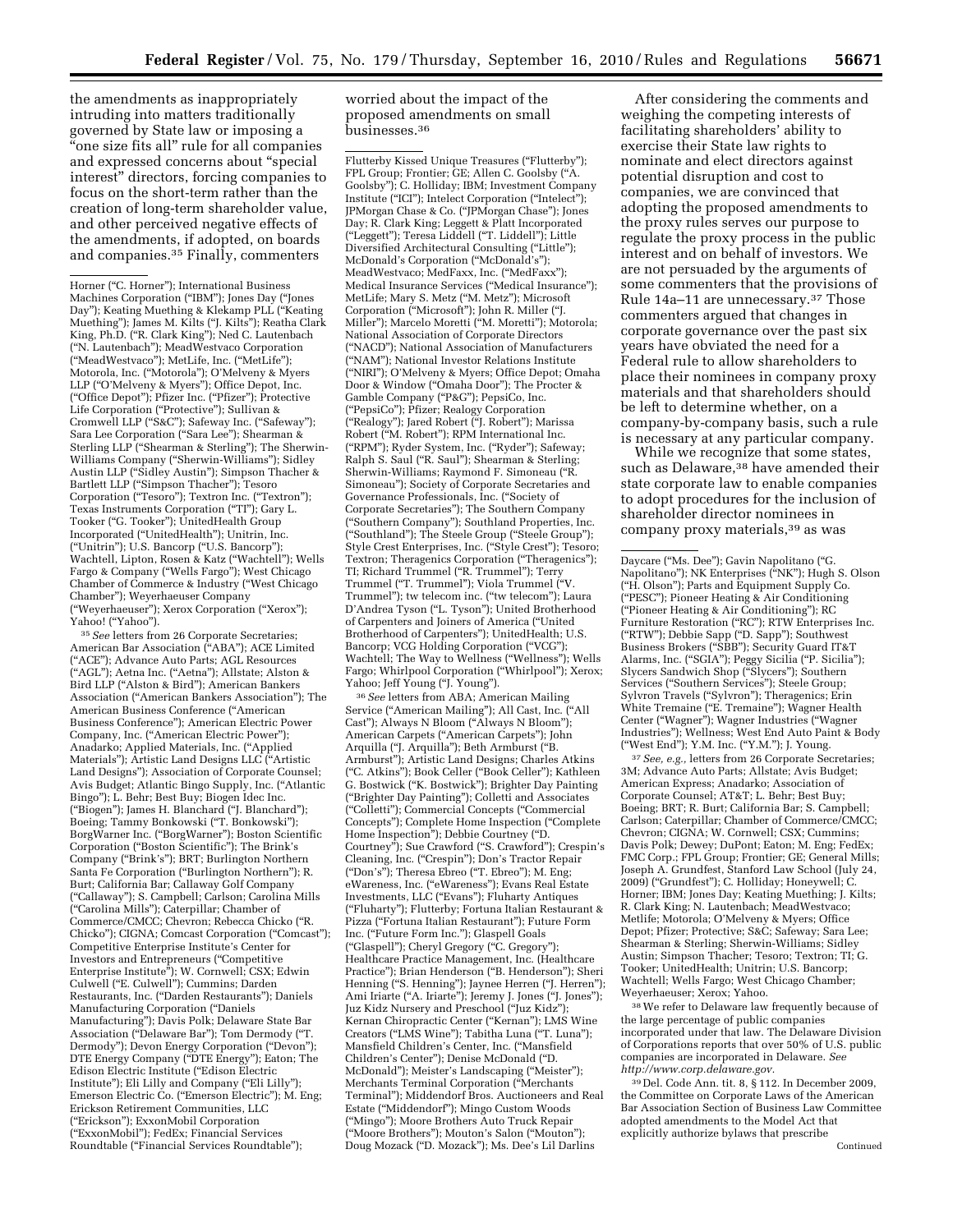the amendments as inappropriately intruding into matters traditionally governed by State law or imposing a ''one size fits all'' rule for all companies and expressed concerns about ''special interest'' directors, forcing companies to focus on the short-term rather than the creation of long-term shareholder value, and other perceived negative effects of the amendments, if adopted, on boards and companies.35 Finally, commenters

Horner (''C. Horner''); International Business Machines Corporation (''IBM''); Jones Day (''Jones Day''); Keating Muething & Klekamp PLL (''Keating Muething''); James M. Kilts (''J. Kilts''); Reatha Clark King, Ph.D. (''R. Clark King''); Ned C. Lautenbach (''N. Lautenbach''); MeadWestvaco Corporation (''MeadWestvaco''); MetLife, Inc. (''MetLife''); Motorola, Inc. (''Motorola''); O'Melveny & Myers LLP (''O'Melveny & Myers''); Office Depot, Inc. (''Office Depot''); Pfizer Inc. (''Pfizer''); Protective Life Corporation (''Protective''); Sullivan & Cromwell LLP (''S&C''); Safeway Inc. (''Safeway''); Sara Lee Corporation (''Sara Lee''); Shearman & Sterling LLP ("Shearman & Sterling"); The Sherwin-Williams Company (''Sherwin-Williams''); Sidley Austin LLP (''Sidley Austin''); Simpson Thacher & Bartlett LLP (''Simpson Thacher''); Tesoro Corporation (''Tesoro''); Textron Inc. (''Textron''); Texas Instruments Corporation (''TI''); Gary L. Tooker ("G. Tooker"); UnitedHealth Group Incorporated (''UnitedHealth''); Unitrin, Inc. (''Unitrin''); U.S. Bancorp (''U.S. Bancorp''); Wachtell, Lipton, Rosen & Katz (''Wachtell''); Wells Fargo & Company (''Wells Fargo''); West Chicago Chamber of Commerce & Industry (''West Chicago Chamber''); Weyerhaeuser Company (''Weyerhaeuser''); Xerox Corporation (''Xerox''); Yahoo! ("Yahoo").

35*See* letters from 26 Corporate Secretaries; American Bar Association ("ABA"); ACE Limited (''ACE''); Advance Auto Parts; AGL Resources (''AGL''); Aetna Inc. (''Aetna''); Allstate; Alston & Bird LLP (''Alston & Bird''); American Bankers Association (''American Bankers Association''); The American Business Conference (''American Business Conference''); American Electric Power Company, Inc. (''American Electric Power''); Anadarko; Applied Materials, Inc. (''Applied Materials''); Artistic Land Designs LLC (''Artistic Land Designs''); Association of Corporate Counsel; Avis Budget; Atlantic Bingo Supply, Inc. (''Atlantic Bingo''); L. Behr; Best Buy; Biogen Idec Inc. (''Biogen''); James H. Blanchard (''J. Blanchard''); Boeing; Tammy Bonkowski (''T. Bonkowski''); BorgWarner Inc. (''BorgWarner''); Boston Scientific Corporation (''Boston Scientific''); The Brink's Company (''Brink's''); BRT; Burlington Northern Santa Fe Corporation (''Burlington Northern''); R. Burt; California Bar; Callaway Golf Company (''Callaway''); S. Campbell; Carlson; Carolina Mills (''Carolina Mills''); Caterpillar; Chamber of Commerce/CMCC; Chevron; Rebecca Chicko (''R. Chicko''); CIGNA; Comcast Corporation (''Comcast''); Competitive Enterprise Institute's Center for Investors and Entrepreneurs (''Competitive Enterprise Institute''); W. Cornwell; CSX; Edwin Culwell (''E. Culwell''); Cummins; Darden Restaurants, Inc. (''Darden Restaurants''); Daniels Manufacturing Corporation (''Daniels Manufacturing''); Davis Polk; Delaware State Bar Association (''Delaware Bar''); Tom Dermody (''T. Dermody''); Devon Energy Corporation (''Devon''); DTE Energy Company (''DTE Energy''); Eaton; The Edison Electric Institute (''Edison Electric Institute''); Eli Lilly and Company (''Eli Lilly''); Emerson Electric Co. (''Emerson Electric''); M. Eng; Erickson Retirement Communities, LLC (''Erickson''); ExxonMobil Corporation (''ExxonMobil''); FedEx; Financial Services Roundtable (''Financial Services Roundtable'');

## worried about the impact of the proposed amendments on small businesses.36

Flutterby Kissed Unique Treasures ("Flutterby"); FPL Group; Frontier; GE; Allen C. Goolsby (''A. Goolsby''); C. Holliday; IBM; Investment Company Institute (''ICI''); Intelect Corporation (''Intelect''); JPMorgan Chase & Co. (''JPMorgan Chase''); Jones Day; R. Clark King; Leggett & Platt Incorporated (''Leggett''); Teresa Liddell (''T. Liddell''); Little Diversified Architectural Consulting (''Little''); McDonald's Corporation (''McDonald's''); MeadWestvaco; MedFaxx, Inc. (''MedFaxx''); Medical Insurance Services (''Medical Insurance''); MetLife; Mary S. Metz (''M. Metz''); Microsoft Corporation (''Microsoft''); John R. Miller (''J. Miller''); Marcelo Moretti (''M. Moretti''); Motorola; National Association of Corporate Directors (''NACD''); National Association of Manufacturers (''NAM''); National Investor Relations Institute (''NIRI''); O'Melveny & Myers; Office Depot; Omaha Door & Window (''Omaha Door''); The Procter & Gamble Company (''P&G''); PepsiCo, Inc. (''PepsiCo''); Pfizer; Realogy Corporation (''Realogy''); Jared Robert (''J. Robert''); Marissa Robert (''M. Robert''); RPM International Inc. (''RPM''); Ryder System, Inc. (''Ryder''); Safeway; Ralph S. Saul (''R. Saul''); Shearman & Sterling; Sherwin-Williams; Raymond F. Simoneau (''R. Simoneau''); Society of Corporate Secretaries and Governance Professionals, Inc. (''Society of Corporate Secretaries''); The Southern Company (''Southern Company''); Southland Properties, Inc. (''Southland''); The Steele Group (''Steele Group''); Style Crest Enterprises, Inc. ("Style Crest"); Tesoro; Textron; Theragenics Corporation (''Theragenics''); TI; Richard Trummel (''R. Trummel''); Terry Trummel (''T. Trummel''); Viola Trummel (''V. Trummel''); tw telecom inc. (''tw telecom''); Laura D'Andrea Tyson (''L. Tyson''); United Brotherhood of Carpenters and Joiners of America (''United Brotherhood of Carpenters''); UnitedHealth; U.S. Bancorp; VCG Holding Corporation ("VCG"); Wachtell; The Way to Wellness (''Wellness''); Wells Fargo; Whirlpool Corporation (''Whirlpool''); Xerox; Yahoo; Jeff Young (''J. Young'').

36*See* letters from ABA; American Mailing Service ("American Mailing"); All Cast, Inc. ("All Cast''); Always N Bloom (''Always N Bloom''); American Carpets (''American Carpets''); John Arquilla (''J. Arquilla''); Beth Armburst (''B. Armburst''); Artistic Land Designs; Charles Atkins (''C. Atkins''); Book Celler (''Book Celler''); Kathleen G. Bostwick (''K. Bostwick''); Brighter Day Painting (''Brighter Day Painting''); Colletti and Associates (''Colletti''); Commercial Concepts (''Commercial Concepts''); Complete Home Inspection (''Complete Home Inspection''); Debbie Courtney (''D. Courtney''); Sue Crawford (''S. Crawford''); Crespin's Cleaning, Inc. (''Crespin''); Don's Tractor Repair (''Don's''); Theresa Ebreo (''T. Ebreo''); M. Eng; eWareness, Inc. (''eWareness''); Evans Real Estate Investments, LLC (''Evans''); Fluharty Antiques (''Fluharty''); Flutterby; Fortuna Italian Restaurant & Pizza (''Fortuna Italian Restaurant''); Future Form Inc. ("Future Form Inc."); Glaspell Goals (''Glaspell''); Cheryl Gregory (''C. Gregory''); Healthcare Practice Management, Inc. (Healthcare Practice"); Brian Henderson ("B. Henderson"); Sheri Henning ("S. Henning"); Jaynee Herren ("J. Herren"); Ami Iriarte ("A. Iriarte"); Jeremy J. Jones ("J. Jones"); Juz Kidz Nursery and Preschool (''Juz Kidz''); Kernan Chiropractic Center (''Kernan''); LMS Wine Creators (''LMS Wine''); Tabitha Luna (''T. Luna''); Mansfield Children's Center, Inc. (''Mansfield Children's Center''); Denise McDonald (''D. McDonald''); Meister's Landscaping (''Meister''); Merchants Terminal Corporation (''Merchants Terminal''); Middendorf Bros. Auctioneers and Real Estate (''Middendorf''); Mingo Custom Woods (''Mingo''); Moore Brothers Auto Truck Repair (''Moore Brothers''); Mouton's Salon (''Mouton''); Doug Mozack (''D. Mozack''); Ms. Dee's Lil Darlins

After considering the comments and weighing the competing interests of facilitating shareholders' ability to exercise their State law rights to nominate and elect directors against potential disruption and cost to companies, we are convinced that adopting the proposed amendments to the proxy rules serves our purpose to regulate the proxy process in the public interest and on behalf of investors. We are not persuaded by the arguments of some commenters that the provisions of Rule 14a–11 are unnecessary.37 Those commenters argued that changes in corporate governance over the past six years have obviated the need for a Federal rule to allow shareholders to place their nominees in company proxy materials and that shareholders should be left to determine whether, on a company-by-company basis, such a rule is necessary at any particular company.

While we recognize that some states, such as Delaware,<sup>38</sup> have amended their state corporate law to enable companies to adopt procedures for the inclusion of shareholder director nominees in company proxy materials,39 as was

37*See, e.g.,* letters from 26 Corporate Secretaries; 3M; Advance Auto Parts; Allstate; Avis Budget; American Express; Anadarko; Association of Corporate Counsel; AT&T; L. Behr; Best Buy; Boeing; BRT; R. Burt; California Bar; S. Campbell; Carlson; Caterpillar; Chamber of Commerce/CMCC; Chevron; CIGNA; W. Cornwell; CSX; Cummins; Davis Polk; Dewey; DuPont; Eaton; M. Eng; FedEx; FMC Corp.; FPL Group; Frontier; GE; General Mills; Joseph A. Grundfest, Stanford Law School (July 24, 2009) (''Grundfest''); C. Holliday; Honeywell; C. Horner; IBM; Jones Day; Keating Muething; J. Kilts; R. Clark King; N. Lautenbach; MeadWestvaco; Metlife; Motorola; O'Melveny & Myers; Office Depot; Pfizer; Protective; S&C; Safeway; Sara Lee; Shearman & Sterling; Sherwin-Williams; Sidley Austin; Simpson Thacher; Tesoro; Textron; TI; G. Tooker; UnitedHealth; Unitrin; U.S. Bancorp; Wachtell; Wells Fargo; West Chicago Chamber; Weyerhaeuser; Xerox; Yahoo.

<sup>38</sup>We refer to Delaware law frequently because of the large percentage of public companies incorporated under that law. The Delaware Division of Corporations reports that over 50% of U.S. public companies are incorporated in Delaware. *See [http://www.corp.delaware.gov.](http://www.corp.delaware.gov)* 

39 Del. Code Ann. tit. 8, § 112. In December 2009, the Committee on Corporate Laws of the American Bar Association Section of Business Law Committee adopted amendments to the Model Act that explicitly authorize bylaws that prescribe

Continued

Daycare ("Ms. Dee"); Gavin Napolitano ("G.<br>Napolitano"); NK Enterprises ("NK"); Hugh S. Olson (''H. Olson''); Parts and Equipment Supply Co. (''PESC''); Pioneer Heating & Air Conditioning (''Pioneer Heating & Air Conditioning''); RC Furniture Restoration (''RC''); RTW Enterprises Inc. (''RTW''); Debbie Sapp (''D. Sapp''); Southwest Business Brokers (''SBB''); Security Guard IT&T Alarms, Inc. (''SGIA''); Peggy Sicilia (''P. Sicilia''); Slycers Sandwich Shop (''Slycers''); Southern Services (''Southern Services''); Steele Group; Sylvron Travels (''Sylvron''); Theragenics; Erin White Tremaine (''E. Tremaine''); Wagner Health Center (''Wagner''); Wagner Industries (''Wagner Industries''); Wellness; West End Auto Paint & Body (''West End''); Y.M. Inc. (''Y.M.''); J. Young.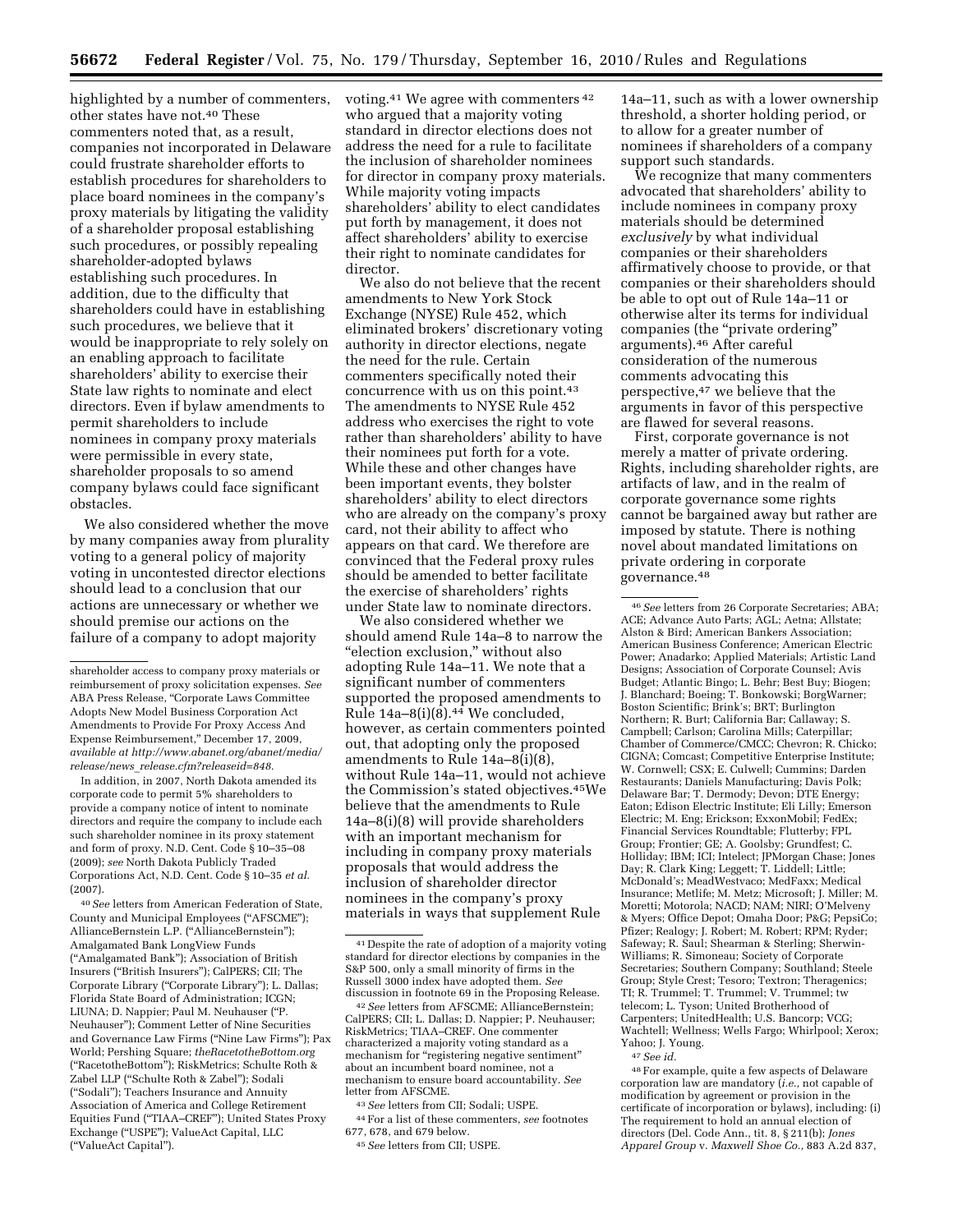highlighted by a number of commenters, other states have not.40 These commenters noted that, as a result, companies not incorporated in Delaware could frustrate shareholder efforts to establish procedures for shareholders to place board nominees in the company's proxy materials by litigating the validity of a shareholder proposal establishing such procedures, or possibly repealing shareholder-adopted bylaws establishing such procedures. In addition, due to the difficulty that shareholders could have in establishing such procedures, we believe that it would be inappropriate to rely solely on an enabling approach to facilitate shareholders' ability to exercise their State law rights to nominate and elect directors. Even if bylaw amendments to permit shareholders to include nominees in company proxy materials were permissible in every state, shareholder proposals to so amend company bylaws could face significant obstacles.

We also considered whether the move by many companies away from plurality voting to a general policy of majority voting in uncontested director elections should lead to a conclusion that our actions are unnecessary or whether we should premise our actions on the failure of a company to adopt majority

In addition, in 2007, North Dakota amended its corporate code to permit 5% shareholders to provide a company notice of intent to nominate directors and require the company to include each such shareholder nominee in its proxy statement and form of proxy. N.D. Cent. Code § 10–35–08 (2009); *see* North Dakota Publicly Traded Corporations Act, N.D. Cent. Code § 10–35 *et al.*  (2007).

40*See* letters from American Federation of State, County and Municipal Employees (''AFSCME''); AllianceBernstein L.P. (''AllianceBernstein''); Amalgamated Bank LongView Funds (''Amalgamated Bank''); Association of British Insurers (''British Insurers''); CalPERS; CII; The Corporate Library (''Corporate Library''); L. Dallas; Florida State Board of Administration; ICGN; LIUNA; D. Nappier; Paul M. Neuhauser (''P. Neuhauser''); Comment Letter of Nine Securities and Governance Law Firms (''Nine Law Firms''); Pax World; Pershing Square; *theRacetotheBottom.org*  (''RacetotheBottom''); RiskMetrics; Schulte Roth & Zabel LLP (''Schulte Roth & Zabel''); Sodali (''Sodali''); Teachers Insurance and Annuity Association of America and College Retirement Equities Fund (''TIAA–CREF''); United States Proxy Exchange (''USPE''); ValueAct Capital, LLC (''ValueAct Capital'').

voting.41 We agree with commenters 42 who argued that a majority voting standard in director elections does not address the need for a rule to facilitate the inclusion of shareholder nominees for director in company proxy materials. While majority voting impacts shareholders' ability to elect candidates put forth by management, it does not affect shareholders' ability to exercise their right to nominate candidates for director.

We also do not believe that the recent amendments to New York Stock Exchange (NYSE) Rule 452, which eliminated brokers' discretionary voting authority in director elections, negate the need for the rule. Certain commenters specifically noted their concurrence with us on this point.43 The amendments to NYSE Rule 452 address who exercises the right to vote rather than shareholders' ability to have their nominees put forth for a vote. While these and other changes have been important events, they bolster shareholders' ability to elect directors who are already on the company's proxy card, not their ability to affect who appears on that card. We therefore are convinced that the Federal proxy rules should be amended to better facilitate the exercise of shareholders' rights under State law to nominate directors.

We also considered whether we should amend Rule 14a–8 to narrow the ''election exclusion,'' without also adopting Rule 14a–11. We note that a significant number of commenters supported the proposed amendments to Rule  $14a-8(i)(8)$ .<sup>44</sup> We concluded, however, as certain commenters pointed out, that adopting only the proposed amendments to Rule 14a–8(i)(8), without Rule 14a–11, would not achieve the Commission's stated objectives.45We believe that the amendments to Rule 14a–8(i)(8) will provide shareholders with an important mechanism for including in company proxy materials proposals that would address the inclusion of shareholder director nominees in the company's proxy materials in ways that supplement Rule

<sup>42</sup> See letters from AFSCME; AllianceBernstein; CalPERS; CII; L. Dallas; D. Nappier; P. Neuhauser; RiskMetrics; TIAA–CREF. One commenter characterized a majority voting standard as a mechanism for "registering negative sentiment" about an incumbent board nominee, not a mechanism to ensure board accountability. *See*  letter from AFSCME.

43*See* letters from CII; Sodali; USPE.

44For a list of these commenters, *see* footnotes 677, 678, and 679 below.

14a–11, such as with a lower ownership threshold, a shorter holding period, or to allow for a greater number of nominees if shareholders of a company support such standards.

We recognize that many commenters advocated that shareholders' ability to include nominees in company proxy materials should be determined *exclusively* by what individual companies or their shareholders affirmatively choose to provide, or that companies or their shareholders should be able to opt out of Rule 14a–11 or otherwise alter its terms for individual companies (the "private ordering" arguments).46 After careful consideration of the numerous comments advocating this perspective,47 we believe that the arguments in favor of this perspective are flawed for several reasons.

First, corporate governance is not merely a matter of private ordering. Rights, including shareholder rights, are artifacts of law, and in the realm of corporate governance some rights cannot be bargained away but rather are imposed by statute. There is nothing novel about mandated limitations on private ordering in corporate governance.48

48For example, quite a few aspects of Delaware corporation law are mandatory (*i.e.,* not capable of modification by agreement or provision in the certificate of incorporation or bylaws), including: (i) The requirement to hold an annual election of directors (Del. Code Ann., tit. 8, § 211(b); *Jones Apparel Group* v. *Maxwell Shoe Co.,* 883 A.2d 837,

shareholder access to company proxy materials or reimbursement of proxy solicitation expenses. *See*  ABA Press Release, ''Corporate Laws Committee Adopts New Model Business Corporation Act Amendments to Provide For Proxy Access And Expense Reimbursement,'' December 17, 2009, *available at [http://www.abanet.org/abanet/media/](http://www.abanet.org/abanet/media/release/news_release.cfm?releaseid=848)  release/news*\_*[release.cfm?releaseid=848.](http://www.abanet.org/abanet/media/release/news_release.cfm?releaseid=848)* 

<sup>41</sup> Despite the rate of adoption of a majority voting standard for director elections by companies in the S&P 500, only a small minority of firms in the Russell 3000 index have adopted them. *See* 

<sup>45</sup>*See* letters from CII; USPE.

<sup>46</sup>*See* letters from 26 Corporate Secretaries; ABA; ACE; Advance Auto Parts; AGL; Aetna; Allstate; Alston & Bird; American Bankers Association; American Business Conference; American Electric Power; Anadarko; Applied Materials; Artistic Land Designs; Association of Corporate Counsel; Avis Budget; Atlantic Bingo; L. Behr; Best Buy; Biogen; J. Blanchard; Boeing; T. Bonkowski; BorgWarner; Boston Scientific; Brink's; BRT; Burlington Northern; R. Burt; California Bar; Callaway; S. Campbell; Carlson; Carolina Mills; Caterpillar; Chamber of Commerce/CMCC; Chevron; R. Chicko; CIGNA; Comcast; Competitive Enterprise Institute; W. Cornwell; CSX; E. Culwell; Cummins; Darden Restaurants; Daniels Manufacturing; Davis Polk; Delaware Bar; T. Dermody; Devon; DTE Energy; Eaton; Edison Electric Institute; Eli Lilly; Emerson Electric; M. Eng; Erickson; ExxonMobil; FedEx; Financial Services Roundtable; Flutterby; FPL Group; Frontier; GE; A. Goolsby; Grundfest; C. Holliday; IBM; ICI; Intelect; JPMorgan Chase; Jones Day; R. Clark King; Leggett; T. Liddell; Little; McDonald's; MeadWestvaco; MedFaxx; Medical Insurance; Metlife; M. Metz; Microsoft; J. Miller; M. Moretti; Motorola; NACD; NAM; NIRI; O'Melveny & Myers; Office Depot; Omaha Door; P&G; PepsiCo; Pfizer; Realogy; J. Robert; M. Robert; RPM; Ryder; Safeway; R. Saul; Shearman & Sterling; Sherwin-Williams; R. Simoneau; Society of Corporate Secretaries; Southern Company; Southland; Steele Group; Style Crest; Tesoro; Textron; Theragenics; TI; R. Trummel; T. Trummel; V. Trummel; tw telecom; L. Tyson; United Brotherhood of Carpenters; UnitedHealth; U.S. Bancorp; VCG; Wachtell; Wellness; Wells Fargo; Whirlpool; Xerox; Yahoo; J. Young.

<sup>47</sup>*See id.*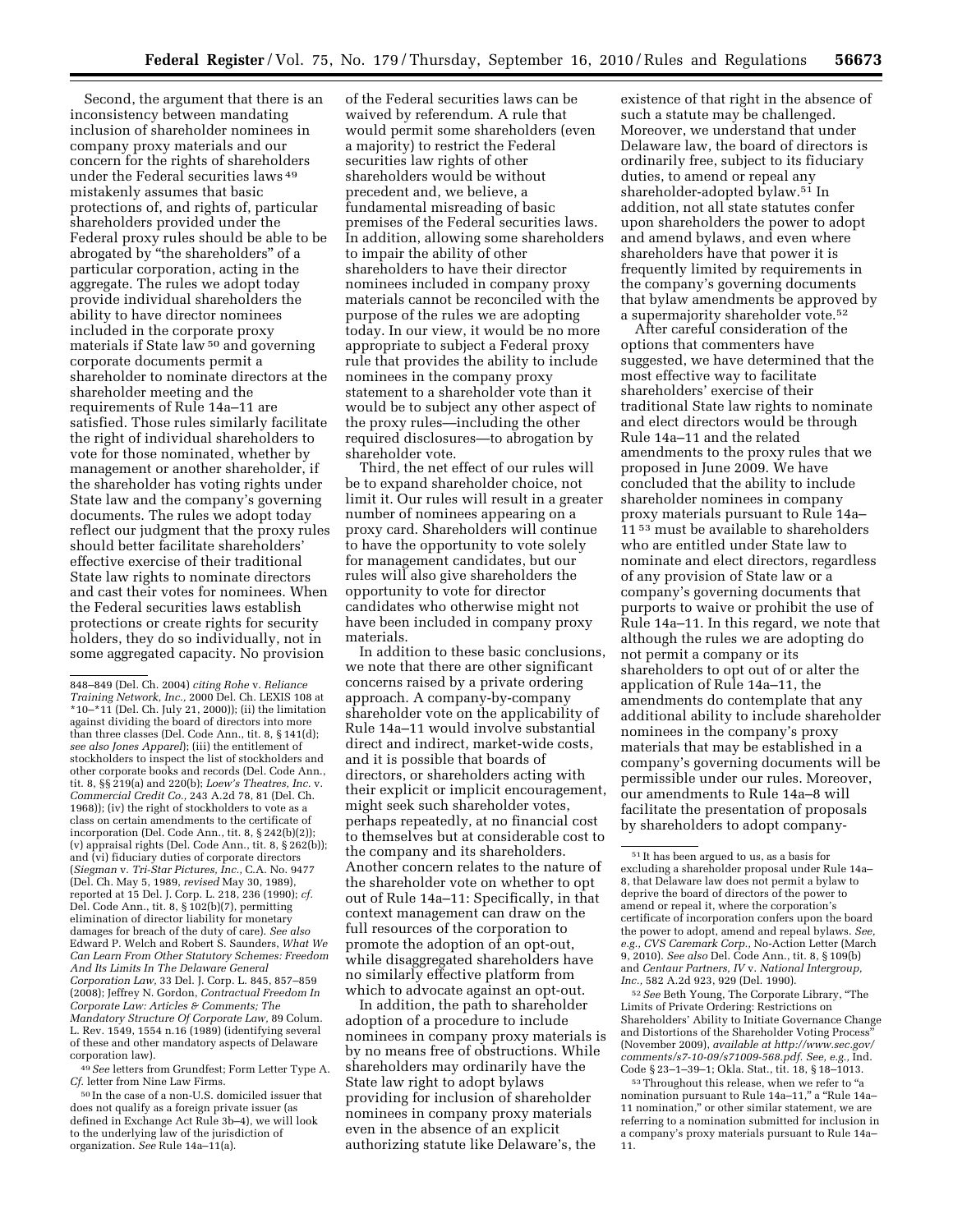Second, the argument that there is an inconsistency between mandating inclusion of shareholder nominees in company proxy materials and our concern for the rights of shareholders under the Federal securities laws 49 mistakenly assumes that basic protections of, and rights of, particular shareholders provided under the Federal proxy rules should be able to be abrogated by ''the shareholders'' of a particular corporation, acting in the aggregate. The rules we adopt today provide individual shareholders the ability to have director nominees included in the corporate proxy materials if State law 50 and governing corporate documents permit a shareholder to nominate directors at the shareholder meeting and the requirements of Rule 14a–11 are satisfied. Those rules similarly facilitate the right of individual shareholders to vote for those nominated, whether by management or another shareholder, if the shareholder has voting rights under State law and the company's governing documents. The rules we adopt today reflect our judgment that the proxy rules should better facilitate shareholders' effective exercise of their traditional State law rights to nominate directors and cast their votes for nominees. When the Federal securities laws establish protections or create rights for security holders, they do so individually, not in some aggregated capacity. No provision

49*See* letters from Grundfest; Form Letter Type A. *Cf.* letter from Nine Law Firms.

50 In the case of a non-U.S. domiciled issuer that does not qualify as a foreign private issuer (as defined in Exchange Act Rule 3b–4), we will look to the underlying law of the jurisdiction of organization. *See* Rule 14a–11(a).

of the Federal securities laws can be waived by referendum. A rule that would permit some shareholders (even a majority) to restrict the Federal securities law rights of other shareholders would be without precedent and, we believe, a fundamental misreading of basic premises of the Federal securities laws. In addition, allowing some shareholders to impair the ability of other shareholders to have their director nominees included in company proxy materials cannot be reconciled with the purpose of the rules we are adopting today. In our view, it would be no more appropriate to subject a Federal proxy rule that provides the ability to include nominees in the company proxy statement to a shareholder vote than it would be to subject any other aspect of the proxy rules—including the other required disclosures—to abrogation by shareholder vote.

Third, the net effect of our rules will be to expand shareholder choice, not limit it. Our rules will result in a greater number of nominees appearing on a proxy card. Shareholders will continue to have the opportunity to vote solely for management candidates, but our rules will also give shareholders the opportunity to vote for director candidates who otherwise might not have been included in company proxy materials.

In addition to these basic conclusions, we note that there are other significant concerns raised by a private ordering approach. A company-by-company shareholder vote on the applicability of Rule 14a–11 would involve substantial direct and indirect, market-wide costs, and it is possible that boards of directors, or shareholders acting with their explicit or implicit encouragement, might seek such shareholder votes, perhaps repeatedly, at no financial cost to themselves but at considerable cost to the company and its shareholders. Another concern relates to the nature of the shareholder vote on whether to opt out of Rule 14a–11: Specifically, in that context management can draw on the full resources of the corporation to promote the adoption of an opt-out, while disaggregated shareholders have no similarly effective platform from which to advocate against an opt-out.

In addition, the path to shareholder adoption of a procedure to include nominees in company proxy materials is by no means free of obstructions. While shareholders may ordinarily have the State law right to adopt bylaws providing for inclusion of shareholder nominees in company proxy materials even in the absence of an explicit authorizing statute like Delaware's, the

existence of that right in the absence of such a statute may be challenged. Moreover, we understand that under Delaware law, the board of directors is ordinarily free, subject to its fiduciary duties, to amend or repeal any shareholder-adopted bylaw.51 In addition, not all state statutes confer upon shareholders the power to adopt and amend bylaws, and even where shareholders have that power it is frequently limited by requirements in the company's governing documents that bylaw amendments be approved by a supermajority shareholder vote.52

After careful consideration of the options that commenters have suggested, we have determined that the most effective way to facilitate shareholders' exercise of their traditional State law rights to nominate and elect directors would be through Rule 14a–11 and the related amendments to the proxy rules that we proposed in June 2009. We have concluded that the ability to include shareholder nominees in company proxy materials pursuant to Rule 14a– 11 53 must be available to shareholders who are entitled under State law to nominate and elect directors, regardless of any provision of State law or a company's governing documents that purports to waive or prohibit the use of Rule 14a–11. In this regard, we note that although the rules we are adopting do not permit a company or its shareholders to opt out of or alter the application of Rule 14a–11, the amendments do contemplate that any additional ability to include shareholder nominees in the company's proxy materials that may be established in a company's governing documents will be permissible under our rules. Moreover, our amendments to Rule 14a–8 will facilitate the presentation of proposals by shareholders to adopt company-

52*See* Beth Young, The Corporate Library, ''The Limits of Private Ordering: Restrictions on Shareholders' Ability to Initiate Governance Change and Distortions of the Shareholder Voting Process'' (November 2009), *available at [http://www.sec.gov/](http://www.sec.gov/comments/s7-10-09/s71009-568.pdf)  [comments/s7-10-09/s71009-568.pdf.](http://www.sec.gov/comments/s7-10-09/s71009-568.pdf) See, e.g.,* Ind. Code § 23–1–39–1; Okla. Stat., tit. 18, § 18–1013.

<sup>53</sup> Throughout this release, when we refer to "a nomination pursuant to Rule 14a-11," a "Rule 14a-11 nomination,'' or other similar statement, we are referring to a nomination submitted for inclusion in a company's proxy materials pursuant to Rule 14a– 11.

<sup>848–849 (</sup>Del. Ch. 2004) *citing Rohe* v. *Reliance Training Network, Inc.,* 2000 Del. Ch. LEXIS 108 at \*10 $-$ \*11 (Del. Ch. July 21, 2000)); (ii) the limitation against dividing the board of directors into more than three classes (Del. Code Ann., tit. 8, § 141(d); *see also Jones Apparel*); (iii) the entitlement of stockholders to inspect the list of stockholders and other corporate books and records (Del. Code Ann., tit. 8, §§ 219(a) and 220(b); *Loew's Theatres, Inc.* v. *Commercial Credit Co.,* 243 A.2d 78, 81 (Del. Ch. 1968)); (iv) the right of stockholders to vote as a class on certain amendments to the certificate of incorporation (Del. Code Ann., tit. 8, § 242(b)(2)); (v) appraisal rights (Del. Code Ann., tit. 8, § 262(b)); and (vi) fiduciary duties of corporate directors (*Siegman* v. *Tri-Star Pictures, Inc.,* C.A. No. 9477 (Del. Ch. May 5, 1989, *revised* May 30, 1989), reported at 15 Del. J. Corp. L. 218, 236 (1990); *cf.*  Del. Code Ann., tit. 8, § 102(b)(7), permitting elimination of director liability for monetary damages for breach of the duty of care). *See also*  Edward P. Welch and Robert S. Saunders, *What We Can Learn From Other Statutory Schemes: Freedom And Its Limits In The Delaware General Corporation Law,* 33 Del. J. Corp. L. 845, 857–859 (2008); Jeffrey N. Gordon, *Contractual Freedom In Corporate Law: Articles & Comments; The Mandatory Structure Of Corporate Law,* 89 Colum. L. Rev. 1549, 1554 n.16 (1989) (identifying several of these and other mandatory aspects of Delaware corporation law).

 $^{\rm 51}$  It has been argued to us, as a basis for excluding a shareholder proposal under Rule 14a– 8, that Delaware law does not permit a bylaw to deprive the board of directors of the power to amend or repeal it, where the corporation's certificate of incorporation confers upon the board the power to adopt, amend and repeal bylaws. *See, e.g., CVS Caremark Corp.,* No-Action Letter (March 9, 2010). *See also* Del. Code Ann., tit. 8, § 109(b) and *Centaur Partners, IV* v. *National Intergroup, Inc.,* 582 A.2d 923, 929 (Del. 1990).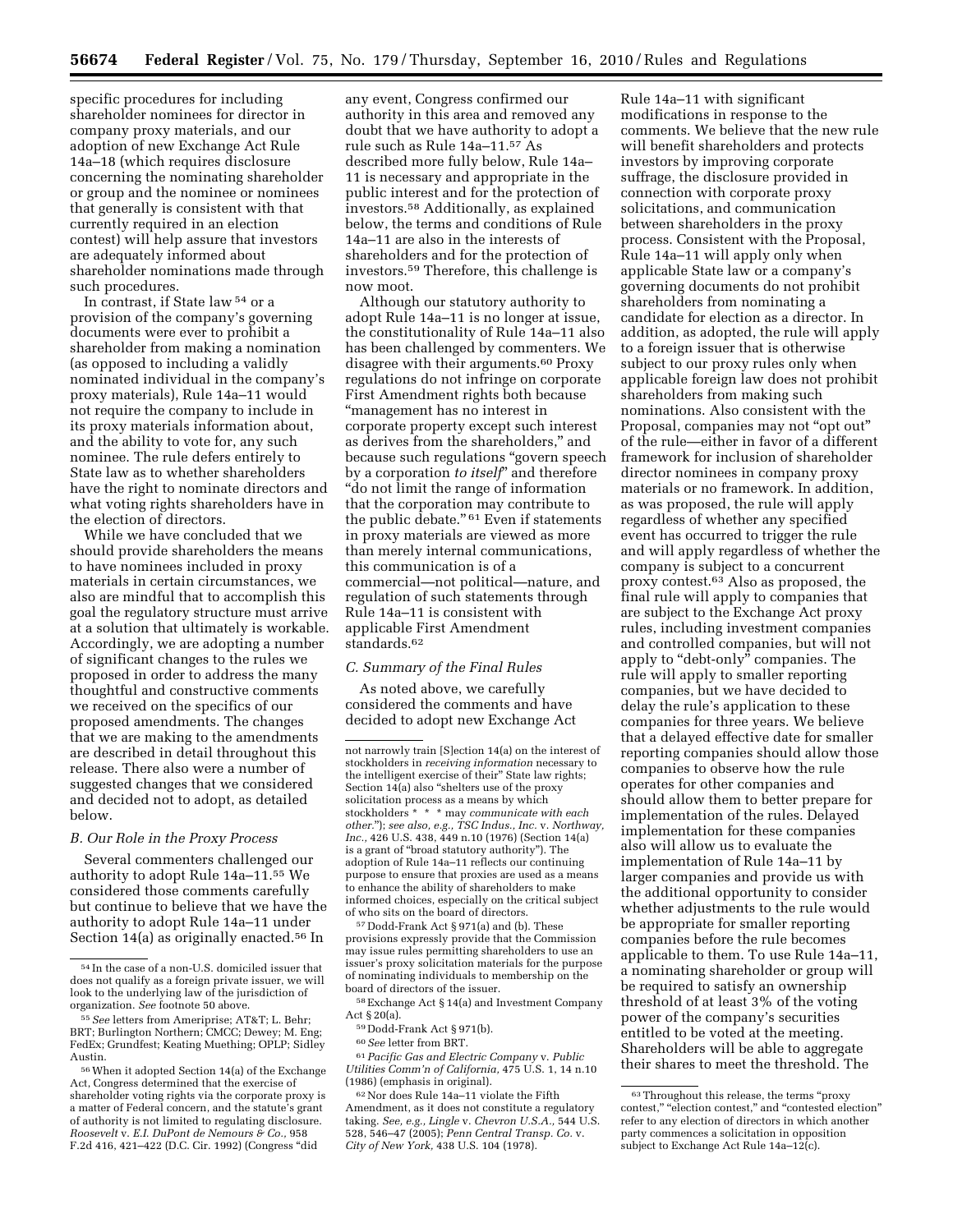specific procedures for including shareholder nominees for director in company proxy materials, and our adoption of new Exchange Act Rule 14a–18 (which requires disclosure concerning the nominating shareholder or group and the nominee or nominees that generally is consistent with that currently required in an election contest) will help assure that investors are adequately informed about shareholder nominations made through such procedures.

In contrast, if State law 54 or a provision of the company's governing documents were ever to prohibit a shareholder from making a nomination (as opposed to including a validly nominated individual in the company's proxy materials), Rule 14a–11 would not require the company to include in its proxy materials information about, and the ability to vote for, any such nominee. The rule defers entirely to State law as to whether shareholders have the right to nominate directors and what voting rights shareholders have in the election of directors.

While we have concluded that we should provide shareholders the means to have nominees included in proxy materials in certain circumstances, we also are mindful that to accomplish this goal the regulatory structure must arrive at a solution that ultimately is workable. Accordingly, we are adopting a number of significant changes to the rules we proposed in order to address the many thoughtful and constructive comments we received on the specifics of our proposed amendments. The changes that we are making to the amendments are described in detail throughout this release. There also were a number of suggested changes that we considered and decided not to adopt, as detailed below.

## *B. Our Role in the Proxy Process*

Several commenters challenged our authority to adopt Rule 14a–11.55 We considered those comments carefully but continue to believe that we have the authority to adopt Rule 14a–11 under Section 14(a) as originally enacted.<sup>56</sup> In

any event, Congress confirmed our authority in this area and removed any doubt that we have authority to adopt a rule such as Rule 14a–11.57 As described more fully below, Rule 14a– 11 is necessary and appropriate in the public interest and for the protection of investors.58 Additionally, as explained below, the terms and conditions of Rule 14a–11 are also in the interests of shareholders and for the protection of investors.59 Therefore, this challenge is now moot.

Although our statutory authority to adopt Rule 14a–11 is no longer at issue, the constitutionality of Rule 14a–11 also has been challenged by commenters. We disagree with their arguments.60 Proxy regulations do not infringe on corporate First Amendment rights both because ''management has no interest in corporate property except such interest as derives from the shareholders,'' and because such regulations ''govern speech by a corporation *to itself*'' and therefore ''do not limit the range of information that the corporation may contribute to the public debate."<sup>61</sup> Even if statements in proxy materials are viewed as more than merely internal communications, this communication is of a commercial—not political—nature, and regulation of such statements through Rule 14a–11 is consistent with applicable First Amendment standards.62

## *C. Summary of the Final Rules*

As noted above, we carefully considered the comments and have decided to adopt new Exchange Act

57 Dodd-Frank Act § 971(a) and (b). These provisions expressly provide that the Commission may issue rules permitting shareholders to use an issuer's proxy solicitation materials for the purpose of nominating individuals to membership on the board of directors of the issuer.

58Exchange Act § 14(a) and Investment Company Act § 20(a).

61*Pacific Gas and Electric Company* v. *Public Utilities Comm'n of California,* 475 U.S. 1, 14 n.10 (1986) (emphasis in original).

62Nor does Rule 14a–11 violate the Fifth Amendment, as it does not constitute a regulatory taking. *See, e.g., Lingle* v. *Chevron U.S.A.,* 544 U.S. 528, 546–47 (2005); *Penn Central Transp. Co.* v. *City of New York,* 438 U.S. 104 (1978).

Rule 14a–11 with significant modifications in response to the comments. We believe that the new rule will benefit shareholders and protects investors by improving corporate suffrage, the disclosure provided in connection with corporate proxy solicitations, and communication between shareholders in the proxy process. Consistent with the Proposal, Rule 14a–11 will apply only when applicable State law or a company's governing documents do not prohibit shareholders from nominating a candidate for election as a director. In addition, as adopted, the rule will apply to a foreign issuer that is otherwise subject to our proxy rules only when applicable foreign law does not prohibit shareholders from making such nominations. Also consistent with the Proposal, companies may not "opt out" of the rule—either in favor of a different framework for inclusion of shareholder director nominees in company proxy materials or no framework. In addition, as was proposed, the rule will apply regardless of whether any specified event has occurred to trigger the rule and will apply regardless of whether the company is subject to a concurrent proxy contest.63 Also as proposed, the final rule will apply to companies that are subject to the Exchange Act proxy rules, including investment companies and controlled companies, but will not apply to "debt-only" companies. The rule will apply to smaller reporting companies, but we have decided to delay the rule's application to these companies for three years. We believe that a delayed effective date for smaller reporting companies should allow those companies to observe how the rule operates for other companies and should allow them to better prepare for implementation of the rules. Delayed implementation for these companies also will allow us to evaluate the implementation of Rule 14a–11 by larger companies and provide us with the additional opportunity to consider whether adjustments to the rule would be appropriate for smaller reporting companies before the rule becomes applicable to them. To use Rule 14a–11, a nominating shareholder or group will be required to satisfy an ownership threshold of at least 3% of the voting power of the company's securities entitled to be voted at the meeting. Shareholders will be able to aggregate their shares to meet the threshold. The

<sup>54</sup> In the case of a non-U.S. domiciled issuer that does not qualify as a foreign private issuer, we will look to the underlying law of the jurisdiction of organization. *See* footnote 50 above.

<sup>55</sup>*See* letters from Ameriprise; AT&T; L. Behr; BRT; Burlington Northern; CMCC; Dewey; M. Eng; FedEx; Grundfest; Keating Muething; OPLP; Sidley Austin.

<sup>56</sup>When it adopted Section 14(a) of the Exchange Act, Congress determined that the exercise of shareholder voting rights via the corporate proxy is a matter of Federal concern, and the statute's grant of authority is not limited to regulating disclosure. *Roosevelt* v. *E.I. DuPont de Nemours & Co.,* 958 F.2d 416, 421–422 (D.C. Cir. 1992) (Congress ''did

not narrowly train [S]ection 14(a) on the interest of stockholders in *receiving information* necessary to the intelligent exercise of their" State law rights; Section 14(a) also "shelters use of the proxy solicitation process as a means by which stockholders \* \* \* may *communicate with each other.*''); *see also, e.g., TSC Indus., Inc.* v. *Northway, Inc.,* 426 U.S. 438, 449 n.10 (1976) (Section 14(a) is a grant of ''broad statutory authority''). The adoption of Rule 14a–11 reflects our continuing purpose to ensure that proxies are used as a means to enhance the ability of shareholders to make informed choices, especially on the critical subject of who sits on the board of directors.

<sup>59</sup> Dodd-Frank Act § 971(b).

<sup>60</sup>*See* letter from BRT.

<sup>63</sup>Throughout this release, the terms ''proxy contest," "election contest," and "contested election" refer to any election of directors in which another party commences a solicitation in opposition subject to Exchange Act Rule  $14a-12(c)$ .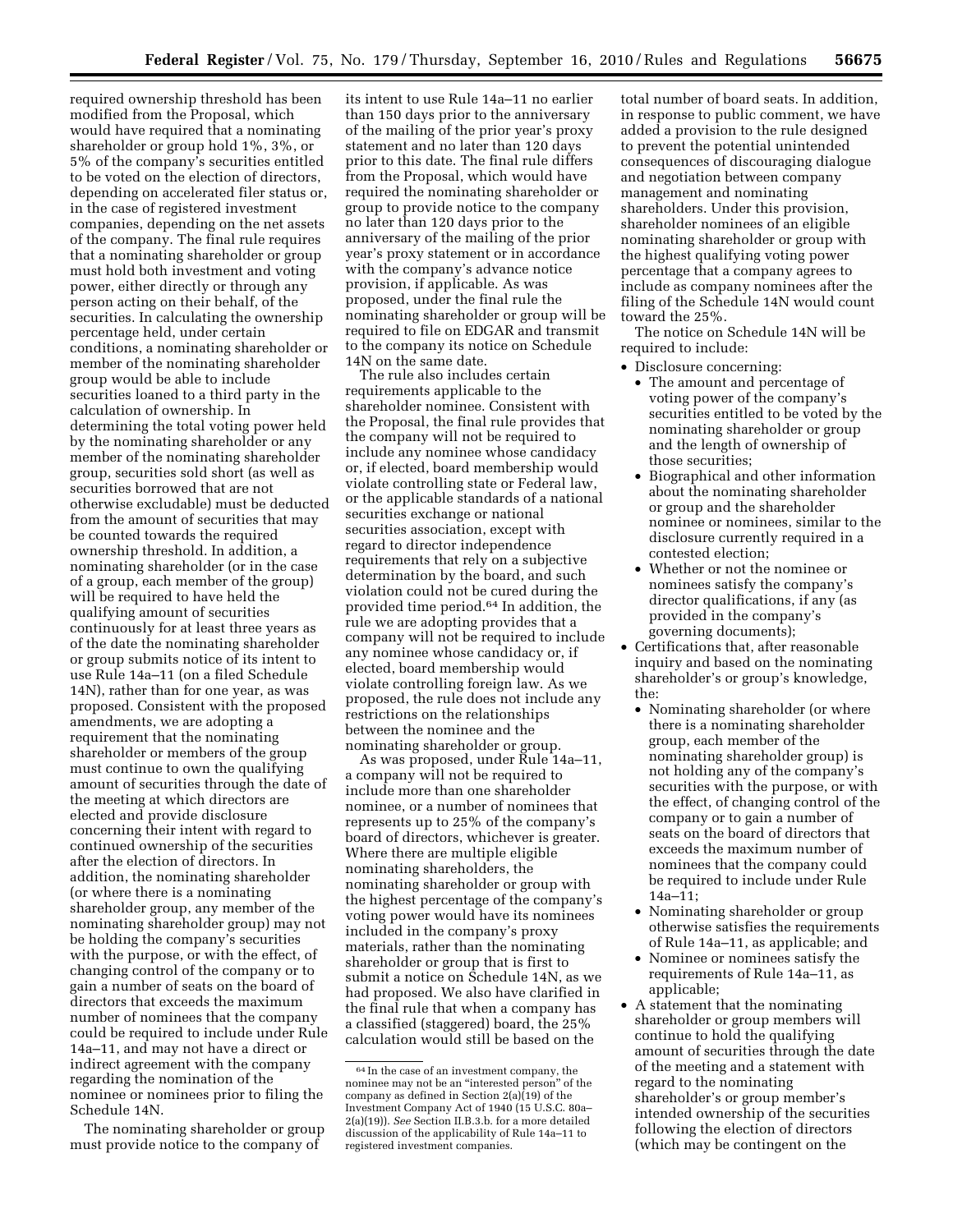required ownership threshold has been modified from the Proposal, which would have required that a nominating shareholder or group hold 1%, 3%, or 5% of the company's securities entitled to be voted on the election of directors, depending on accelerated filer status or, in the case of registered investment companies, depending on the net assets of the company. The final rule requires that a nominating shareholder or group must hold both investment and voting power, either directly or through any person acting on their behalf, of the securities. In calculating the ownership percentage held, under certain conditions, a nominating shareholder or member of the nominating shareholder group would be able to include securities loaned to a third party in the calculation of ownership. In determining the total voting power held by the nominating shareholder or any member of the nominating shareholder group, securities sold short (as well as securities borrowed that are not otherwise excludable) must be deducted from the amount of securities that may be counted towards the required ownership threshold. In addition, a nominating shareholder (or in the case of a group, each member of the group) will be required to have held the qualifying amount of securities continuously for at least three years as of the date the nominating shareholder or group submits notice of its intent to use Rule 14a–11 (on a filed Schedule 14N), rather than for one year, as was proposed. Consistent with the proposed amendments, we are adopting a requirement that the nominating shareholder or members of the group must continue to own the qualifying amount of securities through the date of the meeting at which directors are elected and provide disclosure concerning their intent with regard to continued ownership of the securities after the election of directors. In addition, the nominating shareholder (or where there is a nominating shareholder group, any member of the nominating shareholder group) may not be holding the company's securities with the purpose, or with the effect, of changing control of the company or to gain a number of seats on the board of directors that exceeds the maximum number of nominees that the company could be required to include under Rule 14a–11, and may not have a direct or indirect agreement with the company regarding the nomination of the nominee or nominees prior to filing the Schedule 14N.

The nominating shareholder or group must provide notice to the company of

its intent to use Rule 14a–11 no earlier than 150 days prior to the anniversary of the mailing of the prior year's proxy statement and no later than 120 days prior to this date. The final rule differs from the Proposal, which would have required the nominating shareholder or group to provide notice to the company no later than 120 days prior to the anniversary of the mailing of the prior year's proxy statement or in accordance with the company's advance notice provision, if applicable. As was proposed, under the final rule the nominating shareholder or group will be required to file on EDGAR and transmit to the company its notice on Schedule 14N on the same date.

The rule also includes certain requirements applicable to the shareholder nominee. Consistent with the Proposal, the final rule provides that the company will not be required to include any nominee whose candidacy or, if elected, board membership would violate controlling state or Federal law, or the applicable standards of a national securities exchange or national securities association, except with regard to director independence requirements that rely on a subjective determination by the board, and such violation could not be cured during the provided time period.64 In addition, the rule we are adopting provides that a company will not be required to include any nominee whose candidacy or, if elected, board membership would violate controlling foreign law. As we proposed, the rule does not include any restrictions on the relationships between the nominee and the nominating shareholder or group.

As was proposed, under Rule 14a–11, a company will not be required to include more than one shareholder nominee, or a number of nominees that represents up to 25% of the company's board of directors, whichever is greater. Where there are multiple eligible nominating shareholders, the nominating shareholder or group with the highest percentage of the company's voting power would have its nominees included in the company's proxy materials, rather than the nominating shareholder or group that is first to submit a notice on Schedule 14N, as we had proposed. We also have clarified in the final rule that when a company has a classified (staggered) board, the 25% calculation would still be based on the

total number of board seats. In addition, in response to public comment, we have added a provision to the rule designed to prevent the potential unintended consequences of discouraging dialogue and negotiation between company management and nominating shareholders. Under this provision, shareholder nominees of an eligible nominating shareholder or group with the highest qualifying voting power percentage that a company agrees to include as company nominees after the filing of the Schedule 14N would count toward the 25%.

The notice on Schedule 14N will be required to include:

- Disclosure concerning:
	- The amount and percentage of voting power of the company's securities entitled to be voted by the nominating shareholder or group and the length of ownership of those securities;
	- Biographical and other information about the nominating shareholder or group and the shareholder nominee or nominees, similar to the disclosure currently required in a contested election;
	- Whether or not the nominee or nominees satisfy the company's director qualifications, if any (as provided in the company's governing documents);
- Certifications that, after reasonable inquiry and based on the nominating shareholder's or group's knowledge, the:
	- Nominating shareholder (or where there is a nominating shareholder group, each member of the nominating shareholder group) is not holding any of the company's securities with the purpose, or with the effect, of changing control of the company or to gain a number of seats on the board of directors that exceeds the maximum number of nominees that the company could be required to include under Rule 14a–11;
	- Nominating shareholder or group otherwise satisfies the requirements of Rule 14a–11, as applicable; and
	- Nominee or nominees satisfy the requirements of Rule 14a–11, as applicable;
- A statement that the nominating shareholder or group members will continue to hold the qualifying amount of securities through the date of the meeting and a statement with regard to the nominating shareholder's or group member's intended ownership of the securities following the election of directors (which may be contingent on the

<sup>64</sup> In the case of an investment company, the nominee may not be an ''interested person'' of the company as defined in Section  $2(a)(19)$  of the Investment Company Act of 1940 (15 U.S.C. 80a– 2(a)(19)). *See* Section II.B.3.b. for a more detailed discussion of the applicability of Rule 14a–11 to registered investment companies.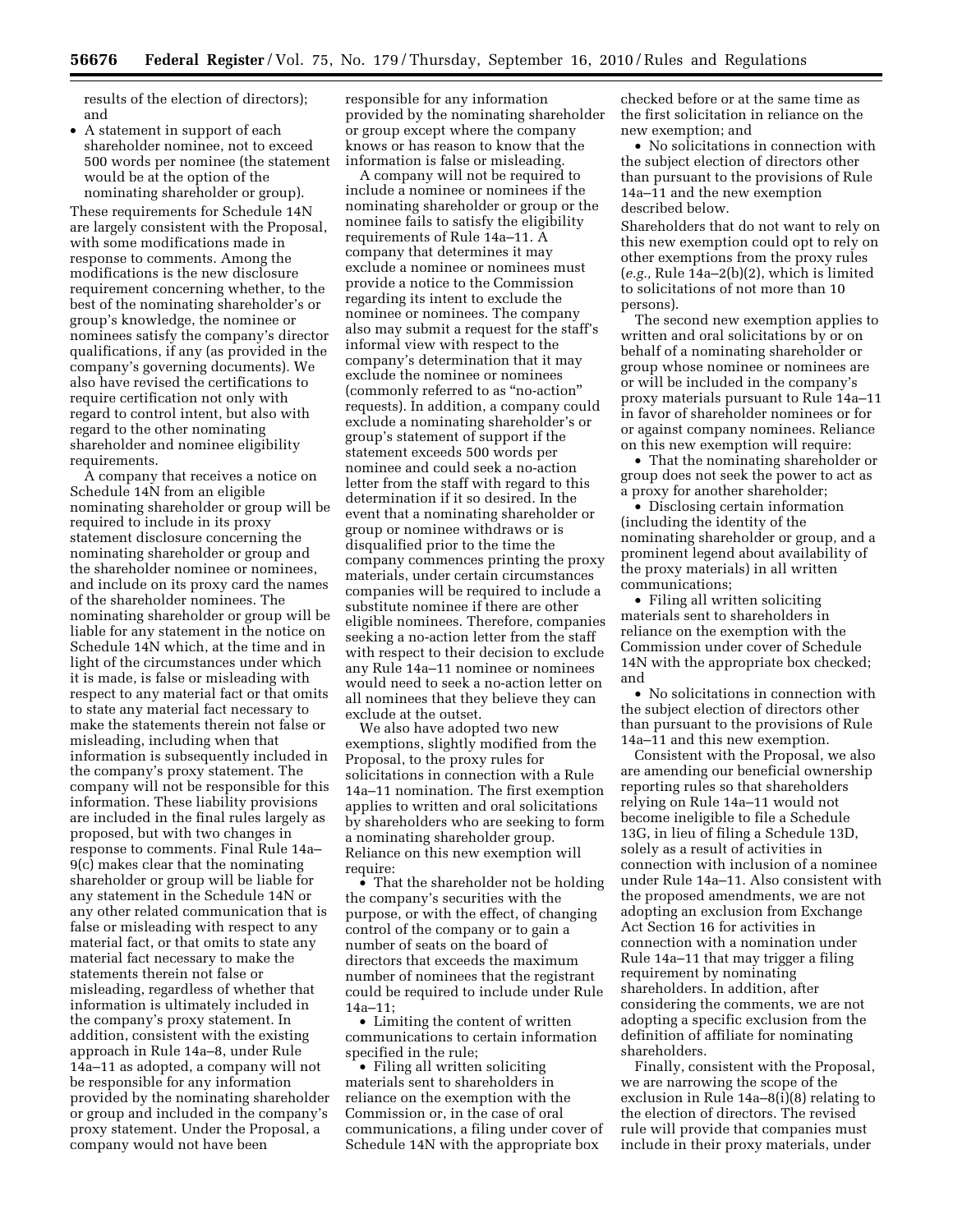results of the election of directors); and

• A statement in support of each shareholder nominee, not to exceed 500 words per nominee (the statement would be at the option of the nominating shareholder or group).

These requirements for Schedule 14N are largely consistent with the Proposal, with some modifications made in response to comments. Among the modifications is the new disclosure requirement concerning whether, to the best of the nominating shareholder's or group's knowledge, the nominee or nominees satisfy the company's director qualifications, if any (as provided in the company's governing documents). We also have revised the certifications to require certification not only with regard to control intent, but also with regard to the other nominating shareholder and nominee eligibility requirements.

A company that receives a notice on Schedule 14N from an eligible nominating shareholder or group will be required to include in its proxy statement disclosure concerning the nominating shareholder or group and the shareholder nominee or nominees, and include on its proxy card the names of the shareholder nominees. The nominating shareholder or group will be liable for any statement in the notice on Schedule 14N which, at the time and in light of the circumstances under which it is made, is false or misleading with respect to any material fact or that omits to state any material fact necessary to make the statements therein not false or misleading, including when that information is subsequently included in the company's proxy statement. The company will not be responsible for this information. These liability provisions are included in the final rules largely as proposed, but with two changes in response to comments. Final Rule 14a– 9(c) makes clear that the nominating shareholder or group will be liable for any statement in the Schedule 14N or any other related communication that is false or misleading with respect to any material fact, or that omits to state any material fact necessary to make the statements therein not false or misleading, regardless of whether that information is ultimately included in the company's proxy statement. In addition, consistent with the existing approach in Rule 14a–8, under Rule 14a–11 as adopted, a company will not be responsible for any information provided by the nominating shareholder or group and included in the company's proxy statement. Under the Proposal, a company would not have been

responsible for any information provided by the nominating shareholder or group except where the company knows or has reason to know that the information is false or misleading.

A company will not be required to include a nominee or nominees if the nominating shareholder or group or the nominee fails to satisfy the eligibility requirements of Rule 14a–11. A company that determines it may exclude a nominee or nominees must provide a notice to the Commission regarding its intent to exclude the nominee or nominees. The company also may submit a request for the staff's informal view with respect to the company's determination that it may exclude the nominee or nominees (commonly referred to as ''no-action'' requests). In addition, a company could exclude a nominating shareholder's or group's statement of support if the statement exceeds 500 words per nominee and could seek a no-action letter from the staff with regard to this determination if it so desired. In the event that a nominating shareholder or group or nominee withdraws or is disqualified prior to the time the company commences printing the proxy materials, under certain circumstances companies will be required to include a substitute nominee if there are other eligible nominees. Therefore, companies seeking a no-action letter from the staff with respect to their decision to exclude any Rule 14a–11 nominee or nominees would need to seek a no-action letter on all nominees that they believe they can exclude at the outset.

We also have adopted two new exemptions, slightly modified from the Proposal, to the proxy rules for solicitations in connection with a Rule 14a–11 nomination. The first exemption applies to written and oral solicitations by shareholders who are seeking to form a nominating shareholder group. Reliance on this new exemption will require:

• That the shareholder not be holding the company's securities with the purpose, or with the effect, of changing control of the company or to gain a number of seats on the board of directors that exceeds the maximum number of nominees that the registrant could be required to include under Rule  $14a - 11$ 

• Limiting the content of written communications to certain information specified in the rule;

• Filing all written soliciting materials sent to shareholders in reliance on the exemption with the Commission or, in the case of oral communications, a filing under cover of Schedule 14N with the appropriate box

checked before or at the same time as the first solicitation in reliance on the new exemption; and

• No solicitations in connection with the subject election of directors other than pursuant to the provisions of Rule 14a–11 and the new exemption described below.

Shareholders that do not want to rely on this new exemption could opt to rely on other exemptions from the proxy rules (*e.g.,* Rule 14a–2(b)(2), which is limited to solicitations of not more than 10 persons).

The second new exemption applies to written and oral solicitations by or on behalf of a nominating shareholder or group whose nominee or nominees are or will be included in the company's proxy materials pursuant to Rule 14a–11 in favor of shareholder nominees or for or against company nominees. Reliance on this new exemption will require:

• That the nominating shareholder or group does not seek the power to act as a proxy for another shareholder;

• Disclosing certain information (including the identity of the nominating shareholder or group, and a prominent legend about availability of the proxy materials) in all written communications;

• Filing all written soliciting materials sent to shareholders in reliance on the exemption with the Commission under cover of Schedule 14N with the appropriate box checked; and

• No solicitations in connection with the subject election of directors other than pursuant to the provisions of Rule 14a–11 and this new exemption.

Consistent with the Proposal, we also are amending our beneficial ownership reporting rules so that shareholders relying on Rule 14a–11 would not become ineligible to file a Schedule 13G, in lieu of filing a Schedule 13D, solely as a result of activities in connection with inclusion of a nominee under Rule 14a–11. Also consistent with the proposed amendments, we are not adopting an exclusion from Exchange Act Section 16 for activities in connection with a nomination under Rule 14a–11 that may trigger a filing requirement by nominating shareholders. In addition, after considering the comments, we are not adopting a specific exclusion from the definition of affiliate for nominating shareholders.

Finally, consistent with the Proposal, we are narrowing the scope of the exclusion in Rule 14a–8(i)(8) relating to the election of directors. The revised rule will provide that companies must include in their proxy materials, under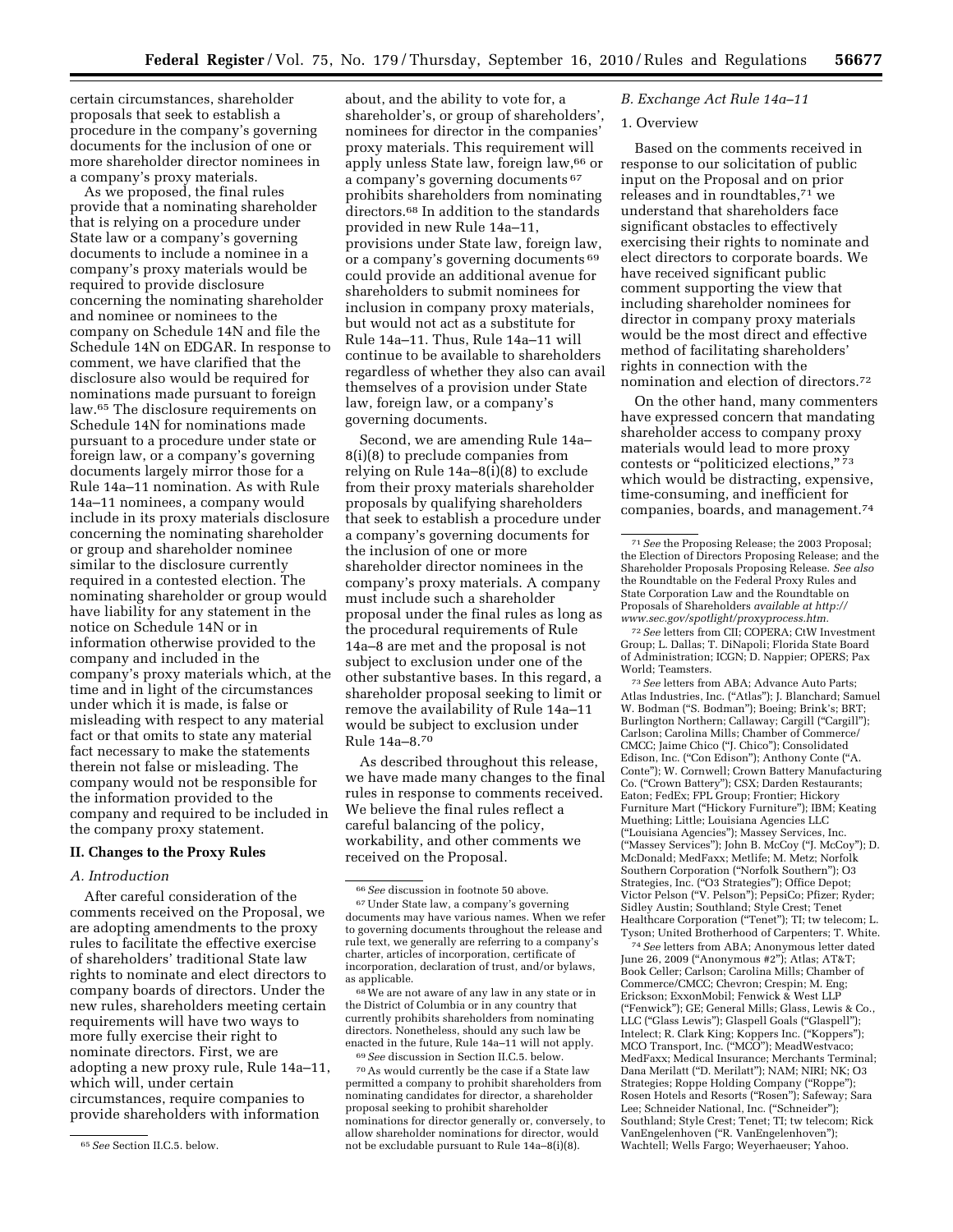certain circumstances, shareholder proposals that seek to establish a procedure in the company's governing documents for the inclusion of one or more shareholder director nominees in a company's proxy materials.

As we proposed, the final rules provide that a nominating shareholder that is relying on a procedure under State law or a company's governing documents to include a nominee in a company's proxy materials would be required to provide disclosure concerning the nominating shareholder and nominee or nominees to the company on Schedule 14N and file the Schedule 14N on EDGAR. In response to comment, we have clarified that the disclosure also would be required for nominations made pursuant to foreign law.65 The disclosure requirements on Schedule 14N for nominations made pursuant to a procedure under state or foreign law, or a company's governing documents largely mirror those for a Rule 14a–11 nomination. As with Rule 14a–11 nominees, a company would include in its proxy materials disclosure concerning the nominating shareholder or group and shareholder nominee similar to the disclosure currently required in a contested election. The nominating shareholder or group would have liability for any statement in the notice on Schedule 14N or in information otherwise provided to the company and included in the company's proxy materials which, at the time and in light of the circumstances under which it is made, is false or misleading with respect to any material fact or that omits to state any material fact necessary to make the statements therein not false or misleading. The company would not be responsible for the information provided to the company and required to be included in the company proxy statement.

## **II. Changes to the Proxy Rules**

## *A. Introduction*

After careful consideration of the comments received on the Proposal, we are adopting amendments to the proxy rules to facilitate the effective exercise of shareholders' traditional State law rights to nominate and elect directors to company boards of directors. Under the new rules, shareholders meeting certain requirements will have two ways to more fully exercise their right to nominate directors. First, we are adopting a new proxy rule, Rule 14a–11, which will, under certain circumstances, require companies to provide shareholders with information

about, and the ability to vote for, a shareholder's, or group of shareholders', nominees for director in the companies' proxy materials. This requirement will apply unless State law, foreign law,66 or a company's governing documents 67 prohibits shareholders from nominating directors.68 In addition to the standards provided in new Rule 14a–11, provisions under State law, foreign law, or a company's governing documents 69 could provide an additional avenue for shareholders to submit nominees for inclusion in company proxy materials, but would not act as a substitute for Rule 14a–11. Thus, Rule 14a–11 will continue to be available to shareholders regardless of whether they also can avail themselves of a provision under State law, foreign law, or a company's governing documents.

Second, we are amending Rule 14a– 8(i)(8) to preclude companies from relying on Rule 14a–8(i)(8) to exclude from their proxy materials shareholder proposals by qualifying shareholders that seek to establish a procedure under a company's governing documents for the inclusion of one or more shareholder director nominees in the company's proxy materials. A company must include such a shareholder proposal under the final rules as long as the procedural requirements of Rule 14a–8 are met and the proposal is not subject to exclusion under one of the other substantive bases. In this regard, a shareholder proposal seeking to limit or remove the availability of Rule 14a–11 would be subject to exclusion under Rule 14a–8.70

As described throughout this release, we have made many changes to the final rules in response to comments received. We believe the final rules reflect a careful balancing of the policy, workability, and other comments we received on the Proposal.

68We are not aware of any law in any state or in the District of Columbia or in any country that currently prohibits shareholders from nominating directors. Nonetheless, should any such law be enacted in the future, Rule 14a–11 will not apply. 69*See* discussion in Section II.C.5. below.

70As would currently be the case if a State law permitted a company to prohibit shareholders from nominating candidates for director, a shareholder proposal seeking to prohibit shareholder nominations for director generally or, conversely, to allow shareholder nominations for director, would not be excludable pursuant to Rule 14a–8(i)(8).

# *B. Exchange Act Rule 14a–11*

## 1. Overview

Based on the comments received in response to our solicitation of public input on the Proposal and on prior releases and in roundtables,71 we understand that shareholders face significant obstacles to effectively exercising their rights to nominate and elect directors to corporate boards. We have received significant public comment supporting the view that including shareholder nominees for director in company proxy materials would be the most direct and effective method of facilitating shareholders' rights in connection with the nomination and election of directors.72

On the other hand, many commenters have expressed concern that mandating shareholder access to company proxy materials would lead to more proxy contests or "politicized elections," 73 which would be distracting, expensive, time-consuming, and inefficient for companies, boards, and management.74

72*See* letters from CII; COPERA; CtW Investment Group; L. Dallas; T. DiNapoli; Florida State Board of Administration; ICGN; D. Nappier; OPERS; Pax World; Teamsters.

73*See* letters from ABA; Advance Auto Parts; Atlas Industries, Inc. (''Atlas''); J. Blanchard; Samuel W. Bodman (''S. Bodman''); Boeing; Brink's; BRT; Burlington Northern; Callaway; Cargill ("Cargill"); Carlson; Carolina Mills; Chamber of Commerce/ CMCC; Jaime Chico (''J. Chico''); Consolidated Edison, Inc. (''Con Edison''); Anthony Conte (''A. Conte''); W. Cornwell; Crown Battery Manufacturing Co. (''Crown Battery''); CSX; Darden Restaurants; Eaton; FedEx; FPL Group; Frontier; Hickory Furniture Mart (''Hickory Furniture''); IBM; Keating Muething; Little; Louisiana Agencies LLC (''Louisiana Agencies''); Massey Services, Inc. (''Massey Services''); John B. McCoy (''J. McCoy''); D. McDonald; MedFaxx; Metlife; M. Metz; Norfolk Southern Corporation (''Norfolk Southern''); O3 Strategies, Inc. (''O3 Strategies''); Office Depot; Victor Pelson (''V. Pelson''); PepsiCo; Pfizer; Ryder; Sidley Austin; Southland; Style Crest; Tenet Healthcare Corporation ("Tenet"); TI; tw telecom; L. Tyson; United Brotherhood of Carpenters; T. White.

74*See* letters from ABA; Anonymous letter dated June 26, 2009 (''Anonymous #2''); Atlas; AT&T; Book Celler; Carlson; Carolina Mills; Chamber of Commerce/CMCC; Chevron; Crespin; M. Eng; Erickson; ExxonMobil; Fenwick & West LLP (''Fenwick''); GE; General Mills; Glass, Lewis & Co., LLC (''Glass Lewis''); Glaspell Goals (''Glaspell''); Intelect; R. Clark King; Koppers Inc. (''Koppers''); MCO Transport, Inc. (''MCO''); MeadWestvaco; MedFaxx; Medical Insurance; Merchants Terminal; Dana Merilatt (''D. Merilatt''); NAM; NIRI; NK; O3 Strategies; Roppe Holding Company (''Roppe''); Rosen Hotels and Resorts (''Rosen''); Safeway; Sara Lee; Schneider National, Inc. (''Schneider''); Southland; Style Crest; Tenet; TI; tw telecom; Rick VanEngelenhoven (''R. VanEngelenhoven''); Wachtell; Wells Fargo; Weyerhaeuser; Yahoo.

<sup>65</sup>*See* Section II.C.5. below.

<sup>66</sup>*See* discussion in footnote 50 above. 67Under State law, a company's governing documents may have various names. When we refer to governing documents throughout the release and rule text, we generally are referring to a company's charter, articles of incorporation, certificate of incorporation, declaration of trust, and/or bylaws, as applicable.

<sup>71</sup>*See* the Proposing Release; the 2003 Proposal; the Election of Directors Proposing Release; and the Shareholder Proposals Proposing Release. *See also*  the Roundtable on the Federal Proxy Rules and State Corporation Law and the Roundtable on Proposals of Shareholders *available at [http://](http://www.sec.gov/spotlight/proxyprocess.htm) [www.sec.gov/spotlight/proxyprocess.htm.](http://www.sec.gov/spotlight/proxyprocess.htm)*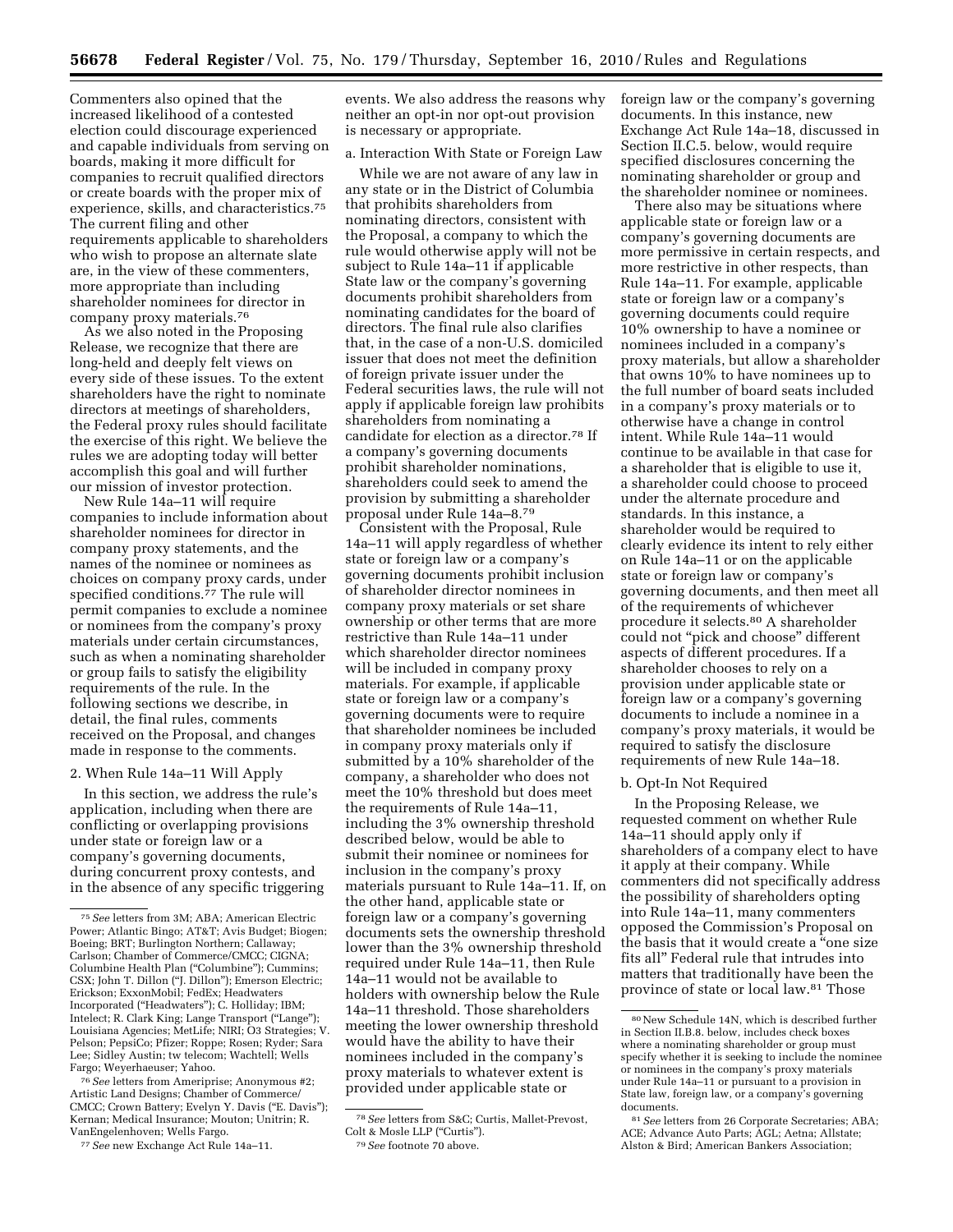Commenters also opined that the increased likelihood of a contested election could discourage experienced and capable individuals from serving on boards, making it more difficult for companies to recruit qualified directors or create boards with the proper mix of experience, skills, and characteristics.75 The current filing and other requirements applicable to shareholders who wish to propose an alternate slate are, in the view of these commenters, more appropriate than including shareholder nominees for director in company proxy materials.76

As we also noted in the Proposing Release, we recognize that there are long-held and deeply felt views on every side of these issues. To the extent shareholders have the right to nominate directors at meetings of shareholders, the Federal proxy rules should facilitate the exercise of this right. We believe the rules we are adopting today will better accomplish this goal and will further our mission of investor protection.

New Rule 14a–11 will require companies to include information about shareholder nominees for director in company proxy statements, and the names of the nominee or nominees as choices on company proxy cards, under specified conditions.77 The rule will permit companies to exclude a nominee or nominees from the company's proxy materials under certain circumstances, such as when a nominating shareholder or group fails to satisfy the eligibility requirements of the rule. In the following sections we describe, in detail, the final rules, comments received on the Proposal, and changes made in response to the comments.

## 2. When Rule 14a–11 Will Apply

In this section, we address the rule's application, including when there are conflicting or overlapping provisions under state or foreign law or a company's governing documents, during concurrent proxy contests, and in the absence of any specific triggering

76*See* letters from Ameriprise; Anonymous #2; Artistic Land Designs; Chamber of Commerce/ CMCC; Crown Battery; Evelyn Y. Davis (''E. Davis''); Kernan; Medical Insurance; Mouton; Unitrin; R. VanEngelenhoven; Wells Fargo.

77*See* new Exchange Act Rule 14a–11.

events. We also address the reasons why neither an opt-in nor opt-out provision is necessary or appropriate.

## a. Interaction With State or Foreign Law

While we are not aware of any law in any state or in the District of Columbia that prohibits shareholders from nominating directors, consistent with the Proposal, a company to which the rule would otherwise apply will not be subject to Rule 14a–11 if applicable State law or the company's governing documents prohibit shareholders from nominating candidates for the board of directors. The final rule also clarifies that, in the case of a non-U.S. domiciled issuer that does not meet the definition of foreign private issuer under the Federal securities laws, the rule will not apply if applicable foreign law prohibits shareholders from nominating a candidate for election as a director.78 If a company's governing documents prohibit shareholder nominations, shareholders could seek to amend the provision by submitting a shareholder proposal under Rule 14a–8.79

Consistent with the Proposal, Rule 14a–11 will apply regardless of whether state or foreign law or a company's governing documents prohibit inclusion of shareholder director nominees in company proxy materials or set share ownership or other terms that are more restrictive than Rule 14a–11 under which shareholder director nominees will be included in company proxy materials. For example, if applicable state or foreign law or a company's governing documents were to require that shareholder nominees be included in company proxy materials only if submitted by a 10% shareholder of the company, a shareholder who does not meet the 10% threshold but does meet the requirements of Rule 14a–11, including the 3% ownership threshold described below, would be able to submit their nominee or nominees for inclusion in the company's proxy materials pursuant to Rule 14a–11. If, on the other hand, applicable state or foreign law or a company's governing documents sets the ownership threshold lower than the 3% ownership threshold required under Rule 14a–11, then Rule 14a–11 would not be available to holders with ownership below the Rule 14a–11 threshold. Those shareholders meeting the lower ownership threshold would have the ability to have their nominees included in the company's proxy materials to whatever extent is provided under applicable state or

foreign law or the company's governing documents. In this instance, new Exchange Act Rule 14a–18, discussed in Section II.C.5. below, would require specified disclosures concerning the nominating shareholder or group and the shareholder nominee or nominees.

There also may be situations where applicable state or foreign law or a company's governing documents are more permissive in certain respects, and more restrictive in other respects, than Rule 14a–11. For example, applicable state or foreign law or a company's governing documents could require 10% ownership to have a nominee or nominees included in a company's proxy materials, but allow a shareholder that owns 10% to have nominees up to the full number of board seats included in a company's proxy materials or to otherwise have a change in control intent. While Rule 14a–11 would continue to be available in that case for a shareholder that is eligible to use it, a shareholder could choose to proceed under the alternate procedure and standards. In this instance, a shareholder would be required to clearly evidence its intent to rely either on Rule 14a–11 or on the applicable state or foreign law or company's governing documents, and then meet all of the requirements of whichever procedure it selects.80 A shareholder could not ''pick and choose'' different aspects of different procedures. If a shareholder chooses to rely on a provision under applicable state or foreign law or a company's governing documents to include a nominee in a company's proxy materials, it would be required to satisfy the disclosure requirements of new Rule 14a–18.

#### b. Opt-In Not Required

In the Proposing Release, we requested comment on whether Rule 14a–11 should apply only if shareholders of a company elect to have it apply at their company. While commenters did not specifically address the possibility of shareholders opting into Rule 14a–11, many commenters opposed the Commission's Proposal on the basis that it would create a ''one size fits all'' Federal rule that intrudes into matters that traditionally have been the province of state or local law.81 Those

<sup>75</sup>*See* letters from 3M; ABA; American Electric Power; Atlantic Bingo; AT&T; Avis Budget; Biogen; Boeing; BRT; Burlington Northern; Callaway; Carlson; Chamber of Commerce/CMCC; CIGNA; Columbine Health Plan (''Columbine''); Cummins; CSX; John T. Dillon (''J. Dillon''); Emerson Electric; Erickson; ExxonMobil; FedEx; Headwaters Incorporated (''Headwaters''); C. Holliday; IBM; Intelect; R. Clark King; Lange Transport (''Lange''); Louisiana Agencies; MetLife; NIRI; O3 Strategies; V. Pelson; PepsiCo; Pfizer; Roppe; Rosen; Ryder; Sara Lee; Sidley Austin; tw telecom; Wachtell; Wells Fargo; Weyerhaeuser; Yahoo.

<sup>78</sup>*See* letters from S&C; Curtis, Mallet-Prevost, Colt & Mosle LLP (''Curtis'').

<sup>79</sup>*See* footnote 70 above.

<sup>80</sup>New Schedule 14N, which is described further in Section II.B.8. below, includes check boxes where a nominating shareholder or group must specify whether it is seeking to include the nominee or nominees in the company's proxy materials under Rule 14a–11 or pursuant to a provision in State law, foreign law, or a company's governing documents.

<sup>81</sup>*See* letters from 26 Corporate Secretaries; ABA; ACE; Advance Auto Parts; AGL; Aetna; Allstate; Alston & Bird; American Bankers Association;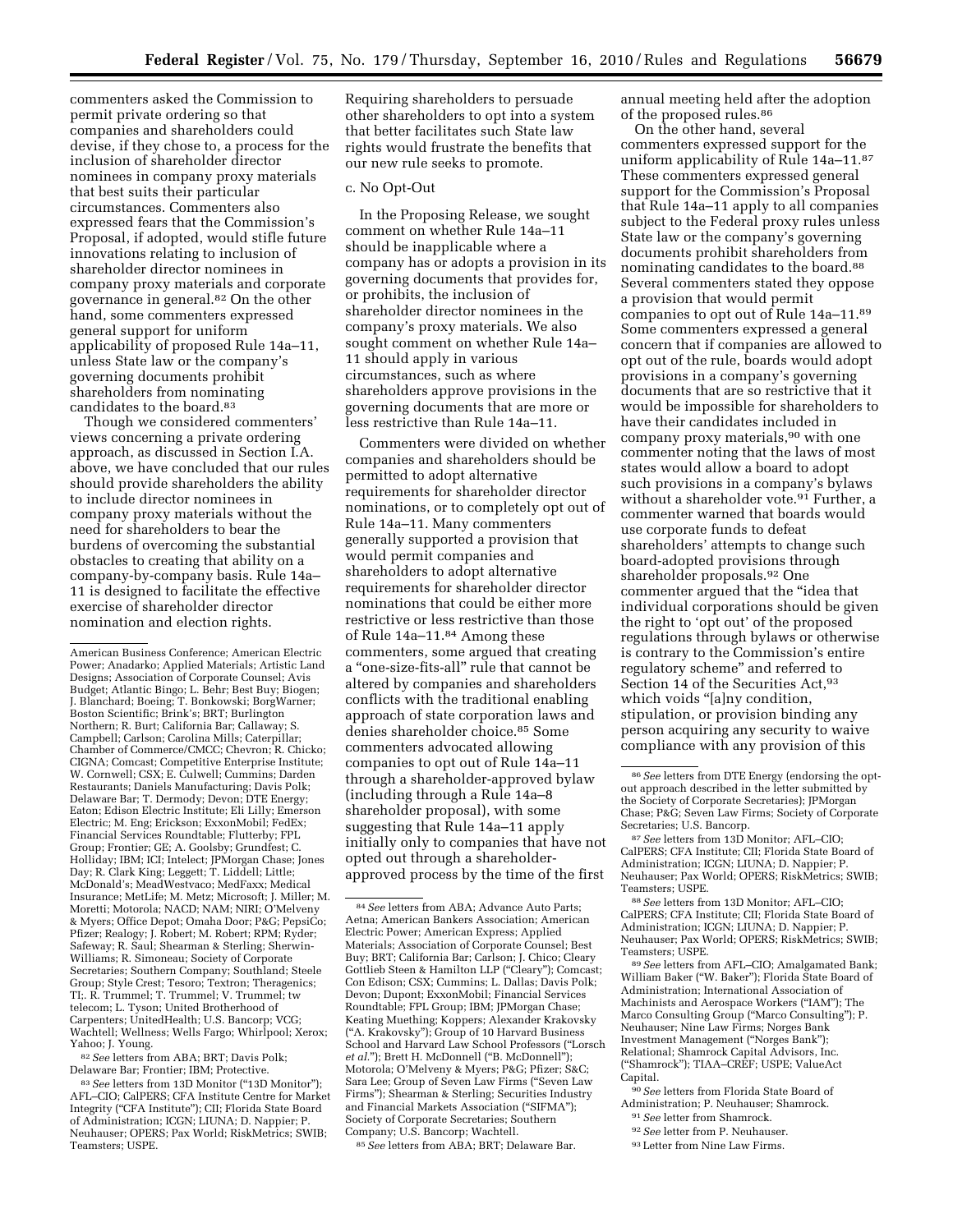commenters asked the Commission to permit private ordering so that companies and shareholders could devise, if they chose to, a process for the inclusion of shareholder director nominees in company proxy materials that best suits their particular circumstances. Commenters also expressed fears that the Commission's Proposal, if adopted, would stifle future innovations relating to inclusion of shareholder director nominees in company proxy materials and corporate governance in general.82 On the other hand, some commenters expressed general support for uniform applicability of proposed Rule 14a–11, unless State law or the company's governing documents prohibit shareholders from nominating candidates to the board.83

Though we considered commenters' views concerning a private ordering approach, as discussed in Section I.A. above, we have concluded that our rules should provide shareholders the ability to include director nominees in company proxy materials without the need for shareholders to bear the burdens of overcoming the substantial obstacles to creating that ability on a company-by-company basis. Rule 14a– 11 is designed to facilitate the effective exercise of shareholder director nomination and election rights.

82*See* letters from ABA; BRT; Davis Polk; Delaware Bar; Frontier; IBM; Protective.

<sup>83</sup> See letters from 13D Monitor ("13D Monitor"); AFL–CIO; CalPERS; CFA Institute Centre for Market Integrity (''CFA Institute''); CII; Florida State Board of Administration; ICGN; LIUNA; D. Nappier; P. Neuhauser; OPERS; Pax World; RiskMetrics; SWIB; Teamsters; USPE.

Requiring shareholders to persuade other shareholders to opt into a system that better facilitates such State law rights would frustrate the benefits that our new rule seeks to promote.

## c. No Opt-Out

In the Proposing Release, we sought comment on whether Rule 14a–11 should be inapplicable where a company has or adopts a provision in its governing documents that provides for, or prohibits, the inclusion of shareholder director nominees in the company's proxy materials. We also sought comment on whether Rule 14a– 11 should apply in various circumstances, such as where shareholders approve provisions in the governing documents that are more or less restrictive than Rule 14a–11.

Commenters were divided on whether companies and shareholders should be permitted to adopt alternative requirements for shareholder director nominations, or to completely opt out of Rule 14a–11. Many commenters generally supported a provision that would permit companies and shareholders to adopt alternative requirements for shareholder director nominations that could be either more restrictive or less restrictive than those of Rule 14a–11.84 Among these commenters, some argued that creating a ''one-size-fits-all'' rule that cannot be altered by companies and shareholders conflicts with the traditional enabling approach of state corporation laws and denies shareholder choice.85 Some commenters advocated allowing companies to opt out of Rule 14a–11 through a shareholder-approved bylaw (including through a Rule 14a–8 shareholder proposal), with some suggesting that Rule 14a–11 apply initially only to companies that have not opted out through a shareholderapproved process by the time of the first

85*See* letters from ABA; BRT; Delaware Bar.

annual meeting held after the adoption of the proposed rules.86

On the other hand, several commenters expressed support for the uniform applicability of Rule 14a–11.87 These commenters expressed general support for the Commission's Proposal that Rule 14a–11 apply to all companies subject to the Federal proxy rules unless State law or the company's governing documents prohibit shareholders from nominating candidates to the board.88 Several commenters stated they oppose a provision that would permit companies to opt out of Rule 14a–11.89 Some commenters expressed a general concern that if companies are allowed to opt out of the rule, boards would adopt provisions in a company's governing documents that are so restrictive that it would be impossible for shareholders to have their candidates included in company proxy materials,<sup>90</sup> with one commenter noting that the laws of most states would allow a board to adopt such provisions in a company's bylaws without a shareholder vote.<sup>91</sup> Further, a commenter warned that boards would use corporate funds to defeat shareholders' attempts to change such board-adopted provisions through shareholder proposals.92 One commenter argued that the ''idea that individual corporations should be given the right to 'opt out' of the proposed regulations through bylaws or otherwise is contrary to the Commission's entire regulatory scheme'' and referred to Section 14 of the Securities Act, 93 which voids "[a]ny condition, stipulation, or provision binding any person acquiring any security to waive compliance with any provision of this

89*See* letters from AFL–CIO; Amalgamated Bank; William Baker (''W. Baker''); Florida State Board of Administration; International Association of Machinists and Aerospace Workers (''IAM''); The Marco Consulting Group (''Marco Consulting''); P. Neuhauser; Nine Law Firms; Norges Bank Investment Management (''Norges Bank''); Relational; Shamrock Capital Advisors, Inc. (''Shamrock''); TIAA–CREF; USPE; ValueAct Capital.

90*See* letters from Florida State Board of Administration; P. Neuhauser; Shamrock. 91*See* letter from Shamrock.

92*See* letter from P. Neuhauser.

American Business Conference; American Electric Power; Anadarko; Applied Materials; Artistic Land Designs; Association of Corporate Counsel; Avis Budget; Atlantic Bingo; L. Behr; Best Buy; Biogen; J. Blanchard; Boeing; T. Bonkowski; BorgWarner; Boston Scientific; Brink's; BRT; Burlington Northern; R. Burt; California Bar; Callaway; S. Campbell; Carlson; Carolina Mills; Caterpillar; Chamber of Commerce/CMCC; Chevron; R. Chicko; CIGNA; Comcast; Competitive Enterprise Institute; W. Cornwell; CSX; E. Culwell; Cummins; Darden Restaurants; Daniels Manufacturing; Davis Polk; Delaware Bar; T. Dermody; Devon; DTE Energy; Eaton; Edison Electric Institute; Eli Lilly; Emerson Electric; M. Eng; Erickson; ExxonMobil; FedEx; Financial Services Roundtable; Flutterby; FPL Group; Frontier; GE; A. Goolsby; Grundfest; C. Holliday; IBM; ICI; Intelect; JPMorgan Chase; Jones Day; R. Clark King; Leggett; T. Liddell; Little; McDonald's; MeadWestvaco; MedFaxx; Medical Insurance; MetLife; M. Metz; Microsoft; J. Miller; M. Moretti; Motorola; NACD; NAM; NIRI; O'Melveny & Myers; Office Depot; Omaha Door; P&G; PepsiCo; Pfizer; Realogy; J. Robert; M. Robert; RPM; Ryder; Safeway; R. Saul; Shearman & Sterling; Sherwin-Williams; R. Simoneau; Society of Corporate Secretaries; Southern Company; Southland; Steele Group; Style Crest; Tesoro; Textron; Theragenics; TI;. R. Trummel; T. Trummel; V. Trummel; tw telecom; L. Tyson; United Brotherhood of Carpenters; UnitedHealth; U.S. Bancorp; VCG; Wachtell; Wellness; Wells Fargo; Whirlpool; Xerox; Yahoo; J. Young.

<sup>84</sup>*See* letters from ABA; Advance Auto Parts; Aetna; American Bankers Association; American Electric Power; American Express; Applied Materials; Association of Corporate Counsel; Best Buy; BRT; California Bar; Carlson; J. Chico; Cleary Gottlieb Steen & Hamilton LLP (''Cleary''); Comcast; Con Edison; CSX; Cummins; L. Dallas; Davis Polk; Devon; Dupont; ExxonMobil; Financial Services Roundtable; FPL Group; IBM; JPMorgan Chase; Keating Muething; Koppers; Alexander Krakovsky (''A. Krakovsky''); Group of 10 Harvard Business School and Harvard Law School Professors (''Lorsch *et al.*"); Brett H. McDonnell ("B. McDonnell"); Motorola; O'Melveny & Myers; P&G; Pfizer; S&C; Sara Lee; Group of Seven Law Firms (''Seven Law Firms''); Shearman & Sterling; Securities Industry and Financial Markets Association (''SIFMA''); Society of Corporate Secretaries; Southern Company; U.S. Bancorp; Wachtell.

<sup>86</sup>*See* letters from DTE Energy (endorsing the optout approach described in the letter submitted by the Society of Corporate Secretaries); JPMorgan Chase; P&G; Seven Law Firms; Society of Corporate Secretaries; U.S. Bancorp.

<sup>87</sup>*See* letters from 13D Monitor; AFL–CIO; CalPERS; CFA Institute; CII; Florida State Board of Administration; ICGN; LIUNA; D. Nappier; P. Neuhauser; Pax World; OPERS; RiskMetrics; SWIB; Teamsters; USPE.

<sup>88</sup>*See* letters from 13D Monitor; AFL–CIO; CalPERS; CFA Institute; CII; Florida State Board of Administration; ICGN; LIUNA; D. Nappier; P. Neuhauser; Pax World; OPERS; RiskMetrics; SWIB; Teamsters; USPE.

<sup>93</sup>Letter from Nine Law Firms.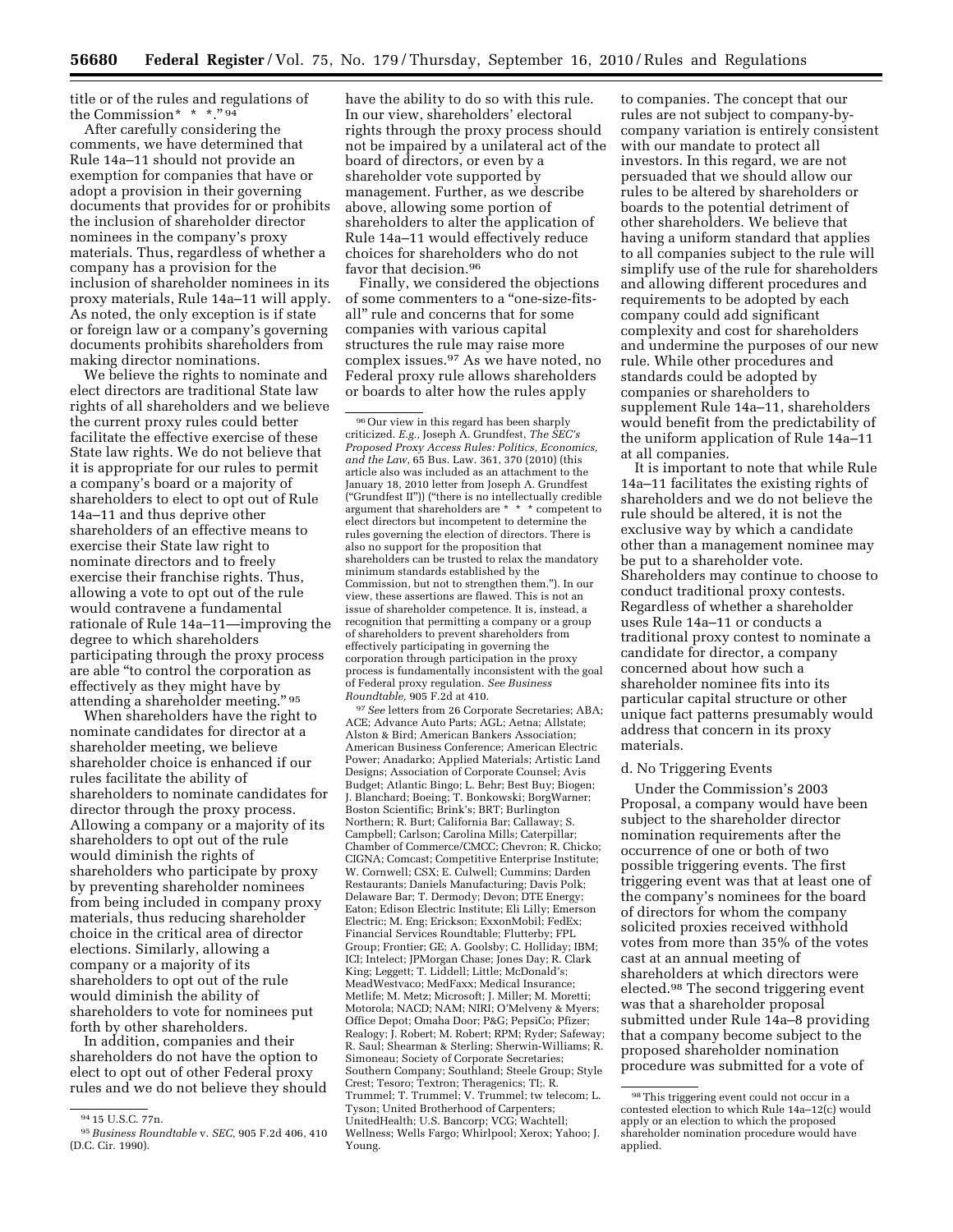title or of the rules and regulations of the Commission\* \* \*.'' 94

After carefully considering the comments, we have determined that Rule 14a–11 should not provide an exemption for companies that have or adopt a provision in their governing documents that provides for or prohibits the inclusion of shareholder director nominees in the company's proxy materials. Thus, regardless of whether a company has a provision for the inclusion of shareholder nominees in its proxy materials, Rule 14a–11 will apply. As noted, the only exception is if state or foreign law or a company's governing documents prohibits shareholders from making director nominations.

We believe the rights to nominate and elect directors are traditional State law rights of all shareholders and we believe the current proxy rules could better facilitate the effective exercise of these State law rights. We do not believe that it is appropriate for our rules to permit a company's board or a majority of shareholders to elect to opt out of Rule 14a–11 and thus deprive other shareholders of an effective means to exercise their State law right to nominate directors and to freely exercise their franchise rights. Thus, allowing a vote to opt out of the rule would contravene a fundamental rationale of Rule 14a–11—improving the degree to which shareholders participating through the proxy process are able ''to control the corporation as effectively as they might have by attending a shareholder meeting." 95

When shareholders have the right to nominate candidates for director at a shareholder meeting, we believe shareholder choice is enhanced if our rules facilitate the ability of shareholders to nominate candidates for director through the proxy process. Allowing a company or a majority of its shareholders to opt out of the rule would diminish the rights of shareholders who participate by proxy by preventing shareholder nominees from being included in company proxy materials, thus reducing shareholder choice in the critical area of director elections. Similarly, allowing a company or a majority of its shareholders to opt out of the rule would diminish the ability of shareholders to vote for nominees put forth by other shareholders.

In addition, companies and their shareholders do not have the option to elect to opt out of other Federal proxy rules and we do not believe they should

have the ability to do so with this rule. In our view, shareholders' electoral rights through the proxy process should not be impaired by a unilateral act of the board of directors, or even by a shareholder vote supported by management. Further, as we describe above, allowing some portion of shareholders to alter the application of Rule 14a–11 would effectively reduce choices for shareholders who do not favor that decision.96

Finally, we considered the objections of some commenters to a ''one-size-fitsall'' rule and concerns that for some companies with various capital structures the rule may raise more complex issues.97 As we have noted, no Federal proxy rule allows shareholders or boards to alter how the rules apply

97*See* letters from 26 Corporate Secretaries; ABA; ACE; Advance Auto Parts; AGL; Aetna; Allstate; Alston & Bird; American Bankers Association; American Business Conference; American Electric Power; Anadarko; Applied Materials; Artistic Land Designs; Association of Corporate Counsel; Avis Budget; Atlantic Bingo; L. Behr; Best Buy; Biogen; J. Blanchard; Boeing; T. Bonkowski; BorgWarner; Boston Scientific; Brink's; BRT; Burlington Northern; R. Burt; California Bar; Callaway; S. Campbell; Carlson; Carolina Mills; Caterpillar; Chamber of Commerce/CMCC; Chevron; R. Chicko; CIGNA; Comcast; Competitive Enterprise Institute; W. Cornwell; CSX; E. Culwell; Cummins; Darden Restaurants; Daniels Manufacturing; Davis Polk; Delaware Bar; T. Dermody; Devon; DTE Energy; Eaton; Edison Electric Institute; Eli Lilly; Emerson Electric; M. Eng; Erickson; ExxonMobil; FedEx; Financial Services Roundtable; Flutterby; FPL Group; Frontier; GE; A. Goolsby; C. Holliday; IBM; ICI; Intelect; JPMorgan Chase; Jones Day; R. Clark King; Leggett; T. Liddell; Little; McDonald's; MeadWestvaco; MedFaxx; Medical Insurance; Metlife; M. Metz; Microsoft; J. Miller; M. Moretti; Motorola; NACD; NAM; NIRI; O'Melveny & Myers; Office Depot; Omaha Door; P&G; PepsiCo; Pfizer; Realogy; J. Robert; M. Robert; RPM; Ryder; Safeway; R. Saul; Shearman & Sterling; Sherwin-Williams; R. Simoneau; Society of Corporate Secretaries; Southern Company; Southland; Steele Group; Style Crest; Tesoro; Textron; Theragenics; TI;. R. Trummel; T. Trummel; V. Trummel; tw telecom; L. Tyson; United Brotherhood of Carpenters; UnitedHealth; U.S. Bancorp; VCG; Wachtell; Wellness; Wells Fargo; Whirlpool; Xerox; Yahoo; J. Young.

to companies. The concept that our rules are not subject to company-bycompany variation is entirely consistent with our mandate to protect all investors. In this regard, we are not persuaded that we should allow our rules to be altered by shareholders or boards to the potential detriment of other shareholders. We believe that having a uniform standard that applies to all companies subject to the rule will simplify use of the rule for shareholders and allowing different procedures and requirements to be adopted by each company could add significant complexity and cost for shareholders and undermine the purposes of our new rule. While other procedures and standards could be adopted by companies or shareholders to supplement Rule 14a–11, shareholders would benefit from the predictability of the uniform application of Rule 14a–11 at all companies.

It is important to note that while Rule 14a–11 facilitates the existing rights of shareholders and we do not believe the rule should be altered, it is not the exclusive way by which a candidate other than a management nominee may be put to a shareholder vote. Shareholders may continue to choose to conduct traditional proxy contests. Regardless of whether a shareholder uses Rule 14a–11 or conducts a traditional proxy contest to nominate a candidate for director, a company concerned about how such a shareholder nominee fits into its particular capital structure or other unique fact patterns presumably would address that concern in its proxy materials.

## d. No Triggering Events

Under the Commission's 2003 Proposal, a company would have been subject to the shareholder director nomination requirements after the occurrence of one or both of two possible triggering events. The first triggering event was that at least one of the company's nominees for the board of directors for whom the company solicited proxies received withhold votes from more than 35% of the votes cast at an annual meeting of shareholders at which directors were elected.98 The second triggering event was that a shareholder proposal submitted under Rule 14a–8 providing that a company become subject to the proposed shareholder nomination procedure was submitted for a vote of

<sup>94</sup> 15 U.S.C. 77n.

<sup>95</sup>*Business Roundtable* v. *SEC,* 905 F.2d 406, 410 (D.C. Cir. 1990).

<sup>96</sup>Our view in this regard has been sharply criticized. *E.g.,* Joseph A. Grundfest, *The SEC's Proposed Proxy Access Rules: Politics, Economics, and the Law,* 65 Bus. Law. 361, 370 (2010) (this article also was included as an attachment to the January 18, 2010 letter from Joseph A. Grundfest (''Grundfest II'')) (''there is no intellectually credible argument that shareholders are \* \* \* competent to elect directors but incompetent to determine the rules governing the election of directors. There is also no support for the proposition that shareholders can be trusted to relax the mandatory minimum standards established by the Commission, but not to strengthen them.''). In our view, these assertions are flawed. This is not an issue of shareholder competence. It is, instead, a recognition that permitting a company or a group of shareholders to prevent shareholders from effectively participating in governing the corporation through participation in the proxy process is fundamentally inconsistent with the goal of Federal proxy regulation. *See Business Roundtable,* 905 F.2d at 410.

<sup>98</sup>This triggering event could not occur in a contested election to which Rule 14a–12(c) would apply or an election to which the proposed shareholder nomination procedure would have applied.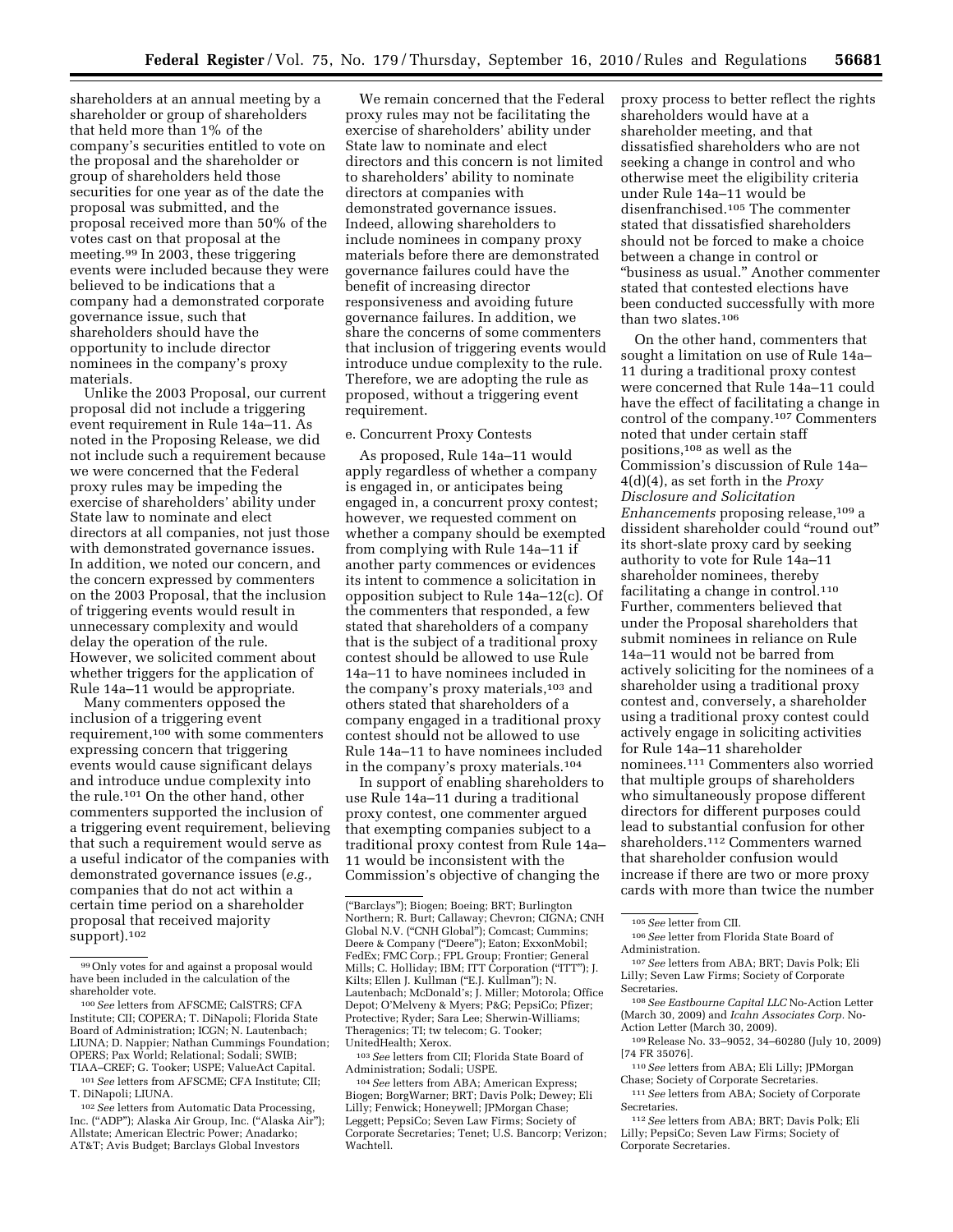shareholders at an annual meeting by a shareholder or group of shareholders that held more than 1% of the company's securities entitled to vote on the proposal and the shareholder or group of shareholders held those securities for one year as of the date the proposal was submitted, and the proposal received more than 50% of the votes cast on that proposal at the meeting.99 In 2003, these triggering events were included because they were believed to be indications that a company had a demonstrated corporate governance issue, such that shareholders should have the opportunity to include director nominees in the company's proxy materials.

Unlike the 2003 Proposal, our current proposal did not include a triggering event requirement in Rule 14a–11. As noted in the Proposing Release, we did not include such a requirement because we were concerned that the Federal proxy rules may be impeding the exercise of shareholders' ability under State law to nominate and elect directors at all companies, not just those with demonstrated governance issues. In addition, we noted our concern, and the concern expressed by commenters on the 2003 Proposal, that the inclusion of triggering events would result in unnecessary complexity and would delay the operation of the rule. However, we solicited comment about whether triggers for the application of Rule 14a–11 would be appropriate.

Many commenters opposed the inclusion of a triggering event requirement,100 with some commenters expressing concern that triggering events would cause significant delays and introduce undue complexity into the rule.101 On the other hand, other commenters supported the inclusion of a triggering event requirement, believing that such a requirement would serve as a useful indicator of the companies with demonstrated governance issues (*e.g.,*  companies that do not act within a certain time period on a shareholder proposal that received majority support).102

We remain concerned that the Federal proxy rules may not be facilitating the exercise of shareholders' ability under State law to nominate and elect directors and this concern is not limited to shareholders' ability to nominate directors at companies with demonstrated governance issues. Indeed, allowing shareholders to include nominees in company proxy materials before there are demonstrated governance failures could have the benefit of increasing director responsiveness and avoiding future governance failures. In addition, we share the concerns of some commenters that inclusion of triggering events would introduce undue complexity to the rule. Therefore, we are adopting the rule as proposed, without a triggering event requirement.

## e. Concurrent Proxy Contests

As proposed, Rule 14a–11 would apply regardless of whether a company is engaged in, or anticipates being engaged in, a concurrent proxy contest; however, we requested comment on whether a company should be exempted from complying with Rule 14a–11 if another party commences or evidences its intent to commence a solicitation in opposition subject to Rule 14a–12(c). Of the commenters that responded, a few stated that shareholders of a company that is the subject of a traditional proxy contest should be allowed to use Rule 14a–11 to have nominees included in the company's proxy materials,103 and others stated that shareholders of a company engaged in a traditional proxy contest should not be allowed to use Rule 14a–11 to have nominees included in the company's proxy materials.104

In support of enabling shareholders to use Rule 14a–11 during a traditional proxy contest, one commenter argued that exempting companies subject to a traditional proxy contest from Rule 14a– 11 would be inconsistent with the Commission's objective of changing the

103*See* letters from CII; Florida State Board of Administration; Sodali; USPE.

104*See* letters from ABA; American Express; Biogen; BorgWarner; BRT; Davis Polk; Dewey; Eli Lilly; Fenwick; Honeywell; JPMorgan Chase; Leggett; PepsiCo; Seven Law Firms; Society of Corporate Secretaries; Tenet; U.S. Bancorp; Verizon; Wachtell.

proxy process to better reflect the rights shareholders would have at a shareholder meeting, and that dissatisfied shareholders who are not seeking a change in control and who otherwise meet the eligibility criteria under Rule 14a–11 would be disenfranchised.105 The commenter stated that dissatisfied shareholders should not be forced to make a choice between a change in control or ''business as usual.'' Another commenter stated that contested elections have been conducted successfully with more than two slates.106

On the other hand, commenters that sought a limitation on use of Rule 14a– 11 during a traditional proxy contest were concerned that Rule 14a–11 could have the effect of facilitating a change in control of the company.107 Commenters noted that under certain staff positions,108 as well as the Commission's discussion of Rule 14a– 4(d)(4), as set forth in the *Proxy Disclosure and Solicitation Enhancements* proposing release,109 a dissident shareholder could ''round out'' its short-slate proxy card by seeking authority to vote for Rule 14a–11 shareholder nominees, thereby facilitating a change in control.110 Further, commenters believed that under the Proposal shareholders that submit nominees in reliance on Rule 14a–11 would not be barred from actively soliciting for the nominees of a shareholder using a traditional proxy contest and, conversely, a shareholder using a traditional proxy contest could actively engage in soliciting activities for Rule 14a–11 shareholder nominees.111 Commenters also worried that multiple groups of shareholders who simultaneously propose different directors for different purposes could lead to substantial confusion for other shareholders.112 Commenters warned that shareholder confusion would increase if there are two or more proxy cards with more than twice the number

108*See Eastbourne Capital LLC* No-Action Letter (March 30, 2009) and *Icahn Associates Corp.* No-Action Letter (March 30, 2009).

- 109Release No. 33–9052, 34–60280 (July 10, 2009) [74 FR 35076].
- 110*See* letters from ABA; Eli Lilly; JPMorgan Chase; Society of Corporate Secretaries.
- 111*See* letters from ABA; Society of Corporate Secretaries.
- 112*See* letters from ABA; BRT; Davis Polk; Eli Lilly; PepsiCo; Seven Law Firms; Society of Corporate Secretaries.

<sup>99</sup>Only votes for and against a proposal would have been included in the calculation of the shareholder vote.

<sup>100</sup>*See* letters from AFSCME; CalSTRS; CFA Institute; CII; COPERA; T. DiNapoli; Florida State Board of Administration; ICGN; N. Lautenbach; LIUNA; D. Nappier; Nathan Cummings Foundation; OPERS; Pax World; Relational; Sodali; SWIB; TIAA–CREF; G. Tooker; USPE; ValueAct Capital.

<sup>101</sup>*See* letters from AFSCME; CFA Institute; CII; T. DiNapoli; LIUNA.

<sup>102</sup>*See* letters from Automatic Data Processing, Inc. (''ADP''); Alaska Air Group, Inc. (''Alaska Air''); Allstate; American Electric Power; Anadarko; AT&T; Avis Budget; Barclays Global Investors

<sup>(</sup>''Barclays''); Biogen; Boeing; BRT; Burlington Northern; R. Burt; Callaway; Chevron; CIGNA; CNH Global N.V. (''CNH Global''); Comcast; Cummins; Deere & Company (''Deere''); Eaton; ExxonMobil; FedEx; FMC Corp.; FPL Group; Frontier; General Mills; C. Holliday; IBM; ITT Corporation (''ITT''); J. Kilts; Ellen J. Kullman (''E.J. Kullman''); N. Lautenbach; McDonald's; J. Miller; Motorola; Office Depot; O'Melveny & Myers; P&G; PepsiCo; Pfizer; Protective; Ryder; Sara Lee; Sherwin-Williams; Theragenics; TI; tw telecom; G. Tooker; UnitedHealth; Xerox.

<sup>105</sup>*See* letter from CII.

<sup>106</sup>*See* letter from Florida State Board of Administration.

<sup>107</sup>*See* letters from ABA; BRT; Davis Polk; Eli Lilly; Seven Law Firms; Society of Corporate Secretaries.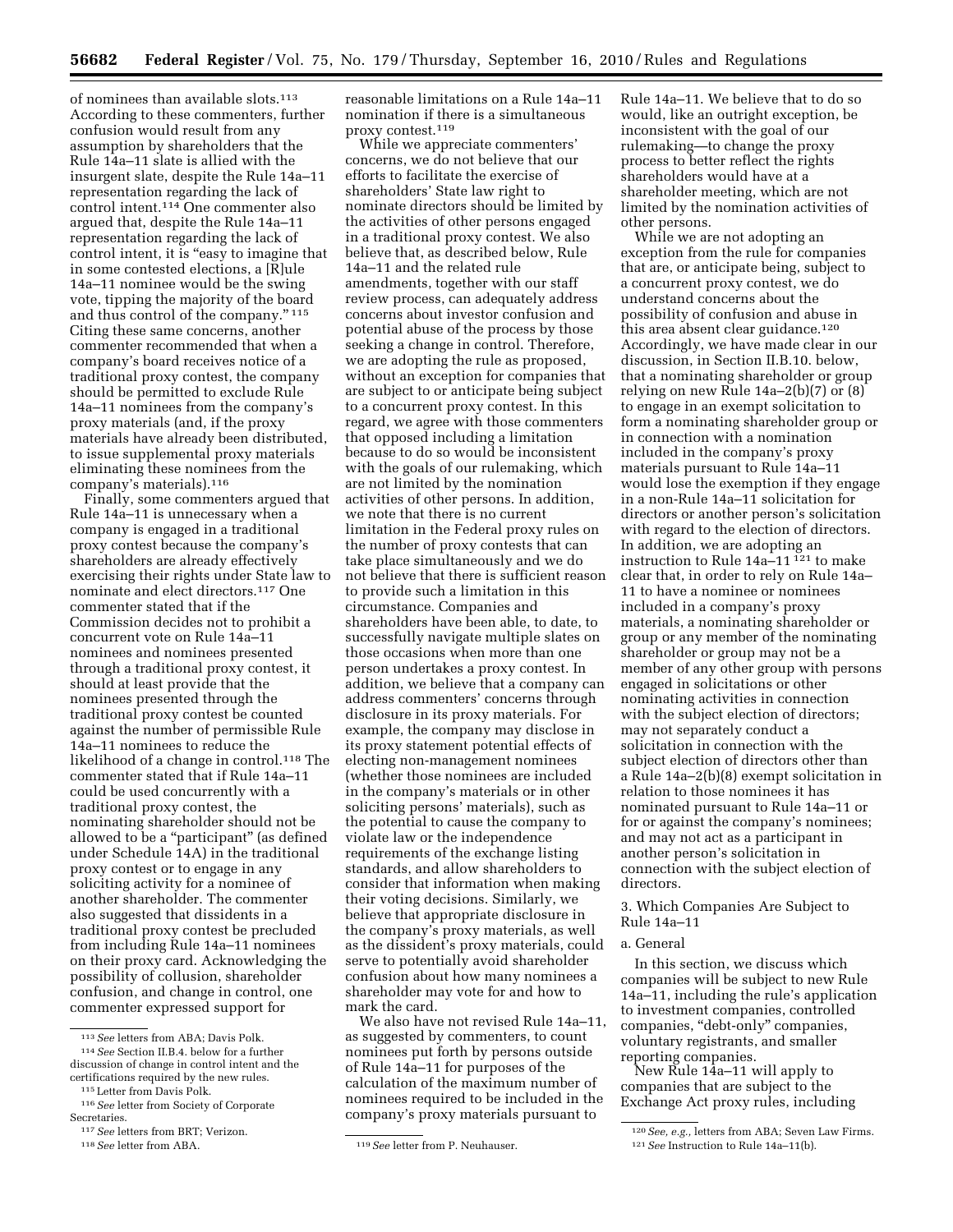of nominees than available slots.113 According to these commenters, further confusion would result from any assumption by shareholders that the Rule 14a–11 slate is allied with the insurgent slate, despite the Rule 14a–11 representation regarding the lack of control intent.114 One commenter also argued that, despite the Rule 14a–11 representation regarding the lack of control intent, it is "easy to imagine that in some contested elections, a [R]ule 14a–11 nominee would be the swing vote, tipping the majority of the board and thus control of the company.'' 115 Citing these same concerns, another commenter recommended that when a company's board receives notice of a traditional proxy contest, the company should be permitted to exclude Rule 14a–11 nominees from the company's proxy materials (and, if the proxy materials have already been distributed, to issue supplemental proxy materials eliminating these nominees from the company's materials).116

Finally, some commenters argued that Rule 14a–11 is unnecessary when a company is engaged in a traditional proxy contest because the company's shareholders are already effectively exercising their rights under State law to nominate and elect directors.117 One commenter stated that if the Commission decides not to prohibit a concurrent vote on Rule 14a–11 nominees and nominees presented through a traditional proxy contest, it should at least provide that the nominees presented through the traditional proxy contest be counted against the number of permissible Rule 14a–11 nominees to reduce the likelihood of a change in control.118 The commenter stated that if Rule 14a–11 could be used concurrently with a traditional proxy contest, the nominating shareholder should not be allowed to be a "participant" (as defined under Schedule 14A) in the traditional proxy contest or to engage in any soliciting activity for a nominee of another shareholder. The commenter also suggested that dissidents in a traditional proxy contest be precluded from including Rule 14a–11 nominees on their proxy card. Acknowledging the possibility of collusion, shareholder confusion, and change in control, one commenter expressed support for

reasonable limitations on a Rule 14a–11 nomination if there is a simultaneous proxy contest.119

While we appreciate commenters' concerns, we do not believe that our efforts to facilitate the exercise of shareholders' State law right to nominate directors should be limited by the activities of other persons engaged in a traditional proxy contest. We also believe that, as described below, Rule 14a–11 and the related rule amendments, together with our staff review process, can adequately address concerns about investor confusion and potential abuse of the process by those seeking a change in control. Therefore, we are adopting the rule as proposed, without an exception for companies that are subject to or anticipate being subject to a concurrent proxy contest. In this regard, we agree with those commenters that opposed including a limitation because to do so would be inconsistent with the goals of our rulemaking, which are not limited by the nomination activities of other persons. In addition, we note that there is no current limitation in the Federal proxy rules on the number of proxy contests that can take place simultaneously and we do not believe that there is sufficient reason to provide such a limitation in this circumstance. Companies and shareholders have been able, to date, to successfully navigate multiple slates on those occasions when more than one person undertakes a proxy contest. In addition, we believe that a company can address commenters' concerns through disclosure in its proxy materials. For example, the company may disclose in its proxy statement potential effects of electing non-management nominees (whether those nominees are included in the company's materials or in other soliciting persons' materials), such as the potential to cause the company to violate law or the independence requirements of the exchange listing standards, and allow shareholders to consider that information when making their voting decisions. Similarly, we believe that appropriate disclosure in the company's proxy materials, as well as the dissident's proxy materials, could serve to potentially avoid shareholder confusion about how many nominees a shareholder may vote for and how to mark the card.

We also have not revised Rule 14a–11, as suggested by commenters, to count nominees put forth by persons outside of Rule 14a–11 for purposes of the calculation of the maximum number of nominees required to be included in the company's proxy materials pursuant to

Rule 14a–11. We believe that to do so would, like an outright exception, be inconsistent with the goal of our rulemaking—to change the proxy process to better reflect the rights shareholders would have at a shareholder meeting, which are not limited by the nomination activities of other persons.

While we are not adopting an exception from the rule for companies that are, or anticipate being, subject to a concurrent proxy contest, we do understand concerns about the possibility of confusion and abuse in this area absent clear guidance.<sup>120</sup> Accordingly, we have made clear in our discussion, in Section II.B.10. below, that a nominating shareholder or group relying on new Rule  $14a-2(b)(7)$  or  $(8)$ to engage in an exempt solicitation to form a nominating shareholder group or in connection with a nomination included in the company's proxy materials pursuant to Rule 14a–11 would lose the exemption if they engage in a non-Rule 14a–11 solicitation for directors or another person's solicitation with regard to the election of directors. In addition, we are adopting an instruction to Rule 14a–11 121 to make clear that, in order to rely on Rule 14a– 11 to have a nominee or nominees included in a company's proxy materials, a nominating shareholder or group or any member of the nominating shareholder or group may not be a member of any other group with persons engaged in solicitations or other nominating activities in connection with the subject election of directors; may not separately conduct a solicitation in connection with the subject election of directors other than a Rule 14a–2(b)(8) exempt solicitation in relation to those nominees it has nominated pursuant to Rule 14a–11 or for or against the company's nominees; and may not act as a participant in another person's solicitation in connection with the subject election of directors.

3. Which Companies Are Subject to Rule 14a–11

## a. General

In this section, we discuss which companies will be subject to new Rule 14a–11, including the rule's application to investment companies, controlled companies, "debt-only" companies, voluntary registrants, and smaller reporting companies.

New Rule 14a–11 will apply to companies that are subject to the Exchange Act proxy rules, including

<sup>113</sup>*See* letters from ABA; Davis Polk. 114*See* Section II.B.4. below for a further discussion of change in control intent and the certifications required by the new rules.

<sup>115</sup>Letter from Davis Polk.

<sup>116</sup>*See* letter from Society of Corporate Secretaries.

<sup>117</sup>*See* letters from BRT; Verizon.

<sup>118</sup>*See* letter from ABA. 119*See* letter from P. Neuhauser.

<sup>120</sup>*See, e.g.,* letters from ABA; Seven Law Firms. 121*See* Instruction to Rule 14a–11(b).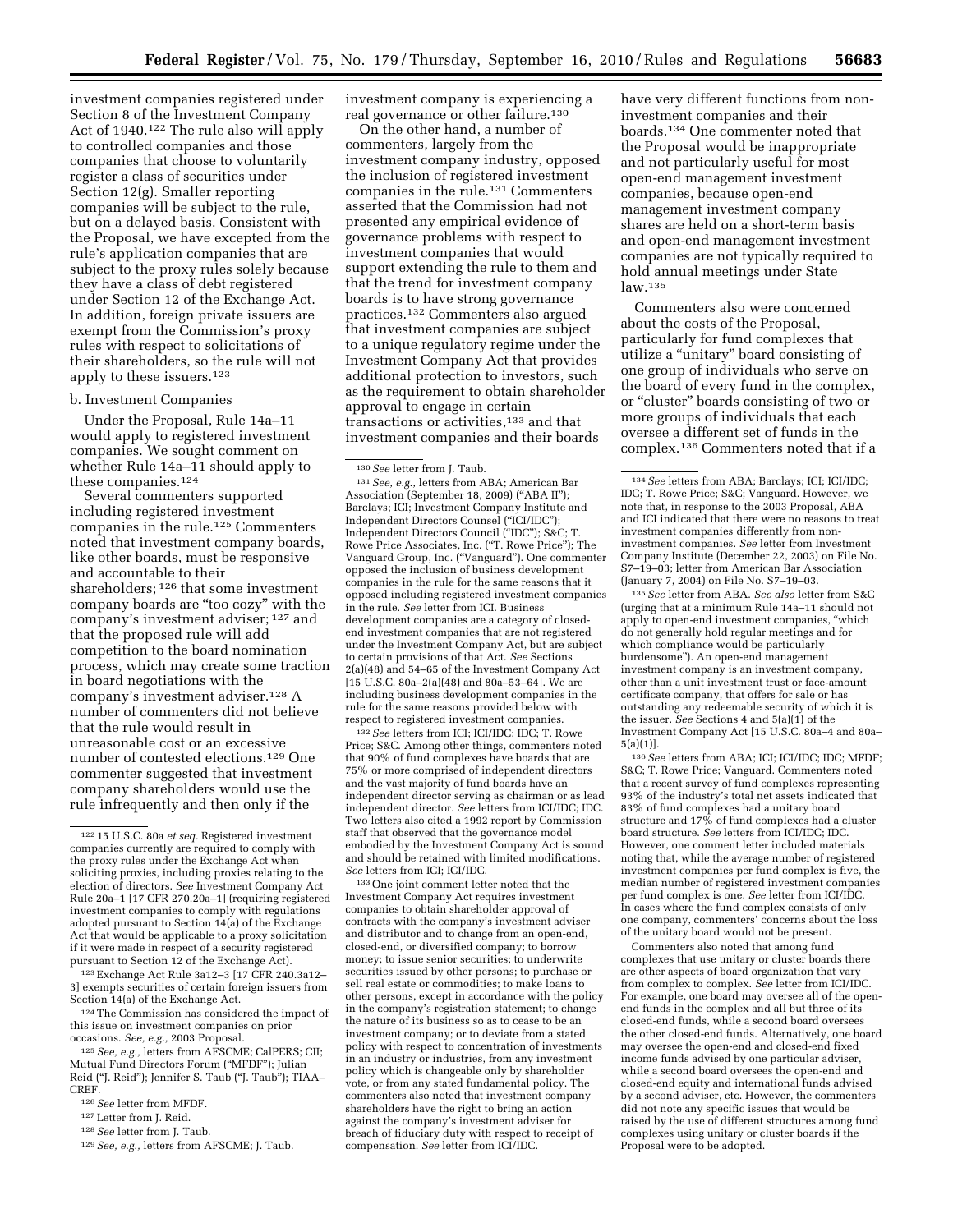investment companies registered under Section 8 of the Investment Company Act of 1940.122 The rule also will apply to controlled companies and those companies that choose to voluntarily register a class of securities under Section 12(g). Smaller reporting companies will be subject to the rule, but on a delayed basis. Consistent with the Proposal, we have excepted from the rule's application companies that are subject to the proxy rules solely because they have a class of debt registered under Section 12 of the Exchange Act. In addition, foreign private issuers are exempt from the Commission's proxy rules with respect to solicitations of their shareholders, so the rule will not apply to these issuers.123

## b. Investment Companies

Under the Proposal, Rule 14a–11 would apply to registered investment companies. We sought comment on whether Rule 14a–11 should apply to these companies.124

Several commenters supported including registered investment companies in the rule.125 Commenters noted that investment company boards, like other boards, must be responsive and accountable to their shareholders; 126 that some investment company boards are ''too cozy'' with the company's investment adviser; 127 and that the proposed rule will add competition to the board nomination process, which may create some traction in board negotiations with the company's investment adviser.128 A number of commenters did not believe that the rule would result in unreasonable cost or an excessive number of contested elections.129 One commenter suggested that investment company shareholders would use the rule infrequently and then only if the

123Exchange Act Rule 3a12–3 [17 CFR 240.3a12– 3] exempts securities of certain foreign issuers from Section 14(a) of the Exchange Act.

124The Commission has considered the impact of this issue on investment companies on prior occasions. *See, e.g.,* 2003 Proposal.

125*See, e.g.,* letters from AFSCME; CalPERS; CII; Mutual Fund Directors Forum (''MFDF''); Julian Reid (''J. Reid''); Jennifer S. Taub (''J. Taub''); TIAA– CREF.

- 126*See* letter from MFDF.
- 127Letter from J. Reid.
- 128*See* letter from J. Taub.

investment company is experiencing a real governance or other failure.130

On the other hand, a number of commenters, largely from the investment company industry, opposed the inclusion of registered investment companies in the rule.131 Commenters asserted that the Commission had not presented any empirical evidence of governance problems with respect to investment companies that would support extending the rule to them and that the trend for investment company boards is to have strong governance practices.132 Commenters also argued that investment companies are subject to a unique regulatory regime under the Investment Company Act that provides additional protection to investors, such as the requirement to obtain shareholder approval to engage in certain transactions or activities,<sup>133</sup> and that investment companies and their boards

131*See, e.g.,* letters from ABA; American Bar Association (September 18, 2009) ("ABA II"); Barclays; ICI; Investment Company Institute and Independent Directors Counsel (''ICI/IDC''); Independent Directors Council (''IDC''); S&C; T. Rowe Price Associates, Inc. (''T. Rowe Price''); The Vanguard Group, Inc. (''Vanguard''). One commenter opposed the inclusion of business development companies in the rule for the same reasons that it opposed including registered investment companies in the rule. *See* letter from ICI. Business development companies are a category of closedend investment companies that are not registered under the Investment Company Act, but are subject to certain provisions of that Act. *See* Sections 2(a)(48) and 54–65 of the Investment Company Act [15 U.S.C. 80a–2(a)(48) and 80a–53–64]. We are including business development companies in the rule for the same reasons provided below with respect to registered investment companies.

132*See* letters from ICI; ICI/IDC; IDC; T. Rowe Price; S&C. Among other things, commenters noted that 90% of fund complexes have boards that are 75% or more comprised of independent directors and the vast majority of fund boards have an independent director serving as chairman or as lead independent director. *See* letters from ICI/IDC; IDC. Two letters also cited a 1992 report by Commission staff that observed that the governance model embodied by the Investment Company Act is sound and should be retained with limited modifications. *See* letters from ICI; ICI/IDC.

133One joint comment letter noted that the Investment Company Act requires investment companies to obtain shareholder approval of contracts with the company's investment adviser and distributor and to change from an open-end, closed-end, or diversified company; to borrow money; to issue senior securities; to underwrite securities issued by other persons; to purchase or sell real estate or commodities; to make loans to other persons, except in accordance with the policy in the company's registration statement; to change the nature of its business so as to cease to be an investment company; or to deviate from a stated policy with respect to concentration of investments in an industry or industries, from any investment policy which is changeable only by shareholder vote, or from any stated fundamental policy. The commenters also noted that investment company shareholders have the right to bring an action against the company's investment adviser for breach of fiduciary duty with respect to receipt of compensation. *See* letter from ICI/IDC.

have very different functions from noninvestment companies and their boards.134 One commenter noted that the Proposal would be inappropriate and not particularly useful for most open-end management investment companies, because open-end management investment company shares are held on a short-term basis and open-end management investment companies are not typically required to hold annual meetings under State law.135

Commenters also were concerned about the costs of the Proposal, particularly for fund complexes that utilize a ''unitary'' board consisting of one group of individuals who serve on the board of every fund in the complex, or ''cluster'' boards consisting of two or more groups of individuals that each oversee a different set of funds in the complex.136 Commenters noted that if a

135*See* letter from ABA. *See also* letter from S&C (urging that at a minimum Rule 14a–11 should not apply to open-end investment companies, "which do not generally hold regular meetings and for which compliance would be particularly burdensome''). An open-end management investment company is an investment company, other than a unit investment trust or face-amount certificate company, that offers for sale or has outstanding any redeemable security of which it is the issuer. *See* Sections 4 and 5(a)(1) of the Investment Company Act [15 U.S.C. 80a–4 and 80a– 5(a)(1)].

136*See* letters from ABA; ICI; ICI/IDC; IDC; MFDF; S&C; T. Rowe Price; Vanguard. Commenters noted that a recent survey of fund complexes representing 93% of the industry's total net assets indicated that 83% of fund complexes had a unitary board structure and 17% of fund complexes had a cluster board structure. *See* letters from ICI/IDC; IDC. However, one comment letter included materials noting that, while the average number of registered investment companies per fund complex is five, the median number of registered investment companies per fund complex is one. *See* letter from ICI/IDC. In cases where the fund complex consists of only one company, commenters' concerns about the loss of the unitary board would not be present.

Commenters also noted that among fund complexes that use unitary or cluster boards there are other aspects of board organization that vary from complex to complex. *See* letter from ICI/IDC. For example, one board may oversee all of the openend funds in the complex and all but three of its closed-end funds, while a second board oversees the other closed-end funds. Alternatively, one board may oversee the open-end and closed-end fixed income funds advised by one particular adviser, while a second board oversees the open-end and closed-end equity and international funds advised by a second adviser, etc. However, the commenters did not note any specific issues that would be raised by the use of different structures among fund complexes using unitary or cluster boards if the Proposal were to be adopted.

<sup>122</sup> 15 U.S.C. 80a *et seq.* Registered investment companies currently are required to comply with the proxy rules under the Exchange Act when soliciting proxies, including proxies relating to the election of directors. *See* Investment Company Act Rule 20a–1 [17 CFR 270.20a–1] (requiring registered investment companies to comply with regulations adopted pursuant to Section 14(a) of the Exchange Act that would be applicable to a proxy solicitation if it were made in respect of a security registered pursuant to Section 12 of the Exchange Act).

<sup>129</sup>*See, e.g.,* letters from AFSCME; J. Taub.

<sup>130</sup>*See* letter from J. Taub.

<sup>134</sup>*See* letters from ABA; Barclays; ICI; ICI/IDC; IDC; T. Rowe Price; S&C; Vanguard. However, we note that, in response to the 2003 Proposal, ABA and ICI indicated that there were no reasons to treat investment companies differently from noninvestment companies. *See* letter from Investment Company Institute (December 22, 2003) on File No. S7–19–03; letter from American Bar Association (January 7, 2004) on File No. S7–19–03.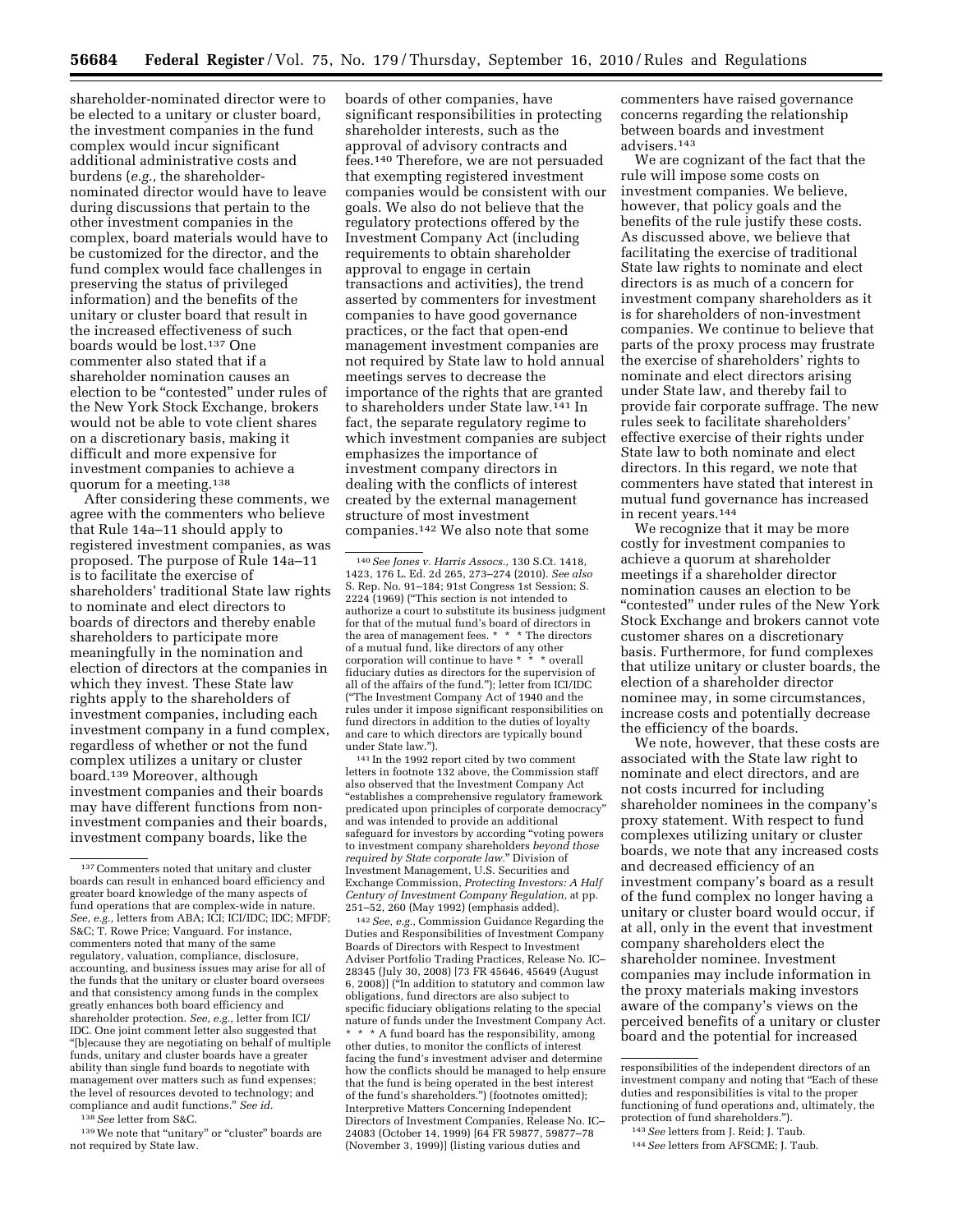shareholder-nominated director were to be elected to a unitary or cluster board, the investment companies in the fund complex would incur significant additional administrative costs and burdens (*e.g.,* the shareholdernominated director would have to leave during discussions that pertain to the other investment companies in the complex, board materials would have to be customized for the director, and the fund complex would face challenges in preserving the status of privileged information) and the benefits of the unitary or cluster board that result in the increased effectiveness of such boards would be lost.137 One commenter also stated that if a shareholder nomination causes an election to be ''contested'' under rules of the New York Stock Exchange, brokers would not be able to vote client shares on a discretionary basis, making it difficult and more expensive for investment companies to achieve a quorum for a meeting.138

After considering these comments, we agree with the commenters who believe that Rule 14a–11 should apply to registered investment companies, as was proposed. The purpose of Rule 14a–11 is to facilitate the exercise of shareholders' traditional State law rights to nominate and elect directors to boards of directors and thereby enable shareholders to participate more meaningfully in the nomination and election of directors at the companies in which they invest. These State law rights apply to the shareholders of investment companies, including each investment company in a fund complex, regardless of whether or not the fund complex utilizes a unitary or cluster board.139 Moreover, although investment companies and their boards may have different functions from noninvestment companies and their boards, investment company boards, like the

138*See* letter from S&C.

139 We note that "unitary" or "cluster" boards are not required by State law.

boards of other companies, have significant responsibilities in protecting shareholder interests, such as the approval of advisory contracts and fees.140 Therefore, we are not persuaded that exempting registered investment companies would be consistent with our goals. We also do not believe that the regulatory protections offered by the Investment Company Act (including requirements to obtain shareholder approval to engage in certain transactions and activities), the trend asserted by commenters for investment companies to have good governance practices, or the fact that open-end management investment companies are not required by State law to hold annual meetings serves to decrease the importance of the rights that are granted to shareholders under State law.141 In fact, the separate regulatory regime to which investment companies are subject emphasizes the importance of investment company directors in dealing with the conflicts of interest created by the external management structure of most investment companies.142 We also note that some

141 In the 1992 report cited by two comment letters in footnote 132 above, the Commission staff also observed that the Investment Company Act ''establishes a comprehensive regulatory framework predicated upon principles of corporate democracy'' and was intended to provide an additional safeguard for investors by according "voting powers" to investment company shareholders *beyond those required by State corporate law.*'' Division of Investment Management, U.S. Securities and Exchange Commission, *Protecting Investors: A Half Century of Investment Company Regulation,* at pp. 251–52, 260 (May 1992) (emphasis added).

142*See, e.g.,* Commission Guidance Regarding the Duties and Responsibilities of Investment Company Boards of Directors with Respect to Investment Adviser Portfolio Trading Practices, Release No. IC– 28345 (July 30, 2008) [73 FR 45646, 45649 (August 6, 2008)] (''In addition to statutory and common law obligations, fund directors are also subject to specific fiduciary obligations relating to the special nature of funds under the Investment Company Act. \* A fund board has the responsibility, among other duties, to monitor the conflicts of interest facing the fund's investment adviser and determine how the conflicts should be managed to help ensure that the fund is being operated in the best interest of the fund's shareholders.'') (footnotes omitted); Interpretive Matters Concerning Independent Directors of Investment Companies, Release No. IC– 24083 (October 14, 1999) [64 FR 59877, 59877–78 (November 3, 1999)] (listing various duties and

commenters have raised governance concerns regarding the relationship between boards and investment advisers.143

We are cognizant of the fact that the rule will impose some costs on investment companies. We believe, however, that policy goals and the benefits of the rule justify these costs. As discussed above, we believe that facilitating the exercise of traditional State law rights to nominate and elect directors is as much of a concern for investment company shareholders as it is for shareholders of non-investment companies. We continue to believe that parts of the proxy process may frustrate the exercise of shareholders' rights to nominate and elect directors arising under State law, and thereby fail to provide fair corporate suffrage. The new rules seek to facilitate shareholders' effective exercise of their rights under State law to both nominate and elect directors. In this regard, we note that commenters have stated that interest in mutual fund governance has increased in recent years.144

We recognize that it may be more costly for investment companies to achieve a quorum at shareholder meetings if a shareholder director nomination causes an election to be "contested" under rules of the New York Stock Exchange and brokers cannot vote customer shares on a discretionary basis. Furthermore, for fund complexes that utilize unitary or cluster boards, the election of a shareholder director nominee may, in some circumstances, increase costs and potentially decrease the efficiency of the boards.

We note, however, that these costs are associated with the State law right to nominate and elect directors, and are not costs incurred for including shareholder nominees in the company's proxy statement. With respect to fund complexes utilizing unitary or cluster boards, we note that any increased costs and decreased efficiency of an investment company's board as a result of the fund complex no longer having a unitary or cluster board would occur, if at all, only in the event that investment company shareholders elect the shareholder nominee. Investment companies may include information in the proxy materials making investors aware of the company's views on the perceived benefits of a unitary or cluster board and the potential for increased

<sup>137</sup>Commenters noted that unitary and cluster boards can result in enhanced board efficiency and greater board knowledge of the many aspects of fund operations that are complex-wide in nature. *See, e.g.,* letters from ABA; ICI; ICI/IDC; IDC; MFDF; S&C; T. Rowe Price; Vanguard. For instance, commenters noted that many of the same regulatory, valuation, compliance, disclosure, accounting, and business issues may arise for all of the funds that the unitary or cluster board oversees and that consistency among funds in the complex greatly enhances both board efficiency and shareholder protection. *See, e.g.,* letter from ICI/ IDC. One joint comment letter also suggested that ''[b]ecause they are negotiating on behalf of multiple funds, unitary and cluster boards have a greater ability than single fund boards to negotiate with management over matters such as fund expenses; the level of resources devoted to technology; and compliance and audit functions.'' *See id.* 

<sup>140</sup>*See Jones v. Harris Assocs.,* 130 S.Ct. 1418, 1423, 176 L. Ed. 2d 265, 273–274 (2010). *See also*  S. Rep. No. 91–184; 91st Congress 1st Session; S. 2224 (1969) (''This section is not intended to authorize a court to substitute its business judgment for that of the mutual fund's board of directors in the area of management fees. \* \* \* The directors of a mutual fund, like directors of any other corporation will continue to have \* \* \* overall fiduciary duties as directors for the supervision of all of the affairs of the fund.''); letter from ICI/IDC (''The Investment Company Act of 1940 and the rules under it impose significant responsibilities on fund directors in addition to the duties of loyalty and care to which directors are typically bound under State law.'').

responsibilities of the independent directors of an investment company and noting that ''Each of these duties and responsibilities is vital to the proper functioning of fund operations and, ultimately, the protection of fund shareholders.'').

<sup>143</sup>*See* letters from J. Reid; J. Taub.

<sup>144</sup>*See* letters from AFSCME; J. Taub.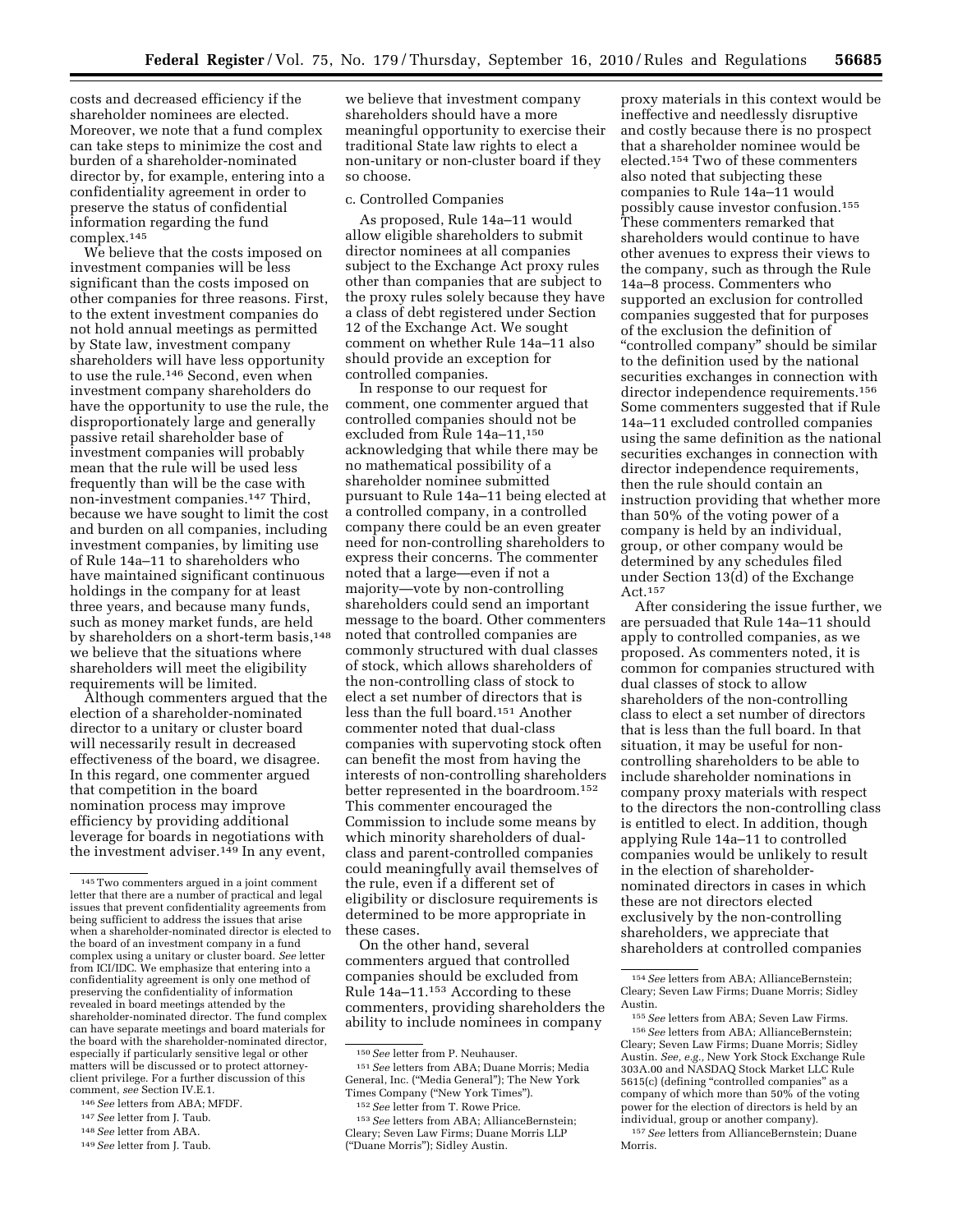costs and decreased efficiency if the shareholder nominees are elected. Moreover, we note that a fund complex can take steps to minimize the cost and burden of a shareholder-nominated director by, for example, entering into a confidentiality agreement in order to preserve the status of confidential information regarding the fund complex.145

We believe that the costs imposed on investment companies will be less significant than the costs imposed on other companies for three reasons. First, to the extent investment companies do not hold annual meetings as permitted by State law, investment company shareholders will have less opportunity to use the rule.146 Second, even when investment company shareholders do have the opportunity to use the rule, the disproportionately large and generally passive retail shareholder base of investment companies will probably mean that the rule will be used less frequently than will be the case with non-investment companies.147 Third, because we have sought to limit the cost and burden on all companies, including investment companies, by limiting use of Rule 14a–11 to shareholders who have maintained significant continuous holdings in the company for at least three years, and because many funds, such as money market funds, are held by shareholders on a short-term basis,<sup>148</sup> we believe that the situations where shareholders will meet the eligibility requirements will be limited.

Although commenters argued that the election of a shareholder-nominated director to a unitary or cluster board will necessarily result in decreased effectiveness of the board, we disagree. In this regard, one commenter argued that competition in the board nomination process may improve efficiency by providing additional leverage for boards in negotiations with the investment adviser. $149$  In any event,

147*See* letter from J. Taub.

we believe that investment company shareholders should have a more meaningful opportunity to exercise their traditional State law rights to elect a non-unitary or non-cluster board if they so choose.

#### c. Controlled Companies

As proposed, Rule 14a–11 would allow eligible shareholders to submit director nominees at all companies subject to the Exchange Act proxy rules other than companies that are subject to the proxy rules solely because they have a class of debt registered under Section 12 of the Exchange Act. We sought comment on whether Rule 14a–11 also should provide an exception for controlled companies.

In response to our request for comment, one commenter argued that controlled companies should not be excluded from Rule 14a–11,150 acknowledging that while there may be no mathematical possibility of a shareholder nominee submitted pursuant to Rule 14a–11 being elected at a controlled company, in a controlled company there could be an even greater need for non-controlling shareholders to express their concerns. The commenter noted that a large—even if not a majority—vote by non-controlling shareholders could send an important message to the board. Other commenters noted that controlled companies are commonly structured with dual classes of stock, which allows shareholders of the non-controlling class of stock to elect a set number of directors that is less than the full board.151 Another commenter noted that dual-class companies with supervoting stock often can benefit the most from having the interests of non-controlling shareholders better represented in the boardroom.152 This commenter encouraged the Commission to include some means by which minority shareholders of dualclass and parent-controlled companies could meaningfully avail themselves of the rule, even if a different set of eligibility or disclosure requirements is determined to be more appropriate in these cases.

On the other hand, several commenters argued that controlled companies should be excluded from Rule 14a–11.153 According to these commenters, providing shareholders the ability to include nominees in company

proxy materials in this context would be ineffective and needlessly disruptive and costly because there is no prospect that a shareholder nominee would be elected.154 Two of these commenters also noted that subjecting these companies to Rule 14a–11 would possibly cause investor confusion.155 These commenters remarked that shareholders would continue to have other avenues to express their views to the company, such as through the Rule 14a–8 process. Commenters who supported an exclusion for controlled companies suggested that for purposes of the exclusion the definition of ''controlled company'' should be similar to the definition used by the national securities exchanges in connection with director independence requirements.156 Some commenters suggested that if Rule 14a–11 excluded controlled companies using the same definition as the national securities exchanges in connection with director independence requirements, then the rule should contain an instruction providing that whether more than 50% of the voting power of a company is held by an individual, group, or other company would be determined by any schedules filed under Section 13(d) of the Exchange Act.157

After considering the issue further, we are persuaded that Rule 14a–11 should apply to controlled companies, as we proposed. As commenters noted, it is common for companies structured with dual classes of stock to allow shareholders of the non-controlling class to elect a set number of directors that is less than the full board. In that situation, it may be useful for noncontrolling shareholders to be able to include shareholder nominations in company proxy materials with respect to the directors the non-controlling class is entitled to elect. In addition, though applying Rule 14a–11 to controlled companies would be unlikely to result in the election of shareholdernominated directors in cases in which these are not directors elected exclusively by the non-controlling shareholders, we appreciate that shareholders at controlled companies

<sup>145</sup>Two commenters argued in a joint comment letter that there are a number of practical and legal issues that prevent confidentiality agreements from being sufficient to address the issues that arise when a shareholder-nominated director is elected to the board of an investment company in a fund complex using a unitary or cluster board. *See* letter from ICI/IDC. We emphasize that entering into a confidentiality agreement is only one method of preserving the confidentiality of information revealed in board meetings attended by the shareholder-nominated director. The fund complex can have separate meetings and board materials for the board with the shareholder-nominated director, especially if particularly sensitive legal or other matters will be discussed or to protect attorneyclient privilege. For a further discussion of this comment, *see* Section IV.E.1.

<sup>146</sup>*See* letters from ABA; MFDF.

<sup>148</sup>*See* letter from ABA.

<sup>149</sup>*See* letter from J. Taub.

<sup>150</sup>*See* letter from P. Neuhauser.

<sup>151</sup>*See* letters from ABA; Duane Morris; Media General, Inc. (''Media General''); The New York Times Company (''New York Times'').

<sup>152</sup>*See* letter from T. Rowe Price.

<sup>153</sup>*See* letters from ABA; AllianceBernstein; Cleary; Seven Law Firms; Duane Morris LLP (''Duane Morris''); Sidley Austin.

<sup>154</sup>*See* letters from ABA; AllianceBernstein; Cleary; Seven Law Firms; Duane Morris; Sidley Austin.

<sup>155</sup>*See* letters from ABA; Seven Law Firms. 156*See* letters from ABA; AllianceBernstein; Cleary; Seven Law Firms; Duane Morris; Sidley Austin. *See, e.g.,* New York Stock Exchange Rule 303A.00 and NASDAQ Stock Market LLC Rule 5615(c) (defining ''controlled companies'' as a company of which more than 50% of the voting power for the election of directors is held by an individual, group or another company).

<sup>157</sup>*See* letters from AllianceBernstein; Duane Morris.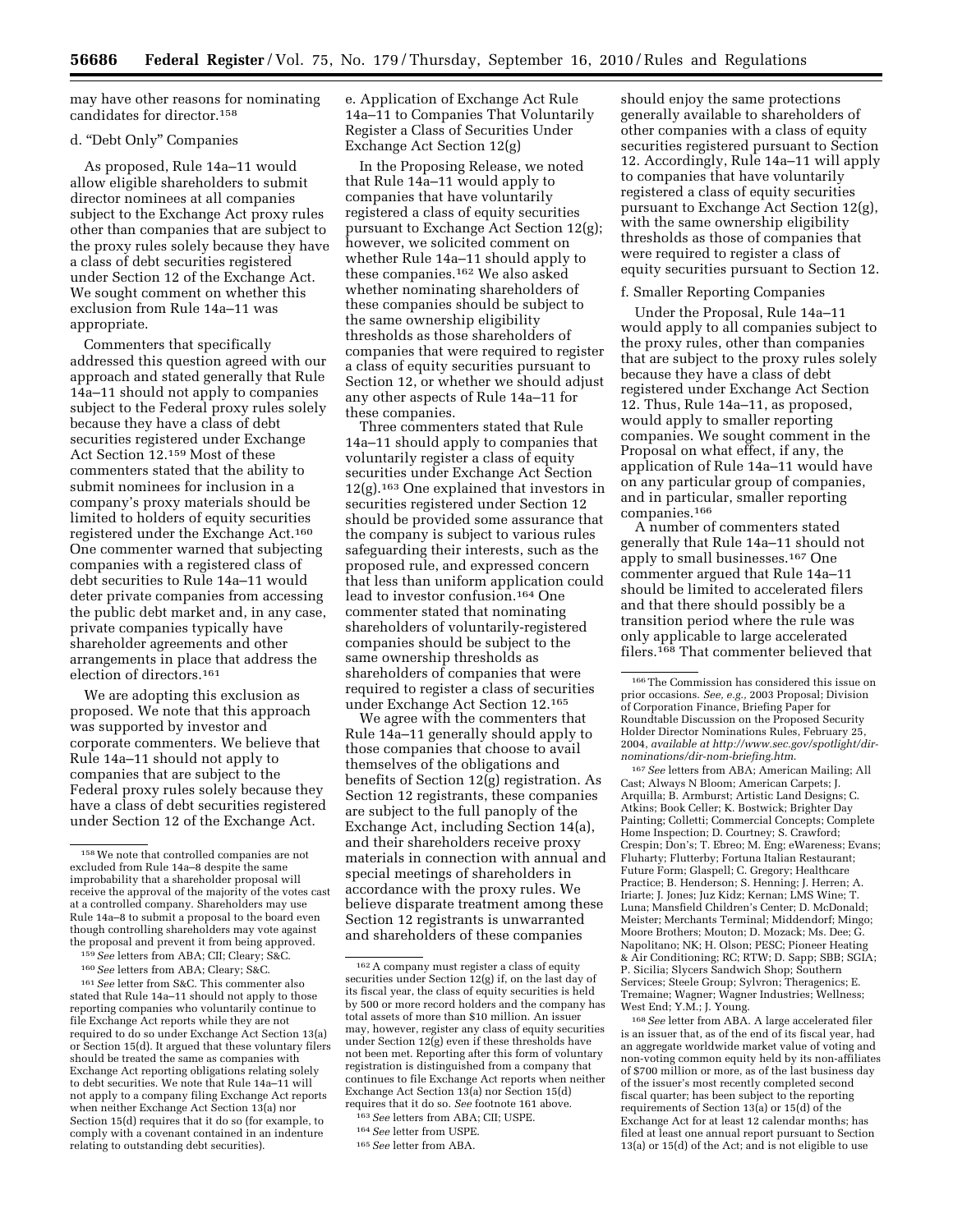may have other reasons for nominating candidates for director.158

## d. ''Debt Only'' Companies

As proposed, Rule 14a–11 would allow eligible shareholders to submit director nominees at all companies subject to the Exchange Act proxy rules other than companies that are subject to the proxy rules solely because they have a class of debt securities registered under Section 12 of the Exchange Act. We sought comment on whether this exclusion from Rule 14a–11 was appropriate.

Commenters that specifically addressed this question agreed with our approach and stated generally that Rule 14a–11 should not apply to companies subject to the Federal proxy rules solely because they have a class of debt securities registered under Exchange Act Section 12.159 Most of these commenters stated that the ability to submit nominees for inclusion in a company's proxy materials should be limited to holders of equity securities registered under the Exchange Act.160 One commenter warned that subjecting companies with a registered class of debt securities to Rule 14a–11 would deter private companies from accessing the public debt market and, in any case, private companies typically have shareholder agreements and other arrangements in place that address the election of directors.161

We are adopting this exclusion as proposed. We note that this approach was supported by investor and corporate commenters. We believe that Rule 14a–11 should not apply to companies that are subject to the Federal proxy rules solely because they have a class of debt securities registered under Section 12 of the Exchange Act.

160*See* letters from ABA; Cleary; S&C. 161*See* letter from S&C. This commenter also stated that Rule 14a–11 should not apply to those reporting companies who voluntarily continue to file Exchange Act reports while they are not required to do so under Exchange Act Section 13(a) or Section 15(d). It argued that these voluntary filers should be treated the same as companies with Exchange Act reporting obligations relating solely to debt securities. We note that Rule 14a–11 will not apply to a company filing Exchange Act reports when neither Exchange Act Section 13(a) nor Section 15(d) requires that it do so (for example, to comply with a covenant contained in an indenture relating to outstanding debt securities).

e. Application of Exchange Act Rule 14a–11 to Companies That Voluntarily Register a Class of Securities Under Exchange Act Section 12(g)

In the Proposing Release, we noted that Rule 14a–11 would apply to companies that have voluntarily registered a class of equity securities pursuant to Exchange Act Section 12(g); however, we solicited comment on whether Rule 14a–11 should apply to these companies.162 We also asked whether nominating shareholders of these companies should be subject to the same ownership eligibility thresholds as those shareholders of companies that were required to register a class of equity securities pursuant to Section 12, or whether we should adjust any other aspects of Rule 14a–11 for these companies.

Three commenters stated that Rule 14a–11 should apply to companies that voluntarily register a class of equity securities under Exchange Act Section 12(g).163 One explained that investors in securities registered under Section 12 should be provided some assurance that the company is subject to various rules safeguarding their interests, such as the proposed rule, and expressed concern that less than uniform application could lead to investor confusion.164 One commenter stated that nominating shareholders of voluntarily-registered companies should be subject to the same ownership thresholds as shareholders of companies that were required to register a class of securities under Exchange Act Section 12.165

We agree with the commenters that Rule 14a–11 generally should apply to those companies that choose to avail themselves of the obligations and benefits of Section 12(g) registration. As Section 12 registrants, these companies are subject to the full panoply of the Exchange Act, including Section 14(a), and their shareholders receive proxy materials in connection with annual and special meetings of shareholders in accordance with the proxy rules. We believe disparate treatment among these Section 12 registrants is unwarranted and shareholders of these companies

should enjoy the same protections generally available to shareholders of other companies with a class of equity securities registered pursuant to Section 12. Accordingly, Rule 14a–11 will apply to companies that have voluntarily registered a class of equity securities pursuant to Exchange Act Section 12(g), with the same ownership eligibility thresholds as those of companies that were required to register a class of equity securities pursuant to Section 12.

## f. Smaller Reporting Companies

Under the Proposal, Rule 14a–11 would apply to all companies subject to the proxy rules, other than companies that are subject to the proxy rules solely because they have a class of debt registered under Exchange Act Section 12. Thus, Rule 14a–11, as proposed, would apply to smaller reporting companies. We sought comment in the Proposal on what effect, if any, the application of Rule 14a–11 would have on any particular group of companies, and in particular, smaller reporting companies.166

A number of commenters stated generally that Rule 14a–11 should not apply to small businesses.167 One commenter argued that Rule 14a–11 should be limited to accelerated filers and that there should possibly be a transition period where the rule was only applicable to large accelerated filers.168 That commenter believed that

167*See* letters from ABA; American Mailing; All Cast; Always N Bloom; American Carpets; J. Arquilla; B. Armburst; Artistic Land Designs; C. Atkins; Book Celler; K. Bostwick; Brighter Day Painting; Colletti; Commercial Concepts; Complete Home Inspection; D. Courtney; S. Crawford; Crespin; Don's; T. Ebreo; M. Eng; eWareness; Evans; Fluharty; Flutterby; Fortuna Italian Restaurant; Future Form; Glaspell; C. Gregory; Healthcare Practice; B. Henderson; S. Henning; J. Herren; A. Iriarte; J. Jones; Juz Kidz; Kernan; LMS Wine; T. Luna; Mansfield Children's Center; D. McDonald; Meister; Merchants Terminal; Middendorf; Mingo; Moore Brothers; Mouton; D. Mozack; Ms. Dee; G. Napolitano; NK; H. Olson; PESC; Pioneer Heating & Air Conditioning; RC; RTW; D. Sapp; SBB; SGIA; P. Sicilia; Slycers Sandwich Shop; Southern Services; Steele Group; Sylvron; Theragenics; E. Tremaine; Wagner; Wagner Industries; Wellness; West End; Y.M.; J. Young.

168*See* letter from ABA. A large accelerated filer is an issuer that, as of the end of its fiscal year, had an aggregate worldwide market value of voting and non-voting common equity held by its non-affiliates of \$700 million or more, as of the last business day of the issuer's most recently completed second fiscal quarter; has been subject to the reporting requirements of Section 13(a) or 15(d) of the Exchange Act for at least 12 calendar months; has filed at least one annual report pursuant to Section 13(a) or 15(d) of the Act; and is not eligible to use

<sup>158</sup>We note that controlled companies are not excluded from Rule 14a–8 despite the same improbability that a shareholder proposal will receive the approval of the majority of the votes cast at a controlled company. Shareholders may use Rule 14a–8 to submit a proposal to the board even though controlling shareholders may vote against the proposal and prevent it from being approved.

<sup>159</sup>*See* letters from ABA; CII; Cleary; S&C.

<sup>162</sup>A company must register a class of equity securities under Section 12(g) if, on the last day of its fiscal year, the class of equity securities is held by 500 or more record holders and the company has total assets of more than \$10 million. An issuer may, however, register any class of equity securities under Section 12(g) even if these thresholds have not been met. Reporting after this form of voluntary registration is distinguished from a company that continues to file Exchange Act reports when neither Exchange Act Section 13(a) nor Section 15(d) requires that it do so. *See* footnote 161 above.

<sup>163</sup>*See* letters from ABA; CII; USPE.

<sup>164</sup>*See* letter from USPE.

<sup>165</sup>*See* letter from ABA.

<sup>166</sup>The Commission has considered this issue on prior occasions. *See, e.g.,* 2003 Proposal; Division of Corporation Finance, Briefing Paper for Roundtable Discussion on the Proposed Security Holder Director Nominations Rules, February 25, 2004, *available at [http://www.sec.gov/spotlight/dir](http://www.sec.gov/spotlight/dir-nominations/dir-nom-briefing.htm)[nominations/dir-nom-briefing.htm](http://www.sec.gov/spotlight/dir-nominations/dir-nom-briefing.htm)*.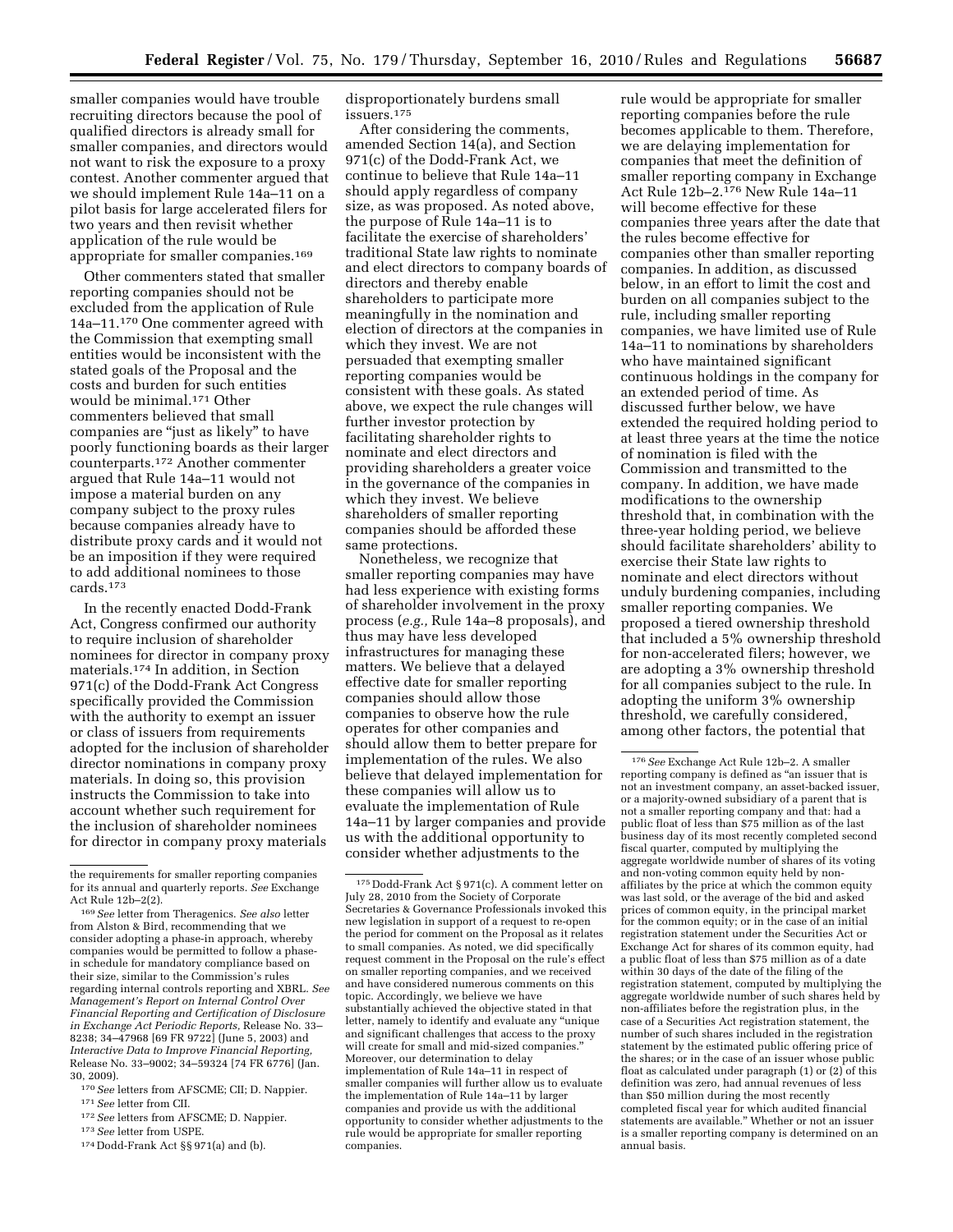smaller companies would have trouble recruiting directors because the pool of qualified directors is already small for smaller companies, and directors would not want to risk the exposure to a proxy contest. Another commenter argued that we should implement Rule 14a–11 on a pilot basis for large accelerated filers for two years and then revisit whether application of the rule would be appropriate for smaller companies.169

Other commenters stated that smaller reporting companies should not be excluded from the application of Rule 14a–11.170 One commenter agreed with the Commission that exempting small entities would be inconsistent with the stated goals of the Proposal and the costs and burden for such entities would be minimal.171 Other commenters believed that small companies are ''just as likely'' to have poorly functioning boards as their larger counterparts.172 Another commenter argued that Rule 14a–11 would not impose a material burden on any company subject to the proxy rules because companies already have to distribute proxy cards and it would not be an imposition if they were required to add additional nominees to those cards.173

In the recently enacted Dodd-Frank Act, Congress confirmed our authority to require inclusion of shareholder nominees for director in company proxy materials.174 In addition, in Section 971(c) of the Dodd-Frank Act Congress specifically provided the Commission with the authority to exempt an issuer or class of issuers from requirements adopted for the inclusion of shareholder director nominations in company proxy materials. In doing so, this provision instructs the Commission to take into account whether such requirement for the inclusion of shareholder nominees for director in company proxy materials

- 172*See* letters from AFSCME; D. Nappier.
- 173*See* letter from USPE.
- 174 Dodd-Frank Act §§ 971(a) and (b).

disproportionately burdens small issuers.175

After considering the comments, amended Section 14(a), and Section 971(c) of the Dodd-Frank Act, we continue to believe that Rule 14a–11 should apply regardless of company size, as was proposed. As noted above, the purpose of Rule 14a–11 is to facilitate the exercise of shareholders' traditional State law rights to nominate and elect directors to company boards of directors and thereby enable shareholders to participate more meaningfully in the nomination and election of directors at the companies in which they invest. We are not persuaded that exempting smaller reporting companies would be consistent with these goals. As stated above, we expect the rule changes will further investor protection by facilitating shareholder rights to nominate and elect directors and providing shareholders a greater voice in the governance of the companies in which they invest. We believe shareholders of smaller reporting companies should be afforded these same protections.

Nonetheless, we recognize that smaller reporting companies may have had less experience with existing forms of shareholder involvement in the proxy process (*e.g.,* Rule 14a–8 proposals), and thus may have less developed infrastructures for managing these matters. We believe that a delayed effective date for smaller reporting companies should allow those companies to observe how the rule operates for other companies and should allow them to better prepare for implementation of the rules. We also believe that delayed implementation for these companies will allow us to evaluate the implementation of Rule 14a–11 by larger companies and provide us with the additional opportunity to consider whether adjustments to the

rule would be appropriate for smaller reporting companies before the rule becomes applicable to them. Therefore, we are delaying implementation for companies that meet the definition of smaller reporting company in Exchange Act Rule 12b–2.176 New Rule 14a–11 will become effective for these companies three years after the date that the rules become effective for companies other than smaller reporting companies. In addition, as discussed below, in an effort to limit the cost and burden on all companies subject to the rule, including smaller reporting companies, we have limited use of Rule 14a–11 to nominations by shareholders who have maintained significant continuous holdings in the company for an extended period of time. As discussed further below, we have extended the required holding period to at least three years at the time the notice of nomination is filed with the Commission and transmitted to the company. In addition, we have made modifications to the ownership threshold that, in combination with the three-year holding period, we believe should facilitate shareholders' ability to exercise their State law rights to nominate and elect directors without unduly burdening companies, including smaller reporting companies. We proposed a tiered ownership threshold that included a 5% ownership threshold for non-accelerated filers; however, we are adopting a 3% ownership threshold for all companies subject to the rule. In adopting the uniform 3% ownership threshold, we carefully considered, among other factors, the potential that

the requirements for smaller reporting companies for its annual and quarterly reports. *See* Exchange Act Rule 12b–2(2).

<sup>169</sup>*See* letter from Theragenics. *See also* letter from Alston & Bird, recommending that we consider adopting a phase-in approach, whereby companies would be permitted to follow a phasein schedule for mandatory compliance based on their size, similar to the Commission's rules regarding internal controls reporting and XBRL. *See Management's Report on Internal Control Over Financial Reporting and Certification of Disclosure in Exchange Act Periodic Reports,* Release No. 33– 8238; 34–47968 [69 FR 9722] (June 5, 2003) and *Interactive Data to Improve Financial Reporting,*  Release No. 33–9002; 34–59324 [74 FR 6776] (Jan. 30, 2009).

<sup>170</sup>*See* letters from AFSCME; CII; D. Nappier.

<sup>171</sup>*See* letter from CII.

<sup>175</sup> Dodd-Frank Act § 971(c). A comment letter on July 28, 2010 from the Society of Corporate Secretaries & Governance Professionals invoked this new legislation in support of a request to re-open the period for comment on the Proposal as it relates to small companies. As noted, we did specifically request comment in the Proposal on the rule's effect on smaller reporting companies, and we received and have considered numerous comments on this topic. Accordingly, we believe we have substantially achieved the objective stated in that letter, namely to identify and evaluate any ''unique and significant challenges that access to the proxy will create for small and mid-sized companies.'' Moreover, our determination to delay implementation of Rule 14a–11 in respect of smaller companies will further allow us to evaluate the implementation of Rule 14a–11 by larger companies and provide us with the additional opportunity to consider whether adjustments to the rule would be appropriate for smaller reporting companies.

<sup>176</sup>*See* Exchange Act Rule 12b–2. A smaller reporting company is defined as "an issuer that is not an investment company, an asset-backed issuer, or a majority-owned subsidiary of a parent that is not a smaller reporting company and that: had a public float of less than \$75 million as of the last business day of its most recently completed second fiscal quarter, computed by multiplying the aggregate worldwide number of shares of its voting and non-voting common equity held by nonaffiliates by the price at which the common equity was last sold, or the average of the bid and asked prices of common equity, in the principal market for the common equity; or in the case of an initial registration statement under the Securities Act or Exchange Act for shares of its common equity, had a public float of less than \$75 million as of a date within 30 days of the date of the filing of the registration statement, computed by multiplying the aggregate worldwide number of such shares held by non-affiliates before the registration plus, in the case of a Securities Act registration statement, the number of such shares included in the registration statement by the estimated public offering price of the shares; or in the case of an issuer whose public float as calculated under paragraph  $(1)$  or  $(2)$  of this definition was zero, had annual revenues of less than \$50 million during the most recently completed fiscal year for which audited financial statements are available." Whether or not an issuer is a smaller reporting company is determined on an annual basis.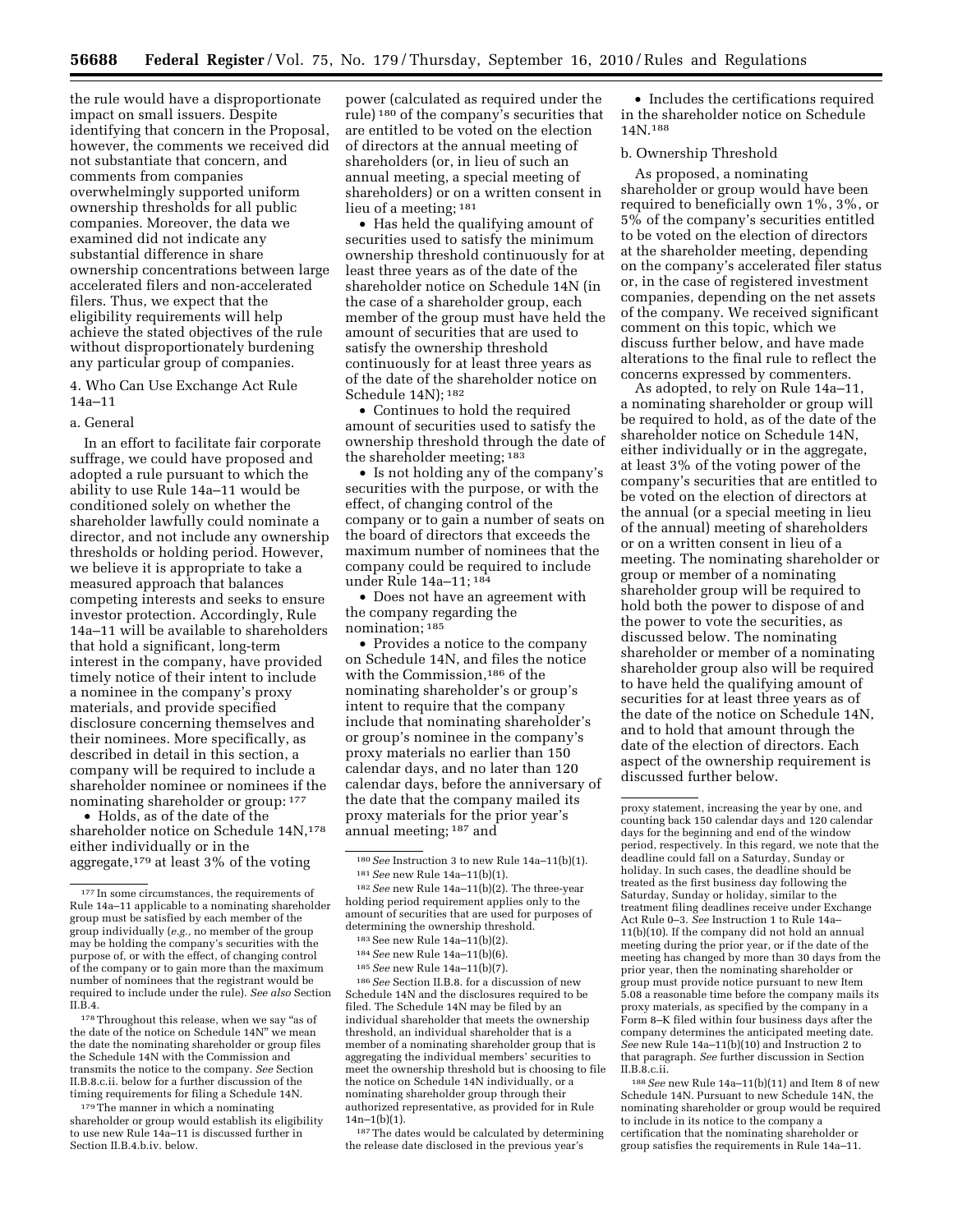the rule would have a disproportionate impact on small issuers. Despite identifying that concern in the Proposal, however, the comments we received did not substantiate that concern, and comments from companies overwhelmingly supported uniform ownership thresholds for all public companies. Moreover, the data we examined did not indicate any substantial difference in share ownership concentrations between large accelerated filers and non-accelerated filers. Thus, we expect that the eligibility requirements will help achieve the stated objectives of the rule without disproportionately burdening any particular group of companies.

4. Who Can Use Exchange Act Rule 14a–11

#### a. General

In an effort to facilitate fair corporate suffrage, we could have proposed and adopted a rule pursuant to which the ability to use Rule 14a–11 would be conditioned solely on whether the shareholder lawfully could nominate a director, and not include any ownership thresholds or holding period. However, we believe it is appropriate to take a measured approach that balances competing interests and seeks to ensure investor protection. Accordingly, Rule 14a–11 will be available to shareholders that hold a significant, long-term interest in the company, have provided timely notice of their intent to include a nominee in the company's proxy materials, and provide specified disclosure concerning themselves and their nominees. More specifically, as described in detail in this section, a company will be required to include a shareholder nominee or nominees if the nominating shareholder or group: 177

• Holds, as of the date of the shareholder notice on Schedule 14N,178 either individually or in the aggregate,179 at least 3% of the voting

178 Throughout this release, when we say "as of the date of the notice on Schedule 14N'' we mean the date the nominating shareholder or group files the Schedule 14N with the Commission and transmits the notice to the company. *See* Section II.B.8.c.ii. below for a further discussion of the timing requirements for filing a Schedule 14N.

179The manner in which a nominating shareholder or group would establish its eligibility to use new Rule 14a–11 is discussed further in Section II.B.4.b.iv. below.

power (calculated as required under the rule) 180 of the company's securities that are entitled to be voted on the election of directors at the annual meeting of shareholders (or, in lieu of such an annual meeting, a special meeting of shareholders) or on a written consent in lieu of a meeting; 181

• Has held the qualifying amount of securities used to satisfy the minimum ownership threshold continuously for at least three years as of the date of the shareholder notice on Schedule 14N (in the case of a shareholder group, each member of the group must have held the amount of securities that are used to satisfy the ownership threshold continuously for at least three years as of the date of the shareholder notice on Schedule 14N); 182

• Continues to hold the required amount of securities used to satisfy the ownership threshold through the date of the shareholder meeting; 183

• Is not holding any of the company's securities with the purpose, or with the effect, of changing control of the company or to gain a number of seats on the board of directors that exceeds the maximum number of nominees that the company could be required to include under Rule 14a–11; 184

• Does not have an agreement with the company regarding the nomination; 185

• Provides a notice to the company on Schedule 14N, and files the notice with the Commission,186 of the nominating shareholder's or group's intent to require that the company include that nominating shareholder's or group's nominee in the company's proxy materials no earlier than 150 calendar days, and no later than 120 calendar days, before the anniversary of the date that the company mailed its proxy materials for the prior year's annual meeting; 187 and

186*See* Section II.B.8. for a discussion of new Schedule 14N and the disclosures required to be filed. The Schedule 14N may be filed by an individual shareholder that meets the ownership threshold, an individual shareholder that is a member of a nominating shareholder group that is aggregating the individual members' securities to meet the ownership threshold but is choosing to file the notice on Schedule 14N individually, or a nominating shareholder group through their authorized representative, as provided for in Rule  $14n-1(b)(1)$ .

187The dates would be calculated by determining the release date disclosed in the previous year's

• Includes the certifications required in the shareholder notice on Schedule 14N.188

# b. Ownership Threshold

As proposed, a nominating shareholder or group would have been required to beneficially own 1%, 3%, or 5% of the company's securities entitled to be voted on the election of directors at the shareholder meeting, depending on the company's accelerated filer status or, in the case of registered investment companies, depending on the net assets of the company. We received significant comment on this topic, which we discuss further below, and have made alterations to the final rule to reflect the concerns expressed by commenters.

As adopted, to rely on Rule 14a–11, a nominating shareholder or group will be required to hold, as of the date of the shareholder notice on Schedule 14N, either individually or in the aggregate, at least 3% of the voting power of the company's securities that are entitled to be voted on the election of directors at the annual (or a special meeting in lieu of the annual) meeting of shareholders or on a written consent in lieu of a meeting. The nominating shareholder or group or member of a nominating shareholder group will be required to hold both the power to dispose of and the power to vote the securities, as discussed below. The nominating shareholder or member of a nominating shareholder group also will be required to have held the qualifying amount of securities for at least three years as of the date of the notice on Schedule 14N, and to hold that amount through the date of the election of directors. Each aspect of the ownership requirement is discussed further below.

188*See* new Rule 14a–11(b)(11) and Item 8 of new Schedule 14N. Pursuant to new Schedule 14N, the nominating shareholder or group would be required to include in its notice to the company a certification that the nominating shareholder or group satisfies the requirements in Rule 14a–11.

<sup>177</sup> In some circumstances, the requirements of Rule 14a–11 applicable to a nominating shareholder group must be satisfied by each member of the group individually (*e.g.,* no member of the group may be holding the company's securities with the purpose of, or with the effect, of changing control of the company or to gain more than the maximum number of nominees that the registrant would be required to include under the rule). *See also* Section II.B.4.

<sup>180</sup>*See* Instruction 3 to new Rule 14a–11(b)(1). 181*See* new Rule 14a–11(b)(1).

<sup>182</sup>*See* new Rule 14a–11(b)(2). The three-year holding period requirement applies only to the amount of securities that are used for purposes of determining the ownership threshold.

<sup>183</sup>See new Rule 14a–11(b)(2).

<sup>184</sup>*See* new Rule 14a–11(b)(6).

<sup>185</sup>*See* new Rule 14a–11(b)(7).

proxy statement, increasing the year by one, and counting back 150 calendar days and 120 calendar days for the beginning and end of the window period, respectively. In this regard, we note that the deadline could fall on a Saturday, Sunday or holiday. In such cases, the deadline should be treated as the first business day following the Saturday, Sunday or holiday, similar to the treatment filing deadlines receive under Exchange Act Rule 0–3. *See* Instruction 1 to Rule 14a– 11(b)(10). If the company did not hold an annual meeting during the prior year, or if the date of the meeting has changed by more than 30 days from the prior year, then the nominating shareholder or group must provide notice pursuant to new Item 5.08 a reasonable time before the company mails its proxy materials, as specified by the company in a Form 8–K filed within four business days after the company determines the anticipated meeting date. *See* new Rule 14a–11(b)(10) and Instruction 2 to that paragraph. *See* further discussion in Section II.B.8.c.ii.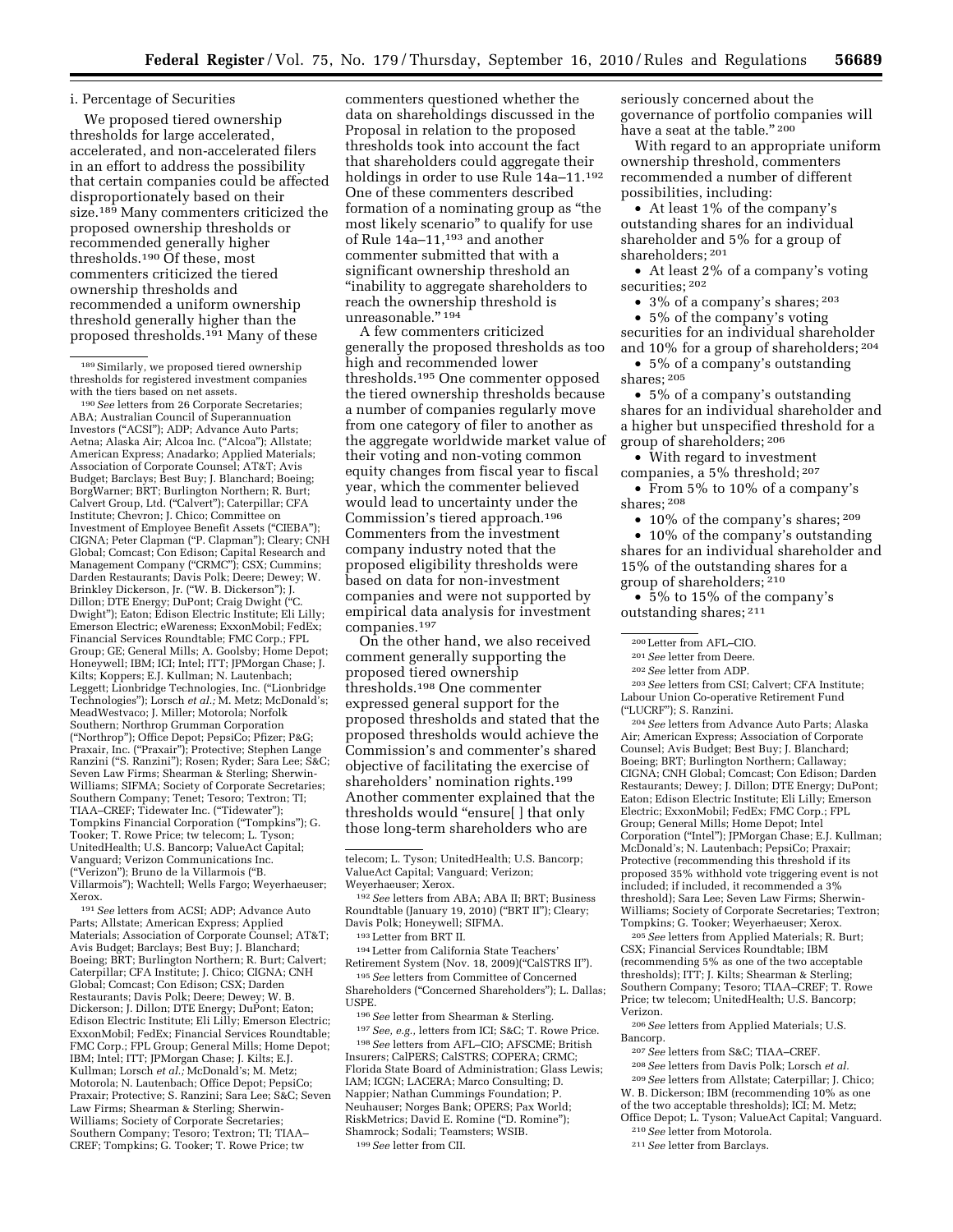# i. Percentage of Securities

We proposed tiered ownership thresholds for large accelerated, accelerated, and non-accelerated filers in an effort to address the possibility that certain companies could be affected disproportionately based on their size.189 Many commenters criticized the proposed ownership thresholds or recommended generally higher thresholds.190 Of these, most commenters criticized the tiered ownership thresholds and recommended a uniform ownership threshold generally higher than the proposed thresholds.191 Many of these

 $^{189}\rm {Similarly},$  we proposed tiered ownership thresholds for registered investment companies with the tiers based on net assets.

190*See* letters from 26 Corporate Secretaries; ABA; Australian Council of Superannuation Investors (''ACSI''); ADP; Advance Auto Parts; Aetna; Alaska Air; Alcoa Inc. (''Alcoa''); Allstate; American Express; Anadarko; Applied Materials; Association of Corporate Counsel; AT&T; Avis Budget; Barclays; Best Buy; J. Blanchard; Boeing; BorgWarner; BRT; Burlington Northern; R. Burt; Calvert Group, Ltd. (''Calvert''); Caterpillar; CFA Institute; Chevron; J. Chico; Committee on Investment of Employee Benefit Assets (''CIEBA''); CIGNA; Peter Clapman (''P. Clapman''); Cleary; CNH Global; Comcast; Con Edison; Capital Research and Management Company (''CRMC''); CSX; Cummins; Darden Restaurants; Davis Polk; Deere; Dewey; W. Brinkley Dickerson, Jr. ("W. B. Dickerson"); J Dillon; DTE Energy; DuPont; Craig Dwight (''C. Dwight''); Eaton; Edison Electric Institute; Eli Lilly; Emerson Electric; eWareness; ExxonMobil; FedEx; Financial Services Roundtable; FMC Corp.; FPL Group; GE; General Mills; A. Goolsby; Home Depot; Honeywell; IBM; ICI; Intel; ITT; JPMorgan Chase; J. Kilts; Koppers; E.J. Kullman; N. Lautenbach; Leggett; Lionbridge Technologies, Inc. (''Lionbridge Technologies''); Lorsch *et al.;* M. Metz; McDonald's; MeadWestvaco; J. Miller; Motorola; Norfolk Southern; Northrop Grumman Corporation (''Northrop''); Office Depot; PepsiCo; Pfizer; P&G; Praxair, Inc. ("Praxair"); Protective; Stephen Lange Ranzini (''S. Ranzini''); Rosen; Ryder; Sara Lee; S&C; Seven Law Firms; Shearman & Sterling; Sherwin-Williams; SIFMA; Society of Corporate Secretaries; Southern Company; Tenet; Tesoro; Textron; TI; TIAA–CREF; Tidewater Inc. ("Tidewater"); Tompkins Financial Corporation (''Tompkins''); G. Tooker; T. Rowe Price; tw telecom; L. Tyson; UnitedHealth; U.S. Bancorp; ValueAct Capital; Vanguard; Verizon Communications Inc. (''Verizon''); Bruno de la Villarmois (''B. Villarmois''); Wachtell; Wells Fargo; Weyerhaeuser; Xerox. 191*See* letters from ACSI; ADP; Advance Auto

Parts; Allstate; American Express; Applied Materials; Association of Corporate Counsel; AT&T; Avis Budget; Barclays; Best Buy; J. Blanchard; Boeing; BRT; Burlington Northern; R. Burt; Calvert; Caterpillar; CFA Institute; J. Chico; CIGNA; CNH Global; Comcast; Con Edison; CSX; Darden Restaurants; Davis Polk; Deere; Dewey; W. B. Dickerson; J. Dillon; DTE Energy; DuPont; Eaton; Edison Electric Institute; Eli Lilly; Emerson Electric; ExxonMobil; FedEx; Financial Services Roundtable; FMC Corp.; FPL Group; General Mills; Home Depot; IBM; Intel; ITT; JPMorgan Chase; J. Kilts; E.J. Kullman; Lorsch *et al.;* McDonald's; M. Metz; Motorola; N. Lautenbach; Office Depot; PepsiCo; Praxair; Protective; S. Ranzini; Sara Lee; S&C; Seven Law Firms; Shearman & Sterling; Sherwin-Williams; Society of Corporate Secretaries; Southern Company; Tesoro; Textron; TI; TIAA– CREF; Tompkins; G. Tooker; T. Rowe Price; tw

commenters questioned whether the data on shareholdings discussed in the Proposal in relation to the proposed thresholds took into account the fact that shareholders could aggregate their holdings in order to use Rule 14a-11.<sup>192</sup> One of these commenters described formation of a nominating group as ''the most likely scenario'' to qualify for use of Rule 14a–11,193 and another commenter submitted that with a significant ownership threshold an ''inability to aggregate shareholders to reach the ownership threshold is unreasonable.'' 194

A few commenters criticized generally the proposed thresholds as too high and recommended lower thresholds.195 One commenter opposed the tiered ownership thresholds because a number of companies regularly move from one category of filer to another as the aggregate worldwide market value of their voting and non-voting common equity changes from fiscal year to fiscal year, which the commenter believed would lead to uncertainty under the Commission's tiered approach.196 Commenters from the investment company industry noted that the proposed eligibility thresholds were based on data for non-investment companies and were not supported by empirical data analysis for investment companies.197

On the other hand, we also received comment generally supporting the proposed tiered ownership thresholds.198 One commenter expressed general support for the proposed thresholds and stated that the proposed thresholds would achieve the Commission's and commenter's shared objective of facilitating the exercise of shareholders' nomination rights.199 Another commenter explained that the thresholds would "ensure[] that only those long-term shareholders who are

193Letter from BRT II.

194Letter from California State Teachers' Retirement System (Nov. 18, 2009)("CalSTRS II").

195*See* letters from Committee of Concerned Shareholders (''Concerned Shareholders''); L. Dallas; USPE.

197*See, e.g.,* letters from ICI; S&C; T. Rowe Price. 198*See* letters from AFL–CIO; AFSCME; British Insurers; CalPERS; CalSTRS; COPERA; CRMC; Florida State Board of Administration; Glass Lewis; IAM; ICGN; LACERA; Marco Consulting; D. Nappier; Nathan Cummings Foundation; P. Neuhauser; Norges Bank; OPERS; Pax World; RiskMetrics; David E. Romine (''D. Romine''); Shamrock; Sodali; Teamsters; WSIB. 199*See* letter from CII.

seriously concerned about the governance of portfolio companies will have a seat at the table." 200

With regard to an appropriate uniform ownership threshold, commenters recommended a number of different possibilities, including:

• At least 1% of the company's outstanding shares for an individual shareholder and 5% for a group of shareholders; 201

• At least 2% of a company's voting securities; 202

• 3% of a company's shares; 203

• 5% of the company's voting securities for an individual shareholder and 10% for a group of shareholders; 204

• 5% of a company's outstanding shares; 205

• 5% of a company's outstanding shares for an individual shareholder and a higher but unspecified threshold for a group of shareholders; 206

• With regard to investment companies, a 5% threshold; 207

• From 5% to 10% of a company's shares; 208

• 10% of the company's shares; 209

• 10% of the company's outstanding shares for an individual shareholder and 15% of the outstanding shares for a group of shareholders; 210

• 5% to 15% of the company's outstanding shares; 211

203*See* letters from CSI; Calvert; CFA Institute; Labour Union Co-operative Retirement Fund (''LUCRF''); S. Ranzini.

204*See* letters from Advance Auto Parts; Alaska Air; American Express; Association of Corporate Counsel; Avis Budget; Best Buy; J. Blanchard; Boeing; BRT; Burlington Northern; Callaway; CIGNA; CNH Global; Comcast; Con Edison; Darden Restaurants; Dewey; J. Dillon; DTE Energy; DuPont; Eaton; Edison Electric Institute; Eli Lilly; Emerson Electric; ExxonMobil; FedEx; FMC Corp.; FPL Group; General Mills; Home Depot; Intel Corporation (''Intel''); JPMorgan Chase; E.J. Kullman; McDonald's; N. Lautenbach; PepsiCo; Praxair; Protective (recommending this threshold if its proposed 35% withhold vote triggering event is not included; if included, it recommended a 3% threshold); Sara Lee; Seven Law Firms; Sherwin-Williams; Society of Corporate Secretaries; Textron; Tompkins; G. Tooker; Weyerhaeuser; Xerox.

205*See* letters from Applied Materials; R. Burt; CSX; Financial Services Roundtable; IBM (recommending 5% as one of the two acceptable thresholds); ITT; J. Kilts; Shearman & Sterling; Southern Company; Tesoro; TIAA–CREF; T. Rowe Price; tw telecom; UnitedHealth; U.S. Bancorp; Verizon.

206*See* letters from Applied Materials; U.S. Bancorp.

207*See* letters from S&C; TIAA–CREF.

208*See* letters from Davis Polk; Lorsch *et al.* 

209*See* letters from Allstate; Caterpillar; J. Chico; W. B. Dickerson; IBM (recommending 10% as one of the two acceptable thresholds); ICI; M. Metz;

Office Depot; L. Tyson; ValueAct Capital; Vanguard. 210*See* letter from Motorola.

telecom; L. Tyson; UnitedHealth; U.S. Bancorp; ValueAct Capital; Vanguard; Verizon; Weyerhaeuser; Xerox.

<sup>192</sup>*See* letters from ABA; ABA II; BRT; Business Roundtable (January 19, 2010) (''BRT II''); Cleary; Davis Polk; Honeywell; SIFMA.

<sup>196</sup>*See* letter from Shearman & Sterling.

<sup>200</sup>Letter from AFL–CIO.

<sup>201</sup>*See* letter from Deere.

<sup>202</sup>*See* letter from ADP.

<sup>211</sup>*See* letter from Barclays.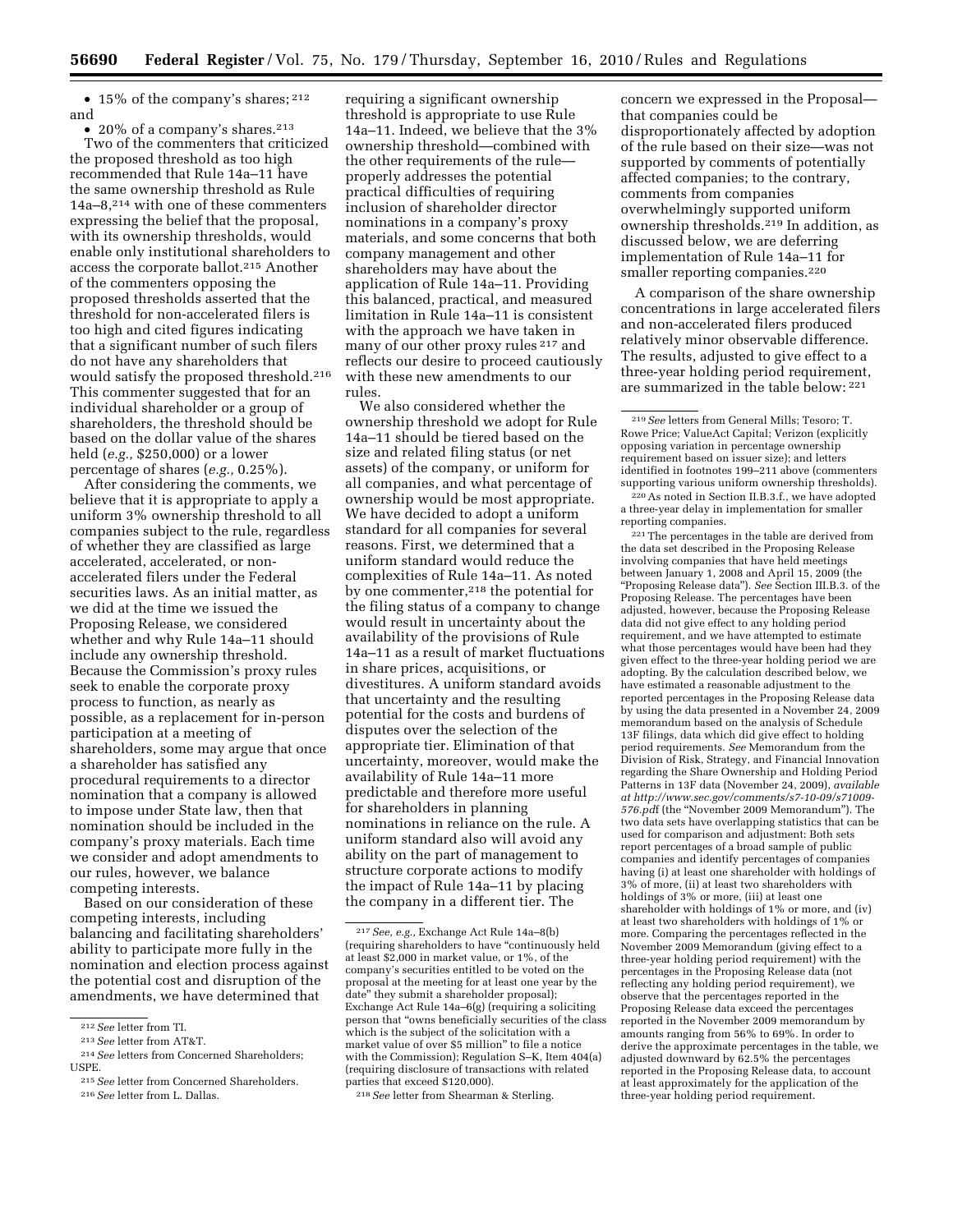• 15% of the company's shares; <sup>212</sup> and

• 20% of a company's shares.<sup>213</sup> Two of the commenters that criticized the proposed threshold as too high recommended that Rule 14a–11 have the same ownership threshold as Rule 14a–8,214 with one of these commenters expressing the belief that the proposal, with its ownership thresholds, would enable only institutional shareholders to access the corporate ballot.215 Another of the commenters opposing the proposed thresholds asserted that the threshold for non-accelerated filers is too high and cited figures indicating that a significant number of such filers do not have any shareholders that would satisfy the proposed threshold.216 This commenter suggested that for an individual shareholder or a group of shareholders, the threshold should be based on the dollar value of the shares held (*e.g.,* \$250,000) or a lower percentage of shares (*e.g.,* 0.25%).

After considering the comments, we believe that it is appropriate to apply a uniform 3% ownership threshold to all companies subject to the rule, regardless of whether they are classified as large accelerated, accelerated, or nonaccelerated filers under the Federal securities laws. As an initial matter, as we did at the time we issued the Proposing Release, we considered whether and why Rule 14a–11 should include any ownership threshold. Because the Commission's proxy rules seek to enable the corporate proxy process to function, as nearly as possible, as a replacement for in-person participation at a meeting of shareholders, some may argue that once a shareholder has satisfied any procedural requirements to a director nomination that a company is allowed to impose under State law, then that nomination should be included in the company's proxy materials. Each time we consider and adopt amendments to our rules, however, we balance competing interests.

Based on our consideration of these competing interests, including balancing and facilitating shareholders' ability to participate more fully in the nomination and election process against the potential cost and disruption of the amendments, we have determined that

requiring a significant ownership threshold is appropriate to use Rule 14a–11. Indeed, we believe that the 3% ownership threshold—combined with the other requirements of the rule properly addresses the potential practical difficulties of requiring inclusion of shareholder director nominations in a company's proxy materials, and some concerns that both company management and other shareholders may have about the application of Rule 14a–11. Providing this balanced, practical, and measured limitation in Rule 14a–11 is consistent with the approach we have taken in many of our other proxy rules 217 and reflects our desire to proceed cautiously with these new amendments to our rules.

We also considered whether the ownership threshold we adopt for Rule 14a–11 should be tiered based on the size and related filing status (or net assets) of the company, or uniform for all companies, and what percentage of ownership would be most appropriate. We have decided to adopt a uniform standard for all companies for several reasons. First, we determined that a uniform standard would reduce the complexities of Rule 14a–11. As noted by one commenter,<sup>218</sup> the potential for the filing status of a company to change would result in uncertainty about the availability of the provisions of Rule 14a–11 as a result of market fluctuations in share prices, acquisitions, or divestitures. A uniform standard avoids that uncertainty and the resulting potential for the costs and burdens of disputes over the selection of the appropriate tier. Elimination of that uncertainty, moreover, would make the availability of Rule 14a–11 more predictable and therefore more useful for shareholders in planning nominations in reliance on the rule. A uniform standard also will avoid any ability on the part of management to structure corporate actions to modify the impact of Rule 14a–11 by placing the company in a different tier. The

concern we expressed in the Proposal that companies could be disproportionately affected by adoption of the rule based on their size—was not supported by comments of potentially affected companies; to the contrary, comments from companies overwhelmingly supported uniform ownership thresholds.219 In addition, as discussed below, we are deferring implementation of Rule 14a–11 for smaller reporting companies.220

A comparison of the share ownership concentrations in large accelerated filers and non-accelerated filers produced relatively minor observable difference. The results, adjusted to give effect to a three-year holding period requirement, are summarized in the table below: 221

220As noted in Section II.B.3.f., we have adopted a three-year delay in implementation for smaller reporting companies.

221The percentages in the table are derived from the data set described in the Proposing Release involving companies that have held meetings between January 1, 2008 and April 15, 2009 (the ''Proposing Release data''). *See* Section III.B.3. of the Proposing Release. The percentages have been adjusted, however, because the Proposing Release data did not give effect to any holding period requirement, and we have attempted to estimate what those percentages would have been had they given effect to the three-year holding period we are adopting. By the calculation described below, we have estimated a reasonable adjustment to the reported percentages in the Proposing Release data by using the data presented in a November 24, 2009 memorandum based on the analysis of Schedule 13F filings, data which did give effect to holding period requirements. *See* Memorandum from the Division of Risk, Strategy, and Financial Innovation regarding the Share Ownership and Holding Period Patterns in 13F data (November 24, 2009), *available at [http://www.sec.gov/comments/s7-10-09/s71009-](http://www.sec.gov/comments/s7-10-09/s71009-576.pdf) [576.pd](http://www.sec.gov/comments/s7-10-09/s71009-576.pdf)*f (the ''November 2009 Memorandum''). The two data sets have overlapping statistics that can be used for comparison and adjustment: Both sets report percentages of a broad sample of public companies and identify percentages of companies having (i) at least one shareholder with holdings of 3% of more, (ii) at least two shareholders with holdings of 3% or more, (iii) at least one shareholder with holdings of 1% or more, and (iv) at least two shareholders with holdings of 1% or more. Comparing the percentages reflected in the November 2009 Memorandum (giving effect to a three-year holding period requirement) with the percentages in the Proposing Release data (not reflecting any holding period requirement), we observe that the percentages reported in the Proposing Release data exceed the percentages reported in the November 2009 memorandum by amounts ranging from 56% to 69%. In order to derive the approximate percentages in the table, we adjusted downward by 62.5% the percentages reported in the Proposing Release data, to account at least approximately for the application of the three-year holding period requirement.

<sup>212</sup>*See* letter from TI.

<sup>213</sup>*See* letter from AT&T.

<sup>214</sup>*See* letters from Concerned Shareholders; USPE.

<sup>215</sup>*See* letter from Concerned Shareholders.

<sup>216</sup>*See* letter from L. Dallas.

<sup>217</sup>*See, e.g.,* Exchange Act Rule 14a–8(b) (requiring shareholders to have ''continuously held at least \$2,000 in market value, or 1%, of the company's securities entitled to be voted on the proposal at the meeting for at least one year by the date'' they submit a shareholder proposal); Exchange Act Rule 14a–6(g) (requiring a soliciting person that "owns beneficially securities of the class which is the subject of the solicitation with a market value of over \$5 million'' to file a notice with the Commission); Regulation S–K, Item 404(a) (requiring disclosure of transactions with related parties that exceed \$120,000).

<sup>218</sup>*See* letter from Shearman & Sterling.

<sup>219</sup>*See* letters from General Mills; Tesoro; T. Rowe Price; ValueAct Capital; Verizon (explicitly opposing variation in percentage ownership requirement based on issuer size); and letters identified in footnotes 199–211 above (commenters supporting various uniform ownership thresholds).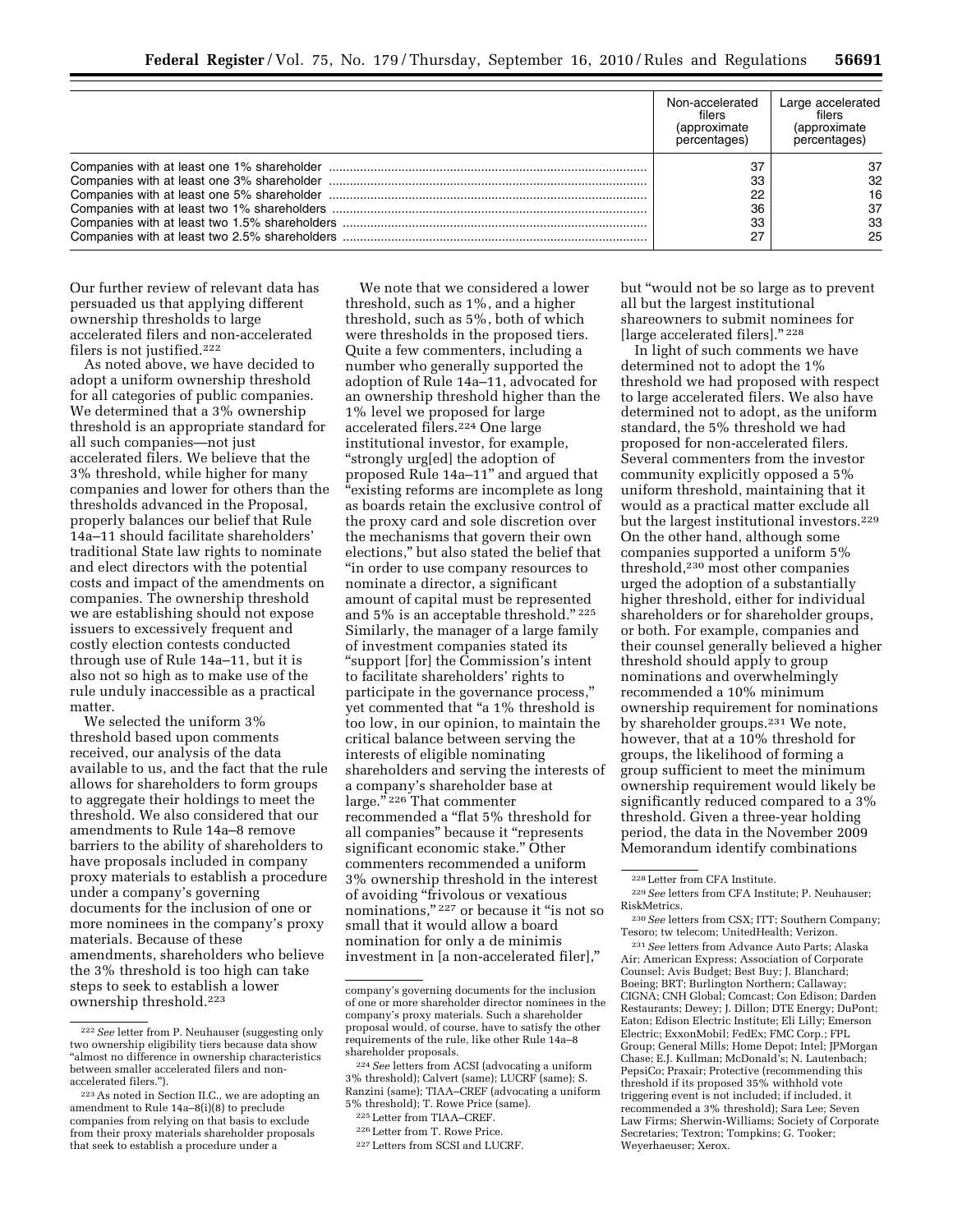| Non-accelerated<br>filers<br><i>(approximate)</i><br>percentages | Large accelerated<br>filers<br>(approximate<br>percentages) |
|------------------------------------------------------------------|-------------------------------------------------------------|
|                                                                  |                                                             |
| 33                                                               | 32                                                          |
| 22                                                               | 16                                                          |
| 36                                                               | 37                                                          |
| 33                                                               | 33                                                          |
| 27                                                               | 25                                                          |

Our further review of relevant data has persuaded us that applying different ownership thresholds to large accelerated filers and non-accelerated filers is not justified.222

As noted above, we have decided to adopt a uniform ownership threshold for all categories of public companies. We determined that a 3% ownership threshold is an appropriate standard for all such companies—not just accelerated filers. We believe that the 3% threshold, while higher for many companies and lower for others than the thresholds advanced in the Proposal, properly balances our belief that Rule 14a–11 should facilitate shareholders' traditional State law rights to nominate and elect directors with the potential costs and impact of the amendments on companies. The ownership threshold we are establishing should not expose issuers to excessively frequent and costly election contests conducted through use of Rule 14a–11, but it is also not so high as to make use of the rule unduly inaccessible as a practical matter.

We selected the uniform 3% threshold based upon comments received, our analysis of the data available to us, and the fact that the rule allows for shareholders to form groups to aggregate their holdings to meet the threshold. We also considered that our amendments to Rule 14a–8 remove barriers to the ability of shareholders to have proposals included in company proxy materials to establish a procedure under a company's governing documents for the inclusion of one or more nominees in the company's proxy materials. Because of these amendments, shareholders who believe the 3% threshold is too high can take steps to seek to establish a lower ownership threshold.223

We note that we considered a lower threshold, such as 1%, and a higher threshold, such as 5%, both of which were thresholds in the proposed tiers. Quite a few commenters, including a number who generally supported the adoption of Rule 14a–11, advocated for an ownership threshold higher than the 1% level we proposed for large accelerated filers.224 One large institutional investor, for example, ''strongly urg[ed] the adoption of proposed Rule 14a–11'' and argued that ''existing reforms are incomplete as long as boards retain the exclusive control of the proxy card and sole discretion over the mechanisms that govern their own elections,'' but also stated the belief that ''in order to use company resources to nominate a director, a significant amount of capital must be represented and 5% is an acceptable threshold.'' 225 Similarly, the manager of a large family of investment companies stated its ''support [for] the Commission's intent to facilitate shareholders' rights to participate in the governance process,'' yet commented that "a 1% threshold is too low, in our opinion, to maintain the critical balance between serving the interests of eligible nominating shareholders and serving the interests of a company's shareholder base at large.'' 226 That commenter recommended a ''flat 5% threshold for all companies'' because it ''represents significant economic stake.'' Other commenters recommended a uniform 3% ownership threshold in the interest of avoiding ''frivolous or vexatious nominations,"<sup>227</sup> or because it "is not so small that it would allow a board nomination for only a de minimis investment in [a non-accelerated filer],''

but ''would not be so large as to prevent all but the largest institutional shareowners to submit nominees for [large accelerated filers].'' 228

In light of such comments we have determined not to adopt the 1% threshold we had proposed with respect to large accelerated filers. We also have determined not to adopt, as the uniform standard, the 5% threshold we had proposed for non-accelerated filers. Several commenters from the investor community explicitly opposed a 5% uniform threshold, maintaining that it would as a practical matter exclude all but the largest institutional investors.229 On the other hand, although some companies supported a uniform 5% threshold,230 most other companies urged the adoption of a substantially higher threshold, either for individual shareholders or for shareholder groups, or both. For example, companies and their counsel generally believed a higher threshold should apply to group nominations and overwhelmingly recommended a 10% minimum ownership requirement for nominations by shareholder groups.231 We note, however, that at a 10% threshold for groups, the likelihood of forming a group sufficient to meet the minimum ownership requirement would likely be significantly reduced compared to a 3% threshold. Given a three-year holding period, the data in the November 2009 Memorandum identify combinations

231*See* letters from Advance Auto Parts; Alaska Air; American Express; Association of Corporate Counsel; Avis Budget; Best Buy; J. Blanchard; Boeing; BRT; Burlington Northern; Callaway; CIGNA; CNH Global; Comcast; Con Edison; Darden Restaurants; Dewey; J. Dillon; DTE Energy; DuPont; Eaton; Edison Electric Institute; Eli Lilly; Emerson Electric; ExxonMobil; FedEx; FMC Corp.; FPL Group; General Mills; Home Depot; Intel; JPMorgan Chase; E.J. Kullman; McDonald's; N. Lautenbach; PepsiCo; Praxair; Protective (recommending this threshold if its proposed 35% withhold vote triggering event is not included; if included, it recommended a 3% threshold); Sara Lee; Seven Law Firms; Sherwin-Williams; Society of Corporate Secretaries; Textron; Tompkins; G. Tooker; Weyerhaeuser; Xerox.

<sup>222</sup>*See* letter from P. Neuhauser (suggesting only two ownership eligibility tiers because data show ''almost no difference in ownership characteristics between smaller accelerated filers and nonaccelerated filers.'').

<sup>223</sup>As noted in Section II.C., we are adopting an amendment to Rule 14a–8(i)(8) to preclude companies from relying on that basis to exclude from their proxy materials shareholder proposals that seek to establish a procedure under a

company's governing documents for the inclusion of one or more shareholder director nominees in the company's proxy materials. Such a shareholder proposal would, of course, have to satisfy the other requirements of the rule, like other Rule 14a–8 shareholder proposals.

<sup>224</sup>*See* letters from ACSI (advocating a uniform 3% threshold); Calvert (same); LUCRF (same); S. Ranzini (same); TIAA–CREF (advocating a uniform 5% threshold); T. Rowe Price (same).

<sup>225</sup>Letter from TIAA–CREF.

<sup>226</sup>Letter from T. Rowe Price.

<sup>227</sup>Letters from SCSI and LUCRF.

<sup>228</sup>Letter from CFA Institute.

<sup>229</sup>*See* letters from CFA Institute; P. Neuhauser; RiskMetrics.

<sup>230</sup>*See* letters from CSX; ITT; Southern Company; Tesoro; tw telecom; UnitedHealth; Verizon.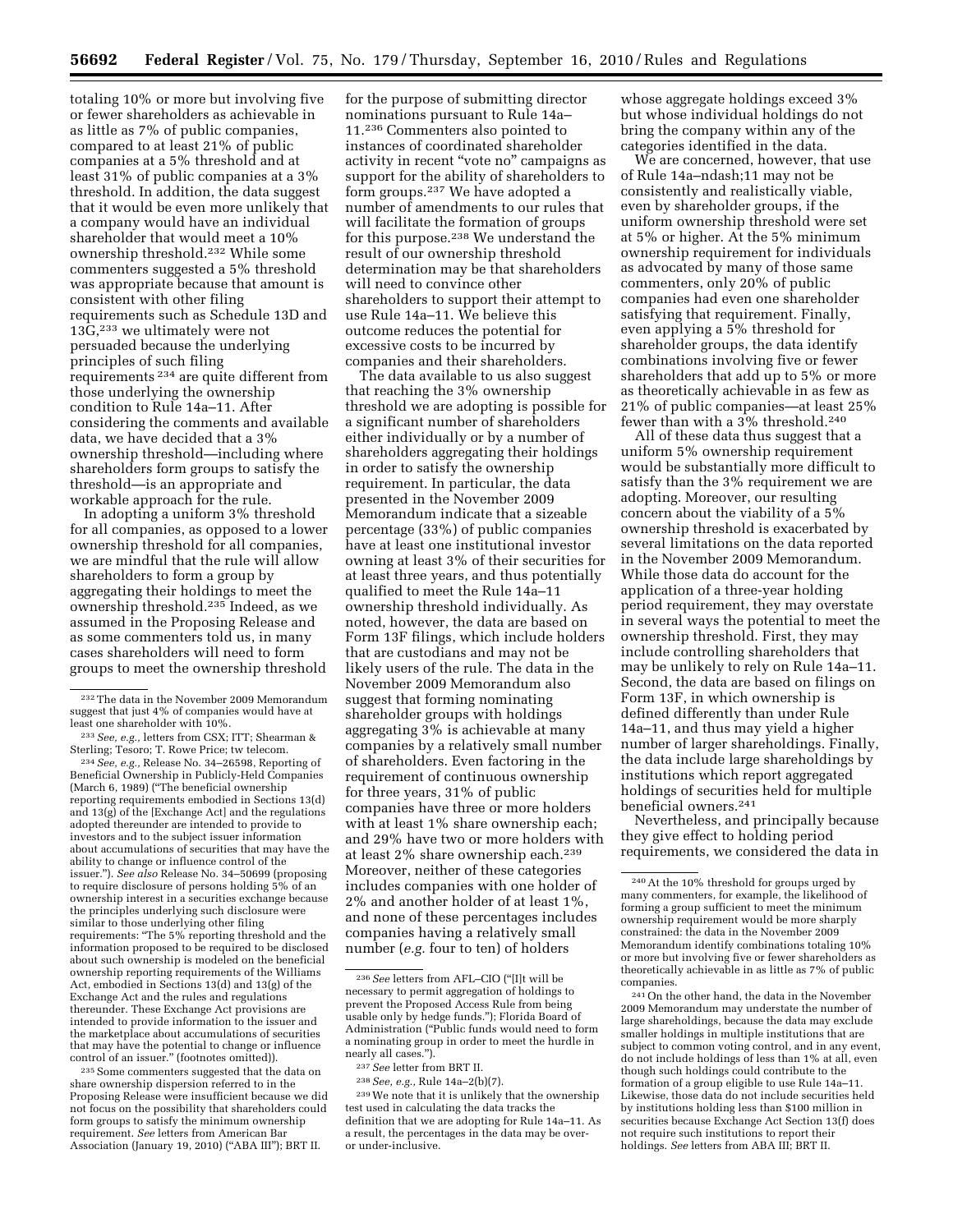totaling 10% or more but involving five or fewer shareholders as achievable in as little as 7% of public companies, compared to at least 21% of public companies at a 5% threshold and at least 31% of public companies at a 3% threshold. In addition, the data suggest that it would be even more unlikely that a company would have an individual shareholder that would meet a 10% ownership threshold.232 While some commenters suggested a 5% threshold was appropriate because that amount is consistent with other filing requirements such as Schedule 13D and 13G,233 we ultimately were not persuaded because the underlying principles of such filing requirements 234 are quite different from those underlying the ownership condition to Rule 14a–11. After considering the comments and available data, we have decided that a 3% ownership threshold—including where shareholders form groups to satisfy the threshold—is an appropriate and workable approach for the rule.

In adopting a uniform 3% threshold for all companies, as opposed to a lower ownership threshold for all companies, we are mindful that the rule will allow shareholders to form a group by aggregating their holdings to meet the ownership threshold.235 Indeed, as we assumed in the Proposing Release and as some commenters told us, in many cases shareholders will need to form groups to meet the ownership threshold

<sup>233</sup> See, e.g., letters from CSX; ITT; Shearman & Sterling; Tesoro; T. Rowe Price; tw telecom.

<sup>234</sup> See, e.g., Release No. 34–26598, Reporting of Beneficial Ownership in Publicly-Held Companies (March 6, 1989) (''The beneficial ownership reporting requirements embodied in Sections 13(d) and 13(g) of the [Exchange Act] and the regulations adopted thereunder are intended to provide to investors and to the subject issuer information about accumulations of securities that may have the ability to change or influence control of the issuer.''). *See also* Release No. 34–50699 (proposing to require disclosure of persons holding 5% of an ownership interest in a securities exchange because the principles underlying such disclosure were similar to those underlying other filing requirements: ''The 5% reporting threshold and the information proposed to be required to be disclosed about such ownership is modeled on the beneficial ownership reporting requirements of the Williams Act, embodied in Sections 13(d) and 13(g) of the Exchange Act and the rules and regulations thereunder. These Exchange Act provisions are intended to provide information to the issuer and the marketplace about accumulations of securities that may have the potential to change or influence control of an issuer.'' (footnotes omitted)).

235Some commenters suggested that the data on share ownership dispersion referred to in the Proposing Release were insufficient because we did not focus on the possibility that shareholders could form groups to satisfy the minimum ownership requirement. *See* letters from American Bar Association (January 19, 2010) (''ABA III''); BRT II.

for the purpose of submitting director nominations pursuant to Rule 14a– 11.236 Commenters also pointed to instances of coordinated shareholder activity in recent ''vote no'' campaigns as support for the ability of shareholders to form groups.237 We have adopted a number of amendments to our rules that will facilitate the formation of groups for this purpose.238 We understand the result of our ownership threshold determination may be that shareholders will need to convince other shareholders to support their attempt to use Rule 14a–11. We believe this outcome reduces the potential for excessive costs to be incurred by companies and their shareholders.

The data available to us also suggest that reaching the 3% ownership threshold we are adopting is possible for a significant number of shareholders either individually or by a number of shareholders aggregating their holdings in order to satisfy the ownership requirement. In particular, the data presented in the November 2009 Memorandum indicate that a sizeable percentage (33%) of public companies have at least one institutional investor owning at least 3% of their securities for at least three years, and thus potentially qualified to meet the Rule 14a–11 ownership threshold individually. As noted, however, the data are based on Form 13F filings, which include holders that are custodians and may not be likely users of the rule. The data in the November 2009 Memorandum also suggest that forming nominating shareholder groups with holdings aggregating 3% is achievable at many companies by a relatively small number of shareholders. Even factoring in the requirement of continuous ownership for three years, 31% of public companies have three or more holders with at least 1% share ownership each; and 29% have two or more holders with at least 2% share ownership each.239 Moreover, neither of these categories includes companies with one holder of 2% and another holder of at least 1%, and none of these percentages includes companies having a relatively small number (*e.g.* four to ten) of holders

239We note that it is unlikely that the ownership test used in calculating the data tracks the definition that we are adopting for Rule 14a–11. As a result, the percentages in the data may be overor under-inclusive.

whose aggregate holdings exceed 3% but whose individual holdings do not bring the company within any of the categories identified in the data.

We are concerned, however, that use of Rule 14a–ndash;11 may not be consistently and realistically viable, even by shareholder groups, if the uniform ownership threshold were set at 5% or higher. At the 5% minimum ownership requirement for individuals as advocated by many of those same commenters, only 20% of public companies had even one shareholder satisfying that requirement. Finally, even applying a 5% threshold for shareholder groups, the data identify combinations involving five or fewer shareholders that add up to 5% or more as theoretically achievable in as few as 21% of public companies—at least 25% fewer than with a 3% threshold.240

All of these data thus suggest that a uniform 5% ownership requirement would be substantially more difficult to satisfy than the 3% requirement we are adopting. Moreover, our resulting concern about the viability of a 5% ownership threshold is exacerbated by several limitations on the data reported in the November 2009 Memorandum. While those data do account for the application of a three-year holding period requirement, they may overstate in several ways the potential to meet the ownership threshold. First, they may include controlling shareholders that may be unlikely to rely on Rule 14a–11. Second, the data are based on filings on Form 13F, in which ownership is defined differently than under Rule 14a–11, and thus may yield a higher number of larger shareholdings. Finally, the data include large shareholdings by institutions which report aggregated holdings of securities held for multiple beneficial owners.241

Nevertheless, and principally because they give effect to holding period requirements, we considered the data in

241On the other hand, the data in the November 2009 Memorandum may understate the number of large shareholdings, because the data may exclude smaller holdings in multiple institutions that are subject to common voting control, and in any event, do not include holdings of less than 1% at all, even though such holdings could contribute to the formation of a group eligible to use Rule 14a–11. Likewise, those data do not include securities held by institutions holding less than \$100 million in securities because Exchange Act Section 13(f) does not require such institutions to report their holdings. *See* letters from ABA III; BRT II.

<sup>232</sup>The data in the November 2009 Memorandum suggest that just 4% of companies would have at

 $^{236}\,See$  letters from AFL–CIO ("[I]t will be necessary to permit aggregation of holdings to prevent the Proposed Access Rule from being usable only by hedge funds.''); Florida Board of Administration (''Public funds would need to form a nominating group in order to meet the hurdle in nearly all cases.'').

<sup>237</sup>*See* letter from BRT II.

<sup>238</sup>*See, e.g.,* Rule 14a–2(b)(7).

<sup>240</sup>At the 10% threshold for groups urged by many commenters, for example, the likelihood of forming a group sufficient to meet the minimum ownership requirement would be more sharply constrained: the data in the November 2009 Memorandum identify combinations totaling 10% or more but involving five or fewer shareholders as theoretically achievable in as little as 7% of public companies.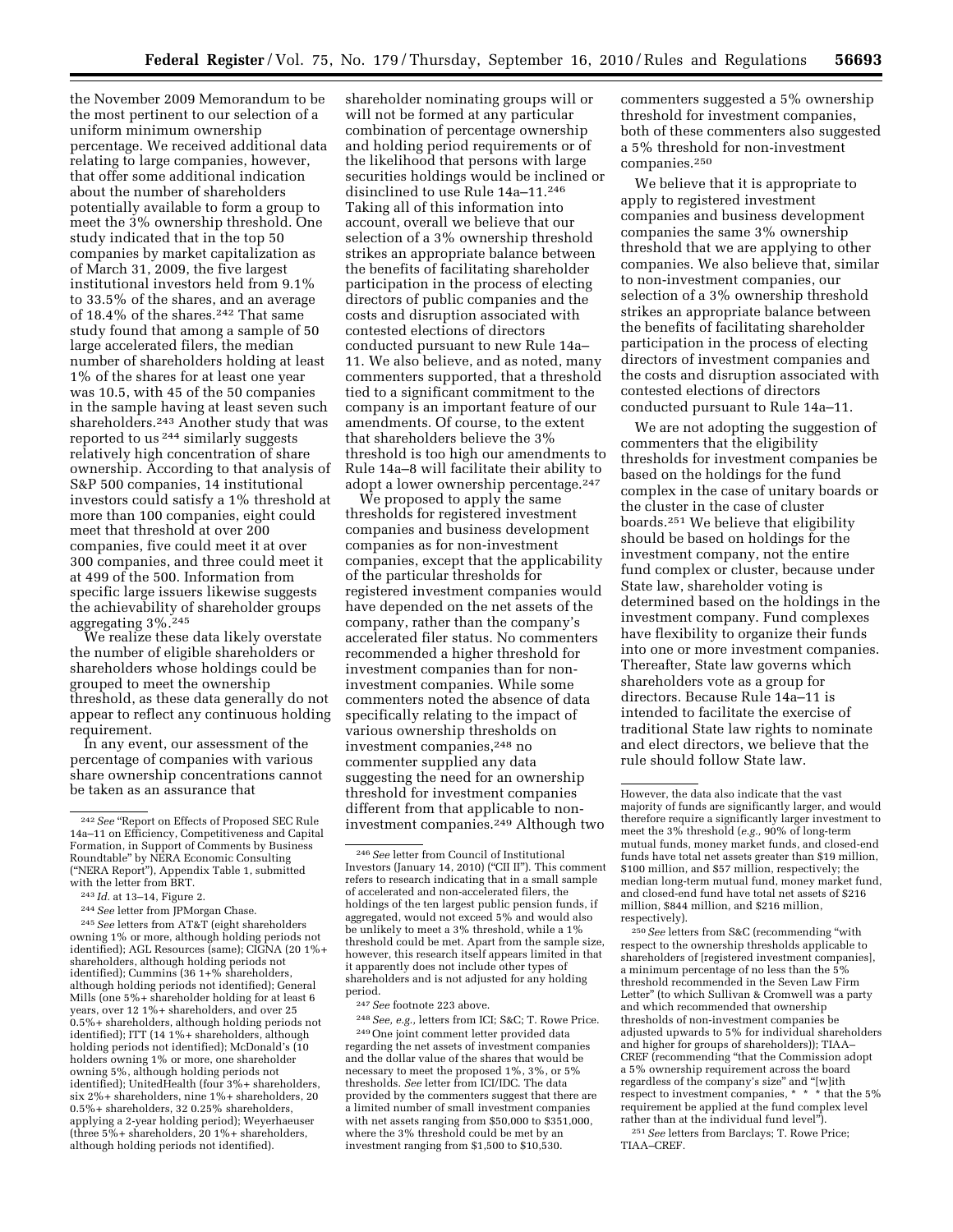the November 2009 Memorandum to be the most pertinent to our selection of a uniform minimum ownership percentage. We received additional data relating to large companies, however, that offer some additional indication about the number of shareholders potentially available to form a group to meet the 3% ownership threshold. One study indicated that in the top 50 companies by market capitalization as of March 31, 2009, the five largest institutional investors held from 9.1% to 33.5% of the shares, and an average of 18.4% of the shares.242 That same study found that among a sample of 50 large accelerated filers, the median number of shareholders holding at least 1% of the shares for at least one year was 10.5, with 45 of the 50 companies in the sample having at least seven such shareholders.243 Another study that was reported to us 244 similarly suggests relatively high concentration of share ownership. According to that analysis of S&P 500 companies, 14 institutional investors could satisfy a 1% threshold at more than 100 companies, eight could meet that threshold at over 200 companies, five could meet it at over 300 companies, and three could meet it at 499 of the 500. Information from specific large issuers likewise suggests the achievability of shareholder groups aggregating 3%.245

We realize these data likely overstate the number of eligible shareholders or shareholders whose holdings could be grouped to meet the ownership threshold, as these data generally do not appear to reflect any continuous holding requirement.

In any event, our assessment of the percentage of companies with various share ownership concentrations cannot be taken as an assurance that

shareholder nominating groups will or will not be formed at any particular combination of percentage ownership and holding period requirements or of the likelihood that persons with large securities holdings would be inclined or disinclined to use Rule 14a–11.<sup>246</sup> Taking all of this information into account, overall we believe that our selection of a 3% ownership threshold strikes an appropriate balance between the benefits of facilitating shareholder participation in the process of electing directors of public companies and the costs and disruption associated with contested elections of directors conducted pursuant to new Rule 14a– 11. We also believe, and as noted, many commenters supported, that a threshold tied to a significant commitment to the company is an important feature of our amendments. Of course, to the extent that shareholders believe the 3% threshold is too high our amendments to Rule 14a–8 will facilitate their ability to adopt a lower ownership percentage.247

We proposed to apply the same thresholds for registered investment companies and business development companies as for non-investment companies, except that the applicability of the particular thresholds for registered investment companies would have depended on the net assets of the company, rather than the company's accelerated filer status. No commenters recommended a higher threshold for investment companies than for noninvestment companies. While some commenters noted the absence of data specifically relating to the impact of various ownership thresholds on investment companies,248 no commenter supplied any data suggesting the need for an ownership threshold for investment companies different from that applicable to noninvestment companies.249 Although two

247*See* footnote 223 above.

248*See, e.g.,* letters from ICI; S&C; T. Rowe Price. 249One joint comment letter provided data regarding the net assets of investment companies and the dollar value of the shares that would be necessary to meet the proposed 1%, 3%, or 5% thresholds. *See* letter from ICI/IDC. The data provided by the commenters suggest that there are a limited number of small investment companies with net assets ranging from \$50,000 to \$351,000, where the 3% threshold could be met by an investment ranging from \$1,500 to \$10,530.

commenters suggested a 5% ownership threshold for investment companies, both of these commenters also suggested a 5% threshold for non-investment companies.250

We believe that it is appropriate to apply to registered investment companies and business development companies the same 3% ownership threshold that we are applying to other companies. We also believe that, similar to non-investment companies, our selection of a 3% ownership threshold strikes an appropriate balance between the benefits of facilitating shareholder participation in the process of electing directors of investment companies and the costs and disruption associated with contested elections of directors conducted pursuant to Rule 14a–11.

We are not adopting the suggestion of commenters that the eligibility thresholds for investment companies be based on the holdings for the fund complex in the case of unitary boards or the cluster in the case of cluster boards.251 We believe that eligibility should be based on holdings for the investment company, not the entire fund complex or cluster, because under State law, shareholder voting is determined based on the holdings in the investment company. Fund complexes have flexibility to organize their funds into one or more investment companies. Thereafter, State law governs which shareholders vote as a group for directors. Because Rule 14a–11 is intended to facilitate the exercise of traditional State law rights to nominate and elect directors, we believe that the rule should follow State law.

250*See* letters from S&C (recommending ''with respect to the ownership thresholds applicable to shareholders of [registered investment companies], a minimum percentage of no less than the 5% threshold recommended in the Seven Law Firm Letter'' (to which Sullivan & Cromwell was a party and which recommended that ownership thresholds of non-investment companies be adjusted upwards to 5% for individual shareholders and higher for groups of shareholders)); TIAA– CREF (recommending ''that the Commission adopt a 5% ownership requirement across the board regardless of the company's size'' and ''[w]ith respect to investment companies, \* \* \* that the 5% requirement be applied at the fund complex level rather than at the individual fund level''). 251*See* letters from Barclays; T. Rowe Price; TIAA–CREF.

<sup>&</sup>lt;sup>242</sup> See "Report on Effects of Proposed SEC Rule 14a–11 on Efficiency, Competitiveness and Capital Formation, in Support of Comments by Business Roundtable'' by NERA Economic Consulting (''NERA Report''), Appendix Table 1, submitted with the letter from BRT.

<sup>243</sup> *Id.* at 13–14, Figure 2.

<sup>244</sup>*See* letter from JPMorgan Chase.

<sup>245</sup>*See* letters from AT&T (eight shareholders owning 1% or more, although holding periods not identified); AGL Resources (same); CIGNA (20 1%+ shareholders, although holding periods not identified); Cummins (36 1+% shareholders, although holding periods not identified); General Mills (one 5%+ shareholder holding for at least 6 years, over 12 1%+ shareholders, and over 25 0.5%+ shareholders, although holding periods not identified); ITT (14 1%+ shareholders, although holding periods not identified); McDonald's (10 holders owning 1% or more, one shareholder owning 5%, although holding periods not identified); UnitedHealth (four 3%+ shareholders, six 2%+ shareholders, nine 1%+ shareholders, 20 0.5%+ shareholders, 32 0.25% shareholders, applying a 2-year holding period); Weyerhaeuser (three 5%+ shareholders, 20 1%+ shareholders, although holding periods not identified).

<sup>246</sup>*See* letter from Council of Institutional Investors (January 14, 2010) (''CII II''). This comment refers to research indicating that in a small sample of accelerated and non-accelerated filers, the holdings of the ten largest public pension funds, if aggregated, would not exceed 5% and would also be unlikely to meet a 3% threshold, while a 1% threshold could be met. Apart from the sample size, however, this research itself appears limited in that it apparently does not include other types of shareholders and is not adjusted for any holding period.

However, the data also indicate that the vast majority of funds are significantly larger, and would therefore require a significantly larger investment to meet the 3% threshold (*e.g.,* 90% of long-term mutual funds, money market funds, and closed-end funds have total net assets greater than \$19 million, \$100 million, and \$57 million, respectively; the median long-term mutual fund, money market fund, and closed-end fund have total net assets of \$216 million, \$844 million, and \$216 million, respectively).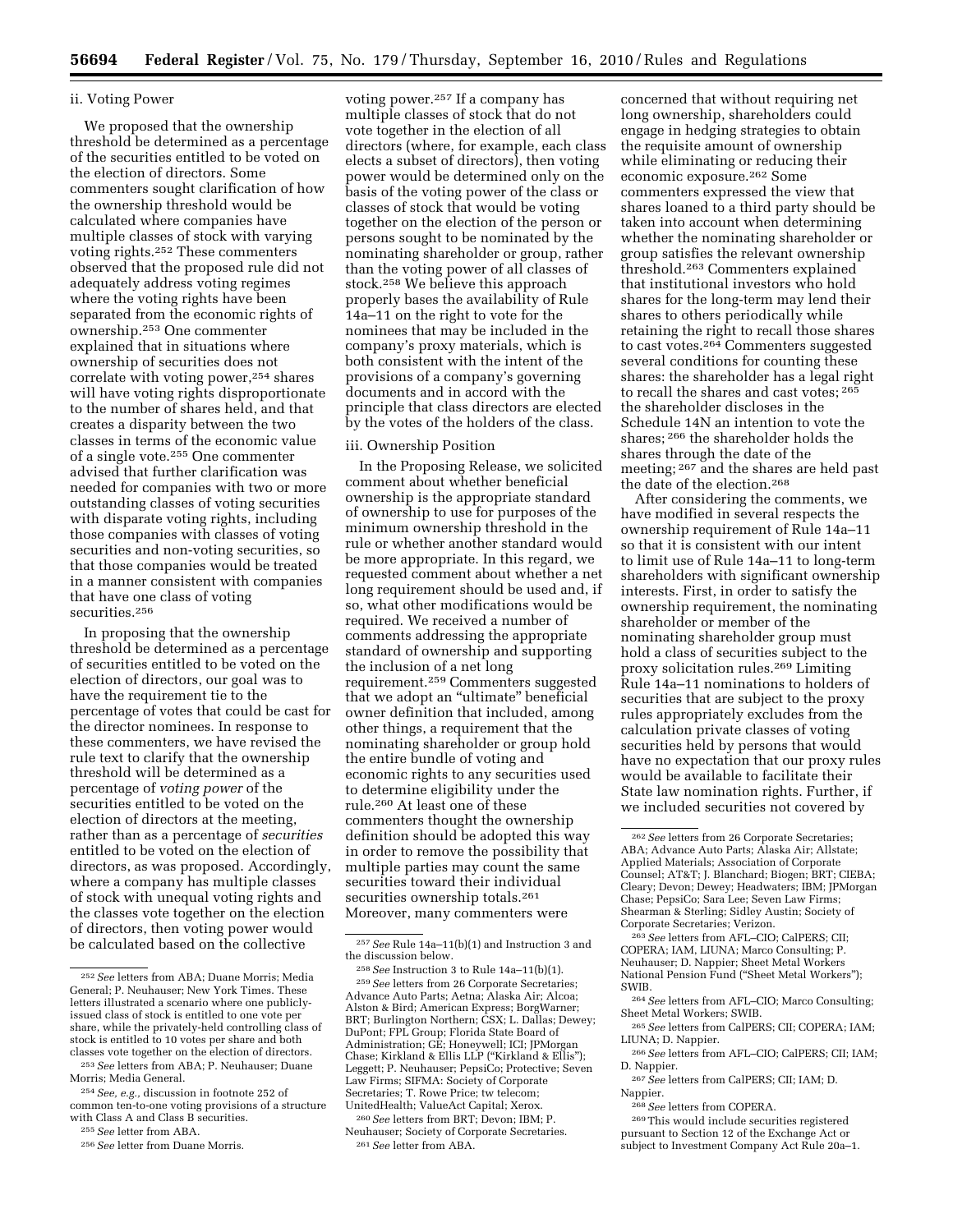## ii. Voting Power

We proposed that the ownership threshold be determined as a percentage of the securities entitled to be voted on the election of directors. Some commenters sought clarification of how the ownership threshold would be calculated where companies have multiple classes of stock with varying voting rights.252 These commenters observed that the proposed rule did not adequately address voting regimes where the voting rights have been separated from the economic rights of ownership.253 One commenter explained that in situations where ownership of securities does not correlate with voting power,254 shares will have voting rights disproportionate to the number of shares held, and that creates a disparity between the two classes in terms of the economic value of a single vote.255 One commenter advised that further clarification was needed for companies with two or more outstanding classes of voting securities with disparate voting rights, including those companies with classes of voting securities and non-voting securities, so that those companies would be treated in a manner consistent with companies that have one class of voting securities.256

In proposing that the ownership threshold be determined as a percentage of securities entitled to be voted on the election of directors, our goal was to have the requirement tie to the percentage of votes that could be cast for the director nominees. In response to these commenters, we have revised the rule text to clarify that the ownership threshold will be determined as a percentage of *voting power* of the securities entitled to be voted on the election of directors at the meeting, rather than as a percentage of *securities*  entitled to be voted on the election of directors, as was proposed. Accordingly, where a company has multiple classes of stock with unequal voting rights and the classes vote together on the election of directors, then voting power would be calculated based on the collective

voting power.257 If a company has multiple classes of stock that do not vote together in the election of all directors (where, for example, each class elects a subset of directors), then voting power would be determined only on the basis of the voting power of the class or classes of stock that would be voting together on the election of the person or persons sought to be nominated by the nominating shareholder or group, rather than the voting power of all classes of stock.258 We believe this approach properly bases the availability of Rule 14a–11 on the right to vote for the nominees that may be included in the company's proxy materials, which is both consistent with the intent of the provisions of a company's governing documents and in accord with the principle that class directors are elected by the votes of the holders of the class.

## iii. Ownership Position

In the Proposing Release, we solicited comment about whether beneficial ownership is the appropriate standard of ownership to use for purposes of the minimum ownership threshold in the rule or whether another standard would be more appropriate. In this regard, we requested comment about whether a net long requirement should be used and, if so, what other modifications would be required. We received a number of comments addressing the appropriate standard of ownership and supporting the inclusion of a net long requirement.259 Commenters suggested that we adopt an ''ultimate'' beneficial owner definition that included, among other things, a requirement that the nominating shareholder or group hold the entire bundle of voting and economic rights to any securities used to determine eligibility under the rule.260 At least one of these commenters thought the ownership definition should be adopted this way in order to remove the possibility that multiple parties may count the same securities toward their individual securities ownership totals.<sup>261</sup> Moreover, many commenters were

260*See* letters from BRT; Devon; IBM; P. Neuhauser; Society of Corporate Secretaries. 261*See* letter from ABA.

concerned that without requiring net long ownership, shareholders could engage in hedging strategies to obtain the requisite amount of ownership while eliminating or reducing their economic exposure.262 Some commenters expressed the view that shares loaned to a third party should be taken into account when determining whether the nominating shareholder or group satisfies the relevant ownership threshold.263 Commenters explained that institutional investors who hold shares for the long-term may lend their shares to others periodically while retaining the right to recall those shares to cast votes.264 Commenters suggested several conditions for counting these shares: the shareholder has a legal right to recall the shares and cast votes; 265 the shareholder discloses in the Schedule 14N an intention to vote the shares; 266 the shareholder holds the shares through the date of the meeting; 267 and the shares are held past the date of the election.268

After considering the comments, we have modified in several respects the ownership requirement of Rule 14a–11 so that it is consistent with our intent to limit use of Rule 14a–11 to long-term shareholders with significant ownership interests. First, in order to satisfy the ownership requirement, the nominating shareholder or member of the nominating shareholder group must hold a class of securities subject to the proxy solicitation rules.269 Limiting Rule 14a–11 nominations to holders of securities that are subject to the proxy rules appropriately excludes from the calculation private classes of voting securities held by persons that would have no expectation that our proxy rules would be available to facilitate their State law nomination rights. Further, if we included securities not covered by

265*See* letters from CalPERS; CII; COPERA; IAM; LIUNA; D. Nappier.

- 266*See* letters from AFL–CIO; CalPERS; CII; IAM; D. Nappier.
- 267*See* letters from CalPERS; CII; IAM; D. Nappier.
	- 268*See* letters from COPERA.

269This would include securities registered pursuant to Section 12 of the Exchange Act or subject to Investment Company Act Rule 20a–1.

<sup>252</sup>*See* letters from ABA; Duane Morris; Media General; P. Neuhauser; New York Times. These letters illustrated a scenario where one publiclyissued class of stock is entitled to one vote per share, while the privately-held controlling class of stock is entitled to 10 votes per share and both classes vote together on the election of directors.

<sup>253</sup>*See* letters from ABA; P. Neuhauser; Duane Morris; Media General.

<sup>254</sup>*See, e.g.,* discussion in footnote 252 of common ten-to-one voting provisions of a structure with Class A and Class B securities.

<sup>255</sup>*See* letter from ABA.

<sup>256</sup>*See* letter from Duane Morris.

<sup>&</sup>lt;sup>257</sup> See Rule 14a–11(b)(1) and Instruction 3 and the discussion below.

<sup>&</sup>lt;sup>258</sup> See Instruction 3 to Rule 14a–11(b)(1).<br><sup>259</sup> See letters from 26 Corporate Secretaries; Advance Auto Parts; Aetna; Alaska Air; Alcoa; Alston & Bird; American Express; BorgWarner; BRT; Burlington Northern; CSX; L. Dallas; Dewey; DuPont; FPL Group; Florida State Board of Administration; GE; Honeywell; ICI; JPMorgan Chase; Kirkland & Ellis LLP (''Kirkland & Ellis''); Leggett; P. Neuhauser; PepsiCo; Protective; Seven Law Firms; SIFMA: Society of Corporate Secretaries; T. Rowe Price; tw telecom; UnitedHealth; ValueAct Capital; Xerox.

<sup>262</sup>*See* letters from 26 Corporate Secretaries; ABA; Advance Auto Parts; Alaska Air; Allstate; Applied Materials; Association of Corporate Counsel; AT&T; J. Blanchard; Biogen; BRT; CIEBA; Cleary; Devon; Dewey; Headwaters; IBM; JPMorgan Chase; PepsiCo; Sara Lee; Seven Law Firms; Shearman & Sterling; Sidley Austin; Society of Corporate Secretaries; Verizon.

<sup>263</sup>*See* letters from AFL–CIO; CalPERS; CII; COPERA; IAM, LIUNA; Marco Consulting; P. Neuhauser; D. Nappier; Sheet Metal Workers National Pension Fund (''Sheet Metal Workers''); SWIB.

<sup>264</sup>*See* letters from AFL–CIO; Marco Consulting; Sheet Metal Workers; SWIB.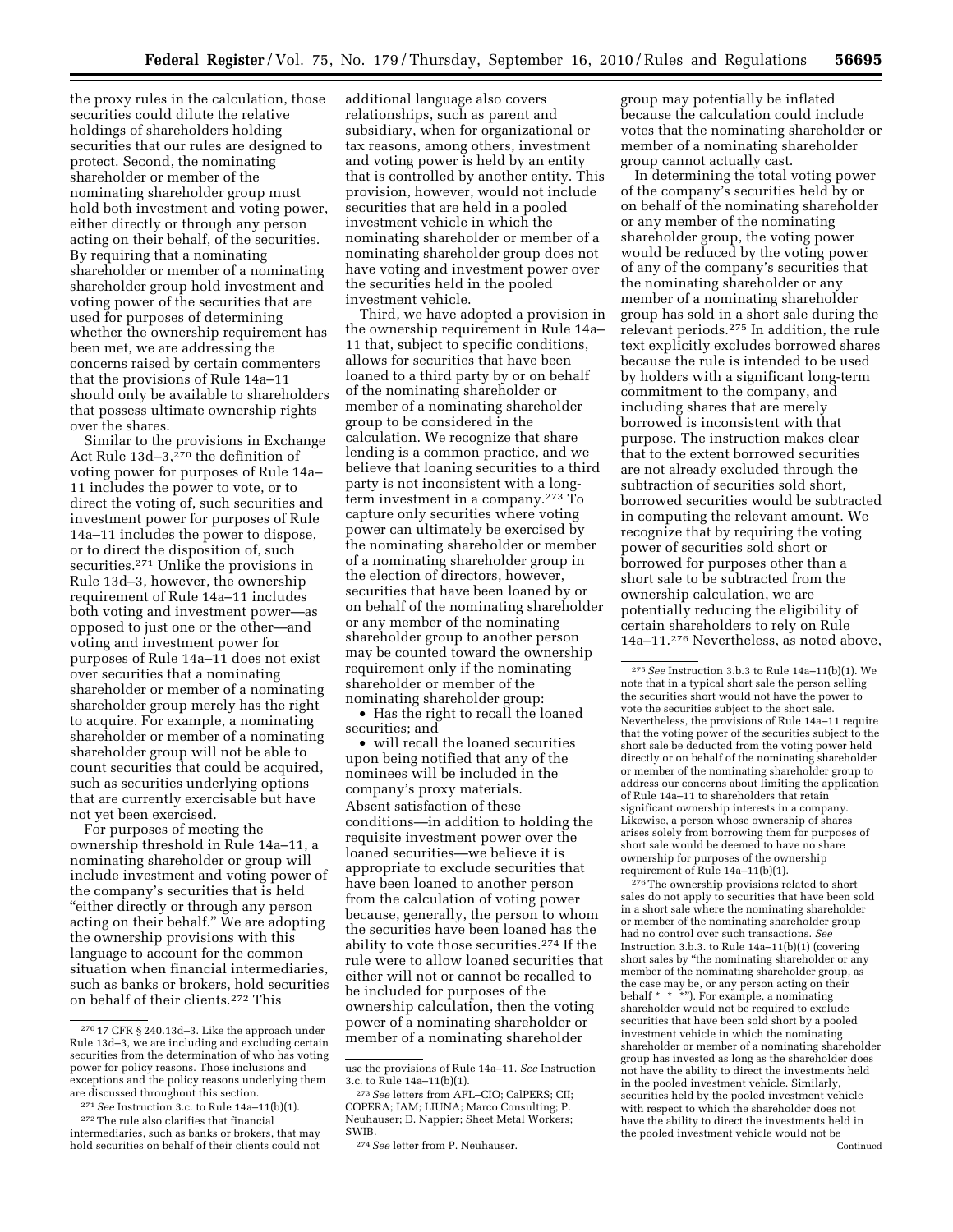the proxy rules in the calculation, those securities could dilute the relative holdings of shareholders holding securities that our rules are designed to protect. Second, the nominating shareholder or member of the nominating shareholder group must hold both investment and voting power, either directly or through any person acting on their behalf, of the securities. By requiring that a nominating shareholder or member of a nominating shareholder group hold investment and voting power of the securities that are used for purposes of determining whether the ownership requirement has been met, we are addressing the concerns raised by certain commenters that the provisions of Rule 14a–11 should only be available to shareholders that possess ultimate ownership rights over the shares.

Similar to the provisions in Exchange Act Rule  $13d-3$ ,  $270$  the definition of voting power for purposes of Rule 14a– 11 includes the power to vote, or to direct the voting of, such securities and investment power for purposes of Rule 14a–11 includes the power to dispose, or to direct the disposition of, such securities.271 Unlike the provisions in Rule 13d–3, however, the ownership requirement of Rule 14a–11 includes both voting and investment power—as opposed to just one or the other—and voting and investment power for purposes of Rule 14a–11 does not exist over securities that a nominating shareholder or member of a nominating shareholder group merely has the right to acquire. For example, a nominating shareholder or member of a nominating shareholder group will not be able to count securities that could be acquired, such as securities underlying options that are currently exercisable but have not yet been exercised.

For purposes of meeting the ownership threshold in Rule 14a–11, a nominating shareholder or group will include investment and voting power of the company's securities that is held ''either directly or through any person acting on their behalf.'' We are adopting the ownership provisions with this language to account for the common situation when financial intermediaries, such as banks or brokers, hold securities on behalf of their clients.272 This

additional language also covers relationships, such as parent and subsidiary, when for organizational or tax reasons, among others, investment and voting power is held by an entity that is controlled by another entity. This provision, however, would not include securities that are held in a pooled investment vehicle in which the nominating shareholder or member of a nominating shareholder group does not have voting and investment power over the securities held in the pooled investment vehicle.

Third, we have adopted a provision in the ownership requirement in Rule 14a– 11 that, subject to specific conditions, allows for securities that have been loaned to a third party by or on behalf of the nominating shareholder or member of a nominating shareholder group to be considered in the calculation. We recognize that share lending is a common practice, and we believe that loaning securities to a third party is not inconsistent with a longterm investment in a company.273 To capture only securities where voting power can ultimately be exercised by the nominating shareholder or member of a nominating shareholder group in the election of directors, however, securities that have been loaned by or on behalf of the nominating shareholder or any member of the nominating shareholder group to another person may be counted toward the ownership requirement only if the nominating shareholder or member of the nominating shareholder group:

• Has the right to recall the loaned securities; and

• will recall the loaned securities upon being notified that any of the nominees will be included in the company's proxy materials. Absent satisfaction of these conditions—in addition to holding the requisite investment power over the loaned securities—we believe it is appropriate to exclude securities that have been loaned to another person from the calculation of voting power because, generally, the person to whom the securities have been loaned has the ability to vote those securities.274 If the rule were to allow loaned securities that either will not or cannot be recalled to be included for purposes of the ownership calculation, then the voting power of a nominating shareholder or member of a nominating shareholder

group may potentially be inflated because the calculation could include votes that the nominating shareholder or member of a nominating shareholder group cannot actually cast.

In determining the total voting power of the company's securities held by or on behalf of the nominating shareholder or any member of the nominating shareholder group, the voting power would be reduced by the voting power of any of the company's securities that the nominating shareholder or any member of a nominating shareholder group has sold in a short sale during the relevant periods.275 In addition, the rule text explicitly excludes borrowed shares because the rule is intended to be used by holders with a significant long-term commitment to the company, and including shares that are merely borrowed is inconsistent with that purpose. The instruction makes clear that to the extent borrowed securities are not already excluded through the subtraction of securities sold short, borrowed securities would be subtracted in computing the relevant amount. We recognize that by requiring the voting power of securities sold short or borrowed for purposes other than a short sale to be subtracted from the ownership calculation, we are potentially reducing the eligibility of certain shareholders to rely on Rule 14a–11.276 Nevertheless, as noted above,

276The ownership provisions related to short sales do not apply to securities that have been sold in a short sale where the nominating shareholder or member of the nominating shareholder group had no control over such transactions. *See*  Instruction 3.b.3. to Rule 14a–11(b)(1) (covering short sales by ''the nominating shareholder or any member of the nominating shareholder group, as the case may be, or any person acting on their behalf \* \* \*''). For example, a nominating shareholder would not be required to exclude securities that have been sold short by a pooled investment vehicle in which the nominating shareholder or member of a nominating shareholder group has invested as long as the shareholder does not have the ability to direct the investments held in the pooled investment vehicle. Similarly, securities held by the pooled investment vehicle with respect to which the shareholder does not have the ability to direct the investments held in the pooled investment vehicle would not be Continued

<sup>270</sup> 17 CFR § 240.13d–3. Like the approach under Rule 13d–3, we are including and excluding certain securities from the determination of who has voting power for policy reasons. Those inclusions and exceptions and the policy reasons underlying them are discussed throughout this section.

<sup>271</sup>*See* Instruction 3.c. to Rule 14a–11(b)(1).

<sup>272</sup>The rule also clarifies that financial intermediaries, such as banks or brokers, that may hold securities on behalf of their clients could not

use the provisions of Rule 14a–11. *See* Instruction 3.c. to Rule 14a–11(b)(1).

<sup>273</sup>*See* letters from AFL–CIO; CalPERS; CII; COPERA; IAM; LIUNA; Marco Consulting; P. Neuhauser; D. Nappier; Sheet Metal Workers; SWIB.

<sup>274</sup>*See* letter from P. Neuhauser.

<sup>275</sup>*See* Instruction 3.b.3 to Rule 14a–11(b)(1). We note that in a typical short sale the person selling the securities short would not have the power to vote the securities subject to the short sale. Nevertheless, the provisions of Rule 14a–11 require that the voting power of the securities subject to the short sale be deducted from the voting power held directly or on behalf of the nominating shareholder or member of the nominating shareholder group to address our concerns about limiting the application of Rule 14a–11 to shareholders that retain significant ownership interests in a company. Likewise, a person whose ownership of shares arises solely from borrowing them for purposes of short sale would be deemed to have no share ownership for purposes of the ownership requirement of Rule 14a–11(b)(1).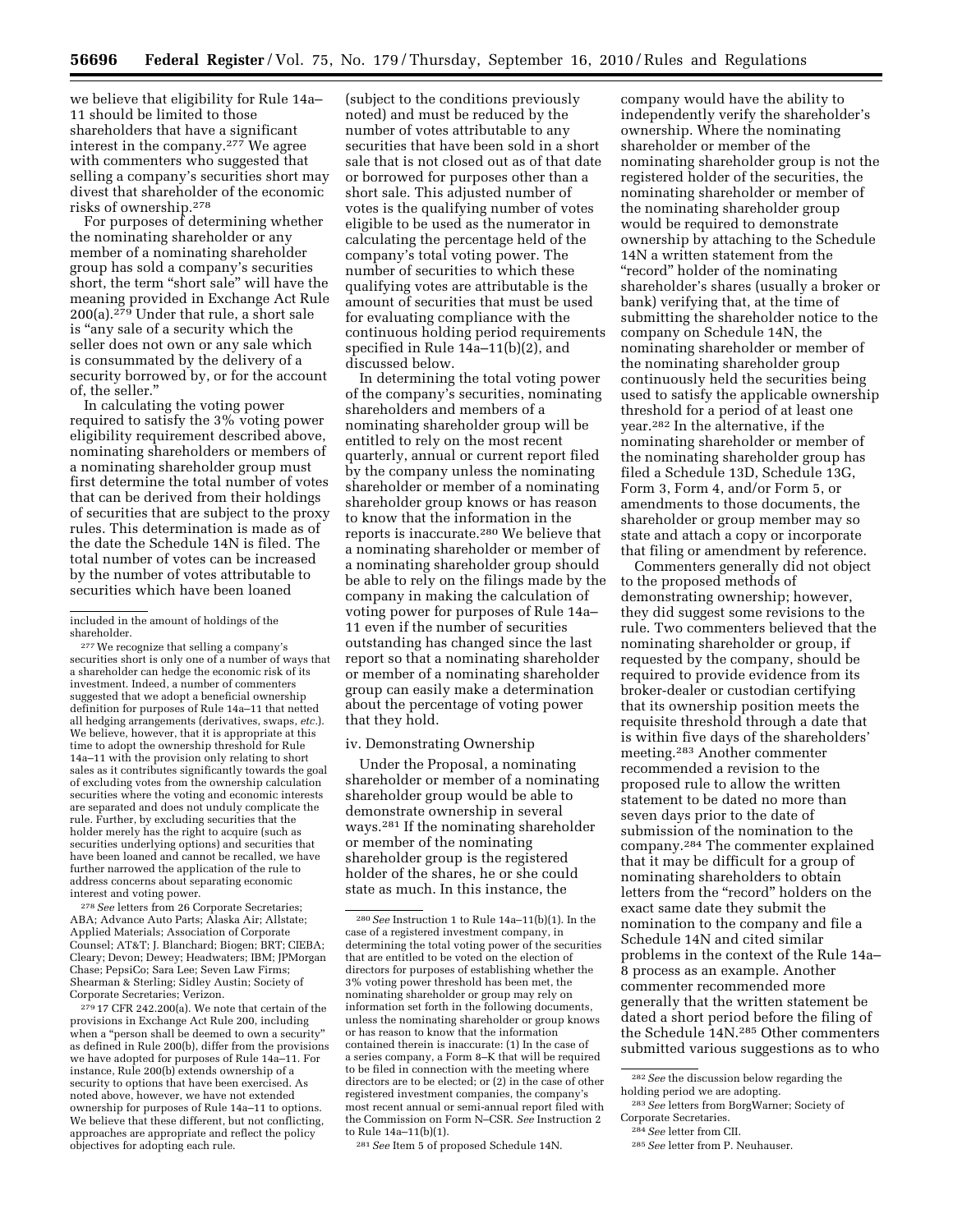we believe that eligibility for Rule 14a– 11 should be limited to those shareholders that have a significant interest in the company.277 We agree with commenters who suggested that selling a company's securities short may divest that shareholder of the economic risks of ownership.278

For purposes of determining whether the nominating shareholder or any member of a nominating shareholder group has sold a company's securities short, the term ''short sale'' will have the meaning provided in Exchange Act Rule 200(a).279 Under that rule, a short sale is ''any sale of a security which the seller does not own or any sale which is consummated by the delivery of a security borrowed by, or for the account of, the seller.''

In calculating the voting power required to satisfy the 3% voting power eligibility requirement described above, nominating shareholders or members of a nominating shareholder group must first determine the total number of votes that can be derived from their holdings of securities that are subject to the proxy rules. This determination is made as of the date the Schedule 14N is filed. The total number of votes can be increased by the number of votes attributable to securities which have been loaned

277We recognize that selling a company's securities short is only one of a number of ways that a shareholder can hedge the economic risk of its investment. Indeed, a number of commenters suggested that we adopt a beneficial ownership definition for purposes of Rule 14a–11 that netted all hedging arrangements (derivatives, swaps, *etc.*). We believe, however, that it is appropriate at this time to adopt the ownership threshold for Rule 14a–11 with the provision only relating to short sales as it contributes significantly towards the goal of excluding votes from the ownership calculation securities where the voting and economic interests are separated and does not unduly complicate the rule. Further, by excluding securities that the holder merely has the right to acquire (such as securities underlying options) and securities that have been loaned and cannot be recalled, we have further narrowed the application of the rule to address concerns about separating economic interest and voting power.

278*See* letters from 26 Corporate Secretaries; ABA; Advance Auto Parts; Alaska Air; Allstate; Applied Materials; Association of Corporate Counsel; AT&T; J. Blanchard; Biogen; BRT; CIEBA; Cleary; Devon; Dewey; Headwaters; IBM; JPMorgan Chase; PepsiCo; Sara Lee; Seven Law Firms; Shearman & Sterling; Sidley Austin; Society of Corporate Secretaries; Verizon.

279 17 CFR 242.200(a). We note that certain of the provisions in Exchange Act Rule 200, including when a "person shall be deemed to own a security" as defined in Rule 200(b), differ from the provisions we have adopted for purposes of Rule 14a–11. For instance, Rule 200(b) extends ownership of a security to options that have been exercised. As noted above, however, we have not extended ownership for purposes of Rule 14a–11 to options. We believe that these different, but not conflicting, approaches are appropriate and reflect the policy objectives for adopting each rule.

(subject to the conditions previously noted) and must be reduced by the number of votes attributable to any securities that have been sold in a short sale that is not closed out as of that date or borrowed for purposes other than a short sale. This adjusted number of votes is the qualifying number of votes eligible to be used as the numerator in calculating the percentage held of the company's total voting power. The number of securities to which these qualifying votes are attributable is the amount of securities that must be used for evaluating compliance with the continuous holding period requirements specified in Rule 14a–11(b)(2), and discussed below.

In determining the total voting power of the company's securities, nominating shareholders and members of a nominating shareholder group will be entitled to rely on the most recent quarterly, annual or current report filed by the company unless the nominating shareholder or member of a nominating shareholder group knows or has reason to know that the information in the reports is inaccurate.280 We believe that a nominating shareholder or member of a nominating shareholder group should be able to rely on the filings made by the company in making the calculation of voting power for purposes of Rule 14a– 11 even if the number of securities outstanding has changed since the last report so that a nominating shareholder or member of a nominating shareholder group can easily make a determination about the percentage of voting power that they hold.

# iv. Demonstrating Ownership

Under the Proposal, a nominating shareholder or member of a nominating shareholder group would be able to demonstrate ownership in several ways.281 If the nominating shareholder or member of the nominating shareholder group is the registered holder of the shares, he or she could state as much. In this instance, the

281*See* Item 5 of proposed Schedule 14N.

company would have the ability to independently verify the shareholder's ownership. Where the nominating shareholder or member of the nominating shareholder group is not the registered holder of the securities, the nominating shareholder or member of the nominating shareholder group would be required to demonstrate ownership by attaching to the Schedule 14N a written statement from the ''record'' holder of the nominating shareholder's shares (usually a broker or bank) verifying that, at the time of submitting the shareholder notice to the company on Schedule 14N, the nominating shareholder or member of the nominating shareholder group continuously held the securities being used to satisfy the applicable ownership threshold for a period of at least one year.282 In the alternative, if the nominating shareholder or member of the nominating shareholder group has filed a Schedule 13D, Schedule 13G, Form 3, Form 4, and/or Form 5, or amendments to those documents, the shareholder or group member may so state and attach a copy or incorporate that filing or amendment by reference.

Commenters generally did not object to the proposed methods of demonstrating ownership; however, they did suggest some revisions to the rule. Two commenters believed that the nominating shareholder or group, if requested by the company, should be required to provide evidence from its broker-dealer or custodian certifying that its ownership position meets the requisite threshold through a date that is within five days of the shareholders' meeting.283 Another commenter recommended a revision to the proposed rule to allow the written statement to be dated no more than seven days prior to the date of submission of the nomination to the company.284 The commenter explained that it may be difficult for a group of nominating shareholders to obtain letters from the "record" holders on the exact same date they submit the nomination to the company and file a Schedule 14N and cited similar problems in the context of the Rule 14a– 8 process as an example. Another commenter recommended more generally that the written statement be dated a short period before the filing of the Schedule 14N.285 Other commenters submitted various suggestions as to who

285*See* letter from P. Neuhauser.

included in the amount of holdings of the shareholder.

<sup>280</sup>*See* Instruction 1 to Rule 14a–11(b)(1). In the case of a registered investment company, in determining the total voting power of the securities that are entitled to be voted on the election of directors for purposes of establishing whether the 3% voting power threshold has been met, the nominating shareholder or group may rely on information set forth in the following documents, unless the nominating shareholder or group knows or has reason to know that the information contained therein is inaccurate: (1) In the case of a series company, a Form 8–K that will be required to be filed in connection with the meeting where directors are to be elected; or (2) in the case of other registered investment companies, the company's most recent annual or semi-annual report filed with the Commission on Form N–CSR. *See* Instruction 2 to Rule 14a–11(b)(1).

<sup>282</sup>*See* the discussion below regarding the holding period we are adopting.

<sup>283</sup>*See* letters from BorgWarner; Society of Corporate Secretaries.

<sup>284</sup>*See* letter from CII.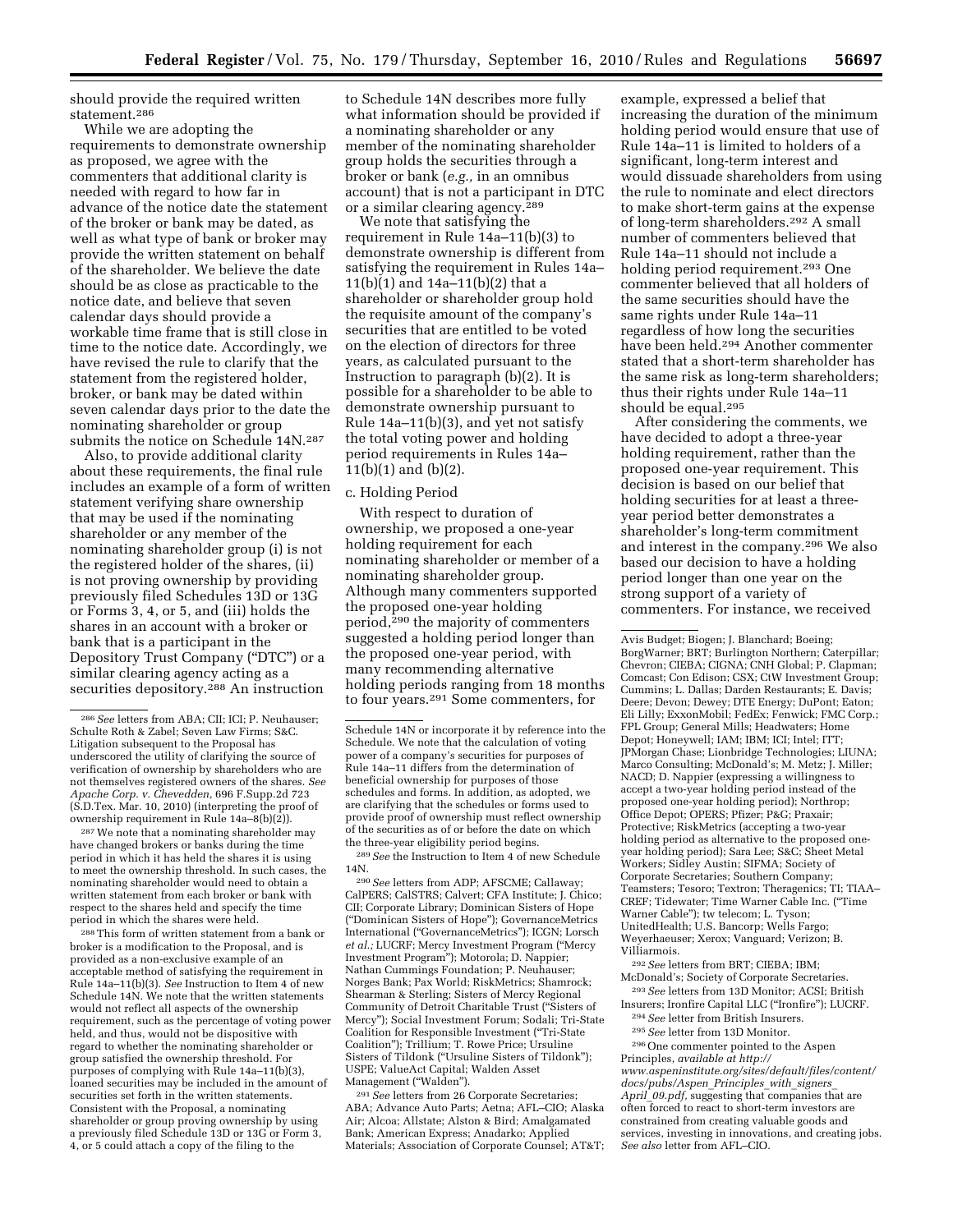should provide the required written statement.286

While we are adopting the requirements to demonstrate ownership as proposed, we agree with the commenters that additional clarity is needed with regard to how far in advance of the notice date the statement of the broker or bank may be dated, as well as what type of bank or broker may provide the written statement on behalf of the shareholder. We believe the date should be as close as practicable to the notice date, and believe that seven calendar days should provide a workable time frame that is still close in time to the notice date. Accordingly, we have revised the rule to clarify that the statement from the registered holder, broker, or bank may be dated within seven calendar days prior to the date the nominating shareholder or group submits the notice on Schedule 14N.287

Also, to provide additional clarity about these requirements, the final rule includes an example of a form of written statement verifying share ownership that may be used if the nominating shareholder or any member of the nominating shareholder group (i) is not the registered holder of the shares, (ii) is not proving ownership by providing previously filed Schedules 13D or 13G or Forms 3, 4, or 5, and (iii) holds the shares in an account with a broker or bank that is a participant in the Depository Trust Company (''DTC'') or a similar clearing agency acting as a securities depository.<sup>288</sup> An instruction

287We note that a nominating shareholder may have changed brokers or banks during the time period in which it has held the shares it is using to meet the ownership threshold. In such cases, the nominating shareholder would need to obtain a written statement from each broker or bank with respect to the shares held and specify the time period in which the shares were held.

288This form of written statement from a bank or broker is a modification to the Proposal, and is provided as a non-exclusive example of an acceptable method of satisfying the requirement in Rule 14a–11(b)(3). *See* Instruction to Item 4 of new Schedule 14N. We note that the written statements would not reflect all aspects of the ownership requirement, such as the percentage of voting power held, and thus, would not be dispositive with regard to whether the nominating shareholder or group satisfied the ownership threshold. For purposes of complying with Rule 14a–11(b)(3), loaned securities may be included in the amount of securities set forth in the written statements. Consistent with the Proposal, a nominating shareholder or group proving ownership by using a previously filed Schedule 13D or 13G or Form 3, 4, or 5 could attach a copy of the filing to the

to Schedule 14N describes more fully what information should be provided if a nominating shareholder or any member of the nominating shareholder group holds the securities through a broker or bank (*e.g.,* in an omnibus account) that is not a participant in DTC or a similar clearing agency.289

We note that satisfying the requirement in Rule 14a–11(b)(3) to demonstrate ownership is different from satisfying the requirement in Rules 14a– 11(b)(1) and 14a–11(b)(2) that a shareholder or shareholder group hold the requisite amount of the company's securities that are entitled to be voted on the election of directors for three years, as calculated pursuant to the Instruction to paragraph (b)(2). It is possible for a shareholder to be able to demonstrate ownership pursuant to Rule 14a–11(b)(3), and yet not satisfy the total voting power and holding period requirements in Rules 14a– 11(b)(1) and (b)(2).

#### c. Holding Period

With respect to duration of ownership, we proposed a one-year holding requirement for each nominating shareholder or member of a nominating shareholder group. Although many commenters supported the proposed one-year holding period,<sup>290</sup> the majority of commenters suggested a holding period longer than the proposed one-year period, with many recommending alternative holding periods ranging from 18 months to four years.291 Some commenters, for

289*See* the Instruction to Item 4 of new Schedule 14N.

290*See* letters from ADP; AFSCME; Callaway; CalPERS; CalSTRS; Calvert; CFA Institute; J. Chico; CII; Corporate Library; Dominican Sisters of Hope (''Dominican Sisters of Hope''); GovernanceMetrics International (''GovernanceMetrics''); ICGN; Lorsch *et al.;* LUCRF; Mercy Investment Program (''Mercy Investment Program''); Motorola; D. Nappier; Nathan Cummings Foundation; P. Neuhauser; Norges Bank; Pax World; RiskMetrics; Shamrock; Shearman & Sterling; Sisters of Mercy Regional Community of Detroit Charitable Trust (''Sisters of Mercy''); Social Investment Forum; Sodali; Tri-State Coalition for Responsible Investment (''Tri-State Coalition''); Trillium; T. Rowe Price; Ursuline Sisters of Tildonk (''Ursuline Sisters of Tildonk''); USPE; ValueAct Capital; Walden Asset Management (''Walden'').

291*See* letters from 26 Corporate Secretaries; ABA; Advance Auto Parts; Aetna; AFL–CIO; Alaska Air; Alcoa; Allstate; Alston & Bird; Amalgamated Bank; American Express; Anadarko; Applied Materials; Association of Corporate Counsel; AT&T;

example, expressed a belief that increasing the duration of the minimum holding period would ensure that use of Rule 14a–11 is limited to holders of a significant, long-term interest and would dissuade shareholders from using the rule to nominate and elect directors to make short-term gains at the expense of long-term shareholders.292 A small number of commenters believed that Rule 14a–11 should not include a holding period requirement.293 One commenter believed that all holders of the same securities should have the same rights under Rule 14a–11 regardless of how long the securities have been held.294 Another commenter stated that a short-term shareholder has the same risk as long-term shareholders; thus their rights under Rule 14a–11 should be equal.295

After considering the comments, we have decided to adopt a three-year holding requirement, rather than the proposed one-year requirement. This decision is based on our belief that holding securities for at least a threeyear period better demonstrates a shareholder's long-term commitment and interest in the company.296 We also based our decision to have a holding period longer than one year on the strong support of a variety of commenters. For instance, we received

Avis Budget; Biogen; J. Blanchard; Boeing; BorgWarner; BRT; Burlington Northern; Caterpillar; Chevron; CIEBA; CIGNA; CNH Global; P. Clapman; Comcast; Con Edison; CSX; CtW Investment Group; Cummins; L. Dallas; Darden Restaurants; E. Davis; Deere; Devon; Dewey; DTE Energy; DuPont; Eaton; Eli Lilly; ExxonMobil; FedEx; Fenwick; FMC Corp.; FPL Group; General Mills; Headwaters; Home Depot; Honeywell; IAM; IBM; ICI; Intel; ITT; JPMorgan Chase; Lionbridge Technologies; LIUNA; Marco Consulting; McDonald's; M. Metz; J. Miller; NACD; D. Nappier (expressing a willingness to accept a two-year holding period instead of the proposed one-year holding period); Northrop; Office Depot; OPERS; Pfizer; P&G; Praxair; Protective; RiskMetrics (accepting a two-year holding period as alternative to the proposed oneyear holding period); Sara Lee; S&C; Sheet Metal Workers; Sidley Austin; SIFMA; Society of Corporate Secretaries; Southern Company; Teamsters; Tesoro; Textron; Theragenics; TI; TIAA– CREF; Tidewater; Time Warner Cable Inc. (''Time Warner Cable''); tw telecom; L. Tyson; UnitedHealth; U.S. Bancorp; Wells Fargo; Weyerhaeuser; Xerox; Vanguard; Verizon; B. Villiarmois.

292*See* letters from BRT; CIEBA; IBM; McDonald's; Society of Corporate Secretaries. 293*See* letters from 13D Monitor; ACSI; British

Insurers; Ironfire Capital LLC (''Ironfire''); LUCRF. 294*See* letter from British Insurers.

295*See* letter from 13D Monitor.

296One commenter pointed to the Aspen Principles, *available at [http://](http://www.aspeninstitute.org/sites/default/files/content/docs/pubs/Aspen_Principles_with_signers_April_09.pdf)* 

*[www.aspeninstitute.org/sites/default/files/content/](http://www.aspeninstitute.org/sites/default/files/content/docs/pubs/Aspen_Principles_with_signers_April_09.pdf)  [docs/pubs/Aspen](http://www.aspeninstitute.org/sites/default/files/content/docs/pubs/Aspen_Principles_with_signers_April_09.pdf)*\_*Principles*\_*with*\_*signers*\_ *April*\_*[09.pdf,](http://www.aspeninstitute.org/sites/default/files/content/docs/pubs/Aspen_Principles_with_signers_April_09.pdf)* suggesting that companies that are often forced to react to short-term investors are constrained from creating valuable goods and services, investing in innovations, and creating jobs. *See also* letter from AFL–CIO.

<sup>286</sup>*See* letters from ABA; CII; ICI; P. Neuhauser; Schulte Roth & Zabel; Seven Law Firms; S&C. Litigation subsequent to the Proposal has underscored the utility of clarifying the source of verification of ownership by shareholders who are not themselves registered owners of the shares. *See Apache Corp. v. Chevedden,* 696 F.Supp.2d 723 (S.D.Tex. Mar. 10, 2010) (interpreting the proof of ownership requirement in Rule 14a–8(b)(2)).

Schedule 14N or incorporate it by reference into the Schedule. We note that the calculation of voting power of a company's securities for purposes of Rule 14a–11 differs from the determination of beneficial ownership for purposes of those schedules and forms. In addition, as adopted, we are clarifying that the schedules or forms used to provide proof of ownership must reflect ownership of the securities as of or before the date on which the three-year eligibility period begins.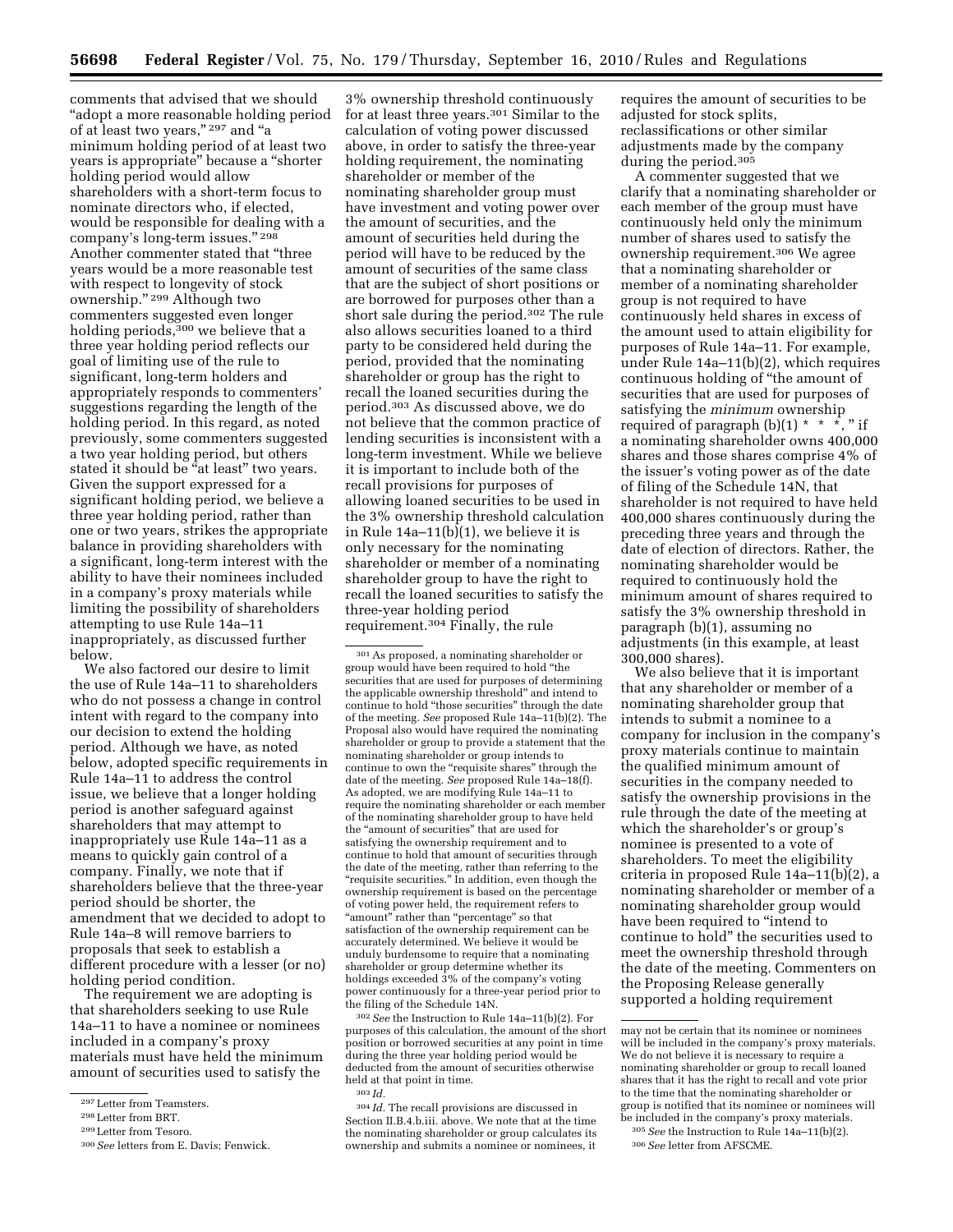comments that advised that we should ''adopt a more reasonable holding period of at least two years," <sup>297</sup> and "a minimum holding period of at least two years is appropriate'' because a ''shorter holding period would allow shareholders with a short-term focus to nominate directors who, if elected, would be responsible for dealing with a company's long-term issues.'' 298 Another commenter stated that ''three years would be a more reasonable test with respect to longevity of stock ownership.'' 299 Although two commenters suggested even longer holding periods,<sup>300</sup> we believe that a three year holding period reflects our goal of limiting use of the rule to significant, long-term holders and appropriately responds to commenters' suggestions regarding the length of the holding period. In this regard, as noted previously, some commenters suggested a two year holding period, but others stated it should be "at least" two years. Given the support expressed for a significant holding period, we believe a three year holding period, rather than one or two years, strikes the appropriate balance in providing shareholders with a significant, long-term interest with the ability to have their nominees included in a company's proxy materials while limiting the possibility of shareholders attempting to use Rule 14a–11 inappropriately, as discussed further below.

We also factored our desire to limit the use of Rule 14a–11 to shareholders who do not possess a change in control intent with regard to the company into our decision to extend the holding period. Although we have, as noted below, adopted specific requirements in Rule 14a–11 to address the control issue, we believe that a longer holding period is another safeguard against shareholders that may attempt to inappropriately use Rule 14a–11 as a means to quickly gain control of a company. Finally, we note that if shareholders believe that the three-year period should be shorter, the amendment that we decided to adopt to Rule 14a–8 will remove barriers to proposals that seek to establish a different procedure with a lesser (or no) holding period condition.

The requirement we are adopting is that shareholders seeking to use Rule 14a–11 to have a nominee or nominees included in a company's proxy materials must have held the minimum amount of securities used to satisfy the

3% ownership threshold continuously for at least three years.301 Similar to the calculation of voting power discussed above, in order to satisfy the three-year holding requirement, the nominating shareholder or member of the nominating shareholder group must have investment and voting power over the amount of securities, and the amount of securities held during the period will have to be reduced by the amount of securities of the same class that are the subject of short positions or are borrowed for purposes other than a short sale during the period.302 The rule also allows securities loaned to a third party to be considered held during the period, provided that the nominating shareholder or group has the right to recall the loaned securities during the period.303 As discussed above, we do not believe that the common practice of lending securities is inconsistent with a long-term investment. While we believe it is important to include both of the recall provisions for purposes of allowing loaned securities to be used in the 3% ownership threshold calculation in Rule 14a–11(b)(1), we believe it is only necessary for the nominating shareholder or member of a nominating shareholder group to have the right to recall the loaned securities to satisfy the three-year holding period requirement.304 Finally, the rule

301As proposed, a nominating shareholder or group would have been required to hold ''the securities that are used for purposes of determining the applicable ownership threshold'' and intend to continue to hold ''those securities'' through the date of the meeting. *See* proposed Rule 14a–11(b)(2). The Proposal also would have required the nominating shareholder or group to provide a statement that the nominating shareholder or group intends to continue to own the "requisite shares" through the date of the meeting. *See* proposed Rule 14a–18(f). As adopted, we are modifying Rule 14a–11 to require the nominating shareholder or each member of the nominating shareholder group to have held the "amount of securities" that are used for satisfying the ownership requirement and to continue to hold that amount of securities through the date of the meeting, rather than referring to the ''requisite securities.'' In addition, even though the ownership requirement is based on the percentage of voting power held, the requirement refers to "amount" rather than "percentage" so that satisfaction of the ownership requirement can be accurately determined. We believe it would be unduly burdensome to require that a nominating shareholder or group determine whether its holdings exceeded 3% of the company's voting power continuously for a three-year period prior to the filing of the Schedule 14N.

302*See* the Instruction to Rule 14a–11(b)(2). For purposes of this calculation, the amount of the short position or borrowed securities at any point in time during the three year holding period would be deducted from the amount of securities otherwise held at that point in time. 303 *Id.* 

304 *Id.* The recall provisions are discussed in Section II.B.4.b.iii. above. We note that at the time the nominating shareholder or group calculates its ownership and submits a nominee or nominees, it requires the amount of securities to be adjusted for stock splits, reclassifications or other similar adjustments made by the company during the period.305

A commenter suggested that we clarify that a nominating shareholder or each member of the group must have continuously held only the minimum number of shares used to satisfy the ownership requirement.306 We agree that a nominating shareholder or member of a nominating shareholder group is not required to have continuously held shares in excess of the amount used to attain eligibility for purposes of Rule 14a–11. For example, under Rule 14a–11(b)(2), which requires continuous holding of ''the amount of securities that are used for purposes of satisfying the *minimum* ownership required of paragraph  $(b)(1) * * *$ , " if a nominating shareholder owns 400,000 shares and those shares comprise 4% of the issuer's voting power as of the date of filing of the Schedule 14N, that shareholder is not required to have held 400,000 shares continuously during the preceding three years and through the date of election of directors. Rather, the nominating shareholder would be required to continuously hold the minimum amount of shares required to satisfy the 3% ownership threshold in paragraph (b)(1), assuming no adjustments (in this example, at least 300,000 shares).

We also believe that it is important that any shareholder or member of a nominating shareholder group that intends to submit a nominee to a company for inclusion in the company's proxy materials continue to maintain the qualified minimum amount of securities in the company needed to satisfy the ownership provisions in the rule through the date of the meeting at which the shareholder's or group's nominee is presented to a vote of shareholders. To meet the eligibility criteria in proposed Rule 14a–11(b)(2), a nominating shareholder or member of a nominating shareholder group would have been required to "intend to continue to hold'' the securities used to meet the ownership threshold through the date of the meeting. Commenters on the Proposing Release generally supported a holding requirement

<sup>297</sup>Letter from Teamsters.

<sup>298</sup>Letter from BRT.

<sup>299</sup>Letter from Tesoro.

<sup>300</sup>*See* letters from E. Davis; Fenwick.

may not be certain that its nominee or nominees will be included in the company's proxy materials. We do not believe it is necessary to require a nominating shareholder or group to recall loaned shares that it has the right to recall and vote prior to the time that the nominating shareholder or group is notified that its nominee or nominees will be included in the company's proxy materials.

<sup>305</sup>*See* the Instruction to Rule 14a–11(b)(2). 306*See* letter from AFSCME.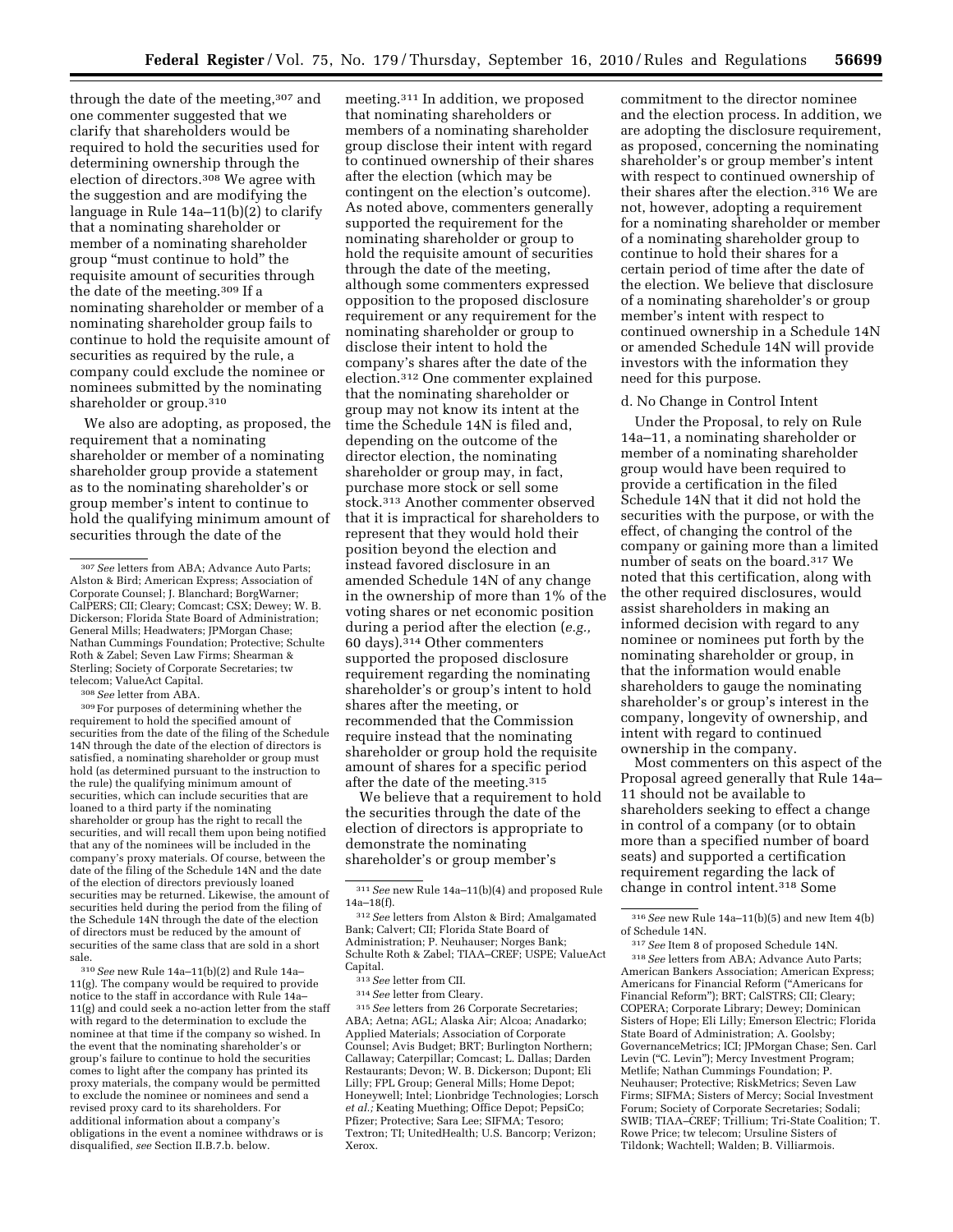through the date of the meeting,<sup>307</sup> and one commenter suggested that we clarify that shareholders would be required to hold the securities used for determining ownership through the election of directors.308 We agree with the suggestion and are modifying the language in Rule 14a–11(b)(2) to clarify that a nominating shareholder or member of a nominating shareholder group ''must continue to hold'' the requisite amount of securities through the date of the meeting.309 If a nominating shareholder or member of a nominating shareholder group fails to continue to hold the requisite amount of securities as required by the rule, a company could exclude the nominee or nominees submitted by the nominating shareholder or group.310

We also are adopting, as proposed, the requirement that a nominating shareholder or member of a nominating shareholder group provide a statement as to the nominating shareholder's or group member's intent to continue to hold the qualifying minimum amount of securities through the date of the

308*See* letter from ABA.

309For purposes of determining whether the requirement to hold the specified amount of securities from the date of the filing of the Schedule 14N through the date of the election of directors is satisfied, a nominating shareholder or group must hold (as determined pursuant to the instruction to the rule) the qualifying minimum amount of securities, which can include securities that are loaned to a third party if the nominating shareholder or group has the right to recall the securities, and will recall them upon being notified that any of the nominees will be included in the company's proxy materials. Of course, between the date of the filing of the Schedule 14N and the date of the election of directors previously loaned securities may be returned. Likewise, the amount of securities held during the period from the filing of the Schedule 14N through the date of the election of directors must be reduced by the amount of securities of the same class that are sold in a short sale.

310*See* new Rule 14a–11(b)(2) and Rule 14a– 11(g). The company would be required to provide notice to the staff in accordance with Rule 14a– 11(g) and could seek a no-action letter from the staff with regard to the determination to exclude the nominee at that time if the company so wished. In the event that the nominating shareholder's or group's failure to continue to hold the securities comes to light after the company has printed its proxy materials, the company would be permitted to exclude the nominee or nominees and send a revised proxy card to its shareholders. For additional information about a company's obligations in the event a nominee withdraws or is disqualified, *see* Section II.B.7.b. below.

meeting.311 In addition, we proposed that nominating shareholders or members of a nominating shareholder group disclose their intent with regard to continued ownership of their shares after the election (which may be contingent on the election's outcome). As noted above, commenters generally supported the requirement for the nominating shareholder or group to hold the requisite amount of securities through the date of the meeting, although some commenters expressed opposition to the proposed disclosure requirement or any requirement for the nominating shareholder or group to disclose their intent to hold the company's shares after the date of the election.312 One commenter explained that the nominating shareholder or group may not know its intent at the time the Schedule 14N is filed and, depending on the outcome of the director election, the nominating shareholder or group may, in fact, purchase more stock or sell some stock.313 Another commenter observed that it is impractical for shareholders to represent that they would hold their position beyond the election and instead favored disclosure in an amended Schedule 14N of any change in the ownership of more than 1% of the voting shares or net economic position during a period after the election (*e.g.,*  60 days).314 Other commenters supported the proposed disclosure requirement regarding the nominating shareholder's or group's intent to hold shares after the meeting, or recommended that the Commission require instead that the nominating shareholder or group hold the requisite amount of shares for a specific period after the date of the meeting.315

We believe that a requirement to hold the securities through the date of the election of directors is appropriate to demonstrate the nominating shareholder's or group member's

314*See* letter from Cleary.

315*See* letters from 26 Corporate Secretaries; ABA; Aetna; AGL; Alaska Air; Alcoa; Anadarko; Applied Materials; Association of Corporate Counsel; Avis Budget; BRT; Burlington Northern; Callaway; Caterpillar; Comcast; L. Dallas; Darden Restaurants; Devon; W. B. Dickerson; Dupont; Eli Lilly; FPL Group; General Mills; Home Depot; Honeywell; Intel; Lionbridge Technologies; Lorsch *et al.;* Keating Muething; Office Depot; PepsiCo; Pfizer; Protective; Sara Lee; SIFMA; Tesoro; Textron; TI; UnitedHealth; U.S. Bancorp; Verizon; Xerox.

commitment to the director nominee and the election process. In addition, we are adopting the disclosure requirement, as proposed, concerning the nominating shareholder's or group member's intent with respect to continued ownership of their shares after the election.316 We are not, however, adopting a requirement for a nominating shareholder or member of a nominating shareholder group to continue to hold their shares for a certain period of time after the date of the election. We believe that disclosure of a nominating shareholder's or group member's intent with respect to continued ownership in a Schedule 14N or amended Schedule 14N will provide investors with the information they need for this purpose.

## d. No Change in Control Intent

Under the Proposal, to rely on Rule 14a–11, a nominating shareholder or member of a nominating shareholder group would have been required to provide a certification in the filed Schedule 14N that it did not hold the securities with the purpose, or with the effect, of changing the control of the company or gaining more than a limited number of seats on the board.317 We noted that this certification, along with the other required disclosures, would assist shareholders in making an informed decision with regard to any nominee or nominees put forth by the nominating shareholder or group, in that the information would enable shareholders to gauge the nominating shareholder's or group's interest in the company, longevity of ownership, and intent with regard to continued ownership in the company.

Most commenters on this aspect of the Proposal agreed generally that Rule 14a– 11 should not be available to shareholders seeking to effect a change in control of a company (or to obtain more than a specified number of board seats) and supported a certification requirement regarding the lack of change in control intent.318 Some

317*See* Item 8 of proposed Schedule 14N. 318*See* letters from ABA; Advance Auto Parts; American Bankers Association; American Express; Americans for Financial Reform (''Americans for Financial Reform''); BRT; CalSTRS; CII; Cleary; COPERA; Corporate Library; Dewey; Dominican Sisters of Hope; Eli Lilly; Emerson Electric; Florida State Board of Administration; A. Goolsby; GovernanceMetrics; ICI; JPMorgan Chase; Sen. Carl Levin (''C. Levin''); Mercy Investment Program; Metlife; Nathan Cummings Foundation; P. Neuhauser; Protective; RiskMetrics; Seven Law Firms; SIFMA; Sisters of Mercy; Social Investment Forum; Society of Corporate Secretaries; Sodali; SWIB; TIAA–CREF; Trillium; Tri-State Coalition; T. Rowe Price; tw telecom; Ursuline Sisters of Tildonk; Wachtell; Walden; B. Villiarmois.

<sup>307</sup>*See* letters from ABA; Advance Auto Parts; Alston & Bird; American Express; Association of Corporate Counsel; J. Blanchard; BorgWarner; CalPERS; CII; Cleary; Comcast; CSX; Dewey; W. B. Dickerson; Florida State Board of Administration; General Mills; Headwaters; JPMorgan Chase; Nathan Cummings Foundation; Protective; Schulte Roth & Zabel; Seven Law Firms; Shearman & Sterling; Society of Corporate Secretaries; tw telecom; ValueAct Capital.

<sup>311</sup>*See* new Rule 14a–11(b)(4) and proposed Rule 14a–18(f).

<sup>312</sup>*See* letters from Alston & Bird; Amalgamated Bank; Calvert; CII; Florida State Board of Administration; P. Neuhauser; Norges Bank; Schulte Roth & Zabel; TIAA–CREF; USPE; ValueAct Capital.

<sup>313</sup>*See* letter from CII.

<sup>316</sup>*See* new Rule 14a–11(b)(5) and new Item 4(b) of Schedule 14N.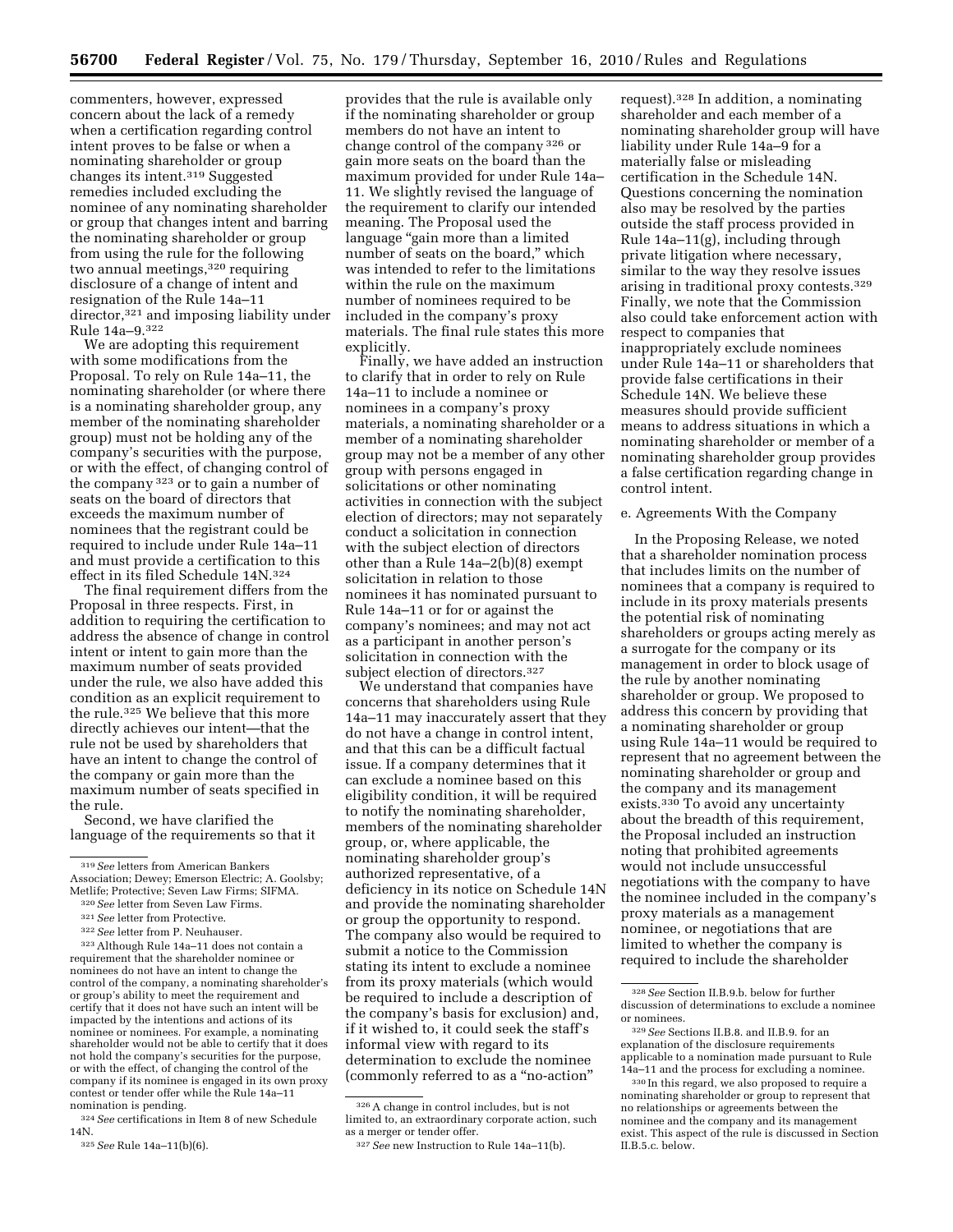commenters, however, expressed concern about the lack of a remedy when a certification regarding control intent proves to be false or when a nominating shareholder or group changes its intent.319 Suggested remedies included excluding the nominee of any nominating shareholder or group that changes intent and barring the nominating shareholder or group from using the rule for the following two annual meetings,320 requiring disclosure of a change of intent and resignation of the Rule 14a–11 director,321 and imposing liability under Rule 14a–9.322

We are adopting this requirement with some modifications from the Proposal. To rely on Rule 14a–11, the nominating shareholder (or where there is a nominating shareholder group, any member of the nominating shareholder group) must not be holding any of the company's securities with the purpose, or with the effect, of changing control of the company 323 or to gain a number of seats on the board of directors that exceeds the maximum number of nominees that the registrant could be required to include under Rule 14a–11 and must provide a certification to this effect in its filed Schedule 14N.324

The final requirement differs from the Proposal in three respects. First, in addition to requiring the certification to address the absence of change in control intent or intent to gain more than the maximum number of seats provided under the rule, we also have added this condition as an explicit requirement to the rule.325 We believe that this more directly achieves our intent—that the rule not be used by shareholders that have an intent to change the control of the company or gain more than the maximum number of seats specified in the rule.

Second, we have clarified the language of the requirements so that it

323Although Rule 14a–11 does not contain a requirement that the shareholder nominee or nominees do not have an intent to change the control of the company, a nominating shareholder's or group's ability to meet the requirement and certify that it does not have such an intent will be impacted by the intentions and actions of its nominee or nominees. For example, a nominating shareholder would not be able to certify that it does not hold the company's securities for the purpose, or with the effect, of changing the control of the company if its nominee is engaged in its own proxy contest or tender offer while the Rule 14a–11 nomination is pending.

324*See* certifications in Item 8 of new Schedule 14N.

provides that the rule is available only if the nominating shareholder or group members do not have an intent to change control of the company 326 or gain more seats on the board than the maximum provided for under Rule 14a– 11. We slightly revised the language of the requirement to clarify our intended meaning. The Proposal used the language ''gain more than a limited number of seats on the board,'' which was intended to refer to the limitations within the rule on the maximum number of nominees required to be included in the company's proxy materials. The final rule states this more explicitly.

Finally, we have added an instruction to clarify that in order to rely on Rule 14a–11 to include a nominee or nominees in a company's proxy materials, a nominating shareholder or a member of a nominating shareholder group may not be a member of any other group with persons engaged in solicitations or other nominating activities in connection with the subject election of directors; may not separately conduct a solicitation in connection with the subject election of directors other than a Rule 14a–2(b)(8) exempt solicitation in relation to those nominees it has nominated pursuant to Rule 14a–11 or for or against the company's nominees; and may not act as a participant in another person's solicitation in connection with the subject election of directors.327

We understand that companies have concerns that shareholders using Rule 14a–11 may inaccurately assert that they do not have a change in control intent, and that this can be a difficult factual issue. If a company determines that it can exclude a nominee based on this eligibility condition, it will be required to notify the nominating shareholder, members of the nominating shareholder group, or, where applicable, the nominating shareholder group's authorized representative, of a deficiency in its notice on Schedule 14N and provide the nominating shareholder or group the opportunity to respond. The company also would be required to submit a notice to the Commission stating its intent to exclude a nominee from its proxy materials (which would be required to include a description of the company's basis for exclusion) and, if it wished to, it could seek the staff's informal view with regard to its determination to exclude the nominee (commonly referred to as a ''no-action''

request).328 In addition, a nominating shareholder and each member of a nominating shareholder group will have liability under Rule 14a–9 for a materially false or misleading certification in the Schedule 14N. Questions concerning the nomination also may be resolved by the parties outside the staff process provided in Rule 14a–11(g), including through private litigation where necessary, similar to the way they resolve issues arising in traditional proxy contests.329 Finally, we note that the Commission also could take enforcement action with respect to companies that inappropriately exclude nominees under Rule 14a–11 or shareholders that provide false certifications in their Schedule 14N. We believe these measures should provide sufficient means to address situations in which a nominating shareholder or member of a nominating shareholder group provides a false certification regarding change in control intent.

# e. Agreements With the Company

In the Proposing Release, we noted that a shareholder nomination process that includes limits on the number of nominees that a company is required to include in its proxy materials presents the potential risk of nominating shareholders or groups acting merely as a surrogate for the company or its management in order to block usage of the rule by another nominating shareholder or group. We proposed to address this concern by providing that a nominating shareholder or group using Rule 14a–11 would be required to represent that no agreement between the nominating shareholder or group and the company and its management exists.330 To avoid any uncertainty about the breadth of this requirement, the Proposal included an instruction noting that prohibited agreements would not include unsuccessful negotiations with the company to have the nominee included in the company's proxy materials as a management nominee, or negotiations that are limited to whether the company is required to include the shareholder

<sup>319</sup>*See* letters from American Bankers Association; Dewey; Emerson Electric; A. Goolsby; Metlife; Protective; Seven Law Firms; SIFMA. 320*See* letter from Seven Law Firms. 321*See* letter from Protective.

<sup>322</sup>*See* letter from P. Neuhauser.

<sup>325</sup>*See* Rule 14a–11(b)(6).

<sup>326</sup>A change in control includes, but is not limited to, an extraordinary corporate action, such as a merger or tender offer.

<sup>327</sup>*See* new Instruction to Rule 14a–11(b).

<sup>328</sup>*See* Section II.B.9.b. below for further discussion of determinations to exclude a nominee or nominees.

<sup>329</sup>*See* Sections II.B.8. and II.B.9. for an explanation of the disclosure requirements applicable to a nomination made pursuant to Rule 14a–11 and the process for excluding a nominee.

<sup>330</sup> In this regard, we also proposed to require a nominating shareholder or group to represent that no relationships or agreements between the nominee and the company and its management exist. This aspect of the rule is discussed in Section II.B.5.c. below.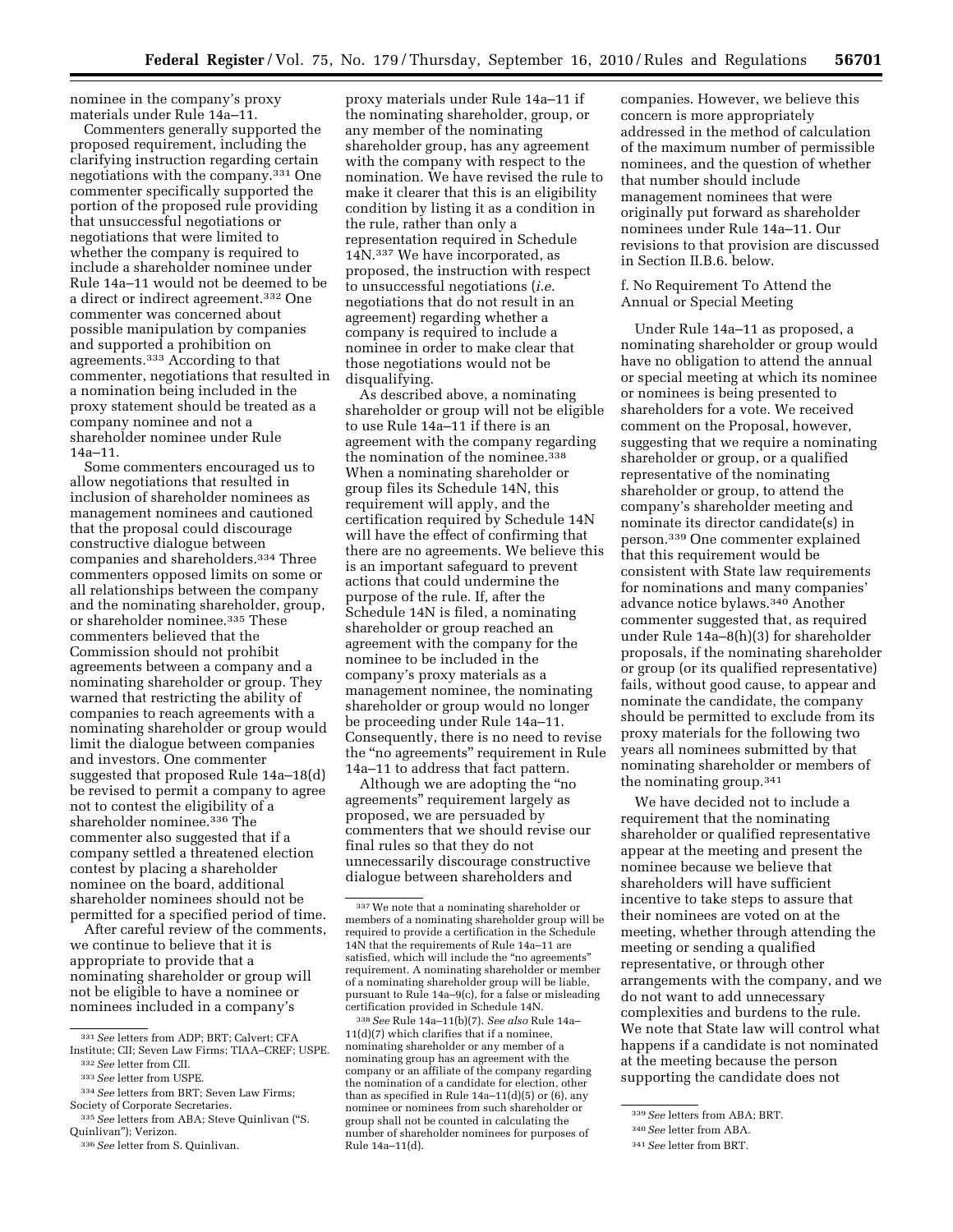nominee in the company's proxy materials under Rule 14a–11.

Commenters generally supported the proposed requirement, including the clarifying instruction regarding certain negotiations with the company.331 One commenter specifically supported the portion of the proposed rule providing that unsuccessful negotiations or negotiations that were limited to whether the company is required to include a shareholder nominee under Rule 14a–11 would not be deemed to be a direct or indirect agreement.332 One commenter was concerned about possible manipulation by companies and supported a prohibition on agreements.333 According to that commenter, negotiations that resulted in a nomination being included in the proxy statement should be treated as a company nominee and not a shareholder nominee under Rule 14a–11.

Some commenters encouraged us to allow negotiations that resulted in inclusion of shareholder nominees as management nominees and cautioned that the proposal could discourage constructive dialogue between companies and shareholders.334 Three commenters opposed limits on some or all relationships between the company and the nominating shareholder, group, or shareholder nominee.335 These commenters believed that the Commission should not prohibit agreements between a company and a nominating shareholder or group. They warned that restricting the ability of companies to reach agreements with a nominating shareholder or group would limit the dialogue between companies and investors. One commenter suggested that proposed Rule 14a–18(d) be revised to permit a company to agree not to contest the eligibility of a shareholder nominee.336 The commenter also suggested that if a company settled a threatened election contest by placing a shareholder nominee on the board, additional shareholder nominees should not be permitted for a specified period of time.

After careful review of the comments, we continue to believe that it is appropriate to provide that a nominating shareholder or group will not be eligible to have a nominee or nominees included in a company's

proxy materials under Rule 14a–11 if the nominating shareholder, group, or any member of the nominating shareholder group, has any agreement with the company with respect to the nomination. We have revised the rule to make it clearer that this is an eligibility condition by listing it as a condition in the rule, rather than only a representation required in Schedule 14N.337 We have incorporated, as proposed, the instruction with respect to unsuccessful negotiations (*i.e.*  negotiations that do not result in an agreement) regarding whether a company is required to include a nominee in order to make clear that those negotiations would not be disqualifying.

As described above, a nominating shareholder or group will not be eligible to use Rule 14a–11 if there is an agreement with the company regarding the nomination of the nominee.<sup>338</sup> When a nominating shareholder or group files its Schedule 14N, this requirement will apply, and the certification required by Schedule 14N will have the effect of confirming that there are no agreements. We believe this is an important safeguard to prevent actions that could undermine the purpose of the rule. If, after the Schedule 14N is filed, a nominating shareholder or group reached an agreement with the company for the nominee to be included in the company's proxy materials as a management nominee, the nominating shareholder or group would no longer be proceeding under Rule 14a–11. Consequently, there is no need to revise the ''no agreements'' requirement in Rule 14a–11 to address that fact pattern.

Although we are adopting the ''no agreements'' requirement largely as proposed, we are persuaded by commenters that we should revise our final rules so that they do not unnecessarily discourage constructive dialogue between shareholders and

338*See* Rule 14a–11(b)(7). *See also* Rule 14a– 11(d)(7) which clarifies that if a nominee, nominating shareholder or any member of a nominating group has an agreement with the company or an affiliate of the company regarding the nomination of a candidate for election, other than as specified in Rule 14a–11(d)(5) or (6), any nominee or nominees from such shareholder or group shall not be counted in calculating the number of shareholder nominees for purposes of Rule 14a–11(d).

companies. However, we believe this concern is more appropriately addressed in the method of calculation of the maximum number of permissible nominees, and the question of whether that number should include management nominees that were originally put forward as shareholder nominees under Rule 14a–11. Our revisions to that provision are discussed in Section II.B.6. below.

## f. No Requirement To Attend the Annual or Special Meeting

Under Rule 14a–11 as proposed, a nominating shareholder or group would have no obligation to attend the annual or special meeting at which its nominee or nominees is being presented to shareholders for a vote. We received comment on the Proposal, however, suggesting that we require a nominating shareholder or group, or a qualified representative of the nominating shareholder or group, to attend the company's shareholder meeting and nominate its director candidate(s) in person.339 One commenter explained that this requirement would be consistent with State law requirements for nominations and many companies' advance notice bylaws.340 Another commenter suggested that, as required under Rule 14a–8(h)(3) for shareholder proposals, if the nominating shareholder or group (or its qualified representative) fails, without good cause, to appear and nominate the candidate, the company should be permitted to exclude from its proxy materials for the following two years all nominees submitted by that nominating shareholder or members of the nominating group.341

We have decided not to include a requirement that the nominating shareholder or qualified representative appear at the meeting and present the nominee because we believe that shareholders will have sufficient incentive to take steps to assure that their nominees are voted on at the meeting, whether through attending the meeting or sending a qualified representative, or through other arrangements with the company, and we do not want to add unnecessary complexities and burdens to the rule. We note that State law will control what happens if a candidate is not nominated at the meeting because the person supporting the candidate does not

<sup>331</sup>*See* letters from ADP; BRT; Calvert; CFA Institute; CII; Seven Law Firms; TIAA–CREF; USPE. 332*See* letter from CII.

<sup>333</sup>*See* letter from USPE.

<sup>334</sup>*See* letters from BRT; Seven Law Firms;

Society of Corporate Secretaries. 335*See* letters from ABA; Steve Quinlivan (''S.

Quinlivan''); Verizon. 336*See* letter from S. Quinlivan.

<sup>337</sup>We note that a nominating shareholder or members of a nominating shareholder group will be required to provide a certification in the Schedule 14N that the requirements of Rule 14a–11 are satisfied, which will include the "no agreements" requirement. A nominating shareholder or member of a nominating shareholder group will be liable, pursuant to Rule 14a–9(c), for a false or misleading certification provided in Schedule 14N.

<sup>339</sup>*See* letters from ABA; BRT.

<sup>340</sup>*See* letter from ABA.

<sup>341</sup>*See* letter from BRT.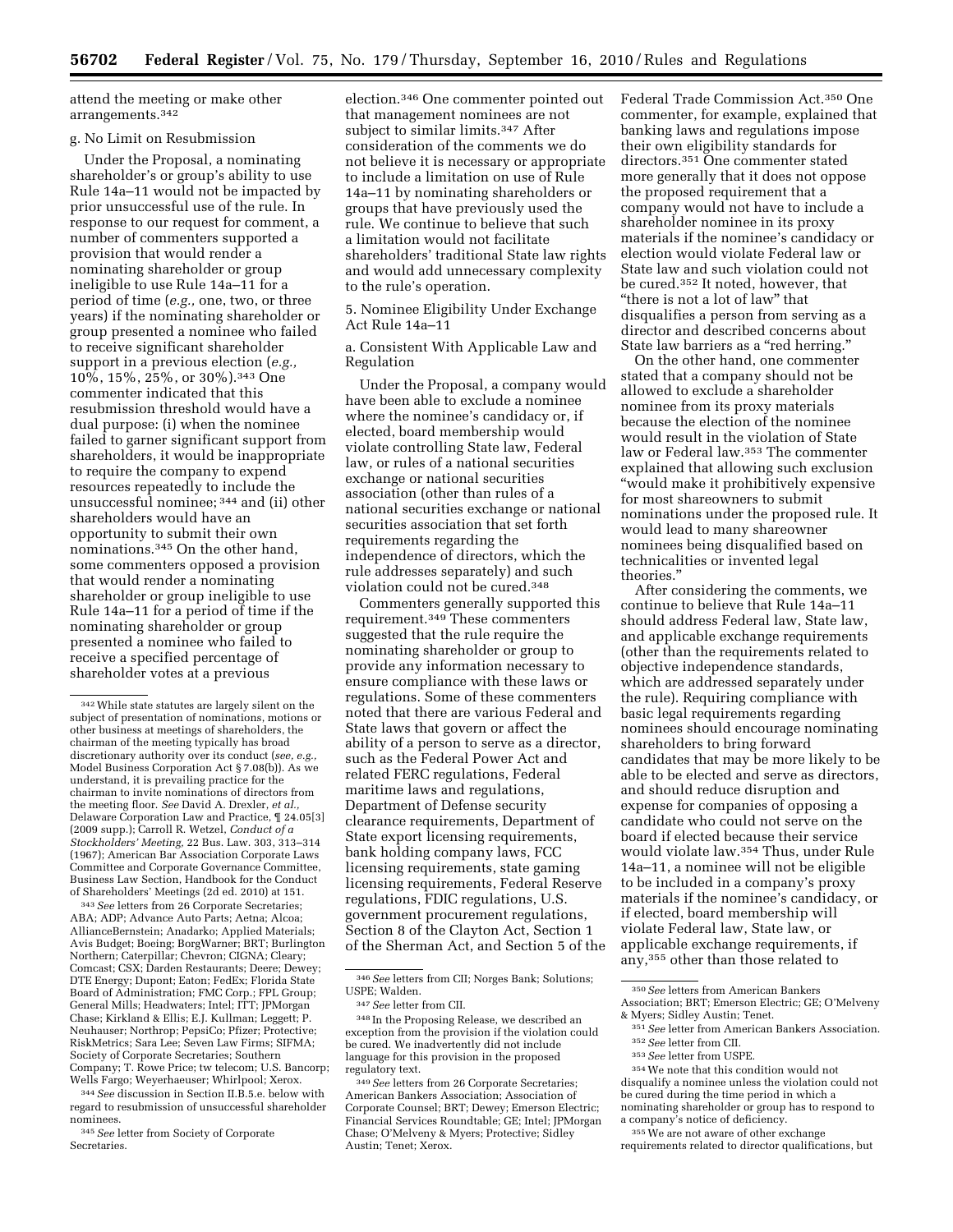attend the meeting or make other arrangements.342

## g. No Limit on Resubmission

Under the Proposal, a nominating shareholder's or group's ability to use Rule 14a–11 would not be impacted by prior unsuccessful use of the rule. In response to our request for comment, a number of commenters supported a provision that would render a nominating shareholder or group ineligible to use Rule 14a–11 for a period of time (*e.g.,* one, two, or three years) if the nominating shareholder or group presented a nominee who failed to receive significant shareholder support in a previous election (*e.g.,*  10%, 15%, 25%, or 30%).343 One commenter indicated that this resubmission threshold would have a dual purpose: (i) when the nominee failed to garner significant support from shareholders, it would be inappropriate to require the company to expend resources repeatedly to include the unsuccessful nominee; 344 and (ii) other shareholders would have an opportunity to submit their own nominations.345 On the other hand, some commenters opposed a provision that would render a nominating shareholder or group ineligible to use Rule 14a–11 for a period of time if the nominating shareholder or group presented a nominee who failed to receive a specified percentage of shareholder votes at a previous

343*See* letters from 26 Corporate Secretaries; ABA; ADP; Advance Auto Parts; Aetna; Alcoa; AllianceBernstein; Anadarko; Applied Materials; Avis Budget; Boeing; BorgWarner; BRT; Burlington Northern; Caterpillar; Chevron; CIGNA; Cleary; Comcast; CSX; Darden Restaurants; Deere; Dewey; DTE Energy; Dupont; Eaton; FedEx; Florida State Board of Administration; FMC Corp.; FPL Group; General Mills; Headwaters; Intel; ITT; JPMorgan Chase; Kirkland & Ellis; E.J. Kullman; Leggett; P. Neuhauser; Northrop; PepsiCo; Pfizer; Protective; RiskMetrics; Sara Lee; Seven Law Firms; SIFMA; Society of Corporate Secretaries; Southern Company; T. Rowe Price; tw telecom; U.S. Bancorp; Wells Fargo; Weyerhaeuser; Whirlpool; Xerox.

344*See* discussion in Section II.B.5.e. below with regard to resubmission of unsuccessful shareholder nominees.

345*See* letter from Society of Corporate Secretaries.

election.346 One commenter pointed out that management nominees are not subject to similar limits.<sup>347</sup> After consideration of the comments we do not believe it is necessary or appropriate to include a limitation on use of Rule 14a–11 by nominating shareholders or groups that have previously used the rule. We continue to believe that such a limitation would not facilitate shareholders' traditional State law rights and would add unnecessary complexity to the rule's operation.

5. Nominee Eligibility Under Exchange Act Rule 14a–11

a. Consistent With Applicable Law and Regulation

Under the Proposal, a company would have been able to exclude a nominee where the nominee's candidacy or, if elected, board membership would violate controlling State law, Federal law, or rules of a national securities exchange or national securities association (other than rules of a national securities exchange or national securities association that set forth requirements regarding the independence of directors, which the rule addresses separately) and such violation could not be cured.348

Commenters generally supported this requirement.349 These commenters suggested that the rule require the nominating shareholder or group to provide any information necessary to ensure compliance with these laws or regulations. Some of these commenters noted that there are various Federal and State laws that govern or affect the ability of a person to serve as a director, such as the Federal Power Act and related FERC regulations, Federal maritime laws and regulations, Department of Defense security clearance requirements, Department of State export licensing requirements, bank holding company laws, FCC licensing requirements, state gaming licensing requirements, Federal Reserve regulations, FDIC regulations, U.S. government procurement regulations, Section 8 of the Clayton Act, Section 1 of the Sherman Act, and Section 5 of the

348 In the Proposing Release, we described an exception from the provision if the violation could be cured. We inadvertently did not include language for this provision in the proposed regulatory text.

349*See* letters from 26 Corporate Secretaries; American Bankers Association; Association of Corporate Counsel; BRT; Dewey; Emerson Electric; Financial Services Roundtable; GE; Intel; JPMorgan Chase; O'Melveny & Myers; Protective; Sidley Austin; Tenet; Xerox.

Federal Trade Commission Act.350 One commenter, for example, explained that banking laws and regulations impose their own eligibility standards for directors.351 One commenter stated more generally that it does not oppose the proposed requirement that a company would not have to include a shareholder nominee in its proxy materials if the nominee's candidacy or election would violate Federal law or State law and such violation could not be cured.352 It noted, however, that ''there is not a lot of law'' that disqualifies a person from serving as a director and described concerns about State law barriers as a "red herring."

On the other hand, one commenter stated that a company should not be allowed to exclude a shareholder nominee from its proxy materials because the election of the nominee would result in the violation of State law or Federal law.353 The commenter explained that allowing such exclusion ''would make it prohibitively expensive for most shareowners to submit nominations under the proposed rule. It would lead to many shareowner nominees being disqualified based on technicalities or invented legal theories.''

After considering the comments, we continue to believe that Rule 14a–11 should address Federal law, State law, and applicable exchange requirements (other than the requirements related to objective independence standards, which are addressed separately under the rule). Requiring compliance with basic legal requirements regarding nominees should encourage nominating shareholders to bring forward candidates that may be more likely to be able to be elected and serve as directors, and should reduce disruption and expense for companies of opposing a candidate who could not serve on the board if elected because their service would violate law.354 Thus, under Rule 14a–11, a nominee will not be eligible to be included in a company's proxy materials if the nominee's candidacy, or if elected, board membership will violate Federal law, State law, or applicable exchange requirements, if any,355 other than those related to

354We note that this condition would not disqualify a nominee unless the violation could not be cured during the time period in which a nominating shareholder or group has to respond to a company's notice of deficiency.

355We are not aware of other exchange

<sup>342</sup>While state statutes are largely silent on the subject of presentation of nominations, motions or other business at meetings of shareholders, the chairman of the meeting typically has broad discretionary authority over its conduct (*see, e.g.,*  Model Business Corporation Act § 7.08(b)). As we understand, it is prevailing practice for the chairman to invite nominations of directors from the meeting floor. *See* David A. Drexler, *et al.,*  Delaware Corporation Law and Practice, ¶ 24.05[3] (2009 supp.); Carroll R. Wetzel, *Conduct of a Stockholders' Meeting,* 22 Bus. Law. 303, 313–314 (1967); American Bar Association Corporate Laws Committee and Corporate Governance Committee, Business Law Section, Handbook for the Conduct of Shareholders' Meetings (2d ed. 2010) at 151.

<sup>346</sup>*See* letters from CII; Norges Bank; Solutions; USPE; Walden.

<sup>347</sup>*See* letter from CII.

<sup>350</sup>*See* letters from American Bankers Association; BRT; Emerson Electric; GE; O'Melveny

<sup>&</sup>lt;sup>351</sup> See letter from American Bankers Association.

<sup>352</sup>*See* letter from CII.

<sup>353</sup>*See* letter from USPE.

requirements related to director qualifications, but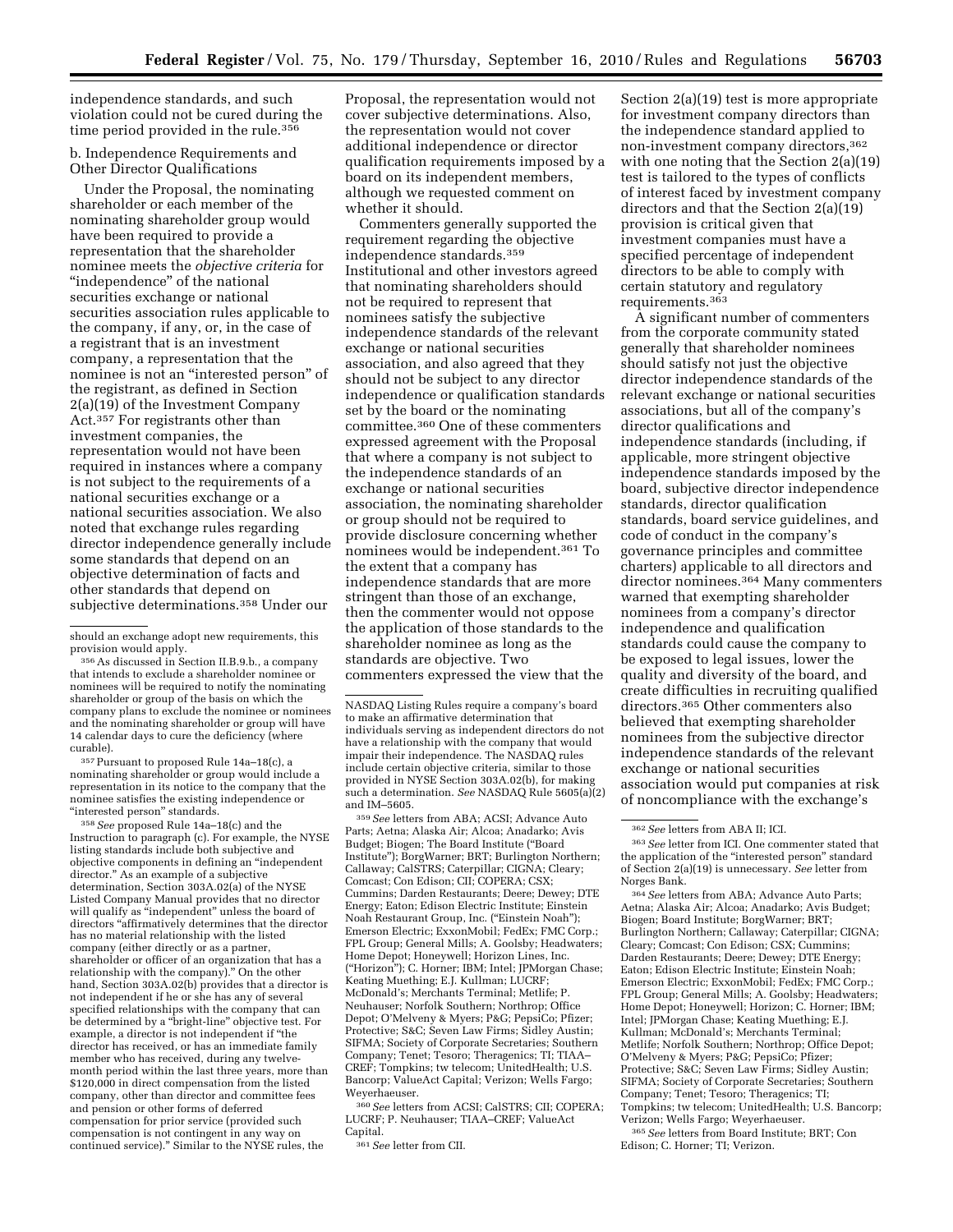independence standards, and such violation could not be cured during the time period provided in the rule.<sup>356</sup>

b. Independence Requirements and Other Director Qualifications

Under the Proposal, the nominating shareholder or each member of the nominating shareholder group would have been required to provide a representation that the shareholder nominee meets the *objective criteria* for "independence" of the national securities exchange or national securities association rules applicable to the company, if any, or, in the case of a registrant that is an investment company, a representation that the nominee is not an ''interested person'' of the registrant, as defined in Section 2(a)(19) of the Investment Company Act.357 For registrants other than investment companies, the representation would not have been required in instances where a company is not subject to the requirements of a national securities exchange or a national securities association. We also noted that exchange rules regarding director independence generally include some standards that depend on an objective determination of facts and other standards that depend on subjective determinations.358 Under our

357Pursuant to proposed Rule 14a–18(c), a nominating shareholder or group would include a representation in its notice to the company that the nominee satisfies the existing independence or "interested person" standards.

358*See* proposed Rule 14a–18(c) and the Instruction to paragraph (c). For example, the NYSE listing standards include both subjective and objective components in defining an ''independent director.'' As an example of a subjective determination, Section 303A.02(a) of the NYSE Listed Company Manual provides that no director will qualify as "independent" unless the board of directors ''affirmatively determines that the director has no material relationship with the listed company (either directly or as a partner, shareholder or officer of an organization that has a relationship with the company).'' On the other hand, Section 303A.02(b) provides that a director is not independent if he or she has any of several specified relationships with the company that can be determined by a ''bright-line'' objective test. For example, a director is not independent if ''the director has received, or has an immediate family member who has received, during any twelvemonth period within the last three years, more than \$120,000 in direct compensation from the listed company, other than director and committee fees and pension or other forms of deferred compensation for prior service (provided such compensation is not contingent in any way on continued service).'' Similar to the NYSE rules, the

Proposal, the representation would not cover subjective determinations. Also, the representation would not cover additional independence or director qualification requirements imposed by a board on its independent members, although we requested comment on whether it should.

Commenters generally supported the requirement regarding the objective independence standards.359 Institutional and other investors agreed that nominating shareholders should not be required to represent that nominees satisfy the subjective independence standards of the relevant exchange or national securities association, and also agreed that they should not be subject to any director independence or qualification standards set by the board or the nominating committee.360 One of these commenters expressed agreement with the Proposal that where a company is not subject to the independence standards of an exchange or national securities association, the nominating shareholder or group should not be required to provide disclosure concerning whether nominees would be independent.361 To the extent that a company has independence standards that are more stringent than those of an exchange, then the commenter would not oppose the application of those standards to the shareholder nominee as long as the standards are objective. Two

commenters expressed the view that the

359*See* letters from ABA; ACSI; Advance Auto Parts; Aetna; Alaska Air; Alcoa; Anadarko; Avis Budget; Biogen; The Board Institute (''Board Institute''); BorgWarner; BRT; Burlington Northern; Callaway; CalSTRS; Caterpillar; CIGNA; Cleary; Comcast; Con Edison; CII; COPERA; CSX; Cummins; Darden Restaurants; Deere; Dewey; DTE Energy; Eaton; Edison Electric Institute; Einstein Noah Restaurant Group, Inc. (''Einstein Noah''); Emerson Electric; ExxonMobil; FedEx; FMC Corp.; FPL Group; General Mills; A. Goolsby; Headwaters; Home Depot; Honeywell; Horizon Lines, Inc. (''Horizon''); C. Horner; IBM; Intel; JPMorgan Chase; Keating Muething; E.J. Kullman; LUCRF; McDonald's; Merchants Terminal; Metlife; P. Neuhauser; Norfolk Southern; Northrop; Office Depot; O'Melveny & Myers; P&G; PepsiCo; Pfizer; Protective; S&C; Seven Law Firms; Sidley Austin; SIFMA; Society of Corporate Secretaries; Southern Company; Tenet; Tesoro; Theragenics; TI; TIAA– CREF; Tompkins; tw telecom; UnitedHealth; U.S. Bancorp; ValueAct Capital; Verizon; Wells Fargo; Weyerhaeuser.

360*See* letters from ACSI; CalSTRS; CII; COPERA; LUCRF; P. Neuhauser; TIAA–CREF; ValueAct Capital.

361*See* letter from CII.

Section 2(a)(19) test is more appropriate for investment company directors than the independence standard applied to non-investment company directors, 362 with one noting that the Section 2(a)(19) test is tailored to the types of conflicts of interest faced by investment company directors and that the Section 2(a)(19) provision is critical given that investment companies must have a specified percentage of independent directors to be able to comply with certain statutory and regulatory requirements.363

A significant number of commenters from the corporate community stated generally that shareholder nominees should satisfy not just the objective director independence standards of the relevant exchange or national securities associations, but all of the company's director qualifications and independence standards (including, if applicable, more stringent objective independence standards imposed by the board, subjective director independence standards, director qualification standards, board service guidelines, and code of conduct in the company's governance principles and committee charters) applicable to all directors and director nominees.364 Many commenters warned that exempting shareholder nominees from a company's director independence and qualification standards could cause the company to be exposed to legal issues, lower the quality and diversity of the board, and create difficulties in recruiting qualified directors.365 Other commenters also believed that exempting shareholder nominees from the subjective director independence standards of the relevant exchange or national securities association would put companies at risk of noncompliance with the exchange's

364*See* letters from ABA; Advance Auto Parts; Aetna; Alaska Air; Alcoa; Anadarko; Avis Budget; Biogen; Board Institute; BorgWarner; BRT; Burlington Northern; Callaway; Caterpillar; CIGNA; Cleary; Comcast; Con Edison; CSX; Cummins; Darden Restaurants; Deere; Dewey; DTE Energy; Eaton; Edison Electric Institute; Einstein Noah; Emerson Electric; ExxonMobil; FedEx; FMC Corp.; FPL Group; General Mills; A. Goolsby; Headwaters; Home Depot; Honeywell; Horizon; C. Horner; IBM; Intel; JPMorgan Chase; Keating Muething; E.J. Kullman; McDonald's; Merchants Terminal; Metlife; Norfolk Southern; Northrop; Office Depot; O'Melveny & Myers; P&G; PepsiCo; Pfizer; Protective; S&C; Seven Law Firms; Sidley Austin; SIFMA; Society of Corporate Secretaries; Southern Company; Tenet; Tesoro; Theragenics; TI; Tompkins; tw telecom; UnitedHealth; U.S. Bancorp; Verizon; Wells Fargo; Weyerhaeuser.

365*See* letters from Board Institute; BRT; Con Edison; C. Horner; TI; Verizon.

should an exchange adopt new requirements, this provision would apply.

<sup>356</sup>As discussed in Section II.B.9.b., a company that intends to exclude a shareholder nominee or nominees will be required to notify the nominating shareholder or group of the basis on which the company plans to exclude the nominee or nominees and the nominating shareholder or group will have 14 calendar days to cure the deficiency (where curable).

NASDAQ Listing Rules require a company's board to make an affirmative determination that individuals serving as independent directors do not have a relationship with the company that would impair their independence. The NASDAQ rules include certain objective criteria, similar to those provided in NYSE Section 303A.02(b), for making such a determination. *See* NASDAQ Rule 5605(a)(2) and IM–5605.

<sup>362</sup>*See* letters from ABA II; ICI.

<sup>363</sup>*See* letter from ICI. One commenter stated that the application of the ''interested person'' standard of Section 2(a)(19) is unnecessary. *See* letter from Norges Bank.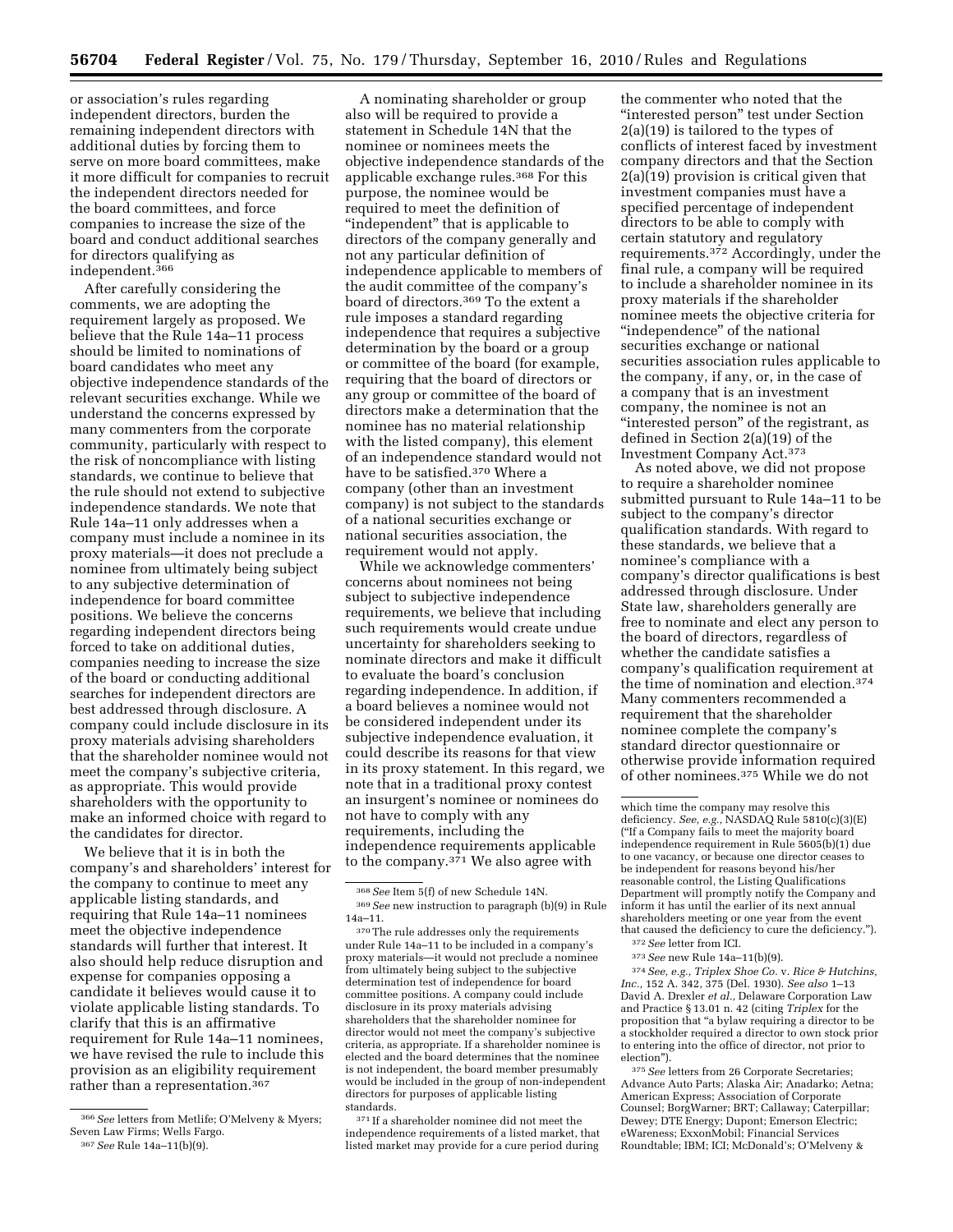or association's rules regarding independent directors, burden the remaining independent directors with additional duties by forcing them to serve on more board committees, make it more difficult for companies to recruit the independent directors needed for the board committees, and force companies to increase the size of the board and conduct additional searches for directors qualifying as independent.366

After carefully considering the comments, we are adopting the requirement largely as proposed. We believe that the Rule 14a–11 process should be limited to nominations of board candidates who meet any objective independence standards of the relevant securities exchange. While we understand the concerns expressed by many commenters from the corporate community, particularly with respect to the risk of noncompliance with listing standards, we continue to believe that the rule should not extend to subjective independence standards. We note that Rule 14a–11 only addresses when a company must include a nominee in its proxy materials—it does not preclude a nominee from ultimately being subject to any subjective determination of independence for board committee positions. We believe the concerns regarding independent directors being forced to take on additional duties, companies needing to increase the size of the board or conducting additional searches for independent directors are best addressed through disclosure. A company could include disclosure in its proxy materials advising shareholders that the shareholder nominee would not meet the company's subjective criteria, as appropriate. This would provide shareholders with the opportunity to make an informed choice with regard to the candidates for director.

We believe that it is in both the company's and shareholders' interest for the company to continue to meet any applicable listing standards, and requiring that Rule 14a–11 nominees meet the objective independence standards will further that interest. It also should help reduce disruption and expense for companies opposing a candidate it believes would cause it to violate applicable listing standards. To clarify that this is an affirmative requirement for Rule 14a–11 nominees, we have revised the rule to include this provision as an eligibility requirement rather than a representation.367

A nominating shareholder or group also will be required to provide a statement in Schedule 14N that the nominee or nominees meets the objective independence standards of the applicable exchange rules.368 For this purpose, the nominee would be required to meet the definition of "independent" that is applicable to directors of the company generally and not any particular definition of independence applicable to members of the audit committee of the company's board of directors.369 To the extent a rule imposes a standard regarding independence that requires a subjective determination by the board or a group or committee of the board (for example, requiring that the board of directors or any group or committee of the board of directors make a determination that the nominee has no material relationship with the listed company), this element of an independence standard would not have to be satisfied.370 Where a company (other than an investment company) is not subject to the standards of a national securities exchange or national securities association, the requirement would not apply.

While we acknowledge commenters' concerns about nominees not being subject to subjective independence requirements, we believe that including such requirements would create undue uncertainty for shareholders seeking to nominate directors and make it difficult to evaluate the board's conclusion regarding independence. In addition, if a board believes a nominee would not be considered independent under its subjective independence evaluation, it could describe its reasons for that view in its proxy statement. In this regard, we note that in a traditional proxy contest an insurgent's nominee or nominees do not have to comply with any requirements, including the independence requirements applicable to the company. $371$  We also agree with

371 If a shareholder nominee did not meet the independence requirements of a listed market, that listed market may provide for a cure period during

the commenter who noted that the ''interested person'' test under Section 2(a)(19) is tailored to the types of conflicts of interest faced by investment company directors and that the Section 2(a)(19) provision is critical given that investment companies must have a specified percentage of independent directors to be able to comply with certain statutory and regulatory requirements.372 Accordingly, under the final rule, a company will be required to include a shareholder nominee in its proxy materials if the shareholder nominee meets the objective criteria for ''independence'' of the national securities exchange or national securities association rules applicable to the company, if any, or, in the case of a company that is an investment company, the nominee is not an "interested person" of the registrant, as defined in Section 2(a)(19) of the Investment Company Act.373

As noted above, we did not propose to require a shareholder nominee submitted pursuant to Rule 14a–11 to be subject to the company's director qualification standards. With regard to these standards, we believe that a nominee's compliance with a company's director qualifications is best addressed through disclosure. Under State law, shareholders generally are free to nominate and elect any person to the board of directors, regardless of whether the candidate satisfies a company's qualification requirement at the time of nomination and election.374 Many commenters recommended a requirement that the shareholder nominee complete the company's standard director questionnaire or otherwise provide information required of other nominees.375 While we do not

374*See, e.g., Triplex Shoe Co.* v. *Rice & Hutchins, Inc.,* 152 A. 342, 375 (Del. 1930). *See also* 1–13 David A. Drexler *et al.,* Delaware Corporation Law and Practice § 13.01 n. 42 (citing *Triplex* for the proposition that ''a bylaw requiring a director to be a stockholder required a director to own stock prior to entering into the office of director, not prior to election'').

<sup>366</sup>*See* letters from Metlife; O'Melveny & Myers; Seven Law Firms; Wells Fargo. 367*See* Rule 14a–11(b)(9).

<sup>368</sup>*See* Item 5(f) of new Schedule 14N. 369*See* new instruction to paragraph (b)(9) in Rule 14a–11.

<sup>370</sup>The rule addresses only the requirements under Rule 14a–11 to be included in a company's proxy materials—it would not preclude a nominee from ultimately being subject to the subjective determination test of independence for board committee positions. A company could include disclosure in its proxy materials advising shareholders that the shareholder nominee for director would not meet the company's subjective criteria, as appropriate. If a shareholder nominee is elected and the board determines that the nominee is not independent, the board member presumably would be included in the group of non-independent directors for purposes of applicable listing standards.

which time the company may resolve this deficiency. *See, e.g.,* NASDAQ Rule 5810(c)(3)(E) (''If a Company fails to meet the majority board independence requirement in Rule 5605(b)(1) due to one vacancy, or because one director ceases to be independent for reasons beyond his/her reasonable control, the Listing Qualifications Department will promptly notify the Company and inform it has until the earlier of its next annual shareholders meeting or one year from the event that caused the deficiency to cure the deficiency.'').

<sup>372</sup>*See* letter from ICI.

<sup>373</sup>*See* new Rule 14a–11(b)(9).

<sup>375</sup>*See* letters from 26 Corporate Secretaries; Advance Auto Parts; Alaska Air; Anadarko; Aetna; American Express; Association of Corporate Counsel; BorgWarner; BRT; Callaway; Caterpillar; Dewey; DTE Energy; Dupont; Emerson Electric; eWareness; ExxonMobil; Financial Services Roundtable; IBM; ICI; McDonald's; O'Melveny &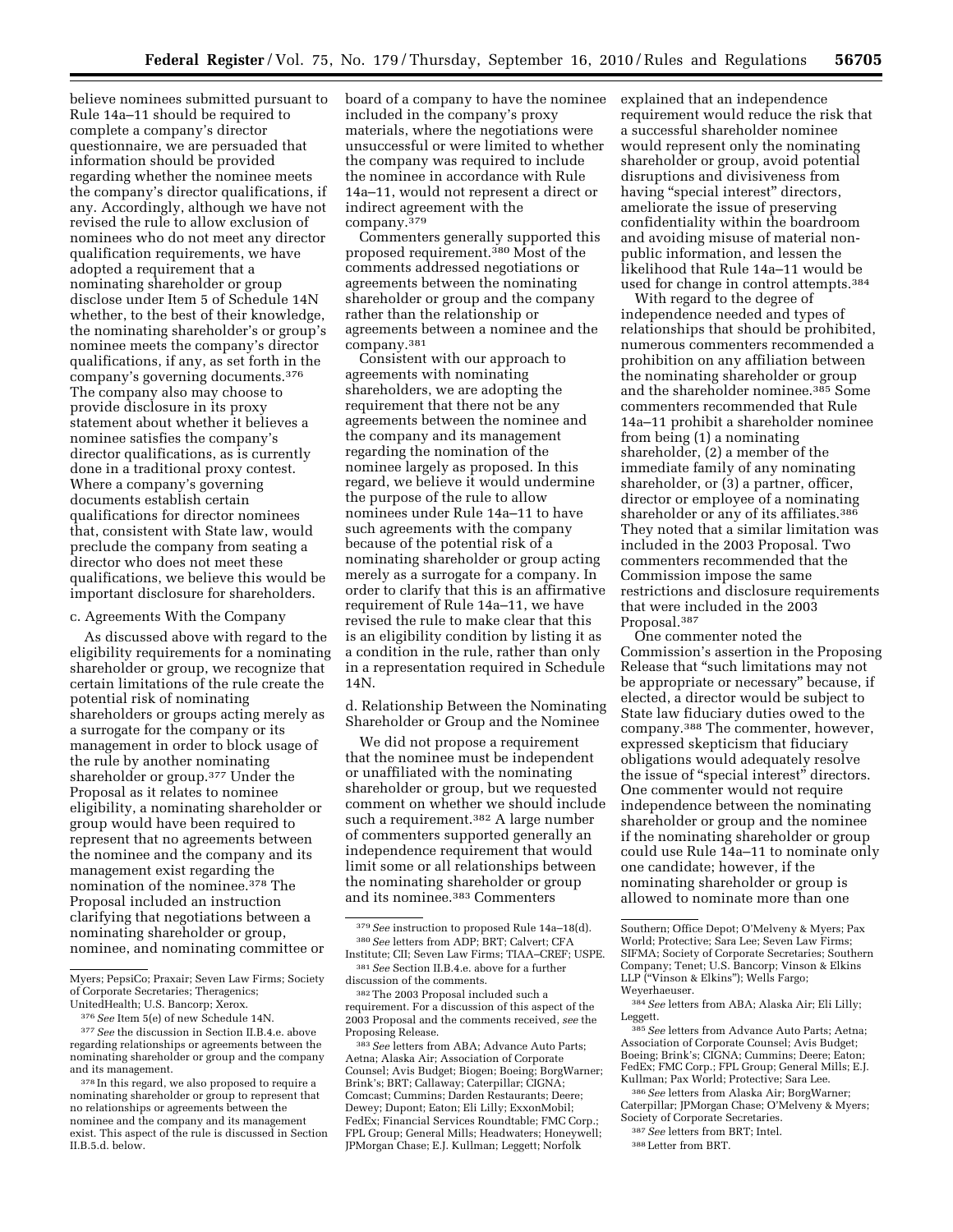believe nominees submitted pursuant to Rule 14a–11 should be required to complete a company's director questionnaire, we are persuaded that information should be provided regarding whether the nominee meets the company's director qualifications, if any. Accordingly, although we have not revised the rule to allow exclusion of nominees who do not meet any director qualification requirements, we have adopted a requirement that a nominating shareholder or group disclose under Item 5 of Schedule 14N whether, to the best of their knowledge, the nominating shareholder's or group's nominee meets the company's director qualifications, if any, as set forth in the company's governing documents.376 The company also may choose to provide disclosure in its proxy statement about whether it believes a nominee satisfies the company's director qualifications, as is currently done in a traditional proxy contest. Where a company's governing documents establish certain qualifications for director nominees that, consistent with State law, would preclude the company from seating a director who does not meet these qualifications, we believe this would be important disclosure for shareholders.

# c. Agreements With the Company

As discussed above with regard to the eligibility requirements for a nominating shareholder or group, we recognize that certain limitations of the rule create the potential risk of nominating shareholders or groups acting merely as a surrogate for the company or its management in order to block usage of the rule by another nominating shareholder or group.377 Under the Proposal as it relates to nominee eligibility, a nominating shareholder or group would have been required to represent that no agreements between the nominee and the company and its management exist regarding the nomination of the nominee.378 The Proposal included an instruction clarifying that negotiations between a nominating shareholder or group, nominee, and nominating committee or

board of a company to have the nominee included in the company's proxy materials, where the negotiations were unsuccessful or were limited to whether the company was required to include the nominee in accordance with Rule 14a–11, would not represent a direct or indirect agreement with the company.379

Commenters generally supported this proposed requirement.<sup>380</sup> Most of the comments addressed negotiations or agreements between the nominating shareholder or group and the company rather than the relationship or agreements between a nominee and the company.381

Consistent with our approach to agreements with nominating shareholders, we are adopting the requirement that there not be any agreements between the nominee and the company and its management regarding the nomination of the nominee largely as proposed. In this regard, we believe it would undermine the purpose of the rule to allow nominees under Rule 14a–11 to have such agreements with the company because of the potential risk of a nominating shareholder or group acting merely as a surrogate for a company. In order to clarify that this is an affirmative requirement of Rule 14a–11, we have revised the rule to make clear that this is an eligibility condition by listing it as a condition in the rule, rather than only in a representation required in Schedule 14N.

d. Relationship Between the Nominating Shareholder or Group and the Nominee

We did not propose a requirement that the nominee must be independent or unaffiliated with the nominating shareholder or group, but we requested comment on whether we should include such a requirement.382 A large number of commenters supported generally an independence requirement that would limit some or all relationships between the nominating shareholder or group and its nominee.383 Commenters

383*See* letters from ABA; Advance Auto Parts; Aetna; Alaska Air; Association of Corporate Counsel; Avis Budget; Biogen; Boeing; BorgWarner; Brink's; BRT; Callaway; Caterpillar; CIGNA; Comcast; Cummins; Darden Restaurants; Deere; Dewey; Dupont; Eaton; Eli Lilly; ExxonMobil; FedEx; Financial Services Roundtable; FMC Corp.; FPL Group; General Mills; Headwaters; Honeywell; JPMorgan Chase; E.J. Kullman; Leggett; Norfolk

explained that an independence requirement would reduce the risk that a successful shareholder nominee would represent only the nominating shareholder or group, avoid potential disruptions and divisiveness from having "special interest" directors, ameliorate the issue of preserving confidentiality within the boardroom and avoiding misuse of material nonpublic information, and lessen the likelihood that Rule 14a–11 would be used for change in control attempts.384

With regard to the degree of independence needed and types of relationships that should be prohibited, numerous commenters recommended a prohibition on any affiliation between the nominating shareholder or group and the shareholder nominee.385 Some commenters recommended that Rule 14a–11 prohibit a shareholder nominee from being (1) a nominating shareholder, (2) a member of the immediate family of any nominating shareholder, or (3) a partner, officer, director or employee of a nominating shareholder or any of its affiliates.386 They noted that a similar limitation was included in the 2003 Proposal. Two commenters recommended that the Commission impose the same restrictions and disclosure requirements that were included in the 2003 Proposal.387

One commenter noted the Commission's assertion in the Proposing Release that ''such limitations may not be appropriate or necessary'' because, if elected, a director would be subject to State law fiduciary duties owed to the company.388 The commenter, however, expressed skepticism that fiduciary obligations would adequately resolve the issue of ''special interest'' directors. One commenter would not require independence between the nominating shareholder or group and the nominee if the nominating shareholder or group could use Rule 14a–11 to nominate only one candidate; however, if the nominating shareholder or group is allowed to nominate more than one

384*See* letters from ABA; Alaska Air; Eli Lilly; Leggett.

385*See* letters from Advance Auto Parts; Aetna; Association of Corporate Counsel; Avis Budget; Boeing; Brink's; CIGNA; Cummins; Deere; Eaton; FedEx; FMC Corp.; FPL Group; General Mills; E.J. Kullman; Pax World; Protective; Sara Lee.

386*See* letters from Alaska Air; BorgWarner; Caterpillar; JPMorgan Chase; O'Melveny & Myers; Society of Corporate Secretaries.

387*See* letters from BRT; Intel.

Myers; PepsiCo; Praxair; Seven Law Firms; Society of Corporate Secretaries; Theragenics; UnitedHealth; U.S. Bancorp; Xerox.

<sup>376</sup>*See* Item 5(e) of new Schedule 14N.

<sup>377</sup>*See* the discussion in Section II.B.4.e. above regarding relationships or agreements between the nominating shareholder or group and the company and its management.

<sup>378</sup> In this regard, we also proposed to require a nominating shareholder or group to represent that no relationships or agreements between the nominee and the company and its management exist. This aspect of the rule is discussed in Section II.B.5.d. below.

<sup>379</sup>*See* instruction to proposed Rule 14a–18(d). 380*See* letters from ADP; BRT; Calvert; CFA

Institute; CII; Seven Law Firms; TIAA–CREF; USPE. 381*See* Section II.B.4.e. above for a further

discussion of the comments. 382The 2003 Proposal included such a

requirement. For a discussion of this aspect of the 2003 Proposal and the comments received, *see* the Proposing Release.

Southern; Office Depot; O'Melveny & Myers; Pax World; Protective; Sara Lee; Seven Law Firms; SIFMA; Society of Corporate Secretaries; Southern Company; Tenet; U.S. Bancorp; Vinson & Elkins LLP (''Vinson & Elkins''); Wells Fargo; Weyerhaeuser.

<sup>388</sup>Letter from BRT.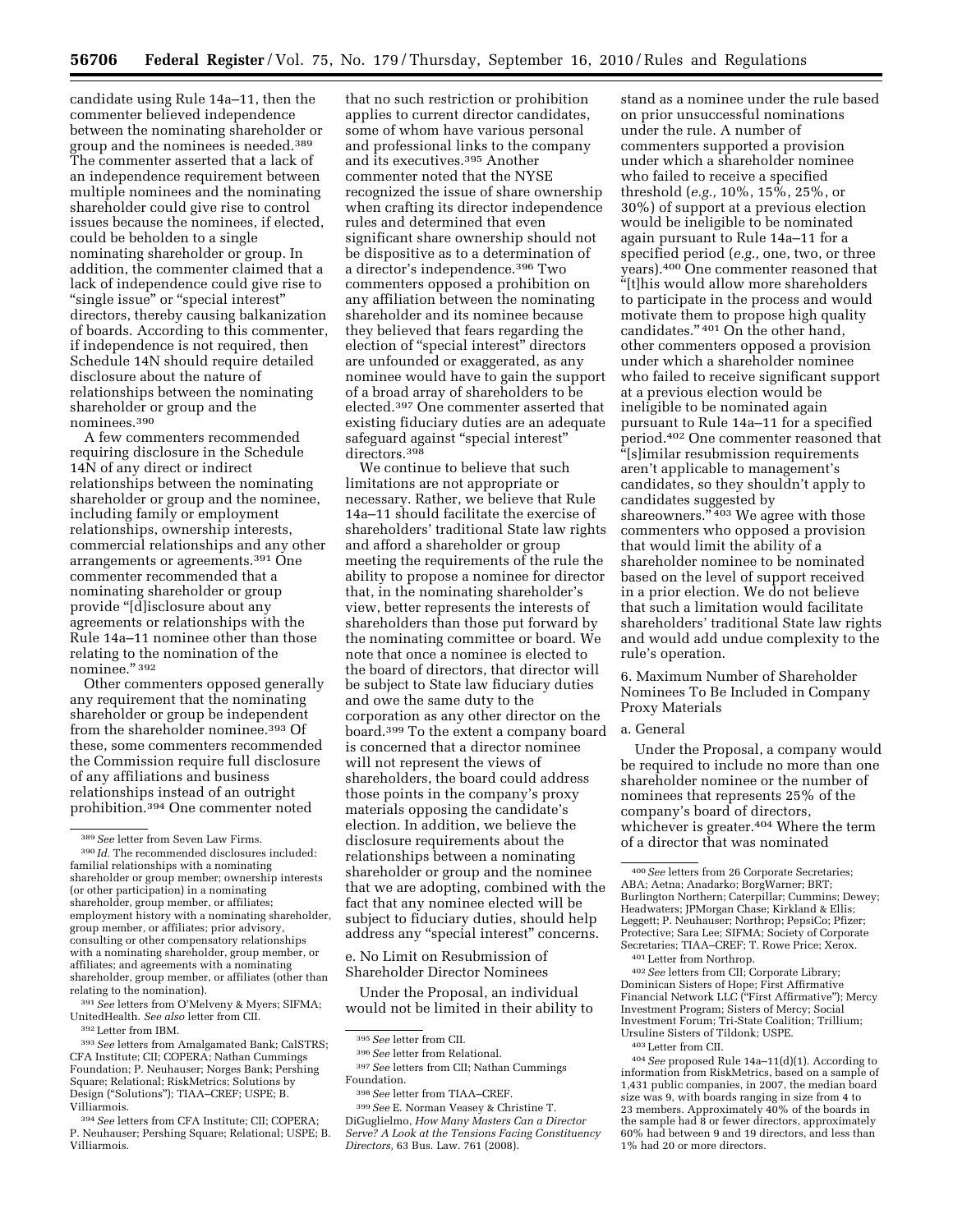candidate using Rule 14a–11, then the commenter believed independence between the nominating shareholder or group and the nominees is needed.389 The commenter asserted that a lack of an independence requirement between multiple nominees and the nominating shareholder could give rise to control issues because the nominees, if elected, could be beholden to a single nominating shareholder or group. In addition, the commenter claimed that a lack of independence could give rise to "single issue" or "special interest" directors, thereby causing balkanization of boards. According to this commenter, if independence is not required, then Schedule 14N should require detailed disclosure about the nature of relationships between the nominating shareholder or group and the nominees.390

A few commenters recommended requiring disclosure in the Schedule 14N of any direct or indirect relationships between the nominating shareholder or group and the nominee, including family or employment relationships, ownership interests, commercial relationships and any other arrangements or agreements.391 One commenter recommended that a nominating shareholder or group provide ''[d]isclosure about any agreements or relationships with the Rule 14a–11 nominee other than those relating to the nomination of the nominee.'' 392

Other commenters opposed generally any requirement that the nominating shareholder or group be independent from the shareholder nominee.393 Of these, some commenters recommended the Commission require full disclosure of any affiliations and business relationships instead of an outright prohibition.394 One commenter noted

391*See* letters from O'Melveny & Myers; SIFMA; UnitedHealth. *See also* letter from CII.

392Letter from IBM.

393*See* letters from Amalgamated Bank; CalSTRS; CFA Institute; CII; COPERA; Nathan Cummings Foundation; P. Neuhauser; Norges Bank; Pershing Square; Relational; RiskMetrics; Solutions by Design (''Solutions''); TIAA–CREF; USPE; B. Villiarmois.

394*See* letters from CFA Institute; CII; COPERA; P. Neuhauser; Pershing Square; Relational; USPE; B. Villiarmois.

that no such restriction or prohibition applies to current director candidates, some of whom have various personal and professional links to the company and its executives.395 Another commenter noted that the NYSE recognized the issue of share ownership when crafting its director independence rules and determined that even significant share ownership should not be dispositive as to a determination of a director's independence.396 Two commenters opposed a prohibition on any affiliation between the nominating shareholder and its nominee because they believed that fears regarding the election of ''special interest'' directors are unfounded or exaggerated, as any nominee would have to gain the support of a broad array of shareholders to be elected.397 One commenter asserted that existing fiduciary duties are an adequate safeguard against ''special interest'' directors.398

We continue to believe that such limitations are not appropriate or necessary. Rather, we believe that Rule 14a–11 should facilitate the exercise of shareholders' traditional State law rights and afford a shareholder or group meeting the requirements of the rule the ability to propose a nominee for director that, in the nominating shareholder's view, better represents the interests of shareholders than those put forward by the nominating committee or board. We note that once a nominee is elected to the board of directors, that director will be subject to State law fiduciary duties and owe the same duty to the corporation as any other director on the board.399 To the extent a company board is concerned that a director nominee will not represent the views of shareholders, the board could address those points in the company's proxy materials opposing the candidate's election. In addition, we believe the disclosure requirements about the relationships between a nominating shareholder or group and the nominee that we are adopting, combined with the fact that any nominee elected will be subject to fiduciary duties, should help address any ''special interest'' concerns.

e. No Limit on Resubmission of Shareholder Director Nominees

Under the Proposal, an individual would not be limited in their ability to

399*See* E. Norman Veasey & Christine T. DiGuglielmo, *How Many Masters Can a Director Serve? A Look at the Tensions Facing Constituency Directors,* 63 Bus. Law. 761 (2008).

stand as a nominee under the rule based on prior unsuccessful nominations under the rule. A number of commenters supported a provision under which a shareholder nominee who failed to receive a specified threshold (*e.g.,* 10%, 15%, 25%, or 30%) of support at a previous election would be ineligible to be nominated again pursuant to Rule 14a–11 for a specified period (*e.g.,* one, two, or three years).400 One commenter reasoned that ''[t]his would allow more shareholders to participate in the process and would motivate them to propose high quality candidates." <sup>401</sup> On the other hand, other commenters opposed a provision under which a shareholder nominee who failed to receive significant support at a previous election would be ineligible to be nominated again pursuant to Rule 14a–11 for a specified period.402 One commenter reasoned that ''[s]imilar resubmission requirements aren't applicable to management's candidates, so they shouldn't apply to candidates suggested by shareowners." <sup>403</sup> We agree with those commenters who opposed a provision that would limit the ability of a shareholder nominee to be nominated based on the level of support received in a prior election. We do not believe that such a limitation would facilitate shareholders' traditional State law rights and would add undue complexity to the rule's operation.

6. Maximum Number of Shareholder Nominees To Be Included in Company Proxy Materials

#### a. General

Under the Proposal, a company would be required to include no more than one shareholder nominee or the number of nominees that represents 25% of the company's board of directors, whichever is greater.404 Where the term of a director that was nominated

401Letter from Northrop. 402*See* letters from CII; Corporate Library; Dominican Sisters of Hope; First Affirmative Financial Network LLC ("First Affirmative"); Mercy Investment Program; Sisters of Mercy; Social Investment Forum; Tri-State Coalition; Trillium; Ursuline Sisters of Tildonk; USPE.

403Letter from CII. 404*See* proposed Rule 14a–11(d)(1). According to information from RiskMetrics, based on a sample of 1,431 public companies, in 2007, the median board size was 9, with boards ranging in size from 4 to 23 members. Approximately 40% of the boards in the sample had 8 or fewer directors, approximately 60% had between 9 and 19 directors, and less than 1% had 20 or more directors.

<sup>389</sup>*See* letter from Seven Law Firms.

<sup>390</sup> *Id.* The recommended disclosures included: familial relationships with a nominating shareholder or group member; ownership interests (or other participation) in a nominating shareholder, group member, or affiliates; employment history with a nominating shareholder, group member, or affiliates; prior advisory, consulting or other compensatory relationships with a nominating shareholder, group member, or affiliates; and agreements with a nominating shareholder, group member, or affiliates (other than relating to the nomination).

<sup>395</sup>*See* letter from CII.

<sup>396</sup>*See* letter from Relational.

<sup>397</sup>*See* letters from CII; Nathan Cummings Foundation.

<sup>398</sup>*See* letter from TIAA–CREF.

<sup>400</sup>*See* letters from 26 Corporate Secretaries; ABA; Aetna; Anadarko; BorgWarner; BRT; Burlington Northern; Caterpillar; Cummins; Dewey; Headwaters; JPMorgan Chase; Kirkland & Ellis; Leggett; P. Neuhauser; Northrop; PepsiCo; Pfizer; Protective; Sara Lee; SIFMA; Society of Corporate Secretaries; TIAA–CREF; T. Rowe Price; Xerox.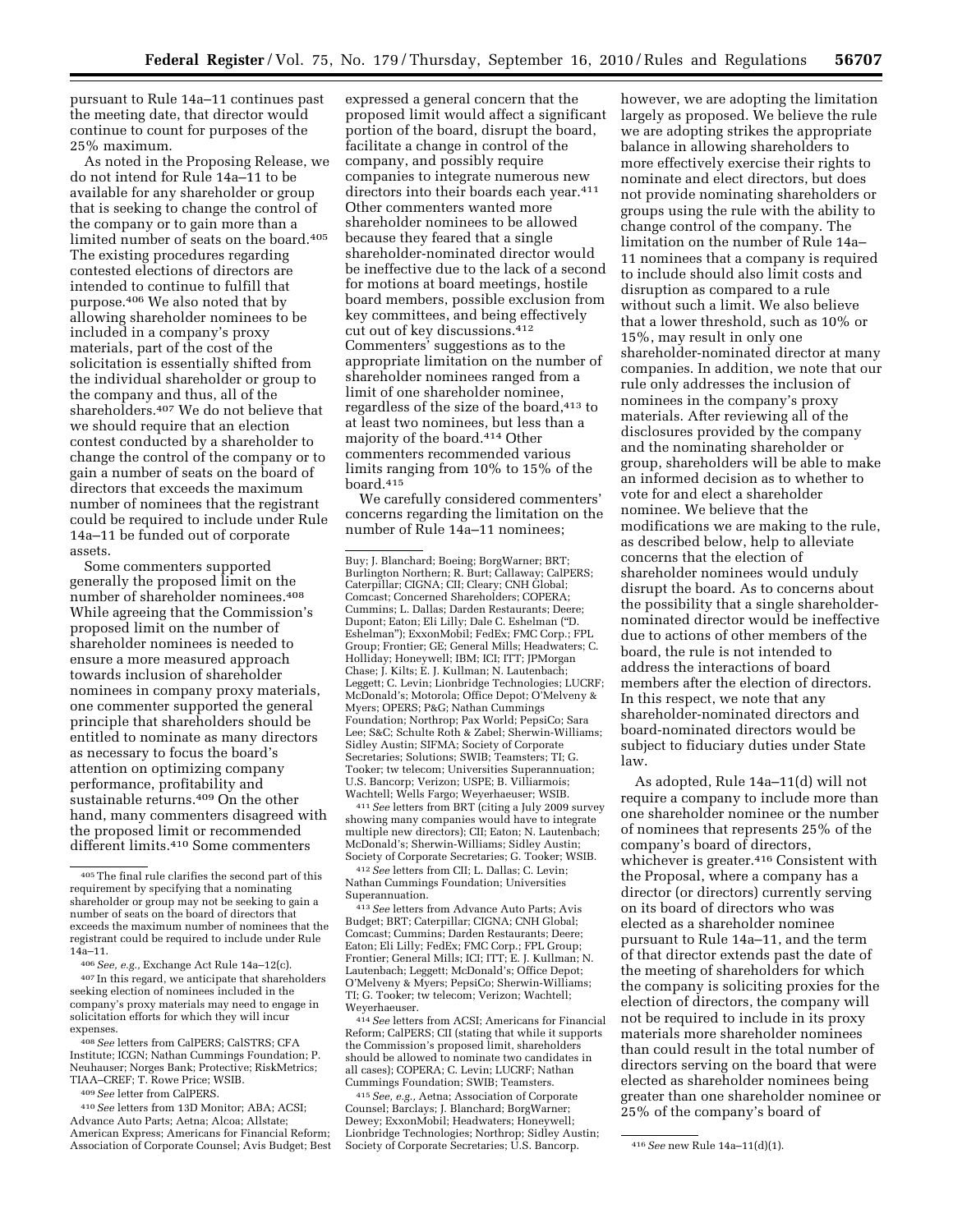pursuant to Rule 14a–11 continues past the meeting date, that director would continue to count for purposes of the 25% maximum.

As noted in the Proposing Release, we do not intend for Rule 14a–11 to be available for any shareholder or group that is seeking to change the control of the company or to gain more than a limited number of seats on the board.405 The existing procedures regarding contested elections of directors are intended to continue to fulfill that purpose.406 We also noted that by allowing shareholder nominees to be included in a company's proxy materials, part of the cost of the solicitation is essentially shifted from the individual shareholder or group to the company and thus, all of the shareholders.407 We do not believe that we should require that an election contest conducted by a shareholder to change the control of the company or to gain a number of seats on the board of directors that exceeds the maximum number of nominees that the registrant could be required to include under Rule 14a–11 be funded out of corporate assets.

Some commenters supported generally the proposed limit on the number of shareholder nominees.408 While agreeing that the Commission's proposed limit on the number of shareholder nominees is needed to ensure a more measured approach towards inclusion of shareholder nominees in company proxy materials, one commenter supported the general principle that shareholders should be entitled to nominate as many directors as necessary to focus the board's attention on optimizing company performance, profitability and sustainable returns.<sup>409</sup> On the other hand, many commenters disagreed with the proposed limit or recommended different limits.410 Some commenters

408*See* letters from CalPERS; CalSTRS; CFA Institute; ICGN; Nathan Cummings Foundation; P. Neuhauser; Norges Bank; Protective; RiskMetrics; TIAA–CREF; T. Rowe Price; WSIB.

409*See* letter from CalPERS.

410*See* letters from 13D Monitor; ABA; ACSI; Advance Auto Parts; Aetna; Alcoa; Allstate; American Express; Americans for Financial Reform; Association of Corporate Counsel; Avis Budget; Best

expressed a general concern that the proposed limit would affect a significant portion of the board, disrupt the board, facilitate a change in control of the company, and possibly require companies to integrate numerous new directors into their boards each year.411 Other commenters wanted more shareholder nominees to be allowed because they feared that a single shareholder-nominated director would be ineffective due to the lack of a second for motions at board meetings, hostile board members, possible exclusion from key committees, and being effectively cut out of key discussions.412 Commenters' suggestions as to the appropriate limitation on the number of shareholder nominees ranged from a limit of one shareholder nominee, regardless of the size of the board,<sup>413</sup> to at least two nominees, but less than a majority of the board.414 Other commenters recommended various limits ranging from 10% to 15% of the board.415

We carefully considered commenters' concerns regarding the limitation on the number of Rule 14a–11 nominees;

411*See* letters from BRT (citing a July 2009 survey showing many companies would have to integrate multiple new directors); CII; Eaton; N. Lautenbach; McDonald's; Sherwin-Williams; Sidley Austin; Society of Corporate Secretaries; G. Tooker; WSIB.

412*See* letters from CII; L. Dallas; C. Levin; Nathan Cummings Foundation; Universities Superannuation.

413*See* letters from Advance Auto Parts; Avis Budget; BRT; Caterpillar; CIGNA; CNH Global; Comcast; Cummins; Darden Restaurants; Deere; Eaton; Eli Lilly; FedEx; FMC Corp.; FPL Group; Frontier; General Mills; ICI; ITT; E. J. Kullman; N. Lautenbach; Leggett; McDonald's; Office Depot; O'Melveny & Myers; PepsiCo; Sherwin-Williams; TI; G. Tooker; tw telecom; Verizon; Wachtell; Weyerhaeuser.

414*See* letters from ACSI; Americans for Financial Reform; CalPERS; CII (stating that while it supports the Commission's proposed limit, shareholders should be allowed to nominate two candidates in all cases); COPERA; C. Levin; LUCRF; Nathan Cummings Foundation; SWIB; Teamsters.

415*See, e.g.,* Aetna; Association of Corporate Counsel; Barclays; J. Blanchard; BorgWarner; Dewey; ExxonMobil; Headwaters; Honeywell; Lionbridge Technologies; Northrop; Sidley Austin; Society of Corporate Secretaries; U.S. Bancorp. 416*See* new Rule 14a–11(d)(1).

however, we are adopting the limitation largely as proposed. We believe the rule we are adopting strikes the appropriate balance in allowing shareholders to more effectively exercise their rights to nominate and elect directors, but does not provide nominating shareholders or groups using the rule with the ability to change control of the company. The limitation on the number of Rule 14a– 11 nominees that a company is required to include should also limit costs and disruption as compared to a rule without such a limit. We also believe that a lower threshold, such as 10% or 15%, may result in only one shareholder-nominated director at many companies. In addition, we note that our rule only addresses the inclusion of nominees in the company's proxy materials. After reviewing all of the disclosures provided by the company and the nominating shareholder or group, shareholders will be able to make an informed decision as to whether to vote for and elect a shareholder nominee. We believe that the modifications we are making to the rule, as described below, help to alleviate concerns that the election of shareholder nominees would unduly disrupt the board. As to concerns about the possibility that a single shareholdernominated director would be ineffective due to actions of other members of the board, the rule is not intended to address the interactions of board members after the election of directors. In this respect, we note that any shareholder-nominated directors and board-nominated directors would be subject to fiduciary duties under State law.

As adopted, Rule 14a–11(d) will not require a company to include more than one shareholder nominee or the number of nominees that represents 25% of the company's board of directors, whichever is greater.<sup>416</sup> Consistent with the Proposal, where a company has a director (or directors) currently serving on its board of directors who was elected as a shareholder nominee pursuant to Rule 14a–11, and the term of that director extends past the date of the meeting of shareholders for which the company is soliciting proxies for the election of directors, the company will not be required to include in its proxy materials more shareholder nominees than could result in the total number of directors serving on the board that were elected as shareholder nominees being greater than one shareholder nominee or 25% of the company's board of

 $\,$  405 The final rule clarifies the second part of this requirement by specifying that a nominating shareholder or group may not be seeking to gain a number of seats on the board of directors that exceeds the maximum number of nominees that the registrant could be required to include under Rule 14a–11.

<sup>406</sup>*See, e.g.,* Exchange Act Rule 14a–12(c). 407 In this regard, we anticipate that shareholders seeking election of nominees included in the company's proxy materials may need to engage in solicitation efforts for which they will incur expenses.

Buy; J. Blanchard; Boeing; BorgWarner; BRT; Burlington Northern; R. Burt; Callaway; CalPERS; Caterpillar; CIGNA; CII; Cleary; CNH Global; Comcast; Concerned Shareholders; COPERA; Cummins; L. Dallas; Darden Restaurants; Deere; Dupont; Eaton; Eli Lilly; Dale C. Eshelman (''D. Eshelman''); ExxonMobil; FedEx; FMC Corp.; FPL Group; Frontier; GE; General Mills; Headwaters; C. Holliday; Honeywell; IBM; ICI; ITT; JPMorgan Chase; J. Kilts; E. J. Kullman; N. Lautenbach; Leggett; C. Levin; Lionbridge Technologies; LUCRF; McDonald's; Motorola; Office Depot; O'Melveny & Myers; OPERS; P&G; Nathan Cummings Foundation; Northrop; Pax World; PepsiCo; Sara Lee; S&C; Schulte Roth & Zabel; Sherwin-Williams; Sidley Austin; SIFMA; Society of Corporate Secretaries; Solutions; SWIB; Teamsters; TI; G. Tooker; tw telecom; Universities Superannuation; U.S. Bancorp; Verizon; USPE; B. Villiarmois; Wachtell; Wells Fargo; Weyerhaeuser; WSIB.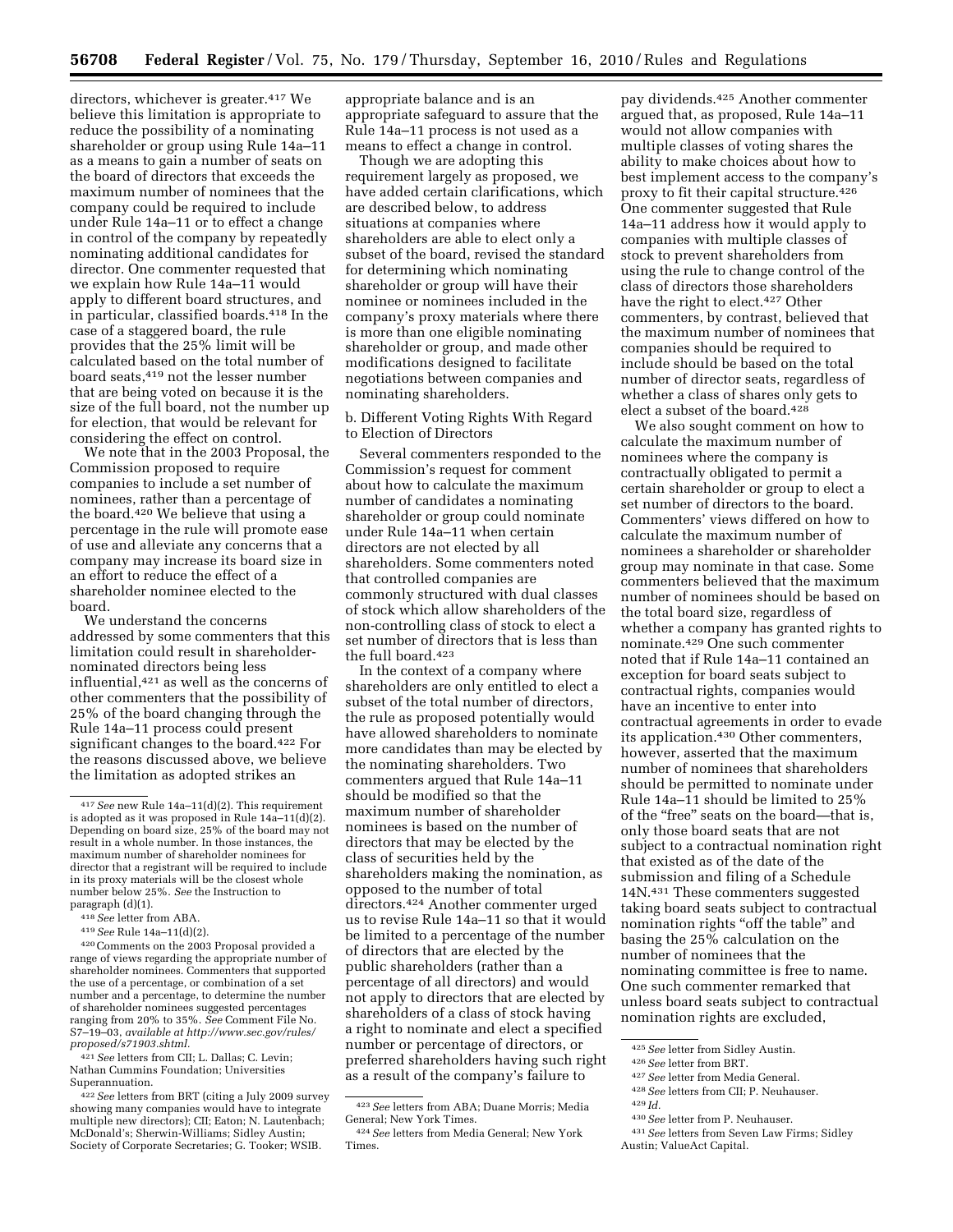directors, whichever is greater.<sup>417</sup> We believe this limitation is appropriate to reduce the possibility of a nominating shareholder or group using Rule 14a–11 as a means to gain a number of seats on the board of directors that exceeds the maximum number of nominees that the company could be required to include under Rule 14a–11 or to effect a change in control of the company by repeatedly nominating additional candidates for director. One commenter requested that we explain how Rule 14a–11 would apply to different board structures, and in particular, classified boards.418 In the case of a staggered board, the rule provides that the 25% limit will be calculated based on the total number of board seats,419 not the lesser number that are being voted on because it is the size of the full board, not the number up for election, that would be relevant for considering the effect on control.

We note that in the 2003 Proposal, the Commission proposed to require companies to include a set number of nominees, rather than a percentage of the board.420 We believe that using a percentage in the rule will promote ease of use and alleviate any concerns that a company may increase its board size in an effort to reduce the effect of a shareholder nominee elected to the board.

We understand the concerns addressed by some commenters that this limitation could result in shareholdernominated directors being less influential,421 as well as the concerns of other commenters that the possibility of 25% of the board changing through the Rule 14a–11 process could present significant changes to the board.422 For the reasons discussed above, we believe the limitation as adopted strikes an

shareholder nominees. Commenters that supported the use of a percentage, or combination of a set number and a percentage, to determine the number of shareholder nominees suggested percentages ranging from 20% to 35%. *See* Comment File No. S7–19–03, *available at [http://www.sec.gov/rules/](http://www.sec.gov/rules/proposed/s71903.shtml)  [proposed/s71903.shtml.](http://www.sec.gov/rules/proposed/s71903.shtml)* 

421*See* letters from CII; L. Dallas; C. Levin; Nathan Cummins Foundation; Universities Superannuation.

422*See* letters from BRT (citing a July 2009 survey showing many companies would have to integrate multiple new directors); CII; Eaton; N. Lautenbach; McDonald's; Sherwin-Williams; Sidley Austin; Society of Corporate Secretaries; G. Tooker; WSIB.

appropriate balance and is an appropriate safeguard to assure that the Rule 14a–11 process is not used as a means to effect a change in control.

Though we are adopting this requirement largely as proposed, we have added certain clarifications, which are described below, to address situations at companies where shareholders are able to elect only a subset of the board, revised the standard for determining which nominating shareholder or group will have their nominee or nominees included in the company's proxy materials where there is more than one eligible nominating shareholder or group, and made other modifications designed to facilitate negotiations between companies and nominating shareholders.

b. Different Voting Rights With Regard to Election of Directors

Several commenters responded to the Commission's request for comment about how to calculate the maximum number of candidates a nominating shareholder or group could nominate under Rule 14a–11 when certain directors are not elected by all shareholders. Some commenters noted that controlled companies are commonly structured with dual classes of stock which allow shareholders of the non-controlling class of stock to elect a set number of directors that is less than the full board.423

In the context of a company where shareholders are only entitled to elect a subset of the total number of directors, the rule as proposed potentially would have allowed shareholders to nominate more candidates than may be elected by the nominating shareholders. Two commenters argued that Rule 14a–11 should be modified so that the maximum number of shareholder nominees is based on the number of directors that may be elected by the class of securities held by the shareholders making the nomination, as opposed to the number of total directors.424 Another commenter urged us to revise Rule 14a–11 so that it would be limited to a percentage of the number of directors that are elected by the public shareholders (rather than a percentage of all directors) and would not apply to directors that are elected by shareholders of a class of stock having a right to nominate and elect a specified number or percentage of directors, or preferred shareholders having such right as a result of the company's failure to

pay dividends.425 Another commenter argued that, as proposed, Rule 14a–11 would not allow companies with multiple classes of voting shares the ability to make choices about how to best implement access to the company's proxy to fit their capital structure.426 One commenter suggested that Rule 14a–11 address how it would apply to companies with multiple classes of stock to prevent shareholders from using the rule to change control of the class of directors those shareholders have the right to elect.427 Other commenters, by contrast, believed that the maximum number of nominees that companies should be required to include should be based on the total number of director seats, regardless of whether a class of shares only gets to elect a subset of the board.428

We also sought comment on how to calculate the maximum number of nominees where the company is contractually obligated to permit a certain shareholder or group to elect a set number of directors to the board. Commenters' views differed on how to calculate the maximum number of nominees a shareholder or shareholder group may nominate in that case. Some commenters believed that the maximum number of nominees should be based on the total board size, regardless of whether a company has granted rights to nominate.429 One such commenter noted that if Rule 14a–11 contained an exception for board seats subject to contractual rights, companies would have an incentive to enter into contractual agreements in order to evade its application.430 Other commenters, however, asserted that the maximum number of nominees that shareholders should be permitted to nominate under Rule 14a–11 should be limited to 25% of the ''free'' seats on the board—that is, only those board seats that are not subject to a contractual nomination right that existed as of the date of the submission and filing of a Schedule 14N.431 These commenters suggested taking board seats subject to contractual nomination rights "off the table" and basing the 25% calculation on the number of nominees that the nominating committee is free to name. One such commenter remarked that unless board seats subject to contractual nomination rights are excluded,

430*See* letter from P. Neuhauser.

<sup>417</sup>*See* new Rule 14a–11(d)(2). This requirement is adopted as it was proposed in Rule 14a–11(d)(2). Depending on board size, 25% of the board may not result in a whole number. In those instances, the maximum number of shareholder nominees for director that a registrant will be required to include in its proxy materials will be the closest whole number below 25%. *See* the Instruction to paragraph (d)(1).

<sup>418</sup>*See* letter from ABA.

<sup>419</sup>*See* Rule 14a–11(d)(2).

<sup>420</sup>Comments on the 2003 Proposal provided a range of views regarding the appropriate number of

<sup>423</sup>*See* letters from ABA; Duane Morris; Media General; New York Times.

<sup>424</sup>*See* letters from Media General; New York Times.

<sup>425</sup>*See* letter from Sidley Austin.

<sup>426</sup>*See* letter from BRT.

<sup>427</sup>*See* letter from Media General.

<sup>428</sup>*See* letters from CII; P. Neuhauser.

<sup>429</sup> *Id.* 

<sup>431</sup>*See* letters from Seven Law Firms; Sidley Austin; ValueAct Capital.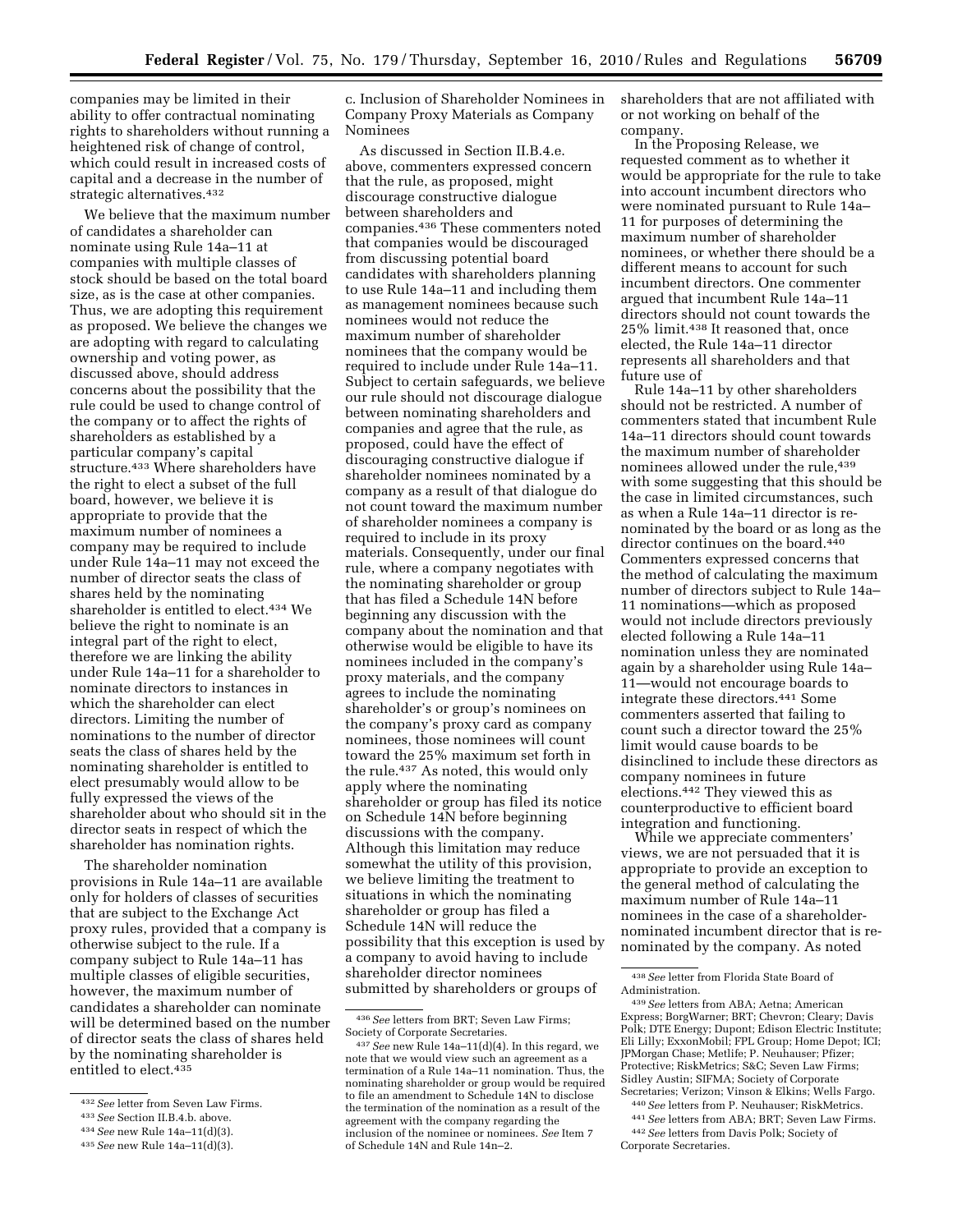companies may be limited in their ability to offer contractual nominating rights to shareholders without running a heightened risk of change of control, which could result in increased costs of capital and a decrease in the number of strategic alternatives.432

We believe that the maximum number of candidates a shareholder can nominate using Rule 14a–11 at companies with multiple classes of stock should be based on the total board size, as is the case at other companies. Thus, we are adopting this requirement as proposed. We believe the changes we are adopting with regard to calculating ownership and voting power, as discussed above, should address concerns about the possibility that the rule could be used to change control of the company or to affect the rights of shareholders as established by a particular company's capital structure.433 Where shareholders have the right to elect a subset of the full board, however, we believe it is appropriate to provide that the maximum number of nominees a company may be required to include under Rule 14a–11 may not exceed the number of director seats the class of shares held by the nominating shareholder is entitled to elect.434 We believe the right to nominate is an integral part of the right to elect, therefore we are linking the ability under Rule 14a–11 for a shareholder to nominate directors to instances in which the shareholder can elect directors. Limiting the number of nominations to the number of director seats the class of shares held by the nominating shareholder is entitled to elect presumably would allow to be fully expressed the views of the shareholder about who should sit in the director seats in respect of which the shareholder has nomination rights.

The shareholder nomination provisions in Rule 14a–11 are available only for holders of classes of securities that are subject to the Exchange Act proxy rules, provided that a company is otherwise subject to the rule. If a company subject to Rule 14a–11 has multiple classes of eligible securities, however, the maximum number of candidates a shareholder can nominate will be determined based on the number of director seats the class of shares held by the nominating shareholder is entitled to elect.<sup>435</sup>

c. Inclusion of Shareholder Nominees in Company Proxy Materials as Company Nominees

As discussed in Section II.B.4.e. above, commenters expressed concern that the rule, as proposed, might discourage constructive dialogue between shareholders and companies.436 These commenters noted that companies would be discouraged from discussing potential board candidates with shareholders planning to use Rule 14a–11 and including them as management nominees because such nominees would not reduce the maximum number of shareholder nominees that the company would be required to include under Rule 14a–11. Subject to certain safeguards, we believe our rule should not discourage dialogue between nominating shareholders and companies and agree that the rule, as proposed, could have the effect of discouraging constructive dialogue if shareholder nominees nominated by a company as a result of that dialogue do not count toward the maximum number of shareholder nominees a company is required to include in its proxy materials. Consequently, under our final rule, where a company negotiates with the nominating shareholder or group that has filed a Schedule 14N before beginning any discussion with the company about the nomination and that otherwise would be eligible to have its nominees included in the company's proxy materials, and the company agrees to include the nominating shareholder's or group's nominees on the company's proxy card as company nominees, those nominees will count toward the 25% maximum set forth in the rule.437 As noted, this would only apply where the nominating shareholder or group has filed its notice on Schedule 14N before beginning discussions with the company. Although this limitation may reduce somewhat the utility of this provision, we believe limiting the treatment to situations in which the nominating shareholder or group has filed a Schedule 14N will reduce the possibility that this exception is used by a company to avoid having to include shareholder director nominees submitted by shareholders or groups of

shareholders that are not affiliated with or not working on behalf of the company.

In the Proposing Release, we requested comment as to whether it would be appropriate for the rule to take into account incumbent directors who were nominated pursuant to Rule 14a– 11 for purposes of determining the maximum number of shareholder nominees, or whether there should be a different means to account for such incumbent directors. One commenter argued that incumbent Rule 14a–11 directors should not count towards the 25% limit.438 It reasoned that, once elected, the Rule 14a–11 director represents all shareholders and that future use of

Rule 14a–11 by other shareholders should not be restricted. A number of commenters stated that incumbent Rule 14a–11 directors should count towards the maximum number of shareholder nominees allowed under the rule,  $439$ with some suggesting that this should be the case in limited circumstances, such as when a Rule 14a–11 director is renominated by the board or as long as the director continues on the board.<sup>440</sup> Commenters expressed concerns that the method of calculating the maximum number of directors subject to Rule 14a– 11 nominations—which as proposed would not include directors previously elected following a Rule 14a–11 nomination unless they are nominated again by a shareholder using Rule 14a– 11—would not encourage boards to integrate these directors.441 Some commenters asserted that failing to count such a director toward the 25% limit would cause boards to be disinclined to include these directors as company nominees in future elections.442 They viewed this as counterproductive to efficient board integration and functioning.

While we appreciate commenters' views, we are not persuaded that it is appropriate to provide an exception to the general method of calculating the maximum number of Rule 14a–11 nominees in the case of a shareholdernominated incumbent director that is renominated by the company. As noted

<sup>432</sup>*See* letter from Seven Law Firms.

<sup>433</sup>*See* Section II.B.4.b. above.

<sup>434</sup>*See* new Rule 14a–11(d)(3).

<sup>435</sup>*See* new Rule 14a–11(d)(3).

<sup>436</sup>*See* letters from BRT; Seven Law Firms; Society of Corporate Secretaries.

<sup>437</sup>*See* new Rule 14a–11(d)(4). In this regard, we note that we would view such an agreement as a termination of a Rule 14a–11 nomination. Thus, the nominating shareholder or group would be required to file an amendment to Schedule 14N to disclose the termination of the nomination as a result of the agreement with the company regarding the inclusion of the nominee or nominees. *See* Item 7 of Schedule 14N and Rule 14n–2.

<sup>438</sup>*See* letter from Florida State Board of Administration.

<sup>439</sup>*See* letters from ABA; Aetna; American Express; BorgWarner; BRT; Chevron; Cleary; Davis Polk; DTE Energy; Dupont; Edison Electric Institute; Eli Lilly; ExxonMobil; FPL Group; Home Depot; ICI; JPMorgan Chase; Metlife; P. Neuhauser; Pfizer; Protective; RiskMetrics; S&C; Seven Law Firms; Sidley Austin; SIFMA; Society of Corporate Secretaries; Verizon; Vinson & Elkins; Wells Fargo.

<sup>440</sup>*See* letters from P. Neuhauser; RiskMetrics.

<sup>441</sup>*See* letters from ABA; BRT; Seven Law Firms.

<sup>442</sup>*See* letters from Davis Polk; Society of Corporate Secretaries.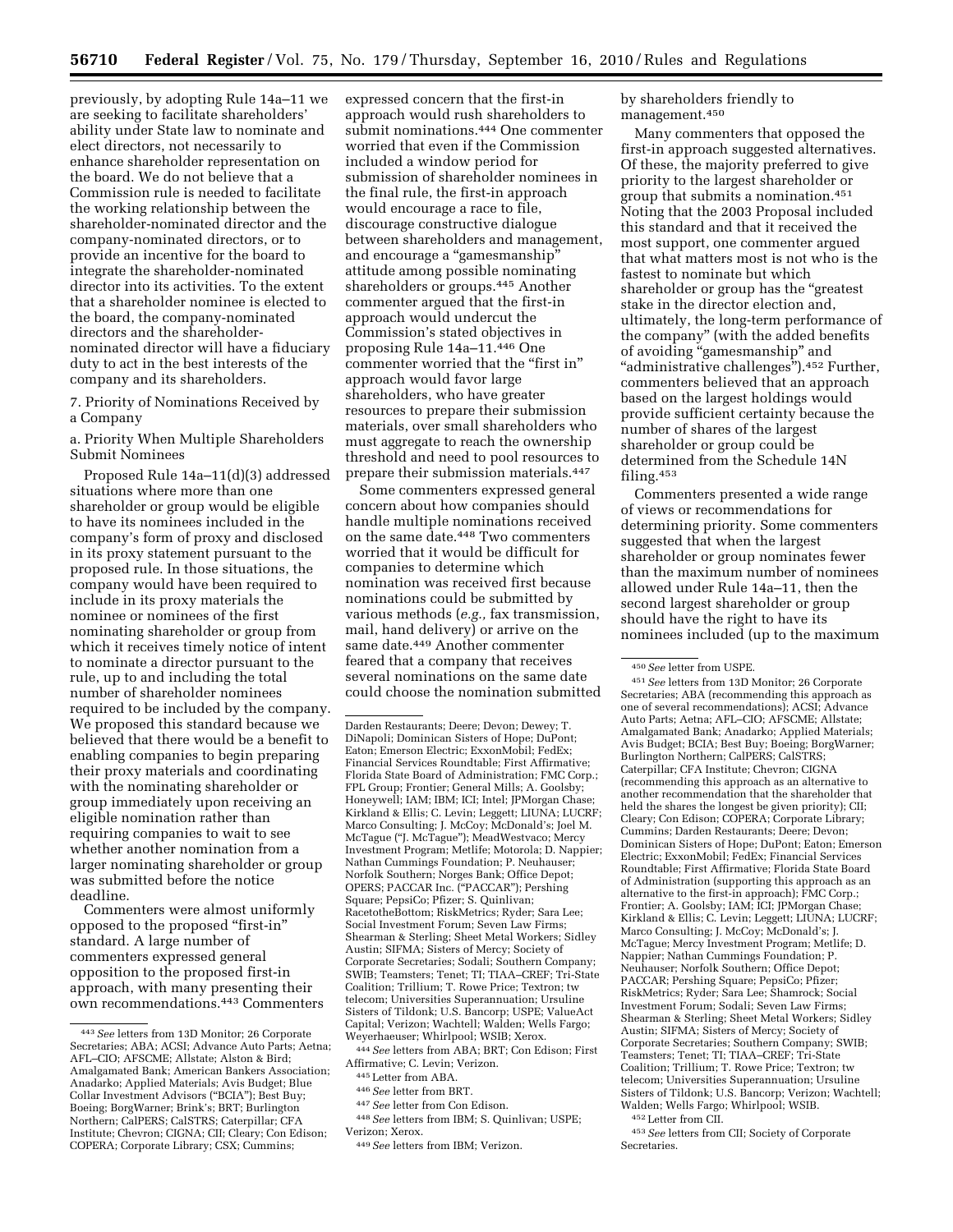previously, by adopting Rule 14a–11 we are seeking to facilitate shareholders' ability under State law to nominate and elect directors, not necessarily to enhance shareholder representation on the board. We do not believe that a Commission rule is needed to facilitate the working relationship between the shareholder-nominated director and the company-nominated directors, or to provide an incentive for the board to integrate the shareholder-nominated director into its activities. To the extent that a shareholder nominee is elected to the board, the company-nominated directors and the shareholdernominated director will have a fiduciary duty to act in the best interests of the company and its shareholders.

7. Priority of Nominations Received by a Company

a. Priority When Multiple Shareholders Submit Nominees

Proposed Rule 14a–11(d)(3) addressed situations where more than one shareholder or group would be eligible to have its nominees included in the company's form of proxy and disclosed in its proxy statement pursuant to the proposed rule. In those situations, the company would have been required to include in its proxy materials the nominee or nominees of the first nominating shareholder or group from which it receives timely notice of intent to nominate a director pursuant to the rule, up to and including the total number of shareholder nominees required to be included by the company. We proposed this standard because we believed that there would be a benefit to enabling companies to begin preparing their proxy materials and coordinating with the nominating shareholder or group immediately upon receiving an eligible nomination rather than requiring companies to wait to see whether another nomination from a larger nominating shareholder or group was submitted before the notice deadline.

Commenters were almost uniformly opposed to the proposed ''first-in'' standard. A large number of commenters expressed general opposition to the proposed first-in approach, with many presenting their own recommendations.443 Commenters expressed concern that the first-in approach would rush shareholders to submit nominations.444 One commenter worried that even if the Commission included a window period for submission of shareholder nominees in the final rule, the first-in approach would encourage a race to file, discourage constructive dialogue between shareholders and management, and encourage a ''gamesmanship'' attitude among possible nominating shareholders or groups.445 Another commenter argued that the first-in approach would undercut the Commission's stated objectives in proposing Rule 14a–11.446 One commenter worried that the "first in" approach would favor large shareholders, who have greater resources to prepare their submission materials, over small shareholders who must aggregate to reach the ownership threshold and need to pool resources to prepare their submission materials.447

Some commenters expressed general concern about how companies should handle multiple nominations received on the same date.448 Two commenters worried that it would be difficult for companies to determine which nomination was received first because nominations could be submitted by various methods (*e.g.,* fax transmission, mail, hand delivery) or arrive on the same date.449 Another commenter feared that a company that receives several nominations on the same date could choose the nomination submitted

444*See* letters from ABA; BRT; Con Edison; First Affirmative; C. Levin; Verizon.

- 446*See* letter from BRT.
- 447*See* letter from Con Edison.
- 448*See* letters from IBM; S. Quinlivan; USPE; Verizon; Xerox.

by shareholders friendly to management.450

Many commenters that opposed the first-in approach suggested alternatives. Of these, the majority preferred to give priority to the largest shareholder or group that submits a nomination.451 Noting that the 2003 Proposal included this standard and that it received the most support, one commenter argued that what matters most is not who is the fastest to nominate but which shareholder or group has the ''greatest stake in the director election and, ultimately, the long-term performance of the company'' (with the added benefits of avoiding ''gamesmanship'' and "administrative challenges"). 452 Further, commenters believed that an approach based on the largest holdings would provide sufficient certainty because the number of shares of the largest shareholder or group could be determined from the Schedule 14N filing.453

Commenters presented a wide range of views or recommendations for determining priority. Some commenters suggested that when the largest shareholder or group nominates fewer than the maximum number of nominees allowed under Rule 14a–11, then the second largest shareholder or group should have the right to have its nominees included (up to the maximum

451*See* letters from 13D Monitor; 26 Corporate Secretaries; ABA (recommending this approach as one of several recommendations); ACSI; Advance Auto Parts; Aetna; AFL–CIO; AFSCME; Allstate; Amalgamated Bank; Anadarko; Applied Materials; Avis Budget; BCIA; Best Buy; Boeing; BorgWarner; Burlington Northern; CalPERS; CalSTRS; Caterpillar; CFA Institute; Chevron; CIGNA (recommending this approach as an alternative to another recommendation that the shareholder that held the shares the longest be given priority); CII; Cleary; Con Edison; COPERA; Corporate Library; Cummins; Darden Restaurants; Deere; Devon; Dominican Sisters of Hope; DuPont; Eaton; Emerson Electric; ExxonMobil; FedEx; Financial Services Roundtable; First Affirmative; Florida State Board of Administration (supporting this approach as an alternative to the first-in approach); FMC Corp.; Frontier; A. Goolsby; IAM; ICI; JPMorgan Chase; Kirkland & Ellis; C. Levin; Leggett; LIUNA; LUCRF; Marco Consulting; J. McCoy; McDonald's; J. McTague; Mercy Investment Program; Metlife; D. Nappier; Nathan Cummings Foundation; P. Neuhauser; Norfolk Southern; Office Depot; PACCAR; Pershing Square; PepsiCo; Pfizer; RiskMetrics; Ryder; Sara Lee; Shamrock; Social Investment Forum; Sodali; Seven Law Firms; Shearman & Sterling; Sheet Metal Workers; Sidley Austin; SIFMA; Sisters of Mercy; Society of Corporate Secretaries; Southern Company; SWIB; Teamsters; Tenet; TI; TIAA–CREF; Tri-State Coalition; Trillium; T. Rowe Price; Textron; tw telecom; Universities Superannuation; Ursuline Sisters of Tildonk; U.S. Bancorp; Verizon; Wachtell; Walden; Wells Fargo; Whirlpool; WSIB.

452Letter from CII.

453*See* letters from CII; Society of Corporate Secretaries.

<sup>443</sup>*See* letters from 13D Monitor; 26 Corporate Secretaries; ABA; ACSI; Advance Auto Parts; Aetna; AFL–CIO; AFSCME; Allstate; Alston & Bird; Amalgamated Bank; American Bankers Association; Anadarko; Applied Materials; Avis Budget; Blue Collar Investment Advisors (''BCIA''); Best Buy; Boeing; BorgWarner; Brink's; BRT; Burlington Northern; CalPERS; CalSTRS; Caterpillar; CFA Institute; Chevron; CIGNA; CII; Cleary; Con Edison; COPERA; Corporate Library; CSX; Cummins;

Darden Restaurants; Deere; Devon; Dewey; T. DiNapoli; Dominican Sisters of Hope; DuPont; Eaton; Emerson Electric; ExxonMobil; FedEx; Financial Services Roundtable; First Affirmative; Florida State Board of Administration; FMC Corp.; FPL Group; Frontier; General Mills; A. Goolsby; Honeywell; IAM; IBM; ICI; Intel; JPMorgan Chase; Kirkland & Ellis; C. Levin; Leggett; LIUNA; LUCRF; Marco Consulting; J. McCoy; McDonald's; Joel M. McTague (''J. McTague''); MeadWestvaco; Mercy Investment Program; Metlife; Motorola; D. Nappier; Nathan Cummings Foundation; P. Neuhauser; Norfolk Southern; Norges Bank; Office Depot; OPERS; PACCAR Inc. (''PACCAR''); Pershing Square; PepsiCo; Pfizer; S. Quinlivan; RacetotheBottom; RiskMetrics; Ryder; Sara Lee; Social Investment Forum; Seven Law Firms; Shearman & Sterling; Sheet Metal Workers; Sidley Austin; SIFMA; Sisters of Mercy; Society of Corporate Secretaries; Sodali; Southern Company; SWIB; Teamsters; Tenet; TI; TIAA–CREF; Tri-State Coalition; Trillium; T. Rowe Price; Textron; tw telecom; Universities Superannuation; Ursuline Sisters of Tildonk; U.S. Bancorp; USPE; ValueAct Capital; Verizon; Wachtell; Walden; Wells Fargo; Weyerhaeuser; Whirlpool; WSIB; Xerox.

<sup>445</sup>Letter from ABA.

<sup>449</sup>*See* letters from IBM; Verizon.

<sup>450</sup>*See* letter from USPE.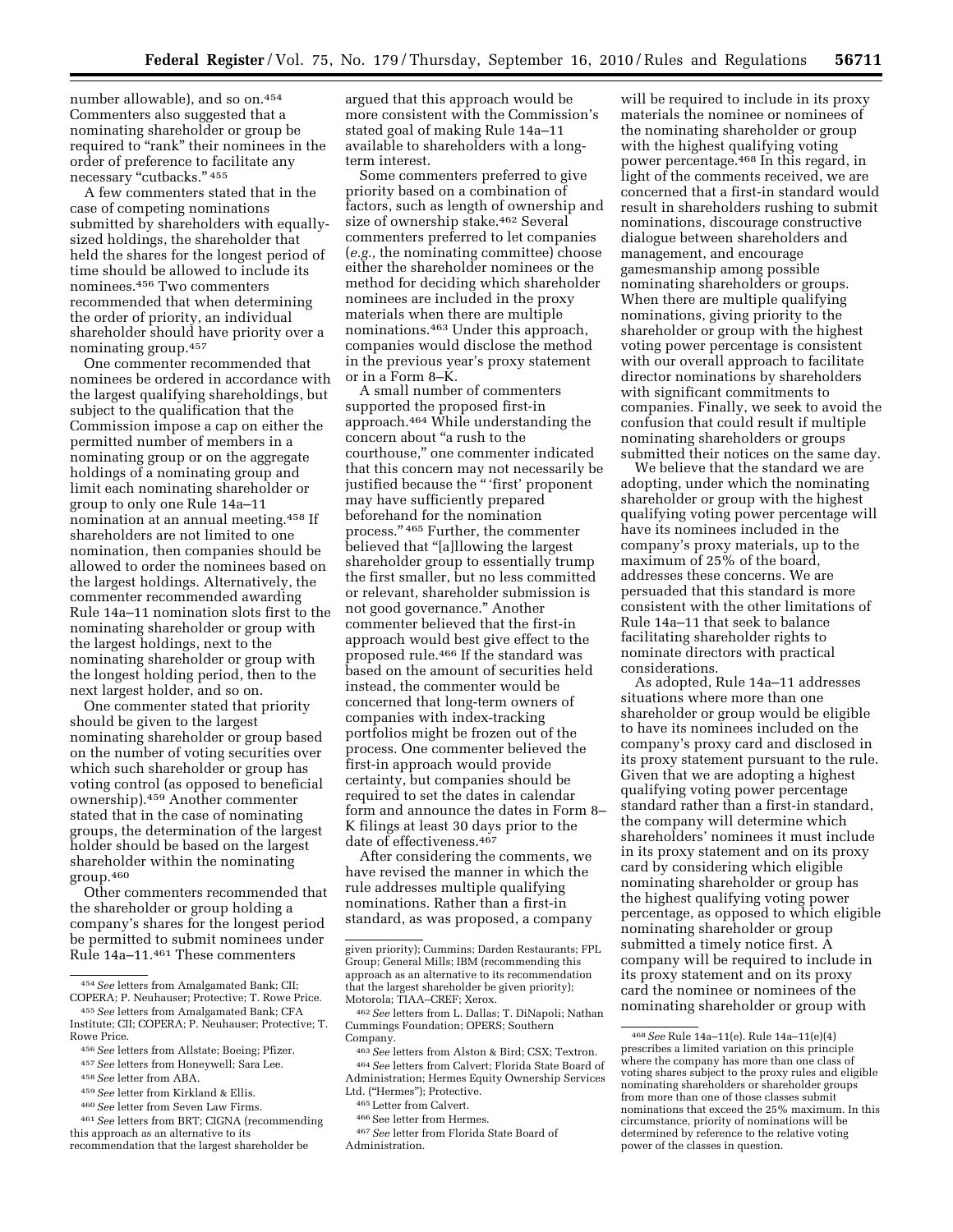number allowable), and so on.454 Commenters also suggested that a nominating shareholder or group be required to "rank" their nominees in the order of preference to facilitate any necessary "cutbacks." 455

A few commenters stated that in the case of competing nominations submitted by shareholders with equallysized holdings, the shareholder that held the shares for the longest period of time should be allowed to include its nominees.456 Two commenters recommended that when determining the order of priority, an individual shareholder should have priority over a nominating group.457

One commenter recommended that nominees be ordered in accordance with the largest qualifying shareholdings, but subject to the qualification that the Commission impose a cap on either the permitted number of members in a nominating group or on the aggregate holdings of a nominating group and limit each nominating shareholder or group to only one Rule 14a–11 nomination at an annual meeting.458 If shareholders are not limited to one nomination, then companies should be allowed to order the nominees based on the largest holdings. Alternatively, the commenter recommended awarding Rule 14a–11 nomination slots first to the nominating shareholder or group with the largest holdings, next to the nominating shareholder or group with the longest holding period, then to the next largest holder, and so on.

One commenter stated that priority should be given to the largest nominating shareholder or group based on the number of voting securities over which such shareholder or group has voting control (as opposed to beneficial ownership).459 Another commenter stated that in the case of nominating groups, the determination of the largest holder should be based on the largest shareholder within the nominating group.460

Other commenters recommended that the shareholder or group holding a company's shares for the longest period be permitted to submit nominees under Rule 14a–11.461 These commenters

459*See* letter from Kirkland & Ellis.

argued that this approach would be more consistent with the Commission's stated goal of making Rule 14a–11 available to shareholders with a longterm interest.

Some commenters preferred to give priority based on a combination of factors, such as length of ownership and size of ownership stake.462 Several commenters preferred to let companies (*e.g.,* the nominating committee) choose either the shareholder nominees or the method for deciding which shareholder nominees are included in the proxy materials when there are multiple nominations.463 Under this approach, companies would disclose the method in the previous year's proxy statement or in a Form 8–K.

A small number of commenters supported the proposed first-in approach.464 While understanding the concern about ''a rush to the courthouse,'' one commenter indicated that this concern may not necessarily be justified because the '' 'first' proponent may have sufficiently prepared beforehand for the nomination process.'' 465 Further, the commenter believed that ''[a]llowing the largest shareholder group to essentially trump the first smaller, but no less committed or relevant, shareholder submission is not good governance.'' Another commenter believed that the first-in approach would best give effect to the proposed rule.466 If the standard was based on the amount of securities held instead, the commenter would be concerned that long-term owners of companies with index-tracking portfolios might be frozen out of the process. One commenter believed the first-in approach would provide certainty, but companies should be required to set the dates in calendar form and announce the dates in Form 8– K filings at least 30 days prior to the date of effectiveness.467

After considering the comments, we have revised the manner in which the rule addresses multiple qualifying nominations. Rather than a first-in standard, as was proposed, a company

463*See* letters from Alston & Bird; CSX; Textron. 464*See* letters from Calvert; Florida State Board of Administration; Hermes Equity Ownership Services Ltd. ("Hermes"); Protective.

- 465Letter from Calvert.
- 466See letter from Hermes.

467*See* letter from Florida State Board of Administration.

will be required to include in its proxy materials the nominee or nominees of the nominating shareholder or group with the highest qualifying voting power percentage.468 In this regard, in light of the comments received, we are concerned that a first-in standard would result in shareholders rushing to submit nominations, discourage constructive dialogue between shareholders and management, and encourage gamesmanship among possible nominating shareholders or groups. When there are multiple qualifying nominations, giving priority to the shareholder or group with the highest voting power percentage is consistent with our overall approach to facilitate director nominations by shareholders with significant commitments to companies. Finally, we seek to avoid the confusion that could result if multiple nominating shareholders or groups submitted their notices on the same day.

We believe that the standard we are adopting, under which the nominating shareholder or group with the highest qualifying voting power percentage will have its nominees included in the company's proxy materials, up to the maximum of 25% of the board, addresses these concerns. We are persuaded that this standard is more consistent with the other limitations of Rule 14a–11 that seek to balance facilitating shareholder rights to nominate directors with practical considerations.

As adopted, Rule 14a–11 addresses situations where more than one shareholder or group would be eligible to have its nominees included on the company's proxy card and disclosed in its proxy statement pursuant to the rule. Given that we are adopting a highest qualifying voting power percentage standard rather than a first-in standard, the company will determine which shareholders' nominees it must include in its proxy statement and on its proxy card by considering which eligible nominating shareholder or group has the highest qualifying voting power percentage, as opposed to which eligible nominating shareholder or group submitted a timely notice first. A company will be required to include in its proxy statement and on its proxy card the nominee or nominees of the nominating shareholder or group with

<sup>454</sup>*See* letters from Amalgamated Bank; CII; COPERA; P. Neuhauser; Protective; T. Rowe Price.

<sup>455</sup>*See* letters from Amalgamated Bank; CFA Institute; CII; COPERA; P. Neuhauser; Protective; T. Rowe Price.

<sup>456</sup>*See* letters from Allstate; Boeing; Pfizer.

<sup>457</sup>*See* letters from Honeywell; Sara Lee.

<sup>458</sup>*See* letter from ABA.

<sup>460</sup>*See* letter from Seven Law Firms.

<sup>461</sup>*See* letters from BRT; CIGNA (recommending this approach as an alternative to its recommendation that the largest shareholder be

given priority); Cummins; Darden Restaurants; FPL Group; General Mills; IBM (recommending this approach as an alternative to its recommendation that the largest shareholder be given priority); Motorola; TIAA–CREF; Xerox.

<sup>462</sup>*See* letters from L. Dallas; T. DiNapoli; Nathan Cummings Foundation; OPERS; Southern Company.

<sup>468</sup>*See* Rule 14a–11(e). Rule 14a–11(e)(4) prescribes a limited variation on this principle where the company has more than one class of voting shares subject to the proxy rules and eligible nominating shareholders or shareholder groups from more than one of those classes submit nominations that exceed the 25% maximum. In this circumstance, priority of nominations will be determined by reference to the relative voting power of the classes in question.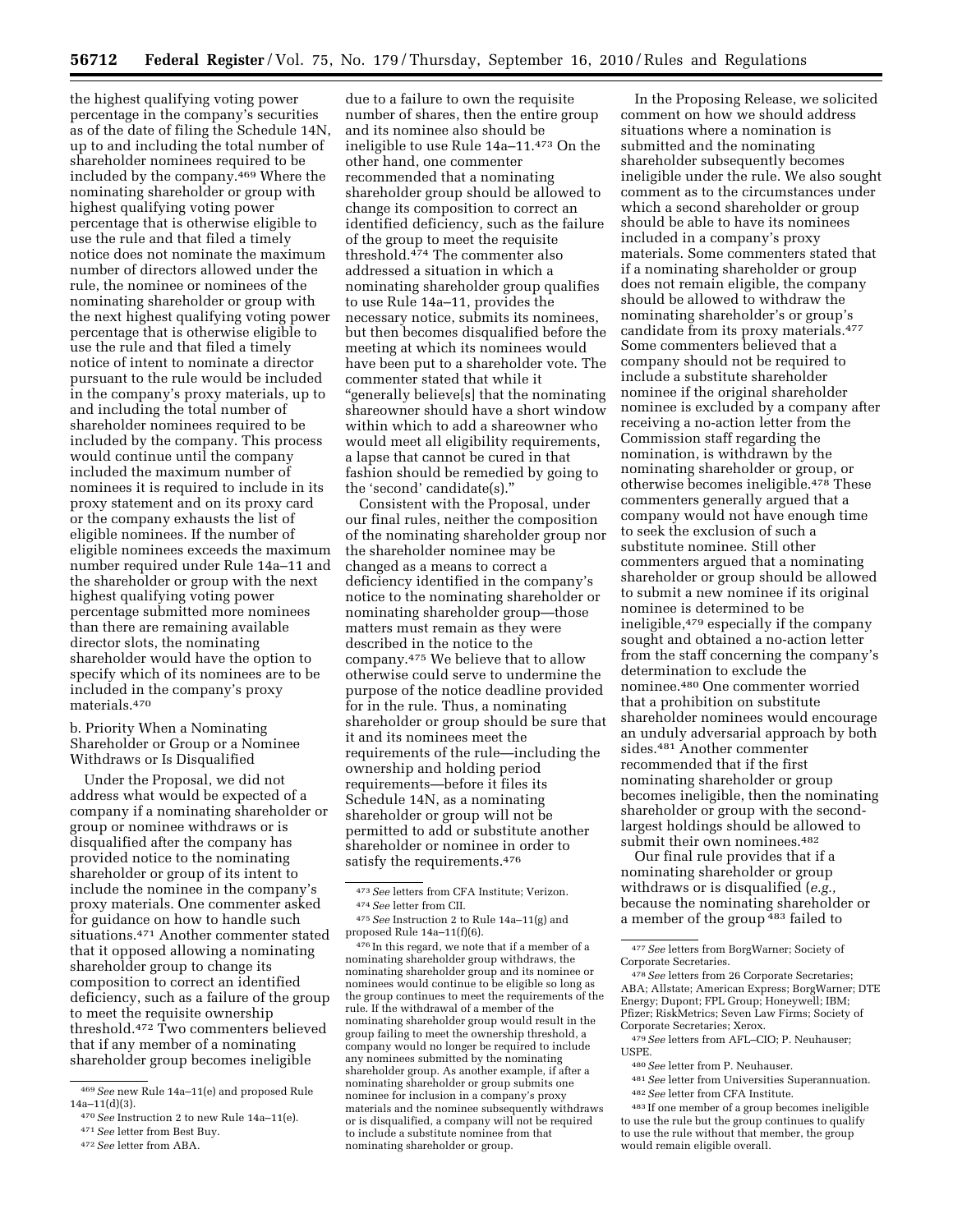the highest qualifying voting power percentage in the company's securities as of the date of filing the Schedule 14N, up to and including the total number of shareholder nominees required to be included by the company.469 Where the nominating shareholder or group with highest qualifying voting power percentage that is otherwise eligible to use the rule and that filed a timely notice does not nominate the maximum number of directors allowed under the rule, the nominee or nominees of the nominating shareholder or group with the next highest qualifying voting power percentage that is otherwise eligible to use the rule and that filed a timely notice of intent to nominate a director pursuant to the rule would be included in the company's proxy materials, up to and including the total number of shareholder nominees required to be included by the company. This process would continue until the company included the maximum number of nominees it is required to include in its proxy statement and on its proxy card or the company exhausts the list of eligible nominees. If the number of eligible nominees exceeds the maximum number required under Rule 14a–11 and the shareholder or group with the next highest qualifying voting power percentage submitted more nominees than there are remaining available director slots, the nominating shareholder would have the option to specify which of its nominees are to be included in the company's proxy materials.470

b. Priority When a Nominating Shareholder or Group or a Nominee Withdraws or Is Disqualified

Under the Proposal, we did not address what would be expected of a company if a nominating shareholder or group or nominee withdraws or is disqualified after the company has provided notice to the nominating shareholder or group of its intent to include the nominee in the company's proxy materials. One commenter asked for guidance on how to handle such situations.471 Another commenter stated that it opposed allowing a nominating shareholder group to change its composition to correct an identified deficiency, such as a failure of the group to meet the requisite ownership threshold.472 Two commenters believed that if any member of a nominating shareholder group becomes ineligible

due to a failure to own the requisite number of shares, then the entire group and its nominee also should be ineligible to use Rule 14a–11.473 On the other hand, one commenter recommended that a nominating shareholder group should be allowed to change its composition to correct an identified deficiency, such as the failure of the group to meet the requisite threshold.474 The commenter also addressed a situation in which a nominating shareholder group qualifies to use Rule 14a–11, provides the necessary notice, submits its nominees, but then becomes disqualified before the meeting at which its nominees would have been put to a shareholder vote. The commenter stated that while it ''generally believe[s] that the nominating shareowner should have a short window within which to add a shareowner who would meet all eligibility requirements, a lapse that cannot be cured in that fashion should be remedied by going to the 'second' candidate(s).''

Consistent with the Proposal, under our final rules, neither the composition of the nominating shareholder group nor the shareholder nominee may be changed as a means to correct a deficiency identified in the company's notice to the nominating shareholder or nominating shareholder group—those matters must remain as they were described in the notice to the company.475 We believe that to allow otherwise could serve to undermine the purpose of the notice deadline provided for in the rule. Thus, a nominating shareholder or group should be sure that it and its nominees meet the requirements of the rule—including the ownership and holding period requirements—before it files its Schedule 14N, as a nominating shareholder or group will not be permitted to add or substitute another shareholder or nominee in order to satisfy the requirements.<sup>476</sup>

476 In this regard, we note that if a member of a nominating shareholder group withdraws, the nominating shareholder group and its nominee or nominees would continue to be eligible so long as the group continues to meet the requirements of the rule. If the withdrawal of a member of the nominating shareholder group would result in the group failing to meet the ownership threshold, a company would no longer be required to include any nominees submitted by the nominating shareholder group. As another example, if after a nominating shareholder or group submits one nominee for inclusion in a company's proxy materials and the nominee subsequently withdraws or is disqualified, a company will not be required to include a substitute nominee from that nominating shareholder or group.

In the Proposing Release, we solicited comment on how we should address situations where a nomination is submitted and the nominating shareholder subsequently becomes ineligible under the rule. We also sought comment as to the circumstances under which a second shareholder or group should be able to have its nominees included in a company's proxy materials. Some commenters stated that if a nominating shareholder or group does not remain eligible, the company should be allowed to withdraw the nominating shareholder's or group's candidate from its proxy materials.477 Some commenters believed that a company should not be required to include a substitute shareholder nominee if the original shareholder nominee is excluded by a company after receiving a no-action letter from the Commission staff regarding the nomination, is withdrawn by the nominating shareholder or group, or otherwise becomes ineligible.<sup>478</sup> These commenters generally argued that a company would not have enough time to seek the exclusion of such a substitute nominee. Still other commenters argued that a nominating shareholder or group should be allowed to submit a new nominee if its original nominee is determined to be ineligible,479 especially if the company sought and obtained a no-action letter from the staff concerning the company's determination to exclude the nominee.480 One commenter worried that a prohibition on substitute shareholder nominees would encourage an unduly adversarial approach by both sides.481 Another commenter recommended that if the first nominating shareholder or group becomes ineligible, then the nominating shareholder or group with the secondlargest holdings should be allowed to submit their own nominees.<sup>482</sup>

Our final rule provides that if a nominating shareholder or group withdraws or is disqualified (*e.g.,*  because the nominating shareholder or a member of the group<sup>483</sup> failed to

481*See* letter from Universities Superannuation. 482*See* letter from CFA Institute.

483 If one member of a group becomes ineligible to use the rule but the group continues to qualify to use the rule without that member, the group would remain eligible overall.

<sup>469</sup>*See* new Rule 14a–11(e) and proposed Rule 14a–11(d)(3).

<sup>470</sup>*See* Instruction 2 to new Rule 14a–11(e). 471*See* letter from Best Buy.

<sup>472</sup>*See* letter from ABA.

<sup>473</sup>*See* letters from CFA Institute; Verizon. 474*See* letter from CII.

<sup>475</sup>*See* Instruction 2 to Rule 14a–11(g) and proposed Rule 14a–11(f)(6).

<sup>477</sup>*See* letters from BorgWarner; Society of Corporate Secretaries.

<sup>478</sup>*See* letters from 26 Corporate Secretaries; ABA; Allstate; American Express; BorgWarner; DTE Energy; Dupont; FPL Group; Honeywell; IBM; Pfizer; RiskMetrics; Seven Law Firms; Society of Corporate Secretaries; Xerox.

<sup>479</sup>*See* letters from AFL–CIO; P. Neuhauser; USPE.

<sup>480</sup>*See* letter from P. Neuhauser.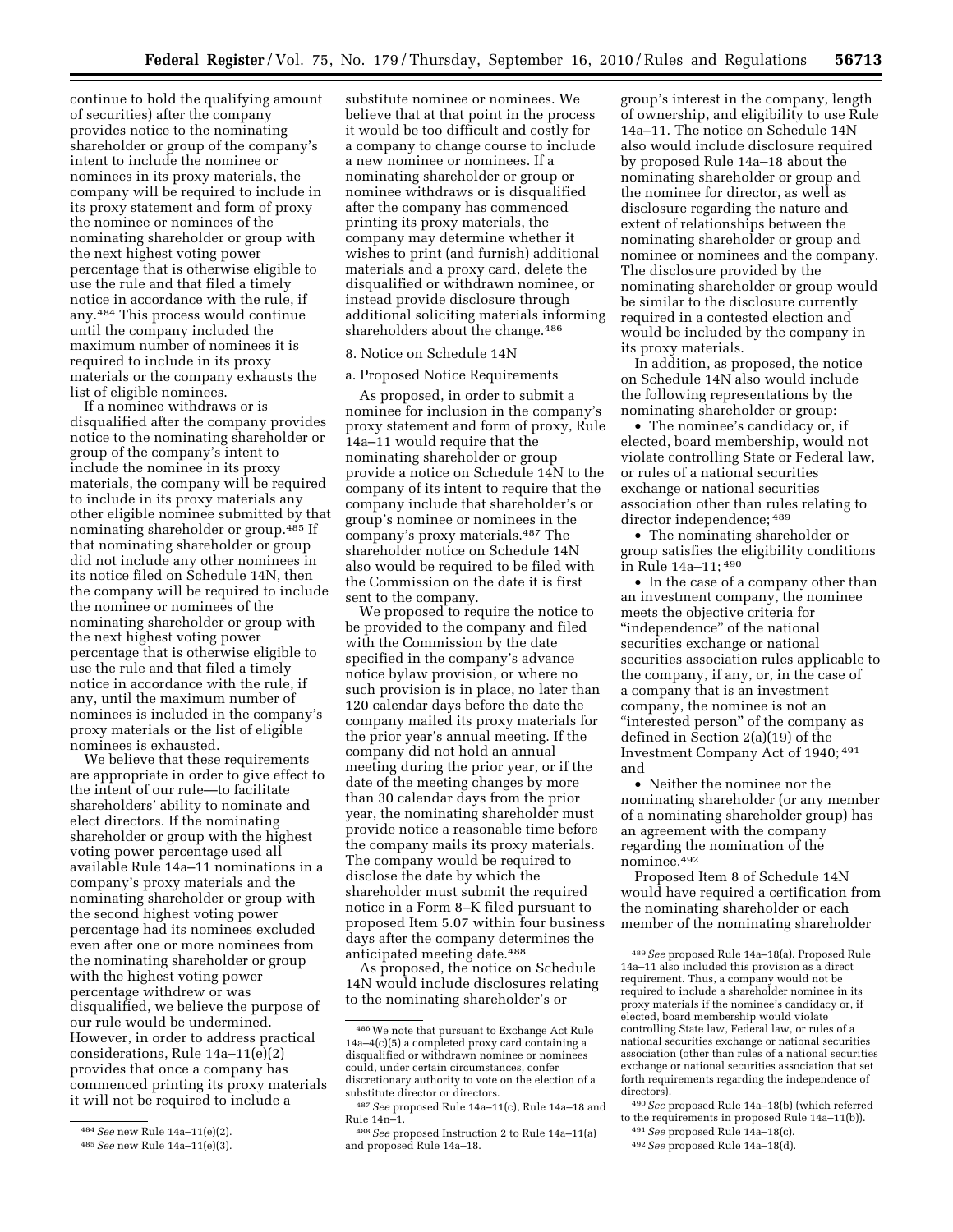continue to hold the qualifying amount of securities) after the company provides notice to the nominating shareholder or group of the company's intent to include the nominee or nominees in its proxy materials, the company will be required to include in its proxy statement and form of proxy the nominee or nominees of the nominating shareholder or group with the next highest voting power percentage that is otherwise eligible to use the rule and that filed a timely notice in accordance with the rule, if any.484 This process would continue until the company included the maximum number of nominees it is required to include in its proxy materials or the company exhausts the list of eligible nominees.

If a nominee withdraws or is disqualified after the company provides notice to the nominating shareholder or group of the company's intent to include the nominee in its proxy materials, the company will be required to include in its proxy materials any other eligible nominee submitted by that nominating shareholder or group.<sup>485</sup> If that nominating shareholder or group did not include any other nominees in its notice filed on Schedule 14N, then the company will be required to include the nominee or nominees of the nominating shareholder or group with the next highest voting power percentage that is otherwise eligible to use the rule and that filed a timely notice in accordance with the rule, if any, until the maximum number of nominees is included in the company's proxy materials or the list of eligible nominees is exhausted.

We believe that these requirements are appropriate in order to give effect to the intent of our rule—to facilitate shareholders' ability to nominate and elect directors. If the nominating shareholder or group with the highest voting power percentage used all available Rule 14a–11 nominations in a company's proxy materials and the nominating shareholder or group with the second highest voting power percentage had its nominees excluded even after one or more nominees from the nominating shareholder or group with the highest voting power percentage withdrew or was disqualified, we believe the purpose of our rule would be undermined. However, in order to address practical considerations, Rule 14a–11(e)(2) provides that once a company has commenced printing its proxy materials it will not be required to include a

substitute nominee or nominees. We believe that at that point in the process it would be too difficult and costly for a company to change course to include a new nominee or nominees. If a nominating shareholder or group or nominee withdraws or is disqualified after the company has commenced printing its proxy materials, the company may determine whether it wishes to print (and furnish) additional materials and a proxy card, delete the disqualified or withdrawn nominee, or instead provide disclosure through additional soliciting materials informing shareholders about the change.<sup>486</sup>

#### 8. Notice on Schedule 14N

### a. Proposed Notice Requirements

As proposed, in order to submit a nominee for inclusion in the company's proxy statement and form of proxy, Rule 14a–11 would require that the nominating shareholder or group provide a notice on Schedule 14N to the company of its intent to require that the company include that shareholder's or group's nominee or nominees in the company's proxy materials.487 The shareholder notice on Schedule 14N also would be required to be filed with the Commission on the date it is first sent to the company.

We proposed to require the notice to be provided to the company and filed with the Commission by the date specified in the company's advance notice bylaw provision, or where no such provision is in place, no later than 120 calendar days before the date the company mailed its proxy materials for the prior year's annual meeting. If the company did not hold an annual meeting during the prior year, or if the date of the meeting changes by more than 30 calendar days from the prior year, the nominating shareholder must provide notice a reasonable time before the company mails its proxy materials. The company would be required to disclose the date by which the shareholder must submit the required notice in a Form 8–K filed pursuant to proposed Item 5.07 within four business days after the company determines the anticipated meeting date.488

As proposed, the notice on Schedule 14N would include disclosures relating to the nominating shareholder's or

group's interest in the company, length of ownership, and eligibility to use Rule 14a–11. The notice on Schedule 14N also would include disclosure required by proposed Rule 14a–18 about the nominating shareholder or group and the nominee for director, as well as disclosure regarding the nature and extent of relationships between the nominating shareholder or group and nominee or nominees and the company. The disclosure provided by the nominating shareholder or group would be similar to the disclosure currently required in a contested election and would be included by the company in its proxy materials.

In addition, as proposed, the notice on Schedule 14N also would include the following representations by the nominating shareholder or group:

• The nominee's candidacy or, if elected, board membership, would not violate controlling State or Federal law, or rules of a national securities exchange or national securities association other than rules relating to director independence; 489

• The nominating shareholder or group satisfies the eligibility conditions in Rule 14a–11; 490

• In the case of a company other than an investment company, the nominee meets the objective criteria for ''independence'' of the national securities exchange or national securities association rules applicable to the company, if any, or, in the case of a company that is an investment company, the nominee is not an ''interested person'' of the company as defined in Section 2(a)(19) of the Investment Company Act of 1940; 491 and

• Neither the nominee nor the nominating shareholder (or any member of a nominating shareholder group) has an agreement with the company regarding the nomination of the nominee.492

Proposed Item 8 of Schedule 14N would have required a certification from the nominating shareholder or each member of the nominating shareholder

490*See* proposed Rule 14a–18(b) (which referred to the requirements in proposed Rule 14a–11(b)).

<sup>484</sup>*See* new Rule 14a–11(e)(2).

<sup>485</sup>*See* new Rule 14a–11(e)(3).

<sup>486</sup>We note that pursuant to Exchange Act Rule 14a–4(c)(5) a completed proxy card containing a disqualified or withdrawn nominee or nominees could, under certain circumstances, confer discretionary authority to vote on the election of a substitute director or directors.

<sup>487</sup>*See* proposed Rule 14a–11(c), Rule 14a–18 and Rule 14n–1.

<sup>488</sup>*See* proposed Instruction 2 to Rule 14a–11(a) and proposed Rule 14a–18.

<sup>489</sup>*See* proposed Rule 14a–18(a). Proposed Rule 14a–11 also included this provision as a direct requirement. Thus, a company would not be required to include a shareholder nominee in its proxy materials if the nominee's candidacy or, if elected, board membership would violate controlling State law, Federal law, or rules of a national securities exchange or national securities association (other than rules of a national securities exchange or national securities association that set forth requirements regarding the independence of directors).

<sup>491</sup>*See* proposed Rule 14a–18(c).

<sup>492</sup>*See* proposed Rule 14a–18(d).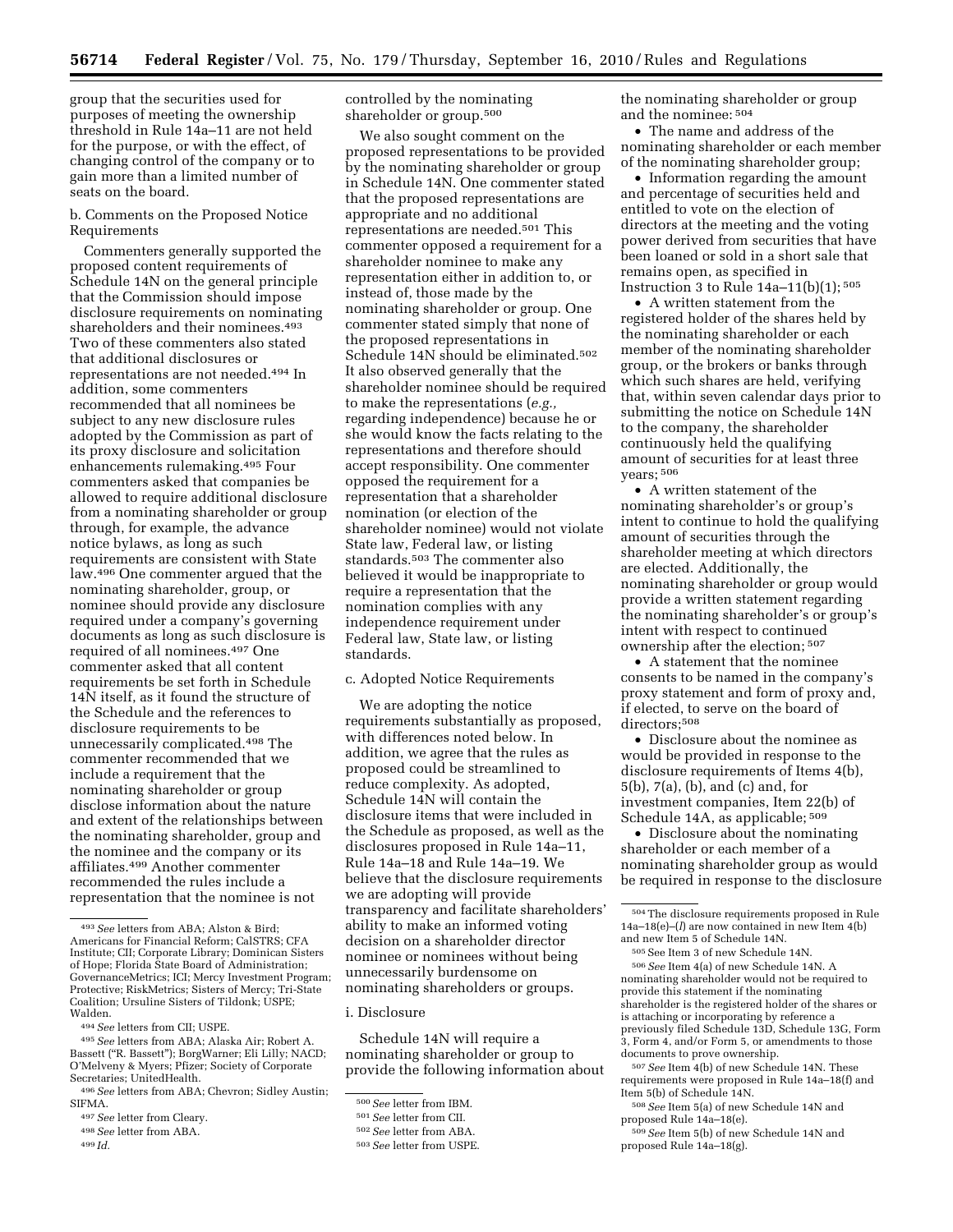group that the securities used for purposes of meeting the ownership threshold in Rule 14a–11 are not held for the purpose, or with the effect, of changing control of the company or to gain more than a limited number of seats on the board.

b. Comments on the Proposed Notice Requirements

Commenters generally supported the proposed content requirements of Schedule 14N on the general principle that the Commission should impose disclosure requirements on nominating shareholders and their nominees.493 Two of these commenters also stated that additional disclosures or representations are not needed.494 In addition, some commenters recommended that all nominees be subject to any new disclosure rules adopted by the Commission as part of its proxy disclosure and solicitation enhancements rulemaking.495 Four commenters asked that companies be allowed to require additional disclosure from a nominating shareholder or group through, for example, the advance notice bylaws, as long as such requirements are consistent with State law.496 One commenter argued that the nominating shareholder, group, or nominee should provide any disclosure required under a company's governing documents as long as such disclosure is required of all nominees.497 One commenter asked that all content requirements be set forth in Schedule 14N itself, as it found the structure of the Schedule and the references to disclosure requirements to be unnecessarily complicated.498 The commenter recommended that we include a requirement that the nominating shareholder or group disclose information about the nature and extent of the relationships between the nominating shareholder, group and the nominee and the company or its affiliates.499 Another commenter recommended the rules include a representation that the nominee is not

- 498*See* letter from ABA.
- 499 *Id.*

controlled by the nominating shareholder or group.<sup>500</sup>

We also sought comment on the proposed representations to be provided by the nominating shareholder or group in Schedule 14N. One commenter stated that the proposed representations are appropriate and no additional representations are needed.501 This commenter opposed a requirement for a shareholder nominee to make any representation either in addition to, or instead of, those made by the nominating shareholder or group. One commenter stated simply that none of the proposed representations in Schedule 14N should be eliminated.502 It also observed generally that the shareholder nominee should be required to make the representations (*e.g.,*  regarding independence) because he or she would know the facts relating to the representations and therefore should accept responsibility. One commenter opposed the requirement for a representation that a shareholder nomination (or election of the shareholder nominee) would not violate State law, Federal law, or listing standards.503 The commenter also believed it would be inappropriate to require a representation that the nomination complies with any independence requirement under Federal law, State law, or listing standards.

## c. Adopted Notice Requirements

We are adopting the notice requirements substantially as proposed, with differences noted below. In addition, we agree that the rules as proposed could be streamlined to reduce complexity. As adopted, Schedule 14N will contain the disclosure items that were included in the Schedule as proposed, as well as the disclosures proposed in Rule 14a–11, Rule 14a–18 and Rule 14a–19. We believe that the disclosure requirements we are adopting will provide transparency and facilitate shareholders' ability to make an informed voting decision on a shareholder director nominee or nominees without being unnecessarily burdensome on nominating shareholders or groups.

i. Disclosure

Schedule 14N will require a nominating shareholder or group to provide the following information about the nominating shareholder or group and the nominee: 504

• The name and address of the nominating shareholder or each member of the nominating shareholder group;

• Information regarding the amount and percentage of securities held and entitled to vote on the election of directors at the meeting and the voting power derived from securities that have been loaned or sold in a short sale that remains open, as specified in Instruction 3 to Rule 14a–11(b)(1); 505

• A written statement from the registered holder of the shares held by the nominating shareholder or each member of the nominating shareholder group, or the brokers or banks through which such shares are held, verifying that, within seven calendar days prior to submitting the notice on Schedule 14N to the company, the shareholder continuously held the qualifying amount of securities for at least three years; 506

• A written statement of the nominating shareholder's or group's intent to continue to hold the qualifying amount of securities through the shareholder meeting at which directors are elected. Additionally, the nominating shareholder or group would provide a written statement regarding the nominating shareholder's or group's intent with respect to continued ownership after the election; 507

• A statement that the nominee consents to be named in the company's proxy statement and form of proxy and, if elected, to serve on the board of directors;<sup>508</sup>

• Disclosure about the nominee as would be provided in response to the disclosure requirements of Items 4(b), 5(b), 7(a), (b), and (c) and, for investment companies, Item 22(b) of Schedule 14A, as applicable; <sup>509</sup>

• Disclosure about the nominating shareholder or each member of a nominating shareholder group as would be required in response to the disclosure

506*See* Item 4(a) of new Schedule 14N. A nominating shareholder would not be required to provide this statement if the nominating shareholder is the registered holder of the shares or is attaching or incorporating by reference a previously filed Schedule 13D, Schedule 13G, Form 3, Form 4, and/or Form 5, or amendments to those documents to prove ownership.

507*See* Item 4(b) of new Schedule 14N. These requirements were proposed in Rule 14a–18(f) and Item 5(b) of Schedule 14N.

508*See* Item 5(a) of new Schedule 14N and proposed Rule 14a–18(e).

<sup>493</sup>*See* letters from ABA; Alston & Bird; Americans for Financial Reform; CalSTRS; CFA Institute; CII; Corporate Library; Dominican Sisters of Hope; Florida State Board of Administration; GovernanceMetrics; ICI; Mercy Investment Program; Protective; RiskMetrics; Sisters of Mercy; Tri-State Coalition; Ursuline Sisters of Tildonk; USPE; Walden.<br><sup>494</sup> See letters from CII; USPE.

<sup>&</sup>lt;sup>495</sup> See letters from ABA; Alaska Air; Robert A. Bassett (''R. Bassett''); BorgWarner; Eli Lilly; NACD; O'Melveny & Myers; Pfizer; Society of Corporate Secretaries; UnitedHealth.

<sup>496</sup>*See* letters from ABA; Chevron; Sidley Austin; SIFMA.

<sup>497</sup>*See* letter from Cleary.

<sup>500</sup>*See* letter from IBM.

<sup>501</sup>*See* letter from CII.

<sup>502</sup>*See* letter from ABA.

<sup>503</sup>*See* letter from USPE.

<sup>504</sup>The disclosure requirements proposed in Rule 14a–18(e)–(*l*) are now contained in new Item 4(b) and new Item 5 of Schedule 14N.

<sup>505</sup>See Item 3 of new Schedule 14N.

<sup>509</sup>*See* Item 5(b) of new Schedule 14N and proposed Rule 14a–18(g).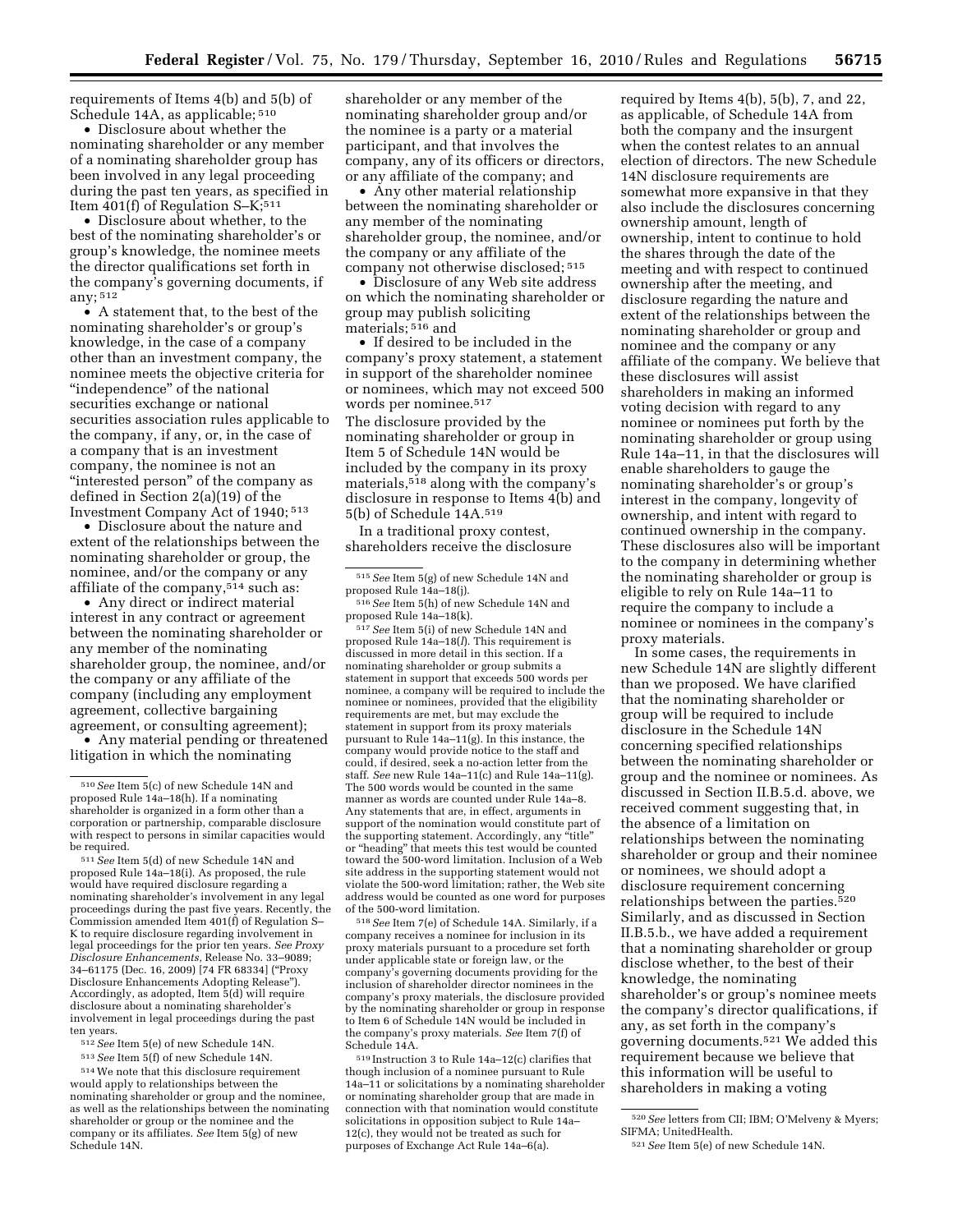requirements of Items 4(b) and 5(b) of Schedule 14A, as applicable; 510

• Disclosure about whether the nominating shareholder or any member of a nominating shareholder group has been involved in any legal proceeding during the past ten years, as specified in Item  $401(f)$  of Regulation S-K;<sup>511</sup>

• Disclosure about whether, to the best of the nominating shareholder's or group's knowledge, the nominee meets the director qualifications set forth in the company's governing documents, if any; 512

• A statement that, to the best of the nominating shareholder's or group's knowledge, in the case of a company other than an investment company, the nominee meets the objective criteria for ''independence'' of the national securities exchange or national securities association rules applicable to the company, if any, or, in the case of a company that is an investment company, the nominee is not an "interested person" of the company as defined in Section 2(a)(19) of the Investment Company Act of 1940; 513

• Disclosure about the nature and extent of the relationships between the nominating shareholder or group, the nominee, and/or the company or any affiliate of the company,  $5<sup>14</sup>$  such as:

• Any direct or indirect material interest in any contract or agreement between the nominating shareholder or any member of the nominating shareholder group, the nominee, and/or the company or any affiliate of the company (including any employment agreement, collective bargaining agreement, or consulting agreement);

• Any material pending or threatened litigation in which the nominating

511*See* Item 5(d) of new Schedule 14N and proposed Rule 14a–18(i). As proposed, the rule would have required disclosure regarding a nominating shareholder's involvement in any legal proceedings during the past five years. Recently, the Commission amended Item 401(f) of Regulation S– K to require disclosure regarding involvement in legal proceedings for the prior ten years. *See Proxy Disclosure Enhancements,* Release No. 33–9089; 34–61175 (Dec. 16, 2009) [74 FR 68334] (''Proxy Disclosure Enhancements Adopting Release''). Accordingly, as adopted, Item 5(d) will require disclosure about a nominating shareholder's involvement in legal proceedings during the past ten years.

512*See* Item 5(e) of new Schedule 14N.

513*See* Item 5(f) of new Schedule 14N.

514We note that this disclosure requirement would apply to relationships between the nominating shareholder or group and the nominee, as well as the relationships between the nominating shareholder or group or the nominee and the company or its affiliates. *See* Item 5(g) of new Schedule 14N.

shareholder or any member of the nominating shareholder group and/or the nominee is a party or a material participant, and that involves the company, any of its officers or directors, or any affiliate of the company; and

• Any other material relationship between the nominating shareholder or any member of the nominating shareholder group, the nominee, and/or the company or any affiliate of the company not otherwise disclosed; 515

• Disclosure of any Web site address on which the nominating shareholder or group may publish soliciting materials; 516 and

• If desired to be included in the company's proxy statement, a statement in support of the shareholder nominee or nominees, which may not exceed 500 words per nominee.517

The disclosure provided by the nominating shareholder or group in Item 5 of Schedule 14N would be included by the company in its proxy materials,518 along with the company's disclosure in response to Items 4(b) and 5(b) of Schedule 14A.519

In a traditional proxy contest, shareholders receive the disclosure

proposed Rule 14a–18(k).<br><sup>517</sup> *See* Item 5(i) of new Schedule 14N and<br>proposed Rule 14a–18(*l*). This requirement is discussed in more detail in this section. If a nominating shareholder or group submits a statement in support that exceeds 500 words per nominee, a company will be required to include the nominee or nominees, provided that the eligibility requirements are met, but may exclude the statement in support from its proxy materials pursuant to Rule 14a–11(g). In this instance, the company would provide notice to the staff and could, if desired, seek a no-action letter from the staff. *See* new Rule 14a–11(c) and Rule 14a–11(g). The 500 words would be counted in the same manner as words are counted under Rule 14a–8. Any statements that are, in effect, arguments in support of the nomination would constitute part of the supporting statement. Accordingly, any "title" or ''heading'' that meets this test would be counted toward the 500-word limitation. Inclusion of a Web site address in the supporting statement would not violate the 500-word limitation; rather, the Web site address would be counted as one word for purposes of the 500-word limitation.

518*See* Item 7(e) of Schedule 14A. Similarly, if a company receives a nominee for inclusion in its proxy materials pursuant to a procedure set forth under applicable state or foreign law, or the company's governing documents providing for the inclusion of shareholder director nominees in the company's proxy materials, the disclosure provided by the nominating shareholder or group in response to Item 6 of Schedule 14N would be included in the company's proxy materials. *See* Item 7(f) of Schedule 14A.

519 Instruction 3 to Rule 14a–12(c) clarifies that though inclusion of a nominee pursuant to Rule 14a–11 or solicitations by a nominating shareholder or nominating shareholder group that are made in connection with that nomination would constitute solicitations in opposition subject to Rule 14a– 12(c), they would not be treated as such for purposes of Exchange Act Rule 14a–6(a).

required by Items 4(b), 5(b), 7, and 22, as applicable, of Schedule 14A from both the company and the insurgent when the contest relates to an annual election of directors. The new Schedule 14N disclosure requirements are somewhat more expansive in that they also include the disclosures concerning ownership amount, length of ownership, intent to continue to hold the shares through the date of the meeting and with respect to continued ownership after the meeting, and disclosure regarding the nature and extent of the relationships between the nominating shareholder or group and nominee and the company or any affiliate of the company. We believe that these disclosures will assist shareholders in making an informed voting decision with regard to any nominee or nominees put forth by the nominating shareholder or group using Rule 14a–11, in that the disclosures will enable shareholders to gauge the nominating shareholder's or group's interest in the company, longevity of ownership, and intent with regard to continued ownership in the company. These disclosures also will be important to the company in determining whether the nominating shareholder or group is eligible to rely on Rule 14a–11 to require the company to include a nominee or nominees in the company's proxy materials.

In some cases, the requirements in new Schedule 14N are slightly different than we proposed. We have clarified that the nominating shareholder or group will be required to include disclosure in the Schedule 14N concerning specified relationships between the nominating shareholder or group and the nominee or nominees. As discussed in Section II.B.5.d. above, we received comment suggesting that, in the absence of a limitation on relationships between the nominating shareholder or group and their nominee or nominees, we should adopt a disclosure requirement concerning relationships between the parties.520 Similarly, and as discussed in Section II.B.5.b., we have added a requirement that a nominating shareholder or group disclose whether, to the best of their knowledge, the nominating shareholder's or group's nominee meets the company's director qualifications, if any, as set forth in the company's governing documents.521 We added this requirement because we believe that this information will be useful to shareholders in making a voting

<sup>510</sup>*See* Item 5(c) of new Schedule 14N and proposed Rule 14a–18(h). If a nominating shareholder is organized in a form other than a corporation or partnership, comparable disclosure with respect to persons in similar capacities would be required.

<sup>515</sup>*See* Item 5(g) of new Schedule 14N and

<sup>&</sup>lt;sup>516</sup> *See* Item 5(h) of new Schedule 14N and proposed Rule 14a–18(k).

<sup>520</sup>*See* letters from CII; IBM; O'Melveny & Myers; SIFMA; UnitedHealth.

<sup>521</sup>*See* Item 5(e) of new Schedule 14N.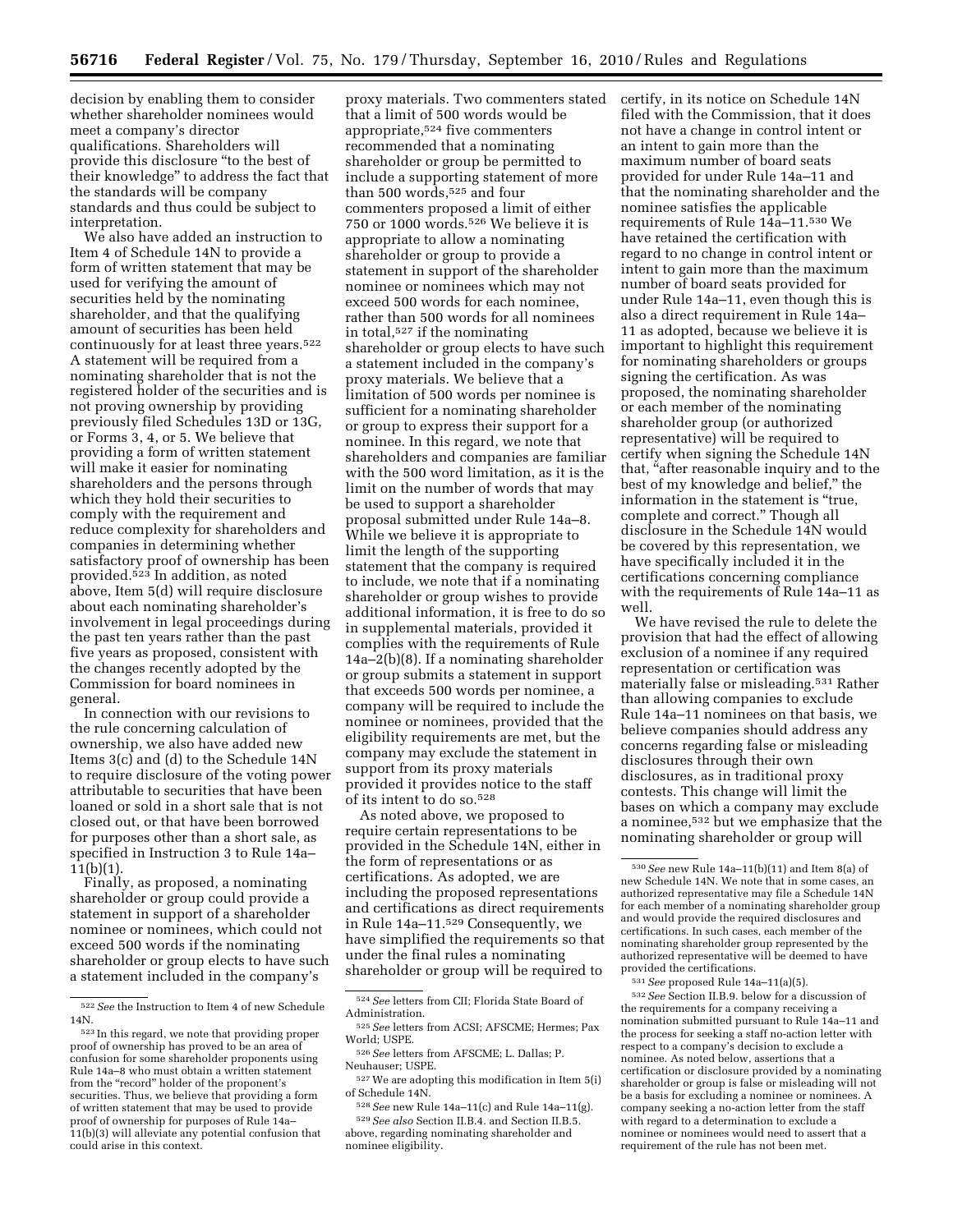decision by enabling them to consider whether shareholder nominees would meet a company's director qualifications. Shareholders will provide this disclosure ''to the best of their knowledge'' to address the fact that the standards will be company standards and thus could be subject to interpretation.

We also have added an instruction to Item 4 of Schedule 14N to provide a form of written statement that may be used for verifying the amount of securities held by the nominating shareholder, and that the qualifying amount of securities has been held continuously for at least three years.522 A statement will be required from a nominating shareholder that is not the registered holder of the securities and is not proving ownership by providing previously filed Schedules 13D or 13G, or Forms 3, 4, or 5. We believe that providing a form of written statement will make it easier for nominating shareholders and the persons through which they hold their securities to comply with the requirement and reduce complexity for shareholders and companies in determining whether satisfactory proof of ownership has been provided.523 In addition, as noted above, Item 5(d) will require disclosure about each nominating shareholder's involvement in legal proceedings during the past ten years rather than the past five years as proposed, consistent with the changes recently adopted by the Commission for board nominees in general.

In connection with our revisions to the rule concerning calculation of ownership, we also have added new Items 3(c) and (d) to the Schedule 14N to require disclosure of the voting power attributable to securities that have been loaned or sold in a short sale that is not closed out, or that have been borrowed for purposes other than a short sale, as specified in Instruction 3 to Rule 14a– 11(b)(1).

Finally, as proposed, a nominating shareholder or group could provide a statement in support of a shareholder nominee or nominees, which could not exceed 500 words if the nominating shareholder or group elects to have such a statement included in the company's

proxy materials. Two commenters stated that a limit of 500 words would be appropriate,524 five commenters recommended that a nominating shareholder or group be permitted to include a supporting statement of more than 500 words,<sup>525</sup> and four commenters proposed a limit of either 750 or 1000 words.526 We believe it is appropriate to allow a nominating shareholder or group to provide a statement in support of the shareholder nominee or nominees which may not exceed 500 words for each nominee, rather than 500 words for all nominees in total,527 if the nominating shareholder or group elects to have such a statement included in the company's proxy materials. We believe that a limitation of 500 words per nominee is sufficient for a nominating shareholder or group to express their support for a nominee. In this regard, we note that shareholders and companies are familiar with the 500 word limitation, as it is the limit on the number of words that may be used to support a shareholder proposal submitted under Rule 14a–8. While we believe it is appropriate to limit the length of the supporting statement that the company is required to include, we note that if a nominating shareholder or group wishes to provide additional information, it is free to do so in supplemental materials, provided it complies with the requirements of Rule 14a–2(b)(8). If a nominating shareholder or group submits a statement in support that exceeds 500 words per nominee, a company will be required to include the nominee or nominees, provided that the eligibility requirements are met, but the company may exclude the statement in support from its proxy materials provided it provides notice to the staff of its intent to do so.528

As noted above, we proposed to require certain representations to be provided in the Schedule 14N, either in the form of representations or as certifications. As adopted, we are including the proposed representations and certifications as direct requirements in Rule 14a–11.529 Consequently, we have simplified the requirements so that under the final rules a nominating shareholder or group will be required to

certify, in its notice on Schedule 14N filed with the Commission, that it does not have a change in control intent or an intent to gain more than the maximum number of board seats provided for under Rule 14a–11 and that the nominating shareholder and the nominee satisfies the applicable requirements of Rule 14a–11.530 We have retained the certification with regard to no change in control intent or intent to gain more than the maximum number of board seats provided for under Rule 14a–11, even though this is also a direct requirement in Rule 14a– 11 as adopted, because we believe it is important to highlight this requirement for nominating shareholders or groups signing the certification. As was proposed, the nominating shareholder or each member of the nominating shareholder group (or authorized representative) will be required to certify when signing the Schedule 14N that, "after reasonable inquiry and to the best of my knowledge and belief,'' the information in the statement is "true, complete and correct.'' Though all disclosure in the Schedule 14N would be covered by this representation, we have specifically included it in the certifications concerning compliance with the requirements of Rule 14a–11 as well.

We have revised the rule to delete the provision that had the effect of allowing exclusion of a nominee if any required representation or certification was materially false or misleading.531 Rather than allowing companies to exclude Rule 14a–11 nominees on that basis, we believe companies should address any concerns regarding false or misleading disclosures through their own disclosures, as in traditional proxy contests. This change will limit the bases on which a company may exclude a nominee,532 but we emphasize that the nominating shareholder or group will

532*See* Section II.B.9. below for a discussion of the requirements for a company receiving a nomination submitted pursuant to Rule 14a–11 and the process for seeking a staff no-action letter with respect to a company's decision to exclude a nominee. As noted below, assertions that a certification or disclosure provided by a nominating shareholder or group is false or misleading will not be a basis for excluding a nominee or nominees. A company seeking a no-action letter from the staff with regard to a determination to exclude a nominee or nominees would need to assert that a requirement of the rule has not been met.

<sup>522</sup>*See* the Instruction to Item 4 of new Schedule 14N.

<sup>523</sup> In this regard, we note that providing proper proof of ownership has proved to be an area of confusion for some shareholder proponents using Rule 14a–8 who must obtain a written statement from the "record" holder of the proponent's securities. Thus, we believe that providing a form of written statement that may be used to provide proof of ownership for purposes of Rule 14a– 11(b)(3) will alleviate any potential confusion that could arise in this context.

<sup>524</sup>*See* letters from CII; Florida State Board of Administration.

<sup>525</sup>*See* letters from ACSI; AFSCME; Hermes; Pax World; USPE.

<sup>526</sup>*See* letters from AFSCME; L. Dallas; P. Neuhauser; USPE.

<sup>527</sup>We are adopting this modification in Item 5(i) of Schedule 14N.

<sup>528</sup>*See* new Rule 14a–11(c) and Rule 14a–11(g). 529*See also* Section II.B.4. and Section II.B.5.

above, regarding nominating shareholder and nominee eligibility.

<sup>530</sup>*See* new Rule 14a–11(b)(11) and Item 8(a) of new Schedule 14N. We note that in some cases, an authorized representative may file a Schedule 14N for each member of a nominating shareholder group and would provide the required disclosures and certifications. In such cases, each member of the nominating shareholder group represented by the authorized representative will be deemed to have provided the certifications.

<sup>531</sup>*See* proposed Rule 14a–11(a)(5).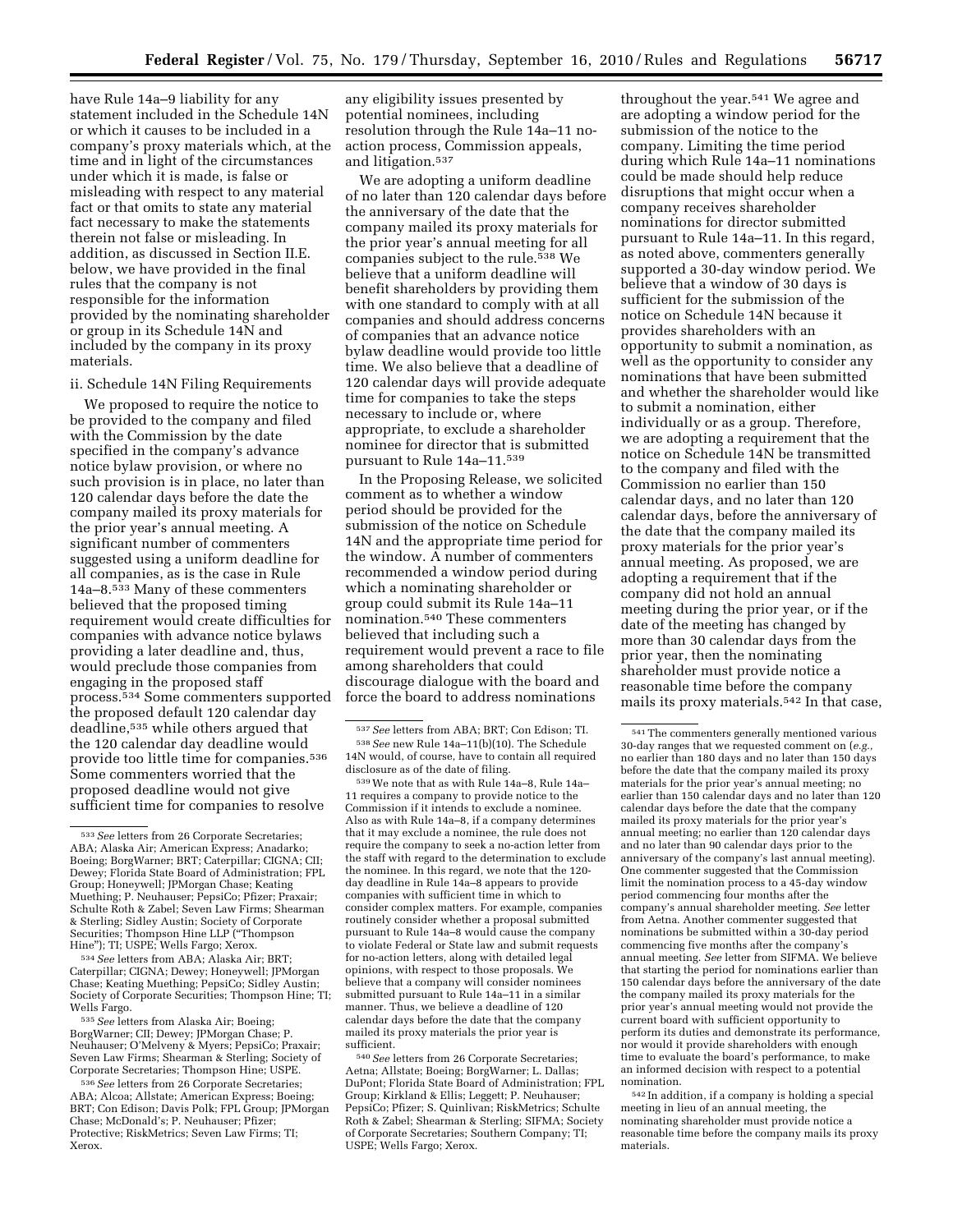have Rule 14a–9 liability for any statement included in the Schedule 14N or which it causes to be included in a company's proxy materials which, at the time and in light of the circumstances under which it is made, is false or misleading with respect to any material fact or that omits to state any material fact necessary to make the statements therein not false or misleading. In addition, as discussed in Section II.E. below, we have provided in the final rules that the company is not responsible for the information provided by the nominating shareholder or group in its Schedule 14N and included by the company in its proxy materials.

### ii. Schedule 14N Filing Requirements

We proposed to require the notice to be provided to the company and filed with the Commission by the date specified in the company's advance notice bylaw provision, or where no such provision is in place, no later than 120 calendar days before the date the company mailed its proxy materials for the prior year's annual meeting. A significant number of commenters suggested using a uniform deadline for all companies, as is the case in Rule 14a–8.533 Many of these commenters believed that the proposed timing requirement would create difficulties for companies with advance notice bylaws providing a later deadline and, thus, would preclude those companies from engaging in the proposed staff process.534 Some commenters supported the proposed default 120 calendar day deadline,535 while others argued that the 120 calendar day deadline would provide too little time for companies.536 Some commenters worried that the proposed deadline would not give sufficient time for companies to resolve

534*See* letters from ABA; Alaska Air; BRT; Caterpillar; CIGNA; Dewey; Honeywell; JPMorgan Chase; Keating Muething; PepsiCo; Sidley Austin; Society of Corporate Securities; Thompson Hine; TI;

535 See letters from Alaska Air; Boeing; BorgWarner; CII; Dewey; JPMorgan Chase; P. Neuhauser; O'Melveny & Myers; PepsiCo; Praxair; Seven Law Firms; Shearman & Sterling; Society of Corporate Secretaries; Thompson Hine; USPE.

536*See* letters from 26 Corporate Secretaries; ABA; Alcoa; Allstate; American Express; Boeing; BRT; Con Edison; Davis Polk; FPL Group; JPMorgan Chase; McDonald's; P. Neuhauser; Pfizer; Protective; RiskMetrics; Seven Law Firms; TI; Xerox.

any eligibility issues presented by potential nominees, including resolution through the Rule 14a–11 noaction process, Commission appeals, and litigation.537

We are adopting a uniform deadline of no later than 120 calendar days before the anniversary of the date that the company mailed its proxy materials for the prior year's annual meeting for all companies subject to the rule.538 We believe that a uniform deadline will benefit shareholders by providing them with one standard to comply with at all companies and should address concerns of companies that an advance notice bylaw deadline would provide too little time. We also believe that a deadline of 120 calendar days will provide adequate time for companies to take the steps necessary to include or, where appropriate, to exclude a shareholder nominee for director that is submitted pursuant to Rule 14a–11.539

In the Proposing Release, we solicited comment as to whether a window period should be provided for the submission of the notice on Schedule 14N and the appropriate time period for the window. A number of commenters recommended a window period during which a nominating shareholder or group could submit its Rule 14a–11 nomination.540 These commenters believed that including such a requirement would prevent a race to file among shareholders that could discourage dialogue with the board and force the board to address nominations

539We note that as with Rule 14a–8, Rule 14a– 11 requires a company to provide notice to the Commission if it intends to exclude a nominee. Also as with Rule 14a–8, if a company determines that it may exclude a nominee, the rule does not require the company to seek a no-action letter from the staff with regard to the determination to exclude the nominee. In this regard, we note that the 120 day deadline in Rule 14a–8 appears to provide companies with sufficient time in which to consider complex matters. For example, companies routinely consider whether a proposal submitted pursuant to Rule 14a–8 would cause the company to violate Federal or State law and submit requests for no-action letters, along with detailed legal opinions, with respect to those proposals. We believe that a company will consider nominees submitted pursuant to Rule 14a–11 in a similar manner. Thus, we believe a deadline of 120 calendar days before the date that the company mailed its proxy materials the prior year is sufficient.

540*See* letters from 26 Corporate Secretaries; Aetna; Allstate; Boeing; BorgWarner; L. Dallas; DuPont; Florida State Board of Administration; FPL Group; Kirkland & Ellis; Leggett; P. Neuhauser; PepsiCo; Pfizer; S. Quinlivan; RiskMetrics; Schulte Roth & Zabel; Shearman & Sterling; SIFMA; Society of Corporate Secretaries; Southern Company; TI; USPE; Wells Fargo; Xerox.

throughout the year.541 We agree and are adopting a window period for the submission of the notice to the company. Limiting the time period during which Rule 14a–11 nominations could be made should help reduce disruptions that might occur when a company receives shareholder nominations for director submitted pursuant to Rule 14a–11. In this regard, as noted above, commenters generally supported a 30-day window period. We believe that a window of 30 days is sufficient for the submission of the notice on Schedule 14N because it provides shareholders with an opportunity to submit a nomination, as well as the opportunity to consider any nominations that have been submitted and whether the shareholder would like to submit a nomination, either individually or as a group. Therefore, we are adopting a requirement that the notice on Schedule 14N be transmitted to the company and filed with the Commission no earlier than 150 calendar days, and no later than 120 calendar days, before the anniversary of the date that the company mailed its proxy materials for the prior year's annual meeting. As proposed, we are adopting a requirement that if the company did not hold an annual meeting during the prior year, or if the date of the meeting has changed by more than 30 calendar days from the prior year, then the nominating shareholder must provide notice a reasonable time before the company mails its proxy materials.542 In that case,

<sup>533</sup>*See* letters from 26 Corporate Secretaries; ABA; Alaska Air; American Express; Anadarko; Boeing; BorgWarner; BRT; Caterpillar; CIGNA; CII; Dewey; Florida State Board of Administration; FPL Group; Honeywell; JPMorgan Chase; Keating Muething; P. Neuhauser; PepsiCo; Pfizer; Praxair; Schulte Roth & Zabel; Seven Law Firms; Shearman & Sterling; Sidley Austin; Society of Corporate Securities; Thompson Hine LLP (''Thompson Hine"); TI; USPE; Wells Fargo; Xerox.

<sup>537</sup>*See* letters from ABA; BRT; Con Edison; TI. 538*See* new Rule 14a–11(b)(10). The Schedule 14N would, of course, have to contain all required disclosure as of the date of filing.

<sup>541</sup>The commenters generally mentioned various 30-day ranges that we requested comment on (*e.g.,*  no earlier than 180 days and no later than 150 days before the date that the company mailed its proxy materials for the prior year's annual meeting; no earlier than 150 calendar days and no later than 120 calendar days before the date that the company mailed its proxy materials for the prior year's annual meeting; no earlier than 120 calendar days and no later than 90 calendar days prior to the anniversary of the company's last annual meeting). One commenter suggested that the Commission limit the nomination process to a 45-day window period commencing four months after the company's annual shareholder meeting. *See* letter from Aetna. Another commenter suggested that nominations be submitted within a 30-day period commencing five months after the company's annual meeting. *See* letter from SIFMA. We believe that starting the period for nominations earlier than 150 calendar days before the anniversary of the date the company mailed its proxy materials for the prior year's annual meeting would not provide the current board with sufficient opportunity to perform its duties and demonstrate its performance, nor would it provide shareholders with enough time to evaluate the board's performance, to make an informed decision with respect to a potential nomination.

<sup>542</sup> In addition, if a company is holding a special meeting in lieu of an annual meeting, the nominating shareholder must provide notice a reasonable time before the company mails its proxy materials.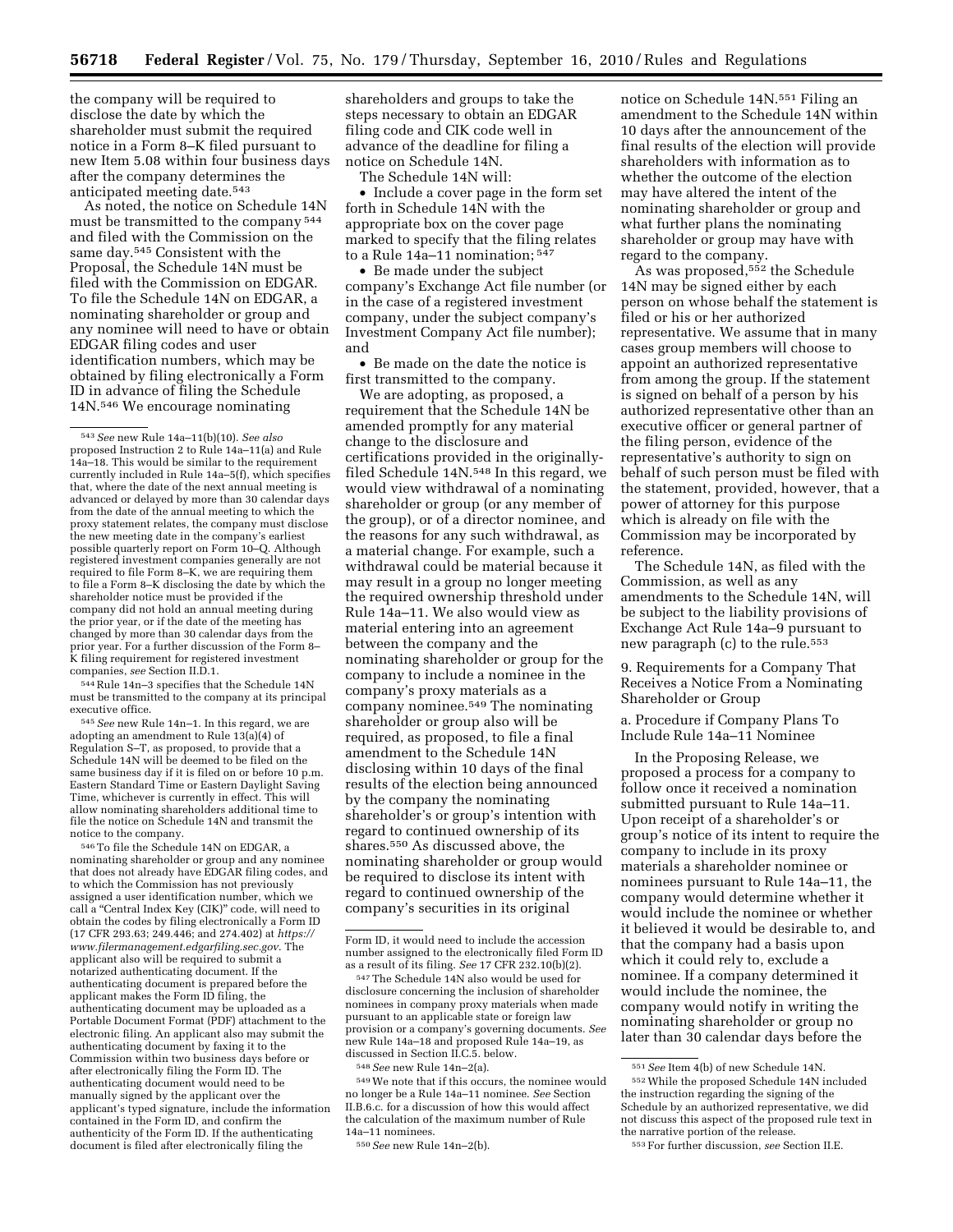the company will be required to disclose the date by which the shareholder must submit the required notice in a Form 8–K filed pursuant to new Item 5.08 within four business days after the company determines the anticipated meeting date.543

As noted, the notice on Schedule 14N must be transmitted to the company 544 and filed with the Commission on the same day.545 Consistent with the Proposal, the Schedule 14N must be filed with the Commission on EDGAR. To file the Schedule 14N on EDGAR, a nominating shareholder or group and any nominee will need to have or obtain EDGAR filing codes and user identification numbers, which may be obtained by filing electronically a Form ID in advance of filing the Schedule 14N.546 We encourage nominating

544Rule 14n–3 specifies that the Schedule 14N must be transmitted to the company at its principal executive office.

545*See* new Rule 14n–1. In this regard, we are adopting an amendment to Rule 13(a)(4) of Regulation S–T, as proposed, to provide that a Schedule 14N will be deemed to be filed on the same business day if it is filed on or before 10 p.m. Eastern Standard Time or Eastern Daylight Saving Time, whichever is currently in effect. This will allow nominating shareholders additional time to file the notice on Schedule 14N and transmit the notice to the company.

546To file the Schedule 14N on EDGAR, a nominating shareholder or group and any nominee that does not already have EDGAR filing codes, and to which the Commission has not previously assigned a user identification number, which we call a ''Central Index Key (CIK)'' code, will need to obtain the codes by filing electronically a Form ID (17 CFR 293.63; 249.446; and 274.402) at *[https://](https://www.filermanagement.edgarfiling.sec.gov) [www.filermanagement.edgarfiling.sec.gov](https://www.filermanagement.edgarfiling.sec.gov)*. The applicant also will be required to submit a notarized authenticating document. If the authenticating document is prepared before the applicant makes the Form ID filing, the authenticating document may be uploaded as a Portable Document Format (PDF) attachment to the electronic filing. An applicant also may submit the authenticating document by faxing it to the Commission within two business days before or after electronically filing the Form ID. The authenticating document would need to be manually signed by the applicant over the applicant's typed signature, include the information contained in the Form ID, and confirm the authenticity of the Form ID. If the authenticating document is filed after electronically filing the

shareholders and groups to take the steps necessary to obtain an EDGAR filing code and CIK code well in advance of the deadline for filing a notice on Schedule 14N.

The Schedule 14N will:

• Include a cover page in the form set forth in Schedule 14N with the appropriate box on the cover page marked to specify that the filing relates to a Rule 14a-11 nomination; 547

• Be made under the subject company's Exchange Act file number (or in the case of a registered investment company, under the subject company's Investment Company Act file number); and

• Be made on the date the notice is first transmitted to the company.

We are adopting, as proposed, a requirement that the Schedule 14N be amended promptly for any material change to the disclosure and certifications provided in the originallyfiled Schedule 14N.548 In this regard, we would view withdrawal of a nominating shareholder or group (or any member of the group), or of a director nominee, and the reasons for any such withdrawal, as a material change. For example, such a withdrawal could be material because it may result in a group no longer meeting the required ownership threshold under Rule 14a–11. We also would view as material entering into an agreement between the company and the nominating shareholder or group for the company to include a nominee in the company's proxy materials as a company nominee.549 The nominating shareholder or group also will be required, as proposed, to file a final amendment to the Schedule 14N disclosing within 10 days of the final results of the election being announced by the company the nominating shareholder's or group's intention with regard to continued ownership of its shares.550 As discussed above, the nominating shareholder or group would be required to disclose its intent with regard to continued ownership of the company's securities in its original

 $^{549}\mathrm{We}$  note that if this occurs, the nominee would no longer be a Rule 14a–11 nominee. *See* Section II.B.6.c. for a discussion of how this would affect the calculation of the maximum number of Rule 14a–11 nominees.

550*See* new Rule 14n–2(b).

notice on Schedule 14N.551 Filing an amendment to the Schedule 14N within 10 days after the announcement of the final results of the election will provide shareholders with information as to whether the outcome of the election may have altered the intent of the nominating shareholder or group and what further plans the nominating shareholder or group may have with regard to the company.

As was proposed,552 the Schedule 14N may be signed either by each person on whose behalf the statement is filed or his or her authorized representative. We assume that in many cases group members will choose to appoint an authorized representative from among the group. If the statement is signed on behalf of a person by his authorized representative other than an executive officer or general partner of the filing person, evidence of the representative's authority to sign on behalf of such person must be filed with the statement, provided, however, that a power of attorney for this purpose which is already on file with the Commission may be incorporated by reference.

The Schedule 14N, as filed with the Commission, as well as any amendments to the Schedule 14N, will be subject to the liability provisions of Exchange Act Rule 14a–9 pursuant to new paragraph (c) to the rule.553

9. Requirements for a Company That Receives a Notice From a Nominating Shareholder or Group

a. Procedure if Company Plans To Include Rule 14a–11 Nominee

In the Proposing Release, we proposed a process for a company to follow once it received a nomination submitted pursuant to Rule 14a–11. Upon receipt of a shareholder's or group's notice of its intent to require the company to include in its proxy materials a shareholder nominee or nominees pursuant to Rule 14a–11, the company would determine whether it would include the nominee or whether it believed it would be desirable to, and that the company had a basis upon which it could rely to, exclude a nominee. If a company determined it would include the nominee, the company would notify in writing the nominating shareholder or group no later than 30 calendar days before the

<sup>543</sup>*See* new Rule 14a–11(b)(10). *See also*  proposed Instruction 2 to Rule 14a–11(a) and Rule 14a–18. This would be similar to the requirement currently included in Rule 14a–5(f), which specifies that, where the date of the next annual meeting is advanced or delayed by more than 30 calendar days from the date of the annual meeting to which the proxy statement relates, the company must disclose the new meeting date in the company's earliest possible quarterly report on Form 10–Q. Although registered investment companies generally are not required to file Form 8–K, we are requiring them to file a Form 8–K disclosing the date by which the shareholder notice must be provided if the company did not hold an annual meeting during the prior year, or if the date of the meeting has changed by more than 30 calendar days from the prior year. For a further discussion of the Form 8– K filing requirement for registered investment companies, *see* Section II.D.1.

Form ID, it would need to include the accession number assigned to the electronically filed Form ID as a result of its filing. *See* 17 CFR 232.10(b)(2).

<sup>547</sup>The Schedule 14N also would be used for disclosure concerning the inclusion of shareholder nominees in company proxy materials when made pursuant to an applicable state or foreign law provision or a company's governing documents. *See*  new Rule 14a–18 and proposed Rule 14a–19, as discussed in Section II.C.5. below.

<sup>548</sup>*See* new Rule 14n–2(a).

<sup>551</sup>*See* Item 4(b) of new Schedule 14N.

<sup>552</sup>While the proposed Schedule 14N included the instruction regarding the signing of the Schedule by an authorized representative, we did not discuss this aspect of the proposed rule text in the narrative portion of the release.

<sup>553</sup>For further discussion, *see* Section II.E.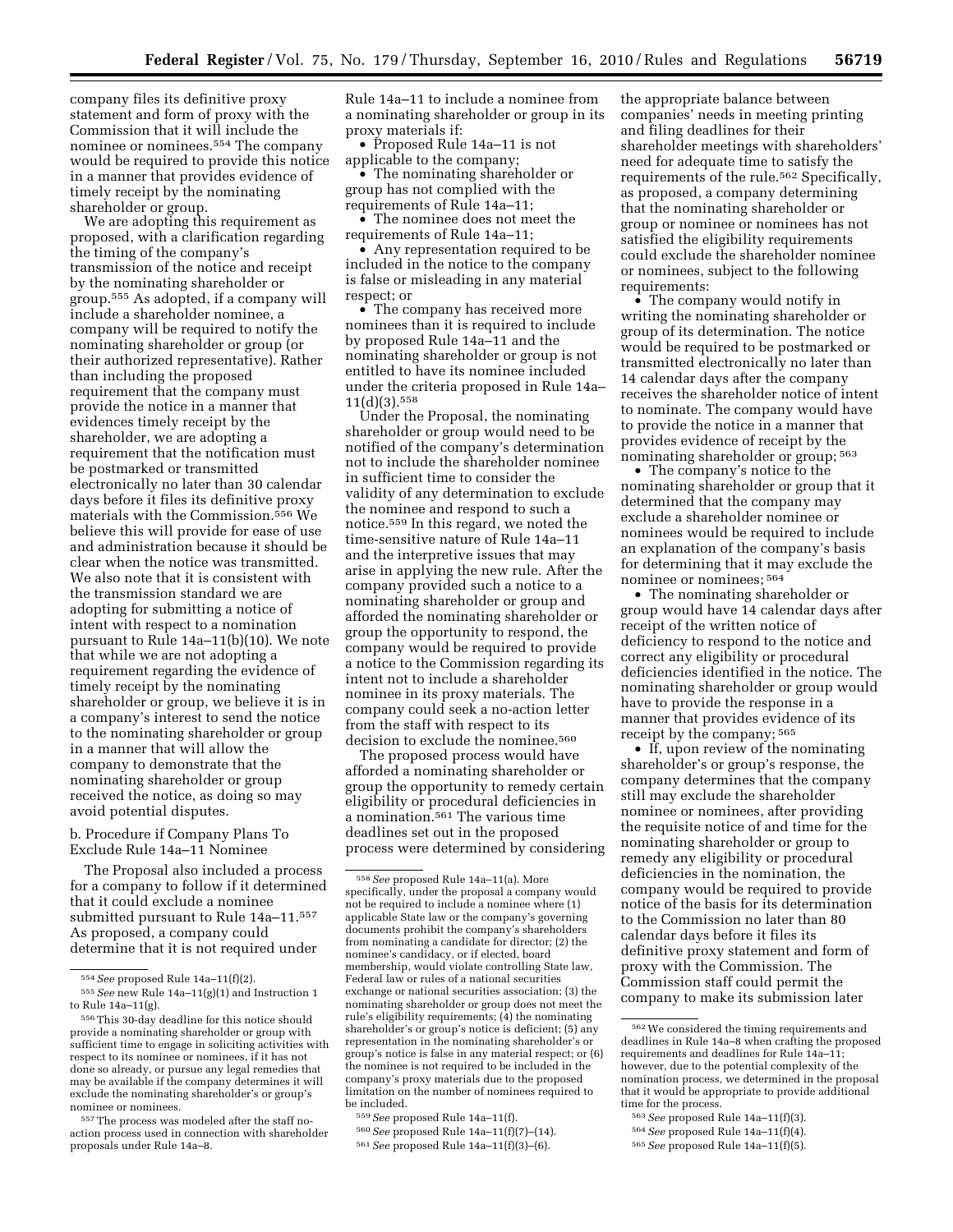company files its definitive proxy statement and form of proxy with the Commission that it will include the nominee or nominees.554 The company would be required to provide this notice in a manner that provides evidence of timely receipt by the nominating shareholder or group.

We are adopting this requirement as proposed, with a clarification regarding the timing of the company's transmission of the notice and receipt by the nominating shareholder or group.555 As adopted, if a company will include a shareholder nominee, a company will be required to notify the nominating shareholder or group (or their authorized representative). Rather than including the proposed requirement that the company must provide the notice in a manner that evidences timely receipt by the shareholder, we are adopting a requirement that the notification must be postmarked or transmitted electronically no later than 30 calendar days before it files its definitive proxy materials with the Commission.556 We believe this will provide for ease of use and administration because it should be clear when the notice was transmitted. We also note that it is consistent with the transmission standard we are adopting for submitting a notice of intent with respect to a nomination pursuant to Rule 14a–11(b)(10). We note that while we are not adopting a requirement regarding the evidence of timely receipt by the nominating shareholder or group, we believe it is in a company's interest to send the notice to the nominating shareholder or group in a manner that will allow the company to demonstrate that the nominating shareholder or group received the notice, as doing so may avoid potential disputes.

b. Procedure if Company Plans To Exclude Rule 14a–11 Nominee

The Proposal also included a process for a company to follow if it determined that it could exclude a nominee submitted pursuant to Rule 14a–11.557 As proposed, a company could determine that it is not required under

Rule 14a–11 to include a nominee from a nominating shareholder or group in its proxy materials if:

• Proposed Rule 14a–11 is not applicable to the company;

• The nominating shareholder or group has not complied with the requirements of Rule 14a–11;

• The nominee does not meet the requirements of Rule 14a–11;

• Any representation required to be included in the notice to the company is false or misleading in any material respect; or

• The company has received more nominees than it is required to include by proposed Rule 14a–11 and the nominating shareholder or group is not entitled to have its nominee included under the criteria proposed in Rule 14a–  $11(d)(3).558$ 

Under the Proposal, the nominating shareholder or group would need to be notified of the company's determination not to include the shareholder nominee in sufficient time to consider the validity of any determination to exclude the nominee and respond to such a notice.559 In this regard, we noted the time-sensitive nature of Rule 14a–11 and the interpretive issues that may arise in applying the new rule. After the company provided such a notice to a nominating shareholder or group and afforded the nominating shareholder or group the opportunity to respond, the company would be required to provide a notice to the Commission regarding its intent not to include a shareholder nominee in its proxy materials. The company could seek a no-action letter from the staff with respect to its decision to exclude the nominee.<sup>560</sup>

The proposed process would have afforded a nominating shareholder or group the opportunity to remedy certain eligibility or procedural deficiencies in a nomination.561 The various time deadlines set out in the proposed process were determined by considering

the appropriate balance between companies' needs in meeting printing and filing deadlines for their shareholder meetings with shareholders' need for adequate time to satisfy the requirements of the rule.562 Specifically, as proposed, a company determining that the nominating shareholder or group or nominee or nominees has not satisfied the eligibility requirements could exclude the shareholder nominee or nominees, subject to the following requirements:

• The company would notify in writing the nominating shareholder or group of its determination. The notice would be required to be postmarked or transmitted electronically no later than 14 calendar days after the company receives the shareholder notice of intent to nominate. The company would have to provide the notice in a manner that provides evidence of receipt by the nominating shareholder or group; 563

• The company's notice to the nominating shareholder or group that it determined that the company may exclude a shareholder nominee or nominees would be required to include an explanation of the company's basis for determining that it may exclude the nominee or nominees; 564

• The nominating shareholder or group would have 14 calendar days after receipt of the written notice of deficiency to respond to the notice and correct any eligibility or procedural deficiencies identified in the notice. The nominating shareholder or group would have to provide the response in a manner that provides evidence of its receipt by the company; 565

• If, upon review of the nominating shareholder's or group's response, the company determines that the company still may exclude the shareholder nominee or nominees, after providing the requisite notice of and time for the nominating shareholder or group to remedy any eligibility or procedural deficiencies in the nomination, the company would be required to provide notice of the basis for its determination to the Commission no later than 80 calendar days before it files its definitive proxy statement and form of proxy with the Commission. The Commission staff could permit the company to make its submission later

<sup>554</sup>*See* proposed Rule 14a–11(f)(2).

<sup>555</sup>*See* new Rule 14a–11(g)(1) and Instruction 1 to Rule 14a–11(g).

<sup>556</sup>This 30-day deadline for this notice should provide a nominating shareholder or group with sufficient time to engage in soliciting activities with respect to its nominee or nominees, if it has not done so already, or pursue any legal remedies that may be available if the company determines it will exclude the nominating shareholder's or group's nominee or nominees.

<sup>557</sup>The process was modeled after the staff noaction process used in connection with shareholder proposals under Rule 14a–8.

<sup>558</sup>*See* proposed Rule 14a–11(a). More specifically, under the proposal a company would not be required to include a nominee where (1) applicable State law or the company's governing documents prohibit the company's shareholders from nominating a candidate for director; (2) the nominee's candidacy, or if elected, board membership, would violate controlling State law, Federal law or rules of a national securities exchange or national securities association; (3) the nominating shareholder or group does not meet the rule's eligibility requirements;  $(4)$  the nominating shareholder's or group's notice is deficient; (5) any representation in the nominating shareholder's or group's notice is false in any material respect; or (6) the nominee is not required to be included in the company's proxy materials due to the proposed limitation on the number of nominees required to be included.

<sup>559</sup>*See* proposed Rule 14a–11(f).

<sup>560</sup>*See* proposed Rule 14a–11(f)(7)–(14).

<sup>561</sup>*See* proposed Rule 14a–11(f)(3)–(6).

<sup>562</sup>We considered the timing requirements and deadlines in Rule 14a–8 when crafting the proposed requirements and deadlines for Rule 14a–11; however, due to the potential complexity of the nomination process, we determined in the proposal that it would be appropriate to provide additional time for the process.

<sup>563</sup>*See* proposed Rule 14a–11(f)(3).

<sup>564</sup>*See* proposed Rule 14a–11(f)(4).

<sup>565</sup>*See* proposed Rule 14a–11(f)(5).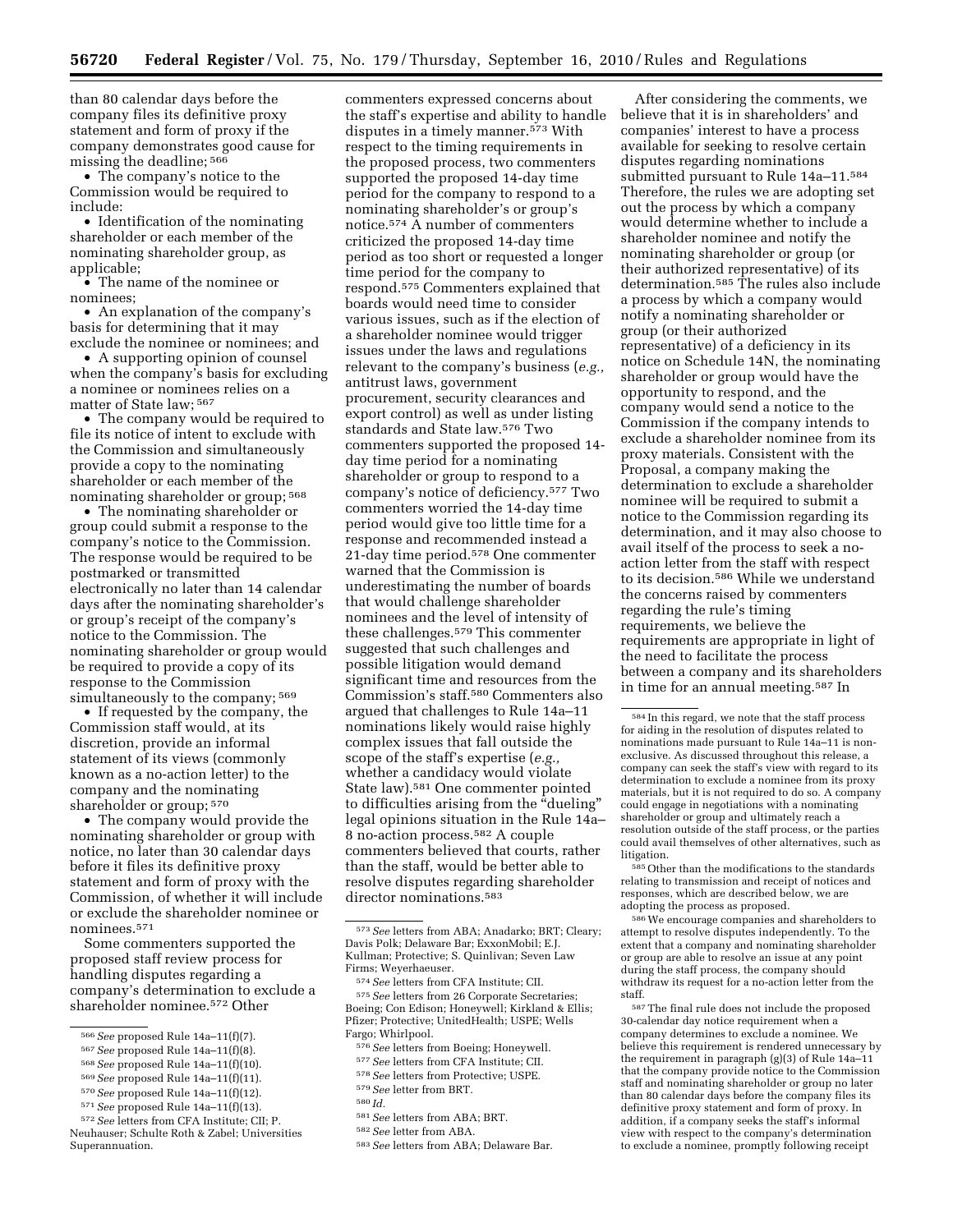than 80 calendar days before the company files its definitive proxy statement and form of proxy if the company demonstrates good cause for missing the deadline;  $566$ 

• The company's notice to the Commission would be required to include:

• Identification of the nominating shareholder or each member of the nominating shareholder group, as applicable;

• The name of the nominee or nominees;

• An explanation of the company's basis for determining that it may exclude the nominee or nominees; and

• A supporting opinion of counsel when the company's basis for excluding a nominee or nominees relies on a matter of State law; 567

• The company would be required to file its notice of intent to exclude with the Commission and simultaneously provide a copy to the nominating shareholder or each member of the nominating shareholder or group; 568

• The nominating shareholder or group could submit a response to the company's notice to the Commission. The response would be required to be postmarked or transmitted electronically no later than 14 calendar days after the nominating shareholder's or group's receipt of the company's notice to the Commission. The nominating shareholder or group would be required to provide a copy of its response to the Commission simultaneously to the company; <sup>569</sup>

• If requested by the company, the Commission staff would, at its discretion, provide an informal statement of its views (commonly known as a no-action letter) to the company and the nominating shareholder or group; 570

• The company would provide the nominating shareholder or group with notice, no later than 30 calendar days before it files its definitive proxy statement and form of proxy with the Commission, of whether it will include or exclude the shareholder nominee or nominees.571

Some commenters supported the proposed staff review process for handling disputes regarding a company's determination to exclude a shareholder nominee.572 Other

- 570*See* proposed Rule 14a–11(f)(12).
- 571*See* proposed Rule 14a–11(f)(13).
- 572*See* letters from CFA Institute; CII; P.

commenters expressed concerns about the staff's expertise and ability to handle disputes in a timely manner.573 With respect to the timing requirements in the proposed process, two commenters supported the proposed 14-day time period for the company to respond to a nominating shareholder's or group's notice.574 A number of commenters criticized the proposed 14-day time period as too short or requested a longer time period for the company to respond.575 Commenters explained that boards would need time to consider various issues, such as if the election of a shareholder nominee would trigger issues under the laws and regulations relevant to the company's business (*e.g.,*  antitrust laws, government procurement, security clearances and export control) as well as under listing standards and State law.576 Two commenters supported the proposed 14 day time period for a nominating shareholder or group to respond to a company's notice of deficiency.577 Two commenters worried the 14-day time period would give too little time for a response and recommended instead a 21-day time period.578 One commenter warned that the Commission is underestimating the number of boards that would challenge shareholder nominees and the level of intensity of these challenges.579 This commenter suggested that such challenges and possible litigation would demand significant time and resources from the Commission's staff.580 Commenters also argued that challenges to Rule 14a–11 nominations likely would raise highly complex issues that fall outside the scope of the staff's expertise (*e.g.,*  whether a candidacy would violate State law).581 One commenter pointed to difficulties arising from the "dueling" legal opinions situation in the Rule 14a– 8 no-action process.582 A couple commenters believed that courts, rather than the staff, would be better able to resolve disputes regarding shareholder director nominations.<sup>583</sup>

576*See* letters from Boeing; Honeywell.

580 *Id.* 

After considering the comments, we believe that it is in shareholders' and companies' interest to have a process available for seeking to resolve certain disputes regarding nominations submitted pursuant to Rule 14a–11.584 Therefore, the rules we are adopting set out the process by which a company would determine whether to include a shareholder nominee and notify the nominating shareholder or group (or their authorized representative) of its determination.585 The rules also include a process by which a company would notify a nominating shareholder or group (or their authorized representative) of a deficiency in its notice on Schedule 14N, the nominating shareholder or group would have the opportunity to respond, and the company would send a notice to the Commission if the company intends to exclude a shareholder nominee from its proxy materials. Consistent with the Proposal, a company making the determination to exclude a shareholder nominee will be required to submit a notice to the Commission regarding its determination, and it may also choose to avail itself of the process to seek a noaction letter from the staff with respect to its decision.586 While we understand the concerns raised by commenters regarding the rule's timing requirements, we believe the requirements are appropriate in light of the need to facilitate the process between a company and its shareholders in time for an annual meeting.587 In

 $^{\rm 585}\,$  Other than the modifications to the standards relating to transmission and receipt of notices and responses, which are described below, we are adopting the process as proposed.

586We encourage companies and shareholders to attempt to resolve disputes independently. To the extent that a company and nominating shareholder or group are able to resolve an issue at any point during the staff process, the company should withdraw its request for a no-action letter from the staff.

587The final rule does not include the proposed 30-calendar day notice requirement when a company determines to exclude a nominee. We believe this requirement is rendered unnecessary by the requirement in paragraph (g)(3) of Rule 14a–11 that the company provide notice to the Commission staff and nominating shareholder or group no later than 80 calendar days before the company files its definitive proxy statement and form of proxy. In addition, if a company seeks the staff's informal view with respect to the company's determination to exclude a nominee, promptly following receipt

<sup>566</sup>*See* proposed Rule 14a–11(f)(7).

<sup>567</sup>*See* proposed Rule 14a–11(f)(8).

<sup>568</sup>*See* proposed Rule 14a–11(f)(10).

<sup>569</sup>*See* proposed Rule 14a–11(f)(11).

Neuhauser; Schulte Roth & Zabel; Universities Superannuation.

<sup>573</sup>*See* letters from ABA; Anadarko; BRT; Cleary; Davis Polk; Delaware Bar; ExxonMobil; E.J. Kullman; Protective; S. Quinlivan; Seven Law Firms; Weyerhaeuser.

<sup>574</sup>*See* letters from CFA Institute; CII. 575*See* letters from 26 Corporate Secretaries; Boeing; Con Edison; Honeywell; Kirkland & Ellis; Pfizer; Protective; UnitedHealth; USPE; Wells Fargo; Whirlpool.

<sup>577</sup>*See* letters from CFA Institute; CII.

<sup>578</sup>*See* letters from Protective; USPE.

<sup>579</sup>*See* letter from BRT.

<sup>581</sup>*See* letters from ABA; BRT.

<sup>582</sup>*See* letter from ABA.

<sup>583</sup>*See* letters from ABA; Delaware Bar.

<sup>584</sup> In this regard, we note that the staff process for aiding in the resolution of disputes related to nominations made pursuant to Rule 14a–11 is nonexclusive. As discussed throughout this release, a company can seek the staff's view with regard to its determination to exclude a nominee from its proxy materials, but it is not required to do so. A company could engage in negotiations with a nominating shareholder or group and ultimately reach a resolution outside of the staff process, or the parties could avail themselves of other alternatives, such as litigation.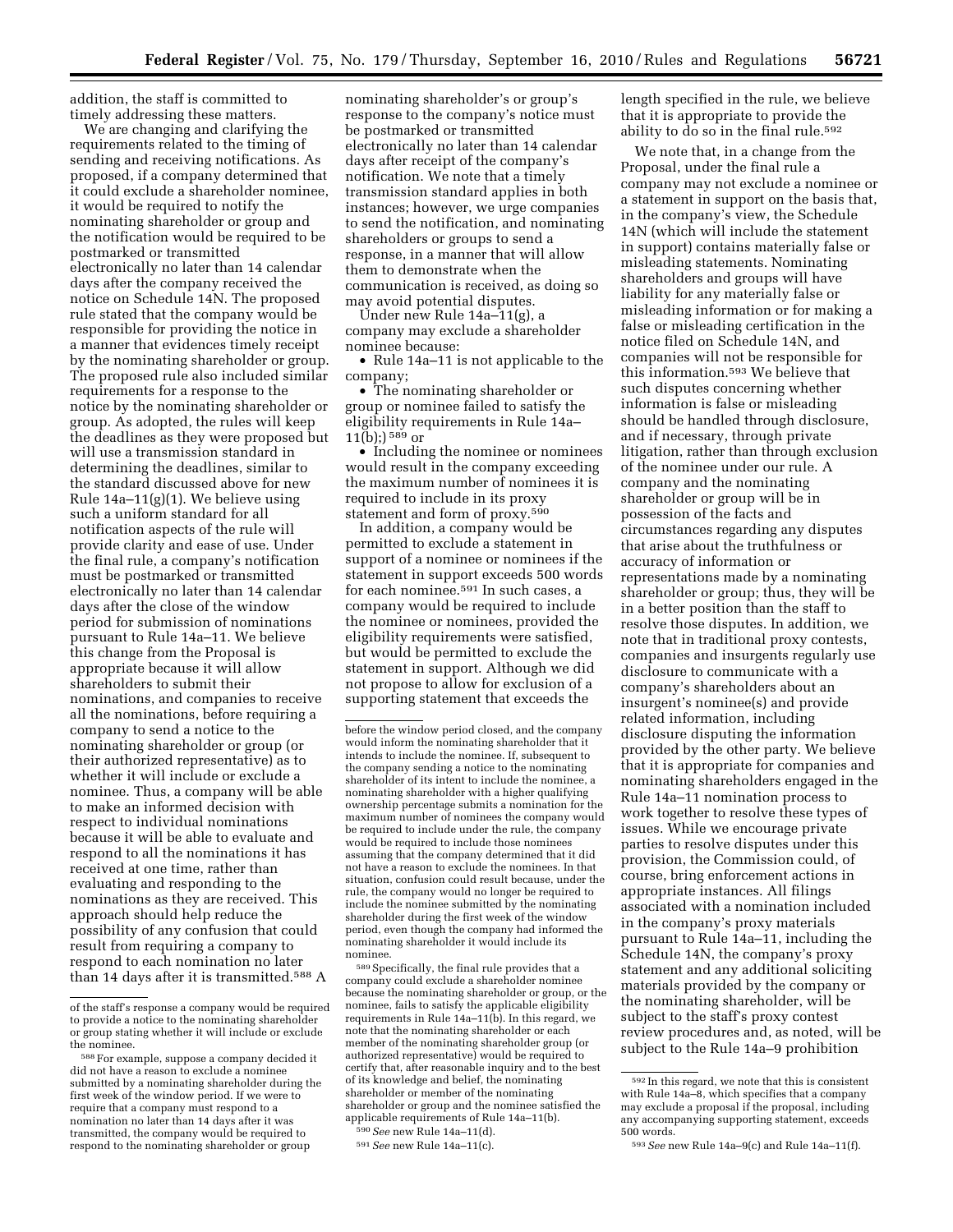addition, the staff is committed to timely addressing these matters.

We are changing and clarifying the requirements related to the timing of sending and receiving notifications. As proposed, if a company determined that it could exclude a shareholder nominee, it would be required to notify the nominating shareholder or group and the notification would be required to be postmarked or transmitted electronically no later than 14 calendar days after the company received the notice on Schedule 14N. The proposed rule stated that the company would be responsible for providing the notice in a manner that evidences timely receipt by the nominating shareholder or group. The proposed rule also included similar requirements for a response to the notice by the nominating shareholder or group. As adopted, the rules will keep the deadlines as they were proposed but will use a transmission standard in determining the deadlines, similar to the standard discussed above for new Rule 14a–11(g)(1). We believe using such a uniform standard for all notification aspects of the rule will provide clarity and ease of use. Under the final rule, a company's notification must be postmarked or transmitted electronically no later than 14 calendar days after the close of the window period for submission of nominations pursuant to Rule 14a–11. We believe this change from the Proposal is appropriate because it will allow shareholders to submit their nominations, and companies to receive all the nominations, before requiring a company to send a notice to the nominating shareholder or group (or their authorized representative) as to whether it will include or exclude a nominee. Thus, a company will be able to make an informed decision with respect to individual nominations because it will be able to evaluate and respond to all the nominations it has received at one time, rather than evaluating and responding to the nominations as they are received. This approach should help reduce the possibility of any confusion that could result from requiring a company to respond to each nomination no later than 14 days after it is transmitted.<sup>588</sup> A

nominating shareholder's or group's response to the company's notice must be postmarked or transmitted electronically no later than 14 calendar days after receipt of the company's notification. We note that a timely transmission standard applies in both instances; however, we urge companies to send the notification, and nominating shareholders or groups to send a response, in a manner that will allow them to demonstrate when the communication is received, as doing so may avoid potential disputes.

Under new Rule 14a–11(g), a company may exclude a shareholder nominee because:

• Rule 14a–11 is not applicable to the company;

• The nominating shareholder or group or nominee failed to satisfy the eligibility requirements in Rule 14a–  $11(b)$ ;)  $589$  or

• Including the nominee or nominees would result in the company exceeding the maximum number of nominees it is required to include in its proxy statement and form of proxy.<sup>590</sup>

In addition, a company would be permitted to exclude a statement in support of a nominee or nominees if the statement in support exceeds 500 words for each nominee.591 In such cases, a company would be required to include the nominee or nominees, provided the eligibility requirements were satisfied, but would be permitted to exclude the statement in support. Although we did not propose to allow for exclusion of a supporting statement that exceeds the

589Specifically, the final rule provides that a company could exclude a shareholder nominee because the nominating shareholder or group, or the nominee, fails to satisfy the applicable eligibility requirements in Rule 14a–11(b). In this regard, we note that the nominating shareholder or each member of the nominating shareholder group (or authorized representative) would be required to certify that, after reasonable inquiry and to the best of its knowledge and belief, the nominating shareholder or member of the nominating shareholder or group and the nominee satisfied the applicable requirements of Rule 14a–11(b). 590*See* new Rule 14a–11(d).

length specified in the rule, we believe that it is appropriate to provide the ability to do so in the final rule.592

We note that, in a change from the Proposal, under the final rule a company may not exclude a nominee or a statement in support on the basis that, in the company's view, the Schedule 14N (which will include the statement in support) contains materially false or misleading statements. Nominating shareholders and groups will have liability for any materially false or misleading information or for making a false or misleading certification in the notice filed on Schedule 14N, and companies will not be responsible for this information.593 We believe that such disputes concerning whether information is false or misleading should be handled through disclosure, and if necessary, through private litigation, rather than through exclusion of the nominee under our rule. A company and the nominating shareholder or group will be in possession of the facts and circumstances regarding any disputes that arise about the truthfulness or accuracy of information or representations made by a nominating shareholder or group; thus, they will be in a better position than the staff to resolve those disputes. In addition, we note that in traditional proxy contests, companies and insurgents regularly use disclosure to communicate with a company's shareholders about an insurgent's nominee(s) and provide related information, including disclosure disputing the information provided by the other party. We believe that it is appropriate for companies and nominating shareholders engaged in the Rule 14a–11 nomination process to work together to resolve these types of issues. While we encourage private parties to resolve disputes under this provision, the Commission could, of course, bring enforcement actions in appropriate instances. All filings associated with a nomination included in the company's proxy materials pursuant to Rule 14a–11, including the Schedule 14N, the company's proxy statement and any additional soliciting materials provided by the company or the nominating shareholder, will be subject to the staff's proxy contest review procedures and, as noted, will be subject to the Rule 14a–9 prohibition

of the staff's response a company would be required to provide a notice to the nominating shareholder or group stating whether it will include or exclude the nominee.

<sup>588</sup>For example, suppose a company decided it did not have a reason to exclude a nominee submitted by a nominating shareholder during the first week of the window period. If we were to require that a company must respond to a nomination no later than 14 days after it was transmitted, the company would be required to respond to the nominating shareholder or group

before the window period closed, and the company would inform the nominating shareholder that it intends to include the nominee. If, subsequent to the company sending a notice to the nominating shareholder of its intent to include the nominee, a nominating shareholder with a higher qualifying ownership percentage submits a nomination for the maximum number of nominees the company would be required to include under the rule, the company would be required to include those nominees assuming that the company determined that it did not have a reason to exclude the nominees. In that situation, confusion could result because, under the rule, the company would no longer be required to include the nominee submitted by the nominating shareholder during the first week of the window period, even though the company had informed the nominating shareholder it would include its nominee.

<sup>591</sup>*See* new Rule 14a–11(c).

<sup>592</sup> In this regard, we note that this is consistent with Rule 14a–8, which specifies that a company may exclude a proposal if the proposal, including any accompanying supporting statement, exceeds 500 words.

<sup>593</sup>*See* new Rule 14a–9(c) and Rule 14a–11(f).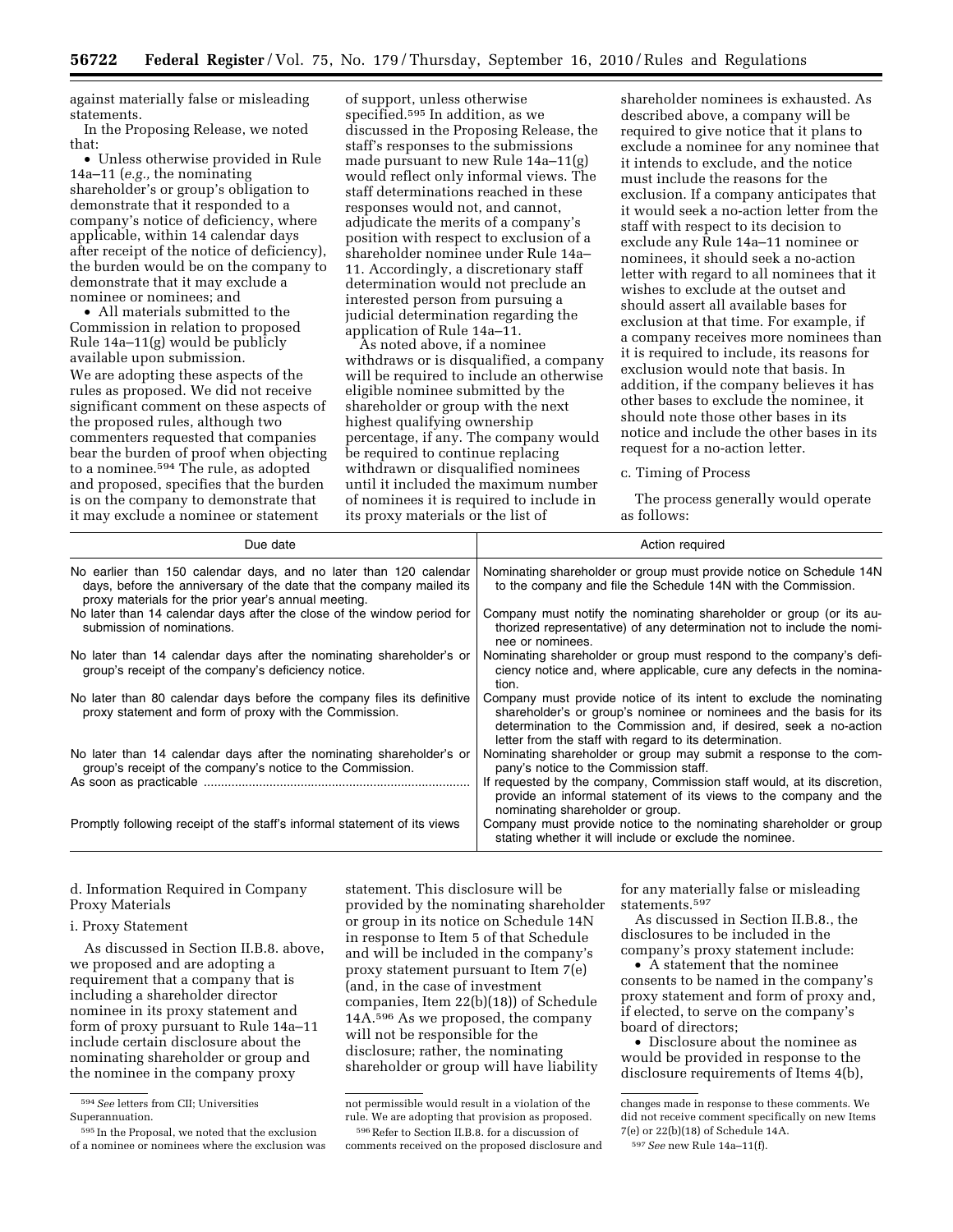against materially false or misleading statements.

In the Proposing Release, we noted that:

• Unless otherwise provided in Rule 14a–11 (*e.g.,* the nominating shareholder's or group's obligation to demonstrate that it responded to a company's notice of deficiency, where applicable, within 14 calendar days after receipt of the notice of deficiency), the burden would be on the company to demonstrate that it may exclude a nominee or nominees; and

• All materials submitted to the Commission in relation to proposed Rule 14a–11(g) would be publicly available upon submission. We are adopting these aspects of the rules as proposed. We did not receive significant comment on these aspects of the proposed rules, although two commenters requested that companies bear the burden of proof when objecting to a nominee.594 The rule, as adopted and proposed, specifies that the burden is on the company to demonstrate that it may exclude a nominee or statement

of support, unless otherwise specified.595 In addition, as we discussed in the Proposing Release, the staff's responses to the submissions made pursuant to new Rule 14a–11(g) would reflect only informal views. The staff determinations reached in these responses would not, and cannot, adjudicate the merits of a company's position with respect to exclusion of a shareholder nominee under Rule 14a– 11. Accordingly, a discretionary staff determination would not preclude an interested person from pursuing a judicial determination regarding the application of Rule 14a–11.

As noted above, if a nominee withdraws or is disqualified, a company will be required to include an otherwise eligible nominee submitted by the shareholder or group with the next highest qualifying ownership percentage, if any. The company would be required to continue replacing withdrawn or disqualified nominees until it included the maximum number of nominees it is required to include in its proxy materials or the list of

shareholder nominees is exhausted. As described above, a company will be required to give notice that it plans to exclude a nominee for any nominee that it intends to exclude, and the notice must include the reasons for the exclusion. If a company anticipates that it would seek a no-action letter from the staff with respect to its decision to exclude any Rule 14a–11 nominee or nominees, it should seek a no-action letter with regard to all nominees that it wishes to exclude at the outset and should assert all available bases for exclusion at that time. For example, if a company receives more nominees than it is required to include, its reasons for exclusion would note that basis. In addition, if the company believes it has other bases to exclude the nominee, it should note those other bases in its notice and include the other bases in its request for a no-action letter.

c. Timing of Process

The process generally would operate as follows:

| Due date                                                                                                                                                                                          | Action required                                                                                                                                                                                                                                                           |
|---------------------------------------------------------------------------------------------------------------------------------------------------------------------------------------------------|---------------------------------------------------------------------------------------------------------------------------------------------------------------------------------------------------------------------------------------------------------------------------|
| No earlier than 150 calendar days, and no later than 120 calendar<br>days, before the anniversary of the date that the company mailed its<br>proxy materials for the prior year's annual meeting. | Nominating shareholder or group must provide notice on Schedule 14N<br>to the company and file the Schedule 14N with the Commission.                                                                                                                                      |
| No later than 14 calendar days after the close of the window period for<br>submission of nominations.                                                                                             | Company must notify the nominating shareholder or group (or its au-<br>thorized representative) of any determination not to include the nomi-<br>nee or nominees.                                                                                                         |
| No later than 14 calendar days after the nominating shareholder's or<br>group's receipt of the company's deficiency notice.                                                                       | Nominating shareholder or group must respond to the company's defi-<br>ciency notice and, where applicable, cure any defects in the nomina-<br>tion.                                                                                                                      |
| No later than 80 calendar days before the company files its definitive<br>proxy statement and form of proxy with the Commission.                                                                  | Company must provide notice of its intent to exclude the nominating<br>shareholder's or group's nominee or nominees and the basis for its<br>determination to the Commission and, if desired, seek a no-action<br>letter from the staff with regard to its determination. |
| No later than 14 calendar days after the nominating shareholder's or<br>group's receipt of the company's notice to the Commission.                                                                | Nominating shareholder or group may submit a response to the com-<br>pany's notice to the Commission staff.                                                                                                                                                               |
|                                                                                                                                                                                                   | If requested by the company, Commission staff would, at its discretion,<br>provide an informal statement of its views to the company and the<br>nominating shareholder or group.                                                                                          |
| Promptly following receipt of the staff's informal statement of its views                                                                                                                         | Company must provide notice to the nominating shareholder or group<br>stating whether it will include or exclude the nominee.                                                                                                                                             |

## d. Information Required in Company Proxy Materials

# i. Proxy Statement

As discussed in Section II.B.8. above, we proposed and are adopting a requirement that a company that is including a shareholder director nominee in its proxy statement and form of proxy pursuant to Rule 14a–11 include certain disclosure about the nominating shareholder or group and the nominee in the company proxy

statement. This disclosure will be provided by the nominating shareholder or group in its notice on Schedule 14N in response to Item 5 of that Schedule and will be included in the company's proxy statement pursuant to Item 7(e) (and, in the case of investment companies, Item 22(b)(18)) of Schedule 14A.596 As we proposed, the company will not be responsible for the disclosure; rather, the nominating shareholder or group will have liability

596Refer to Section II.B.8. for a discussion of comments received on the proposed disclosure and

for any materially false or misleading statements.597

As discussed in Section II.B.8., the disclosures to be included in the company's proxy statement include:

• A statement that the nominee consents to be named in the company's proxy statement and form of proxy and, if elected, to serve on the company's board of directors;

• Disclosure about the nominee as would be provided in response to the disclosure requirements of Items 4(b),

<sup>594</sup>*See* letters from CII; Universities Superannuation.

<sup>595</sup> In the Proposal, we noted that the exclusion of a nominee or nominees where the exclusion was

not permissible would result in a violation of the rule. We are adopting that provision as proposed.

changes made in response to these comments. We did not receive comment specifically on new Items 7(e) or 22(b)(18) of Schedule 14A.

<sup>597</sup>*See* new Rule 14a–11(f).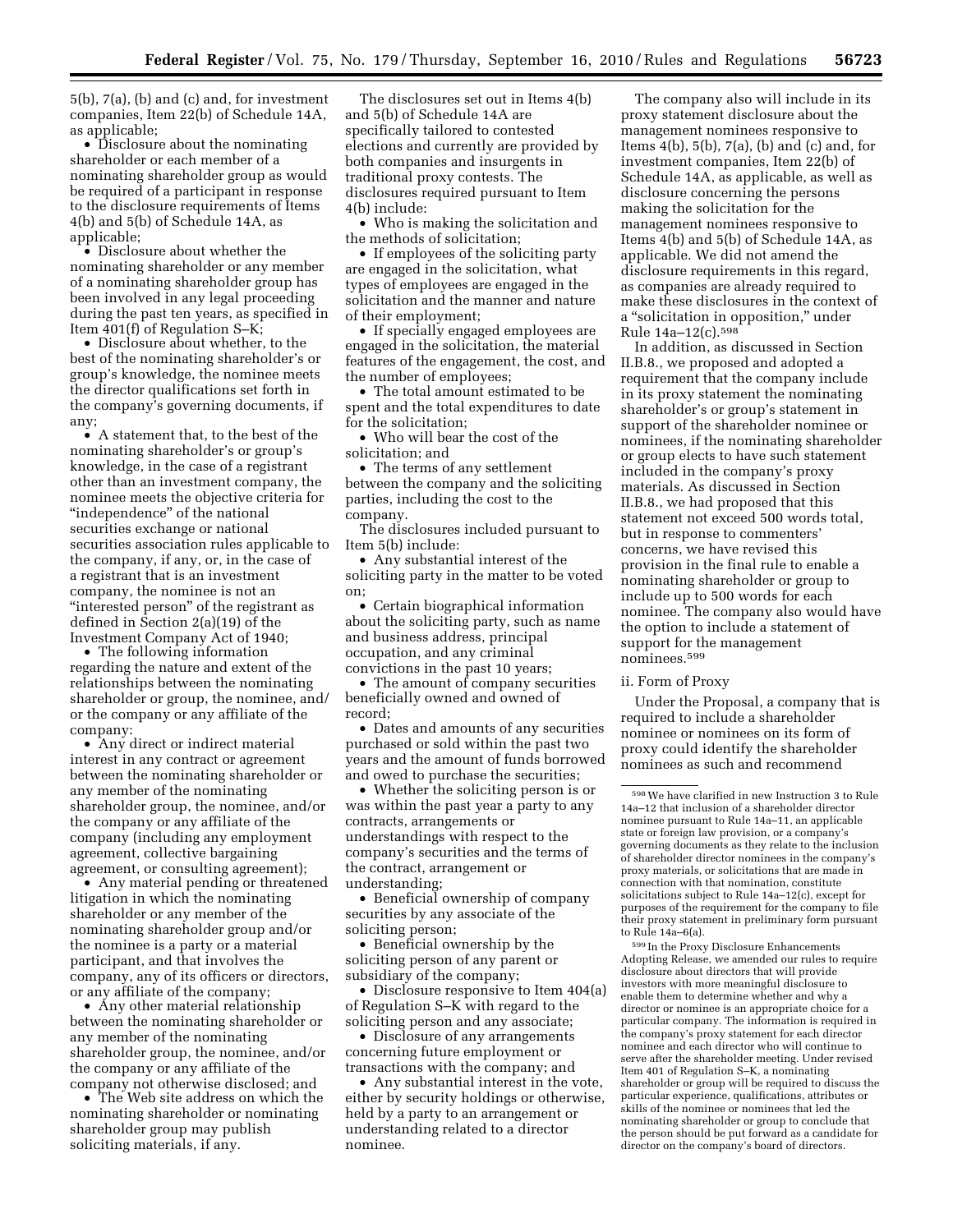5(b), 7(a), (b) and (c) and, for investment companies, Item 22(b) of Schedule 14A, as applicable;

• Disclosure about the nominating shareholder or each member of a nominating shareholder group as would be required of a participant in response to the disclosure requirements of Items 4(b) and 5(b) of Schedule 14A, as applicable;

• Disclosure about whether the nominating shareholder or any member of a nominating shareholder group has been involved in any legal proceeding during the past ten years, as specified in Item 401(f) of Regulation S–K;

• Disclosure about whether, to the best of the nominating shareholder's or group's knowledge, the nominee meets the director qualifications set forth in the company's governing documents, if any;

• A statement that, to the best of the nominating shareholder's or group's knowledge, in the case of a registrant other than an investment company, the nominee meets the objective criteria for "independence" of the national securities exchange or national securities association rules applicable to the company, if any, or, in the case of a registrant that is an investment company, the nominee is not an "interested person" of the registrant as defined in Section 2(a)(19) of the Investment Company Act of 1940;

• The following information regarding the nature and extent of the relationships between the nominating shareholder or group, the nominee, and/ or the company or any affiliate of the company:

• Any direct or indirect material interest in any contract or agreement between the nominating shareholder or any member of the nominating shareholder group, the nominee, and/or the company or any affiliate of the company (including any employment agreement, collective bargaining agreement, or consulting agreement);

• Any material pending or threatened litigation in which the nominating shareholder or any member of the nominating shareholder group and/or the nominee is a party or a material participant, and that involves the company, any of its officers or directors, or any affiliate of the company;

• Any other material relationship between the nominating shareholder or any member of the nominating shareholder group, the nominee, and/or the company or any affiliate of the company not otherwise disclosed; and

• The Web site address on which the nominating shareholder or nominating shareholder group may publish soliciting materials, if any.

The disclosures set out in Items 4(b) and 5(b) of Schedule 14A are specifically tailored to contested elections and currently are provided by both companies and insurgents in traditional proxy contests. The disclosures required pursuant to Item 4(b) include:

• Who is making the solicitation and the methods of solicitation;

• If employees of the soliciting party are engaged in the solicitation, what types of employees are engaged in the solicitation and the manner and nature of their employment;

• If specially engaged employees are engaged in the solicitation, the material features of the engagement, the cost, and the number of employees;

• The total amount estimated to be spent and the total expenditures to date for the solicitation;

• Who will bear the cost of the solicitation; and

• The terms of any settlement between the company and the soliciting parties, including the cost to the company.

The disclosures included pursuant to Item 5(b) include:

• Any substantial interest of the soliciting party in the matter to be voted on;

• Certain biographical information about the soliciting party, such as name and business address, principal occupation, and any criminal convictions in the past 10 years;

• The amount of company securities beneficially owned and owned of record;

• Dates and amounts of any securities purchased or sold within the past two years and the amount of funds borrowed and owed to purchase the securities;

• Whether the soliciting person is or was within the past year a party to any contracts, arrangements or understandings with respect to the company's securities and the terms of the contract, arrangement or understanding;

• Beneficial ownership of company securities by any associate of the soliciting person;

• Beneficial ownership by the soliciting person of any parent or subsidiary of the company;

• Disclosure responsive to Item 404(a) of Regulation S–K with regard to the soliciting person and any associate;

• Disclosure of any arrangements concerning future employment or transactions with the company; and

• Any substantial interest in the vote, either by security holdings or otherwise, held by a party to an arrangement or understanding related to a director nominee.

The company also will include in its proxy statement disclosure about the management nominees responsive to Items  $4(b)$ ,  $5(b)$ ,  $7(a)$ ,  $(b)$  and  $(c)$  and, for investment companies, Item 22(b) of Schedule 14A, as applicable, as well as disclosure concerning the persons making the solicitation for the management nominees responsive to Items 4(b) and 5(b) of Schedule 14A, as applicable. We did not amend the disclosure requirements in this regard, as companies are already required to make these disclosures in the context of a ''solicitation in opposition,'' under Rule 14a–12(c).598

In addition, as discussed in Section II.B.8., we proposed and adopted a requirement that the company include in its proxy statement the nominating shareholder's or group's statement in support of the shareholder nominee or nominees, if the nominating shareholder or group elects to have such statement included in the company's proxy materials. As discussed in Section II.B.8., we had proposed that this statement not exceed 500 words total, but in response to commenters' concerns, we have revised this provision in the final rule to enable a nominating shareholder or group to include up to 500 words for each nominee. The company also would have the option to include a statement of support for the management nominees.599

## ii. Form of Proxy

Under the Proposal, a company that is required to include a shareholder nominee or nominees on its form of proxy could identify the shareholder nominees as such and recommend

599 In the Proxy Disclosure Enhancements Adopting Release, we amended our rules to require disclosure about directors that will provide investors with more meaningful disclosure to enable them to determine whether and why a director or nominee is an appropriate choice for a particular company. The information is required in the company's proxy statement for each director nominee and each director who will continue to serve after the shareholder meeting. Under revised Item 401 of Regulation S–K, a nominating shareholder or group will be required to discuss the particular experience, qualifications, attributes or skills of the nominee or nominees that led the nominating shareholder or group to conclude that the person should be put forward as a candidate for director on the company's board of directors.

<sup>598</sup>We have clarified in new Instruction 3 to Rule 14a–12 that inclusion of a shareholder director nominee pursuant to Rule 14a–11, an applicable state or foreign law provision, or a company's governing documents as they relate to the inclusion of shareholder director nominees in the company's proxy materials, or solicitations that are made in connection with that nomination, constitute solicitations subject to Rule 14a–12(c), except for purposes of the requirement for the company to file their proxy statement in preliminary form pursuant to Rule 14a–6(a).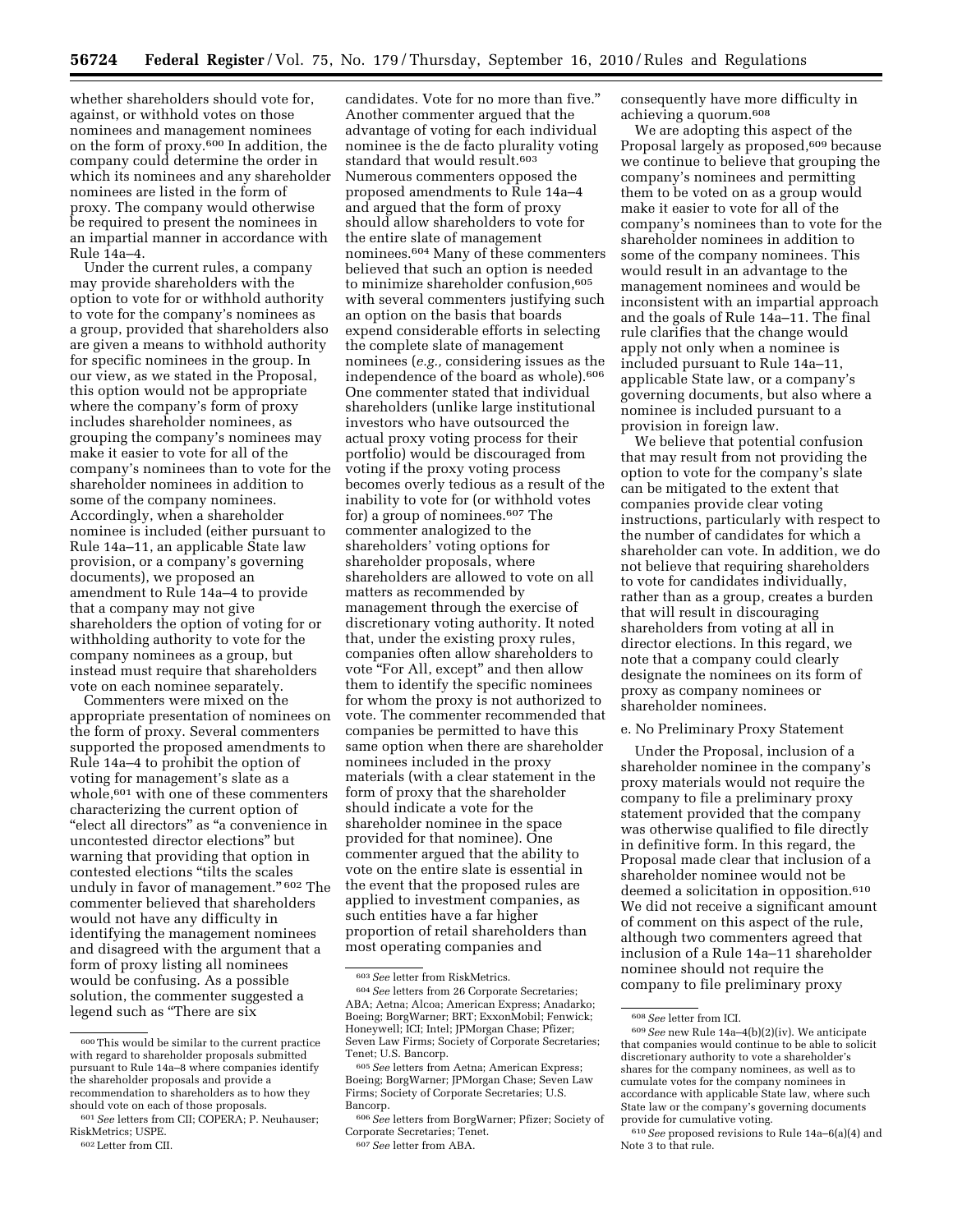whether shareholders should vote for, against, or withhold votes on those nominees and management nominees on the form of proxy.600 In addition, the company could determine the order in which its nominees and any shareholder nominees are listed in the form of proxy. The company would otherwise be required to present the nominees in an impartial manner in accordance with Rule 14a–4.

Under the current rules, a company may provide shareholders with the option to vote for or withhold authority to vote for the company's nominees as a group, provided that shareholders also are given a means to withhold authority for specific nominees in the group. In our view, as we stated in the Proposal, this option would not be appropriate where the company's form of proxy includes shareholder nominees, as grouping the company's nominees may make it easier to vote for all of the company's nominees than to vote for the shareholder nominees in addition to some of the company nominees. Accordingly, when a shareholder nominee is included (either pursuant to Rule 14a–11, an applicable State law provision, or a company's governing documents), we proposed an amendment to Rule 14a–4 to provide that a company may not give shareholders the option of voting for or withholding authority to vote for the company nominees as a group, but instead must require that shareholders vote on each nominee separately.

Commenters were mixed on the appropriate presentation of nominees on the form of proxy. Several commenters supported the proposed amendments to Rule 14a–4 to prohibit the option of voting for management's slate as a whole,601 with one of these commenters characterizing the current option of ''elect all directors'' as ''a convenience in uncontested director elections'' but warning that providing that option in contested elections ''tilts the scales unduly in favor of management.'' 602 The commenter believed that shareholders would not have any difficulty in identifying the management nominees and disagreed with the argument that a form of proxy listing all nominees would be confusing. As a possible solution, the commenter suggested a legend such as ''There are six

602Letter from CII.

candidates. Vote for no more than five.'' Another commenter argued that the advantage of voting for each individual nominee is the de facto plurality voting standard that would result.<sup>603</sup> Numerous commenters opposed the proposed amendments to Rule 14a–4 and argued that the form of proxy should allow shareholders to vote for the entire slate of management nominees.604 Many of these commenters believed that such an option is needed to minimize shareholder confusion,<sup>605</sup> with several commenters justifying such an option on the basis that boards expend considerable efforts in selecting the complete slate of management nominees (*e.g.,* considering issues as the independence of the board as whole).<sup>606</sup> One commenter stated that individual shareholders (unlike large institutional investors who have outsourced the actual proxy voting process for their portfolio) would be discouraged from voting if the proxy voting process becomes overly tedious as a result of the inability to vote for (or withhold votes for) a group of nominees.607 The commenter analogized to the shareholders' voting options for shareholder proposals, where shareholders are allowed to vote on all matters as recommended by management through the exercise of discretionary voting authority. It noted that, under the existing proxy rules, companies often allow shareholders to vote "For All, except" and then allow them to identify the specific nominees for whom the proxy is not authorized to vote. The commenter recommended that companies be permitted to have this same option when there are shareholder nominees included in the proxy materials (with a clear statement in the form of proxy that the shareholder should indicate a vote for the shareholder nominee in the space provided for that nominee). One commenter argued that the ability to vote on the entire slate is essential in the event that the proposed rules are applied to investment companies, as such entities have a far higher proportion of retail shareholders than most operating companies and

607*See* letter from ABA.

consequently have more difficulty in achieving a quorum.608

We are adopting this aspect of the Proposal largely as proposed,<sup>609</sup> because we continue to believe that grouping the company's nominees and permitting them to be voted on as a group would make it easier to vote for all of the company's nominees than to vote for the shareholder nominees in addition to some of the company nominees. This would result in an advantage to the management nominees and would be inconsistent with an impartial approach and the goals of Rule 14a–11. The final rule clarifies that the change would apply not only when a nominee is included pursuant to Rule 14a–11, applicable State law, or a company's governing documents, but also where a nominee is included pursuant to a provision in foreign law.

We believe that potential confusion that may result from not providing the option to vote for the company's slate can be mitigated to the extent that companies provide clear voting instructions, particularly with respect to the number of candidates for which a shareholder can vote. In addition, we do not believe that requiring shareholders to vote for candidates individually, rather than as a group, creates a burden that will result in discouraging shareholders from voting at all in director elections. In this regard, we note that a company could clearly designate the nominees on its form of proxy as company nominees or shareholder nominees.

#### e. No Preliminary Proxy Statement

Under the Proposal, inclusion of a shareholder nominee in the company's proxy materials would not require the company to file a preliminary proxy statement provided that the company was otherwise qualified to file directly in definitive form. In this regard, the Proposal made clear that inclusion of a shareholder nominee would not be deemed a solicitation in opposition.610 We did not receive a significant amount of comment on this aspect of the rule, although two commenters agreed that inclusion of a Rule 14a–11 shareholder nominee should not require the company to file preliminary proxy

<sup>600</sup>This would be similar to the current practice with regard to shareholder proposals submitted pursuant to Rule 14a–8 where companies identify the shareholder proposals and provide a recommendation to shareholders as to how they should vote on each of those proposals.

<sup>601</sup>*See* letters from CII; COPERA; P. Neuhauser; RiskMetrics; USPE.

<sup>603</sup>*See* letter from RiskMetrics.

<sup>604</sup>*See* letters from 26 Corporate Secretaries; ABA; Aetna; Alcoa; American Express; Anadarko; Boeing; BorgWarner; BRT; ExxonMobil; Fenwick; Honeywell; ICI; Intel; JPMorgan Chase; Pfizer; Seven Law Firms; Society of Corporate Secretaries; Tenet; U.S. Bancorp.

<sup>605</sup>*See* letters from Aetna; American Express; Boeing; BorgWarner; JPMorgan Chase; Seven Law Firms; Society of Corporate Secretaries; U.S. Bancorp.

<sup>606</sup>*See* letters from BorgWarner; Pfizer; Society of Corporate Secretaries; Tenet.

<sup>608</sup>*See* letter from ICI.

<sup>609</sup>*See* new Rule 14a–4(b)(2)(iv). We anticipate that companies would continue to be able to solicit discretionary authority to vote a shareholder's shares for the company nominees, as well as to cumulate votes for the company nominees in accordance with applicable State law, where such State law or the company's governing documents provide for cumulative voting.

<sup>610</sup>*See* proposed revisions to Rule 14a–6(a)(4) and Note 3 to that rule.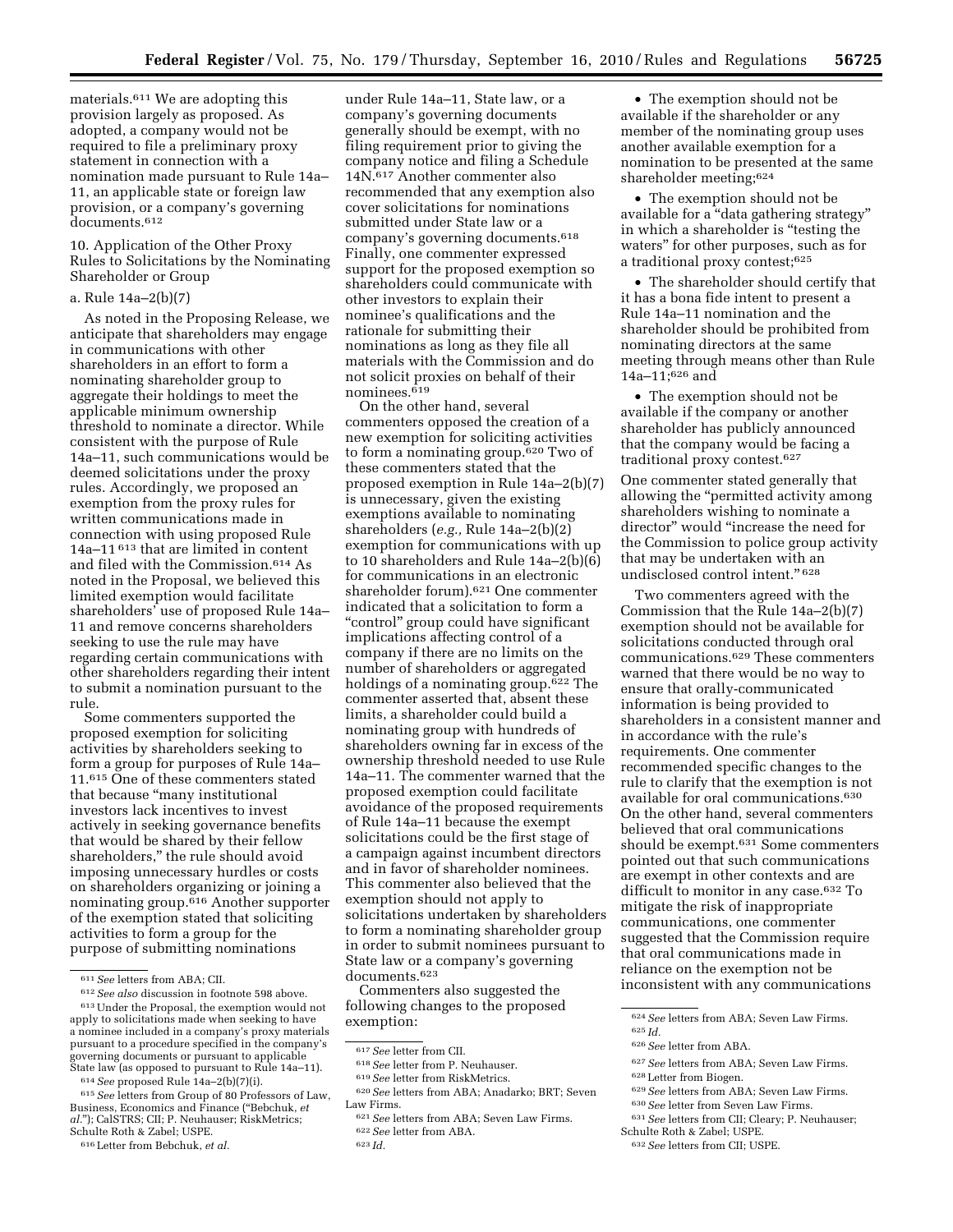materials.611 We are adopting this provision largely as proposed. As adopted, a company would not be required to file a preliminary proxy statement in connection with a nomination made pursuant to Rule 14a– 11, an applicable state or foreign law provision, or a company's governing documents.612

10. Application of the Other Proxy Rules to Solicitations by the Nominating Shareholder or Group

## a. Rule 14a–2(b)(7)

As noted in the Proposing Release, we anticipate that shareholders may engage in communications with other shareholders in an effort to form a nominating shareholder group to aggregate their holdings to meet the applicable minimum ownership threshold to nominate a director. While consistent with the purpose of Rule 14a–11, such communications would be deemed solicitations under the proxy rules. Accordingly, we proposed an exemption from the proxy rules for written communications made in connection with using proposed Rule 14a–11 613 that are limited in content and filed with the Commission.614 As noted in the Proposal, we believed this limited exemption would facilitate shareholders' use of proposed Rule 14a– 11 and remove concerns shareholders seeking to use the rule may have regarding certain communications with other shareholders regarding their intent to submit a nomination pursuant to the rule.

Some commenters supported the proposed exemption for soliciting activities by shareholders seeking to form a group for purposes of Rule 14a– 11.615 One of these commenters stated that because "many institutional investors lack incentives to invest actively in seeking governance benefits that would be shared by their fellow shareholders,'' the rule should avoid imposing unnecessary hurdles or costs on shareholders organizing or joining a nominating group.616 Another supporter of the exemption stated that soliciting activities to form a group for the purpose of submitting nominations

under Rule 14a–11, State law, or a company's governing documents generally should be exempt, with no filing requirement prior to giving the company notice and filing a Schedule 14N.617 Another commenter also recommended that any exemption also cover solicitations for nominations submitted under State law or a company's governing documents.618 Finally, one commenter expressed support for the proposed exemption so shareholders could communicate with other investors to explain their nominee's qualifications and the rationale for submitting their nominations as long as they file all materials with the Commission and do not solicit proxies on behalf of their nominees.619

On the other hand, several commenters opposed the creation of a new exemption for soliciting activities to form a nominating group.620 Two of these commenters stated that the proposed exemption in Rule 14a–2(b)(7) is unnecessary, given the existing exemptions available to nominating shareholders (*e.g.,* Rule 14a–2(b)(2) exemption for communications with up to 10 shareholders and Rule 14a–2(b)(6) for communications in an electronic shareholder forum).621 One commenter indicated that a solicitation to form a ''control'' group could have significant implications affecting control of a company if there are no limits on the number of shareholders or aggregated holdings of a nominating group.<sup>622</sup> The commenter asserted that, absent these limits, a shareholder could build a nominating group with hundreds of shareholders owning far in excess of the ownership threshold needed to use Rule 14a–11. The commenter warned that the proposed exemption could facilitate avoidance of the proposed requirements of Rule 14a–11 because the exempt solicitations could be the first stage of a campaign against incumbent directors and in favor of shareholder nominees. This commenter also believed that the exemption should not apply to solicitations undertaken by shareholders to form a nominating shareholder group in order to submit nominees pursuant to State law or a company's governing documents.623

Commenters also suggested the following changes to the proposed exemption:

• The exemption should not be available if the shareholder or any member of the nominating group uses another available exemption for a nomination to be presented at the same shareholder meeting;624

• The exemption should not be available for a ''data gathering strategy'' in which a shareholder is "testing the waters'' for other purposes, such as for a traditional proxy contest;625

• The shareholder should certify that it has a bona fide intent to present a Rule 14a–11 nomination and the shareholder should be prohibited from nominating directors at the same meeting through means other than Rule 14a-11;<sup>626</sup> and

• The exemption should not be available if the company or another shareholder has publicly announced that the company would be facing a traditional proxy contest.627

One commenter stated generally that allowing the ''permitted activity among shareholders wishing to nominate a director'' would ''increase the need for the Commission to police group activity that may be undertaken with an undisclosed control intent.'' 628

Two commenters agreed with the Commission that the Rule 14a–2(b)(7) exemption should not be available for solicitations conducted through oral communications.629 These commenters warned that there would be no way to ensure that orally-communicated information is being provided to shareholders in a consistent manner and in accordance with the rule's requirements. One commenter recommended specific changes to the rule to clarify that the exemption is not available for oral communications.630 On the other hand, several commenters believed that oral communications should be exempt.631 Some commenters pointed out that such communications are exempt in other contexts and are difficult to monitor in any case.632 To mitigate the risk of inappropriate communications, one commenter suggested that the Commission require that oral communications made in reliance on the exemption not be inconsistent with any communications

- 626*See* letter from ABA.
- 627*See* letters from ABA; Seven Law Firms.
- 628Letter from Biogen.
- 629*See* letters from ABA; Seven Law Firms.
- 630*See* letter from Seven Law Firms.
- 631*See* letters from CII; Cleary; P. Neuhauser; Schulte Roth & Zabel; USPE.

632*See* letters from CII; USPE.

<sup>&</sup>lt;sup>611</sup> *See letters from ABA; CII.*<br><sup>612</sup> *See also discussion in footnote 598 above.*<br><sup>613</sup> Under the Proposal, the exemption would not apply to solicitations made when seeking to have a nominee included in a company's proxy materials pursuant to a procedure specified in the company's governing documents or pursuant to applicable State law (as opposed to pursuant to Rule 14a–11).<br> $614$  See proposed Rule 14a–2(b)(7)(i).

<sup>&</sup>lt;sup>615</sup> See letters from Group of 80 Professors of Law, Business, Economics and Finance (''Bebchuk, *et al.*''); CalSTRS; CII; P. Neuhauser; RiskMetrics; Schulte Roth & Zabel; USPE.

<sup>616</sup>Letter from Bebchuk, *et al.* 

<sup>617</sup>*See* letter from CII. 618*See* letter from P. Neuhauser. 619*See* letter from RiskMetrics. 620*See* letters from ABA; Anadarko; BRT; Seven

Law Firms. 621*See* letters from ABA; Seven Law Firms. 622*See* letter from ABA. 623 *Id.* 

<sup>624</sup>*See* letters from ABA; Seven Law Firms.

<sup>625</sup> *Id.*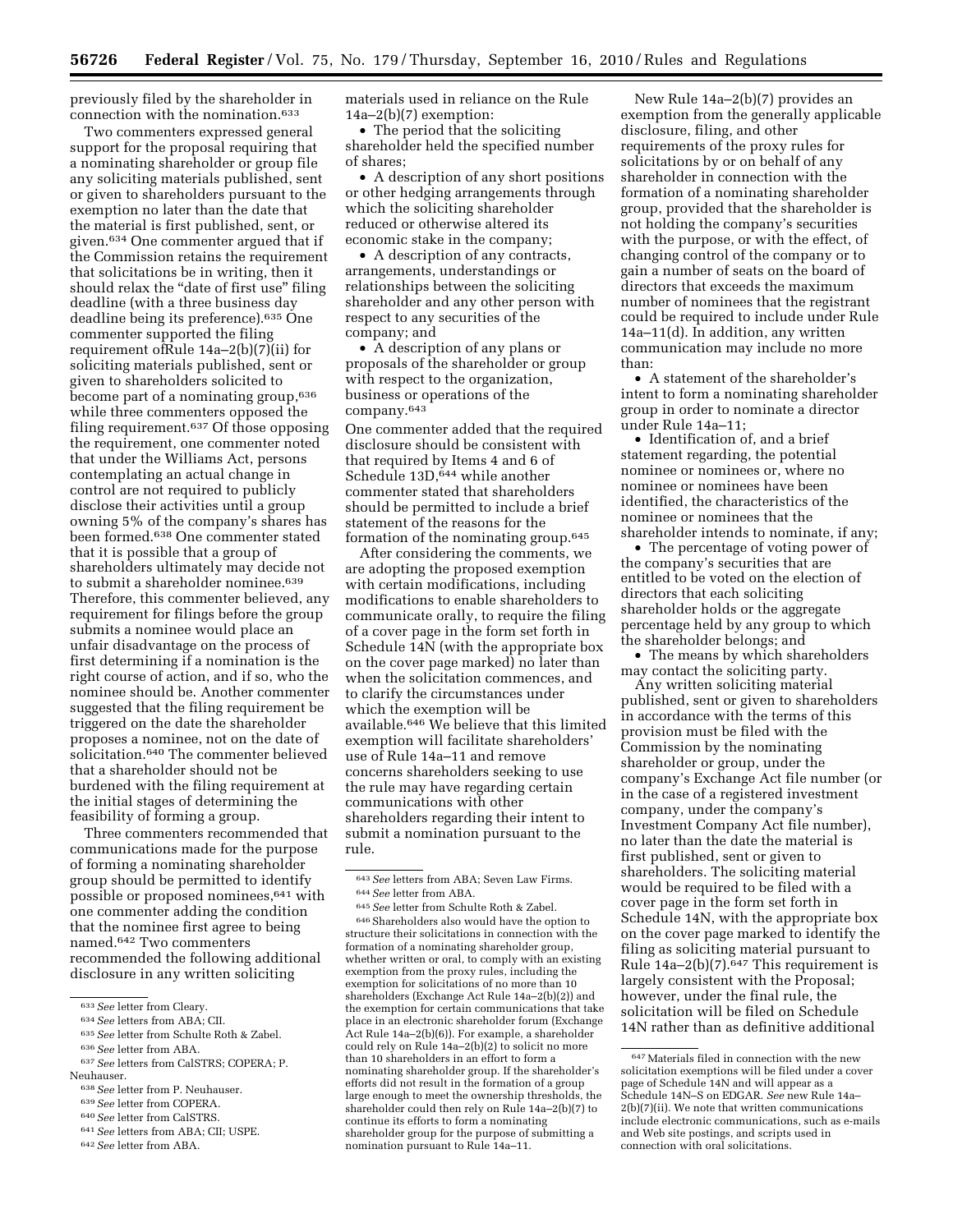previously filed by the shareholder in connection with the nomination.633

Two commenters expressed general support for the proposal requiring that a nominating shareholder or group file any soliciting materials published, sent or given to shareholders pursuant to the exemption no later than the date that the material is first published, sent, or given.634 One commenter argued that if the Commission retains the requirement that solicitations be in writing, then it should relax the "date of first use" filing deadline (with a three business day deadline being its preference).635 One commenter supported the filing requirement of Rule  $14a-2(b)(7)$ (ii) for soliciting materials published, sent or given to shareholders solicited to become part of a nominating group,636 while three commenters opposed the filing requirement.637 Of those opposing the requirement, one commenter noted that under the Williams Act, persons contemplating an actual change in control are not required to publicly disclose their activities until a group owning 5% of the company's shares has been formed.638 One commenter stated that it is possible that a group of shareholders ultimately may decide not to submit a shareholder nominee.<sup>639</sup> Therefore, this commenter believed, any requirement for filings before the group submits a nominee would place an unfair disadvantage on the process of first determining if a nomination is the right course of action, and if so, who the nominee should be. Another commenter suggested that the filing requirement be triggered on the date the shareholder proposes a nominee, not on the date of solicitation.640 The commenter believed that a shareholder should not be burdened with the filing requirement at the initial stages of determining the feasibility of forming a group.

Three commenters recommended that communications made for the purpose of forming a nominating shareholder group should be permitted to identify possible or proposed nominees,641 with one commenter adding the condition that the nominee first agree to being named.642 Two commenters recommended the following additional disclosure in any written soliciting

- 638*See* letter from P. Neuhauser.
- 639*See* letter from COPERA.
- 640*See* letter from CalSTRS.
- 641*See* letters from ABA; CII; USPE.
- 642*See* letter from ABA.

materials used in reliance on the Rule 14a–2(b)(7) exemption:

• The period that the soliciting shareholder held the specified number of shares;

• A description of any short positions or other hedging arrangements through which the soliciting shareholder reduced or otherwise altered its economic stake in the company;

• A description of any contracts, arrangements, understandings or relationships between the soliciting shareholder and any other person with respect to any securities of the company; and

• A description of any plans or proposals of the shareholder or group with respect to the organization, business or operations of the company.643

One commenter added that the required disclosure should be consistent with that required by Items 4 and 6 of Schedule 13D,644 while another commenter stated that shareholders should be permitted to include a brief statement of the reasons for the formation of the nominating group.645

After considering the comments, we are adopting the proposed exemption with certain modifications, including modifications to enable shareholders to communicate orally, to require the filing of a cover page in the form set forth in Schedule 14N (with the appropriate box on the cover page marked) no later than when the solicitation commences, and to clarify the circumstances under which the exemption will be available.646 We believe that this limited exemption will facilitate shareholders' use of Rule 14a–11 and remove concerns shareholders seeking to use the rule may have regarding certain communications with other shareholders regarding their intent to submit a nomination pursuant to the rule.

646Shareholders also would have the option to structure their solicitations in connection with the formation of a nominating shareholder group, whether written or oral, to comply with an existing exemption from the proxy rules, including the exemption for solicitations of no more than 10 shareholders (Exchange Act Rule 14a–2(b)(2)) and the exemption for certain communications that take place in an electronic shareholder forum (Exchange Act Rule 14a–2(b)(6)). For example, a shareholder could rely on Rule 14a–2(b)(2) to solicit no more than 10 shareholders in an effort to form a nominating shareholder group. If the shareholder's efforts did not result in the formation of a group large enough to meet the ownership thresholds, the shareholder could then rely on Rule 14a–2(b)(7) to continue its efforts to form a nominating shareholder group for the purpose of submitting a nomination pursuant to Rule 14a–11.

New Rule 14a–2(b)(7) provides an exemption from the generally applicable disclosure, filing, and other requirements of the proxy rules for solicitations by or on behalf of any shareholder in connection with the formation of a nominating shareholder group, provided that the shareholder is not holding the company's securities with the purpose, or with the effect, of changing control of the company or to gain a number of seats on the board of directors that exceeds the maximum number of nominees that the registrant could be required to include under Rule 14a–11(d). In addition, any written communication may include no more than:

• A statement of the shareholder's intent to form a nominating shareholder group in order to nominate a director under Rule 14a–11;

• Identification of, and a brief statement regarding, the potential nominee or nominees or, where no nominee or nominees have been identified, the characteristics of the nominee or nominees that the shareholder intends to nominate, if any;

• The percentage of voting power of the company's securities that are entitled to be voted on the election of directors that each soliciting shareholder holds or the aggregate percentage held by any group to which the shareholder belongs; and

• The means by which shareholders may contact the soliciting party.

Any written soliciting material published, sent or given to shareholders in accordance with the terms of this provision must be filed with the Commission by the nominating shareholder or group, under the company's Exchange Act file number (or in the case of a registered investment company, under the company's Investment Company Act file number), no later than the date the material is first published, sent or given to shareholders. The soliciting material would be required to be filed with a cover page in the form set forth in Schedule 14N, with the appropriate box on the cover page marked to identify the filing as soliciting material pursuant to Rule  $14a-2(b)(7)$ .<sup>647</sup> This requirement is largely consistent with the Proposal; however, under the final rule, the solicitation will be filed on Schedule 14N rather than as definitive additional

<sup>633</sup>*See* letter from Cleary.

<sup>634</sup>*See* letters from ABA; CII.

<sup>635</sup>*See* letter from Schulte Roth & Zabel.

<sup>636</sup>*See* letter from ABA.

<sup>637</sup>*See* letters from CalSTRS; COPERA; P. Neuhauser.

<sup>643</sup>*See* letters from ABA; Seven Law Firms. 644*See* letter from ABA.

<sup>645</sup>*See* letter from Schulte Roth & Zabel.

<sup>647</sup>Materials filed in connection with the new solicitation exemptions will be filed under a cover page of Schedule 14N and will appear as a Schedule 14N–S on EDGAR. *See* new Rule 14a– 2(b)(7)(ii). We note that written communications include electronic communications, such as e-mails and Web site postings, and scripts used in connection with oral solicitations.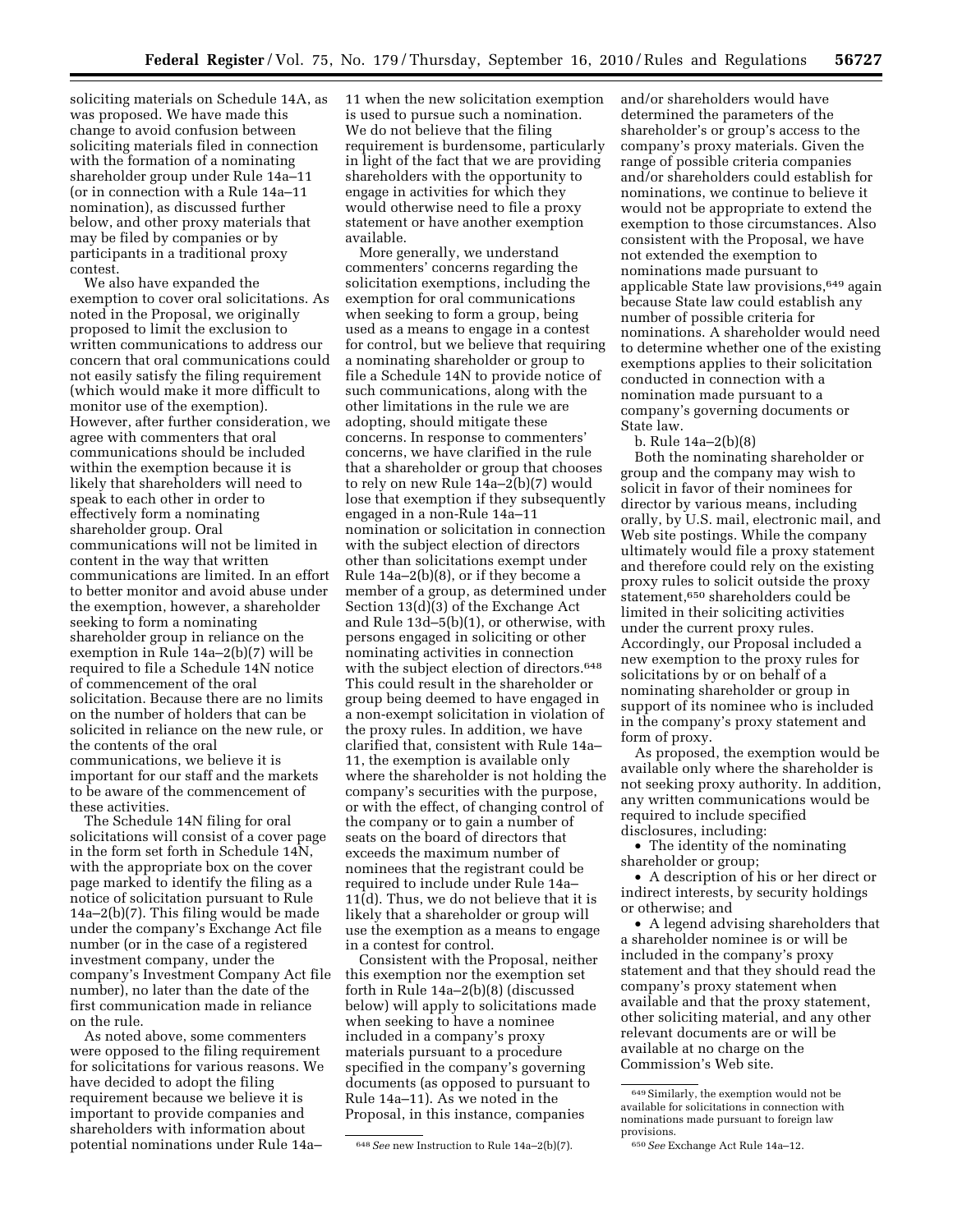soliciting materials on Schedule 14A, as was proposed. We have made this change to avoid confusion between soliciting materials filed in connection with the formation of a nominating shareholder group under Rule 14a–11 (or in connection with a Rule 14a–11 nomination), as discussed further below, and other proxy materials that may be filed by companies or by participants in a traditional proxy contest.

We also have expanded the exemption to cover oral solicitations. As noted in the Proposal, we originally proposed to limit the exclusion to written communications to address our concern that oral communications could not easily satisfy the filing requirement (which would make it more difficult to monitor use of the exemption). However, after further consideration, we agree with commenters that oral communications should be included within the exemption because it is likely that shareholders will need to speak to each other in order to effectively form a nominating shareholder group. Oral communications will not be limited in content in the way that written communications are limited. In an effort to better monitor and avoid abuse under the exemption, however, a shareholder seeking to form a nominating shareholder group in reliance on the exemption in Rule 14a–2(b)(7) will be required to file a Schedule 14N notice of commencement of the oral solicitation. Because there are no limits on the number of holders that can be solicited in reliance on the new rule, or the contents of the oral communications, we believe it is important for our staff and the markets to be aware of the commencement of these activities.

The Schedule 14N filing for oral solicitations will consist of a cover page in the form set forth in Schedule 14N, with the appropriate box on the cover page marked to identify the filing as a notice of solicitation pursuant to Rule 14a–2(b)(7). This filing would be made under the company's Exchange Act file number (or in the case of a registered investment company, under the company's Investment Company Act file number), no later than the date of the first communication made in reliance on the rule.

As noted above, some commenters were opposed to the filing requirement for solicitations for various reasons. We have decided to adopt the filing requirement because we believe it is important to provide companies and shareholders with information about potential nominations under Rule 14a–

11 when the new solicitation exemption is used to pursue such a nomination. We do not believe that the filing requirement is burdensome, particularly in light of the fact that we are providing shareholders with the opportunity to engage in activities for which they would otherwise need to file a proxy statement or have another exemption available.

More generally, we understand commenters' concerns regarding the solicitation exemptions, including the exemption for oral communications when seeking to form a group, being used as a means to engage in a contest for control, but we believe that requiring a nominating shareholder or group to file a Schedule 14N to provide notice of such communications, along with the other limitations in the rule we are adopting, should mitigate these concerns. In response to commenters' concerns, we have clarified in the rule that a shareholder or group that chooses to rely on new Rule 14a–2(b)(7) would lose that exemption if they subsequently engaged in a non-Rule 14a–11 nomination or solicitation in connection with the subject election of directors other than solicitations exempt under Rule 14a–2(b)(8), or if they become a member of a group, as determined under Section 13(d)(3) of the Exchange Act and Rule 13d–5(b)(1), or otherwise, with persons engaged in soliciting or other nominating activities in connection with the subject election of directors.648 This could result in the shareholder or group being deemed to have engaged in a non-exempt solicitation in violation of the proxy rules. In addition, we have clarified that, consistent with Rule 14a– 11, the exemption is available only where the shareholder is not holding the company's securities with the purpose, or with the effect, of changing control of the company or to gain a number of seats on the board of directors that exceeds the maximum number of nominees that the registrant could be required to include under Rule 14a– 11(d). Thus, we do not believe that it is likely that a shareholder or group will use the exemption as a means to engage in a contest for control.

Consistent with the Proposal, neither this exemption nor the exemption set forth in Rule 14a–2(b)(8) (discussed below) will apply to solicitations made when seeking to have a nominee included in a company's proxy materials pursuant to a procedure specified in the company's governing documents (as opposed to pursuant to Rule 14a–11). As we noted in the Proposal, in this instance, companies

and/or shareholders would have determined the parameters of the shareholder's or group's access to the company's proxy materials. Given the range of possible criteria companies and/or shareholders could establish for nominations, we continue to believe it would not be appropriate to extend the exemption to those circumstances. Also consistent with the Proposal, we have not extended the exemption to nominations made pursuant to applicable State law provisions,<sup>649</sup> again because State law could establish any number of possible criteria for nominations. A shareholder would need to determine whether one of the existing exemptions applies to their solicitation conducted in connection with a nomination made pursuant to a company's governing documents or State law.

b. Rule 14a–2(b)(8)

Both the nominating shareholder or group and the company may wish to solicit in favor of their nominees for director by various means, including orally, by U.S. mail, electronic mail, and Web site postings. While the company ultimately would file a proxy statement and therefore could rely on the existing proxy rules to solicit outside the proxy statement,650 shareholders could be limited in their soliciting activities under the current proxy rules. Accordingly, our Proposal included a new exemption to the proxy rules for solicitations by or on behalf of a nominating shareholder or group in support of its nominee who is included in the company's proxy statement and form of proxy.

As proposed, the exemption would be available only where the shareholder is not seeking proxy authority. In addition, any written communications would be required to include specified disclosures, including:

• The identity of the nominating shareholder or group;

• A description of his or her direct or indirect interests, by security holdings or otherwise; and

• A legend advising shareholders that a shareholder nominee is or will be included in the company's proxy statement and that they should read the company's proxy statement when available and that the proxy statement, other soliciting material, and any other relevant documents are or will be available at no charge on the Commission's Web site.

<sup>648</sup>*See* new Instruction to Rule 14a–2(b)(7).

<sup>649</sup>Similarly, the exemption would not be available for solicitations in connection with nominations made pursuant to foreign law provisions.

<sup>650</sup>*See* Exchange Act Rule 14a–12.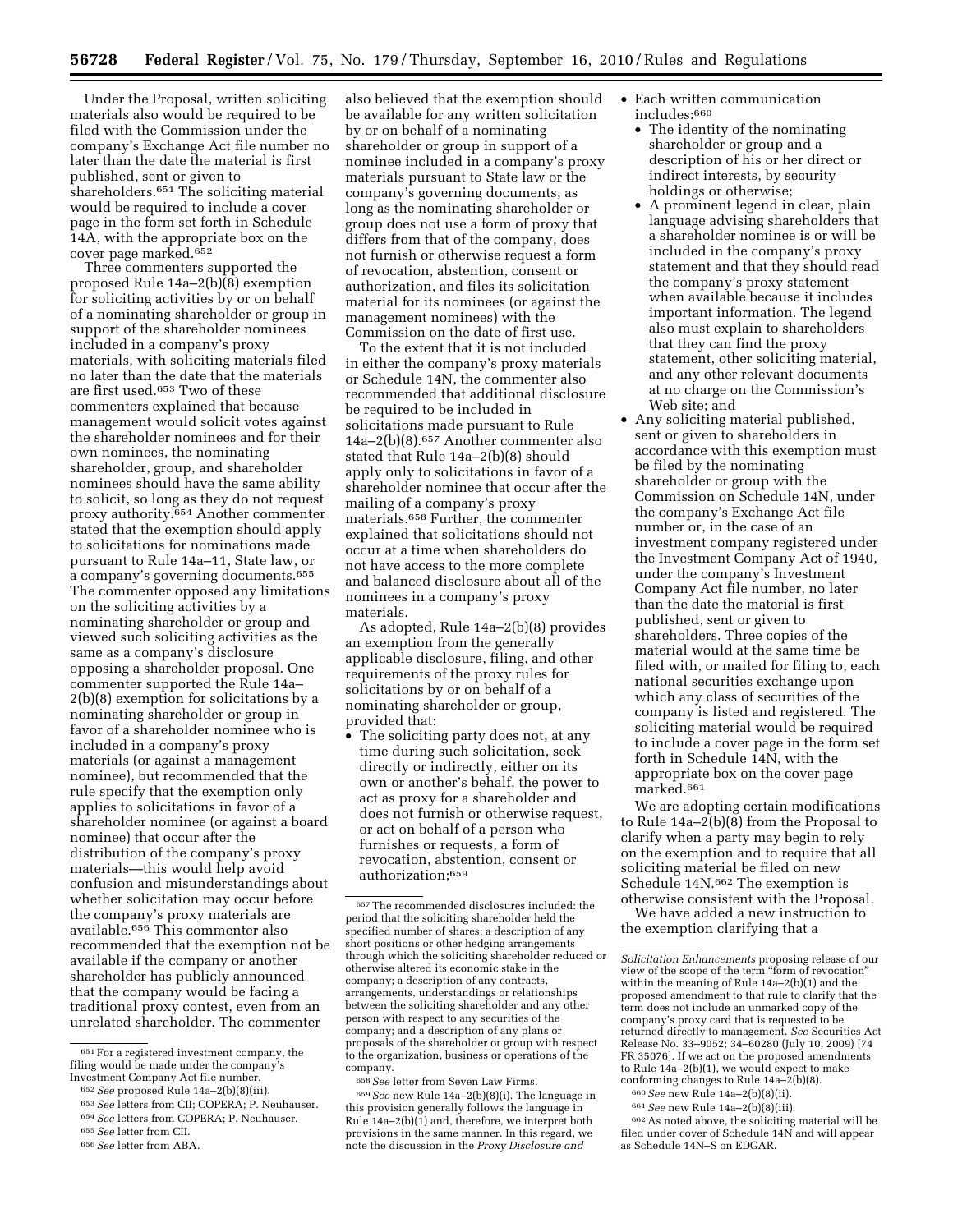Under the Proposal, written soliciting materials also would be required to be filed with the Commission under the company's Exchange Act file number no later than the date the material is first published, sent or given to shareholders.651 The soliciting material would be required to include a cover page in the form set forth in Schedule 14A, with the appropriate box on the cover page marked.652

Three commenters supported the proposed Rule 14a–2(b)(8) exemption for soliciting activities by or on behalf of a nominating shareholder or group in support of the shareholder nominees included in a company's proxy materials, with soliciting materials filed no later than the date that the materials are first used.653 Two of these commenters explained that because management would solicit votes against the shareholder nominees and for their own nominees, the nominating shareholder, group, and shareholder nominees should have the same ability to solicit, so long as they do not request proxy authority.654 Another commenter stated that the exemption should apply to solicitations for nominations made pursuant to Rule 14a–11, State law, or a company's governing documents.655 The commenter opposed any limitations on the soliciting activities by a nominating shareholder or group and viewed such soliciting activities as the same as a company's disclosure opposing a shareholder proposal. One commenter supported the Rule 14a– 2(b)(8) exemption for solicitations by a nominating shareholder or group in favor of a shareholder nominee who is included in a company's proxy materials (or against a management nominee), but recommended that the rule specify that the exemption only applies to solicitations in favor of a shareholder nominee (or against a board nominee) that occur after the distribution of the company's proxy materials—this would help avoid confusion and misunderstandings about whether solicitation may occur before the company's proxy materials are available.656 This commenter also recommended that the exemption not be available if the company or another shareholder has publicly announced that the company would be facing a traditional proxy contest, even from an unrelated shareholder. The commenter

- 
- 

also believed that the exemption should be available for any written solicitation by or on behalf of a nominating shareholder or group in support of a nominee included in a company's proxy materials pursuant to State law or the company's governing documents, as long as the nominating shareholder or group does not use a form of proxy that differs from that of the company, does not furnish or otherwise request a form of revocation, abstention, consent or authorization, and files its solicitation material for its nominees (or against the management nominees) with the Commission on the date of first use.

To the extent that it is not included in either the company's proxy materials or Schedule 14N, the commenter also recommended that additional disclosure be required to be included in solicitations made pursuant to Rule 14a–2(b)(8).657 Another commenter also stated that Rule 14a–2(b)(8) should apply only to solicitations in favor of a shareholder nominee that occur after the mailing of a company's proxy materials.658 Further, the commenter explained that solicitations should not occur at a time when shareholders do not have access to the more complete and balanced disclosure about all of the nominees in a company's proxy materials.

As adopted, Rule 14a–2(b)(8) provides an exemption from the generally applicable disclosure, filing, and other requirements of the proxy rules for solicitations by or on behalf of a nominating shareholder or group, provided that:

• The soliciting party does not, at any time during such solicitation, seek directly or indirectly, either on its own or another's behalf, the power to act as proxy for a shareholder and does not furnish or otherwise request, or act on behalf of a person who furnishes or requests, a form of revocation, abstention, consent or authorization;659

659*See* new Rule 14a–2(b)(8)(i). The language in this provision generally follows the language in Rule 14a–2(b)(1) and, therefore, we interpret both provisions in the same manner. In this regard, we note the discussion in the *Proxy Disclosure and* 

- Each written communication includes:660
	- The identity of the nominating shareholder or group and a description of his or her direct or indirect interests, by security holdings or otherwise;
	- A prominent legend in clear, plain language advising shareholders that a shareholder nominee is or will be included in the company's proxy statement and that they should read the company's proxy statement when available because it includes important information. The legend also must explain to shareholders that they can find the proxy statement, other soliciting material, and any other relevant documents at no charge on the Commission's Web site; and
- Any soliciting material published, sent or given to shareholders in accordance with this exemption must be filed by the nominating shareholder or group with the Commission on Schedule 14N, under the company's Exchange Act file number or, in the case of an investment company registered under the Investment Company Act of 1940, under the company's Investment Company Act file number, no later than the date the material is first published, sent or given to shareholders. Three copies of the material would at the same time be filed with, or mailed for filing to, each national securities exchange upon which any class of securities of the company is listed and registered. The soliciting material would be required to include a cover page in the form set forth in Schedule 14N, with the appropriate box on the cover page marked.661

We are adopting certain modifications to Rule  $14a-2(b)(8)$  from the Proposal to clarify when a party may begin to rely on the exemption and to require that all soliciting material be filed on new Schedule 14N.662 The exemption is otherwise consistent with the Proposal.

We have added a new instruction to the exemption clarifying that a

- 
- 

<sup>651</sup>For a registered investment company, the filing would be made under the company's

Investment Company Act file number.<br>  $652$  *See* proposed Rule 14a–2(b)(8)(iii).<br>  $653$  *See* letters from CII; COPERA; P. Neuhauser.<br>  $654$  *See* letters from COPERA; P. Neuhauser.<br>  $655$  *See* letter from CII.<br>  $656$  *S* 

 $\rm ^{657}$  The recommended disclosures included: the period that the soliciting shareholder held the specified number of shares; a description of any short positions or other hedging arrangements through which the soliciting shareholder reduced or otherwise altered its economic stake in the company; a description of any contracts, arrangements, understandings or relationships between the soliciting shareholder and any other person with respect to any securities of the company; and a description of any plans or proposals of the shareholder or group with respect to the organization, business or operations of the company.

<sup>658</sup>*See* letter from Seven Law Firms.

*Solicitation Enhancements* proposing release of our view of the scope of the term ''form of revocation'' within the meaning of Rule 14a–2(b)(1) and the proposed amendment to that rule to clarify that the term does not include an unmarked copy of the company's proxy card that is requested to be returned directly to management. *See* Securities Act Release No. 33–9052; 34–60280 (July 10, 2009) [74 FR 35076]. If we act on the proposed amendments to Rule  $14a-2(b)(1)$ , we would expect to make conforming changes to Rule  $14a-2(b)(8)$ .<br><sup>660</sup> See new Rule  $14a-2(b)(8)(ii)$ .

<sup>660</sup>*See* new Rule 14a–2(b)(8)(ii). 661*See* new Rule 14a–2(b)(8)(iii). 662As noted above, the soliciting material will be filed under cover of Schedule 14N and will appear as Schedule 14N–S on EDGAR.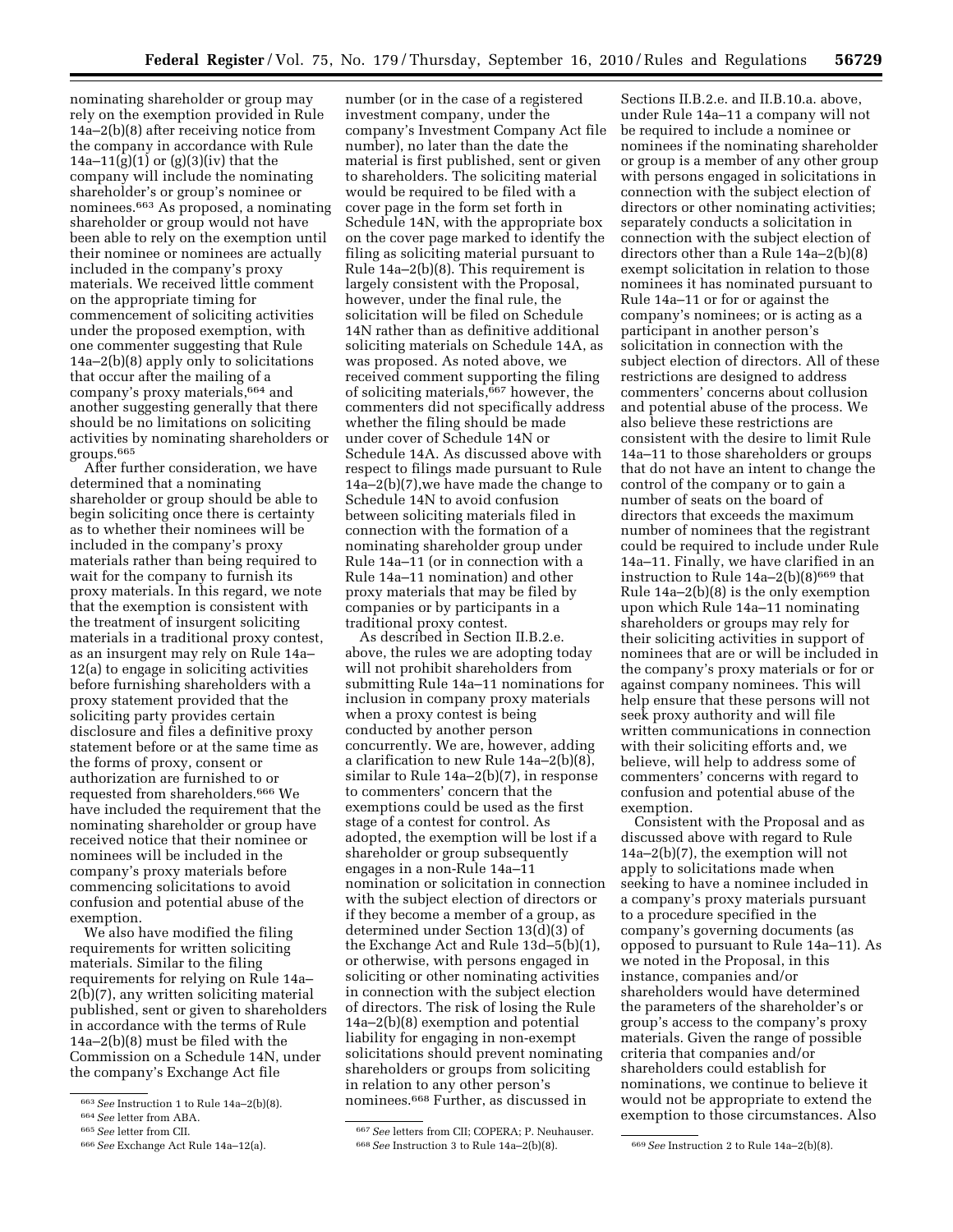nominating shareholder or group may rely on the exemption provided in Rule 14a–2(b)(8) after receiving notice from the company in accordance with Rule 14a–11 $(g)(1)$  or  $(g)(3)(iv)$  that the company will include the nominating shareholder's or group's nominee or nominees.663 As proposed, a nominating shareholder or group would not have been able to rely on the exemption until their nominee or nominees are actually included in the company's proxy materials. We received little comment on the appropriate timing for commencement of soliciting activities under the proposed exemption, with one commenter suggesting that Rule 14a–2(b)(8) apply only to solicitations that occur after the mailing of a company's proxy materials,664 and another suggesting generally that there should be no limitations on soliciting activities by nominating shareholders or groups.665

After further consideration, we have determined that a nominating shareholder or group should be able to begin soliciting once there is certainty as to whether their nominees will be included in the company's proxy materials rather than being required to wait for the company to furnish its proxy materials. In this regard, we note that the exemption is consistent with the treatment of insurgent soliciting materials in a traditional proxy contest, as an insurgent may rely on Rule 14a– 12(a) to engage in soliciting activities before furnishing shareholders with a proxy statement provided that the soliciting party provides certain disclosure and files a definitive proxy statement before or at the same time as the forms of proxy, consent or authorization are furnished to or requested from shareholders.666 We have included the requirement that the nominating shareholder or group have received notice that their nominee or nominees will be included in the company's proxy materials before commencing solicitations to avoid confusion and potential abuse of the exemption.

We also have modified the filing requirements for written soliciting materials. Similar to the filing requirements for relying on Rule 14a– 2(b)(7), any written soliciting material published, sent or given to shareholders in accordance with the terms of Rule 14a–2(b)(8) must be filed with the Commission on a Schedule 14N, under the company's Exchange Act file

number (or in the case of a registered investment company, under the company's Investment Company Act file number), no later than the date the material is first published, sent or given to shareholders. The soliciting material would be required to be filed with a cover page in the form set forth in Schedule 14N, with the appropriate box on the cover page marked to identify the filing as soliciting material pursuant to Rule 14a–2(b)(8). This requirement is largely consistent with the Proposal, however, under the final rule, the solicitation will be filed on Schedule 14N rather than as definitive additional soliciting materials on Schedule 14A, as was proposed. As noted above, we received comment supporting the filing of soliciting materials,<sup>667</sup> however, the commenters did not specifically address whether the filing should be made under cover of Schedule 14N or Schedule 14A. As discussed above with respect to filings made pursuant to Rule 14a–2(b)(7),we have made the change to Schedule 14N to avoid confusion between soliciting materials filed in connection with the formation of a nominating shareholder group under Rule 14a–11 (or in connection with a Rule 14a–11 nomination) and other proxy materials that may be filed by companies or by participants in a traditional proxy contest.

As described in Section II.B.2.e. above, the rules we are adopting today will not prohibit shareholders from submitting Rule 14a–11 nominations for inclusion in company proxy materials when a proxy contest is being conducted by another person concurrently. We are, however, adding a clarification to new Rule 14a–2(b)(8), similar to Rule 14a–2(b)(7), in response to commenters' concern that the exemptions could be used as the first stage of a contest for control. As adopted, the exemption will be lost if a shareholder or group subsequently engages in a non-Rule 14a–11 nomination or solicitation in connection with the subject election of directors or if they become a member of a group, as determined under Section 13(d)(3) of the Exchange Act and Rule 13d–5(b)(1), or otherwise, with persons engaged in soliciting or other nominating activities in connection with the subject election of directors. The risk of losing the Rule 14a–2(b)(8) exemption and potential liability for engaging in non-exempt solicitations should prevent nominating shareholders or groups from soliciting in relation to any other person's nominees.668 Further, as discussed in

Sections II.B.2.e. and II.B.10.a. above, under Rule 14a–11 a company will not be required to include a nominee or nominees if the nominating shareholder or group is a member of any other group with persons engaged in solicitations in connection with the subject election of directors or other nominating activities; separately conducts a solicitation in connection with the subject election of directors other than a Rule 14a–2(b)(8) exempt solicitation in relation to those nominees it has nominated pursuant to Rule 14a–11 or for or against the company's nominees; or is acting as a participant in another person's solicitation in connection with the subject election of directors. All of these restrictions are designed to address commenters' concerns about collusion and potential abuse of the process. We also believe these restrictions are consistent with the desire to limit Rule 14a–11 to those shareholders or groups that do not have an intent to change the control of the company or to gain a number of seats on the board of directors that exceeds the maximum number of nominees that the registrant could be required to include under Rule 14a–11. Finally, we have clarified in an instruction to Rule  $14a-2(b)(8)^{669}$  that Rule 14a–2(b)(8) is the only exemption upon which Rule 14a–11 nominating shareholders or groups may rely for their soliciting activities in support of nominees that are or will be included in the company's proxy materials or for or against company nominees. This will help ensure that these persons will not seek proxy authority and will file written communications in connection with their soliciting efforts and, we believe, will help to address some of commenters' concerns with regard to confusion and potential abuse of the exemption.

Consistent with the Proposal and as discussed above with regard to Rule 14a–2(b)(7), the exemption will not apply to solicitations made when seeking to have a nominee included in a company's proxy materials pursuant to a procedure specified in the company's governing documents (as opposed to pursuant to Rule 14a–11). As we noted in the Proposal, in this instance, companies and/or shareholders would have determined the parameters of the shareholder's or group's access to the company's proxy materials. Given the range of possible criteria that companies and/or shareholders could establish for nominations, we continue to believe it would not be appropriate to extend the exemption to those circumstances. Also

<sup>663</sup>*See* Instruction 1 to Rule 14a–2(b)(8).

<sup>664</sup>*See* letter from ABA.

<sup>665</sup>*See* letter from CII.

<sup>666</sup>*See* Exchange Act Rule 14a–12(a).

<sup>667</sup>*See* letters from CII; COPERA; P. Neuhauser. 668*See* Instruction 3 to Rule 14a–2(b)(8). 669*See* Instruction 2 to Rule 14a–2(b)(8).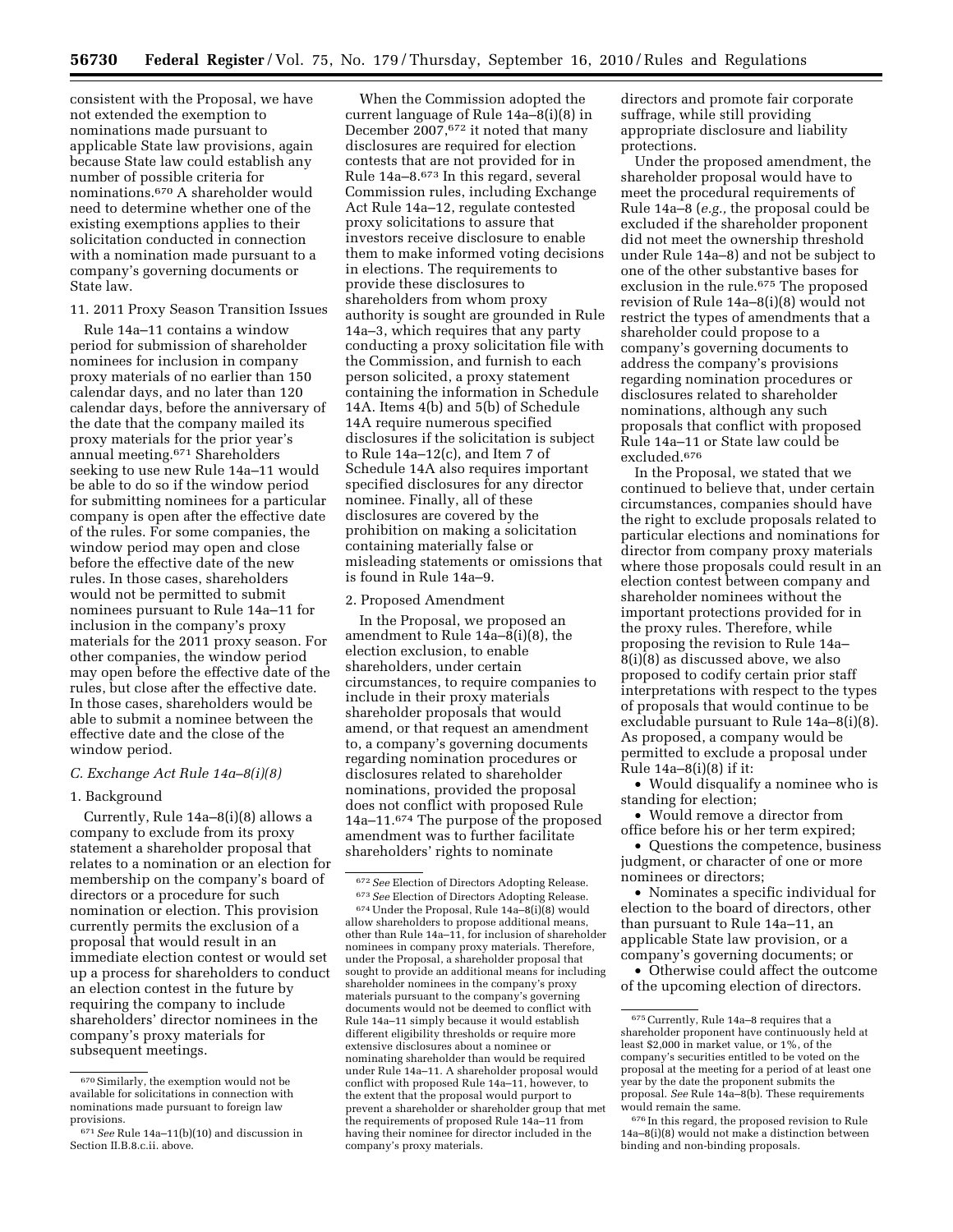consistent with the Proposal, we have not extended the exemption to nominations made pursuant to applicable State law provisions, again because State law could establish any number of possible criteria for nominations.670 A shareholder would need to determine whether one of the existing exemptions applies to their solicitation conducted in connection with a nomination made pursuant to a company's governing documents or State law.

### 11. 2011 Proxy Season Transition Issues

Rule 14a–11 contains a window period for submission of shareholder nominees for inclusion in company proxy materials of no earlier than 150 calendar days, and no later than 120 calendar days, before the anniversary of the date that the company mailed its proxy materials for the prior year's annual meeting.671 Shareholders seeking to use new Rule 14a–11 would be able to do so if the window period for submitting nominees for a particular company is open after the effective date of the rules. For some companies, the window period may open and close before the effective date of the new rules. In those cases, shareholders would not be permitted to submit nominees pursuant to Rule 14a–11 for inclusion in the company's proxy materials for the 2011 proxy season. For other companies, the window period may open before the effective date of the rules, but close after the effective date. In those cases, shareholders would be able to submit a nominee between the effective date and the close of the window period.

### *C. Exchange Act Rule 14a–8(i)(8)*

### 1. Background

Currently, Rule 14a–8(i)(8) allows a company to exclude from its proxy statement a shareholder proposal that relates to a nomination or an election for membership on the company's board of directors or a procedure for such nomination or election. This provision currently permits the exclusion of a proposal that would result in an immediate election contest or would set up a process for shareholders to conduct an election contest in the future by requiring the company to include shareholders' director nominees in the company's proxy materials for subsequent meetings.

When the Commission adopted the current language of Rule 14a–8(i)(8) in December 2007,672 it noted that many disclosures are required for election contests that are not provided for in Rule 14a–8.673 In this regard, several Commission rules, including Exchange Act Rule 14a–12, regulate contested proxy solicitations to assure that investors receive disclosure to enable them to make informed voting decisions in elections. The requirements to provide these disclosures to shareholders from whom proxy authority is sought are grounded in Rule 14a–3, which requires that any party conducting a proxy solicitation file with the Commission, and furnish to each person solicited, a proxy statement containing the information in Schedule 14A. Items 4(b) and 5(b) of Schedule 14A require numerous specified disclosures if the solicitation is subject to Rule 14a–12(c), and Item 7 of Schedule 14A also requires important specified disclosures for any director nominee. Finally, all of these disclosures are covered by the prohibition on making a solicitation containing materially false or misleading statements or omissions that is found in Rule 14a–9.

#### 2. Proposed Amendment

In the Proposal, we proposed an amendment to Rule 14a–8(i)(8), the election exclusion, to enable shareholders, under certain circumstances, to require companies to include in their proxy materials shareholder proposals that would amend, or that request an amendment to, a company's governing documents regarding nomination procedures or disclosures related to shareholder nominations, provided the proposal does not conflict with proposed Rule 14a–11.674 The purpose of the proposed amendment was to further facilitate shareholders' rights to nominate

directors and promote fair corporate suffrage, while still providing appropriate disclosure and liability protections.

Under the proposed amendment, the shareholder proposal would have to meet the procedural requirements of Rule 14a–8 (*e.g.,* the proposal could be excluded if the shareholder proponent did not meet the ownership threshold under Rule 14a–8) and not be subject to one of the other substantive bases for exclusion in the rule.<sup>675</sup> The proposed revision of Rule 14a–8(i)(8) would not restrict the types of amendments that a shareholder could propose to a company's governing documents to address the company's provisions regarding nomination procedures or disclosures related to shareholder nominations, although any such proposals that conflict with proposed Rule 14a–11 or State law could be excluded.676

In the Proposal, we stated that we continued to believe that, under certain circumstances, companies should have the right to exclude proposals related to particular elections and nominations for director from company proxy materials where those proposals could result in an election contest between company and shareholder nominees without the important protections provided for in the proxy rules. Therefore, while proposing the revision to Rule 14a– 8(i)(8) as discussed above, we also proposed to codify certain prior staff interpretations with respect to the types of proposals that would continue to be excludable pursuant to Rule 14a–8(i)(8). As proposed, a company would be permitted to exclude a proposal under Rule 14a–8(i)(8) if it:

• Would disqualify a nominee who is standing for election;

• Would remove a director from office before his or her term expired;

• Questions the competence, business judgment, or character of one or more nominees or directors;

• Nominates a specific individual for election to the board of directors, other than pursuant to Rule 14a–11, an applicable State law provision, or a company's governing documents; or

• Otherwise could affect the outcome of the upcoming election of directors.

<sup>670</sup>Similarly, the exemption would not be available for solicitations in connection with nominations made pursuant to foreign law provisions.

<sup>671</sup>*See* Rule 14a–11(b)(10) and discussion in Section II.B.8.c.ii. above.

<sup>672</sup>*See* Election of Directors Adopting Release. 673*See* Election of Directors Adopting Release.

<sup>674</sup>Under the Proposal, Rule 14a–8(i)(8) would allow shareholders to propose additional means, other than Rule 14a–11, for inclusion of shareholder nominees in company proxy materials. Therefore, under the Proposal, a shareholder proposal that sought to provide an additional means for including shareholder nominees in the company's proxy materials pursuant to the company's governing documents would not be deemed to conflict with Rule 14a–11 simply because it would establish different eligibility thresholds or require more extensive disclosures about a nominee or nominating shareholder than would be required under Rule 14a–11. A shareholder proposal would conflict with proposed Rule 14a–11, however, to the extent that the proposal would purport to prevent a shareholder or shareholder group that met the requirements of proposed Rule 14a–11 from having their nominee for director included in the company's proxy materials.

<sup>675</sup>Currently, Rule 14a–8 requires that a shareholder proponent have continuously held at least \$2,000 in market value, or 1%, of the company's securities entitled to be voted on the proposal at the meeting for a period of at least one year by the date the proponent submits the proposal. *See* Rule 14a–8(b). These requirements would remain the same.

<sup>676</sup> In this regard, the proposed revision to Rule 14a–8(i)(8) would not make a distinction between binding and non-binding proposals.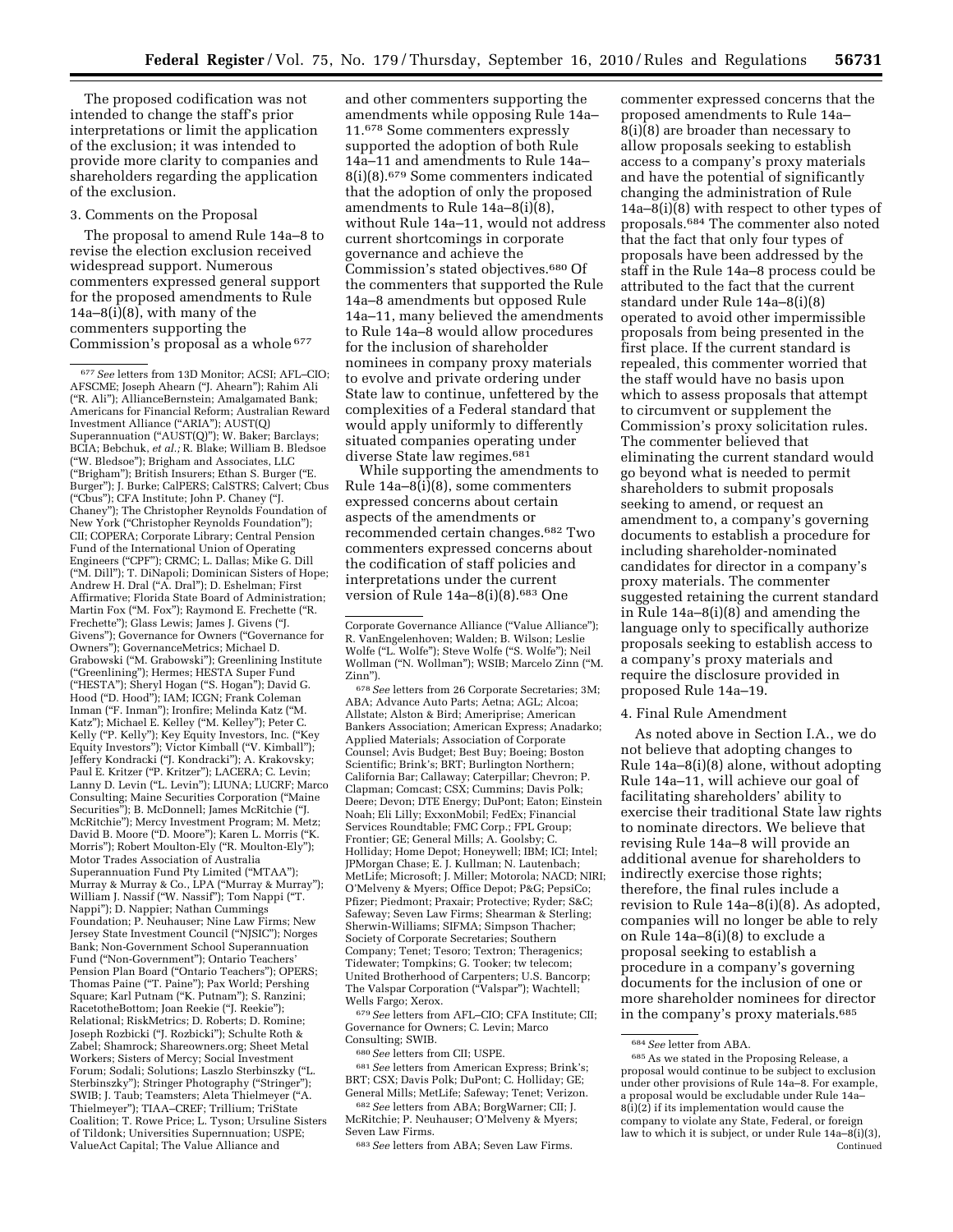The proposed codification was not intended to change the staff's prior interpretations or limit the application of the exclusion; it was intended to provide more clarity to companies and shareholders regarding the application of the exclusion.

### 3. Comments on the Proposal

The proposal to amend Rule 14a–8 to revise the election exclusion received widespread support. Numerous commenters expressed general support for the proposed amendments to Rule 14a–8(i)(8), with many of the commenters supporting the Commission's proposal as a whole 677

and other commenters supporting the amendments while opposing Rule 14a– 11.678 Some commenters expressly supported the adoption of both Rule 14a–11 and amendments to Rule 14a– 8(i)(8).679 Some commenters indicated that the adoption of only the proposed amendments to Rule 14a–8(i)(8), without Rule 14a–11, would not address current shortcomings in corporate governance and achieve the Commission's stated objectives.680 Of the commenters that supported the Rule 14a–8 amendments but opposed Rule 14a–11, many believed the amendments to Rule 14a–8 would allow procedures for the inclusion of shareholder nominees in company proxy materials to evolve and private ordering under State law to continue, unfettered by the complexities of a Federal standard that would apply uniformly to differently situated companies operating under diverse State law regimes.<sup>681</sup>

While supporting the amendments to Rule 14a–8(i)(8), some commenters expressed concerns about certain aspects of the amendments or recommended certain changes.682 Two commenters expressed concerns about the codification of staff policies and interpretations under the current version of Rule 14a–8(i)(8).683 One

678*See* letters from 26 Corporate Secretaries; 3M; ABA; Advance Auto Parts; Aetna; AGL; Alcoa; Allstate; Alston & Bird; Ameriprise; American Bankers Association; American Express; Anadarko; Applied Materials; Association of Corporate Counsel; Avis Budget; Best Buy; Boeing; Boston Scientific; Brink's; BRT; Burlington Northern; California Bar; Callaway; Caterpillar; Chevron; P. Clapman; Comcast; CSX; Cummins; Davis Polk; Deere; Devon; DTE Energy; DuPont; Eaton; Einstein Noah; Eli Lilly; ExxonMobil; FedEx; Financial Services Roundtable; FMC Corp.; FPL Group; Frontier; GE; General Mills; A. Goolsby; C. Holliday; Home Depot; Honeywell; IBM; ICI; Intel; JPMorgan Chase; E. J. Kullman; N. Lautenbach; MetLife; Microsoft; J. Miller; Motorola; NACD; NIRI; O'Melveny & Myers; Office Depot; P&G; PepsiCo; Pfizer; Piedmont; Praxair; Protective; Ryder; S&C; Safeway; Seven Law Firms; Shearman & Sterling; Sherwin-Williams; SIFMA; Simpson Thacher; Society of Corporate Secretaries; Southern Company; Tenet; Tesoro; Textron; Theragenics; Tidewater; Tompkins; G. Tooker; tw telecom; United Brotherhood of Carpenters; U.S. Bancorp; The Valspar Corporation (''Valspar''); Wachtell; Wells Fargo; Xerox.

679*See* letters from AFL–CIO; CFA Institute; CII; Governance for Owners; C. Levin; Marco Consulting; SWIB.

680*See* letters from CII; USPE.

681*See* letters from American Express; Brink's; BRT; CSX; Davis Polk; DuPont; C. Holliday; GE; General Mills; MetLife; Safeway; Tenet; Verizon. 682*See* letters from ABA; BorgWarner; CII; J.

McRitchie; P. Neuhauser; O'Melveny & Myers; Seven Law Firms.

683*See* letters from ABA; Seven Law Firms.

commenter expressed concerns that the proposed amendments to Rule 14a– 8(i)(8) are broader than necessary to allow proposals seeking to establish access to a company's proxy materials and have the potential of significantly changing the administration of Rule 14a–8(i)(8) with respect to other types of proposals.684 The commenter also noted that the fact that only four types of proposals have been addressed by the staff in the Rule 14a–8 process could be attributed to the fact that the current standard under Rule 14a–8(i)(8) operated to avoid other impermissible proposals from being presented in the first place. If the current standard is repealed, this commenter worried that the staff would have no basis upon which to assess proposals that attempt to circumvent or supplement the Commission's proxy solicitation rules. The commenter believed that eliminating the current standard would go beyond what is needed to permit shareholders to submit proposals seeking to amend, or request an amendment to, a company's governing documents to establish a procedure for including shareholder-nominated candidates for director in a company's proxy materials. The commenter suggested retaining the current standard in Rule 14a–8(i)(8) and amending the language only to specifically authorize proposals seeking to establish access to a company's proxy materials and require the disclosure provided in proposed Rule 14a–19.

### 4. Final Rule Amendment

As noted above in Section I.A., we do not believe that adopting changes to Rule 14a–8(i)(8) alone, without adopting Rule 14a–11, will achieve our goal of facilitating shareholders' ability to exercise their traditional State law rights to nominate directors. We believe that revising Rule 14a–8 will provide an additional avenue for shareholders to indirectly exercise those rights; therefore, the final rules include a revision to Rule 14a–8(i)(8). As adopted, companies will no longer be able to rely on Rule 14a–8(i)(8) to exclude a proposal seeking to establish a procedure in a company's governing documents for the inclusion of one or more shareholder nominees for director in the company's proxy materials.<sup>685</sup>

<sup>677</sup>*See* letters from 13D Monitor; ACSI; AFL–CIO; AFSCME; Joseph Ahearn (''J. Ahearn''); Rahim Ali (''R. Ali''); AllianceBernstein; Amalgamated Bank; Americans for Financial Reform; Australian Reward Investment Alliance (''ARIA''); AUST(Q) Superannuation ("AUST(Q)"); W. Baker; Barclays; BCIA; Bebchuk, *et al.;* R. Blake; William B. Bledsoe (''W. Bledsoe''); Brigham and Associates, LLC (''Brigham''); British Insurers; Ethan S. Burger (''E. Burger''); J. Burke; CalPERS; CalSTRS; Calvert; Cbus (''Cbus''); CFA Institute; John P. Chaney (''J. Chaney''); The Christopher Reynolds Foundation of New York (''Christopher Reynolds Foundation''); CII; COPERA; Corporate Library; Central Pension Fund of the International Union of Operating Engineers (''CPF''); CRMC; L. Dallas; Mike G. Dill (''M. Dill''); T. DiNapoli; Dominican Sisters of Hope; Andrew H. Dral (''A. Dral''); D. Eshelman; First Affirmative; Florida State Board of Administration; Martin Fox (''M. Fox''); Raymond E. Frechette (''R. Frechette''); Glass Lewis; James J. Givens (''J. Givens''); Governance for Owners (''Governance for Owners''); GovernanceMetrics; Michael D. Grabowski (''M. Grabowski''); Greenlining Institute (''Greenlining''); Hermes; HESTA Super Fund ("HESTA"); Sheryl Hogan ("S. Hogan"); David G. Hood (''D. Hood''); IAM; ICGN; Frank Coleman Inman (''F. Inman''); Ironfire; Melinda Katz (''M. Katz''); Michael E. Kelley (''M. Kelley''); Peter C. Kelly (''P. Kelly''); Key Equity Investors, Inc. (''Key Equity Investors''); Victor Kimball (''V. Kimball''); Jeffery Kondracki (''J. Kondracki''); A. Krakovsky; Paul E. Kritzer (''P. Kritzer''); LACERA; C. Levin; Lanny D. Levin (''L. Levin''); LIUNA; LUCRF; Marco Consulting; Maine Securities Corporation (''Maine Securities''); B. McDonnell; James McRitchie (''J. McRitchie''); Mercy Investment Program; M. Metz; David B. Moore ("D. Moore"); Karen L. Morris ("K. Morris''); Robert Moulton-Ely (''R. Moulton-Ely''); Motor Trades Association of Australia Superannuation Fund Pty Limited (''MTAA''); Murray & Murray & Co., LPA (''Murray & Murray''); William J. Nassif (''W. Nassif''); Tom Nappi (''T. Nappi''); D. Nappier; Nathan Cummings Foundation; P. Neuhauser; Nine Law Firms; New Jersey State Investment Council (''NJSIC''); Norges Bank; Non-Government School Superannuation Fund (''Non-Government''); Ontario Teachers' Pension Plan Board (''Ontario Teachers''); OPERS; Thomas Paine (''T. Paine''); Pax World; Pershing Square; Karl Putnam (''K. Putnam''); S. Ranzini; RacetotheBottom; Joan Reekie (''J. Reekie''); Relational; RiskMetrics; D. Roberts; D. Romine; Joseph Rozbicki (''J. Rozbicki''); Schulte Roth & Zabel; Shamrock; Shareowners.org; Sheet Metal Workers; Sisters of Mercy; Social Investment Forum; Sodali; Solutions; Laszlo Sterbinszky (''L. Sterbinszky"); Stringer Photography ("Stringer"); SWIB; J. Taub; Teamsters; Aleta Thielmeyer (''A. Thielmeyer''); TIAA–CREF; Trillium; TriState Coalition; T. Rowe Price; L. Tyson; Ursuline Sisters of Tildonk; Universities Supernnuation; USPE; ValueAct Capital; The Value Alliance and

Corporate Governance Alliance (''Value Alliance''); R. VanEngelenhoven; Walden; B. Wilson; Leslie Wolfe (''L. Wolfe''); Steve Wolfe (''S. Wolfe''); Neil Wollman (''N. Wollman''); WSIB; Marcelo Zinn (''M. Zinn'').

<sup>684</sup>*See* letter from ABA.

<sup>685</sup>As we stated in the Proposing Release, a proposal would continue to be subject to exclusion under other provisions of Rule 14a–8. For example, a proposal would be excludable under Rule 14a–  $8(i)(2)$  if its implementation would cause the company to violate any State, Federal, or foreign law to which it is subject, or under Rule 14a–8(i)(3), Continued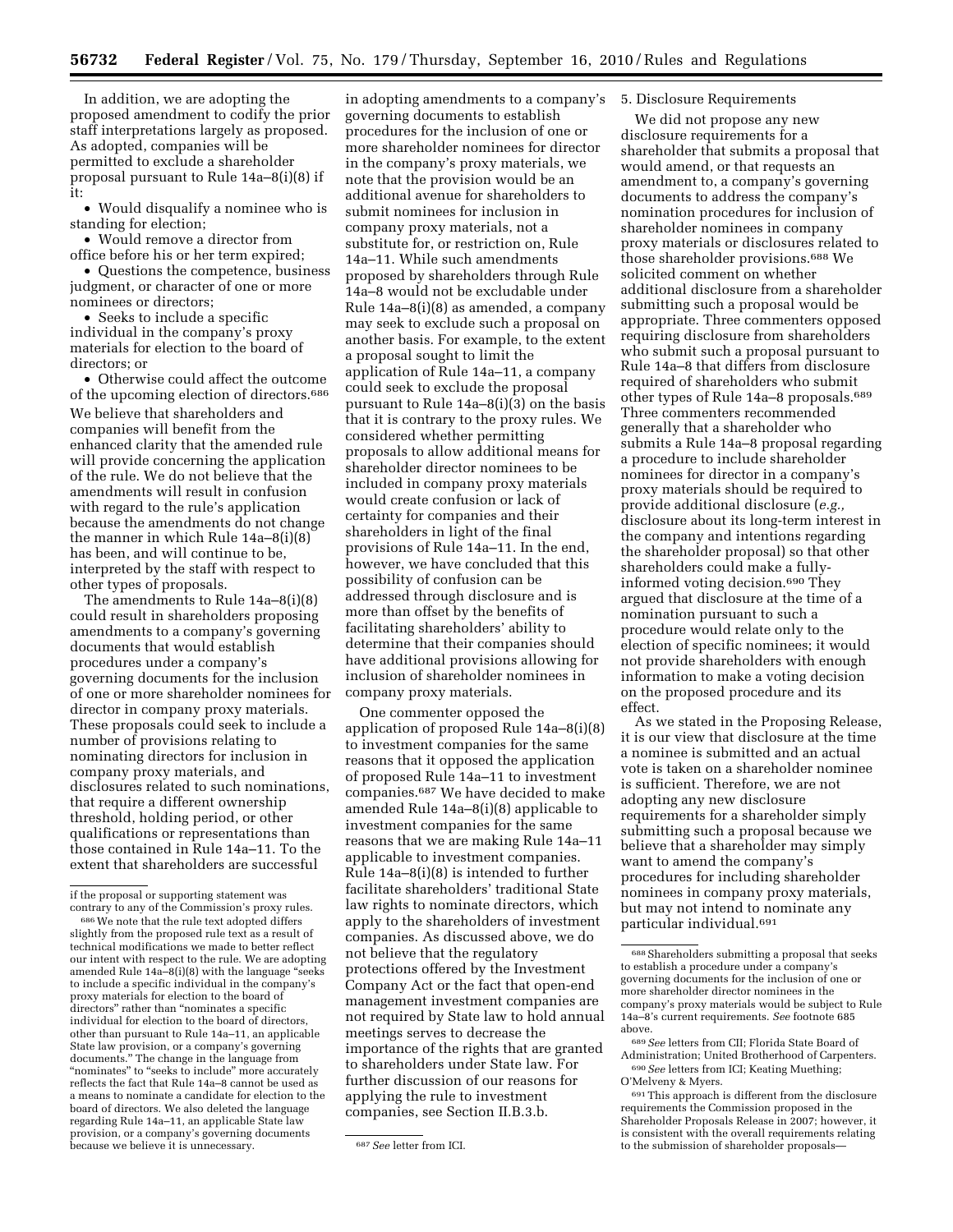In addition, we are adopting the proposed amendment to codify the prior staff interpretations largely as proposed. As adopted, companies will be permitted to exclude a shareholder proposal pursuant to Rule 14a–8(i)(8) if it:

• Would disqualify a nominee who is standing for election;

• Would remove a director from office before his or her term expired;

• Questions the competence, business judgment, or character of one or more nominees or directors;

• Seeks to include a specific individual in the company's proxy materials for election to the board of directors; or

• Otherwise could affect the outcome of the upcoming election of directors.686 We believe that shareholders and companies will benefit from the enhanced clarity that the amended rule will provide concerning the application of the rule. We do not believe that the amendments will result in confusion with regard to the rule's application because the amendments do not change the manner in which Rule 14a–8(i)(8) has been, and will continue to be, interpreted by the staff with respect to other types of proposals.

The amendments to Rule 14a–8(i)(8) could result in shareholders proposing amendments to a company's governing documents that would establish procedures under a company's governing documents for the inclusion of one or more shareholder nominees for director in company proxy materials. These proposals could seek to include a number of provisions relating to nominating directors for inclusion in company proxy materials, and disclosures related to such nominations, that require a different ownership threshold, holding period, or other qualifications or representations than those contained in Rule 14a–11. To the extent that shareholders are successful

in adopting amendments to a company's governing documents to establish procedures for the inclusion of one or more shareholder nominees for director in the company's proxy materials, we note that the provision would be an additional avenue for shareholders to submit nominees for inclusion in company proxy materials, not a substitute for, or restriction on, Rule 14a–11. While such amendments proposed by shareholders through Rule 14a–8 would not be excludable under Rule 14a–8(i)(8) as amended, a company may seek to exclude such a proposal on another basis. For example, to the extent a proposal sought to limit the application of Rule 14a–11, a company could seek to exclude the proposal pursuant to Rule 14a–8(i)(3) on the basis that it is contrary to the proxy rules. We considered whether permitting proposals to allow additional means for shareholder director nominees to be included in company proxy materials would create confusion or lack of certainty for companies and their shareholders in light of the final provisions of Rule 14a–11. In the end, however, we have concluded that this possibility of confusion can be addressed through disclosure and is more than offset by the benefits of facilitating shareholders' ability to determine that their companies should have additional provisions allowing for inclusion of shareholder nominees in company proxy materials.

One commenter opposed the application of proposed Rule 14a–8(i)(8) to investment companies for the same reasons that it opposed the application of proposed Rule 14a–11 to investment companies.687 We have decided to make amended Rule 14a–8(i)(8) applicable to investment companies for the same reasons that we are making Rule 14a–11 applicable to investment companies. Rule 14a–8(i)(8) is intended to further facilitate shareholders' traditional State law rights to nominate directors, which apply to the shareholders of investment companies. As discussed above, we do not believe that the regulatory protections offered by the Investment Company Act or the fact that open-end management investment companies are not required by State law to hold annual meetings serves to decrease the importance of the rights that are granted to shareholders under State law. For further discussion of our reasons for applying the rule to investment companies, see Section II.B.3.b.

#### 5. Disclosure Requirements

We did not propose any new disclosure requirements for a shareholder that submits a proposal that would amend, or that requests an amendment to, a company's governing documents to address the company's nomination procedures for inclusion of shareholder nominees in company proxy materials or disclosures related to those shareholder provisions.688 We solicited comment on whether additional disclosure from a shareholder submitting such a proposal would be appropriate. Three commenters opposed requiring disclosure from shareholders who submit such a proposal pursuant to Rule 14a–8 that differs from disclosure required of shareholders who submit other types of Rule 14a–8 proposals.689 Three commenters recommended generally that a shareholder who submits a Rule 14a–8 proposal regarding a procedure to include shareholder nominees for director in a company's proxy materials should be required to provide additional disclosure (*e.g.,*  disclosure about its long-term interest in the company and intentions regarding the shareholder proposal) so that other shareholders could make a fullyinformed voting decision.690 They argued that disclosure at the time of a nomination pursuant to such a procedure would relate only to the election of specific nominees; it would not provide shareholders with enough information to make a voting decision on the proposed procedure and its effect.

As we stated in the Proposing Release, it is our view that disclosure at the time a nominee is submitted and an actual vote is taken on a shareholder nominee is sufficient. Therefore, we are not adopting any new disclosure requirements for a shareholder simply submitting such a proposal because we believe that a shareholder may simply want to amend the company's procedures for including shareholder nominees in company proxy materials, but may not intend to nominate any particular individual.691

if the proposal or supporting statement was contrary to any of the Commission's proxy rules.

<sup>686</sup>We note that the rule text adopted differs slightly from the proposed rule text as a result of technical modifications we made to better reflect our intent with respect to the rule. We are adopting amended Rule 14a-8(i)(8) with the language "seeks to include a specific individual in the company's proxy materials for election to the board of directors'' rather than ''nominates a specific individual for election to the board of directors, other than pursuant to Rule 14a–11, an applicable State law provision, or a company's governing documents.'' The change in the language from ''nominates'' to ''seeks to include'' more accurately reflects the fact that Rule 14a–8 cannot be used as a means to nominate a candidate for election to the board of directors. We also deleted the language regarding Rule 14a–11, an applicable State law provision, or a company's governing documents because we believe it is unnecessary. 687*See* letter from ICI.

<sup>688</sup>Shareholders submitting a proposal that seeks to establish a procedure under a company's governing documents for the inclusion of one or more shareholder director nominees in the company's proxy materials would be subject to Rule 14a–8's current requirements. *See* footnote 685 above.

<sup>689</sup>*See* letters from CII; Florida State Board of Administration; United Brotherhood of Carpenters. 690*See* letters from ICI; Keating Muething; O'Melveny & Myers.

<sup>691</sup>This approach is different from the disclosure requirements the Commission proposed in the Shareholder Proposals Release in 2007; however, it is consistent with the overall requirements relating to the submission of shareholder proposals—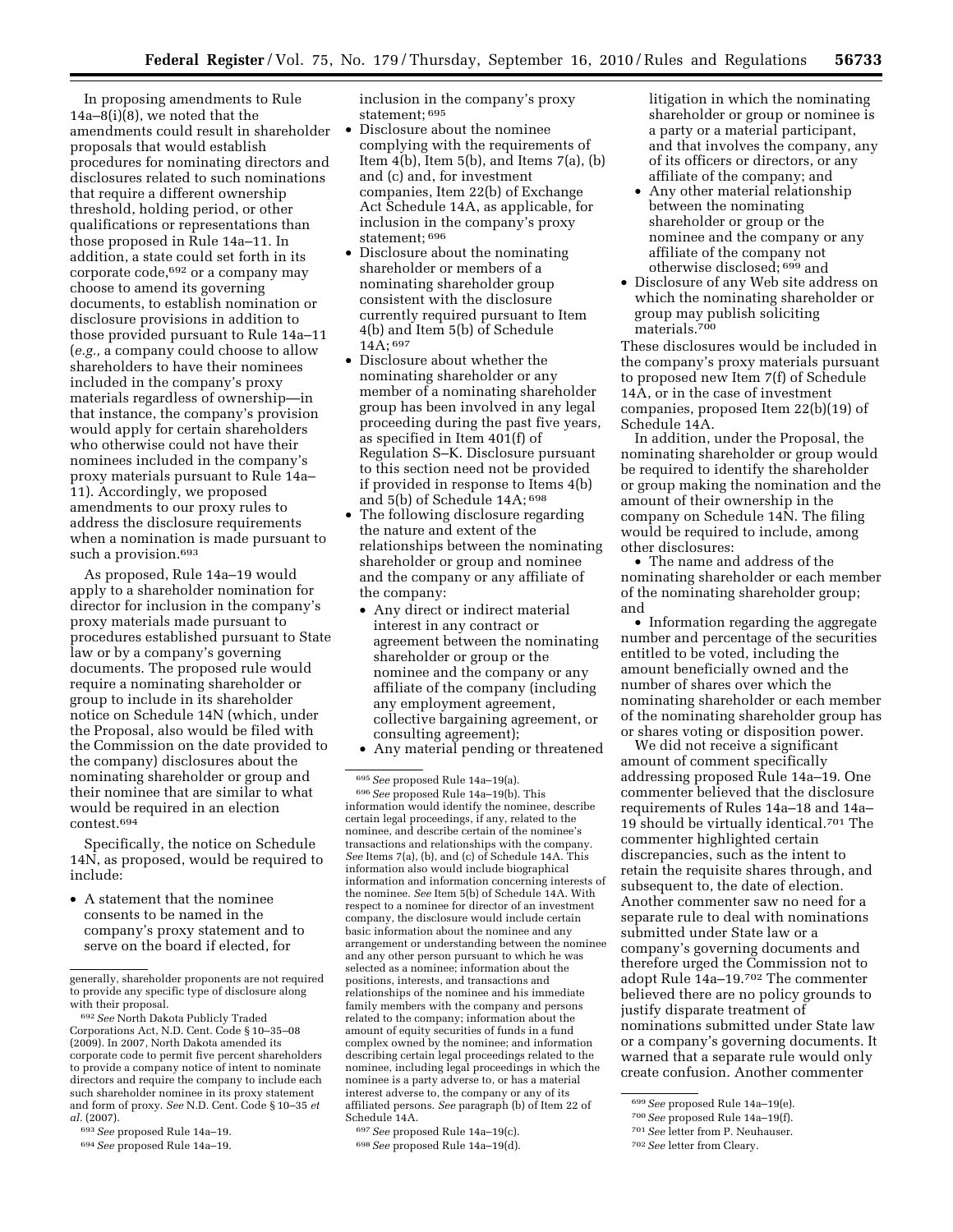In proposing amendments to Rule 14a–8(i)(8), we noted that the amendments could result in shareholder proposals that would establish procedures for nominating directors and disclosures related to such nominations that require a different ownership threshold, holding period, or other qualifications or representations than those proposed in Rule 14a–11. In addition, a state could set forth in its corporate code,692 or a company may choose to amend its governing documents, to establish nomination or disclosure provisions in addition to those provided pursuant to Rule 14a–11 (*e.g.,* a company could choose to allow shareholders to have their nominees included in the company's proxy materials regardless of ownership—in that instance, the company's provision would apply for certain shareholders who otherwise could not have their nominees included in the company's proxy materials pursuant to Rule 14a– 11). Accordingly, we proposed amendments to our proxy rules to address the disclosure requirements when a nomination is made pursuant to such a provision.<sup>693</sup>

As proposed, Rule 14a–19 would apply to a shareholder nomination for director for inclusion in the company's proxy materials made pursuant to procedures established pursuant to State law or by a company's governing documents. The proposed rule would require a nominating shareholder or group to include in its shareholder notice on Schedule 14N (which, under the Proposal, also would be filed with the Commission on the date provided to the company) disclosures about the nominating shareholder or group and their nominee that are similar to what would be required in an election contest.694

Specifically, the notice on Schedule 14N, as proposed, would be required to include:

• A statement that the nominee consents to be named in the company's proxy statement and to serve on the board if elected, for

inclusion in the company's proxy statement; 695

- Disclosure about the nominee complying with the requirements of Item 4(b), Item 5(b), and Items 7(a), (b) and (c) and, for investment companies, Item 22(b) of Exchange Act Schedule 14A, as applicable, for inclusion in the company's proxy statement; 696
- Disclosure about the nominating shareholder or members of a nominating shareholder group consistent with the disclosure currently required pursuant to Item 4(b) and Item 5(b) of Schedule 14A; 697
- Disclosure about whether the nominating shareholder or any member of a nominating shareholder group has been involved in any legal proceeding during the past five years, as specified in Item 401(f) of Regulation S–K. Disclosure pursuant to this section need not be provided if provided in response to Items 4(b) and 5(b) of Schedule 14A; 698
- The following disclosure regarding the nature and extent of the relationships between the nominating shareholder or group and nominee and the company or any affiliate of the company:
	- Any direct or indirect material interest in any contract or agreement between the nominating shareholder or group or the nominee and the company or any affiliate of the company (including any employment agreement, collective bargaining agreement, or consulting agreement);
	- Any material pending or threatened

litigation in which the nominating shareholder or group or nominee is a party or a material participant, and that involves the company, any of its officers or directors, or any affiliate of the company; and

- Any other material relationship between the nominating shareholder or group or the nominee and the company or any affiliate of the company not otherwise disclosed; 699 and
- Disclosure of any Web site address on which the nominating shareholder or group may publish soliciting materials.700

These disclosures would be included in the company's proxy materials pursuant to proposed new Item 7(f) of Schedule 14A, or in the case of investment companies, proposed Item 22(b)(19) of Schedule 14A.

In addition, under the Proposal, the nominating shareholder or group would be required to identify the shareholder or group making the nomination and the amount of their ownership in the company on Schedule 14N. The filing would be required to include, among other disclosures:

• The name and address of the nominating shareholder or each member of the nominating shareholder group; and

• Information regarding the aggregate number and percentage of the securities entitled to be voted, including the amount beneficially owned and the number of shares over which the nominating shareholder or each member of the nominating shareholder group has or shares voting or disposition power.

We did not receive a significant amount of comment specifically addressing proposed Rule 14a–19. One commenter believed that the disclosure requirements of Rules 14a–18 and 14a– 19 should be virtually identical.701 The commenter highlighted certain discrepancies, such as the intent to retain the requisite shares through, and subsequent to, the date of election. Another commenter saw no need for a separate rule to deal with nominations submitted under State law or a company's governing documents and therefore urged the Commission not to adopt Rule 14a–19.702 The commenter believed there are no policy grounds to justify disparate treatment of nominations submitted under State law or a company's governing documents. It warned that a separate rule would only create confusion. Another commenter

generally, shareholder proponents are not required to provide any specific type of disclosure along with their proposal.

<sup>692</sup>*See* North Dakota Publicly Traded Corporations Act, N.D. Cent. Code § 10–35–08 (2009). In 2007, North Dakota amended its corporate code to permit five percent shareholders to provide a company notice of intent to nominate directors and require the company to include each such shareholder nominee in its proxy statement and form of proxy. *See* N.D. Cent. Code § 10–35 *et al.* (2007).

<sup>693</sup>*See* proposed Rule 14a–19.

<sup>694</sup>*See* proposed Rule 14a–19.

<sup>695</sup>*See* proposed Rule 14a–19(a).

<sup>696</sup>*See* proposed Rule 14a–19(b). This information would identify the nominee, describe certain legal proceedings, if any, related to the nominee, and describe certain of the nominee's transactions and relationships with the company. *See* Items 7(a), (b), and (c) of Schedule 14A. This information also would include biographical information and information concerning interests of the nominee. *See* Item 5(b) of Schedule 14A. With respect to a nominee for director of an investment company, the disclosure would include certain basic information about the nominee and any arrangement or understanding between the nominee and any other person pursuant to which he was selected as a nominee; information about the positions, interests, and transactions and relationships of the nominee and his immediate family members with the company and persons related to the company; information about the amount of equity securities of funds in a fund complex owned by the nominee; and information describing certain legal proceedings related to the nominee, including legal proceedings in which the nominee is a party adverse to, or has a material interest adverse to, the company or any of its affiliated persons. *See* paragraph (b) of Item 22 of Schedule 14A.

<sup>697</sup>*See* proposed Rule 14a–19(c).

<sup>698</sup>*See* proposed Rule 14a–19(d).

<sup>699</sup>*See* proposed Rule 14a–19(e).

<sup>700</sup>*See* proposed Rule 14a–19(f).

<sup>701</sup>*See* letter from P. Neuhauser.

<sup>702</sup>*See* letter from Cleary.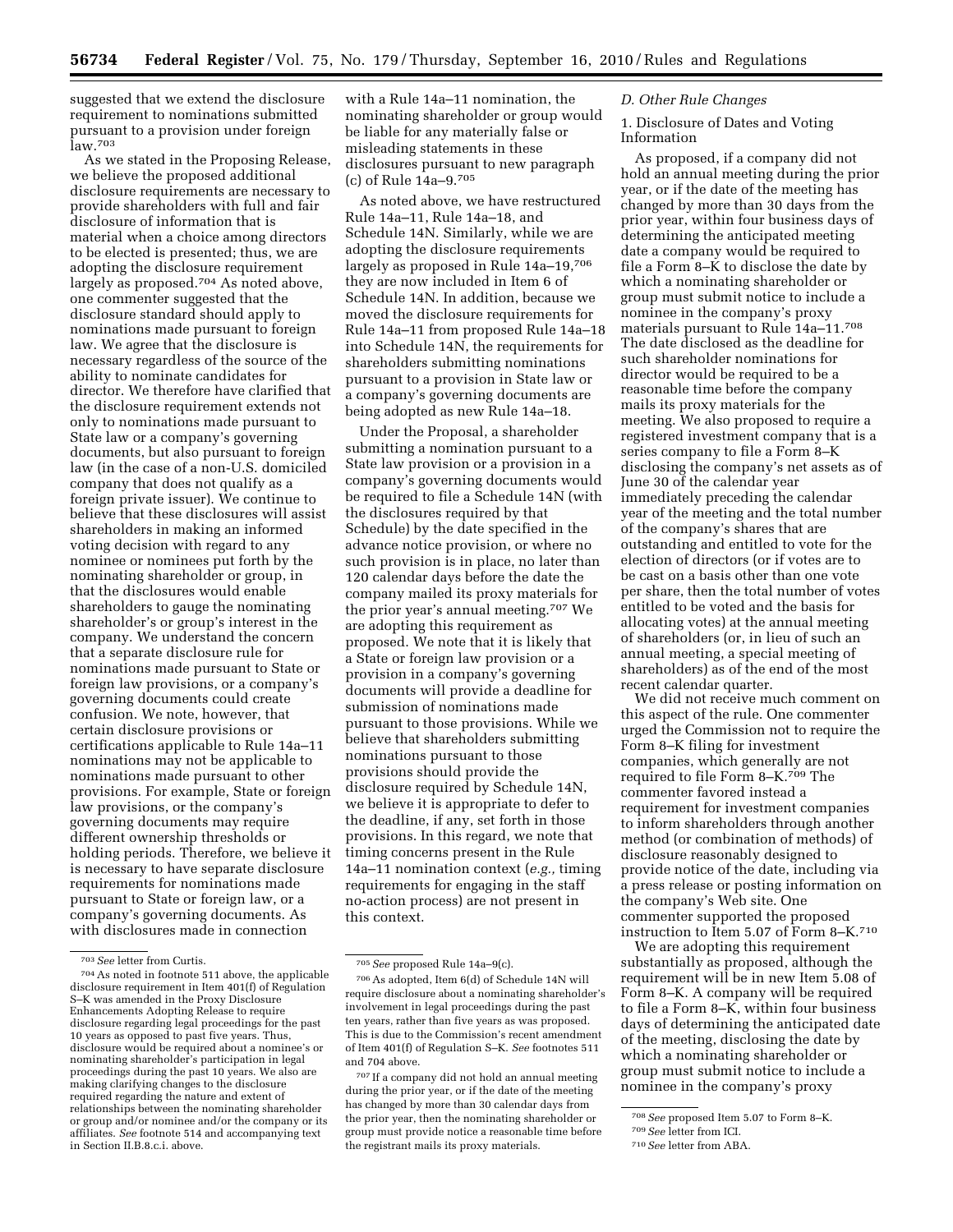suggested that we extend the disclosure requirement to nominations submitted pursuant to a provision under foreign law.703

As we stated in the Proposing Release, we believe the proposed additional disclosure requirements are necessary to provide shareholders with full and fair disclosure of information that is material when a choice among directors to be elected is presented; thus, we are adopting the disclosure requirement largely as proposed.704 As noted above, one commenter suggested that the disclosure standard should apply to nominations made pursuant to foreign law. We agree that the disclosure is necessary regardless of the source of the ability to nominate candidates for director. We therefore have clarified that the disclosure requirement extends not only to nominations made pursuant to State law or a company's governing documents, but also pursuant to foreign law (in the case of a non-U.S. domiciled company that does not qualify as a foreign private issuer). We continue to believe that these disclosures will assist shareholders in making an informed voting decision with regard to any nominee or nominees put forth by the nominating shareholder or group, in that the disclosures would enable shareholders to gauge the nominating shareholder's or group's interest in the company. We understand the concern that a separate disclosure rule for nominations made pursuant to State or foreign law provisions, or a company's governing documents could create confusion. We note, however, that certain disclosure provisions or certifications applicable to Rule 14a–11 nominations may not be applicable to nominations made pursuant to other provisions. For example, State or foreign law provisions, or the company's governing documents may require different ownership thresholds or holding periods. Therefore, we believe it is necessary to have separate disclosure requirements for nominations made pursuant to State or foreign law, or a company's governing documents. As with disclosures made in connection

with a Rule 14a–11 nomination, the nominating shareholder or group would be liable for any materially false or misleading statements in these disclosures pursuant to new paragraph (c) of Rule 14a–9.705

As noted above, we have restructured Rule 14a–11, Rule 14a–18, and Schedule 14N. Similarly, while we are adopting the disclosure requirements largely as proposed in Rule 14a–19,706 they are now included in Item 6 of Schedule 14N. In addition, because we moved the disclosure requirements for Rule 14a–11 from proposed Rule 14a–18 into Schedule 14N, the requirements for shareholders submitting nominations pursuant to a provision in State law or a company's governing documents are being adopted as new Rule 14a–18.

Under the Proposal, a shareholder submitting a nomination pursuant to a State law provision or a provision in a company's governing documents would be required to file a Schedule 14N (with the disclosures required by that Schedule) by the date specified in the advance notice provision, or where no such provision is in place, no later than 120 calendar days before the date the company mailed its proxy materials for the prior year's annual meeting.707 We are adopting this requirement as proposed. We note that it is likely that a State or foreign law provision or a provision in a company's governing documents will provide a deadline for submission of nominations made pursuant to those provisions. While we believe that shareholders submitting nominations pursuant to those provisions should provide the disclosure required by Schedule 14N, we believe it is appropriate to defer to the deadline, if any, set forth in those provisions. In this regard, we note that timing concerns present in the Rule 14a–11 nomination context (*e.g.,* timing requirements for engaging in the staff no-action process) are not present in this context.

### *D. Other Rule Changes*

1. Disclosure of Dates and Voting Information

As proposed, if a company did not hold an annual meeting during the prior year, or if the date of the meeting has changed by more than 30 days from the prior year, within four business days of determining the anticipated meeting date a company would be required to file a Form 8–K to disclose the date by which a nominating shareholder or group must submit notice to include a nominee in the company's proxy materials pursuant to Rule 14a–11.708 The date disclosed as the deadline for such shareholder nominations for director would be required to be a reasonable time before the company mails its proxy materials for the meeting. We also proposed to require a registered investment company that is a series company to file a Form 8–K disclosing the company's net assets as of June 30 of the calendar year immediately preceding the calendar year of the meeting and the total number of the company's shares that are outstanding and entitled to vote for the election of directors (or if votes are to be cast on a basis other than one vote per share, then the total number of votes entitled to be voted and the basis for allocating votes) at the annual meeting of shareholders (or, in lieu of such an annual meeting, a special meeting of shareholders) as of the end of the most recent calendar quarter.

We did not receive much comment on this aspect of the rule. One commenter urged the Commission not to require the Form 8–K filing for investment companies, which generally are not required to file Form 8–K.709 The commenter favored instead a requirement for investment companies to inform shareholders through another method (or combination of methods) of disclosure reasonably designed to provide notice of the date, including via a press release or posting information on the company's Web site. One commenter supported the proposed instruction to Item 5.07 of Form 8–K.710

We are adopting this requirement substantially as proposed, although the requirement will be in new Item 5.08 of Form 8–K. A company will be required to file a Form 8–K, within four business days of determining the anticipated date of the meeting, disclosing the date by which a nominating shareholder or group must submit notice to include a nominee in the company's proxy

<sup>703</sup>*See* letter from Curtis. 704As noted in footnote 511 above, the applicable disclosure requirement in Item 401(f) of Regulation S–K was amended in the Proxy Disclosure Enhancements Adopting Release to require disclosure regarding legal proceedings for the past 10 years as opposed to past five years. Thus, disclosure would be required about a nominee's or nominating shareholder's participation in legal proceedings during the past 10 years. We also are making clarifying changes to the disclosure required regarding the nature and extent of relationships between the nominating shareholder or group and/or nominee and/or the company or its affiliates. *See* footnote 514 and accompanying text in Section II.B.8.c.i. above.

<sup>705</sup>*See* proposed Rule 14a–9(c).

<sup>706</sup>As adopted, Item 6(d) of Schedule 14N will require disclosure about a nominating shareholder's involvement in legal proceedings during the past ten years, rather than five years as was proposed. This is due to the Commission's recent amendment of Item 401(f) of Regulation S–K. *See* footnotes 511 and 704 above.

<sup>707</sup> If a company did not hold an annual meeting during the prior year, or if the date of the meeting has changed by more than 30 calendar days from the prior year, then the nominating shareholder or group must provide notice a reasonable time before the registrant mails its proxy materials.

<sup>708</sup>*See* proposed Item 5.07 to Form 8–K.

<sup>709</sup>*See* letter from ICI.

<sup>710</sup>*See* letter from ABA.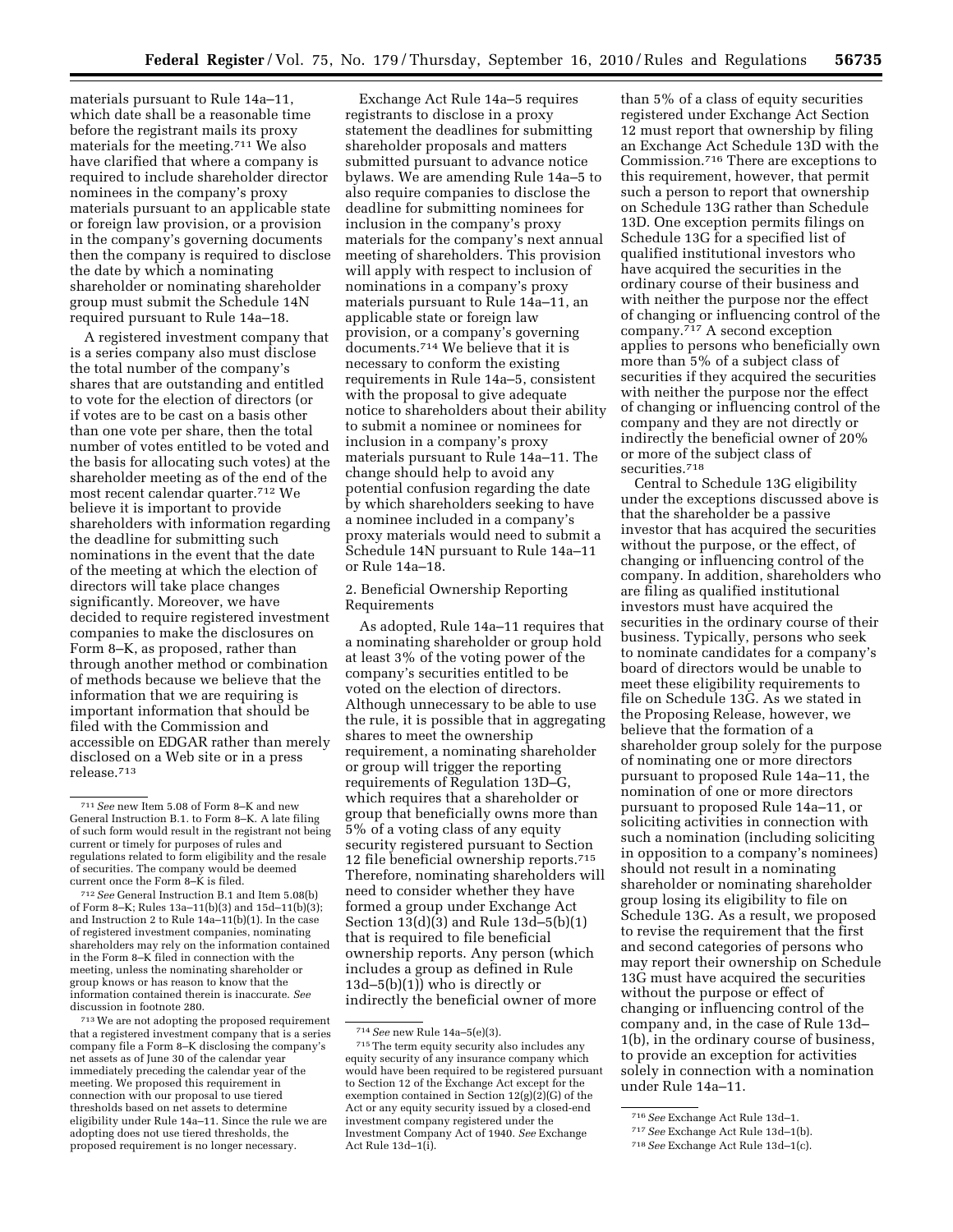materials pursuant to Rule 14a–11, which date shall be a reasonable time before the registrant mails its proxy materials for the meeting.711 We also have clarified that where a company is required to include shareholder director nominees in the company's proxy materials pursuant to an applicable state or foreign law provision, or a provision in the company's governing documents then the company is required to disclose the date by which a nominating shareholder or nominating shareholder group must submit the Schedule 14N required pursuant to Rule 14a–18.

A registered investment company that is a series company also must disclose the total number of the company's shares that are outstanding and entitled to vote for the election of directors (or if votes are to be cast on a basis other than one vote per share, then the total number of votes entitled to be voted and the basis for allocating such votes) at the shareholder meeting as of the end of the most recent calendar quarter.712 We believe it is important to provide shareholders with information regarding the deadline for submitting such nominations in the event that the date of the meeting at which the election of directors will take place changes significantly. Moreover, we have decided to require registered investment companies to make the disclosures on Form 8–K, as proposed, rather than through another method or combination of methods because we believe that the information that we are requiring is important information that should be filed with the Commission and accessible on EDGAR rather than merely disclosed on a Web site or in a press release.713

713We are not adopting the proposed requirement that a registered investment company that is a series company file a Form 8–K disclosing the company's net assets as of June 30 of the calendar year immediately preceding the calendar year of the meeting. We proposed this requirement in connection with our proposal to use tiered thresholds based on net assets to determine eligibility under Rule 14a–11. Since the rule we are adopting does not use tiered thresholds, the proposed requirement is no longer necessary.

Exchange Act Rule 14a–5 requires registrants to disclose in a proxy statement the deadlines for submitting shareholder proposals and matters submitted pursuant to advance notice bylaws. We are amending Rule 14a–5 to also require companies to disclose the deadline for submitting nominees for inclusion in the company's proxy materials for the company's next annual meeting of shareholders. This provision will apply with respect to inclusion of nominations in a company's proxy materials pursuant to Rule 14a–11, an applicable state or foreign law provision, or a company's governing documents.714 We believe that it is necessary to conform the existing requirements in Rule 14a–5, consistent with the proposal to give adequate notice to shareholders about their ability to submit a nominee or nominees for inclusion in a company's proxy materials pursuant to Rule 14a–11. The change should help to avoid any potential confusion regarding the date by which shareholders seeking to have a nominee included in a company's proxy materials would need to submit a Schedule 14N pursuant to Rule 14a–11 or Rule 14a–18.

2. Beneficial Ownership Reporting Requirements

As adopted, Rule 14a–11 requires that a nominating shareholder or group hold at least 3% of the voting power of the company's securities entitled to be voted on the election of directors. Although unnecessary to be able to use the rule, it is possible that in aggregating shares to meet the ownership requirement, a nominating shareholder or group will trigger the reporting requirements of Regulation 13D–G, which requires that a shareholder or group that beneficially owns more than 5% of a voting class of any equity security registered pursuant to Section 12 file beneficial ownership reports.715 Therefore, nominating shareholders will need to consider whether they have formed a group under Exchange Act Section 13(d)(3) and Rule 13d–5(b)(1) that is required to file beneficial ownership reports. Any person (which includes a group as defined in Rule 13d–5(b)(1)) who is directly or indirectly the beneficial owner of more

than 5% of a class of equity securities registered under Exchange Act Section 12 must report that ownership by filing an Exchange Act Schedule 13D with the Commission.716 There are exceptions to this requirement, however, that permit such a person to report that ownership on Schedule 13G rather than Schedule 13D. One exception permits filings on Schedule 13G for a specified list of qualified institutional investors who have acquired the securities in the ordinary course of their business and with neither the purpose nor the effect of changing or influencing control of the company.717 A second exception applies to persons who beneficially own more than 5% of a subject class of securities if they acquired the securities with neither the purpose nor the effect of changing or influencing control of the company and they are not directly or indirectly the beneficial owner of 20% or more of the subject class of securities.718

Central to Schedule 13G eligibility under the exceptions discussed above is that the shareholder be a passive investor that has acquired the securities without the purpose, or the effect, of changing or influencing control of the company. In addition, shareholders who are filing as qualified institutional investors must have acquired the securities in the ordinary course of their business. Typically, persons who seek to nominate candidates for a company's board of directors would be unable to meet these eligibility requirements to file on Schedule 13G. As we stated in the Proposing Release, however, we believe that the formation of a shareholder group solely for the purpose of nominating one or more directors pursuant to proposed Rule 14a–11, the nomination of one or more directors pursuant to proposed Rule 14a–11, or soliciting activities in connection with such a nomination (including soliciting in opposition to a company's nominees) should not result in a nominating shareholder or nominating shareholder group losing its eligibility to file on Schedule 13G. As a result, we proposed to revise the requirement that the first and second categories of persons who may report their ownership on Schedule 13G must have acquired the securities without the purpose or effect of changing or influencing control of the company and, in the case of Rule 13d– 1(b), in the ordinary course of business, to provide an exception for activities solely in connection with a nomination under Rule 14a–11.

<sup>711</sup>*See* new Item 5.08 of Form 8–K and new General Instruction B.1. to Form 8–K. A late filing of such form would result in the registrant not being current or timely for purposes of rules and regulations related to form eligibility and the resale of securities. The company would be deemed current once the Form 8–K is filed.

<sup>712</sup>*See* General Instruction B.1 and Item 5.08(b) of Form 8–K; Rules 13a–11(b)(3) and 15d–11(b)(3); and Instruction 2 to Rule 14a–11(b)(1). In the case of registered investment companies, nominating shareholders may rely on the information contained in the Form 8–K filed in connection with the meeting, unless the nominating shareholder or group knows or has reason to know that the information contained therein is inaccurate. *See*  discussion in footnote 280.

<sup>714</sup>*See* new Rule 14a–5(e)(3).

<sup>715</sup>The term equity security also includes any equity security of any insurance company which would have been required to be registered pursuant to Section 12 of the Exchange Act except for the exemption contained in Section  $12(g)(2)(G)$  of the Act or any equity security issued by a closed-end investment company registered under the Investment Company Act of 1940. *See* Exchange Act Rule  $13d-1$ (i).

<sup>716</sup>*See* Exchange Act Rule 13d–1.

<sup>717</sup>*See* Exchange Act Rule 13d–1(b).

<sup>718</sup>*See* Exchange Act Rule 13d–1(c).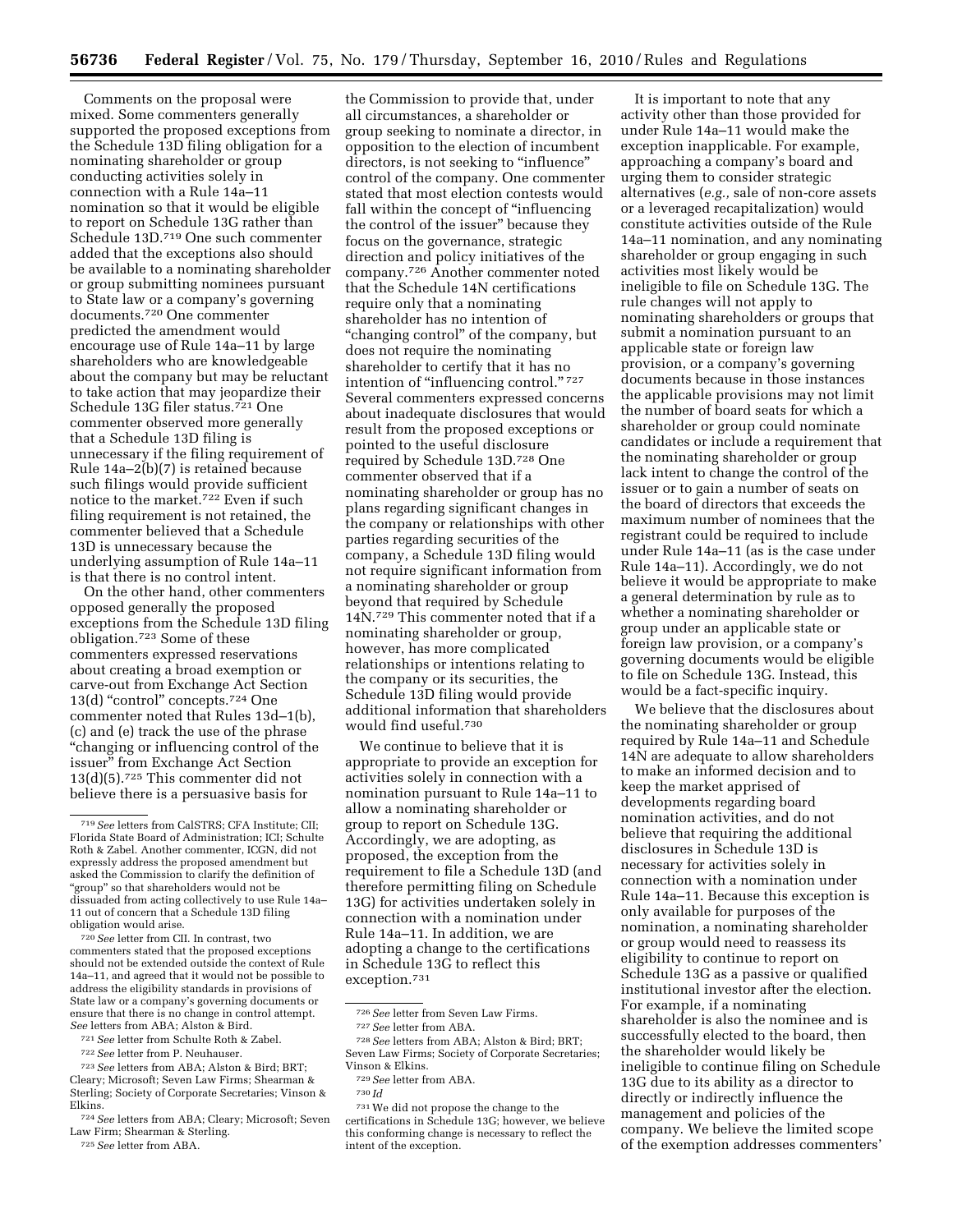Comments on the proposal were mixed. Some commenters generally supported the proposed exceptions from the Schedule 13D filing obligation for a nominating shareholder or group conducting activities solely in connection with a Rule 14a–11 nomination so that it would be eligible to report on Schedule 13G rather than Schedule 13D.719 One such commenter added that the exceptions also should be available to a nominating shareholder or group submitting nominees pursuant to State law or a company's governing documents.720 One commenter predicted the amendment would encourage use of Rule 14a–11 by large shareholders who are knowledgeable about the company but may be reluctant to take action that may jeopardize their Schedule 13G filer status.721 One commenter observed more generally that a Schedule 13D filing is unnecessary if the filing requirement of Rule 14a–2(b)(7) is retained because such filings would provide sufficient notice to the market.722 Even if such filing requirement is not retained, the commenter believed that a Schedule 13D is unnecessary because the underlying assumption of Rule 14a–11 is that there is no control intent.

On the other hand, other commenters opposed generally the proposed exceptions from the Schedule 13D filing obligation.723 Some of these commenters expressed reservations about creating a broad exemption or carve-out from Exchange Act Section 13(d) "control" concepts.<sup>724</sup> One commenter noted that Rules 13d–1(b), (c) and (e) track the use of the phrase ''changing or influencing control of the issuer'' from Exchange Act Section 13(d)(5).725 This commenter did not believe there is a persuasive basis for

720*See* letter from CII. In contrast, two commenters stated that the proposed exceptions should not be extended outside the context of Rule 14a–11, and agreed that it would not be possible to address the eligibility standards in provisions of State law or a company's governing documents or ensure that there is no change in control attempt. *See* letters from ABA; Alston & Bird.

721*See* letter from Schulte Roth & Zabel.

725*See* letter from ABA.

the Commission to provide that, under all circumstances, a shareholder or group seeking to nominate a director, in opposition to the election of incumbent directors, is not seeking to "influence" control of the company. One commenter stated that most election contests would fall within the concept of "influencing the control of the issuer'' because they focus on the governance, strategic direction and policy initiatives of the company.726 Another commenter noted that the Schedule 14N certifications require only that a nominating shareholder has no intention of ''changing control'' of the company, but does not require the nominating shareholder to certify that it has no intention of "influencing control." 727 Several commenters expressed concerns about inadequate disclosures that would result from the proposed exceptions or pointed to the useful disclosure required by Schedule 13D.728 One commenter observed that if a nominating shareholder or group has no plans regarding significant changes in the company or relationships with other parties regarding securities of the company, a Schedule 13D filing would not require significant information from a nominating shareholder or group beyond that required by Schedule 14N.729 This commenter noted that if a nominating shareholder or group, however, has more complicated relationships or intentions relating to the company or its securities, the Schedule 13D filing would provide additional information that shareholders would find useful.730

We continue to believe that it is appropriate to provide an exception for activities solely in connection with a nomination pursuant to Rule 14a–11 to allow a nominating shareholder or group to report on Schedule 13G. Accordingly, we are adopting, as proposed, the exception from the requirement to file a Schedule 13D (and therefore permitting filing on Schedule 13G) for activities undertaken solely in connection with a nomination under Rule 14a–11. In addition, we are adopting a change to the certifications in Schedule 13G to reflect this exception.731

726*See* letter from Seven Law Firms. 727*See* letter from ABA.

It is important to note that any activity other than those provided for under Rule 14a–11 would make the exception inapplicable. For example, approaching a company's board and urging them to consider strategic alternatives (*e.g.,* sale of non-core assets or a leveraged recapitalization) would constitute activities outside of the Rule 14a–11 nomination, and any nominating shareholder or group engaging in such activities most likely would be ineligible to file on Schedule 13G. The rule changes will not apply to nominating shareholders or groups that submit a nomination pursuant to an applicable state or foreign law provision, or a company's governing documents because in those instances the applicable provisions may not limit the number of board seats for which a shareholder or group could nominate candidates or include a requirement that the nominating shareholder or group lack intent to change the control of the issuer or to gain a number of seats on the board of directors that exceeds the maximum number of nominees that the registrant could be required to include under Rule 14a–11 (as is the case under Rule 14a–11). Accordingly, we do not believe it would be appropriate to make a general determination by rule as to whether a nominating shareholder or group under an applicable state or foreign law provision, or a company's governing documents would be eligible to file on Schedule 13G. Instead, this would be a fact-specific inquiry.

We believe that the disclosures about the nominating shareholder or group required by Rule 14a–11 and Schedule 14N are adequate to allow shareholders to make an informed decision and to keep the market apprised of developments regarding board nomination activities, and do not believe that requiring the additional disclosures in Schedule 13D is necessary for activities solely in connection with a nomination under Rule 14a–11. Because this exception is only available for purposes of the nomination, a nominating shareholder or group would need to reassess its eligibility to continue to report on Schedule 13G as a passive or qualified institutional investor after the election. For example, if a nominating shareholder is also the nominee and is successfully elected to the board, then the shareholder would likely be ineligible to continue filing on Schedule 13G due to its ability as a director to directly or indirectly influence the management and policies of the company. We believe the limited scope of the exemption addresses commenters'

<sup>719</sup>*See* letters from CalSTRS; CFA Institute; CII; Florida State Board of Administration; ICI; Schulte Roth & Zabel. Another commenter, ICGN, did not expressly address the proposed amendment but asked the Commission to clarify the definition of ''group'' so that shareholders would not be dissuaded from acting collectively to use Rule 14a– 11 out of concern that a Schedule 13D filing obligation would arise.

<sup>722</sup>*See* letter from P. Neuhauser.

<sup>723</sup>*See* letters from ABA; Alston & Bird; BRT; Cleary; Microsoft; Seven Law Firms; Shearman & Sterling; Society of Corporate Secretaries; Vinson & Elkins.

<sup>724</sup>*See* letters from ABA; Cleary; Microsoft; Seven Law Firm; Shearman & Sterling.

<sup>728</sup>*See* letters from ABA; Alston & Bird; BRT; Seven Law Firms; Society of Corporate Secretaries; Vinson & Elkins.

<sup>729</sup>*See* letter from ABA.

<sup>730</sup> *Id* 

<sup>731</sup>We did not propose the change to the certifications in Schedule 13G; however, we believe this conforming change is necessary to reflect the intent of the exception.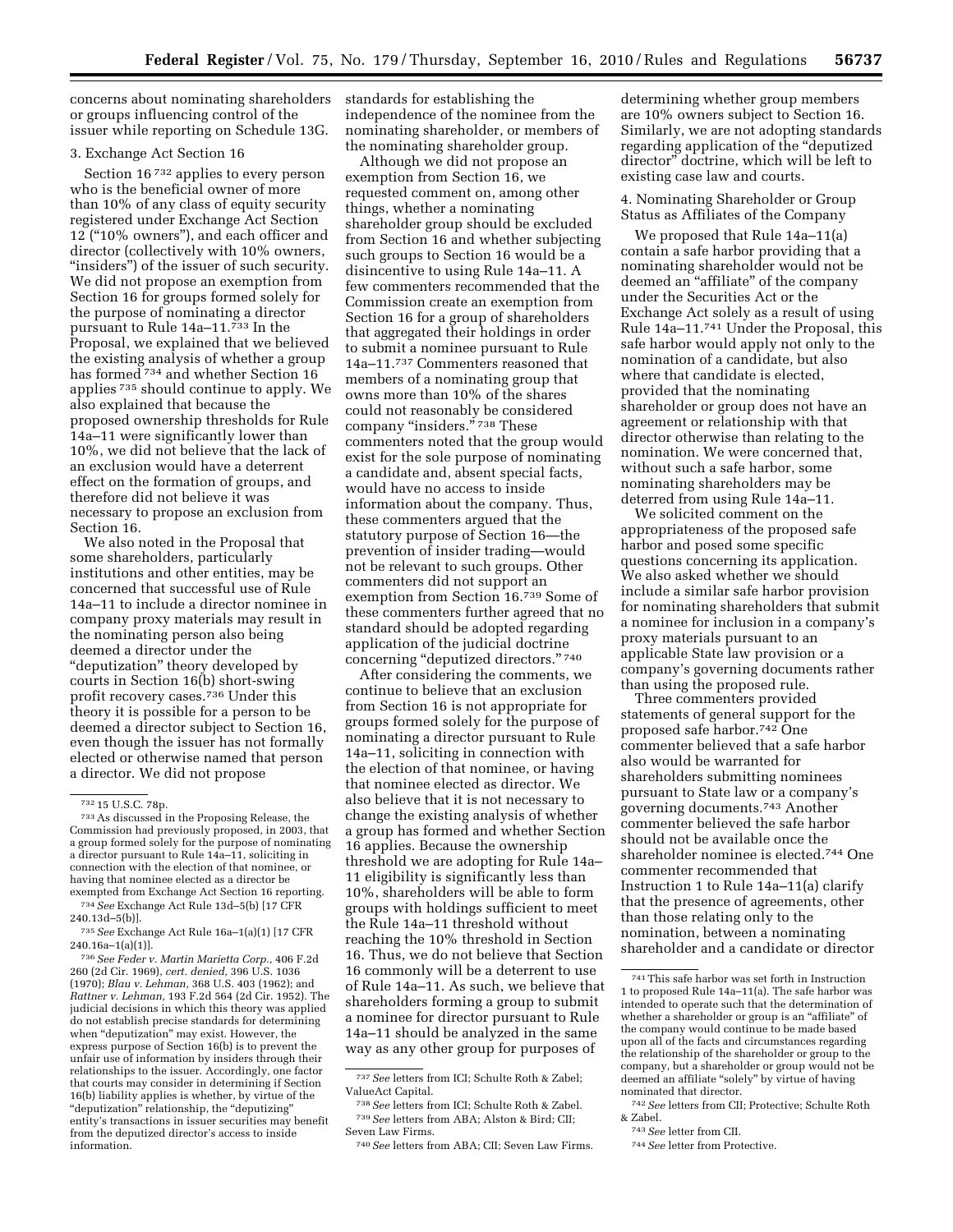concerns about nominating shareholders or groups influencing control of the issuer while reporting on Schedule 13G.

## 3. Exchange Act Section 16

Section 16 732 applies to every person who is the beneficial owner of more than 10% of any class of equity security registered under Exchange Act Section 12 (''10% owners''), and each officer and director (collectively with 10% owners, "insiders") of the issuer of such security. We did not propose an exemption from Section 16 for groups formed solely for the purpose of nominating a director pursuant to Rule 14a–11.733 In the Proposal, we explained that we believed the existing analysis of whether a group has formed <sup>734</sup> and whether Section 16 applies 735 should continue to apply. We also explained that because the proposed ownership thresholds for Rule 14a–11 were significantly lower than 10%, we did not believe that the lack of an exclusion would have a deterrent effect on the formation of groups, and therefore did not believe it was necessary to propose an exclusion from Section 16.

We also noted in the Proposal that some shareholders, particularly institutions and other entities, may be concerned that successful use of Rule 14a–11 to include a director nominee in company proxy materials may result in the nominating person also being deemed a director under the "deputization" theory developed by courts in Section 16(b) short-swing profit recovery cases.736 Under this theory it is possible for a person to be deemed a director subject to Section 16, even though the issuer has not formally elected or otherwise named that person a director. We did not propose

734*See* Exchange Act Rule 13d–5(b) [17 CFR 240.13d–5(b)].

735*See* Exchange Act Rule 16a–1(a)(1) [17 CFR 240.16a–1(a)(1)].

736*See Feder v. Martin Marietta Corp.,* 406 F.2d 260 (2d Cir. 1969), *cert. denied,* 396 U.S. 1036 (1970); *Blau v. Lehman,* 368 U.S. 403 (1962); and *Rattner v. Lehman,* 193 F.2d 564 (2d Cir. 1952). The judicial decisions in which this theory was applied do not establish precise standards for determining when "deputization" may exist. However, the express purpose of Section 16(b) is to prevent the unfair use of information by insiders through their relationships to the issuer. Accordingly, one factor that courts may consider in determining if Section 16(b) liability applies is whether, by virtue of the ''deputization'' relationship, the ''deputizing'' entity's transactions in issuer securities may benefit from the deputized director's access to inside information.

standards for establishing the independence of the nominee from the nominating shareholder, or members of the nominating shareholder group.

Although we did not propose an exemption from Section 16, we requested comment on, among other things, whether a nominating shareholder group should be excluded from Section 16 and whether subjecting such groups to Section 16 would be a disincentive to using Rule 14a–11. A few commenters recommended that the Commission create an exemption from Section 16 for a group of shareholders that aggregated their holdings in order to submit a nominee pursuant to Rule 14a–11.737 Commenters reasoned that members of a nominating group that owns more than 10% of the shares could not reasonably be considered company "insiders."<sup>738</sup> These commenters noted that the group would exist for the sole purpose of nominating a candidate and, absent special facts, would have no access to inside information about the company. Thus, these commenters argued that the statutory purpose of Section 16—the prevention of insider trading—would not be relevant to such groups. Other commenters did not support an exemption from Section 16.739 Some of these commenters further agreed that no standard should be adopted regarding application of the judicial doctrine concerning "deputized directors." 740

After considering the comments, we continue to believe that an exclusion from Section 16 is not appropriate for groups formed solely for the purpose of nominating a director pursuant to Rule 14a–11, soliciting in connection with the election of that nominee, or having that nominee elected as director. We also believe that it is not necessary to change the existing analysis of whether a group has formed and whether Section 16 applies. Because the ownership threshold we are adopting for Rule 14a– 11 eligibility is significantly less than 10%, shareholders will be able to form groups with holdings sufficient to meet the Rule 14a–11 threshold without reaching the 10% threshold in Section 16. Thus, we do not believe that Section 16 commonly will be a deterrent to use of Rule 14a–11. As such, we believe that shareholders forming a group to submit a nominee for director pursuant to Rule 14a–11 should be analyzed in the same way as any other group for purposes of

determining whether group members are 10% owners subject to Section 16. Similarly, we are not adopting standards regarding application of the ''deputized director'' doctrine, which will be left to existing case law and courts.

4. Nominating Shareholder or Group Status as Affiliates of the Company

We proposed that Rule 14a–11(a) contain a safe harbor providing that a nominating shareholder would not be deemed an ''affiliate'' of the company under the Securities Act or the Exchange Act solely as a result of using Rule 14a–11.741 Under the Proposal, this safe harbor would apply not only to the nomination of a candidate, but also where that candidate is elected, provided that the nominating shareholder or group does not have an agreement or relationship with that director otherwise than relating to the nomination. We were concerned that, without such a safe harbor, some nominating shareholders may be deterred from using Rule 14a–11.

We solicited comment on the appropriateness of the proposed safe harbor and posed some specific questions concerning its application. We also asked whether we should include a similar safe harbor provision for nominating shareholders that submit a nominee for inclusion in a company's proxy materials pursuant to an applicable State law provision or a company's governing documents rather than using the proposed rule.

Three commenters provided statements of general support for the proposed safe harbor.742 One commenter believed that a safe harbor also would be warranted for shareholders submitting nominees pursuant to State law or a company's governing documents.743 Another commenter believed the safe harbor should not be available once the shareholder nominee is elected.744 One commenter recommended that Instruction 1 to Rule 14a–11(a) clarify that the presence of agreements, other than those relating only to the nomination, between a nominating shareholder and a candidate or director

<sup>732</sup> 15 U.S.C. 78p.

<sup>733</sup>As discussed in the Proposing Release, the Commission had previously proposed, in 2003, that a group formed solely for the purpose of nominating a director pursuant to Rule 14a–11, soliciting in connection with the election of that nominee, or having that nominee elected as a director be exempted from Exchange Act Section 16 reporting.

<sup>737</sup>*See* letters from ICI; Schulte Roth & Zabel; ValueAct Capital.

<sup>738</sup>*See* letters from ICI; Schulte Roth & Zabel. 739*See* letters from ABA; Alston & Bird; CII; Seven Law Firms.

<sup>740</sup>*See* letters from ABA; CII; Seven Law Firms.

 $^{\rm 741}$  This safe harbor was set forth in Instruction 1 to proposed Rule 14a–11(a). The safe harbor was intended to operate such that the determination of whether a shareholder or group is an "affiliate" of the company would continue to be made based upon all of the facts and circumstances regarding the relationship of the shareholder or group to the company, but a shareholder or group would not be deemed an affiliate ''solely'' by virtue of having nominated that director.

<sup>742</sup>*See* letters from CII; Protective; Schulte Roth & Zabel.

<sup>743</sup>*See* letter from CII.

<sup>744</sup>*See* letter from Protective.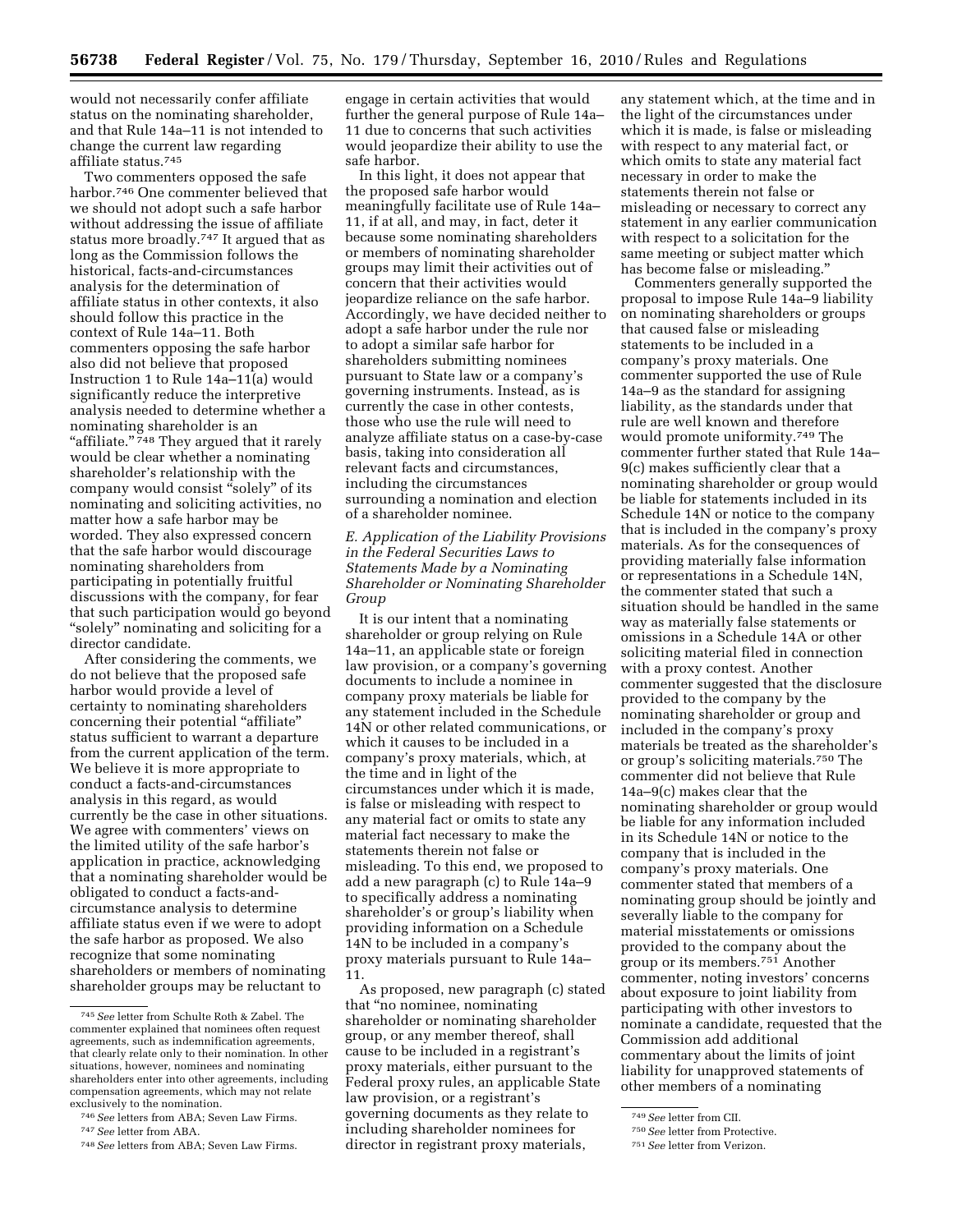would not necessarily confer affiliate status on the nominating shareholder, and that Rule 14a–11 is not intended to change the current law regarding affiliate status.745

Two commenters opposed the safe harbor.746 One commenter believed that we should not adopt such a safe harbor without addressing the issue of affiliate status more broadly.747 It argued that as long as the Commission follows the historical, facts-and-circumstances analysis for the determination of affiliate status in other contexts, it also should follow this practice in the context of Rule 14a–11. Both commenters opposing the safe harbor also did not believe that proposed Instruction 1 to Rule 14a–11(a) would significantly reduce the interpretive analysis needed to determine whether a nominating shareholder is an "affiliate." 748 They argued that it rarely would be clear whether a nominating shareholder's relationship with the company would consist "solely" of its nominating and soliciting activities, no matter how a safe harbor may be worded. They also expressed concern that the safe harbor would discourage nominating shareholders from participating in potentially fruitful discussions with the company, for fear that such participation would go beyond ''solely'' nominating and soliciting for a director candidate.

After considering the comments, we do not believe that the proposed safe harbor would provide a level of certainty to nominating shareholders concerning their potential ''affiliate'' status sufficient to warrant a departure from the current application of the term. We believe it is more appropriate to conduct a facts-and-circumstances analysis in this regard, as would currently be the case in other situations. We agree with commenters' views on the limited utility of the safe harbor's application in practice, acknowledging that a nominating shareholder would be obligated to conduct a facts-andcircumstance analysis to determine affiliate status even if we were to adopt the safe harbor as proposed. We also recognize that some nominating shareholders or members of nominating shareholder groups may be reluctant to

engage in certain activities that would further the general purpose of Rule 14a– 11 due to concerns that such activities would jeopardize their ability to use the safe harbor.

In this light, it does not appear that the proposed safe harbor would meaningfully facilitate use of Rule 14a– 11, if at all, and may, in fact, deter it because some nominating shareholders or members of nominating shareholder groups may limit their activities out of concern that their activities would jeopardize reliance on the safe harbor. Accordingly, we have decided neither to adopt a safe harbor under the rule nor to adopt a similar safe harbor for shareholders submitting nominees pursuant to State law or a company's governing instruments. Instead, as is currently the case in other contests, those who use the rule will need to analyze affiliate status on a case-by-case basis, taking into consideration all relevant facts and circumstances, including the circumstances surrounding a nomination and election of a shareholder nominee.

*E. Application of the Liability Provisions in the Federal Securities Laws to Statements Made by a Nominating Shareholder or Nominating Shareholder Group* 

It is our intent that a nominating shareholder or group relying on Rule 14a–11, an applicable state or foreign law provision, or a company's governing documents to include a nominee in company proxy materials be liable for any statement included in the Schedule 14N or other related communications, or which it causes to be included in a company's proxy materials, which, at the time and in light of the circumstances under which it is made, is false or misleading with respect to any material fact or omits to state any material fact necessary to make the statements therein not false or misleading. To this end, we proposed to add a new paragraph (c) to Rule 14a–9 to specifically address a nominating shareholder's or group's liability when providing information on a Schedule 14N to be included in a company's proxy materials pursuant to Rule 14a– 11.

As proposed, new paragraph (c) stated that ''no nominee, nominating shareholder or nominating shareholder group, or any member thereof, shall cause to be included in a registrant's proxy materials, either pursuant to the Federal proxy rules, an applicable State law provision, or a registrant's governing documents as they relate to including shareholder nominees for director in registrant proxy materials,

any statement which, at the time and in the light of the circumstances under which it is made, is false or misleading with respect to any material fact, or which omits to state any material fact necessary in order to make the statements therein not false or misleading or necessary to correct any statement in any earlier communication with respect to a solicitation for the same meeting or subject matter which has become false or misleading.''

Commenters generally supported the proposal to impose Rule 14a–9 liability on nominating shareholders or groups that caused false or misleading statements to be included in a company's proxy materials. One commenter supported the use of Rule 14a–9 as the standard for assigning liability, as the standards under that rule are well known and therefore would promote uniformity.749 The commenter further stated that Rule 14a– 9(c) makes sufficiently clear that a nominating shareholder or group would be liable for statements included in its Schedule 14N or notice to the company that is included in the company's proxy materials. As for the consequences of providing materially false information or representations in a Schedule 14N, the commenter stated that such a situation should be handled in the same way as materially false statements or omissions in a Schedule 14A or other soliciting material filed in connection with a proxy contest. Another commenter suggested that the disclosure provided to the company by the nominating shareholder or group and included in the company's proxy materials be treated as the shareholder's or group's soliciting materials.750 The commenter did not believe that Rule 14a–9(c) makes clear that the nominating shareholder or group would be liable for any information included in its Schedule 14N or notice to the company that is included in the company's proxy materials. One commenter stated that members of a nominating group should be jointly and severally liable to the company for material misstatements or omissions provided to the company about the group or its members.751 Another commenter, noting investors' concerns about exposure to joint liability from participating with other investors to nominate a candidate, requested that the Commission add additional commentary about the limits of joint liability for unapproved statements of other members of a nominating

<sup>745</sup>*See* letter from Schulte Roth & Zabel. The commenter explained that nominees often request agreements, such as indemnification agreements, that clearly relate only to their nomination. In other situations, however, nominees and nominating shareholders enter into other agreements, including compensation agreements, which may not relate exclusively to the nomination.

<sup>746</sup>*See* letters from ABA; Seven Law Firms.

<sup>747</sup>*See* letter from ABA.

<sup>748</sup>*See* letters from ABA; Seven Law Firms.

<sup>749</sup>*See* letter from CII.

<sup>750</sup>*See* letter from Protective.

<sup>751</sup>*See* letter from Verizon.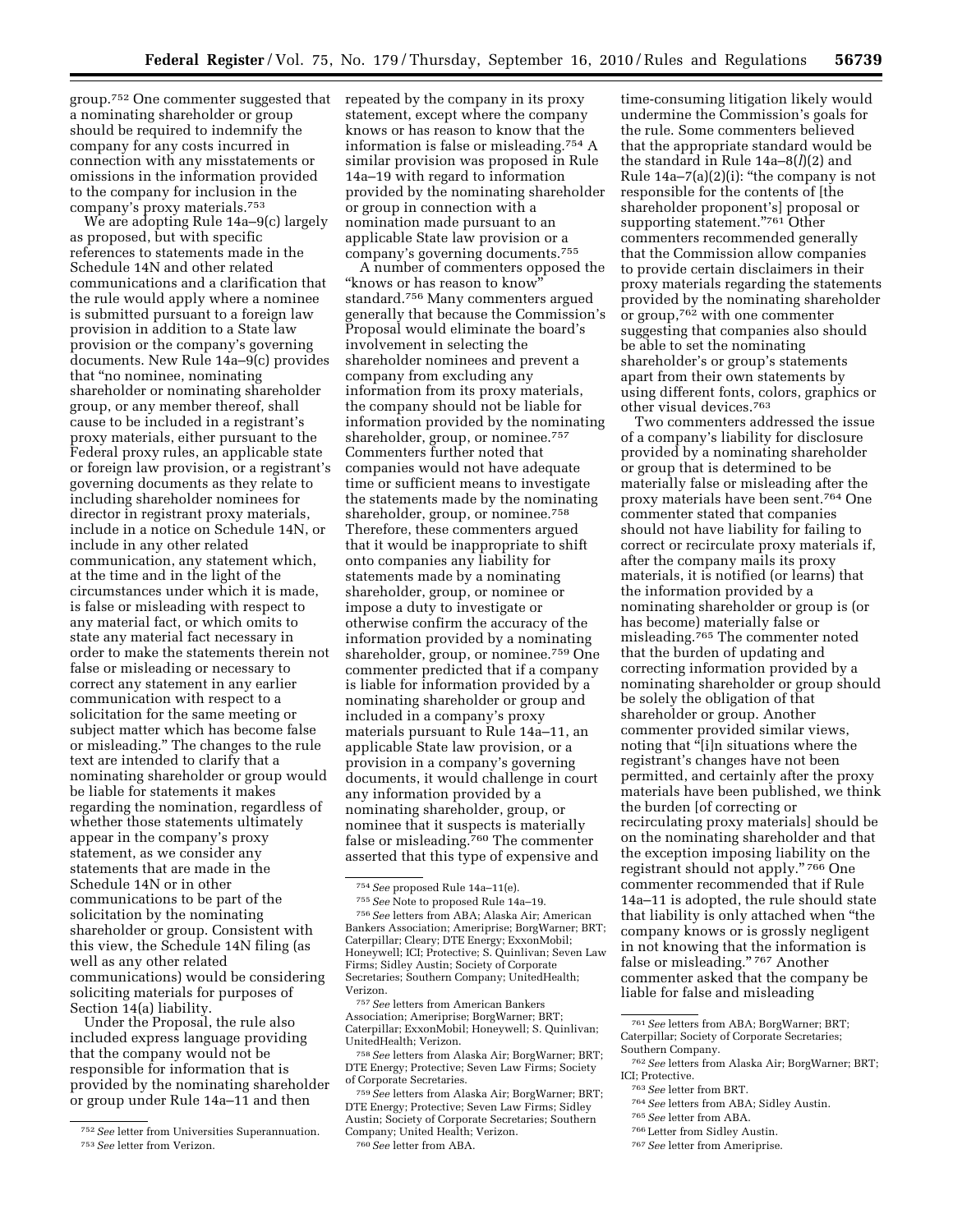group.752 One commenter suggested that repeated by the company in its proxy a nominating shareholder or group should be required to indemnify the company for any costs incurred in connection with any misstatements or omissions in the information provided to the company for inclusion in the company's proxy materials.753

We are adopting Rule 14a–9(c) largely as proposed, but with specific references to statements made in the Schedule 14N and other related communications and a clarification that the rule would apply where a nominee is submitted pursuant to a foreign law provision in addition to a State law provision or the company's governing documents. New Rule 14a–9(c) provides that ''no nominee, nominating shareholder or nominating shareholder group, or any member thereof, shall cause to be included in a registrant's proxy materials, either pursuant to the Federal proxy rules, an applicable state or foreign law provision, or a registrant's governing documents as they relate to including shareholder nominees for director in registrant proxy materials, include in a notice on Schedule 14N, or include in any other related communication, any statement which, at the time and in the light of the circumstances under which it is made, is false or misleading with respect to any material fact, or which omits to state any material fact necessary in order to make the statements therein not false or misleading or necessary to correct any statement in any earlier communication with respect to a solicitation for the same meeting or subject matter which has become false or misleading.'' The changes to the rule text are intended to clarify that a nominating shareholder or group would be liable for statements it makes regarding the nomination, regardless of whether those statements ultimately appear in the company's proxy statement, as we consider any statements that are made in the Schedule 14N or in other communications to be part of the solicitation by the nominating shareholder or group. Consistent with this view, the Schedule 14N filing (as well as any other related communications) would be considering soliciting materials for purposes of Section 14(a) liability.

Under the Proposal, the rule also included express language providing that the company would not be responsible for information that is provided by the nominating shareholder or group under Rule 14a–11 and then

statement, except where the company knows or has reason to know that the information is false or misleading.754 A similar provision was proposed in Rule 14a–19 with regard to information provided by the nominating shareholder or group in connection with a nomination made pursuant to an applicable State law provision or a company's governing documents.755

A number of commenters opposed the ''knows or has reason to know'' standard.756 Many commenters argued generally that because the Commission's Proposal would eliminate the board's involvement in selecting the shareholder nominees and prevent a company from excluding any information from its proxy materials, the company should not be liable for information provided by the nominating shareholder, group, or nominee.757 Commenters further noted that companies would not have adequate time or sufficient means to investigate the statements made by the nominating shareholder, group, or nominee.758 Therefore, these commenters argued that it would be inappropriate to shift onto companies any liability for statements made by a nominating shareholder, group, or nominee or impose a duty to investigate or otherwise confirm the accuracy of the information provided by a nominating shareholder, group, or nominee.759 One commenter predicted that if a company is liable for information provided by a nominating shareholder or group and included in a company's proxy materials pursuant to Rule 14a–11, an applicable State law provision, or a provision in a company's governing documents, it would challenge in court any information provided by a nominating shareholder, group, or nominee that it suspects is materially false or misleading.760 The commenter asserted that this type of expensive and

755*See* Note to proposed Rule 14a–19. 756*See* letters from ABA; Alaska Air; American Bankers Association; Ameriprise; BorgWarner; BRT; Caterpillar; Cleary; DTE Energy; ExxonMobil; Honeywell; ICI; Protective; S. Quinlivan; Seven Law Firms; Sidley Austin; Society of Corporate Secretaries; Southern Company; UnitedHealth;

Verizon.

757*See* letters from American Bankers Association; Ameriprise; BorgWarner; BRT; Caterpillar; ExxonMobil; Honeywell; S. Quinlivan; UnitedHealth; Verizon.

758*See* letters from Alaska Air; BorgWarner; BRT; DTE Energy; Protective; Seven Law Firms; Society of Corporate Secretaries.

759*See* letters from Alaska Air; BorgWarner; BRT; DTE Energy; Protective; Seven Law Firms; Sidley Austin; Society of Corporate Secretaries; Southern Company; United Health; Verizon. 760*See* letter from ABA.

time-consuming litigation likely would undermine the Commission's goals for the rule. Some commenters believed that the appropriate standard would be the standard in Rule 14a–8(*l*)(2) and Rule  $14a-7(a)(2)(i)$ : "the company is not responsible for the contents of [the shareholder proponent's] proposal or supporting statement."761 Other commenters recommended generally that the Commission allow companies to provide certain disclaimers in their proxy materials regarding the statements provided by the nominating shareholder or group,762 with one commenter suggesting that companies also should be able to set the nominating shareholder's or group's statements apart from their own statements by using different fonts, colors, graphics or other visual devices.763

Two commenters addressed the issue of a company's liability for disclosure provided by a nominating shareholder or group that is determined to be materially false or misleading after the proxy materials have been sent.764 One commenter stated that companies should not have liability for failing to correct or recirculate proxy materials if, after the company mails its proxy materials, it is notified (or learns) that the information provided by a nominating shareholder or group is (or has become) materially false or misleading.765 The commenter noted that the burden of updating and correcting information provided by a nominating shareholder or group should be solely the obligation of that shareholder or group. Another commenter provided similar views, noting that ''[i]n situations where the registrant's changes have not been permitted, and certainly after the proxy materials have been published, we think the burden [of correcting or recirculating proxy materials] should be on the nominating shareholder and that the exception imposing liability on the registrant should not apply.'' 766 One commenter recommended that if Rule 14a–11 is adopted, the rule should state that liability is only attached when ''the company knows or is grossly negligent in not knowing that the information is false or misleading.'' 767 Another commenter asked that the company be liable for false and misleading

- 764*See* letters from ABA; Sidley Austin.
- 765*See* letter from ABA.
- 766Letter from Sidley Austin.

<sup>752</sup>*See* letter from Universities Superannuation. 753*See* letter from Verizon.

<sup>754</sup>*See* proposed Rule 14a–11(e).

<sup>761</sup>*See* letters from ABA; BorgWarner; BRT; Caterpillar; Society of Corporate Secretaries; Southern Company.

<sup>762</sup>*See* letters from Alaska Air; BorgWarner; BRT; ICI; Protective.

<sup>763</sup>*See* letter from BRT.

<sup>767</sup>*See* letter from Ameriprise.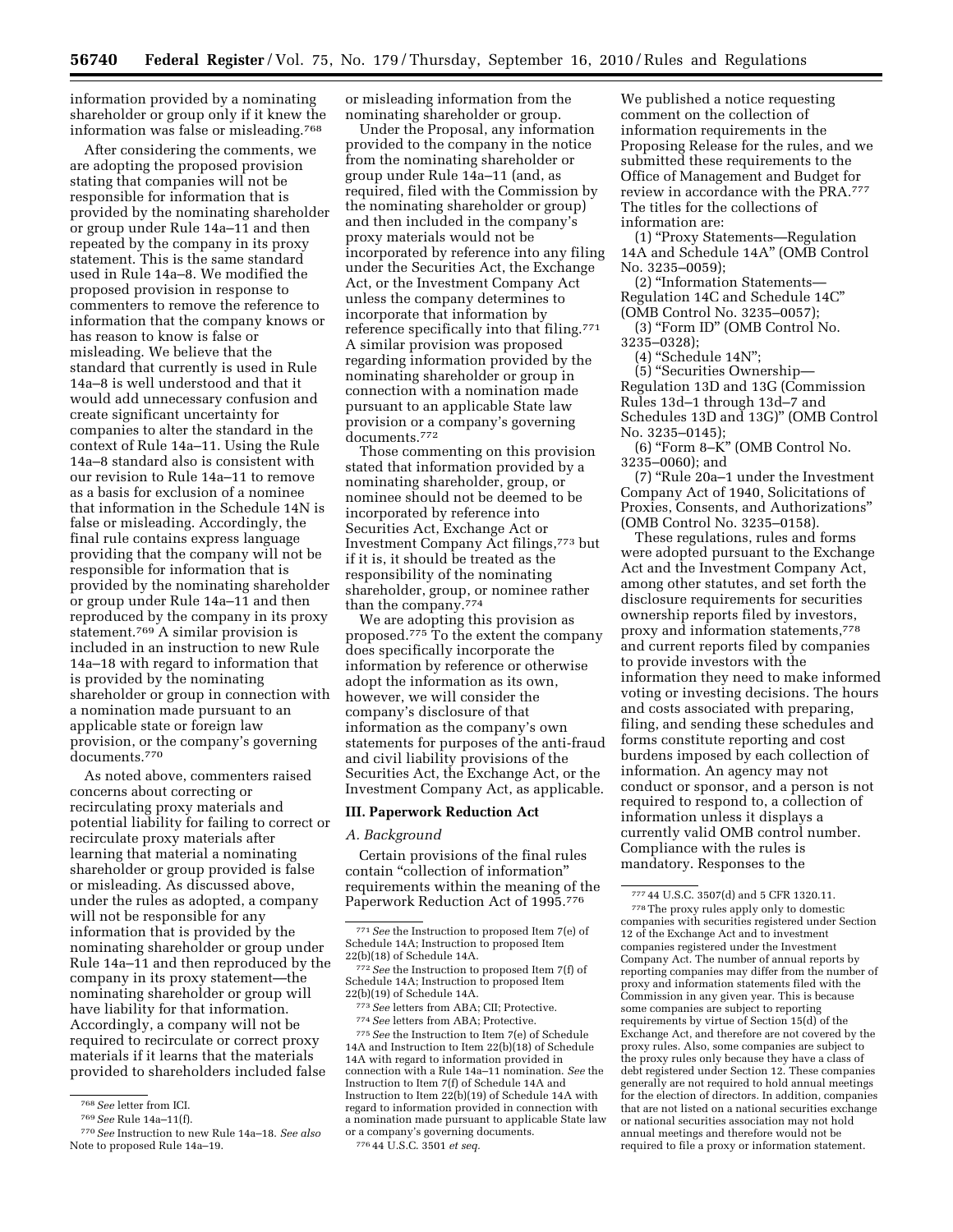information provided by a nominating shareholder or group only if it knew the information was false or misleading.768

After considering the comments, we are adopting the proposed provision stating that companies will not be responsible for information that is provided by the nominating shareholder or group under Rule 14a–11 and then repeated by the company in its proxy statement. This is the same standard used in Rule 14a–8. We modified the proposed provision in response to commenters to remove the reference to information that the company knows or has reason to know is false or misleading. We believe that the standard that currently is used in Rule 14a–8 is well understood and that it would add unnecessary confusion and create significant uncertainty for companies to alter the standard in the context of Rule 14a–11. Using the Rule 14a–8 standard also is consistent with our revision to Rule 14a–11 to remove as a basis for exclusion of a nominee that information in the Schedule 14N is false or misleading. Accordingly, the final rule contains express language providing that the company will not be responsible for information that is provided by the nominating shareholder or group under Rule 14a–11 and then reproduced by the company in its proxy statement.769 A similar provision is included in an instruction to new Rule 14a–18 with regard to information that is provided by the nominating shareholder or group in connection with a nomination made pursuant to an applicable state or foreign law provision, or the company's governing documents.770

As noted above, commenters raised concerns about correcting or recirculating proxy materials and potential liability for failing to correct or recirculate proxy materials after learning that material a nominating shareholder or group provided is false or misleading. As discussed above, under the rules as adopted, a company will not be responsible for any information that is provided by the nominating shareholder or group under Rule 14a–11 and then reproduced by the company in its proxy statement—the nominating shareholder or group will have liability for that information. Accordingly, a company will not be required to recirculate or correct proxy materials if it learns that the materials provided to shareholders included false

or misleading information from the nominating shareholder or group.

Under the Proposal, any information provided to the company in the notice from the nominating shareholder or group under Rule 14a–11 (and, as required, filed with the Commission by the nominating shareholder or group) and then included in the company's proxy materials would not be incorporated by reference into any filing under the Securities Act, the Exchange Act, or the Investment Company Act unless the company determines to incorporate that information by reference specifically into that filing.771 A similar provision was proposed regarding information provided by the nominating shareholder or group in connection with a nomination made pursuant to an applicable State law provision or a company's governing documents.772

Those commenting on this provision stated that information provided by a nominating shareholder, group, or nominee should not be deemed to be incorporated by reference into Securities Act, Exchange Act or Investment Company Act filings,773 but if it is, it should be treated as the responsibility of the nominating shareholder, group, or nominee rather than the company.774

We are adopting this provision as proposed.775 To the extent the company does specifically incorporate the information by reference or otherwise adopt the information as its own, however, we will consider the company's disclosure of that information as the company's own statements for purposes of the anti-fraud and civil liability provisions of the Securities Act, the Exchange Act, or the Investment Company Act, as applicable.

### **III. Paperwork Reduction Act**

### *A. Background*

Certain provisions of the final rules contain ''collection of information'' requirements within the meaning of the Paperwork Reduction Act of 1995.776

<sup>772</sup> See the Instruction to proposed Item 7(f) of Schedule 14A; Instruction to proposed Item<br>22(b)(19) of Schedule 14A.

22(b)(19) of Schedule 14A. 773*See* letters from ABA; CII; Protective. 774*See* letters from ABA; Protective. 775*See* the Instruction to Item 7(e) of Schedule 14A and Instruction to Item 22(b)(18) of Schedule 14A with regard to information provided in connection with a Rule 14a–11 nomination. *See* the Instruction to Item 7(f) of Schedule 14A and Instruction to Item 22(b)(19) of Schedule 14A with regard to information provided in connection with a nomination made pursuant to applicable State law or a company's governing documents.

We published a notice requesting comment on the collection of information requirements in the Proposing Release for the rules, and we submitted these requirements to the Office of Management and Budget for review in accordance with the PRA.777 The titles for the collections of information are:

(1) ''Proxy Statements—Regulation 14A and Schedule 14A'' (OMB Control No. 3235–0059);

(2) ''Information Statements— Regulation 14C and Schedule 14C'' (OMB Control No. 3235–0057);

(3) ''Form ID'' (OMB Control No. 3235–0328);

(4) ''Schedule 14N'';

(5) ''Securities Ownership— Regulation 13D and 13G (Commission Rules 13d–1 through 13d–7 and Schedules 13D and 13G)'' (OMB Control No. 3235–0145);

(6) ''Form 8–K'' (OMB Control No. 3235–0060); and

(7) ''Rule 20a–1 under the Investment Company Act of 1940, Solicitations of Proxies, Consents, and Authorizations'' (OMB Control No. 3235–0158).

These regulations, rules and forms were adopted pursuant to the Exchange Act and the Investment Company Act, among other statutes, and set forth the disclosure requirements for securities ownership reports filed by investors, proxy and information statements,778 and current reports filed by companies to provide investors with the information they need to make informed voting or investing decisions. The hours and costs associated with preparing, filing, and sending these schedules and forms constitute reporting and cost burdens imposed by each collection of information. An agency may not conduct or sponsor, and a person is not required to respond to, a collection of information unless it displays a currently valid OMB control number. Compliance with the rules is mandatory. Responses to the

<sup>768</sup>*See* letter from ICI.

<sup>769</sup>*See* Rule 14a–11(f).

<sup>770</sup>*See* Instruction to new Rule 14a–18. *See also*  Note to proposed Rule 14a–19.

<sup>771</sup>*See* the Instruction to proposed Item 7(e) of Schedule 14A; Instruction to proposed Item<br>22(b)(18) of Schedule 14A.

<sup>776</sup> 44 U.S.C. 3501 *et seq.* 

<sup>777</sup> 44 U.S.C. 3507(d) and 5 CFR 1320.11.

<sup>778</sup>The proxy rules apply only to domestic companies with securities registered under Section 12 of the Exchange Act and to investment companies registered under the Investment Company Act. The number of annual reports by reporting companies may differ from the number of proxy and information statements filed with the Commission in any given year. This is because some companies are subject to reporting requirements by virtue of Section 15(d) of the Exchange Act, and therefore are not covered by the proxy rules. Also, some companies are subject to the proxy rules only because they have a class of debt registered under Section 12. These companies generally are not required to hold annual meetings for the election of directors. In addition, companies that are not listed on a national securities exchange or national securities association may not hold annual meetings and therefore would not be required to file a proxy or information statement.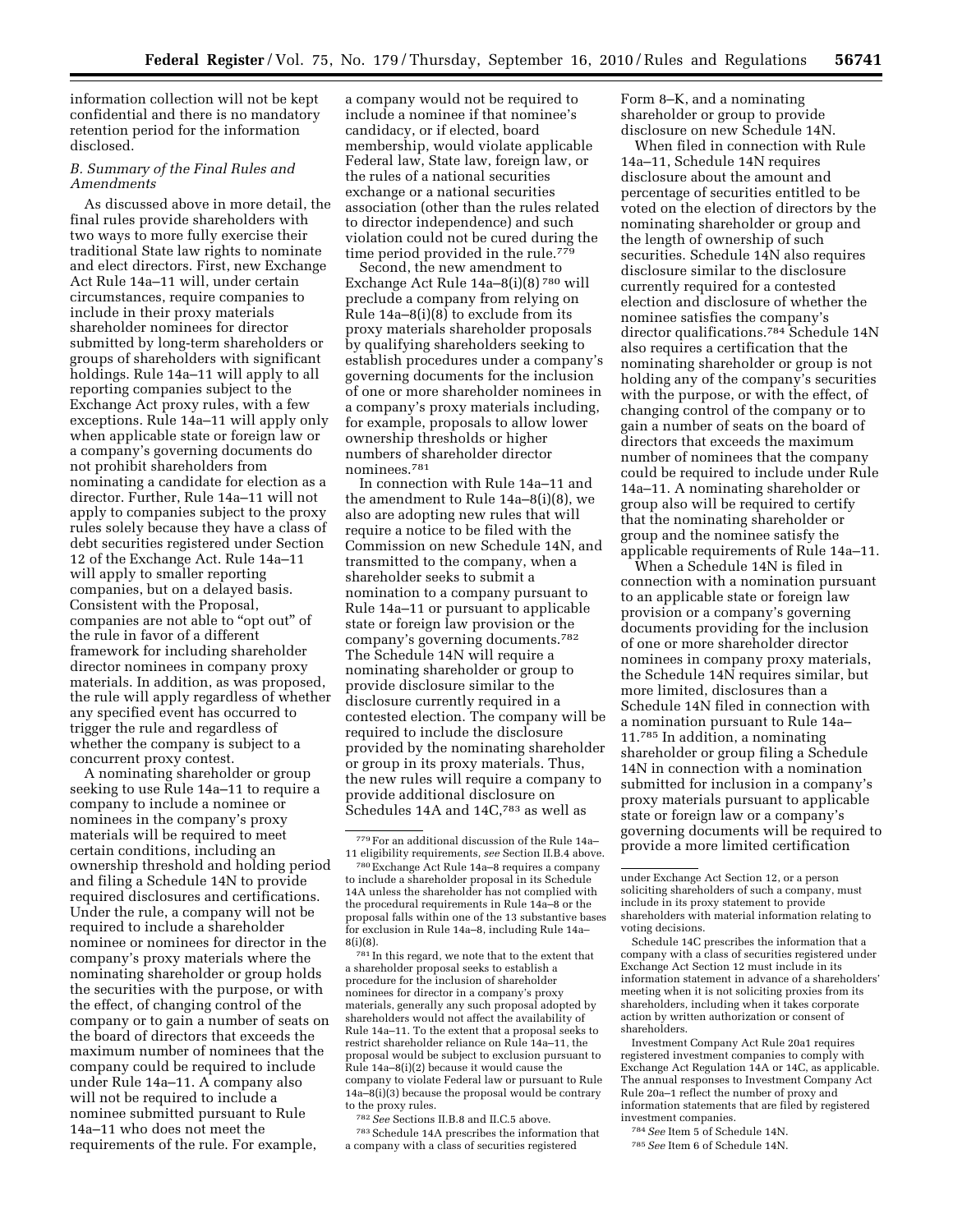information collection will not be kept confidential and there is no mandatory retention period for the information disclosed.

## *B. Summary of the Final Rules and Amendments*

As discussed above in more detail, the final rules provide shareholders with two ways to more fully exercise their traditional State law rights to nominate and elect directors. First, new Exchange Act Rule 14a–11 will, under certain circumstances, require companies to include in their proxy materials shareholder nominees for director submitted by long-term shareholders or groups of shareholders with significant holdings. Rule 14a–11 will apply to all reporting companies subject to the Exchange Act proxy rules, with a few exceptions. Rule 14a–11 will apply only when applicable state or foreign law or a company's governing documents do not prohibit shareholders from nominating a candidate for election as a director. Further, Rule 14a–11 will not apply to companies subject to the proxy rules solely because they have a class of debt securities registered under Section 12 of the Exchange Act. Rule 14a–11 will apply to smaller reporting companies, but on a delayed basis. Consistent with the Proposal, companies are not able to "opt out" of the rule in favor of a different framework for including shareholder director nominees in company proxy materials. In addition, as was proposed, the rule will apply regardless of whether any specified event has occurred to trigger the rule and regardless of whether the company is subject to a concurrent proxy contest.

A nominating shareholder or group seeking to use Rule 14a–11 to require a company to include a nominee or nominees in the company's proxy materials will be required to meet certain conditions, including an ownership threshold and holding period and filing a Schedule 14N to provide required disclosures and certifications. Under the rule, a company will not be required to include a shareholder nominee or nominees for director in the company's proxy materials where the nominating shareholder or group holds the securities with the purpose, or with the effect, of changing control of the company or to gain a number of seats on the board of directors that exceeds the maximum number of nominees that the company could be required to include under Rule 14a–11. A company also will not be required to include a nominee submitted pursuant to Rule 14a–11 who does not meet the requirements of the rule. For example,

a company would not be required to include a nominee if that nominee's candidacy, or if elected, board membership, would violate applicable Federal law, State law, foreign law, or the rules of a national securities exchange or a national securities association (other than the rules related to director independence) and such violation could not be cured during the time period provided in the rule.<sup>779</sup>

Second, the new amendment to Exchange Act Rule 14a–8(i)(8) 780 will preclude a company from relying on Rule 14a–8(i)(8) to exclude from its proxy materials shareholder proposals by qualifying shareholders seeking to establish procedures under a company's governing documents for the inclusion of one or more shareholder nominees in a company's proxy materials including, for example, proposals to allow lower ownership thresholds or higher numbers of shareholder director nominees.781

In connection with Rule 14a–11 and the amendment to Rule 14a–8(i)(8), we also are adopting new rules that will require a notice to be filed with the Commission on new Schedule 14N, and transmitted to the company, when a shareholder seeks to submit a nomination to a company pursuant to Rule 14a–11 or pursuant to applicable state or foreign law provision or the company's governing documents.782 The Schedule 14N will require a nominating shareholder or group to provide disclosure similar to the disclosure currently required in a contested election. The company will be required to include the disclosure provided by the nominating shareholder or group in its proxy materials. Thus, the new rules will require a company to provide additional disclosure on Schedules 14A and 14C,  $^{783}$  as well as

781 In this regard, we note that to the extent that a shareholder proposal seeks to establish a procedure for the inclusion of shareholder nominees for director in a company's proxy materials, generally any such proposal adopted by shareholders would not affect the availability of Rule 14a–11. To the extent that a proposal seeks to restrict shareholder reliance on Rule 14a–11, the proposal would be subject to exclusion pursuant to Rule 14a–8(i)(2) because it would cause the company to violate Federal law or pursuant to Rule 14a–8(i)(3) because the proposal would be contrary to the proxy rules.

782*See* Sections II.B.8 and II.C.5 above.

783Schedule 14A prescribes the information that a company with a class of securities registered

Form 8–K, and a nominating shareholder or group to provide disclosure on new Schedule 14N.

When filed in connection with Rule 14a–11, Schedule 14N requires disclosure about the amount and percentage of securities entitled to be voted on the election of directors by the nominating shareholder or group and the length of ownership of such securities. Schedule 14N also requires disclosure similar to the disclosure currently required for a contested election and disclosure of whether the nominee satisfies the company's director qualifications.784 Schedule 14N also requires a certification that the nominating shareholder or group is not holding any of the company's securities with the purpose, or with the effect, of changing control of the company or to gain a number of seats on the board of directors that exceeds the maximum number of nominees that the company could be required to include under Rule 14a–11. A nominating shareholder or group also will be required to certify that the nominating shareholder or group and the nominee satisfy the applicable requirements of Rule 14a–11.

When a Schedule 14N is filed in connection with a nomination pursuant to an applicable state or foreign law provision or a company's governing documents providing for the inclusion of one or more shareholder director nominees in company proxy materials, the Schedule 14N requires similar, but more limited, disclosures than a Schedule 14N filed in connection with a nomination pursuant to Rule 14a– 11.785 In addition, a nominating shareholder or group filing a Schedule 14N in connection with a nomination submitted for inclusion in a company's proxy materials pursuant to applicable state or foreign law or a company's governing documents will be required to provide a more limited certification

Schedule 14C prescribes the information that a company with a class of securities registered under Exchange Act Section 12 must include in its information statement in advance of a shareholders' meeting when it is not soliciting proxies from its shareholders, including when it takes corporate action by written authorization or consent of shareholders.

Investment Company Act Rule 20a1 requires registered investment companies to comply with Exchange Act Regulation 14A or 14C, as applicable. The annual responses to Investment Company Act Rule 20a–1 reflect the number of proxy and information statements that are filed by registered investment companies.

784*See* Item 5 of Schedule 14N.

785*See* Item 6 of Schedule 14N.

<sup>779</sup>For an additional discussion of the Rule 14a– 11 eligibility requirements, *see* Section II.B.4 above.

<sup>780</sup>Exchange Act Rule 14a–8 requires a company to include a shareholder proposal in its Schedule 14A unless the shareholder has not complied with the procedural requirements in Rule 14a–8 or the proposal falls within one of the 13 substantive bases for exclusion in Rule 14a–8, including Rule 14a– 8(i)(8).

under Exchange Act Section 12, or a person soliciting shareholders of such a company, must include in its proxy statement to provide shareholders with material information relating to voting decisions.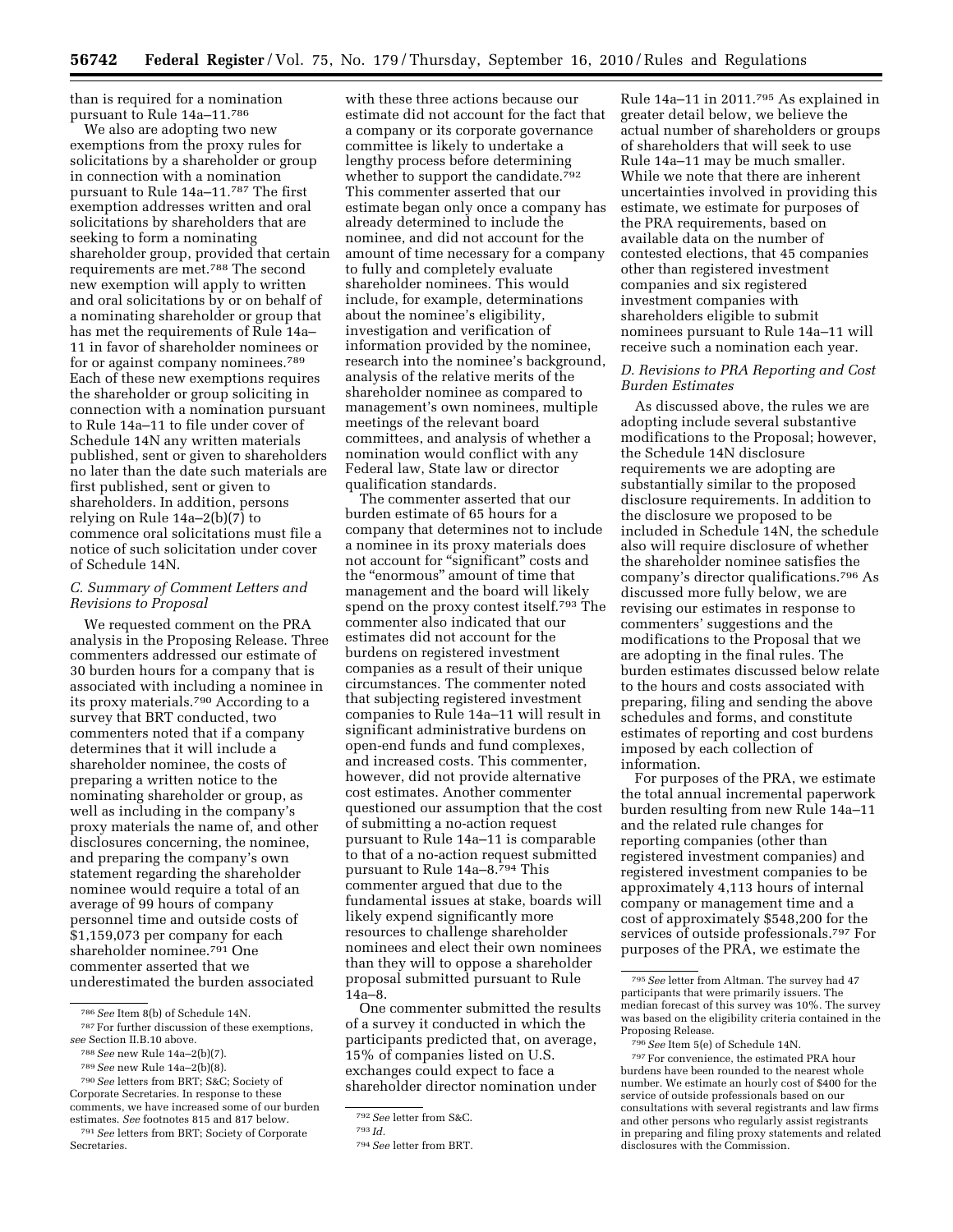than is required for a nomination pursuant to Rule 14a–11.786

We also are adopting two new exemptions from the proxy rules for solicitations by a shareholder or group in connection with a nomination pursuant to Rule 14a–11.787 The first exemption addresses written and oral solicitations by shareholders that are seeking to form a nominating shareholder group, provided that certain requirements are met.788 The second new exemption will apply to written and oral solicitations by or on behalf of a nominating shareholder or group that has met the requirements of Rule 14a– 11 in favor of shareholder nominees or for or against company nominees.789 Each of these new exemptions requires the shareholder or group soliciting in connection with a nomination pursuant to Rule 14a–11 to file under cover of Schedule 14N any written materials published, sent or given to shareholders no later than the date such materials are first published, sent or given to shareholders. In addition, persons relying on Rule 14a–2(b)(7) to commence oral solicitations must file a notice of such solicitation under cover of Schedule 14N.

# *C. Summary of Comment Letters and Revisions to Proposal*

We requested comment on the PRA analysis in the Proposing Release. Three commenters addressed our estimate of 30 burden hours for a company that is associated with including a nominee in its proxy materials.790 According to a survey that BRT conducted, two commenters noted that if a company determines that it will include a shareholder nominee, the costs of preparing a written notice to the nominating shareholder or group, as well as including in the company's proxy materials the name of, and other disclosures concerning, the nominee, and preparing the company's own statement regarding the shareholder nominee would require a total of an average of 99 hours of company personnel time and outside costs of \$1,159,073 per company for each shareholder nominee.<sup>791</sup> One commenter asserted that we underestimated the burden associated

with these three actions because our estimate did not account for the fact that a company or its corporate governance committee is likely to undertake a lengthy process before determining whether to support the candidate.<sup>792</sup> This commenter asserted that our estimate began only once a company has already determined to include the nominee, and did not account for the amount of time necessary for a company to fully and completely evaluate shareholder nominees. This would include, for example, determinations about the nominee's eligibility, investigation and verification of information provided by the nominee, research into the nominee's background, analysis of the relative merits of the shareholder nominee as compared to management's own nominees, multiple meetings of the relevant board committees, and analysis of whether a nomination would conflict with any Federal law, State law or director qualification standards.

The commenter asserted that our burden estimate of 65 hours for a company that determines not to include a nominee in its proxy materials does not account for "significant" costs and the ''enormous'' amount of time that management and the board will likely spend on the proxy contest itself.793 The commenter also indicated that our estimates did not account for the burdens on registered investment companies as a result of their unique circumstances. The commenter noted that subjecting registered investment companies to Rule 14a–11 will result in significant administrative burdens on open-end funds and fund complexes, and increased costs. This commenter, however, did not provide alternative cost estimates. Another commenter questioned our assumption that the cost of submitting a no-action request pursuant to Rule 14a–11 is comparable to that of a no-action request submitted pursuant to Rule 14a–8.794 This commenter argued that due to the fundamental issues at stake, boards will likely expend significantly more resources to challenge shareholder nominees and elect their own nominees than they will to oppose a shareholder proposal submitted pursuant to Rule 14a–8.

One commenter submitted the results of a survey it conducted in which the participants predicted that, on average, 15% of companies listed on U.S. exchanges could expect to face a shareholder director nomination under

Rule 14a–11 in 2011.795 As explained in greater detail below, we believe the actual number of shareholders or groups of shareholders that will seek to use Rule 14a–11 may be much smaller. While we note that there are inherent uncertainties involved in providing this estimate, we estimate for purposes of the PRA requirements, based on available data on the number of contested elections, that 45 companies other than registered investment companies and six registered investment companies with shareholders eligible to submit nominees pursuant to Rule 14a–11 will receive such a nomination each year.

## *D. Revisions to PRA Reporting and Cost Burden Estimates*

As discussed above, the rules we are adopting include several substantive modifications to the Proposal; however, the Schedule 14N disclosure requirements we are adopting are substantially similar to the proposed disclosure requirements. In addition to the disclosure we proposed to be included in Schedule 14N, the schedule also will require disclosure of whether the shareholder nominee satisfies the company's director qualifications.796 As discussed more fully below, we are revising our estimates in response to commenters' suggestions and the modifications to the Proposal that we are adopting in the final rules. The burden estimates discussed below relate to the hours and costs associated with preparing, filing and sending the above schedules and forms, and constitute estimates of reporting and cost burdens imposed by each collection of information.

For purposes of the PRA, we estimate the total annual incremental paperwork burden resulting from new Rule 14a–11 and the related rule changes for reporting companies (other than registered investment companies) and registered investment companies to be approximately 4,113 hours of internal company or management time and a cost of approximately \$548,200 for the services of outside professionals.797 For purposes of the PRA, we estimate the

<sup>786</sup>*See* Item 8(b) of Schedule 14N.

<sup>787</sup>For further discussion of these exemptions, *see* Section II.B.10 above.

<sup>788</sup>*See* new Rule 14a–2(b)(7).

<sup>789</sup>*See* new Rule 14a–2(b)(8).

<sup>790</sup>*See* letters from BRT; S&C; Society of Corporate Secretaries. In response to these comments, we have increased some of our burden estimates. *See* footnotes 815 and 817 below. 791*See* letters from BRT; Society of Corporate Secretaries.

<sup>792</sup>*See* letter from S&C.

<sup>793</sup> *Id.* 

<sup>794</sup>*See* letter from BRT.

<sup>795</sup>*See* letter from Altman. The survey had 47 participants that were primarily issuers. The median forecast of this survey was 10%. The survey was based on the eligibility criteria contained in the Proposing Release.

<sup>796</sup>*See* Item 5(e) of Schedule 14N.

<sup>797</sup>For convenience, the estimated PRA hour burdens have been rounded to the nearest whole number. We estimate an hourly cost of \$400 for the service of outside professionals based on our consultations with several registrants and law firms and other persons who regularly assist registrants in preparing and filing proxy statements and related disclosures with the Commission.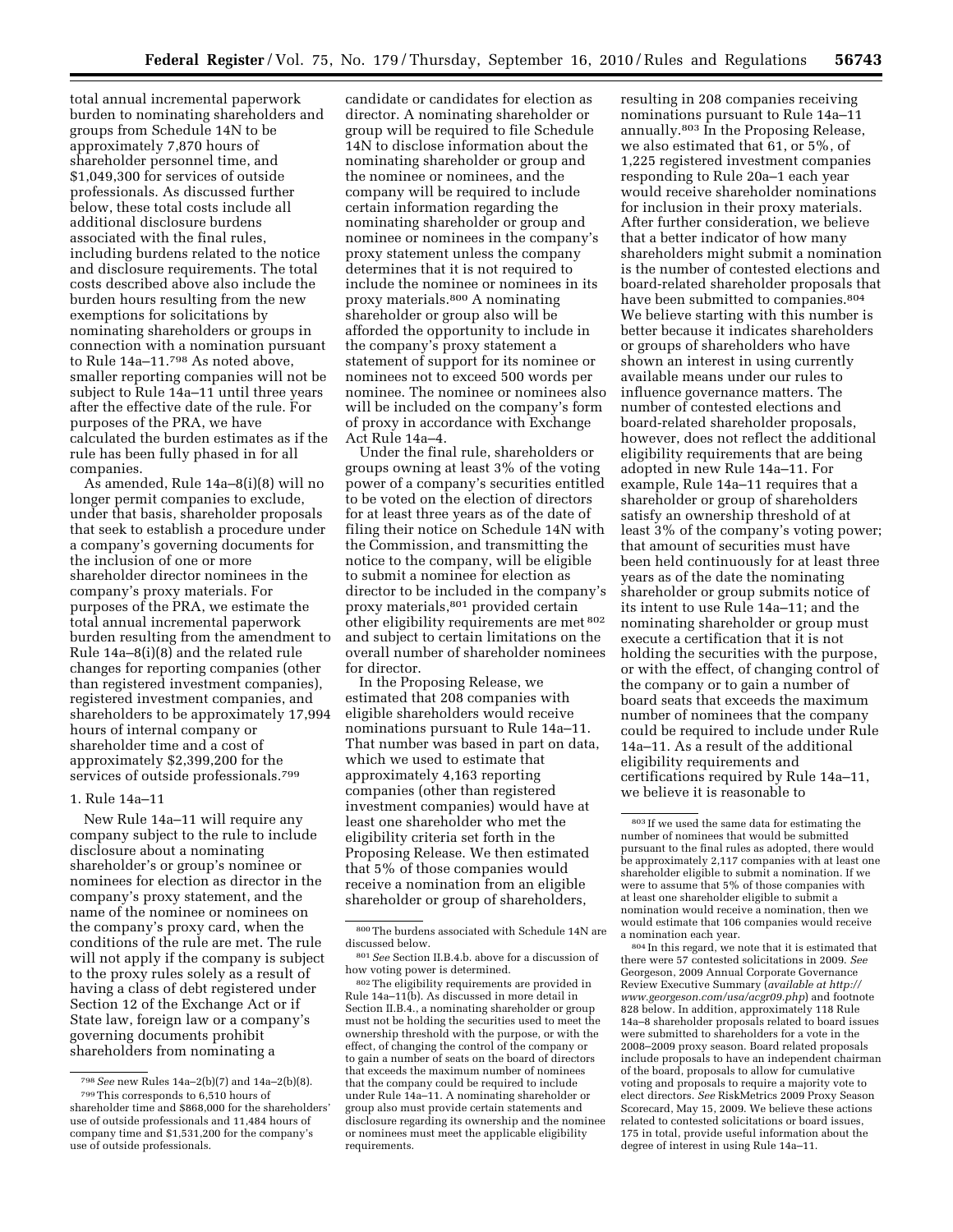total annual incremental paperwork burden to nominating shareholders and groups from Schedule 14N to be approximately 7,870 hours of shareholder personnel time, and \$1,049,300 for services of outside professionals. As discussed further below, these total costs include all additional disclosure burdens associated with the final rules, including burdens related to the notice and disclosure requirements. The total costs described above also include the burden hours resulting from the new exemptions for solicitations by nominating shareholders or groups in connection with a nomination pursuant to Rule 14a–11.798 As noted above, smaller reporting companies will not be subject to Rule 14a–11 until three years after the effective date of the rule. For purposes of the PRA, we have calculated the burden estimates as if the rule has been fully phased in for all companies.

As amended, Rule 14a–8(i)(8) will no longer permit companies to exclude, under that basis, shareholder proposals that seek to establish a procedure under a company's governing documents for the inclusion of one or more shareholder director nominees in the company's proxy materials. For purposes of the PRA, we estimate the total annual incremental paperwork burden resulting from the amendment to Rule 14a–8(i)(8) and the related rule changes for reporting companies (other than registered investment companies), registered investment companies, and shareholders to be approximately 17,994 hours of internal company or shareholder time and a cost of approximately \$2,399,200 for the services of outside professionals.799

#### 1. Rule 14a–11

New Rule 14a–11 will require any company subject to the rule to include disclosure about a nominating shareholder's or group's nominee or nominees for election as director in the company's proxy statement, and the name of the nominee or nominees on the company's proxy card, when the conditions of the rule are met. The rule will not apply if the company is subject to the proxy rules solely as a result of having a class of debt registered under Section 12 of the Exchange Act or if State law, foreign law or a company's governing documents prohibit shareholders from nominating a

candidate or candidates for election as director. A nominating shareholder or group will be required to file Schedule 14N to disclose information about the nominating shareholder or group and the nominee or nominees, and the company will be required to include certain information regarding the nominating shareholder or group and nominee or nominees in the company's proxy statement unless the company determines that it is not required to include the nominee or nominees in its proxy materials.800 A nominating shareholder or group also will be afforded the opportunity to include in the company's proxy statement a statement of support for its nominee or nominees not to exceed 500 words per nominee. The nominee or nominees also will be included on the company's form of proxy in accordance with Exchange Act Rule 14a–4.

Under the final rule, shareholders or groups owning at least 3% of the voting power of a company's securities entitled to be voted on the election of directors for at least three years as of the date of filing their notice on Schedule 14N with the Commission, and transmitting the notice to the company, will be eligible to submit a nominee for election as director to be included in the company's proxy materials,801 provided certain other eligibility requirements are met 802 and subject to certain limitations on the overall number of shareholder nominees for director.

In the Proposing Release, we estimated that 208 companies with eligible shareholders would receive nominations pursuant to Rule 14a–11. That number was based in part on data, which we used to estimate that approximately 4,163 reporting companies (other than registered investment companies) would have at least one shareholder who met the eligibility criteria set forth in the Proposing Release. We then estimated that 5% of those companies would receive a nomination from an eligible shareholder or group of shareholders,

resulting in 208 companies receiving nominations pursuant to Rule 14a–11 annually.803 In the Proposing Release, we also estimated that 61, or 5%, of 1,225 registered investment companies responding to Rule 20a–1 each year would receive shareholder nominations for inclusion in their proxy materials. After further consideration, we believe that a better indicator of how many shareholders might submit a nomination is the number of contested elections and board-related shareholder proposals that have been submitted to companies.<sup>804</sup> We believe starting with this number is better because it indicates shareholders or groups of shareholders who have shown an interest in using currently available means under our rules to influence governance matters. The number of contested elections and board-related shareholder proposals, however, does not reflect the additional eligibility requirements that are being adopted in new Rule 14a–11. For example, Rule 14a–11 requires that a shareholder or group of shareholders satisfy an ownership threshold of at least 3% of the company's voting power; that amount of securities must have been held continuously for at least three years as of the date the nominating shareholder or group submits notice of its intent to use Rule 14a–11; and the nominating shareholder or group must execute a certification that it is not holding the securities with the purpose, or with the effect, of changing control of the company or to gain a number of board seats that exceeds the maximum number of nominees that the company could be required to include under Rule 14a–11. As a result of the additional eligibility requirements and certifications required by Rule 14a–11, we believe it is reasonable to

804 In this regard, we note that it is estimated that there were 57 contested solicitations in 2009. *See*  Georgeson, 2009 Annual Corporate Governance Review Executive Summary (*available at [http://](http://www.georgeson.com/usa/acgr09.php) [www.georgeson.com/usa/acgr09.php](http://www.georgeson.com/usa/acgr09.php)*) and footnote 828 below. In addition, approximately 118 Rule 14a–8 shareholder proposals related to board issues were submitted to shareholders for a vote in the 2008–2009 proxy season. Board related proposals include proposals to have an independent chairman of the board, proposals to allow for cumulative voting and proposals to require a majority vote to elect directors. *See* RiskMetrics 2009 Proxy Season Scorecard, May 15, 2009. We believe these actions related to contested solicitations or board issues, 175 in total, provide useful information about the degree of interest in using Rule 14a–11.

<sup>798</sup>*See* new Rules 14a–2(b)(7) and 14a–2(b)(8). 799This corresponds to 6,510 hours of shareholder time and \$868,000 for the shareholders'

use of outside professionals and 11,484 hours of company time and \$1,531,200 for the company's use of outside professionals.

<sup>800</sup>The burdens associated with Schedule 14N are discussed below.

<sup>801</sup>*See* Section II.B.4.b. above for a discussion of how voting power is determined.

<sup>802</sup>The eligibility requirements are provided in Rule 14a–11(b). As discussed in more detail in Section II.B.4., a nominating shareholder or group must not be holding the securities used to meet the ownership threshold with the purpose, or with the effect, of changing the control of the company or to gain a number of seats on the board of directors that exceeds the maximum number of nominees that the company could be required to include under Rule 14a–11. A nominating shareholder or group also must provide certain statements and disclosure regarding its ownership and the nominee or nominees must meet the applicable eligibility requirements.

<sup>803</sup> If we used the same data for estimating the number of nominees that would be submitted pursuant to the final rules as adopted, there would be approximately 2,117 companies with at least one shareholder eligible to submit a nomination. If we were to assume that 5% of those companies with at least one shareholder eligible to submit a nomination would receive a nomination, then we would estimate that 106 companies would receive a nomination each year.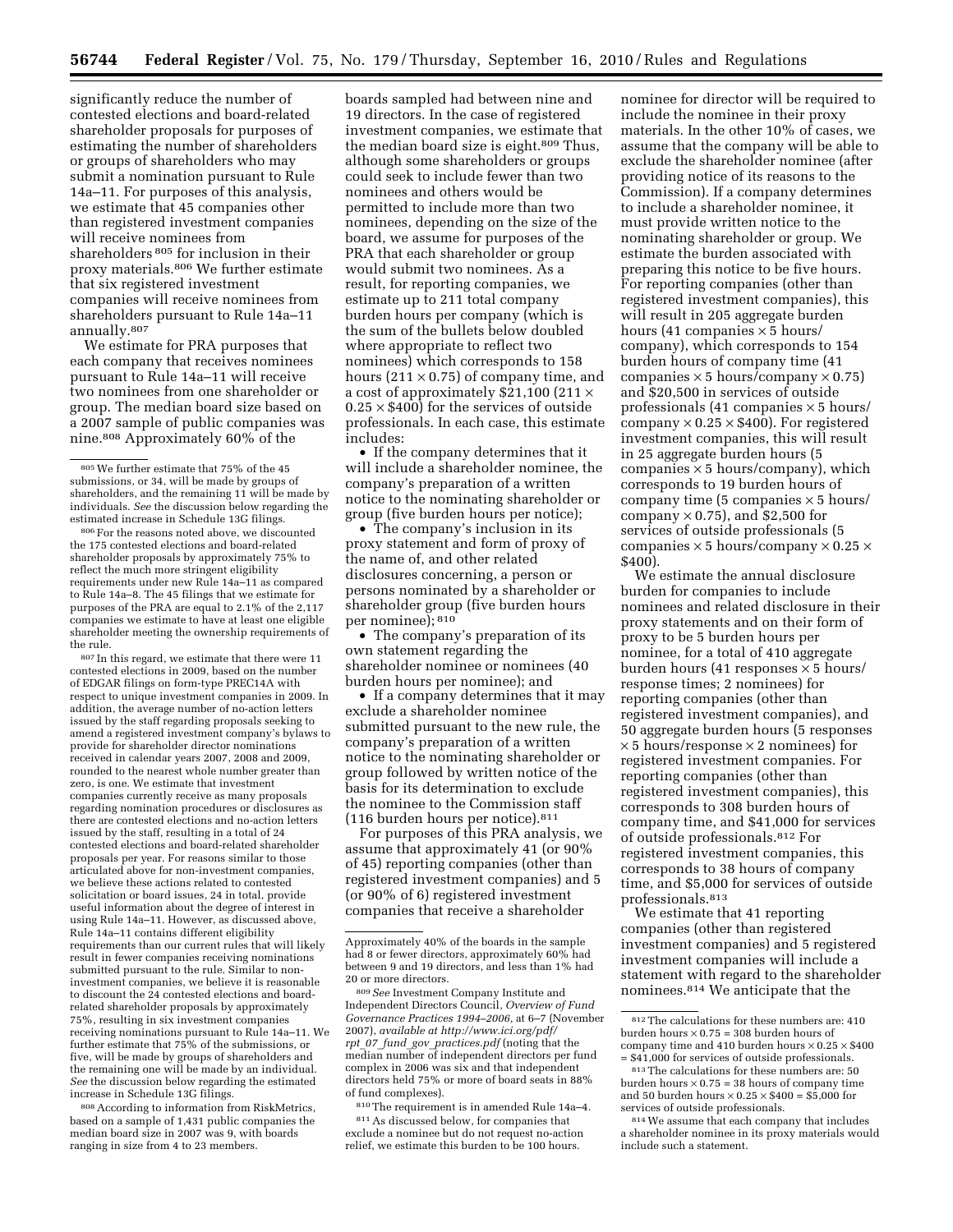significantly reduce the number of contested elections and board-related shareholder proposals for purposes of estimating the number of shareholders or groups of shareholders who may submit a nomination pursuant to Rule 14a–11. For purposes of this analysis, we estimate that 45 companies other than registered investment companies will receive nominees from shareholders 805 for inclusion in their proxy materials.806 We further estimate that six registered investment companies will receive nominees from shareholders pursuant to Rule 14a–11 annually.807

We estimate for PRA purposes that each company that receives nominees pursuant to Rule 14a–11 will receive two nominees from one shareholder or group. The median board size based on a 2007 sample of public companies was nine.808 Approximately 60% of the

806For the reasons noted above, we discounted the 175 contested elections and board-related shareholder proposals by approximately 75% to reflect the much more stringent eligibility requirements under new Rule 14a–11 as compared to Rule 14a–8. The 45 filings that we estimate for purposes of the PRA are equal to 2.1% of the 2,117 companies we estimate to have at least one eligible shareholder meeting the ownership requirements of the rule.

807 In this regard, we estimate that there were 11 contested elections in 2009, based on the number of EDGAR filings on form-type PREC14A with respect to unique investment companies in 2009. In addition, the average number of no-action letters issued by the staff regarding proposals seeking to amend a registered investment company's bylaws to provide for shareholder director nominations received in calendar years 2007, 2008 and 2009, rounded to the nearest whole number greater than zero, is one. We estimate that investment companies currently receive as many proposals regarding nomination procedures or disclosures as there are contested elections and no-action letters issued by the staff, resulting in a total of 24 contested elections and board-related shareholder proposals per year. For reasons similar to those articulated above for non-investment companies, we believe these actions related to contested solicitation or board issues, 24 in total, provide useful information about the degree of interest in using Rule 14a–11. However, as discussed above, Rule 14a–11 contains different eligibility requirements than our current rules that will likely result in fewer companies receiving nominations submitted pursuant to the rule. Similar to noninvestment companies, we believe it is reasonable to discount the 24 contested elections and boardrelated shareholder proposals by approximately 75%, resulting in six investment companies receiving nominations pursuant to Rule 14a–11. We further estimate that 75% of the submissions, or five, will be made by groups of shareholders and the remaining one will be made by an individual. *See* the discussion below regarding the estimated increase in Schedule 13G filings.

808According to information from RiskMetrics, based on a sample of 1,431 public companies the median board size in 2007 was 9, with boards ranging in size from 4 to 23 members.

boards sampled had between nine and 19 directors. In the case of registered investment companies, we estimate that the median board size is eight.809 Thus, although some shareholders or groups could seek to include fewer than two nominees and others would be permitted to include more than two nominees, depending on the size of the board, we assume for purposes of the PRA that each shareholder or group would submit two nominees. As a result, for reporting companies, we estimate up to 211 total company burden hours per company (which is the sum of the bullets below doubled where appropriate to reflect two nominees) which corresponds to 158 hours ( $211 \times 0.75$ ) of company time, and a cost of approximately \$21,100 (211 ×  $0.25 \times $400$  for the services of outside professionals. In each case, this estimate includes:

• If the company determines that it will include a shareholder nominee, the company's preparation of a written notice to the nominating shareholder or group (five burden hours per notice);

• The company's inclusion in its proxy statement and form of proxy of the name of, and other related disclosures concerning, a person or persons nominated by a shareholder or shareholder group (five burden hours per nominee); 810

• The company's preparation of its own statement regarding the shareholder nominee or nominees (40 burden hours per nominee); and

• If a company determines that it may exclude a shareholder nominee submitted pursuant to the new rule, the company's preparation of a written notice to the nominating shareholder or group followed by written notice of the basis for its determination to exclude the nominee to the Commission staff (116 burden hours per notice).811

For purposes of this PRA analysis, we assume that approximately 41 (or 90% of 45) reporting companies (other than registered investment companies) and 5 (or 90% of 6) registered investment companies that receive a shareholder

810The requirement is in amended Rule 14a–4. 811As discussed below, for companies that exclude a nominee but do not request no-action relief, we estimate this burden to be 100 hours.

nominee for director will be required to include the nominee in their proxy materials. In the other 10% of cases, we assume that the company will be able to exclude the shareholder nominee (after providing notice of its reasons to the Commission). If a company determines to include a shareholder nominee, it must provide written notice to the nominating shareholder or group. We estimate the burden associated with preparing this notice to be five hours. For reporting companies (other than registered investment companies), this will result in 205 aggregate burden hours (41 companies  $\times$  5 hours/ company), which corresponds to 154 burden hours of company time (41 companies  $\times$  5 hours/company  $\times$  0.75) and \$20,500 in services of outside professionals (41 companies × 5 hours/ company  $\times$  0.25  $\times$  \$400). For registered investment companies, this will result in 25 aggregate burden hours (5 companies  $\times$  5 hours/company), which corresponds to 19 burden hours of company time (5 companies  $\times$  5 hours/ company  $\times$  0.75), and \$2,500 for services of outside professionals (5 companies  $\times$  5 hours/company  $\times$  0.25  $\times$ \$400).

We estimate the annual disclosure burden for companies to include nominees and related disclosure in their proxy statements and on their form of proxy to be 5 burden hours per nominee, for a total of 410 aggregate burden hours (41 responses  $\times$  5 hours/ response times; 2 nominees) for reporting companies (other than registered investment companies), and 50 aggregate burden hours (5 responses  $\times$  5 hours/response  $\times$  2 nominees) for registered investment companies. For reporting companies (other than registered investment companies), this corresponds to 308 burden hours of company time, and \$41,000 for services of outside professionals.812 For registered investment companies, this corresponds to 38 hours of company time, and \$5,000 for services of outside professionals.813

We estimate that 41 reporting companies (other than registered investment companies) and 5 registered investment companies will include a statement with regard to the shareholder nominees.814 We anticipate that the

<sup>805</sup>We further estimate that 75% of the 45 submissions, or 34, will be made by groups of shareholders, and the remaining 11 will be made by individuals. *See* the discussion below regarding the estimated increase in Schedule 13G filings.

Approximately 40% of the boards in the sample had 8 or fewer directors, approximately 60% had between 9 and 19 directors, and less than 1% had 20 or more directors.

<sup>809</sup>*See* Investment Company Institute and Independent Directors Council, *Overview of Fund Governance Practices 1994–2006,* at 6–7 (November 2007), *available at [http://www.ici.org/pdf/](http://www.ici.org/pdf/rpt_07_fund_gov_practices.pdf)  rpt*\_*07*\_*fund*\_*gov*\_*[practices.pdf](http://www.ici.org/pdf/rpt_07_fund_gov_practices.pdf)* (noting that the median number of independent directors per fund complex in 2006 was six and that independent directors held 75% or more of board seats in 88% of fund complexes).

<sup>812</sup>The calculations for these numbers are: 410 burden hours × 0.75 = 308 burden hours of company time and 410 burden hours  $\times$  0.25  $\times$  \$400 = \$41,000 for services of outside professionals.

<sup>&</sup>lt;sup>813</sup> The calculations for these numbers are: 50 burden hours  $\times$  0.75 = 38 hours of company time and 50 burden hours  $\times$  0.25  $\times$  \$400 = \$5,000 for services of outside professionals.

<sup>814</sup> We assume that each company that includes a shareholder nominee in its proxy materials would include such a statement.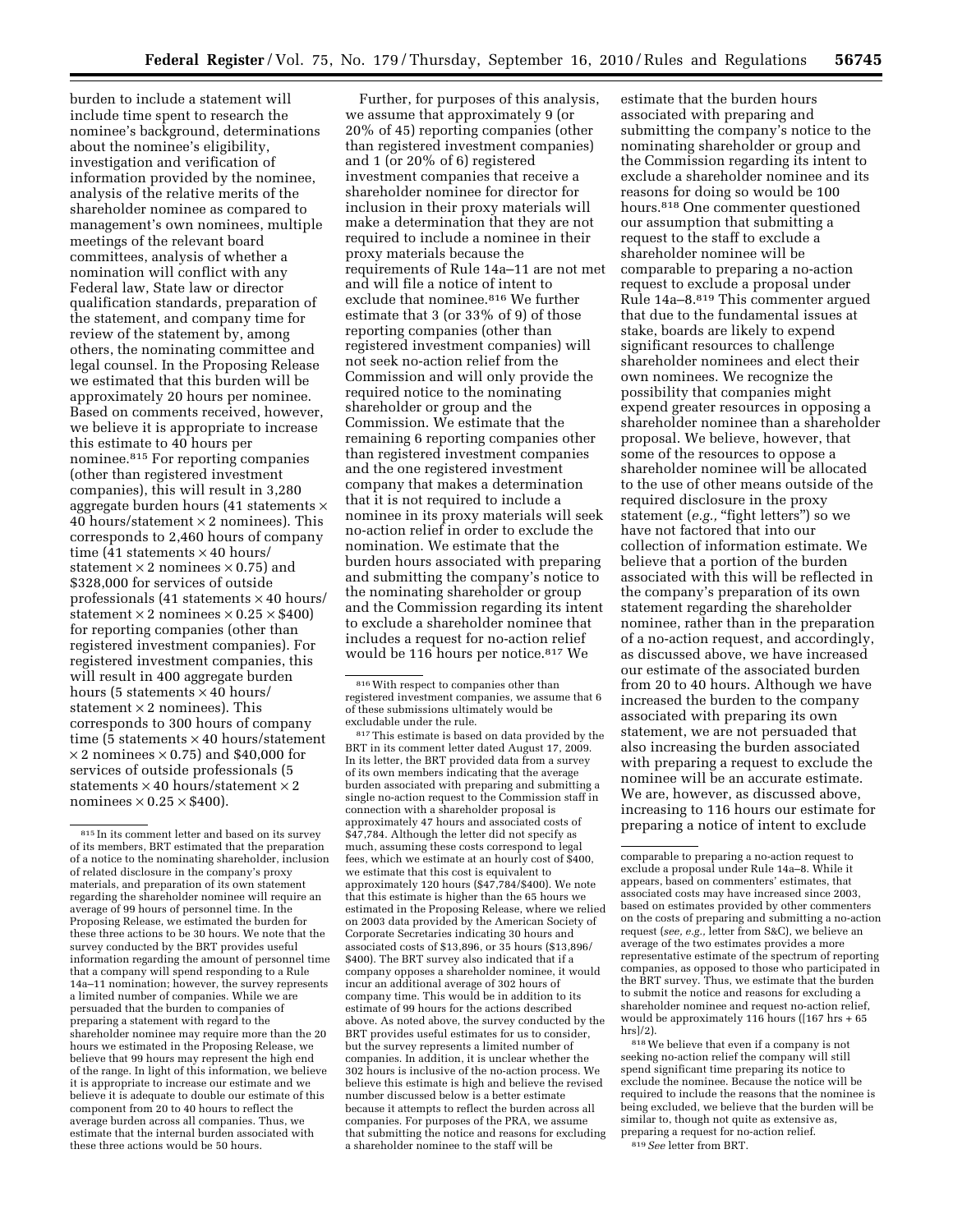burden to include a statement will include time spent to research the nominee's background, determinations about the nominee's eligibility, investigation and verification of information provided by the nominee, analysis of the relative merits of the shareholder nominee as compared to management's own nominees, multiple meetings of the relevant board committees, analysis of whether a nomination will conflict with any Federal law, State law or director qualification standards, preparation of the statement, and company time for review of the statement by, among others, the nominating committee and legal counsel. In the Proposing Release we estimated that this burden will be approximately 20 hours per nominee. Based on comments received, however, we believe it is appropriate to increase this estimate to 40 hours per nominee.815 For reporting companies (other than registered investment companies), this will result in 3,280 aggregate burden hours (41 statements  $\times$ 40 hours/statement  $\times$  2 nominees). This corresponds to 2,460 hours of company time (41 statements × 40 hours/ statement  $\times$  2 nominees  $\times$  0.75) and \$328,000 for services of outside professionals (41 statements × 40 hours/ statement  $\times$  2 nominees  $\times$  0.25  $\times$  \$400) for reporting companies (other than registered investment companies). For registered investment companies, this will result in 400 aggregate burden hours (5 statements  $\times$  40 hours/ statement  $\times$  2 nominees). This corresponds to 300 hours of company time (5 statements × 40 hours/statement  $\times$  2 nominees  $\times$  0.75) and \$40,000 for services of outside professionals (5 statements  $\times$  40 hours/statement  $\times$  2 nominees  $\times$  0.25  $\times$  \$400).

Further, for purposes of this analysis, we assume that approximately 9 (or 20% of 45) reporting companies (other than registered investment companies) and 1 (or 20% of 6) registered investment companies that receive a shareholder nominee for director for inclusion in their proxy materials will make a determination that they are not required to include a nominee in their proxy materials because the requirements of Rule 14a–11 are not met and will file a notice of intent to exclude that nominee.816 We further estimate that 3 (or 33% of 9) of those reporting companies (other than registered investment companies) will not seek no-action relief from the Commission and will only provide the required notice to the nominating shareholder or group and the Commission. We estimate that the remaining 6 reporting companies other than registered investment companies and the one registered investment company that makes a determination that it is not required to include a nominee in its proxy materials will seek no-action relief in order to exclude the nomination. We estimate that the burden hours associated with preparing and submitting the company's notice to the nominating shareholder or group and the Commission regarding its intent to exclude a shareholder nominee that includes a request for no-action relief would be 116 hours per notice.817 We

817This estimate is based on data provided by the BRT in its comment letter dated August 17, 2009. In its letter, the BRT provided data from a survey of its own members indicating that the average burden associated with preparing and submitting a single no-action request to the Commission staff in connection with a shareholder proposal is approximately 47 hours and associated costs of \$47,784. Although the letter did not specify as much, assuming these costs correspond to legal fees, which we estimate at an hourly cost of \$400, we estimate that this cost is equivalent to approximately 120 hours (\$47,784/\$400). We note that this estimate is higher than the 65 hours we estimated in the Proposing Release, where we relied on 2003 data provided by the American Society of Corporate Secretaries indicating 30 hours and associated costs of \$13,896, or 35 hours (\$13,896/ \$400). The BRT survey also indicated that if a company opposes a shareholder nominee, it would incur an additional average of 302 hours of company time. This would be in addition to its estimate of 99 hours for the actions described above. As noted above, the survey conducted by the BRT provides useful estimates for us to consider but the survey represents a limited number of companies. In addition, it is unclear whether the 302 hours is inclusive of the no-action process. We believe this estimate is high and believe the revised number discussed below is a better estimate because it attempts to reflect the burden across all companies. For purposes of the PRA, we assume that submitting the notice and reasons for excluding a shareholder nominee to the staff will be

estimate that the burden hours associated with preparing and submitting the company's notice to the nominating shareholder or group and the Commission regarding its intent to exclude a shareholder nominee and its reasons for doing so would be 100 hours.818 One commenter questioned our assumption that submitting a request to the staff to exclude a shareholder nominee will be comparable to preparing a no-action request to exclude a proposal under Rule 14a–8.819 This commenter argued that due to the fundamental issues at stake, boards are likely to expend significant resources to challenge shareholder nominees and elect their own nominees. We recognize the possibility that companies might expend greater resources in opposing a shareholder nominee than a shareholder proposal. We believe, however, that some of the resources to oppose a shareholder nominee will be allocated to the use of other means outside of the required disclosure in the proxy statement (e.g., "fight letters") so we have not factored that into our collection of information estimate. We believe that a portion of the burden associated with this will be reflected in the company's preparation of its own statement regarding the shareholder nominee, rather than in the preparation of a no-action request, and accordingly, as discussed above, we have increased our estimate of the associated burden from 20 to 40 hours. Although we have increased the burden to the company associated with preparing its own statement, we are not persuaded that also increasing the burden associated with preparing a request to exclude the nominee will be an accurate estimate. We are, however, as discussed above, increasing to 116 hours our estimate for preparing a notice of intent to exclude

818We believe that even if a company is not seeking no-action relief the company will still spend significant time preparing its notice to exclude the nominee. Because the notice will be required to include the reasons that the nominee is being excluded, we believe that the burden will be similar to, though not quite as extensive as, preparing a request for no-action relief. 819*See* letter from BRT.

<sup>815</sup> In its comment letter and based on its survey of its members, BRT estimated that the preparation of a notice to the nominating shareholder, inclusion of related disclosure in the company's proxy materials, and preparation of its own statement regarding the shareholder nominee will require an average of 99 hours of personnel time. In the Proposing Release, we estimated the burden for these three actions to be 30 hours. We note that the survey conducted by the BRT provides useful information regarding the amount of personnel time that a company will spend responding to a Rule 14a–11 nomination; however, the survey represents a limited number of companies. While we are persuaded that the burden to companies of preparing a statement with regard to the shareholder nominee may require more than the 20 hours we estimated in the Proposing Release, we believe that 99 hours may represent the high end of the range. In light of this information, we believe it is appropriate to increase our estimate and we believe it is adequate to double our estimate of this component from 20 to 40 hours to reflect the average burden across all companies. Thus, we estimate that the internal burden associated with these three actions would be 50 hours.

<sup>816</sup>With respect to companies other than registered investment companies, we assume that 6 of these submissions ultimately would be excludable under the rule.

comparable to preparing a no-action request to exclude a proposal under Rule 14a–8. While it appears, based on commenters' estimates, that associated costs may have increased since 2003, based on estimates provided by other commenters on the costs of preparing and submitting a no-action request (*see, e.g.,* letter from S&C), we believe an average of the two estimates provides a more representative estimate of the spectrum of reporting companies, as opposed to those who participated in the BRT survey. Thus, we estimate that the burden to submit the notice and reasons for excluding a shareholder nominee and request no-action relief, would be approximately 116 hours ([167 hrs + 65 hrs]/2).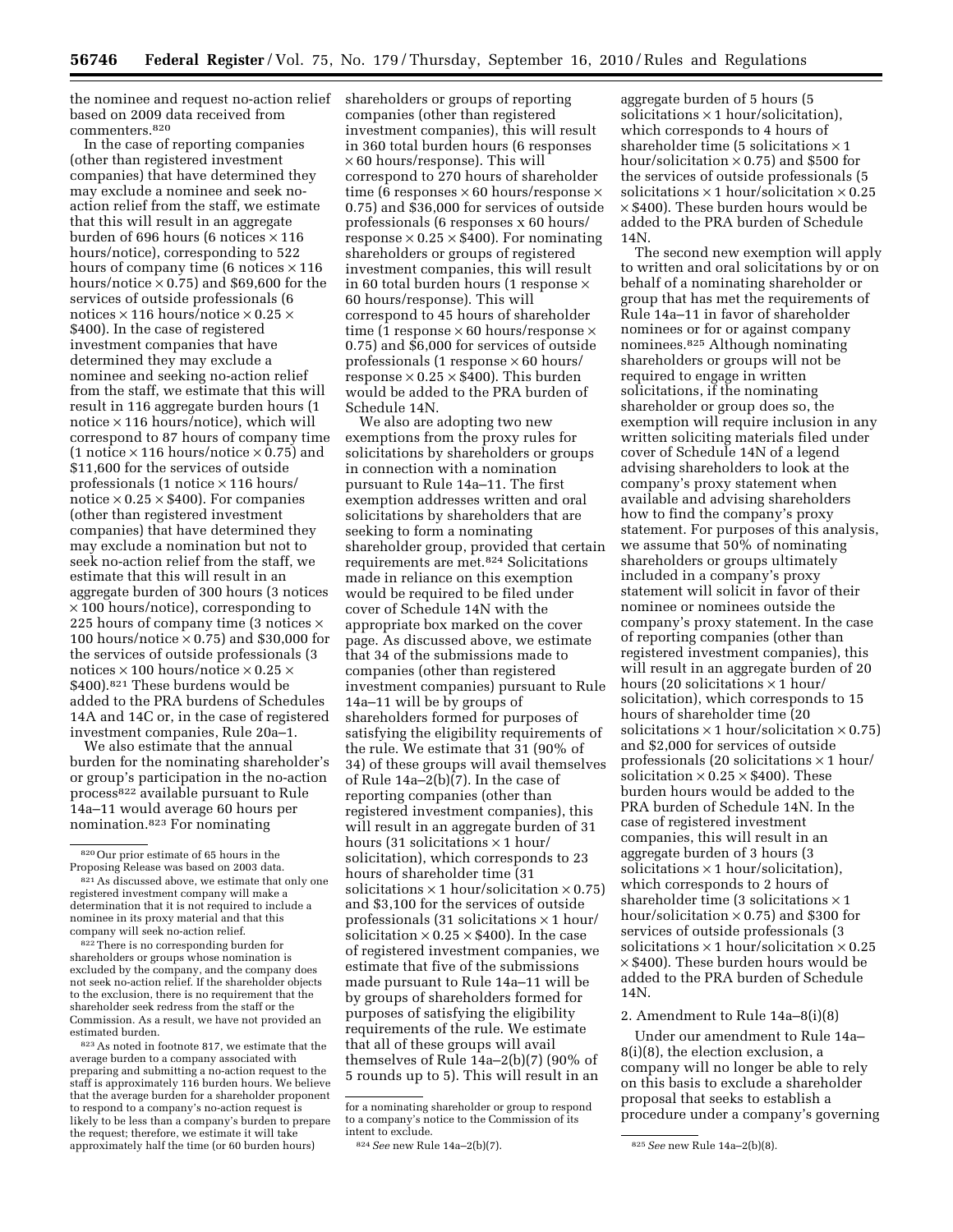the nominee and request no-action relief based on 2009 data received from commenters.820

In the case of reporting companies (other than registered investment companies) that have determined they may exclude a nominee and seek noaction relief from the staff, we estimate that this will result in an aggregate burden of 696 hours (6 notices  $\times$  116 hours/notice), corresponding to 522 hours of company time (6 notices  $\times$  116 hours/notice  $\times$  0.75) and \$69,600 for the services of outside professionals (6 notices  $\times$  116 hours/notice  $\times$  0.25  $\times$ \$400). In the case of registered investment companies that have determined they may exclude a nominee and seeking no-action relief from the staff, we estimate that this will result in 116 aggregate burden hours (1 notice  $\times$  116 hours/notice), which will correspond to 87 hours of company time (1 notice  $\times$  116 hours/notice  $\times$  0.75) and \$11,600 for the services of outside professionals (1 notice  $\times$  116 hours/ notice  $\times$  0.25  $\times$  \$400). For companies (other than registered investment companies) that have determined they may exclude a nomination but not to seek no-action relief from the staff, we estimate that this will result in an aggregate burden of 300 hours (3 notices × 100 hours/notice), corresponding to 225 hours of company time (3 notices × 100 hours/notice  $\times$  0.75) and \$30,000 for the services of outside professionals (3 notices  $\times$  100 hours/notice  $\times$  0.25  $\times$ \$400).821 These burdens would be added to the PRA burdens of Schedules 14A and 14C or, in the case of registered investment companies, Rule 20a–1.

We also estimate that the annual burden for the nominating shareholder's or group's participation in the no-action process822 available pursuant to Rule 14a–11 would average 60 hours per nomination.823 For nominating

822There is no corresponding burden for shareholders or groups whose nomination is excluded by the company, and the company does not seek no-action relief. If the shareholder objects to the exclusion, there is no requirement that the shareholder seek redress from the staff or the Commission. As a result, we have not provided an estimated burden.

823As noted in footnote 817, we estimate that the average burden to a company associated with preparing and submitting a no-action request to the staff is approximately 116 burden hours. We believe that the average burden for a shareholder proponent to respond to a company's no-action request is likely to be less than a company's burden to prepare the request; therefore, we estimate it will take approximately half the time (or 60 burden hours)

shareholders or groups of reporting companies (other than registered investment companies), this will result in 360 total burden hours (6 responses × 60 hours/response). This will correspond to 270 hours of shareholder time (6 responses  $\times$  60 hours/response  $\times$ 0.75) and \$36,000 for services of outside professionals (6 responses x 60 hours/ response  $\times$  0.25  $\times$  \$400). For nominating shareholders or groups of registered investment companies, this will result in 60 total burden hours (1 response × 60 hours/response). This will correspond to 45 hours of shareholder time (1 response × 60 hours/response × 0.75) and \$6,000 for services of outside professionals (1 response × 60 hours/ response  $\times$  0.25  $\times$  \$400). This burden would be added to the PRA burden of Schedule 14N.

We also are adopting two new exemptions from the proxy rules for solicitations by shareholders or groups in connection with a nomination pursuant to Rule 14a–11. The first exemption addresses written and oral solicitations by shareholders that are seeking to form a nominating shareholder group, provided that certain requirements are met.824 Solicitations made in reliance on this exemption would be required to be filed under cover of Schedule 14N with the appropriate box marked on the cover page. As discussed above, we estimate that 34 of the submissions made to companies (other than registered investment companies) pursuant to Rule 14a–11 will be by groups of shareholders formed for purposes of satisfying the eligibility requirements of the rule. We estimate that 31 (90% of 34) of these groups will avail themselves of Rule 14a–2(b)(7). In the case of reporting companies (other than registered investment companies), this will result in an aggregate burden of 31 hours (31 solicitations  $\times$  1 hour/ solicitation), which corresponds to 23 hours of shareholder time (31 solicitations  $\times$  1 hour/solicitation  $\times$  0.75) and \$3,100 for the services of outside professionals (31 solicitations  $\times$  1 hour/ solicitation  $\times$  0.25  $\times$  \$400). In the case of registered investment companies, we estimate that five of the submissions made pursuant to Rule 14a–11 will be by groups of shareholders formed for purposes of satisfying the eligibility requirements of the rule. We estimate that all of these groups will avail themselves of Rule 14a–2(b)(7) (90% of 5 rounds up to 5). This will result in an

aggregate burden of 5 hours (5 solicitations  $\times$  1 hour/solicitation), which corresponds to 4 hours of shareholder time (5 solicitations  $\times$  1 hour/solicitation  $\times$  0.75) and \$500 for the services of outside professionals (5 solicitations  $\times$  1 hour/solicitation  $\times$  0.25 × \$400). These burden hours would be added to the PRA burden of Schedule 14N.

The second new exemption will apply to written and oral solicitations by or on behalf of a nominating shareholder or group that has met the requirements of Rule 14a–11 in favor of shareholder nominees or for or against company nominees.825 Although nominating shareholders or groups will not be required to engage in written solicitations, if the nominating shareholder or group does so, the exemption will require inclusion in any written soliciting materials filed under cover of Schedule 14N of a legend advising shareholders to look at the company's proxy statement when available and advising shareholders how to find the company's proxy statement. For purposes of this analysis, we assume that 50% of nominating shareholders or groups ultimately included in a company's proxy statement will solicit in favor of their nominee or nominees outside the company's proxy statement. In the case of reporting companies (other than registered investment companies), this will result in an aggregate burden of 20 hours (20 solicitations  $\times$  1 hour/ solicitation), which corresponds to 15 hours of shareholder time (20 solicitations  $\times$  1 hour/solicitation  $\times$  0.75) and \$2,000 for services of outside professionals (20 solicitations × 1 hour/ solicitation  $\times$  0.25  $\times$  \$400). These burden hours would be added to the PRA burden of Schedule 14N. In the case of registered investment companies, this will result in an aggregate burden of 3 hours (3 solicitations  $\times$  1 hour/solicitation), which corresponds to 2 hours of shareholder time (3 solicitations  $\times$  1 hour/solicitation  $\times$  0.75) and \$300 for services of outside professionals (3 solicitations  $\times$  1 hour/solicitation  $\times$  0.25 × \$400). These burden hours would be added to the PRA burden of Schedule 14N.

### 2. Amendment to Rule 14a–8(i)(8)

Under our amendment to Rule 14a– 8(i)(8), the election exclusion, a company will no longer be able to rely on this basis to exclude a shareholder proposal that seeks to establish a procedure under a company's governing

<sup>820</sup>Our prior estimate of 65 hours in the Proposing Release was based on 2003 data.

<sup>821</sup>As discussed above, we estimate that only one registered investment company will make a determination that it is not required to include a nominee in its proxy material and that this company will seek no-action relief.

for a nominating shareholder or group to respond to a company's notice to the Commission of its intent to exclude.

<sup>824</sup>*See* new Rule 14a–2(b)(7). 825*See* new Rule 14a–2(b)(8).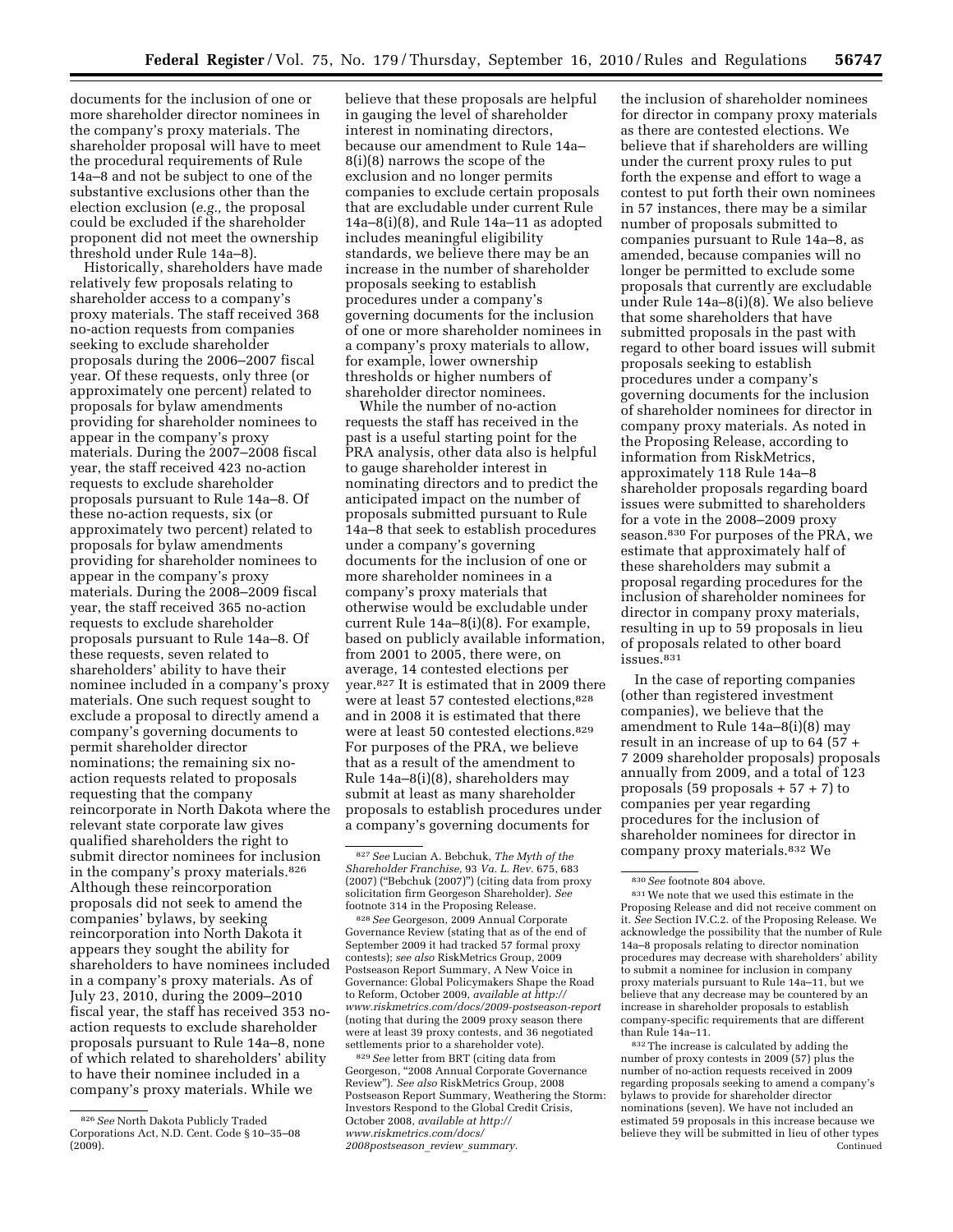documents for the inclusion of one or more shareholder director nominees in the company's proxy materials. The shareholder proposal will have to meet the procedural requirements of Rule 14a–8 and not be subject to one of the substantive exclusions other than the election exclusion (*e.g.,* the proposal could be excluded if the shareholder proponent did not meet the ownership threshold under Rule 14a–8).

Historically, shareholders have made relatively few proposals relating to shareholder access to a company's proxy materials. The staff received 368 no-action requests from companies seeking to exclude shareholder proposals during the 2006–2007 fiscal year. Of these requests, only three (or approximately one percent) related to proposals for bylaw amendments providing for shareholder nominees to appear in the company's proxy materials. During the 2007–2008 fiscal year, the staff received 423 no-action requests to exclude shareholder proposals pursuant to Rule 14a–8. Of these no-action requests, six (or approximately two percent) related to proposals for bylaw amendments providing for shareholder nominees to appear in the company's proxy materials. During the 2008–2009 fiscal year, the staff received 365 no-action requests to exclude shareholder proposals pursuant to Rule 14a–8. Of these requests, seven related to shareholders' ability to have their nominee included in a company's proxy materials. One such request sought to exclude a proposal to directly amend a company's governing documents to permit shareholder director nominations; the remaining six noaction requests related to proposals requesting that the company reincorporate in North Dakota where the relevant state corporate law gives qualified shareholders the right to submit director nominees for inclusion in the company's proxy materials.<sup>826</sup> Although these reincorporation proposals did not seek to amend the companies' bylaws, by seeking reincorporation into North Dakota it appears they sought the ability for shareholders to have nominees included in a company's proxy materials. As of July 23, 2010, during the 2009–2010 fiscal year, the staff has received 353 noaction requests to exclude shareholder proposals pursuant to Rule 14a–8, none of which related to shareholders' ability to have their nominee included in a company's proxy materials. While we

believe that these proposals are helpful in gauging the level of shareholder interest in nominating directors, because our amendment to Rule 14a– 8(i)(8) narrows the scope of the exclusion and no longer permits companies to exclude certain proposals that are excludable under current Rule 14a–8(i)(8), and Rule 14a–11 as adopted includes meaningful eligibility standards, we believe there may be an increase in the number of shareholder proposals seeking to establish procedures under a company's governing documents for the inclusion of one or more shareholder nominees in a company's proxy materials to allow, for example, lower ownership thresholds or higher numbers of shareholder director nominees.

While the number of no-action requests the staff has received in the past is a useful starting point for the PRA analysis, other data also is helpful to gauge shareholder interest in nominating directors and to predict the anticipated impact on the number of proposals submitted pursuant to Rule 14a–8 that seek to establish procedures under a company's governing documents for the inclusion of one or more shareholder nominees in a company's proxy materials that otherwise would be excludable under current Rule 14a–8(i)(8). For example, based on publicly available information, from 2001 to 2005, there were, on average, 14 contested elections per year.827 It is estimated that in 2009 there were at least 57 contested elections,828 and in 2008 it is estimated that there were at least 50 contested elections.829 For purposes of the PRA, we believe that as a result of the amendment to Rule 14a–8(i)(8), shareholders may submit at least as many shareholder proposals to establish procedures under a company's governing documents for

828*See* Georgeson, 2009 Annual Corporate Governance Review (stating that as of the end of September 2009 it had tracked 57 formal proxy contests); *see also* RiskMetrics Group, 2009 Postseason Report Summary, A New Voice in Governance: Global Policymakers Shape the Road to Reform, October 2009, *available at [http://](http://www.riskmetrics.com/docs/2009-postseason-report) [www.riskmetrics.com/docs/2009-postseason-report](http://www.riskmetrics.com/docs/2009-postseason-report)*  (noting that during the 2009 proxy season there were at least 39 proxy contests, and 36 negotiated settlements prior to a shareholder vote).

829*See* letter from BRT (citing data from Georgeson, ''2008 Annual Corporate Governance Review''). *See also* RiskMetrics Group, 2008 Postseason Report Summary, Weathering the Storm: Investors Respond to the Global Credit Crisis, October 2008, *available at [http://](http://www.riskmetrics.com/docs/2008postseason_review_summary)  [www.riskmetrics.com/docs/](http://www.riskmetrics.com/docs/2008postseason_review_summary) [2008postseason](http://www.riskmetrics.com/docs/2008postseason_review_summary)*\_*review*\_*summary.* 

the inclusion of shareholder nominees for director in company proxy materials as there are contested elections. We believe that if shareholders are willing under the current proxy rules to put forth the expense and effort to wage a contest to put forth their own nominees in 57 instances, there may be a similar number of proposals submitted to companies pursuant to Rule 14a–8, as amended, because companies will no longer be permitted to exclude some proposals that currently are excludable under Rule 14a–8(i)(8). We also believe that some shareholders that have submitted proposals in the past with regard to other board issues will submit proposals seeking to establish procedures under a company's governing documents for the inclusion of shareholder nominees for director in company proxy materials. As noted in the Proposing Release, according to information from RiskMetrics, approximately 118 Rule 14a–8 shareholder proposals regarding board issues were submitted to shareholders for a vote in the 2008–2009 proxy season.830 For purposes of the PRA, we estimate that approximately half of these shareholders may submit a proposal regarding procedures for the inclusion of shareholder nominees for director in company proxy materials, resulting in up to 59 proposals in lieu of proposals related to other board issues.<sup>831</sup>

In the case of reporting companies (other than registered investment companies), we believe that the amendment to Rule 14a–8(i)(8) may result in an increase of up to 64 (57 + 7 2009 shareholder proposals) proposals annually from 2009, and a total of 123 proposals  $(59$  proposals  $+ 57 + 7$ ) to companies per year regarding procedures for the inclusion of shareholder nominees for director in company proxy materials.832 We

832The increase is calculated by adding the number of proxy contests in 2009 (57) plus the number of no-action requests received in 2009 regarding proposals seeking to amend a company's bylaws to provide for shareholder director nominations (seven). We have not included an estimated 59 proposals in this increase because we believe they will be submitted in lieu of other types Continued

<sup>826</sup>*See* North Dakota Publicly Traded Corporations Act, N.D. Cent. Code § 10–35–08  $(2009)$ .

<sup>827</sup>*See* Lucian A. Bebchuk, *The Myth of the Shareholder Franchise,* 93 *Va. L. Rev.* 675, 683 (2007) (''Bebchuk (2007)'') (citing data from proxy solicitation firm Georgeson Shareholder). *See*  footnote 314 in the Proposing Release.

<sup>830</sup>*See* footnote 804 above.

<sup>831</sup>We note that we used this estimate in the Proposing Release and did not receive comment on it. *See* Section IV.C.2. of the Proposing Release. We acknowledge the possibility that the number of Rule 14a–8 proposals relating to director nomination procedures may decrease with shareholders' ability to submit a nominee for inclusion in company proxy materials pursuant to Rule 14a–11, but we believe that any decrease may be countered by an increase in shareholder proposals to establish company-specific requirements that are different than Rule 14a–11.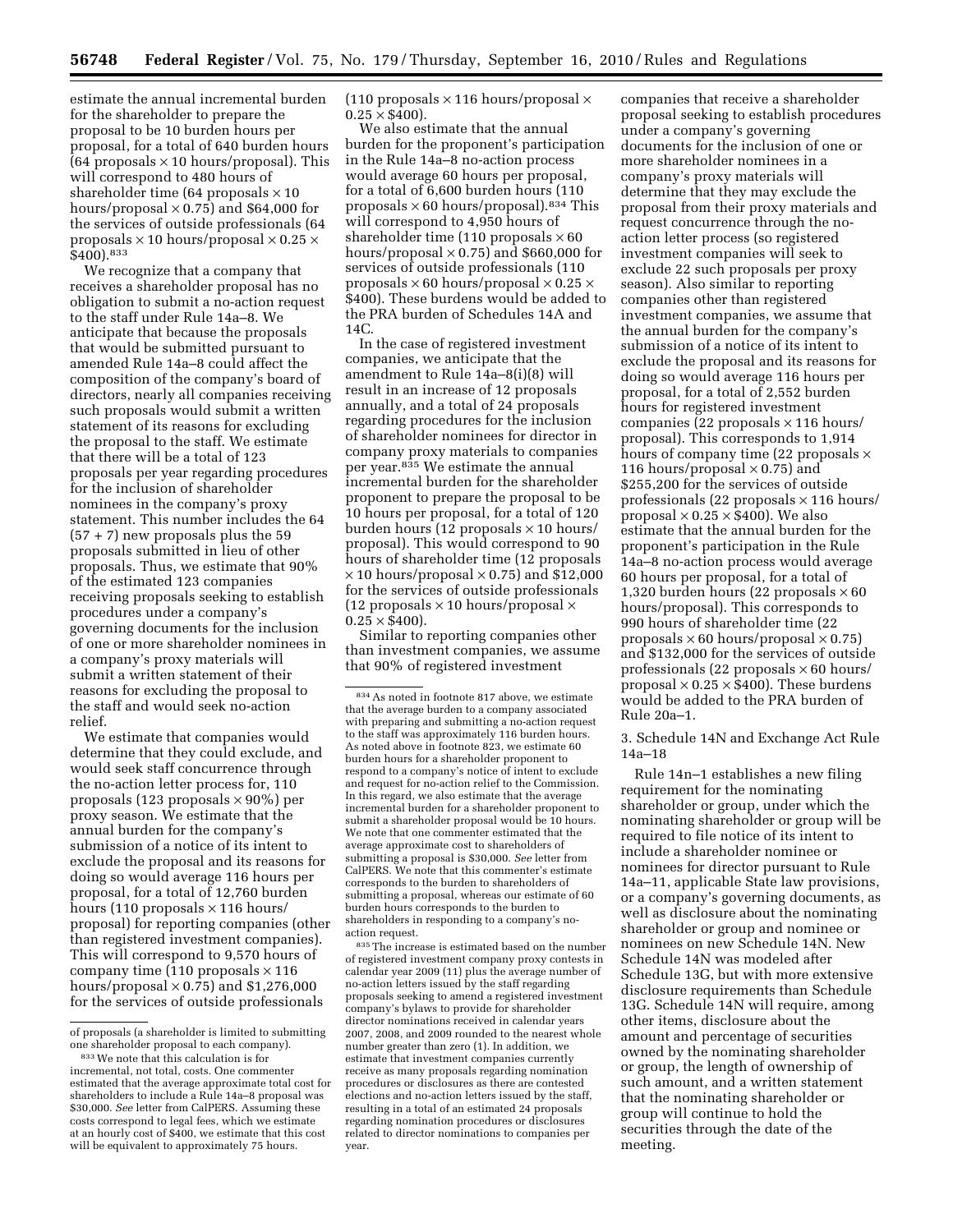estimate the annual incremental burden for the shareholder to prepare the proposal to be 10 burden hours per proposal, for a total of 640 burden hours  $(64$  proposals  $\times$  10 hours/proposal). This will correspond to 480 hours of shareholder time (64 proposals  $\times$  10 hours/proposal  $\times$  0.75) and \$64,000 for the services of outside professionals (64 proposals  $\times$  10 hours/proposal  $\times$  0.25  $\times$ \$400).833

We recognize that a company that receives a shareholder proposal has no obligation to submit a no-action request to the staff under Rule 14a–8. We anticipate that because the proposals that would be submitted pursuant to amended Rule 14a–8 could affect the composition of the company's board of directors, nearly all companies receiving such proposals would submit a written statement of its reasons for excluding the proposal to the staff. We estimate that there will be a total of 123 proposals per year regarding procedures for the inclusion of shareholder nominees in the company's proxy statement. This number includes the 64 (57 + 7) new proposals plus the 59 proposals submitted in lieu of other proposals. Thus, we estimate that 90% of the estimated 123 companies receiving proposals seeking to establish procedures under a company's governing documents for the inclusion of one or more shareholder nominees in a company's proxy materials will submit a written statement of their reasons for excluding the proposal to the staff and would seek no-action relief.

We estimate that companies would determine that they could exclude, and would seek staff concurrence through the no-action letter process for, 110 proposals (123 proposals  $\times$  90%) per proxy season. We estimate that the annual burden for the company's submission of a notice of its intent to exclude the proposal and its reasons for doing so would average 116 hours per proposal, for a total of 12,760 burden hours (110 proposals  $\times$  116 hours/ proposal) for reporting companies (other than registered investment companies). This will correspond to 9,570 hours of company time (110 proposals  $\times$  116 hours/proposal  $\times$  0.75) and \$1,276,000 for the services of outside professionals

(110 proposals  $\times$  116 hours/proposal  $\times$  $0.25 \times $400$ .

We also estimate that the annual burden for the proponent's participation in the Rule 14a–8 no-action process would average 60 hours per proposal, for a total of 6,600 burden hours (110 proposals  $\times$  60 hours/proposal).<sup>834</sup> This will correspond to 4,950 hours of shareholder time (110 proposals  $\times$  60 hours/proposal  $\times$  0.75) and \$660,000 for services of outside professionals (110 proposals  $\times$  60 hours/proposal  $\times$  0.25  $\times$ \$400). These burdens would be added to the PRA burden of Schedules 14A and 14C.

In the case of registered investment companies, we anticipate that the amendment to Rule 14a–8(i)(8) will result in an increase of 12 proposals annually, and a total of 24 proposals regarding procedures for the inclusion of shareholder nominees for director in company proxy materials to companies per year.835 We estimate the annual incremental burden for the shareholder proponent to prepare the proposal to be 10 hours per proposal, for a total of 120 burden hours (12 proposals  $\times$  10 hours/ proposal). This would correspond to 90 hours of shareholder time (12 proposals  $\times$  10 hours/proposal  $\times$  0.75) and \$12,000 for the services of outside professionals (12 proposals  $\times$  10 hours/proposal  $\times$  $0.25 \times $400$ 

Similar to reporting companies other than investment companies, we assume that 90% of registered investment

834As noted in footnote 817 above, we estimate that the average burden to a company associated with preparing and submitting a no-action request to the staff was approximately 116 burden hours. As noted above in footnote 823, we estimate 60 burden hours for a shareholder proponent to respond to a company's notice of intent to exclude and request for no-action relief to the Commission. In this regard, we also estimate that the average incremental burden for a shareholder proponent to submit a shareholder proposal would be 10 hours. We note that one commenter estimated that the average approximate cost to shareholders of submitting a proposal is \$30,000. *See* letter from CalPERS. We note that this commenter's estimate corresponds to the burden to shareholders of submitting a proposal, whereas our estimate of 60 burden hours corresponds to the burden to shareholders in responding to a company's noaction request.

835The increase is estimated based on the number of registered investment company proxy contests in calendar year 2009 (11) plus the average number of no-action letters issued by the staff regarding proposals seeking to amend a registered investment company's bylaws to provide for shareholder director nominations received in calendar years 2007, 2008, and 2009 rounded to the nearest whole number greater than zero (1). In addition, we estimate that investment companies currently receive as many proposals regarding nomination procedures or disclosures as there are contested elections and no-action letters issued by the staff, resulting in a total of an estimated 24 proposals regarding nomination procedures or disclosures related to director nominations to companies per year.

companies that receive a shareholder proposal seeking to establish procedures under a company's governing documents for the inclusion of one or more shareholder nominees in a company's proxy materials will determine that they may exclude the proposal from their proxy materials and request concurrence through the noaction letter process (so registered investment companies will seek to exclude 22 such proposals per proxy season). Also similar to reporting companies other than registered investment companies, we assume that the annual burden for the company's submission of a notice of its intent to exclude the proposal and its reasons for doing so would average 116 hours per proposal, for a total of 2,552 burden hours for registered investment companies (22 proposals  $\times$  116 hours/ proposal). This corresponds to 1,914 hours of company time (22 proposals  $\times$ 116 hours/proposal  $\times$  0.75) and \$255,200 for the services of outside professionals (22 proposals × 116 hours/ proposal  $\times$  0.25  $\times$  \$400). We also estimate that the annual burden for the proponent's participation in the Rule 14a–8 no-action process would average 60 hours per proposal, for a total of 1,320 burden hours (22 proposals  $\times$  60 hours/proposal). This corresponds to 990 hours of shareholder time (22 proposals  $\times$  60 hours/proposal  $\times$  0.75) and \$132,000 for the services of outside professionals (22 proposals  $\times$  60 hours/ proposal  $\times$  0.25  $\times$  \$400). These burdens would be added to the PRA burden of Rule 20a–1.

3. Schedule 14N and Exchange Act Rule 14a–18

Rule 14n–1 establishes a new filing requirement for the nominating shareholder or group, under which the nominating shareholder or group will be required to file notice of its intent to include a shareholder nominee or nominees for director pursuant to Rule 14a–11, applicable State law provisions, or a company's governing documents, as well as disclosure about the nominating shareholder or group and nominee or nominees on new Schedule 14N. New Schedule 14N was modeled after Schedule 13G, but with more extensive disclosure requirements than Schedule 13G. Schedule 14N will require, among other items, disclosure about the amount and percentage of securities owned by the nominating shareholder or group, the length of ownership of such amount, and a written statement that the nominating shareholder or group will continue to hold the securities through the date of the meeting.

of proposals (a shareholder is limited to submitting one shareholder proposal to each company).

<sup>833</sup>We note that this calculation is for incremental, not total, costs. One commenter estimated that the average approximate total cost for shareholders to include a Rule 14a–8 proposal was \$30,000. *See* letter from CalPERS. Assuming these costs correspond to legal fees, which we estimate at an hourly cost of \$400, we estimate that this cost will be equivalent to approximately 75 hours.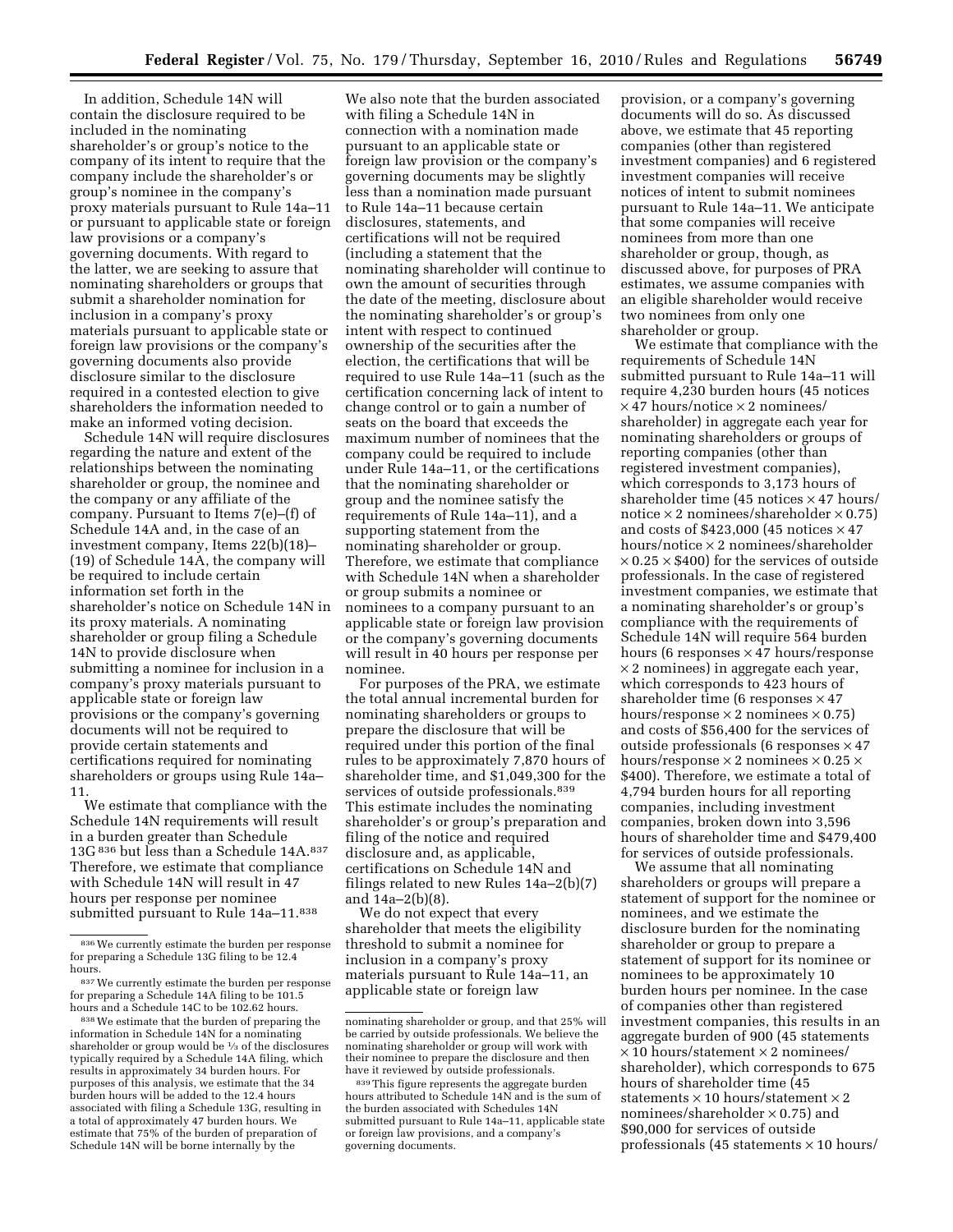In addition, Schedule 14N will contain the disclosure required to be included in the nominating shareholder's or group's notice to the company of its intent to require that the company include the shareholder's or group's nominee in the company's proxy materials pursuant to Rule 14a–11 or pursuant to applicable state or foreign law provisions or a company's governing documents. With regard to the latter, we are seeking to assure that nominating shareholders or groups that submit a shareholder nomination for inclusion in a company's proxy materials pursuant to applicable state or foreign law provisions or the company's governing documents also provide disclosure similar to the disclosure required in a contested election to give shareholders the information needed to make an informed voting decision.

Schedule 14N will require disclosures regarding the nature and extent of the relationships between the nominating shareholder or group, the nominee and the company or any affiliate of the company. Pursuant to Items 7(e)–(f) of Schedule 14A and, in the case of an investment company, Items 22(b)(18)– (19) of Schedule 14A, the company will be required to include certain information set forth in the shareholder's notice on Schedule 14N in its proxy materials. A nominating shareholder or group filing a Schedule 14N to provide disclosure when submitting a nominee for inclusion in a company's proxy materials pursuant to applicable state or foreign law provisions or the company's governing documents will not be required to provide certain statements and certifications required for nominating shareholders or groups using Rule 14a– 11.

We estimate that compliance with the Schedule 14N requirements will result in a burden greater than Schedule 13G 836 but less than a Schedule 14A.837 Therefore, we estimate that compliance with Schedule 14N will result in 47 hours per response per nominee submitted pursuant to Rule 14a–11.838

We also note that the burden associated with filing a Schedule 14N in connection with a nomination made pursuant to an applicable state or foreign law provision or the company's governing documents may be slightly less than a nomination made pursuant to Rule 14a–11 because certain disclosures, statements, and certifications will not be required (including a statement that the nominating shareholder will continue to own the amount of securities through the date of the meeting, disclosure about the nominating shareholder's or group's intent with respect to continued ownership of the securities after the election, the certifications that will be required to use Rule 14a–11 (such as the certification concerning lack of intent to change control or to gain a number of seats on the board that exceeds the maximum number of nominees that the company could be required to include under Rule 14a–11, or the certifications that the nominating shareholder or group and the nominee satisfy the requirements of Rule 14a–11), and a supporting statement from the nominating shareholder or group. Therefore, we estimate that compliance with Schedule 14N when a shareholder or group submits a nominee or nominees to a company pursuant to an applicable state or foreign law provision or the company's governing documents will result in 40 hours per response per nominee.

For purposes of the PRA, we estimate the total annual incremental burden for nominating shareholders or groups to prepare the disclosure that will be required under this portion of the final rules to be approximately 7,870 hours of shareholder time, and \$1,049,300 for the services of outside professionals.<sup>839</sup> This estimate includes the nominating shareholder's or group's preparation and filing of the notice and required disclosure and, as applicable, certifications on Schedule 14N and filings related to new Rules 14a–2(b)(7) and 14a–2(b)(8).

We do not expect that every shareholder that meets the eligibility threshold to submit a nominee for inclusion in a company's proxy materials pursuant to Rule 14a–11, an applicable state or foreign law

provision, or a company's governing documents will do so. As discussed above, we estimate that 45 reporting companies (other than registered investment companies) and 6 registered investment companies will receive notices of intent to submit nominees pursuant to Rule 14a–11. We anticipate that some companies will receive nominees from more than one shareholder or group, though, as discussed above, for purposes of PRA estimates, we assume companies with an eligible shareholder would receive two nominees from only one shareholder or group.

We estimate that compliance with the requirements of Schedule 14N submitted pursuant to Rule 14a–11 will require 4,230 burden hours (45 notices  $\times$  47 hours/notice  $\times$  2 nominees/ shareholder) in aggregate each year for nominating shareholders or groups of reporting companies (other than registered investment companies), which corresponds to 3,173 hours of shareholder time (45 notices  $\times$  47 hours/ notice  $\times$  2 nominees/shareholder  $\times$  0.75) and costs of  $$423,000$  (45 notices  $\times$  47 hours/notice × 2 nominees/shareholder  $\times\,0.25\times\$400)$  for the services of outside professionals. In the case of registered investment companies, we estimate that a nominating shareholder's or group's compliance with the requirements of Schedule 14N will require 564 burden hours (6 responses  $\times$  47 hours/response × 2 nominees) in aggregate each year, which corresponds to 423 hours of shareholder time (6 responses  $\times$  47 hours/response  $\times$  2 nominees  $\times$  0.75) and costs of \$56,400 for the services of outside professionals (6 responses  $\times$  47 hours/response  $\times$  2 nominees  $\times$  0.25  $\times$ \$400). Therefore, we estimate a total of 4,794 burden hours for all reporting companies, including investment companies, broken down into 3,596 hours of shareholder time and \$479,400 for services of outside professionals.

We assume that all nominating shareholders or groups will prepare a statement of support for the nominee or nominees, and we estimate the disclosure burden for the nominating shareholder or group to prepare a statement of support for its nominee or nominees to be approximately 10 burden hours per nominee. In the case of companies other than registered investment companies, this results in an aggregate burden of 900 (45 statements  $\times$  10 hours/statement  $\times$  2 nominees/ shareholder), which corresponds to 675 hours of shareholder time (45 statements  $\times$  10 hours/statement  $\times$  2 nominees/shareholder  $\times$  0.75) and \$90,000 for services of outside professionals (45 statements  $\times$  10 hours/

<sup>836</sup>We currently estimate the burden per response for preparing a Schedule 13G filing to be 12.4 hours.

<sup>837</sup>We currently estimate the burden per response for preparing a Schedule 14A filing to be 101.5 hours and a Schedule 14C to be 102.62 hours.

<sup>838</sup>We estimate that the burden of preparing the information in Schedule 14N for a nominating shareholder or group would be  $\frac{1}{3}$  of the disclosures typically required by a Schedule 14A filing, which results in approximately 34 burden hours. For purposes of this analysis, we estimate that the 34 burden hours will be added to the 12.4 hours associated with filing a Schedule 13G, resulting in a total of approximately 47 burden hours. We estimate that 75% of the burden of preparation of Schedule 14N will be borne internally by the

nominating shareholder or group, and that 25% will be carried by outside professionals. We believe the nominating shareholder or group will work with their nominee to prepare the disclosure and then have it reviewed by outside professionals.

<sup>839</sup>This figure represents the aggregate burden hours attributed to Schedule 14N and is the sum of the burden associated with Schedules 14N submitted pursuant to Rule 14a–11, applicable state or foreign law provisions, and a company's governing documents.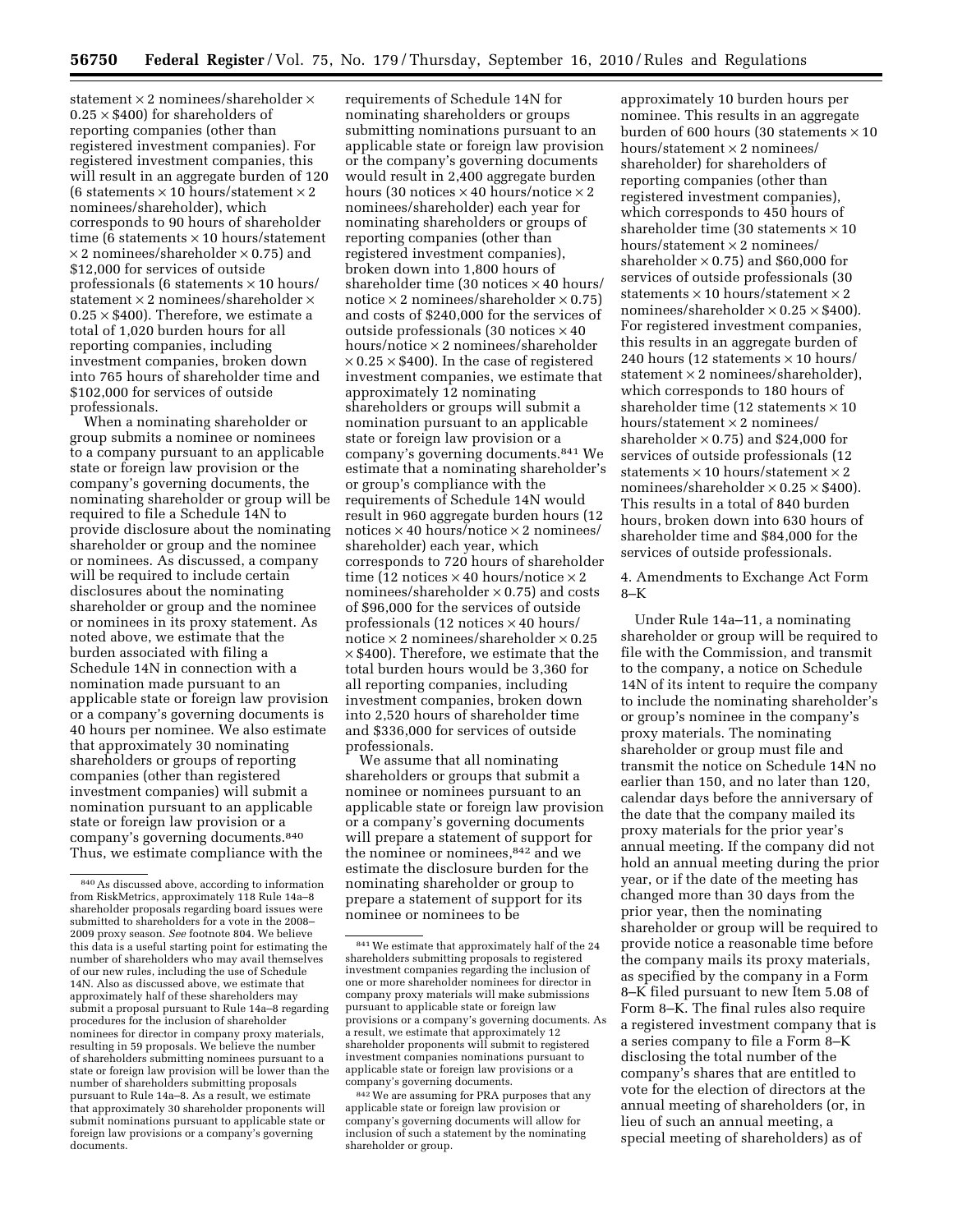statement × 2 nominees/shareholder ×  $0.25 \times $400$  for shareholders of reporting companies (other than registered investment companies). For registered investment companies, this will result in an aggregate burden of 120 (6 statements  $\times$  10 hours/statement  $\times$  2 nominees/shareholder), which corresponds to 90 hours of shareholder time (6 statements × 10 hours/statement  $\times$  2 nominees/shareholder  $\times$  0.75) and \$12,000 for services of outside professionals (6 statements  $\times$  10 hours/ statement × 2 nominees/shareholder ×  $0.25 \times $400$ . Therefore, we estimate a total of 1,020 burden hours for all reporting companies, including investment companies, broken down into 765 hours of shareholder time and \$102,000 for services of outside professionals.

When a nominating shareholder or group submits a nominee or nominees to a company pursuant to an applicable state or foreign law provision or the company's governing documents, the nominating shareholder or group will be required to file a Schedule 14N to provide disclosure about the nominating shareholder or group and the nominee or nominees. As discussed, a company will be required to include certain disclosures about the nominating shareholder or group and the nominee or nominees in its proxy statement. As noted above, we estimate that the burden associated with filing a Schedule 14N in connection with a nomination made pursuant to an applicable state or foreign law provision or a company's governing documents is 40 hours per nominee. We also estimate that approximately 30 nominating shareholders or groups of reporting companies (other than registered investment companies) will submit a nomination pursuant to an applicable state or foreign law provision or a company's governing documents.840 Thus, we estimate compliance with the

requirements of Schedule 14N for nominating shareholders or groups submitting nominations pursuant to an applicable state or foreign law provision or the company's governing documents would result in 2,400 aggregate burden hours (30 notices  $\times$  40 hours/notice  $\times$  2 nominees/shareholder) each year for nominating shareholders or groups of reporting companies (other than registered investment companies), broken down into 1,800 hours of shareholder time (30 notices  $\times$  40 hours/ notice  $\times$  2 nominees/shareholder  $\times$  0.75) and costs of \$240,000 for the services of outside professionals (30 notices  $\times$  40 hours/notice × 2 nominees/shareholder  $\times$  0.25  $\times$  \$400). In the case of registered investment companies, we estimate that approximately 12 nominating shareholders or groups will submit a nomination pursuant to an applicable state or foreign law provision or a company's governing documents.841 We estimate that a nominating shareholder's or group's compliance with the requirements of Schedule 14N would result in 960 aggregate burden hours (12 notices  $\times$  40 hours/notice  $\times$  2 nominees/ shareholder) each year, which corresponds to 720 hours of shareholder time (12 notices  $\times$  40 hours/notice  $\times$  2 nominees/shareholder  $\times$  0.75) and costs of \$96,000 for the services of outside professionals (12 notices  $\times$  40 hours/ notice  $\times$  2 nominees/shareholder  $\times$  0.25  $\times$  \$400). Therefore, we estimate that the total burden hours would be 3,360 for all reporting companies, including investment companies, broken down into 2,520 hours of shareholder time and \$336,000 for services of outside professionals.

We assume that all nominating shareholders or groups that submit a nominee or nominees pursuant to an applicable state or foreign law provision or a company's governing documents will prepare a statement of support for the nominee or nominees,  $842$  and we estimate the disclosure burden for the nominating shareholder or group to prepare a statement of support for its nominee or nominees to be

approximately 10 burden hours per nominee. This results in an aggregate burden of 600 hours (30 statements  $\times$  10 hours/statement × 2 nominees/ shareholder) for shareholders of reporting companies (other than registered investment companies), which corresponds to 450 hours of shareholder time (30 statements  $\times$  10 hours/statement × 2 nominees/ shareholder  $\times$  0.75) and \$60,000 for services of outside professionals (30 statements  $\times$  10 hours/statement  $\times$  2 nominees/shareholder  $\times$  0.25  $\times$  \$400). For registered investment companies, this results in an aggregate burden of 240 hours (12 statements  $\times$  10 hours/ statement  $\times$  2 nominees/shareholder). which corresponds to 180 hours of shareholder time (12 statements  $\times$  10 hours/statement × 2 nominees/ shareholder  $\times$  0.75) and \$24,000 for services of outside professionals (12 statements  $\times$  10 hours/statement  $\times$  2 nominees/shareholder  $\times$  0.25  $\times$  \$400). This results in a total of 840 burden hours, broken down into 630 hours of shareholder time and \$84,000 for the services of outside professionals.

4. Amendments to Exchange Act Form 8–K

Under Rule 14a–11, a nominating shareholder or group will be required to file with the Commission, and transmit to the company, a notice on Schedule 14N of its intent to require the company to include the nominating shareholder's or group's nominee in the company's proxy materials. The nominating shareholder or group must file and transmit the notice on Schedule 14N no earlier than 150, and no later than 120, calendar days before the anniversary of the date that the company mailed its proxy materials for the prior year's annual meeting. If the company did not hold an annual meeting during the prior year, or if the date of the meeting has changed more than 30 days from the prior year, then the nominating shareholder or group will be required to provide notice a reasonable time before the company mails its proxy materials, as specified by the company in a Form 8–K filed pursuant to new Item 5.08 of Form 8–K. The final rules also require a registered investment company that is a series company to file a Form 8–K disclosing the total number of the company's shares that are entitled to vote for the election of directors at the annual meeting of shareholders (or, in lieu of such an annual meeting, a special meeting of shareholders) as of

<sup>840</sup>As discussed above, according to information from RiskMetrics, approximately 118 Rule 14a–8 shareholder proposals regarding board issues were submitted to shareholders for a vote in the 2008– 2009 proxy season. *See* footnote 804. We believe this data is a useful starting point for estimating the number of shareholders who may avail themselves of our new rules, including the use of Schedule 14N. Also as discussed above, we estimate that approximately half of these shareholders may submit a proposal pursuant to Rule 14a–8 regarding procedures for the inclusion of shareholder nominees for director in company proxy materials, resulting in 59 proposals. We believe the number of shareholders submitting nominees pursuant to a state or foreign law provision will be lower than the number of shareholders submitting proposals pursuant to Rule 14a–8. As a result, we estimate that approximately 30 shareholder proponents will submit nominations pursuant to applicable state or foreign law provisions or a company's governing documents.

<sup>841</sup>We estimate that approximately half of the 24 shareholders submitting proposals to registered investment companies regarding the inclusion of one or more shareholder nominees for director in company proxy materials will make submissions pursuant to applicable state or foreign law provisions or a company's governing documents. As a result, we estimate that approximately 12 shareholder proponents will submit to registered investment companies nominations pursuant to applicable state or foreign law provisions or a company's governing documents.

<sup>842</sup>We are assuming for PRA purposes that any applicable state or foreign law provision or company's governing documents will allow for inclusion of such a statement by the nominating shareholder or group.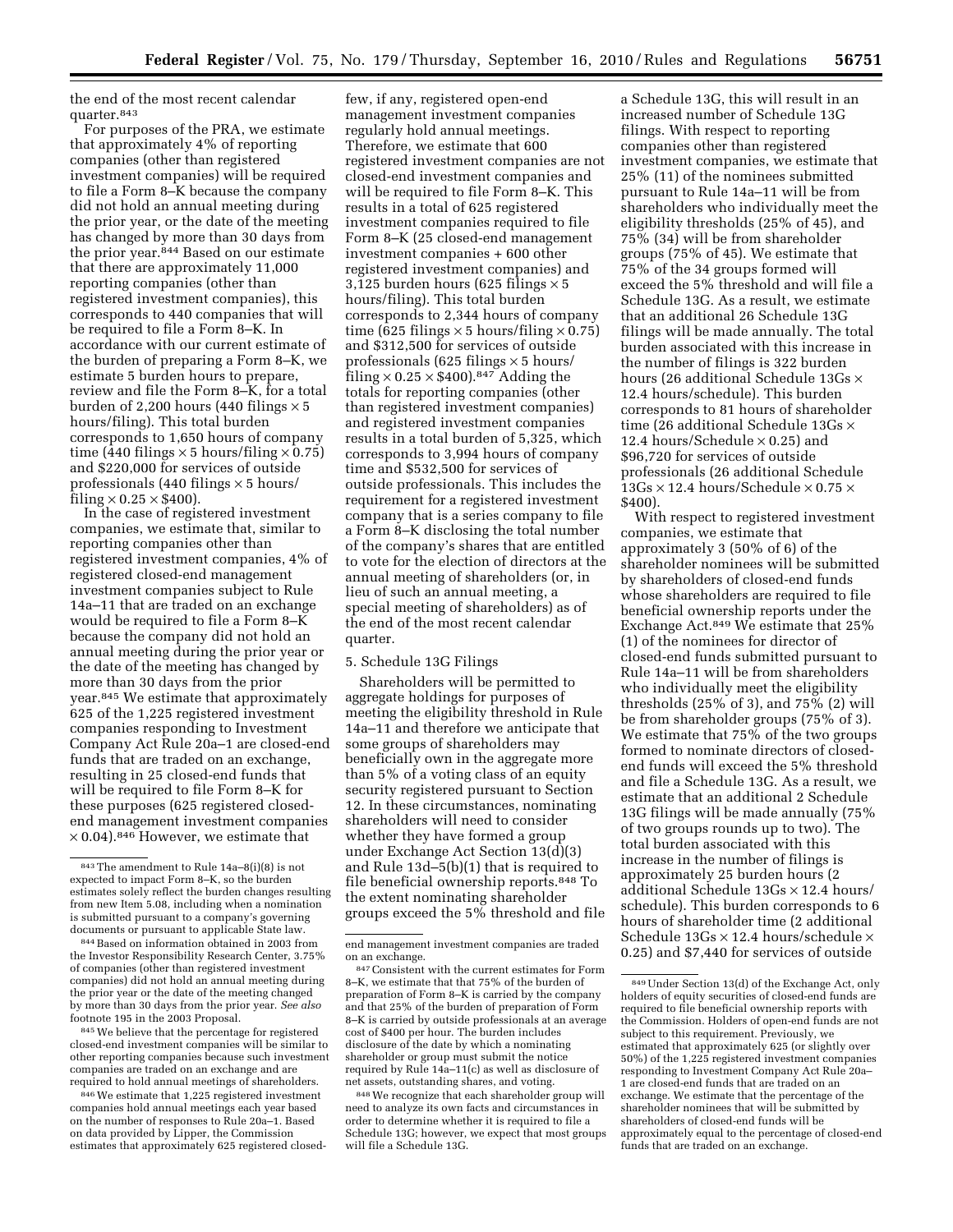the end of the most recent calendar quarter.843

For purposes of the PRA, we estimate that approximately 4% of reporting companies (other than registered investment companies) will be required to file a Form 8–K because the company did not hold an annual meeting during the prior year, or the date of the meeting has changed by more than 30 days from the prior year.<sup>844</sup> Based on our estimate that there are approximately 11,000 reporting companies (other than registered investment companies), this corresponds to 440 companies that will be required to file a Form 8–K. In accordance with our current estimate of the burden of preparing a Form 8–K, we estimate 5 burden hours to prepare, review and file the Form 8–K, for a total burden of 2,200 hours (440 filings  $\times$  5 hours/filing). This total burden corresponds to 1,650 hours of company time (440 filings  $\times$  5 hours/filing  $\times$  0.75) and \$220,000 for services of outside professionals (440 filings  $\times$  5 hours/ filing  $\times$  0.25  $\times$  \$400).

In the case of registered investment companies, we estimate that, similar to reporting companies other than registered investment companies, 4% of registered closed-end management investment companies subject to Rule 14a–11 that are traded on an exchange would be required to file a Form 8–K because the company did not hold an annual meeting during the prior year or the date of the meeting has changed by more than 30 days from the prior year.845 We estimate that approximately 625 of the 1,225 registered investment companies responding to Investment Company Act Rule 20a–1 are closed-end funds that are traded on an exchange, resulting in 25 closed-end funds that will be required to file Form 8–K for these purposes (625 registered closedend management investment companies  $\times$  0.04).<sup>846</sup> However, we estimate that

845We believe that the percentage for registered closed-end investment companies will be similar to other reporting companies because such investment companies are traded on an exchange and are required to hold annual meetings of shareholders.

846We estimate that 1,225 registered investment companies hold annual meetings each year based on the number of responses to Rule 20a–1. Based on data provided by Lipper, the Commission estimates that approximately 625 registered closed-

few, if any, registered open-end management investment companies regularly hold annual meetings. Therefore, we estimate that 600 registered investment companies are not closed-end investment companies and will be required to file Form 8–K. This results in a total of 625 registered investment companies required to file Form 8–K (25 closed-end management investment companies + 600 other registered investment companies) and 3,125 burden hours (625 filings  $\times$  5 hours/filing). This total burden corresponds to 2,344 hours of company time (625 filings  $\times$  5 hours/filing  $\times$  0.75) and \$312,500 for services of outside professionals (625 filings  $\times$  5 hours/ filing  $\times$  0.25  $\times$  \$400).<sup>847</sup> Adding the totals for reporting companies (other than registered investment companies) and registered investment companies results in a total burden of 5,325, which corresponds to 3,994 hours of company time and \$532,500 for services of outside professionals. This includes the requirement for a registered investment company that is a series company to file a Form 8–K disclosing the total number of the company's shares that are entitled to vote for the election of directors at the annual meeting of shareholders (or, in lieu of such an annual meeting, a special meeting of shareholders) as of the end of the most recent calendar quarter.

### 5. Schedule 13G Filings

Shareholders will be permitted to aggregate holdings for purposes of meeting the eligibility threshold in Rule 14a–11 and therefore we anticipate that some groups of shareholders may beneficially own in the aggregate more than 5% of a voting class of an equity security registered pursuant to Section 12. In these circumstances, nominating shareholders will need to consider whether they have formed a group under Exchange Act Section 13(d)(3) and Rule 13d–5(b)(1) that is required to file beneficial ownership reports.848 To the extent nominating shareholder groups exceed the 5% threshold and file

848We recognize that each shareholder group will need to analyze its own facts and circumstances in order to determine whether it is required to file a Schedule 13G; however, we expect that most groups will file a Schedule 13G.

a Schedule 13G, this will result in an increased number of Schedule 13G filings. With respect to reporting companies other than registered investment companies, we estimate that 25% (11) of the nominees submitted pursuant to Rule 14a–11 will be from shareholders who individually meet the eligibility thresholds (25% of 45), and 75% (34) will be from shareholder groups (75% of 45). We estimate that 75% of the 34 groups formed will exceed the 5% threshold and will file a Schedule 13G. As a result, we estimate that an additional 26 Schedule 13G filings will be made annually. The total burden associated with this increase in the number of filings is 322 burden hours (26 additional Schedule 13Gs × 12.4 hours/schedule). This burden corresponds to 81 hours of shareholder time (26 additional Schedule 13Gs × 12.4 hours/Schedule  $\times$  0.25) and \$96,720 for services of outside professionals (26 additional Schedule  $13Gs \times 12.4$  hours/Schedule  $\times$  0.75  $\times$ \$400).

With respect to registered investment companies, we estimate that approximately 3 (50% of 6) of the shareholder nominees will be submitted by shareholders of closed-end funds whose shareholders are required to file beneficial ownership reports under the Exchange Act.849 We estimate that 25% (1) of the nominees for director of closed-end funds submitted pursuant to Rule 14a–11 will be from shareholders who individually meet the eligibility thresholds (25% of 3), and 75% (2) will be from shareholder groups (75% of 3). We estimate that  $75\%$  of the two groups formed to nominate directors of closedend funds will exceed the 5% threshold and file a Schedule 13G. As a result, we estimate that an additional 2 Schedule 13G filings will be made annually (75% of two groups rounds up to two). The total burden associated with this increase in the number of filings is approximately 25 burden hours (2 additional Schedule 13Gs × 12.4 hours/ schedule). This burden corresponds to 6 hours of shareholder time (2 additional Schedule 13Gs × 12.4 hours/schedule × 0.25) and \$7,440 for services of outside

<sup>843</sup>The amendment to Rule 14a–8(i)(8) is not expected to impact Form 8–K, so the burden estimates solely reflect the burden changes resulting from new Item 5.08, including when a nomination is submitted pursuant to a company's governing documents or pursuant to applicable State law.

<sup>844</sup>Based on information obtained in 2003 from the Investor Responsibility Research Center, 3.75% of companies (other than registered investment companies) did not hold an annual meeting during the prior year or the date of the meeting changed by more than 30 days from the prior year. *See also*  footnote 195 in the 2003 Proposal.

end management investment companies are traded on an exchange.

 $\,$  847 Consistent with the current estimates for Form 8–K, we estimate that that 75% of the burden of preparation of Form 8–K is carried by the company and that 25% of the burden of preparation of Form 8–K is carried by outside professionals at an average cost of \$400 per hour. The burden includes disclosure of the date by which a nominating shareholder or group must submit the notice required by Rule 14a–11(c) as well as disclosure of net assets, outstanding shares, and voting.

<sup>849</sup>Under Section 13(d) of the Exchange Act, only holders of equity securities of closed-end funds are required to file beneficial ownership reports with the Commission. Holders of open-end funds are not subject to this requirement. Previously, we estimated that approximately 625 (or slightly over 50%) of the 1,225 registered investment companies responding to Investment Company Act Rule 20a– 1 are closed-end funds that are traded on an exchange. We estimate that the percentage of the shareholder nominees that will be submitted by shareholders of closed-end funds will be approximately equal to the percentage of closed-end funds that are traded on an exchange.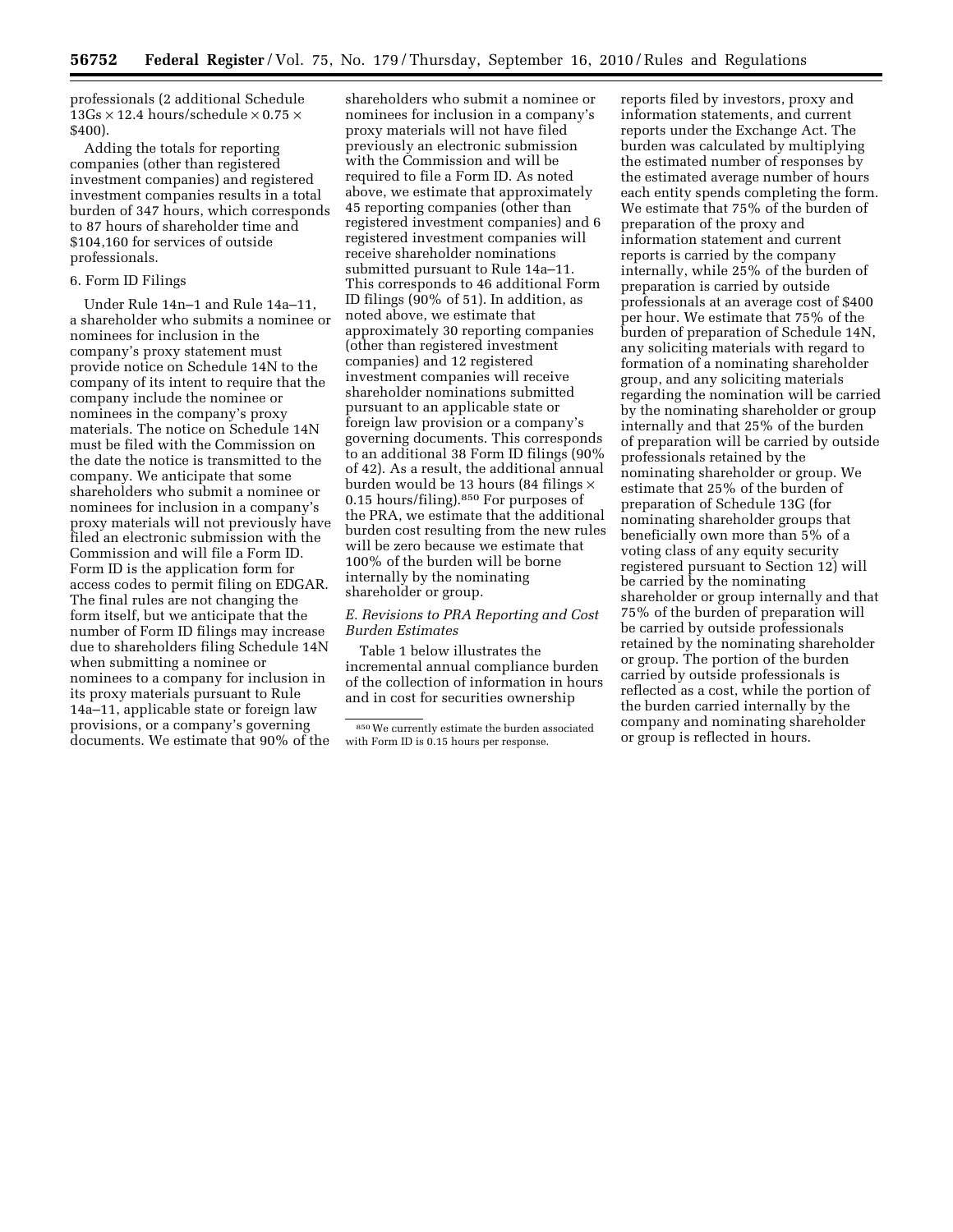professionals (2 additional Schedule 13Gs  $\times$  12.4 hours/schedule  $\times$  0.75  $\times$ \$400).

Adding the totals for reporting companies (other than registered investment companies) and registered investment companies results in a total burden of 347 hours, which corresponds to 87 hours of shareholder time and \$104,160 for services of outside professionals.

### 6. Form ID Filings

Under Rule 14n–1 and Rule 14a–11, a shareholder who submits a nominee or nominees for inclusion in the company's proxy statement must provide notice on Schedule 14N to the company of its intent to require that the company include the nominee or nominees in the company's proxy materials. The notice on Schedule 14N must be filed with the Commission on the date the notice is transmitted to the company. We anticipate that some shareholders who submit a nominee or nominees for inclusion in a company's proxy materials will not previously have filed an electronic submission with the Commission and will file a Form ID. Form ID is the application form for access codes to permit filing on EDGAR. The final rules are not changing the form itself, but we anticipate that the number of Form ID filings may increase due to shareholders filing Schedule 14N when submitting a nominee or nominees to a company for inclusion in its proxy materials pursuant to Rule 14a–11, applicable state or foreign law provisions, or a company's governing documents. We estimate that 90% of the

shareholders who submit a nominee or nominees for inclusion in a company's proxy materials will not have filed previously an electronic submission with the Commission and will be required to file a Form ID. As noted above, we estimate that approximately 45 reporting companies (other than registered investment companies) and 6 registered investment companies will receive shareholder nominations submitted pursuant to Rule 14a–11. This corresponds to 46 additional Form ID filings (90% of 51). In addition, as noted above, we estimate that approximately 30 reporting companies (other than registered investment companies) and 12 registered investment companies will receive shareholder nominations submitted pursuant to an applicable state or foreign law provision or a company's governing documents. This corresponds to an additional 38 Form ID filings (90% of 42). As a result, the additional annual burden would be 13 hours (84 filings  $\times$ 0.15 hours/filing).850 For purposes of the PRA, we estimate that the additional burden cost resulting from the new rules will be zero because we estimate that 100% of the burden will be borne internally by the nominating shareholder or group.

## *E. Revisions to PRA Reporting and Cost Burden Estimates*

Table 1 below illustrates the incremental annual compliance burden of the collection of information in hours and in cost for securities ownership

reports filed by investors, proxy and information statements, and current reports under the Exchange Act. The burden was calculated by multiplying the estimated number of responses by the estimated average number of hours each entity spends completing the form. We estimate that 75% of the burden of preparation of the proxy and information statement and current reports is carried by the company internally, while 25% of the burden of preparation is carried by outside professionals at an average cost of \$400 per hour. We estimate that 75% of the burden of preparation of Schedule 14N, any soliciting materials with regard to formation of a nominating shareholder group, and any soliciting materials regarding the nomination will be carried by the nominating shareholder or group internally and that 25% of the burden of preparation will be carried by outside professionals retained by the nominating shareholder or group. We estimate that 25% of the burden of preparation of Schedule 13G (for nominating shareholder groups that beneficially own more than 5% of a voting class of any equity security registered pursuant to Section 12) will be carried by the nominating shareholder or group internally and that 75% of the burden of preparation will be carried by outside professionals retained by the nominating shareholder or group. The portion of the burden carried by outside professionals is reflected as a cost, while the portion of the burden carried internally by the company and nominating shareholder or group is reflected in hours.

<sup>850</sup>We currently estimate the burden associated with Form ID is 0.15 hours per response.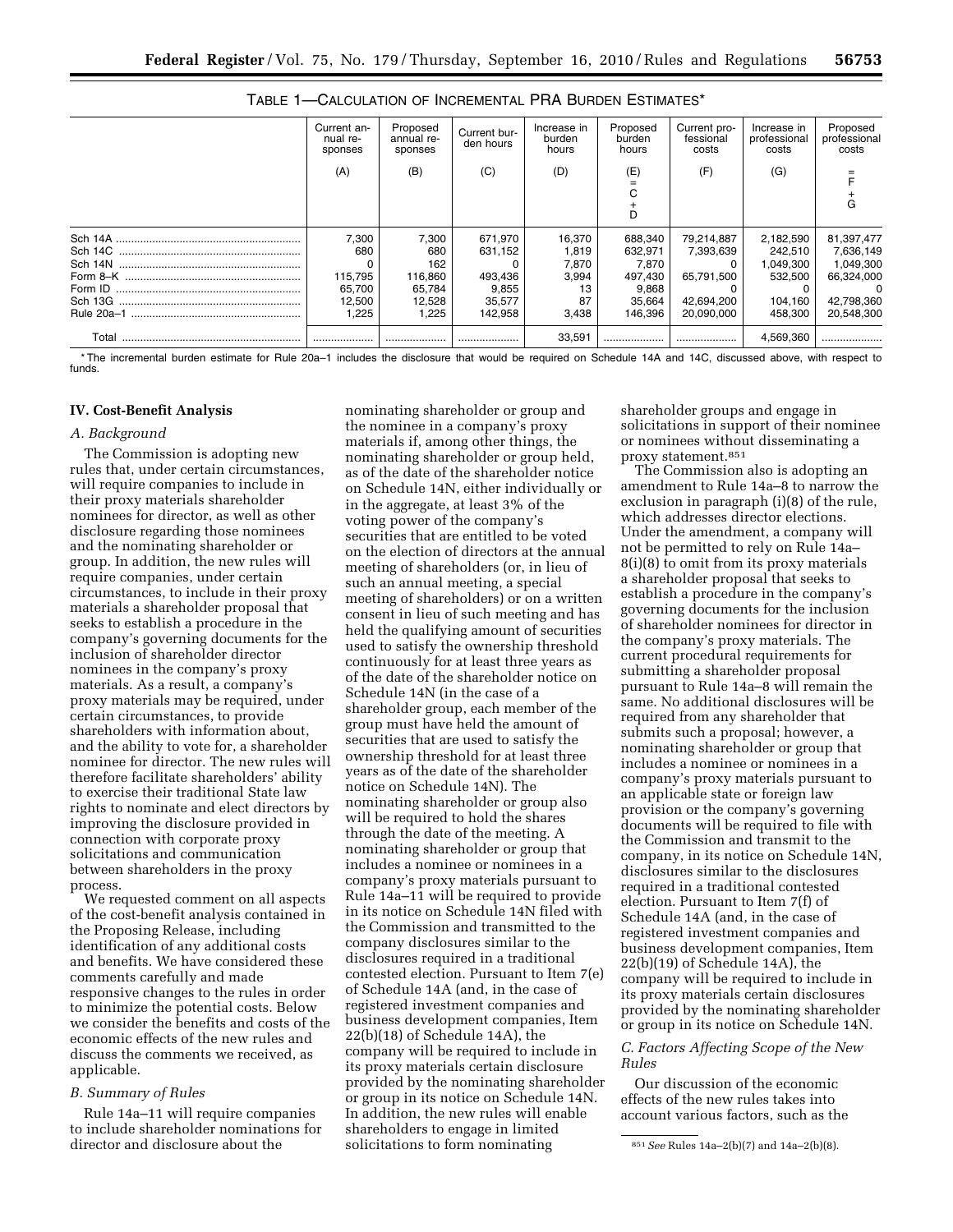|       | Current an-<br>nual re-<br>sponses | Proposed<br>annual re-<br>sponses | Current bur-<br>den hours | Increase in<br>burden<br>hours | Proposed<br>burden<br>hours | Current pro-<br>fessional<br>costs | Increase in<br>professional<br>costs | Proposed<br>professional<br>costs |
|-------|------------------------------------|-----------------------------------|---------------------------|--------------------------------|-----------------------------|------------------------------------|--------------------------------------|-----------------------------------|
|       | (A)                                | (B)                               | (C)                       | (D)                            | (E)                         | (F)                                | (G)                                  |                                   |
|       | 7,300                              | 7,300                             | 671,970                   | 16,370                         | 688,340                     | 79,214,887                         | 2,182,590                            | 81,397,477                        |
|       | 680                                | 680                               | 631,152                   | 1,819                          | 632,971                     | 7,393,639                          | 242,510                              | 7,636,149                         |
|       |                                    | 162                               |                           | 7,870                          | 7,870                       |                                    | 1,049,300                            | 1,049,300                         |
|       | 115.795                            | 116,860                           | 493,436                   | 3,994                          | 497.430                     | 65.791.500                         | 532.500                              | 66,324,000                        |
|       | 65,700                             | 65,784                            | 9,855                     | 13                             | 9,868                       |                                    |                                      |                                   |
|       | 12,500                             | 12,528                            | 35,577                    | 87                             | 35,664                      | 42,694,200                         | 104,160                              | 42,798,360                        |
|       | .225                               | 1,225                             | 142.958                   | 3,438                          | 146,396                     | 20.090.000                         | 458.300                              | 20,548,300                        |
| Total |                                    |                                   |                           | 33.591                         |                             |                                    | 4,569,360                            |                                   |

| TABLE 1—CALCULATION OF INCREMENTAL PRA BURDEN ESTIMATES* |
|----------------------------------------------------------|
|----------------------------------------------------------|

\* The incremental burden estimate for Rule 20a–1 includes the disclosure that would be required on Schedule 14A and 14C, discussed above, with respect to funds.

## **IV. Cost-Benefit Analysis**

## *A. Background*

The Commission is adopting new rules that, under certain circumstances, will require companies to include in their proxy materials shareholder nominees for director, as well as other disclosure regarding those nominees and the nominating shareholder or group. In addition, the new rules will require companies, under certain circumstances, to include in their proxy materials a shareholder proposal that seeks to establish a procedure in the company's governing documents for the inclusion of shareholder director nominees in the company's proxy materials. As a result, a company's proxy materials may be required, under certain circumstances, to provide shareholders with information about, and the ability to vote for, a shareholder nominee for director. The new rules will therefore facilitate shareholders' ability to exercise their traditional State law rights to nominate and elect directors by improving the disclosure provided in connection with corporate proxy solicitations and communication between shareholders in the proxy process.

We requested comment on all aspects of the cost-benefit analysis contained in the Proposing Release, including identification of any additional costs and benefits. We have considered these comments carefully and made responsive changes to the rules in order to minimize the potential costs. Below we consider the benefits and costs of the economic effects of the new rules and discuss the comments we received, as applicable.

## *B. Summary of Rules*

Rule 14a–11 will require companies to include shareholder nominations for director and disclosure about the

nominating shareholder or group and the nominee in a company's proxy materials if, among other things, the nominating shareholder or group held, as of the date of the shareholder notice on Schedule 14N, either individually or in the aggregate, at least 3% of the voting power of the company's securities that are entitled to be voted on the election of directors at the annual meeting of shareholders (or, in lieu of such an annual meeting, a special meeting of shareholders) or on a written consent in lieu of such meeting and has held the qualifying amount of securities used to satisfy the ownership threshold continuously for at least three years as of the date of the shareholder notice on Schedule 14N (in the case of a shareholder group, each member of the group must have held the amount of securities that are used to satisfy the ownership threshold for at least three years as of the date of the shareholder notice on Schedule 14N). The nominating shareholder or group also will be required to hold the shares through the date of the meeting. A nominating shareholder or group that includes a nominee or nominees in a company's proxy materials pursuant to Rule 14a–11 will be required to provide in its notice on Schedule 14N filed with the Commission and transmitted to the company disclosures similar to the disclosures required in a traditional contested election. Pursuant to Item 7(e) of Schedule 14A (and, in the case of registered investment companies and business development companies, Item 22(b)(18) of Schedule 14A), the company will be required to include in its proxy materials certain disclosure provided by the nominating shareholder or group in its notice on Schedule 14N. In addition, the new rules will enable shareholders to engage in limited solicitations to form nominating

shareholder groups and engage in solicitations in support of their nominee or nominees without disseminating a proxy statement.851

The Commission also is adopting an amendment to Rule 14a–8 to narrow the exclusion in paragraph (i)(8) of the rule, which addresses director elections. Under the amendment, a company will not be permitted to rely on Rule 14a– 8(i)(8) to omit from its proxy materials a shareholder proposal that seeks to establish a procedure in the company's governing documents for the inclusion of shareholder nominees for director in the company's proxy materials. The current procedural requirements for submitting a shareholder proposal pursuant to Rule 14a–8 will remain the same. No additional disclosures will be required from any shareholder that submits such a proposal; however, a nominating shareholder or group that includes a nominee or nominees in a company's proxy materials pursuant to an applicable state or foreign law provision or the company's governing documents will be required to file with the Commission and transmit to the company, in its notice on Schedule 14N, disclosures similar to the disclosures required in a traditional contested election. Pursuant to Item 7(f) of Schedule 14A (and, in the case of registered investment companies and business development companies, Item 22(b)(19) of Schedule 14A), the company will be required to include in its proxy materials certain disclosures provided by the nominating shareholder or group in its notice on Schedule 14N.

## *C. Factors Affecting Scope of the New Rules*

Our discussion of the economic effects of the new rules takes into account various factors, such as the

<sup>851</sup>*See* Rules 14a–2(b)(7) and 14a–2(b)(8).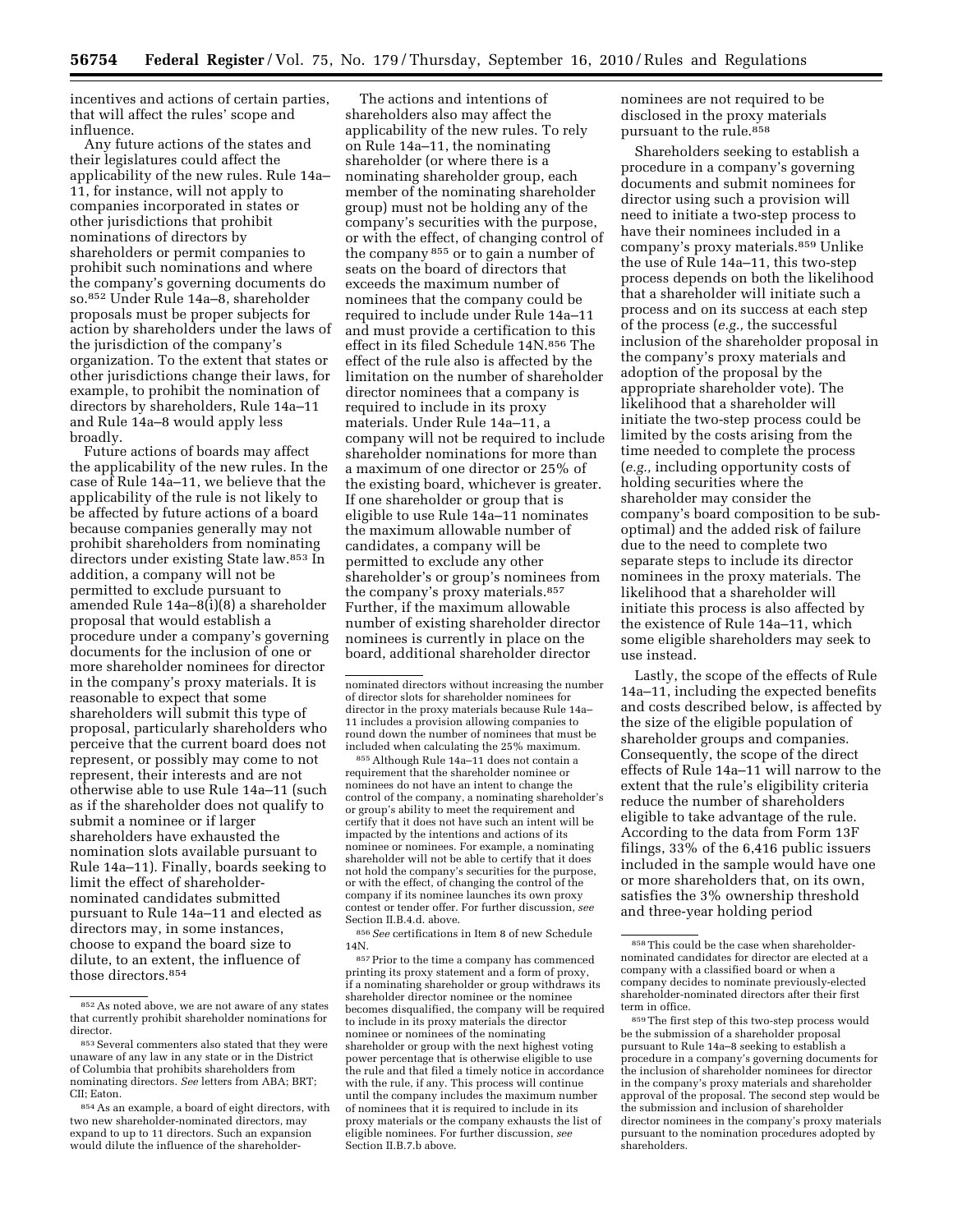incentives and actions of certain parties, that will affect the rules' scope and influence.

Any future actions of the states and their legislatures could affect the applicability of the new rules. Rule 14a– 11, for instance, will not apply to companies incorporated in states or other jurisdictions that prohibit nominations of directors by shareholders or permit companies to prohibit such nominations and where the company's governing documents do so.852 Under Rule 14a–8, shareholder proposals must be proper subjects for action by shareholders under the laws of the jurisdiction of the company's organization. To the extent that states or other jurisdictions change their laws, for example, to prohibit the nomination of directors by shareholders, Rule 14a–11 and Rule 14a–8 would apply less broadly.

Future actions of boards may affect the applicability of the new rules. In the case of Rule 14a–11, we believe that the applicability of the rule is not likely to be affected by future actions of a board because companies generally may not prohibit shareholders from nominating directors under existing State law.853 In addition, a company will not be permitted to exclude pursuant to amended Rule 14a–8(i)(8) a shareholder proposal that would establish a procedure under a company's governing documents for the inclusion of one or more shareholder nominees for director in the company's proxy materials. It is reasonable to expect that some shareholders will submit this type of proposal, particularly shareholders who perceive that the current board does not represent, or possibly may come to not represent, their interests and are not otherwise able to use Rule 14a–11 (such as if the shareholder does not qualify to submit a nominee or if larger shareholders have exhausted the nomination slots available pursuant to Rule 14a–11). Finally, boards seeking to limit the effect of shareholdernominated candidates submitted pursuant to Rule 14a–11 and elected as directors may, in some instances, choose to expand the board size to dilute, to an extent, the influence of those directors.854

The actions and intentions of shareholders also may affect the applicability of the new rules. To rely on Rule 14a–11, the nominating shareholder (or where there is a nominating shareholder group, each member of the nominating shareholder group) must not be holding any of the company's securities with the purpose, or with the effect, of changing control of the company 855 or to gain a number of seats on the board of directors that exceeds the maximum number of nominees that the company could be required to include under Rule 14a–11 and must provide a certification to this effect in its filed Schedule 14N.856 The effect of the rule also is affected by the limitation on the number of shareholder director nominees that a company is required to include in its proxy materials. Under Rule 14a–11, a company will not be required to include shareholder nominations for more than a maximum of one director or 25% of the existing board, whichever is greater. If one shareholder or group that is eligible to use Rule 14a–11 nominates the maximum allowable number of candidates, a company will be permitted to exclude any other shareholder's or group's nominees from the company's proxy materials.857 Further, if the maximum allowable number of existing shareholder director nominees is currently in place on the board, additional shareholder director

855Although Rule 14a–11 does not contain a requirement that the shareholder nominee or nominees do not have an intent to change the control of the company, a nominating shareholder's or group's ability to meet the requirement and certify that it does not have such an intent will be impacted by the intentions and actions of its nominee or nominees. For example, a nominating shareholder will not be able to certify that it does not hold the company's securities for the purpose, or with the effect, of changing the control of the company if its nominee launches its own proxy contest or tender offer. For further discussion, *see*  Section II.B.4.d. above.

856*See* certifications in Item 8 of new Schedule 14N.

857Prior to the time a company has commenced printing its proxy statement and a form of proxy, if a nominating shareholder or group withdraws its shareholder director nominee or the nominee becomes disqualified, the company will be required to include in its proxy materials the director nominee or nominees of the nominating shareholder or group with the next highest voting power percentage that is otherwise eligible to use the rule and that filed a timely notice in accordance with the rule, if any. This process will continue until the company includes the maximum number of nominees that it is required to include in its proxy materials or the company exhausts the list of eligible nominees. For further discussion, *see*  Section II.B.7.b above.

nominees are not required to be disclosed in the proxy materials pursuant to the rule.858

Shareholders seeking to establish a procedure in a company's governing documents and submit nominees for director using such a provision will need to initiate a two-step process to have their nominees included in a company's proxy materials.859 Unlike the use of Rule 14a–11, this two-step process depends on both the likelihood that a shareholder will initiate such a process and on its success at each step of the process (*e.g.,* the successful inclusion of the shareholder proposal in the company's proxy materials and adoption of the proposal by the appropriate shareholder vote). The likelihood that a shareholder will initiate the two-step process could be limited by the costs arising from the time needed to complete the process (*e.g.,* including opportunity costs of holding securities where the shareholder may consider the company's board composition to be suboptimal) and the added risk of failure due to the need to complete two separate steps to include its director nominees in the proxy materials. The likelihood that a shareholder will initiate this process is also affected by the existence of Rule 14a–11, which some eligible shareholders may seek to use instead.

Lastly, the scope of the effects of Rule 14a–11, including the expected benefits and costs described below, is affected by the size of the eligible population of shareholder groups and companies. Consequently, the scope of the direct effects of Rule 14a–11 will narrow to the extent that the rule's eligibility criteria reduce the number of shareholders eligible to take advantage of the rule. According to the data from Form 13F filings, 33% of the 6,416 public issuers included in the sample would have one or more shareholders that, on its own, satisfies the 3% ownership threshold and three-year holding period

859The first step of this two-step process would be the submission of a shareholder proposal pursuant to Rule 14a–8 seeking to establish a procedure in a company's governing documents for the inclusion of shareholder nominees for director in the company's proxy materials and shareholder approval of the proposal. The second step would be the submission and inclusion of shareholder director nominees in the company's proxy materials pursuant to the nomination procedures adopted by shareholders.

<sup>852</sup>As noted above, we are not aware of any states that currently prohibit shareholder nominations for director.

<sup>853</sup>Several commenters also stated that they were unaware of any law in any state or in the District of Columbia that prohibits shareholders from nominating directors. *See* letters from ABA; BRT; CII; Eaton.

<sup>854</sup>As an example, a board of eight directors, with two new shareholder-nominated directors, may expand to up to 11 directors. Such an expansion would dilute the influence of the shareholder-

nominated directors without increasing the number of director slots for shareholder nominees for director in the proxy materials because Rule 14a– 11 includes a provision allowing companies to round down the number of nominees that must be included when calculating the 25% maximum.

<sup>858</sup>This could be the case when shareholdernominated candidates for director are elected at a company with a classified board or when a company decides to nominate previously-elected shareholder-nominated directors after their first term in office.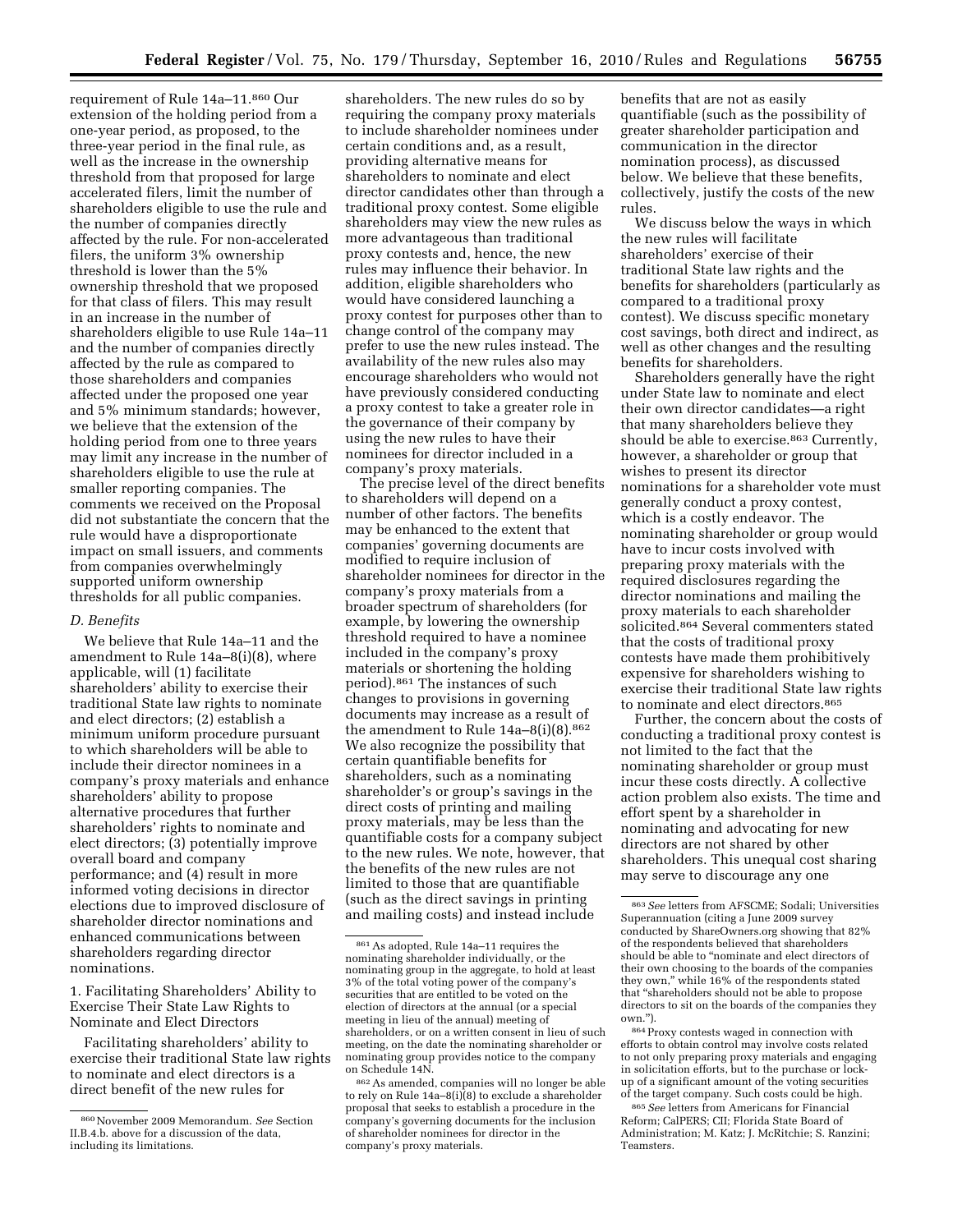requirement of Rule 14a–11.860 Our extension of the holding period from a one-year period, as proposed, to the three-year period in the final rule, as well as the increase in the ownership threshold from that proposed for large accelerated filers, limit the number of shareholders eligible to use the rule and the number of companies directly affected by the rule. For non-accelerated filers, the uniform 3% ownership threshold is lower than the 5% ownership threshold that we proposed for that class of filers. This may result in an increase in the number of shareholders eligible to use Rule 14a–11 and the number of companies directly affected by the rule as compared to those shareholders and companies affected under the proposed one year and 5% minimum standards; however, we believe that the extension of the holding period from one to three years may limit any increase in the number of shareholders eligible to use the rule at smaller reporting companies. The comments we received on the Proposal did not substantiate the concern that the rule would have a disproportionate impact on small issuers, and comments from companies overwhelmingly supported uniform ownership thresholds for all public companies.

### *D. Benefits*

We believe that Rule 14a–11 and the amendment to Rule 14a–8(i)(8), where applicable, will (1) facilitate shareholders' ability to exercise their traditional State law rights to nominate and elect directors; (2) establish a minimum uniform procedure pursuant to which shareholders will be able to include their director nominees in a company's proxy materials and enhance shareholders' ability to propose alternative procedures that further shareholders' rights to nominate and elect directors; (3) potentially improve overall board and company performance; and (4) result in more informed voting decisions in director elections due to improved disclosure of shareholder director nominations and enhanced communications between shareholders regarding director nominations.

1. Facilitating Shareholders' Ability to Exercise Their State Law Rights to Nominate and Elect Directors

Facilitating shareholders' ability to exercise their traditional State law rights to nominate and elect directors is a direct benefit of the new rules for

shareholders. The new rules do so by requiring the company proxy materials to include shareholder nominees under certain conditions and, as a result, providing alternative means for shareholders to nominate and elect director candidates other than through a traditional proxy contest. Some eligible shareholders may view the new rules as more advantageous than traditional proxy contests and, hence, the new rules may influence their behavior. In addition, eligible shareholders who would have considered launching a proxy contest for purposes other than to change control of the company may prefer to use the new rules instead. The availability of the new rules also may encourage shareholders who would not have previously considered conducting a proxy contest to take a greater role in the governance of their company by using the new rules to have their nominees for director included in a company's proxy materials.

The precise level of the direct benefits to shareholders will depend on a number of other factors. The benefits may be enhanced to the extent that companies' governing documents are modified to require inclusion of shareholder nominees for director in the company's proxy materials from a broader spectrum of shareholders (for example, by lowering the ownership threshold required to have a nominee included in the company's proxy materials or shortening the holding period).861 The instances of such changes to provisions in governing documents may increase as a result of the amendment to Rule 14a-8(i)(8).<sup>862</sup> We also recognize the possibility that certain quantifiable benefits for shareholders, such as a nominating shareholder's or group's savings in the direct costs of printing and mailing proxy materials, may be less than the quantifiable costs for a company subject to the new rules. We note, however, that the benefits of the new rules are not limited to those that are quantifiable (such as the direct savings in printing and mailing costs) and instead include

benefits that are not as easily quantifiable (such as the possibility of greater shareholder participation and communication in the director nomination process), as discussed below. We believe that these benefits, collectively, justify the costs of the new rules.

We discuss below the ways in which the new rules will facilitate shareholders' exercise of their traditional State law rights and the benefits for shareholders (particularly as compared to a traditional proxy contest). We discuss specific monetary cost savings, both direct and indirect, as well as other changes and the resulting benefits for shareholders.

Shareholders generally have the right under State law to nominate and elect their own director candidates—a right that many shareholders believe they should be able to exercise.<sup>863</sup> Currently, however, a shareholder or group that wishes to present its director nominations for a shareholder vote must generally conduct a proxy contest, which is a costly endeavor. The nominating shareholder or group would have to incur costs involved with preparing proxy materials with the required disclosures regarding the director nominations and mailing the proxy materials to each shareholder solicited.864 Several commenters stated that the costs of traditional proxy contests have made them prohibitively expensive for shareholders wishing to exercise their traditional State law rights to nominate and elect directors.865

Further, the concern about the costs of conducting a traditional proxy contest is not limited to the fact that the nominating shareholder or group must incur these costs directly. A collective action problem also exists. The time and effort spent by a shareholder in nominating and advocating for new directors are not shared by other shareholders. This unequal cost sharing may serve to discourage any one

865*See* letters from Americans for Financial Reform; CalPERS; CII; Florida State Board of Administration; M. Katz; J. McRitchie; S. Ranzini; Teamsters.

<sup>860</sup>November 2009 Memorandum. *See* Section II.B.4.b. above for a discussion of the data, including its limitations.

<sup>861</sup>As adopted, Rule 14a–11 requires the nominating shareholder individually, or the nominating group in the aggregate, to hold at least 3% of the total voting power of the company's securities that are entitled to be voted on the election of directors at the annual (or a special meeting in lieu of the annual) meeting of shareholders, or on a written consent in lieu of such meeting, on the date the nominating shareholder or nominating group provides notice to the company on Schedule 14N.

<sup>862</sup>As amended, companies will no longer be able to rely on Rule 14a–8(i)(8) to exclude a shareholder proposal that seeks to establish a procedure in the company's governing documents for the inclusion of shareholder nominees for director in the company's proxy materials.

<sup>863</sup>*See* letters from AFSCME; Sodali; Universities Superannuation (citing a June 2009 survey conducted by ShareOwners.org showing that 82% of the respondents believed that shareholders should be able to ''nominate and elect directors of their own choosing to the boards of the companies they own,'' while 16% of the respondents stated that ''shareholders should not be able to propose directors to sit on the boards of the companies they own.'').

<sup>864</sup>Proxy contests waged in connection with efforts to obtain control may involve costs related to not only preparing proxy materials and engaging in solicitation efforts, but to the purchase or lockup of a significant amount of the voting securities of the target company. Such costs could be high.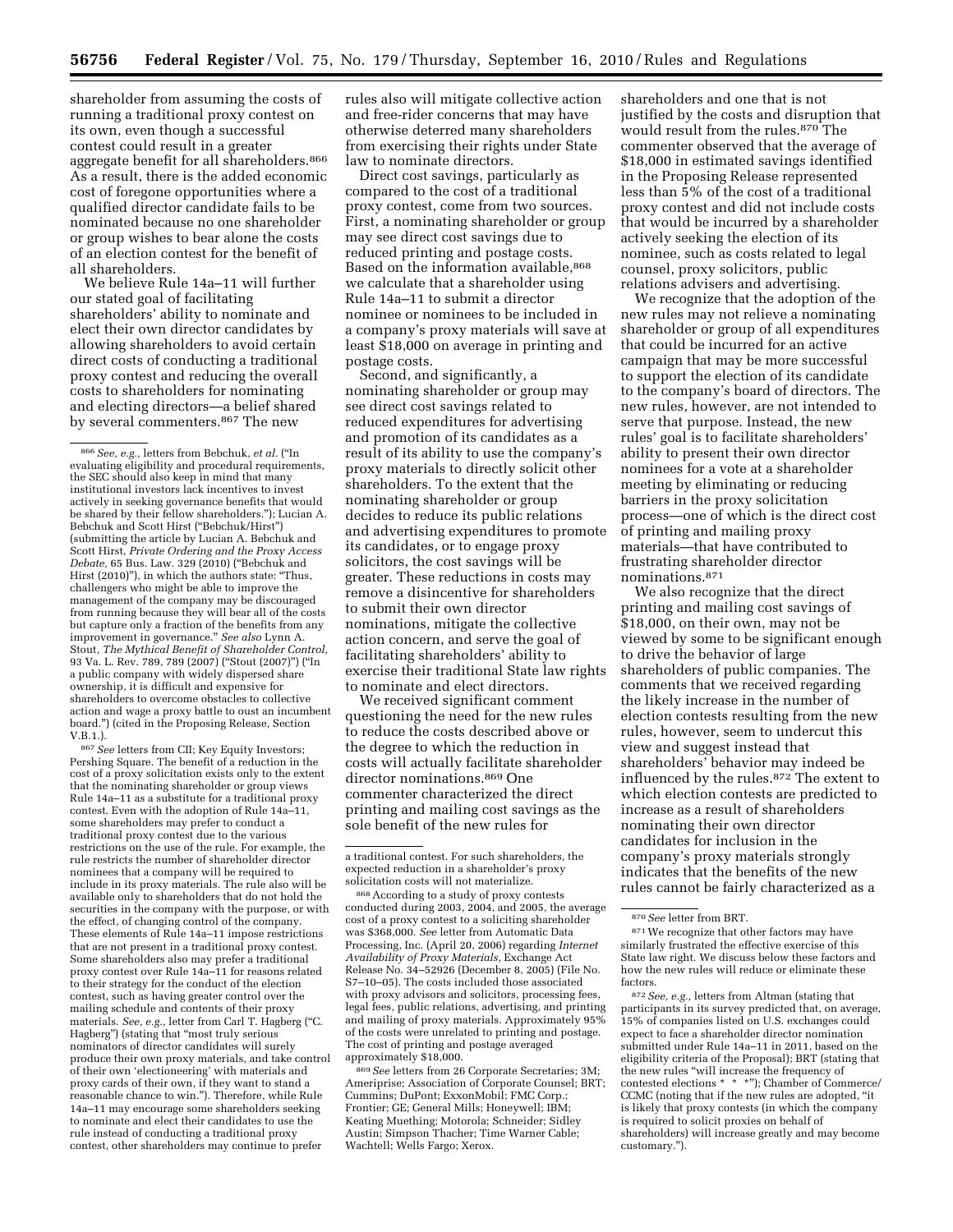shareholder from assuming the costs of running a traditional proxy contest on its own, even though a successful contest could result in a greater aggregate benefit for all shareholders.866 As a result, there is the added economic cost of foregone opportunities where a qualified director candidate fails to be nominated because no one shareholder or group wishes to bear alone the costs of an election contest for the benefit of all shareholders.

We believe Rule 14a–11 will further our stated goal of facilitating shareholders' ability to nominate and elect their own director candidates by allowing shareholders to avoid certain direct costs of conducting a traditional proxy contest and reducing the overall costs to shareholders for nominating and electing directors—a belief shared by several commenters.<sup>867</sup> The new

867*See* letters from CII; Key Equity Investors; Pershing Square. The benefit of a reduction in the cost of a proxy solicitation exists only to the extent that the nominating shareholder or group views Rule 14a–11 as a substitute for a traditional proxy contest. Even with the adoption of Rule 14a–11, some shareholders may prefer to conduct a traditional proxy contest due to the various restrictions on the use of the rule. For example, the rule restricts the number of shareholder director nominees that a company will be required to include in its proxy materials. The rule also will be available only to shareholders that do not hold the securities in the company with the purpose, or with the effect, of changing control of the company. These elements of Rule 14a–11 impose restrictions that are not present in a traditional proxy contest. Some shareholders also may prefer a traditional proxy contest over Rule 14a–11 for reasons related to their strategy for the conduct of the election contest, such as having greater control over the mailing schedule and contents of their proxy materials. *See, e.g.,* letter from Carl T. Hagberg (''C. Hagberg'') (stating that ''most truly serious nominators of director candidates will surely produce their own proxy materials, and take control of their own 'electioneering' with materials and proxy cards of their own, if they want to stand a reasonable chance to win.''). Therefore, while Rule 14a–11 may encourage some shareholders seeking to nominate and elect their candidates to use the rule instead of conducting a traditional proxy contest, other shareholders may continue to prefer

rules also will mitigate collective action and free-rider concerns that may have otherwise deterred many shareholders from exercising their rights under State law to nominate directors.

Direct cost savings, particularly as compared to the cost of a traditional proxy contest, come from two sources. First, a nominating shareholder or group may see direct cost savings due to reduced printing and postage costs. Based on the information available, 868 we calculate that a shareholder using Rule 14a–11 to submit a director nominee or nominees to be included in a company's proxy materials will save at least \$18,000 on average in printing and postage costs.

Second, and significantly, a nominating shareholder or group may see direct cost savings related to reduced expenditures for advertising and promotion of its candidates as a result of its ability to use the company's proxy materials to directly solicit other shareholders. To the extent that the nominating shareholder or group decides to reduce its public relations and advertising expenditures to promote its candidates, or to engage proxy solicitors, the cost savings will be greater. These reductions in costs may remove a disincentive for shareholders to submit their own director nominations, mitigate the collective action concern, and serve the goal of facilitating shareholders' ability to exercise their traditional State law rights to nominate and elect directors.

We received significant comment questioning the need for the new rules to reduce the costs described above or the degree to which the reduction in costs will actually facilitate shareholder director nominations.<sup>869</sup> One commenter characterized the direct printing and mailing cost savings as the sole benefit of the new rules for

868According to a study of proxy contests conducted during 2003, 2004, and 2005, the average cost of a proxy contest to a soliciting shareholder was \$368,000. *See* letter from Automatic Data Processing, Inc. (April 20, 2006) regarding *Internet Availability of Proxy Materials,* Exchange Act Release No. 34–52926 (December 8, 2005) (File No. S7–10–05). The costs included those associated with proxy advisors and solicitors, processing fees. legal fees, public relations, advertising, and printing and mailing of proxy materials. Approximately 95% of the costs were unrelated to printing and postage. The cost of printing and postage averaged approximately \$18,000.

869*See* letters from 26 Corporate Secretaries; 3M; Ameriprise; Association of Corporate Counsel; BRT; Cummins; DuPont; ExxonMobil; FMC Corp.; Frontier; GE; General Mills; Honeywell; IBM; Keating Muething; Motorola; Schneider; Sidley Austin; Simpson Thacher; Time Warner Cable; Wachtell; Wells Fargo; Xerox.

shareholders and one that is not justified by the costs and disruption that would result from the rules.870 The commenter observed that the average of \$18,000 in estimated savings identified in the Proposing Release represented less than 5% of the cost of a traditional proxy contest and did not include costs that would be incurred by a shareholder actively seeking the election of its nominee, such as costs related to legal counsel, proxy solicitors, public relations advisers and advertising.

We recognize that the adoption of the new rules may not relieve a nominating shareholder or group of all expenditures that could be incurred for an active campaign that may be more successful to support the election of its candidate to the company's board of directors. The new rules, however, are not intended to serve that purpose. Instead, the new rules' goal is to facilitate shareholders' ability to present their own director nominees for a vote at a shareholder meeting by eliminating or reducing barriers in the proxy solicitation process—one of which is the direct cost of printing and mailing proxy materials—that have contributed to frustrating shareholder director nominations.871

We also recognize that the direct printing and mailing cost savings of \$18,000, on their own, may not be viewed by some to be significant enough to drive the behavior of large shareholders of public companies. The comments that we received regarding the likely increase in the number of election contests resulting from the new rules, however, seem to undercut this view and suggest instead that shareholders' behavior may indeed be influenced by the rules.872 The extent to which election contests are predicted to increase as a result of shareholders nominating their own director candidates for inclusion in the company's proxy materials strongly indicates that the benefits of the new rules cannot be fairly characterized as a

872*See, e.g.,* letters from Altman (stating that participants in its survey predicted that, on average, 15% of companies listed on U.S. exchanges could expect to face a shareholder director nomination submitted under Rule 14a–11 in 2011, based on the eligibility criteria of the Proposal); BRT (stating that the new rules "will increase the frequency of contested elections \* \* \*''); Chamber of Commerce/ CCMC (noting that if the new rules are adopted, ''it is likely that proxy contests (in which the company is required to solicit proxies on behalf of shareholders) will increase greatly and may become customary.'').

<sup>866</sup>*See, e.g.,* letters from Bebchuk, *et al.* (''In evaluating eligibility and procedural requirements, the SEC should also keep in mind that many institutional investors lack incentives to invest actively in seeking governance benefits that would be shared by their fellow shareholders.''); Lucian A. Bebchuk and Scott Hirst (''Bebchuk/Hirst'') (submitting the article by Lucian A. Bebchuk and Scott Hirst, *Private Ordering and the Proxy Access Debate,* 65 Bus. Law. 329 (2010) (''Bebchuk and Hirst (2010)"), in which the authors state: "Thus, challengers who might be able to improve the management of the company may be discouraged from running because they will bear all of the costs but capture only a fraction of the benefits from any improvement in governance.'' *See also* Lynn A. Stout, *The Mythical Benefit of Shareholder Control,*  93 Va. L. Rev. 789, 789 (2007) (''Stout (2007)'') (''In a public company with widely dispersed share ownership, it is difficult and expensive for shareholders to overcome obstacles to collective action and wage a proxy battle to oust an incumbent board.'') (cited in the Proposing Release, Section V.B.1.).

a traditional contest. For such shareholders, the expected reduction in a shareholder's proxy solicitation costs will not materialize.

<sup>870</sup>*See* letter from BRT.

<sup>871</sup> We recognize that other factors may have similarly frustrated the effective exercise of this State law right. We discuss below these factors and how the new rules will reduce or eliminate these factors.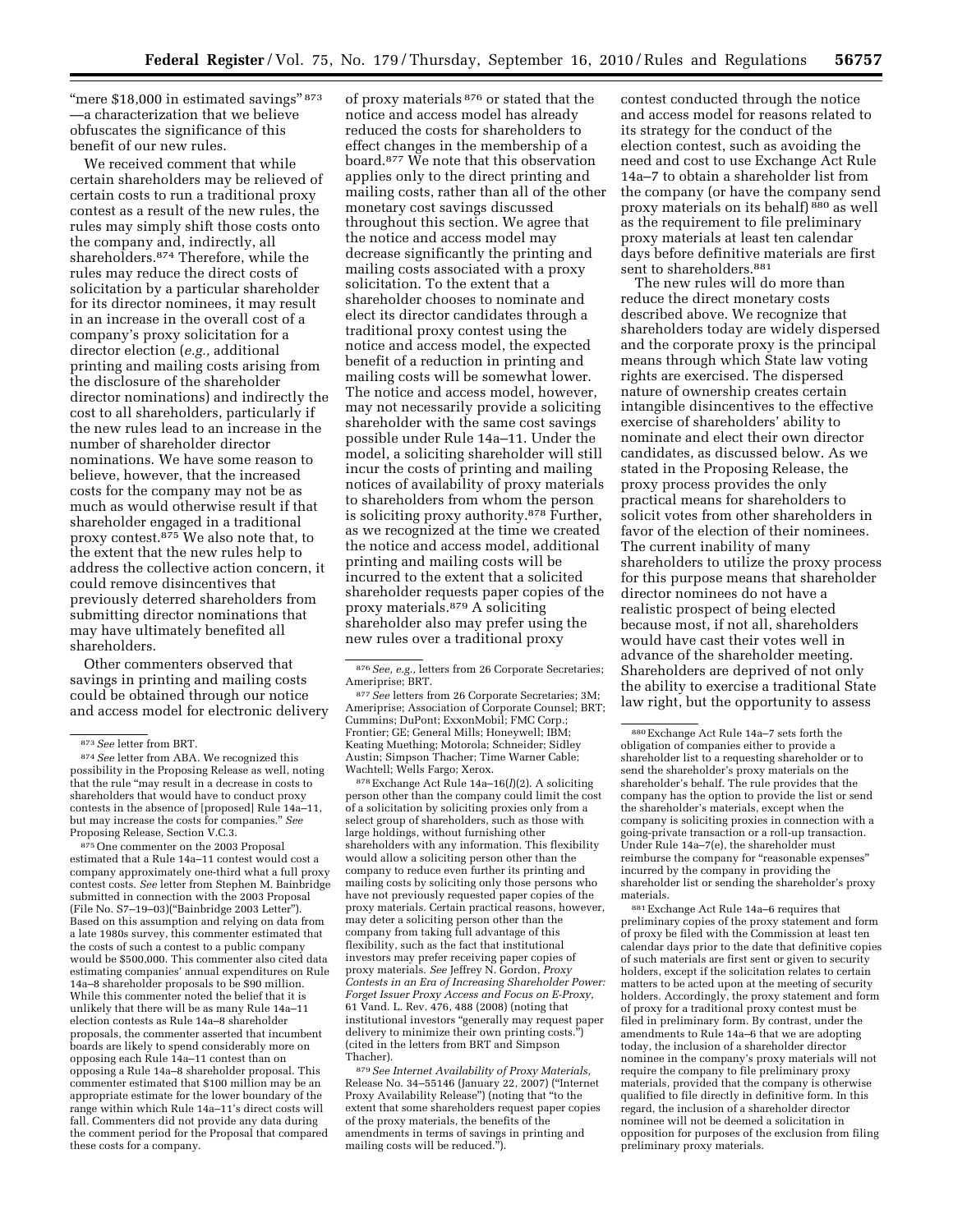"mere \$18,000 in estimated savings" 873 —a characterization that we believe obfuscates the significance of this benefit of our new rules.

We received comment that while certain shareholders may be relieved of certain costs to run a traditional proxy contest as a result of the new rules, the rules may simply shift those costs onto the company and, indirectly, all shareholders.874 Therefore, while the rules may reduce the direct costs of solicitation by a particular shareholder for its director nominees, it may result in an increase in the overall cost of a company's proxy solicitation for a director election (*e.g.,* additional printing and mailing costs arising from the disclosure of the shareholder director nominations) and indirectly the cost to all shareholders, particularly if the new rules lead to an increase in the number of shareholder director nominations. We have some reason to believe, however, that the increased costs for the company may not be as much as would otherwise result if that shareholder engaged in a traditional proxy contest.875 We also note that, to the extent that the new rules help to address the collective action concern, it could remove disincentives that previously deterred shareholders from submitting director nominations that may have ultimately benefited all shareholders.

Other commenters observed that savings in printing and mailing costs could be obtained through our notice and access model for electronic delivery

875One commenter on the 2003 Proposal estimated that a Rule 14a–11 contest would cost a company approximately one-third what a full proxy contest costs. *See* letter from Stephen M. Bainbridge submitted in connection with the 2003 Proposal (File No. S7–19–03)(''Bainbridge 2003 Letter''). Based on this assumption and relying on data from a late 1980s survey, this commenter estimated that the costs of such a contest to a public company would be \$500,000. This commenter also cited data estimating companies' annual expenditures on Rule 14a–8 shareholder proposals to be \$90 million. While this commenter noted the belief that it is unlikely that there will be as many Rule 14a–11 election contests as Rule 14a–8 shareholder proposals, the commenter asserted that incumbent boards are likely to spend considerably more on opposing each Rule 14a–11 contest than on opposing a Rule 14a–8 shareholder proposal. This commenter estimated that \$100 million may be an appropriate estimate for the lower boundary of the range within which Rule 14a–11's direct costs will fall. Commenters did not provide any data during the comment period for the Proposal that compared these costs for a company.

of proxy materials 876 or stated that the notice and access model has already reduced the costs for shareholders to effect changes in the membership of a board.877 We note that this observation applies only to the direct printing and mailing costs, rather than all of the other monetary cost savings discussed throughout this section. We agree that the notice and access model may decrease significantly the printing and mailing costs associated with a proxy solicitation. To the extent that a shareholder chooses to nominate and elect its director candidates through a traditional proxy contest using the notice and access model, the expected benefit of a reduction in printing and mailing costs will be somewhat lower. The notice and access model, however, may not necessarily provide a soliciting shareholder with the same cost savings possible under Rule 14a–11. Under the model, a soliciting shareholder will still incur the costs of printing and mailing notices of availability of proxy materials to shareholders from whom the person is soliciting proxy authority.878 Further, as we recognized at the time we created the notice and access model, additional printing and mailing costs will be incurred to the extent that a solicited shareholder requests paper copies of the proxy materials.879 A soliciting shareholder also may prefer using the new rules over a traditional proxy

878Exchange Act Rule 14a–16(*l*)(2). A soliciting person other than the company could limit the cost of a solicitation by soliciting proxies only from a select group of shareholders, such as those with large holdings, without furnishing other shareholders with any information. This flexibility would allow a soliciting person other than the company to reduce even further its printing and mailing costs by soliciting only those persons who have not previously requested paper copies of the proxy materials. Certain practical reasons, however, may deter a soliciting person other than the company from taking full advantage of this flexibility, such as the fact that institutional investors may prefer receiving paper copies of proxy materials. *See* Jeffrey N. Gordon, *Proxy Contests in an Era of Increasing Shareholder Power: Forget Issuer Proxy Access and Focus on E-Proxy,*  61 Vand. L. Rev. 476, 488 (2008) (noting that institutional investors ''generally may request paper delivery to minimize their own printing costs.'') (cited in the letters from BRT and Simpson Thacher).

879*See Internet Availability of Proxy Materials,*  Release No. 34–55146 (January 22, 2007) (''Internet Proxy Availability Release'') (noting that ''to the extent that some shareholders request paper copies of the proxy materials, the benefits of the amendments in terms of savings in printing and mailing costs will be reduced.'').

contest conducted through the notice and access model for reasons related to its strategy for the conduct of the election contest, such as avoiding the need and cost to use Exchange Act Rule 14a–7 to obtain a shareholder list from the company (or have the company send proxy materials on its behalf) 880 as well as the requirement to file preliminary proxy materials at least ten calendar days before definitive materials are first sent to shareholders.<sup>881</sup>

The new rules will do more than reduce the direct monetary costs described above. We recognize that shareholders today are widely dispersed and the corporate proxy is the principal means through which State law voting rights are exercised. The dispersed nature of ownership creates certain intangible disincentives to the effective exercise of shareholders' ability to nominate and elect their own director candidates, as discussed below. As we stated in the Proposing Release, the proxy process provides the only practical means for shareholders to solicit votes from other shareholders in favor of the election of their nominees. The current inability of many shareholders to utilize the proxy process for this purpose means that shareholder director nominees do not have a realistic prospect of being elected because most, if not all, shareholders would have cast their votes well in advance of the shareholder meeting. Shareholders are deprived of not only the ability to exercise a traditional State law right, but the opportunity to assess

881Exchange Act Rule 14a–6 requires that preliminary copies of the proxy statement and form of proxy be filed with the Commission at least ten calendar days prior to the date that definitive copies of such materials are first sent or given to security holders, except if the solicitation relates to certain matters to be acted upon at the meeting of security holders. Accordingly, the proxy statement and form of proxy for a traditional proxy contest must be filed in preliminary form. By contrast, under the amendments to Rule 14a–6 that we are adopting today, the inclusion of a shareholder director nominee in the company's proxy materials will not require the company to file preliminary proxy materials, provided that the company is otherwise qualified to file directly in definitive form. In this regard, the inclusion of a shareholder director nominee will not be deemed a solicitation in opposition for purposes of the exclusion from filing preliminary proxy materials.

<sup>873</sup>*See* letter from BRT.

<sup>874</sup>*See* letter from ABA. We recognized this possibility in the Proposing Release as well, noting that the rule "may result in a decrease in costs to shareholders that would have to conduct proxy contests in the absence of [proposed] Rule 14a–11, but may increase the costs for companies.'' *See*  Proposing Release, Section V.C.3.

<sup>876</sup>*See, e.g.,* letters from 26 Corporate Secretaries; Ameriprise; BRT.

<sup>877</sup>*See* letters from 26 Corporate Secretaries; 3M; Ameriprise; Association of Corporate Counsel; BRT; Cummins; DuPont; ExxonMobil; FMC Corp.; Frontier; GE; General Mills; Honeywell; IBM; Keating Muething; Motorola; Schneider; Sidley Austin; Simpson Thacher; Time Warner Cable; Wachtell; Wells Fargo; Xerox.

<sup>880</sup>Exchange Act Rule 14a–7 sets forth the obligation of companies either to provide a shareholder list to a requesting shareholder or to send the shareholder's proxy materials on the shareholder's behalf. The rule provides that the company has the option to provide the list or send the shareholder's materials, except when the company is soliciting proxies in connection with a going-private transaction or a roll-up transaction. Under Rule 14a–7(e), the shareholder must reimburse the company for "reasonable expenses" incurred by the company in providing the shareholder list or sending the shareholder's proxy materials.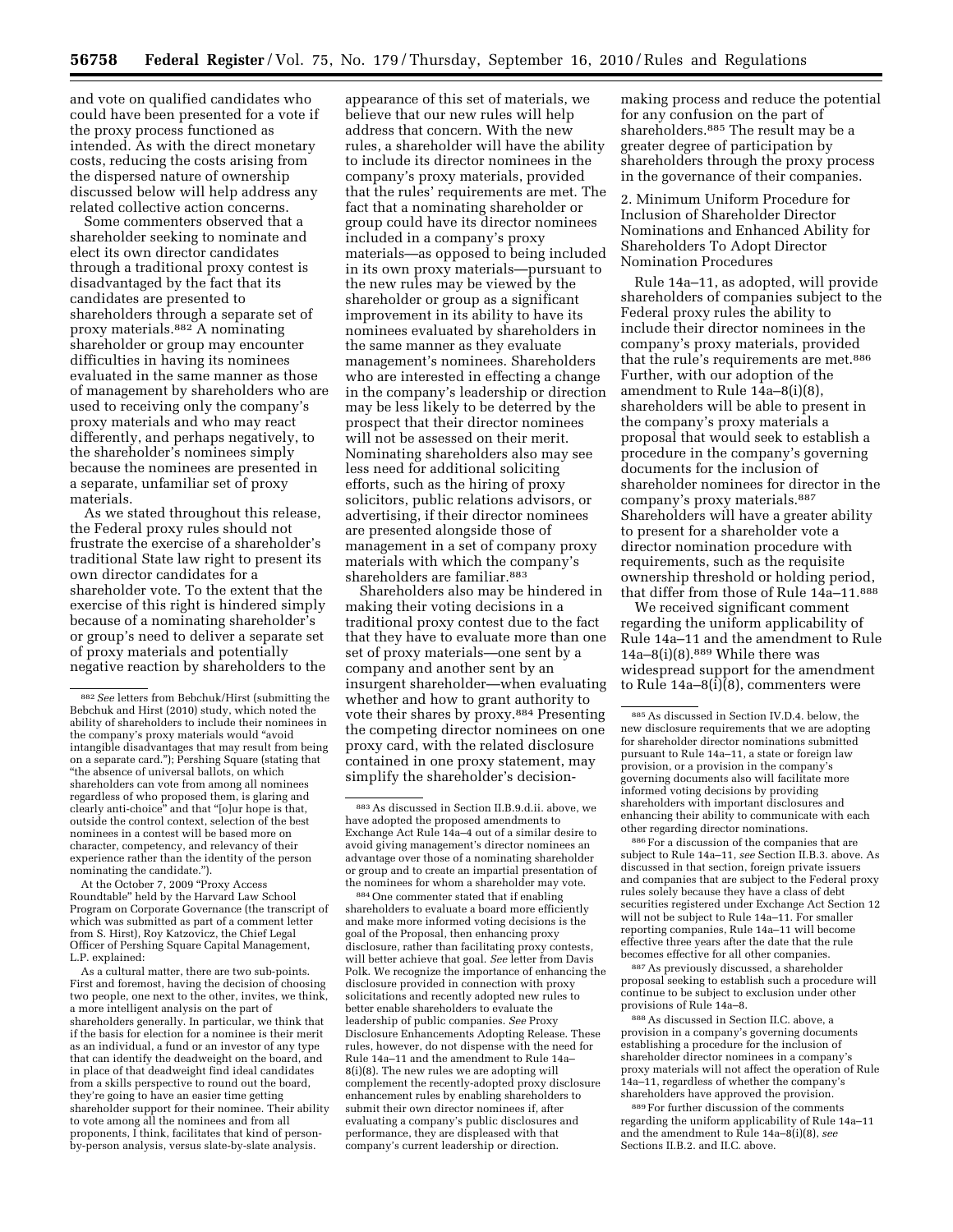and vote on qualified candidates who could have been presented for a vote if the proxy process functioned as intended. As with the direct monetary costs, reducing the costs arising from the dispersed nature of ownership discussed below will help address any related collective action concerns.

Some commenters observed that a shareholder seeking to nominate and elect its own director candidates through a traditional proxy contest is disadvantaged by the fact that its candidates are presented to shareholders through a separate set of proxy materials.882 A nominating shareholder or group may encounter difficulties in having its nominees evaluated in the same manner as those of management by shareholders who are used to receiving only the company's proxy materials and who may react differently, and perhaps negatively, to the shareholder's nominees simply because the nominees are presented in a separate, unfamiliar set of proxy materials.

As we stated throughout this release, the Federal proxy rules should not frustrate the exercise of a shareholder's traditional State law right to present its own director candidates for a shareholder vote. To the extent that the exercise of this right is hindered simply because of a nominating shareholder's or group's need to deliver a separate set of proxy materials and potentially negative reaction by shareholders to the

At the October 7, 2009 "Proxy Access Roundtable'' held by the Harvard Law School Program on Corporate Governance (the transcript of which was submitted as part of a comment letter from S. Hirst), Roy Katzovicz, the Chief Legal Officer of Pershing Square Capital Management, L.P. explained:

As a cultural matter, there are two sub-points. First and foremost, having the decision of choosing two people, one next to the other, invites, we think, a more intelligent analysis on the part of shareholders generally. In particular, we think that if the basis for election for a nominee is their merit as an individual, a fund or an investor of any type that can identify the deadweight on the board, and in place of that deadweight find ideal candidates from a skills perspective to round out the board, they're going to have an easier time getting shareholder support for their nominee. Their ability to vote among all the nominees and from all proponents, I think, facilitates that kind of personby-person analysis, versus slate-by-slate analysis.

appearance of this set of materials, we believe that our new rules will help address that concern. With the new rules, a shareholder will have the ability to include its director nominees in the company's proxy materials, provided that the rules' requirements are met. The fact that a nominating shareholder or group could have its director nominees included in a company's proxy materials—as opposed to being included in its own proxy materials—pursuant to the new rules may be viewed by the shareholder or group as a significant improvement in its ability to have its nominees evaluated by shareholders in the same manner as they evaluate management's nominees. Shareholders who are interested in effecting a change in the company's leadership or direction may be less likely to be deterred by the prospect that their director nominees will not be assessed on their merit. Nominating shareholders also may see less need for additional soliciting efforts, such as the hiring of proxy solicitors, public relations advisors, or advertising, if their director nominees are presented alongside those of management in a set of company proxy materials with which the company's shareholders are familiar.883

Shareholders also may be hindered in making their voting decisions in a traditional proxy contest due to the fact that they have to evaluate more than one set of proxy materials—one sent by a company and another sent by an insurgent shareholder—when evaluating whether and how to grant authority to vote their shares by proxy.884 Presenting the competing director nominees on one proxy card, with the related disclosure contained in one proxy statement, may simplify the shareholder's decision-

884One commenter stated that if enabling shareholders to evaluate a board more efficiently and make more informed voting decisions is the goal of the Proposal, then enhancing proxy disclosure, rather than facilitating proxy contests, will better achieve that goal. *See* letter from Davis Polk. We recognize the importance of enhancing the disclosure provided in connection with proxy solicitations and recently adopted new rules to better enable shareholders to evaluate the leadership of public companies. *See* Proxy Disclosure Enhancements Adopting Release. These rules, however, do not dispense with the need for Rule 14a–11 and the amendment to Rule 14a– 8(i)(8). The new rules we are adopting will complement the recently-adopted proxy disclosure enhancement rules by enabling shareholders to submit their own director nominees if, after evaluating a company's public disclosures and performance, they are displeased with that company's current leadership or direction.

making process and reduce the potential for any confusion on the part of shareholders.885 The result may be a greater degree of participation by shareholders through the proxy process in the governance of their companies.

2. Minimum Uniform Procedure for Inclusion of Shareholder Director Nominations and Enhanced Ability for Shareholders To Adopt Director Nomination Procedures

Rule 14a–11, as adopted, will provide shareholders of companies subject to the Federal proxy rules the ability to include their director nominees in the company's proxy materials, provided that the rule's requirements are met.886 Further, with our adoption of the amendment to Rule 14a–8(i)(8), shareholders will be able to present in the company's proxy materials a proposal that would seek to establish a procedure in the company's governing documents for the inclusion of shareholder nominees for director in the company's proxy materials.887 Shareholders will have a greater ability to present for a shareholder vote a director nomination procedure with requirements, such as the requisite ownership threshold or holding period, that differ from those of Rule 14a–11.888

We received significant comment regarding the uniform applicability of Rule 14a–11 and the amendment to Rule 14a–8(i)(8).889 While there was widespread support for the amendment to Rule 14a–8(i)(8), commenters were

886For a discussion of the companies that are subject to Rule 14a–11, *see* Section II.B.3. above. As discussed in that section, foreign private issuers and companies that are subject to the Federal proxy rules solely because they have a class of debt securities registered under Exchange Act Section 12 will not be subject to Rule 14a–11. For smaller reporting companies, Rule 14a–11 will become effective three years after the date that the rule becomes effective for all other companies.

887As previously discussed, a shareholder proposal seeking to establish such a procedure will continue to be subject to exclusion under other provisions of Rule 14a–8.

888As discussed in Section II.C. above, a provision in a company's governing documents establishing a procedure for the inclusion of shareholder director nominees in a company's proxy materials will not affect the operation of Rule 14a–11, regardless of whether the company's shareholders have approved the provision.

889For further discussion of the comments regarding the uniform applicability of Rule 14a–11 and the amendment to Rule 14a–8(i)(8), *see*  Sections II.B.2. and II.C. above.

<sup>882</sup>*See* letters from Bebchuk/Hirst (submitting the Bebchuk and Hirst (2010) study, which noted the ability of shareholders to include their nominees in the company's proxy materials would "avoid intangible disadvantages that may result from being on a separate card.''); Pershing Square (stating that ''the absence of universal ballots, on which shareholders can vote from among all nominees regardless of who proposed them, is glaring and clearly anti-choice'' and that ''[o]ur hope is that, outside the control context, selection of the best nominees in a contest will be based more on character, competency, and relevancy of their experience rather than the identity of the person nominating the candidate.'').

<sup>883</sup>As discussed in Section II.B.9.d.ii. above, we have adopted the proposed amendments to Exchange Act Rule 14a–4 out of a similar desire to avoid giving management's director nominees an advantage over those of a nominating shareholder or group and to create an impartial presentation of the nominees for whom a shareholder may vote.

<sup>885</sup>As discussed in Section IV.D.4. below, the new disclosure requirements that we are adopting for shareholder director nominations submitted pursuant to Rule 14a–11, a state or foreign law provision, or a provision in the company's governing documents also will facilitate more informed voting decisions by providing shareholders with important disclosures and enhancing their ability to communicate with each other regarding director nominations.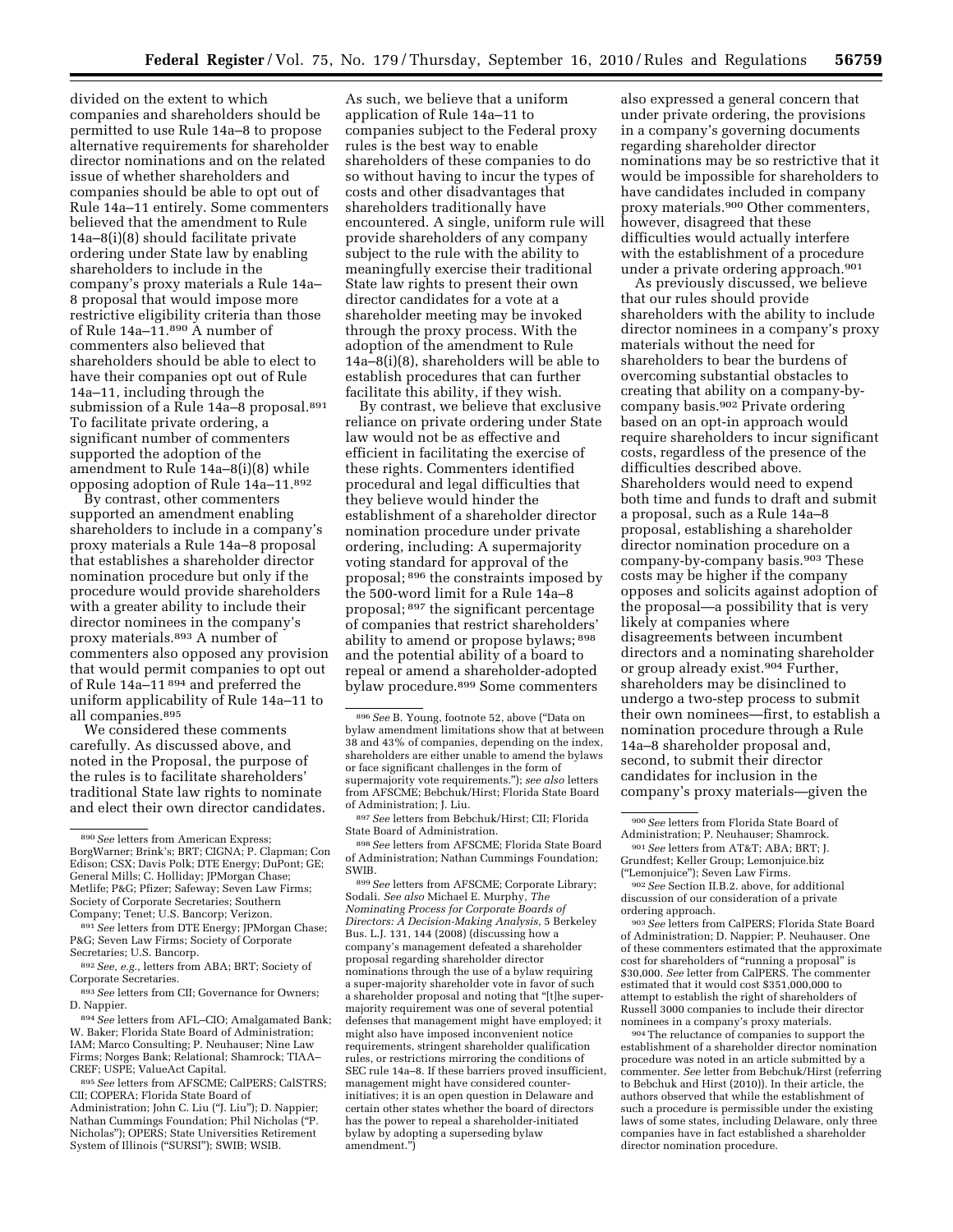divided on the extent to which companies and shareholders should be permitted to use Rule 14a–8 to propose alternative requirements for shareholder director nominations and on the related issue of whether shareholders and companies should be able to opt out of Rule 14a–11 entirely. Some commenters believed that the amendment to Rule 14a–8(i)(8) should facilitate private ordering under State law by enabling shareholders to include in the company's proxy materials a Rule 14a– 8 proposal that would impose more restrictive eligibility criteria than those of Rule 14a–11.890 A number of commenters also believed that shareholders should be able to elect to have their companies opt out of Rule 14a–11, including through the submission of a Rule 14a–8 proposal.<sup>891</sup> To facilitate private ordering, a significant number of commenters supported the adoption of the amendment to Rule 14a–8(i)(8) while opposing adoption of Rule 14a–11.892

By contrast, other commenters supported an amendment enabling shareholders to include in a company's proxy materials a Rule 14a–8 proposal that establishes a shareholder director nomination procedure but only if the procedure would provide shareholders with a greater ability to include their director nominees in the company's proxy materials.893 A number of commenters also opposed any provision that would permit companies to opt out of Rule 14a–11 894 and preferred the uniform applicability of Rule 14a–11 to all companies.895

We considered these comments carefully. As discussed above, and noted in the Proposal, the purpose of the rules is to facilitate shareholders' traditional State law rights to nominate and elect their own director candidates.

As such, we believe that a uniform application of Rule 14a–11 to companies subject to the Federal proxy rules is the best way to enable shareholders of these companies to do so without having to incur the types of costs and other disadvantages that shareholders traditionally have encountered. A single, uniform rule will provide shareholders of any company subject to the rule with the ability to meaningfully exercise their traditional State law rights to present their own director candidates for a vote at a shareholder meeting may be invoked through the proxy process. With the adoption of the amendment to Rule 14a–8(i)(8), shareholders will be able to establish procedures that can further facilitate this ability, if they wish.

By contrast, we believe that exclusive reliance on private ordering under State law would not be as effective and efficient in facilitating the exercise of these rights. Commenters identified procedural and legal difficulties that they believe would hinder the establishment of a shareholder director nomination procedure under private ordering, including: A supermajority voting standard for approval of the proposal; 896 the constraints imposed by the 500-word limit for a Rule 14a–8 proposal; 897 the significant percentage of companies that restrict shareholders' ability to amend or propose bylaws; 898 and the potential ability of a board to repeal or amend a shareholder-adopted bylaw procedure.899 Some commenters

897*See* letters from Bebchuk/Hirst; CII; Florida State Board of Administration.

898*See* letters from AFSCME; Florida State Board of Administration; Nathan Cummings Foundation; SWIB.

899*See* letters from AFSCME; Corporate Library; Sodali. *See also* Michael E. Murphy, *The Nominating Process for Corporate Boards of Directors: A Decision-Making Analysis,* 5 Berkeley Bus. L.J. 131, 144 (2008) (discussing how a company's management defeated a shareholder proposal regarding shareholder director nominations through the use of a bylaw requiring a super-majority shareholder vote in favor of such a shareholder proposal and noting that ''[t]he supermajority requirement was one of several potential defenses that management might have employed; it might also have imposed inconvenient notice requirements, stringent shareholder qualification rules, or restrictions mirroring the conditions of SEC rule 14a–8. If these barriers proved insufficient, management might have considered counterinitiatives; it is an open question in Delaware and certain other states whether the board of directors has the power to repeal a shareholder-initiated bylaw by adopting a superseding bylaw amendment.'')

also expressed a general concern that under private ordering, the provisions in a company's governing documents regarding shareholder director nominations may be so restrictive that it would be impossible for shareholders to have candidates included in company proxy materials.900 Other commenters, however, disagreed that these difficulties would actually interfere with the establishment of a procedure under a private ordering approach.901

As previously discussed, we believe that our rules should provide shareholders with the ability to include director nominees in a company's proxy materials without the need for shareholders to bear the burdens of overcoming substantial obstacles to creating that ability on a company-bycompany basis.902 Private ordering based on an opt-in approach would require shareholders to incur significant costs, regardless of the presence of the difficulties described above. Shareholders would need to expend both time and funds to draft and submit a proposal, such as a Rule 14a–8 proposal, establishing a shareholder director nomination procedure on a company-by-company basis.903 These costs may be higher if the company opposes and solicits against adoption of the proposal—a possibility that is very likely at companies where disagreements between incumbent directors and a nominating shareholder or group already exist.904 Further, shareholders may be disinclined to undergo a two-step process to submit their own nominees—first, to establish a nomination procedure through a Rule 14a–8 shareholder proposal and, second, to submit their director candidates for inclusion in the company's proxy materials—given the

<sup>902</sup> See Section II.B.2. above, for additional discussion of our consideration of a private

ordering approach. 903*See* letters from CalPERS; Florida State Board of Administration; D. Nappier; P. Neuhauser. One of these commenters estimated that the approximate cost for shareholders of "running a proposal" is \$30,000. *See* letter from CalPERS. The commenter estimated that it would cost \$351,000,000 to attempt to establish the right of shareholders of Russell 3000 companies to include their director nominees in a company's proxy materials.

904The reluctance of companies to support the establishment of a shareholder director nomination procedure was noted in an article submitted by a commenter. *See* letter from Bebchuk/Hirst (referring to Bebchuk and Hirst (2010)). In their article, the authors observed that while the establishment of such a procedure is permissible under the existing laws of some states, including Delaware, only three companies have in fact established a shareholder director nomination procedure.

<sup>890</sup>*See* letters from American Express; BorgWarner; Brink's; BRT; CIGNA; P. Clapman; Con Edison; CSX; Davis Polk; DTE Energy; DuPont; GE; General Mills; C. Holliday; JPMorgan Chase; Metlife; P&G; Pfizer; Safeway; Seven Law Firms; Society of Corporate Secretaries; Southern Company; Tenet; U.S. Bancorp; Verizon.

<sup>891</sup>*See* letters from DTE Energy; JPMorgan Chase; P&G; Seven Law Firms; Society of Corporate Secretaries; U.S. Bancorp.

<sup>892</sup>*See, e.g.,* letters from ABA; BRT; Society of Corporate Secretaries.

<sup>893</sup>*See* letters from CII; Governance for Owners; D. Nappier.

<sup>894</sup>*See* letters from AFL–CIO; Amalgamated Bank; W. Baker; Florida State Board of Administration; IAM; Marco Consulting; P. Neuhauser; Nine Law Firms; Norges Bank; Relational; Shamrock; TIAA– CREF; USPE; ValueAct Capital.

<sup>895</sup>*See* letters from AFSCME; CalPERS; CalSTRS; CII; COPERA; Florida State Board of Administration; John C. Liu (''J. Liu''); D. Nappier; Nathan Cummings Foundation; Phil Nicholas (''P. Nicholas''); OPERS; State Universities Retirement System of Illinois (''SURSI''); SWIB; WSIB.

<sup>896</sup>*See* B. Young, footnote 52, above (''Data on bylaw amendment limitations show that at between 38 and 43% of companies, depending on the index, shareholders are either unable to amend the bylaws or face significant challenges in the form of supermajority vote requirements.''); *see also* letters from AFSCME; Bebchuk/Hirst; Florida State Board of Administration; J. Liu.

<sup>&</sup>lt;sup>900</sup> *See* letters from Florida State Board of<br>Administration: P. Neuhauser: Shamrock.

<sup>&</sup>lt;sup>901</sup> See letters from AT&T; ABA; BRT; I. Grundfest; Keller Group; Lemonjuice.biz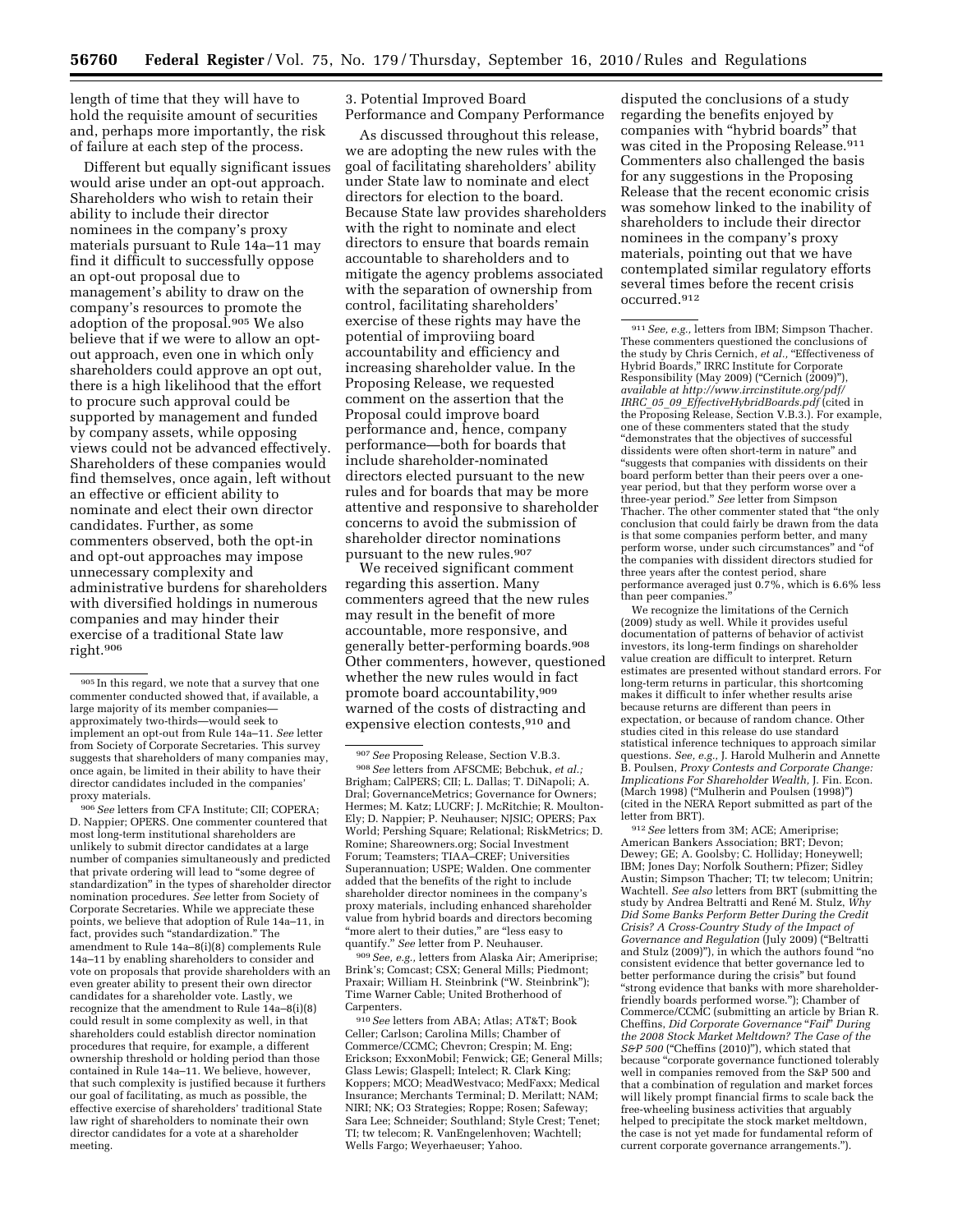length of time that they will have to hold the requisite amount of securities and, perhaps more importantly, the risk of failure at each step of the process.

Different but equally significant issues would arise under an opt-out approach. Shareholders who wish to retain their ability to include their director nominees in the company's proxy materials pursuant to Rule 14a–11 may find it difficult to successfully oppose an opt-out proposal due to management's ability to draw on the company's resources to promote the adoption of the proposal.905 We also believe that if we were to allow an optout approach, even one in which only shareholders could approve an opt out, there is a high likelihood that the effort to procure such approval could be supported by management and funded by company assets, while opposing views could not be advanced effectively. Shareholders of these companies would find themselves, once again, left without an effective or efficient ability to nominate and elect their own director candidates. Further, as some commenters observed, both the opt-in and opt-out approaches may impose unnecessary complexity and administrative burdens for shareholders with diversified holdings in numerous companies and may hinder their exercise of a traditional State law right.906

906*See* letters from CFA Institute; CII; COPERA; D. Nappier; OPERS. One commenter countered that most long-term institutional shareholders are unlikely to submit director candidates at a large number of companies simultaneously and predicted that private ordering will lead to ''some degree of standardization'' in the types of shareholder director nomination procedures. *See* letter from Society of Corporate Secretaries. While we appreciate these points, we believe that adoption of Rule 14a–11, in fact, provides such "standardization." The amendment to Rule 14a–8(i)(8) complements Rule 14a–11 by enabling shareholders to consider and vote on proposals that provide shareholders with an even greater ability to present their own director candidates for a shareholder vote. Lastly, we recognize that the amendment to Rule 14a–8(i)(8) could result in some complexity as well, in that shareholders could establish director nomination procedures that require, for example, a different ownership threshold or holding period than those contained in Rule 14a–11. We believe, however, that such complexity is justified because it furthers our goal of facilitating, as much as possible, the effective exercise of shareholders' traditional State law right of shareholders to nominate their own director candidates for a vote at a shareholder meeting.

3. Potential Improved Board Performance and Company Performance

As discussed throughout this release, we are adopting the new rules with the goal of facilitating shareholders' ability under State law to nominate and elect directors for election to the board. Because State law provides shareholders with the right to nominate and elect directors to ensure that boards remain accountable to shareholders and to mitigate the agency problems associated with the separation of ownership from control, facilitating shareholders' exercise of these rights may have the potential of improviing board accountability and efficiency and increasing shareholder value. In the Proposing Release, we requested comment on the assertion that the Proposal could improve board performance and, hence, company performance—both for boards that include shareholder-nominated directors elected pursuant to the new rules and for boards that may be more attentive and responsive to shareholder concerns to avoid the submission of shareholder director nominations pursuant to the new rules.907

We received significant comment regarding this assertion. Many commenters agreed that the new rules may result in the benefit of more accountable, more responsive, and generally better-performing boards.908 Other commenters, however, questioned whether the new rules would in fact promote board accountability,909 warned of the costs of distracting and expensive election contests,910 and

909*See, e.g.,* letters from Alaska Air; Ameriprise; Brink's; Comcast; CSX; General Mills; Piedmont; Praxair; William H. Steinbrink (''W. Steinbrink''); Time Warner Cable; United Brotherhood of Carpenters.

910*See* letters from ABA; Atlas; AT&T; Book Celler; Carlson; Carolina Mills; Chamber of Commerce/CCMC; Chevron; Crespin; M. Eng; Erickson; ExxonMobil; Fenwick; GE; General Mills; Glass Lewis; Glaspell; Intelect; R. Clark King; Koppers; MCO; MeadWestvaco; MedFaxx; Medical Insurance; Merchants Terminal; D. Merilatt; NAM; NIRI; NK; O3 Strategies; Roppe; Rosen; Safeway; Sara Lee; Schneider; Southland; Style Crest; Tenet; TI; tw telecom; R. VanEngelenhoven; Wachtell; Wells Fargo; Weyerhaeuser; Yahoo.

disputed the conclusions of a study regarding the benefits enjoyed by companies with ''hybrid boards'' that was cited in the Proposing Release.911 Commenters also challenged the basis for any suggestions in the Proposing Release that the recent economic crisis was somehow linked to the inability of shareholders to include their director nominees in the company's proxy materials, pointing out that we have contemplated similar regulatory efforts several times before the recent crisis occurred.912

We recognize the limitations of the Cernich (2009) study as well. While it provides useful documentation of patterns of behavior of activist investors, its long-term findings on shareholder value creation are difficult to interpret. Return estimates are presented without standard errors. For long-term returns in particular, this shortcoming makes it difficult to infer whether results arise because returns are different than peers in expectation, or because of random chance. Other studies cited in this release do use standard statistical inference techniques to approach similar questions. *See, e.g.,* J. Harold Mulherin and Annette B. Poulsen, *Proxy Contests and Corporate Change: Implications For Shareholder Wealth,* J. Fin. Econ. (March 1998) (''Mulherin and Poulsen (1998)'') (cited in the NERA Report submitted as part of the letter from BRT).

912*See* letters from 3M; ACE; Ameriprise; American Bankers Association; BRT; Devon; Dewey; GE; A. Goolsby; C. Holliday; Honeywell; IBM; Jones Day; Norfolk Southern; Pfizer; Sidley Austin; Simpson Thacher; TI; tw telecom; Unitrin; Wachtell. *See also* letters from BRT (submitting the study by Andrea Beltratti and René M. Stulz, Why *Did Some Banks Perform Better During the Credit Crisis? A Cross-Country Study of the Impact of Governance and Regulation* (July 2009) (''Beltratti and Stulz (2009)''), in which the authors found ''no consistent evidence that better governance led to better performance during the crisis'' but found ''strong evidence that banks with more shareholderfriendly boards performed worse.''); Chamber of Commerce/CCMC (submitting an article by Brian R. Cheffins, *Did Corporate Governance* ''*Fail*'' *During the 2008 Stock Market Meltdown? The Case of the S&P 500* (''Cheffins (2010)''), which stated that because ''corporate governance functioned tolerably well in companies removed from the S&P 500 and that a combination of regulation and market forces will likely prompt financial firms to scale back the free-wheeling business activities that arguably helped to precipitate the stock market meltdown, the case is not yet made for fundamental reform of current corporate governance arrangements.'').

<sup>905</sup> In this regard, we note that a survey that one commenter conducted showed that, if available, a large majority of its member companies approximately two-thirds—would seek to implement an opt-out from Rule 14a–11. *See* letter from Society of Corporate Secretaries. This survey suggests that shareholders of many companies may, once again, be limited in their ability to have their director candidates included in the companies' proxy materials.

<sup>907</sup>*See* Proposing Release, Section V.B.3. 908*See* letters from AFSCME; Bebchuk, *et al.;*  Brigham; CalPERS; CII; L. Dallas; T. DiNapoli; A. Dral; GovernanceMetrics; Governance for Owners; Hermes; M. Katz; LUCRF; J. McRitchie; R. Moulton-Ely; D. Nappier; P. Neuhauser; NJSIC; OPERS; Pax World; Pershing Square; Relational; RiskMetrics; D. Romine; Shareowners.org; Social Investment Forum; Teamsters; TIAA–CREF; Universities Superannuation; USPE; Walden. One commenter added that the benefits of the right to include shareholder director nominees in the company's proxy materials, including enhanced shareholder value from hybrid boards and directors becoming "more alert to their duties," are "less easy to quantify.'' *See* letter from P. Neuhauser.

<sup>911</sup>*See, e.g.,* letters from IBM; Simpson Thacher. These commenters questioned the conclusions of the study by Chris Cernich, *et al.*, "Effectiveness of Hybrid Boards,'' IRRC Institute for Corporate Responsibility (May 2009) (''Cernich (2009)''), *available at [http://www.irrcinstitute.org/pdf/](http://www.irrcinstitute.org/pdf/IRRC_05_09_EffectiveHybridBoards.pdf)  IRRC*\_*05*\_*09*\_*[EffectiveHybridBoards.pdf](http://www.irrcinstitute.org/pdf/IRRC_05_09_EffectiveHybridBoards.pdf)* (cited in the Proposing Release, Section V.B.3.). For example, one of these commenters stated that the study ''demonstrates that the objectives of successful dissidents were often short-term in nature'' and ''suggests that companies with dissidents on their board perform better than their peers over a oneyear period, but that they perform worse over a three-year period.'' *See* letter from Simpson Thacher. The other commenter stated that ''the only conclusion that could fairly be drawn from the data is that some companies perform better, and many perform worse, under such circumstances'' and ''of the companies with dissident directors studied for three years after the contest period, share performance averaged just 0.7%, which is 6.6% less than peer companies.''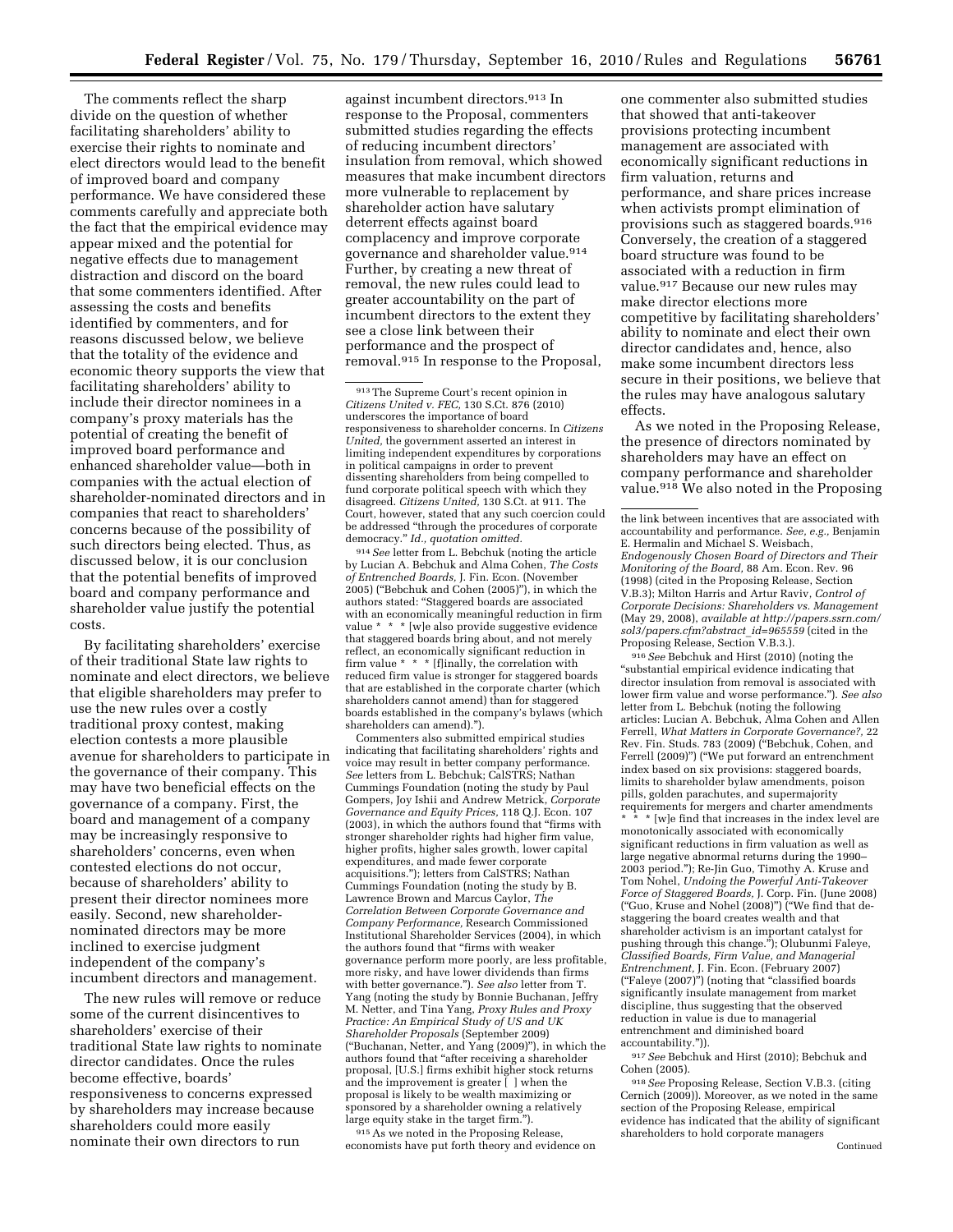The comments reflect the sharp divide on the question of whether facilitating shareholders' ability to exercise their rights to nominate and elect directors would lead to the benefit of improved board and company performance. We have considered these comments carefully and appreciate both the fact that the empirical evidence may appear mixed and the potential for negative effects due to management distraction and discord on the board that some commenters identified. After assessing the costs and benefits identified by commenters, and for reasons discussed below, we believe that the totality of the evidence and economic theory supports the view that facilitating shareholders' ability to include their director nominees in a company's proxy materials has the potential of creating the benefit of improved board performance and enhanced shareholder value—both in companies with the actual election of shareholder-nominated directors and in companies that react to shareholders' concerns because of the possibility of such directors being elected. Thus, as discussed below, it is our conclusion that the potential benefits of improved board and company performance and shareholder value justify the potential costs.

By facilitating shareholders' exercise of their traditional State law rights to nominate and elect directors, we believe that eligible shareholders may prefer to use the new rules over a costly traditional proxy contest, making election contests a more plausible avenue for shareholders to participate in the governance of their company. This may have two beneficial effects on the governance of a company. First, the board and management of a company may be increasingly responsive to shareholders' concerns, even when contested elections do not occur, because of shareholders' ability to present their director nominees more easily. Second, new shareholdernominated directors may be more inclined to exercise judgment independent of the company's incumbent directors and management.

The new rules will remove or reduce some of the current disincentives to shareholders' exercise of their traditional State law rights to nominate director candidates. Once the rules become effective, boards' responsiveness to concerns expressed by shareholders may increase because shareholders could more easily nominate their own directors to run

against incumbent directors.913 In response to the Proposal, commenters submitted studies regarding the effects of reducing incumbent directors' insulation from removal, which showed measures that make incumbent directors more vulnerable to replacement by shareholder action have salutary deterrent effects against board complacency and improve corporate governance and shareholder value.<sup>914</sup> Further, by creating a new threat of removal, the new rules could lead to greater accountability on the part of incumbent directors to the extent they see a close link between their performance and the prospect of removal.915 In response to the Proposal,

914*See* letter from L. Bebchuk (noting the article by Lucian A. Bebchuk and Alma Cohen, *The Costs of Entrenched Boards,* J. Fin. Econ. (November 2005) (''Bebchuk and Cohen (2005)''), in which the authors stated: ''Staggered boards are associated with an economically meaningful reduction in firm value \* \* \* [w]e also provide suggestive evidence that staggered boards bring about, and not merely reflect, an economically significant reduction in firm value \* \* \* [f]inally, the correlation with reduced firm value is stronger for staggered boards that are established in the corporate charter (which shareholders cannot amend) than for staggered boards established in the company's bylaws (which shareholders can amend).'').

Commenters also submitted empirical studies indicating that facilitating shareholders' rights and voice may result in better company performance. *See* letters from L. Bebchuk; CalSTRS; Nathan Cummings Foundation (noting the study by Paul Gompers, Joy Ishii and Andrew Metrick, *Corporate Governance and Equity Prices,* 118 Q.J. Econ. 107 (2003), in which the authors found that ''firms with stronger shareholder rights had higher firm value, higher profits, higher sales growth, lower capital expenditures, and made fewer corporate acquisitions.''); letters from CalSTRS; Nathan Cummings Foundation (noting the study by B. Lawrence Brown and Marcus Caylor, *The Correlation Between Corporate Governance and Company Performance,* Research Commissioned Institutional Shareholder Services (2004), in which the authors found that ''firms with weaker governance perform more poorly, are less profitable, more risky, and have lower dividends than firms with better governance.''). *See also* letter from T. Yang (noting the study by Bonnie Buchanan, Jeffry M. Netter, and Tina Yang, *Proxy Rules and Proxy Practice: An Empirical Study of US and UK Shareholder Proposals* (September 2009) (''Buchanan, Netter, and Yang (2009)''), in which the authors found that ''after receiving a shareholder proposal, [U.S.] firms exhibit higher stock returns and the improvement is greater  $\lbrack \; \rbrack$  when the proposal is likely to be wealth maximizing or sponsored by a shareholder owning a relatively<br>large equity stake in the target firm.").

915 As we noted in the Proposing Release, economists have put forth theory and evidence on

one commenter also submitted studies that showed that anti-takeover provisions protecting incumbent management are associated with economically significant reductions in firm valuation, returns and performance, and share prices increase when activists prompt elimination of provisions such as staggered boards.916 Conversely, the creation of a staggered board structure was found to be associated with a reduction in firm value.917 Because our new rules may make director elections more competitive by facilitating shareholders' ability to nominate and elect their own director candidates and, hence, also make some incumbent directors less secure in their positions, we believe that the rules may have analogous salutary effects.

As we noted in the Proposing Release, the presence of directors nominated by shareholders may have an effect on company performance and shareholder value.<sup>918</sup> We also noted in the Proposing

916*See* Bebchuk and Hirst (2010) (noting the ''substantial empirical evidence indicating that director insulation from removal is associated with lower firm value and worse performance.''). *See also*  letter from L. Bebchuk (noting the following articles: Lucian A. Bebchuk, Alma Cohen and Allen Ferrell, *What Matters in Corporate Governance?,* 22 Rev. Fin. Studs. 783 (2009) (''Bebchuk, Cohen, and Ferrell (2009)'') (''We put forward an entrenchment index based on six provisions: staggered boards, limits to shareholder bylaw amendments, poison pills, golden parachutes, and supermajority requirements for mergers and charter amendments

\* [w]e find that increases in the index level are monotonically associated with economically significant reductions in firm valuation as well as large negative abnormal returns during the 1990– 2003 period.''); Re-Jin Guo, Timothy A. Kruse and Tom Nohel, *Undoing the Powerful Anti-Takeover Force of Staggered Boards,* J. Corp. Fin. (June 2008) (''Guo, Kruse and Nohel (2008)'') (''We find that destaggering the board creates wealth and that shareholder activism is an important catalyst for pushing through this change."); Olubunmi Faleye, *Classified Boards, Firm Value, and Managerial Entrenchment,* J. Fin. Econ. (February 2007) (''Faleye (2007)'') (noting that ''classified boards significantly insulate management from market discipline, thus suggesting that the observed reduction in value is due to managerial entrenchment and diminished board accountability.'')).

917*See* Bebchuk and Hirst (2010); Bebchuk and Cohen (2005).

918*See* Proposing Release, Section V.B.3. (citing Cernich (2009)). Moreover, as we noted in the same section of the Proposing Release, empirical evidence has indicated that the ability of significant shareholders to hold corporate managers

<sup>913</sup>The Supreme Court's recent opinion in *Citizens United v. FEC,* 130 S.Ct. 876 (2010) underscores the importance of board responsiveness to shareholder concerns. In *Citizens United,* the government asserted an interest in limiting independent expenditures by corporations in political campaigns in order to prevent dissenting shareholders from being compelled to fund corporate political speech with which they disagreed. *Citizens United,* 130 S.Ct. at 911. The Court, however, stated that any such coercion could be addressed ''through the procedures of corporate democracy.'' *Id., quotation omitted.* 

the link between incentives that are associated with accountability and performance. *See, e.g.,* Benjamin E. Hermalin and Michael S. Weisbach, *Endogenously Chosen Board of Directors and Their Monitoring of the Board,* 88 Am. Econ. Rev. 96 (1998) (cited in the Proposing Release, Section V.B.3); Milton Harris and Artur Raviv, *Control of Corporate Decisions: Shareholders vs. Management*  (May 29, 2008), *available at [http://papers.ssrn.com/](http://papers.ssrn.com/sol3/papers.cfm?abstract_id=965559)  [sol3/papers.cfm?abstract](http://papers.ssrn.com/sol3/papers.cfm?abstract_id=965559)*\_*id=965559* (cited in the Proposing Release, Section V.B.3.).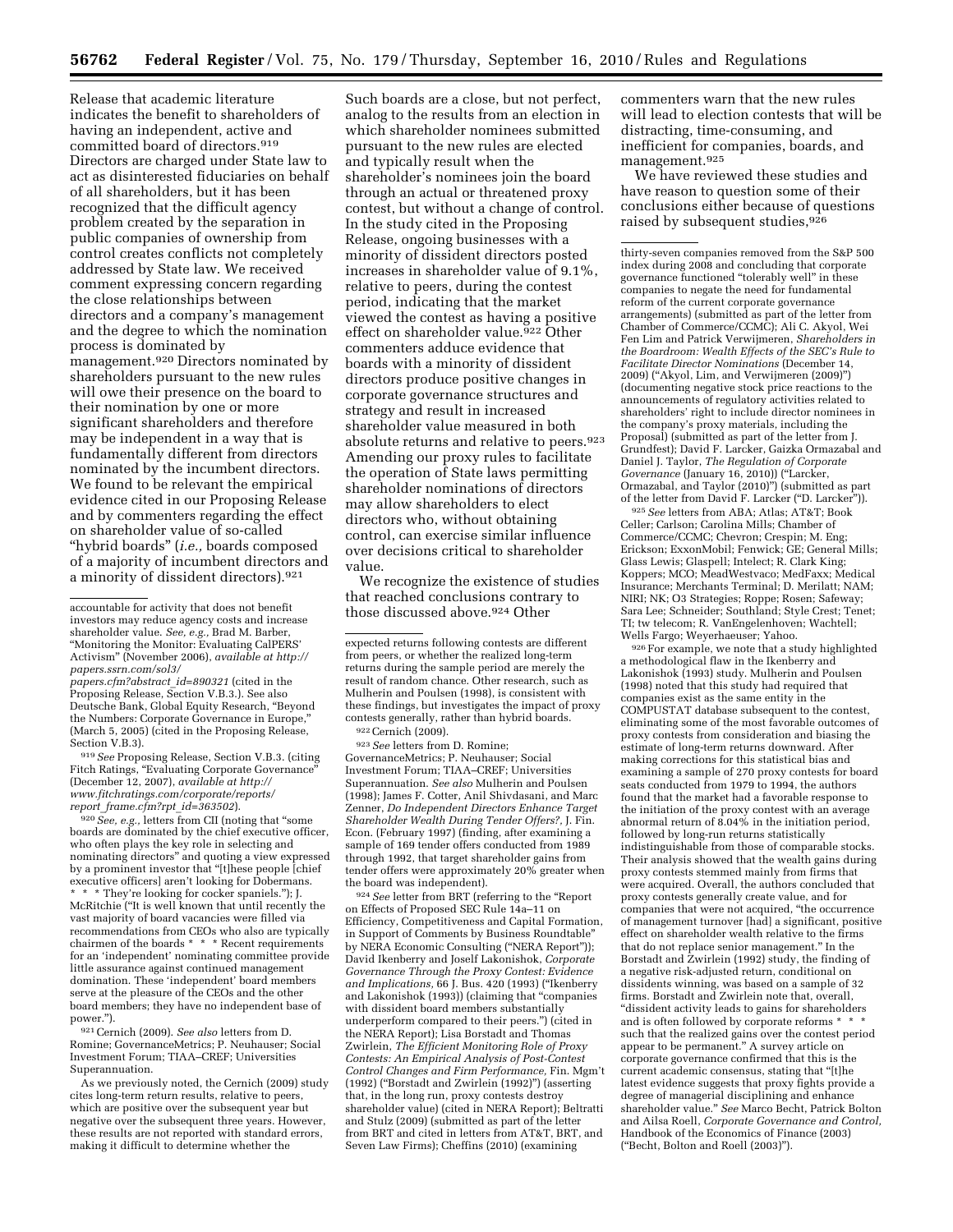Release that academic literature indicates the benefit to shareholders of having an independent, active and committed board of directors.919 Directors are charged under State law to act as disinterested fiduciaries on behalf of all shareholders, but it has been recognized that the difficult agency problem created by the separation in public companies of ownership from control creates conflicts not completely addressed by State law. We received comment expressing concern regarding the close relationships between directors and a company's management and the degree to which the nomination process is dominated by management.<sup>920</sup> Directors nominated by shareholders pursuant to the new rules will owe their presence on the board to their nomination by one or more significant shareholders and therefore may be independent in a way that is fundamentally different from directors nominated by the incumbent directors. We found to be relevant the empirical evidence cited in our Proposing Release and by commenters regarding the effect on shareholder value of so-called ''hybrid boards'' (*i.e.,* boards composed of a majority of incumbent directors and a minority of dissident directors).921

*[papers.cfm?abstract](http://papers.ssrn.com/sol3/papers.cfm?abstract_id=890321)*\_*id=890321* (cited in the Proposing Release, Section V.B.3.). See also Deutsche Bank, Global Equity Research, ''Beyond the Numbers: Corporate Governance in Europe,'' (March 5, 2005) (cited in the Proposing Release, Section V.B.3).

919*See* Proposing Release, Section V.B.3. (citing Fitch Ratings, ''Evaluating Corporate Governance'' (December 12, 2007), *available at [http://](http://www.fitchratings.com/corporate/reports/report_frame.cfm?rpt_id=363502)  [www.fitchratings.com/corporate/reports/](http://www.fitchratings.com/corporate/reports/report_frame.cfm?rpt_id=363502)  report*\_*[frame.cfm?rpt](http://www.fitchratings.com/corporate/reports/report_frame.cfm?rpt_id=363502)*\_*id=363502*).

920*See, e.g.,* letters from CII (noting that ''some boards are dominated by the chief executive officer, who often plays the key role in selecting and nominating directors'' and quoting a view expressed by a prominent investor that ''[t]hese people [chief executive officers] aren't looking for Dobermans. \* \* They're looking for cocker spaniels."); J McRitchie (''It is well known that until recently the vast majority of board vacancies were filled via recommendations from CEOs who also are typically chairmen of the boards \* \* \* Recent requirements for an 'independent' nominating committee provide little assurance against continued management domination. These 'independent' board members serve at the pleasure of the CEOs and the other board members; they have no independent base of power.").

921Cernich (2009). *See also* letters from D. Romine; GovernanceMetrics; P. Neuhauser; Social Investment Forum; TIAA–CREF; Universities Superannuation.

As we previously noted, the Cernich (2009) study cites long-term return results, relative to peers, which are positive over the subsequent year but negative over the subsequent three years. However, these results are not reported with standard errors, making it difficult to determine whether the

Such boards are a close, but not perfect, analog to the results from an election in which shareholder nominees submitted pursuant to the new rules are elected and typically result when the shareholder's nominees join the board through an actual or threatened proxy contest, but without a change of control. In the study cited in the Proposing Release, ongoing businesses with a minority of dissident directors posted increases in shareholder value of 9.1%, relative to peers, during the contest period, indicating that the market viewed the contest as having a positive effect on shareholder value.<sup>922</sup> Other commenters adduce evidence that boards with a minority of dissident directors produce positive changes in corporate governance structures and strategy and result in increased shareholder value measured in both absolute returns and relative to peers.923 Amending our proxy rules to facilitate the operation of State laws permitting shareholder nominations of directors may allow shareholders to elect directors who, without obtaining control, can exercise similar influence over decisions critical to shareholder value.

We recognize the existence of studies that reached conclusions contrary to those discussed above.924 Other

923*See* letters from D. Romine; GovernanceMetrics; P. Neuhauser; Social Investment Forum; TIAA–CREF; Universities Superannuation. *See also* Mulherin and Poulsen (1998); James F. Cotter, Anil Shivdasani, and Marc Zenner, *Do Independent Directors Enhance Target Shareholder Wealth During Tender Offers?,* J. Fin. Econ. (February 1997) (finding, after examining a sample of 169 tender offers conducted from 1989 through 1992, that target shareholder gains from tender offers were approximately 20% greater when the board was independent).

<sup>924</sup> See letter from BRT (referring to the "Report on Effects of Proposed SEC Rule 14a–11 on Efficiency, Competitiveness and Capital Formation, in Support of Comments by Business Roundtable'' by NERA Economic Consulting (''NERA Report'')); David Ikenberry and Joself Lakonishok, *Corporate Governance Through the Proxy Contest: Evidence and Implications,* 66 J. Bus. 420 (1993) (''Ikenberry and Lakonishok (1993)) (claiming that ''companies with dissident board members substantially underperform compared to their peers.'') (cited in the NERA Report); Lisa Borstadt and Thomas Zwirlein, *The Efficient Monitoring Role of Proxy Contests: An Empirical Analysis of Post-Contest Control Changes and Firm Performance,* Fin. Mgm't (1992) (''Borstadt and Zwirlein (1992)'') (asserting that, in the long run, proxy contests destroy shareholder value) (cited in NERA Report); Beltratti and Stulz (2009) (submitted as part of the letter from BRT and cited in letters from AT&T, BRT, and Seven Law Firms); Cheffins (2010) (examining

commenters warn that the new rules will lead to election contests that will be distracting, time-consuming, and inefficient for companies, boards, and management.925

We have reviewed these studies and have reason to question some of their conclusions either because of questions raised by subsequent studies, 926

925*See* letters from ABA; Atlas; AT&T; Book Celler; Carlson; Carolina Mills; Chamber of Commerce/CCMC; Chevron; Crespin; M. Eng; Erickson; ExxonMobil; Fenwick; GE; General Mills; Glass Lewis; Glaspell; Intelect; R. Clark King; Koppers; MCO; MeadWestvaco; MedFaxx; Medical Insurance; Merchants Terminal; D. Merilatt; NAM; NIRI; NK; O3 Strategies; Roppe; Rosen; Safeway; Sara Lee; Schneider; Southland; Style Crest; Tenet; TI; tw telecom; R. VanEngelenhoven; Wachtell; Wells Fargo; Weyerhaeuser; Yahoo.

926For example, we note that a study highlighted a methodological flaw in the Ikenberry and Lakonishok (1993) study. Mulherin and Poulsen (1998) noted that this study had required that companies exist as the same entity in the COMPUSTAT database subsequent to the contest, eliminating some of the most favorable outcomes of proxy contests from consideration and biasing the estimate of long-term returns downward. After making corrections for this statistical bias and examining a sample of 270 proxy contests for board seats conducted from 1979 to 1994, the authors found that the market had a favorable response to the initiation of the proxy contest with an average abnormal return of 8.04% in the initiation period, followed by long-run returns statistically indistinguishable from those of comparable stocks. Their analysis showed that the wealth gains during proxy contests stemmed mainly from firms that were acquired. Overall, the authors concluded that proxy contests generally create value, and for companies that were not acquired, ''the occurrence of management turnover [had] a significant, positive effect on shareholder wealth relative to the firms that do not replace senior management.'' In the Borstadt and Zwirlein (1992) study, the finding of a negative risk-adjusted return, conditional on dissidents winning, was based on a sample of 32 firms. Borstadt and Zwirlein note that, overall, ''dissident activity leads to gains for shareholders and is often followed by corporate reforms \* such that the realized gains over the contest period appear to be permanent.'' A survey article on corporate governance confirmed that this is the current academic consensus, stating that ''[t]he latest evidence suggests that proxy fights provide a degree of managerial disciplining and enhance shareholder value.'' *See* Marco Becht, Patrick Bolton and Ailsa Roell, *Corporate Governance and Control,*  Handbook of the Economics of Finance (2003) (''Becht, Bolton and Roell (2003)'').

accountable for activity that does not benefit investors may reduce agency costs and increase shareholder value. *See, e.g.,* Brad M. Barber, ''Monitoring the Monitor: Evaluating CalPERS' Activism'' (November 2006), *available at [http://](http://papers.ssrn.com/sol3/papers.cfm?abstract_id=890321) [papers.ssrn.com/sol3/](http://papers.ssrn.com/sol3/papers.cfm?abstract_id=890321)* 

expected returns following contests are different from peers, or whether the realized long-term returns during the sample period are merely the result of random chance. Other research, such as Mulherin and Poulsen (1998), is consistent with these findings, but investigates the impact of proxy contests generally, rather than hybrid boards. 922Cernich (2009).

thirty-seven companies removed from the S&P 500 index during 2008 and concluding that corporate governance functioned ''tolerably well'' in these companies to negate the need for fundamental reform of the current corporate governance arrangements) (submitted as part of the letter from Chamber of Commerce/CCMC); Ali C. Akyol, Wei Fen Lim and Patrick Verwijmeren, *Shareholders in the Boardroom: Wealth Effects of the SEC's Rule to Facilitate Director Nominations* (December 14, 2009) (''Akyol, Lim, and Verwijmeren (2009)'') (documenting negative stock price reactions to the announcements of regulatory activities related to shareholders' right to include director nominees in the company's proxy materials, including the Proposal) (submitted as part of the letter from J. Grundfest); David F. Larcker, Gaizka Ormazabal and Daniel J. Taylor, *The Regulation of Corporate Governance* (January 16, 2010)) (''Larcker, Ormazabal, and Taylor (2010)'') (submitted as part of the letter from David F. Larcker (''D. Larcker'')).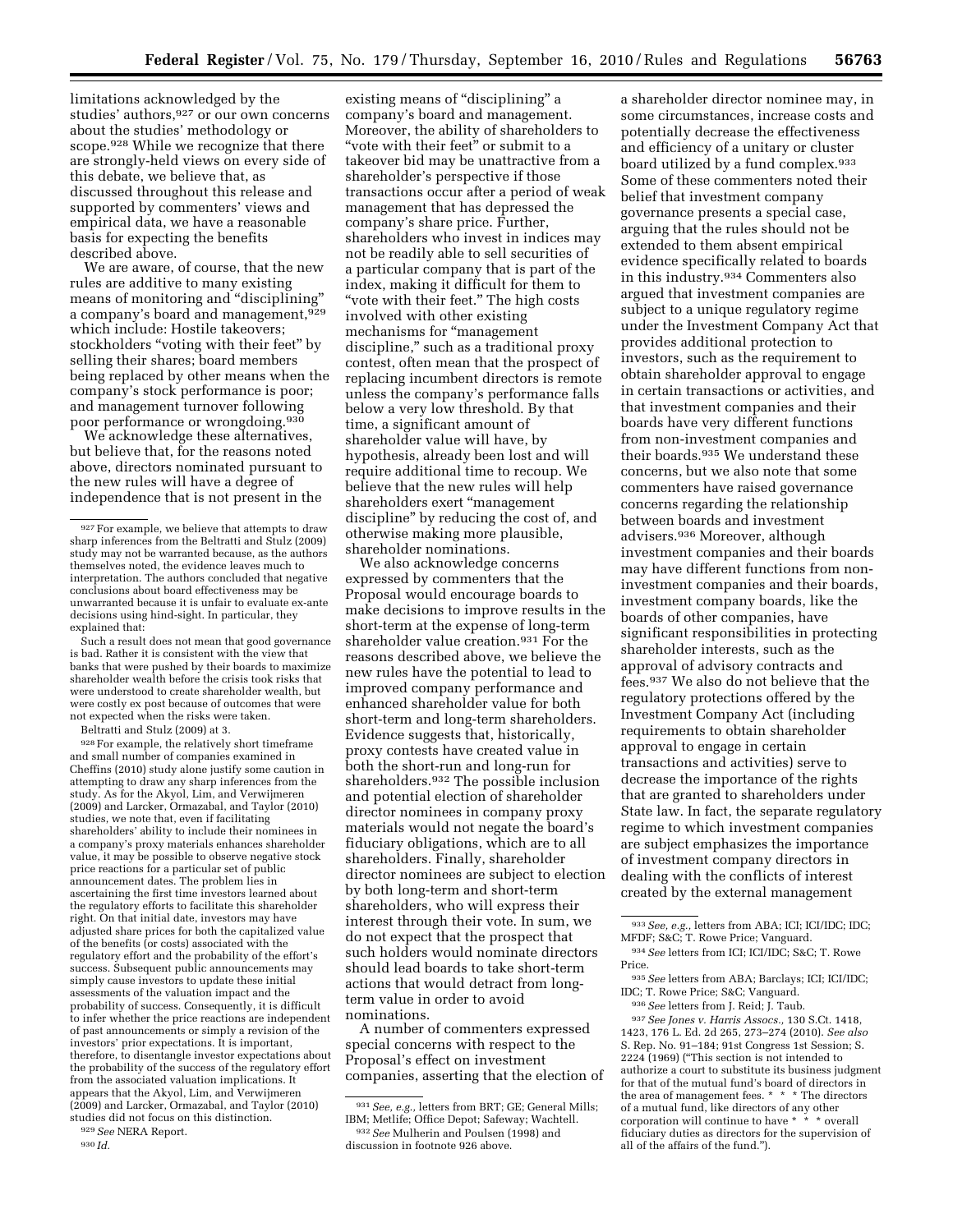limitations acknowledged by the studies' authors,927 or our own concerns about the studies' methodology or scope.928 While we recognize that there are strongly-held views on every side of this debate, we believe that, as discussed throughout this release and supported by commenters' views and empirical data, we have a reasonable basis for expecting the benefits described above.

We are aware, of course, that the new rules are additive to many existing means of monitoring and ''disciplining'' a company's board and management, 929 which include: Hostile takeovers; stockholders ''voting with their feet'' by selling their shares; board members being replaced by other means when the company's stock performance is poor; and management turnover following poor performance or wrongdoing.<sup>930</sup>

We acknowledge these alternatives, but believe that, for the reasons noted above, directors nominated pursuant to the new rules will have a degree of independence that is not present in the

Such a result does not mean that good governance is bad. Rather it is consistent with the view that banks that were pushed by their boards to maximize shareholder wealth before the crisis took risks that were understood to create shareholder wealth, but were costly ex post because of outcomes that were not expected when the risks were taken.

Beltratti and Stulz (2009) at 3.

928For example, the relatively short timeframe and small number of companies examined in Cheffins (2010) study alone justify some caution in attempting to draw any sharp inferences from the study. As for the Akyol, Lim, and Verwijmeren (2009) and Larcker, Ormazabal, and Taylor (2010) studies, we note that, even if facilitating shareholders' ability to include their nominees in a company's proxy materials enhances shareholder value, it may be possible to observe negative stock price reactions for a particular set of public announcement dates. The problem lies in ascertaining the first time investors learned about the regulatory efforts to facilitate this shareholder right. On that initial date, investors may have adjusted share prices for both the capitalized value of the benefits (or costs) associated with the regulatory effort and the probability of the effort's success. Subsequent public announcements may simply cause investors to update these initial assessments of the valuation impact and the probability of success. Consequently, it is difficult to infer whether the price reactions are independent of past announcements or simply a revision of the investors' prior expectations. It is important, therefore, to disentangle investor expectations about the probability of the success of the regulatory effort from the associated valuation implications. It appears that the Akyol, Lim, and Verwijmeren (2009) and Larcker, Ormazabal, and Taylor (2010) studies did not focus on this distinction.

929*See* NERA Report.

existing means of "disciplining" a company's board and management. Moreover, the ability of shareholders to ''vote with their feet'' or submit to a takeover bid may be unattractive from a shareholder's perspective if those transactions occur after a period of weak management that has depressed the company's share price. Further, shareholders who invest in indices may not be readily able to sell securities of a particular company that is part of the index, making it difficult for them to "vote with their feet." The high costs involved with other existing mechanisms for "management discipline,'' such as a traditional proxy contest, often mean that the prospect of replacing incumbent directors is remote unless the company's performance falls below a very low threshold. By that time, a significant amount of shareholder value will have, by hypothesis, already been lost and will require additional time to recoup. We believe that the new rules will help shareholders exert ''management discipline'' by reducing the cost of, and otherwise making more plausible, shareholder nominations.

We also acknowledge concerns expressed by commenters that the Proposal would encourage boards to make decisions to improve results in the short-term at the expense of long-term shareholder value creation.931 For the reasons described above, we believe the new rules have the potential to lead to improved company performance and enhanced shareholder value for both short-term and long-term shareholders. Evidence suggests that, historically, proxy contests have created value in both the short-run and long-run for shareholders.932 The possible inclusion and potential election of shareholder director nominees in company proxy materials would not negate the board's fiduciary obligations, which are to all shareholders. Finally, shareholder director nominees are subject to election by both long-term and short-term shareholders, who will express their interest through their vote. In sum, we do not expect that the prospect that such holders would nominate directors should lead boards to take short-term actions that would detract from longterm value in order to avoid nominations.

A number of commenters expressed special concerns with respect to the Proposal's effect on investment companies, asserting that the election of

a shareholder director nominee may, in some circumstances, increase costs and potentially decrease the effectiveness and efficiency of a unitary or cluster board utilized by a fund complex.933 Some of these commenters noted their belief that investment company governance presents a special case, arguing that the rules should not be extended to them absent empirical evidence specifically related to boards in this industry.934 Commenters also argued that investment companies are subject to a unique regulatory regime under the Investment Company Act that provides additional protection to investors, such as the requirement to obtain shareholder approval to engage in certain transactions or activities, and that investment companies and their boards have very different functions from non-investment companies and their boards.935 We understand these concerns, but we also note that some commenters have raised governance concerns regarding the relationship between boards and investment advisers.936 Moreover, although investment companies and their boards may have different functions from noninvestment companies and their boards, investment company boards, like the boards of other companies, have significant responsibilities in protecting shareholder interests, such as the approval of advisory contracts and fees.937 We also do not believe that the regulatory protections offered by the Investment Company Act (including requirements to obtain shareholder approval to engage in certain transactions and activities) serve to decrease the importance of the rights that are granted to shareholders under State law. In fact, the separate regulatory regime to which investment companies are subject emphasizes the importance of investment company directors in dealing with the conflicts of interest created by the external management

937*See Jones v. Harris Assocs.,* 130 S.Ct. 1418, 1423, 176 L. Ed. 2d 265, 273–274 (2010). *See also*  S. Rep. No. 91–184; 91st Congress 1st Session; S. 2224 (1969) (''This section is not intended to authorize a court to substitute its business judgment for that of the mutual fund's board of directors in the area of management fees. \* \* \* The directors of a mutual fund, like directors of any other corporation will continue to have \* \* \* overall fiduciary duties as directors for the supervision of all of the affairs of the fund.'').

<sup>927</sup> For example, we believe that attempts to draw sharp inferences from the Beltratti and Stulz (2009) study may not be warranted because, as the authors themselves noted, the evidence leaves much to interpretation. The authors concluded that negative conclusions about board effectiveness may be unwarranted because it is unfair to evaluate ex-ante decisions using hind-sight. In particular, they explained that:

<sup>930</sup> *Id.* 

<sup>931</sup>*See, e.g.,* letters from BRT; GE; General Mills; IBM; Metlife; Office Depot; Safeway; Wachtell. 932*See* Mulherin and Poulsen (1998) and discussion in footnote 926 above.

<sup>933</sup>*See, e.g.,* letters from ABA; ICI; ICI/IDC; IDC; MFDF; S&C; T. Rowe Price; Vanguard.

<sup>934</sup>*See* letters from ICI; ICI/IDC; S&C; T. Rowe Price.

<sup>935</sup>*See* letters from ABA; Barclays; ICI; ICI/IDC; IDC; T. Rowe Price; S&C; Vanguard.

<sup>936</sup>*See* letters from J. Reid; J. Taub.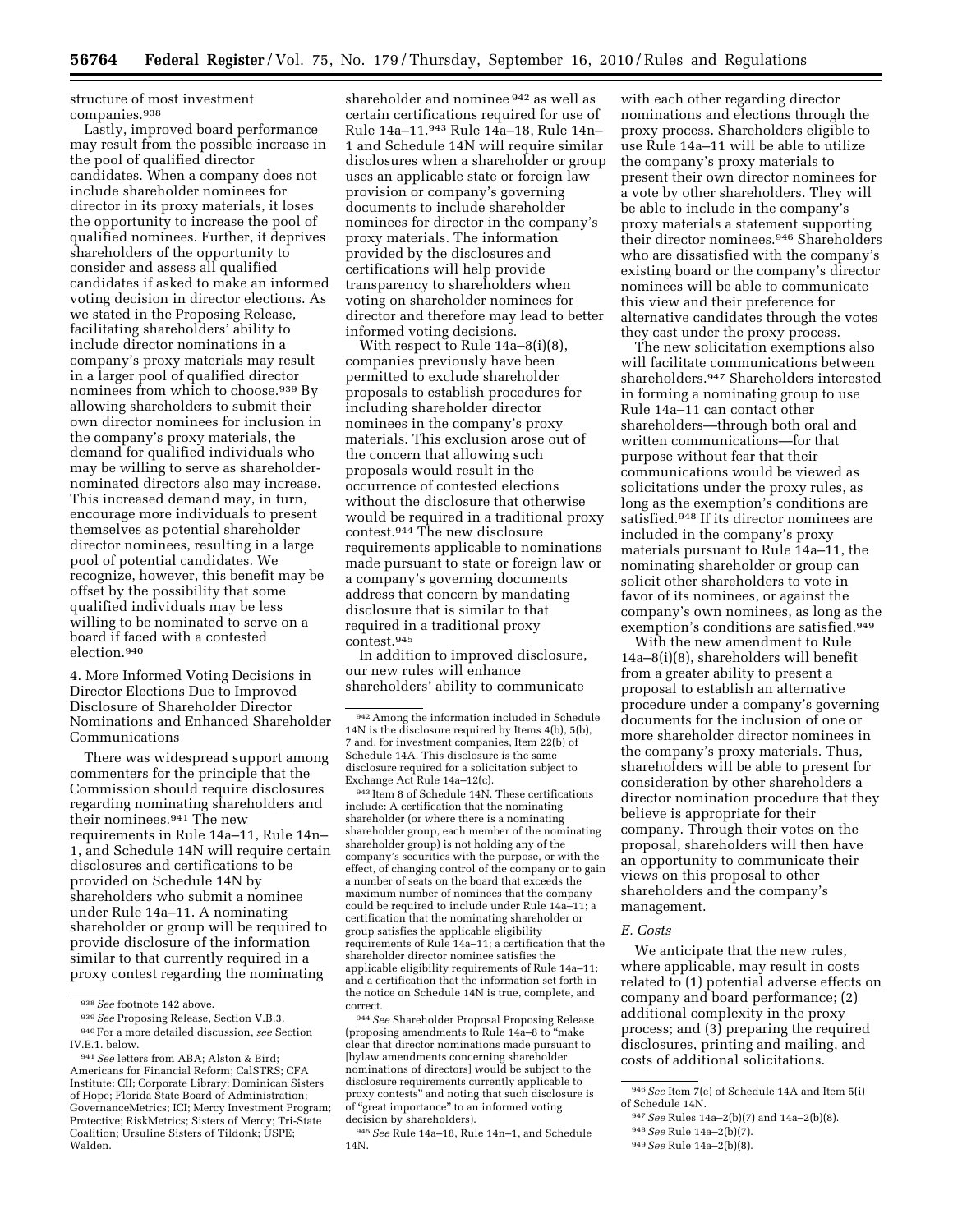structure of most investment companies.938

Lastly, improved board performance may result from the possible increase in the pool of qualified director candidates. When a company does not include shareholder nominees for director in its proxy materials, it loses the opportunity to increase the pool of qualified nominees. Further, it deprives shareholders of the opportunity to consider and assess all qualified candidates if asked to make an informed voting decision in director elections. As we stated in the Proposing Release, facilitating shareholders' ability to include director nominations in a company's proxy materials may result in a larger pool of qualified director nominees from which to choose.<sup>939</sup> By allowing shareholders to submit their own director nominees for inclusion in the company's proxy materials, the demand for qualified individuals who may be willing to serve as shareholdernominated directors also may increase. This increased demand may, in turn, encourage more individuals to present themselves as potential shareholder director nominees, resulting in a large pool of potential candidates. We recognize, however, this benefit may be offset by the possibility that some qualified individuals may be less willing to be nominated to serve on a board if faced with a contested election.940

4. More Informed Voting Decisions in Director Elections Due to Improved Disclosure of Shareholder Director Nominations and Enhanced Shareholder Communications

There was widespread support among commenters for the principle that the Commission should require disclosures regarding nominating shareholders and their nominees.941 The new requirements in Rule 14a–11, Rule 14n– 1, and Schedule 14N will require certain disclosures and certifications to be provided on Schedule 14N by shareholders who submit a nominee under Rule 14a–11. A nominating shareholder or group will be required to provide disclosure of the information similar to that currently required in a proxy contest regarding the nominating

shareholder and nominee 942 as well as certain certifications required for use of Rule 14a–11.943 Rule 14a–18, Rule 14n– 1 and Schedule 14N will require similar disclosures when a shareholder or group uses an applicable state or foreign law provision or company's governing documents to include shareholder nominees for director in the company's proxy materials. The information provided by the disclosures and certifications will help provide transparency to shareholders when voting on shareholder nominees for director and therefore may lead to better informed voting decisions.

With respect to Rule 14a–8(i)(8), companies previously have been permitted to exclude shareholder proposals to establish procedures for including shareholder director nominees in the company's proxy materials. This exclusion arose out of the concern that allowing such proposals would result in the occurrence of contested elections without the disclosure that otherwise would be required in a traditional proxy contest.944 The new disclosure requirements applicable to nominations made pursuant to state or foreign law or a company's governing documents address that concern by mandating disclosure that is similar to that required in a traditional proxy contest.945

In addition to improved disclosure, our new rules will enhance shareholders' ability to communicate

943 Item 8 of Schedule 14N. These certifications include: A certification that the nominating shareholder (or where there is a nominating shareholder group, each member of the nominating shareholder group) is not holding any of the company's securities with the purpose, or with the effect, of changing control of the company or to gain a number of seats on the board that exceeds the maximum number of nominees that the company could be required to include under Rule 14a–11; a certification that the nominating shareholder or group satisfies the applicable eligibility requirements of Rule 14a–11; a certification that the shareholder director nominee satisfies the applicable eligibility requirements of Rule 14a–11; and a certification that the information set forth in the notice on Schedule 14N is true, complete, and correct.

944*See* Shareholder Proposal Proposing Release (proposing amendments to Rule 14a–8 to ''make clear that director nominations made pursuant to [bylaw amendments concerning shareholder nominations of directors] would be subject to the disclosure requirements currently applicable to proxy contests'' and noting that such disclosure is of "great importance" to an informed voting decision by shareholders).

945*See* Rule 14a–18, Rule 14n–1, and Schedule 14N.

with each other regarding director nominations and elections through the proxy process. Shareholders eligible to use Rule 14a–11 will be able to utilize the company's proxy materials to present their own director nominees for a vote by other shareholders. They will be able to include in the company's proxy materials a statement supporting their director nominees.946 Shareholders who are dissatisfied with the company's existing board or the company's director nominees will be able to communicate this view and their preference for alternative candidates through the votes they cast under the proxy process.

The new solicitation exemptions also will facilitate communications between shareholders.947 Shareholders interested in forming a nominating group to use Rule 14a–11 can contact other shareholders—through both oral and written communications—for that purpose without fear that their communications would be viewed as solicitations under the proxy rules, as long as the exemption's conditions are satisfied.948 If its director nominees are included in the company's proxy materials pursuant to Rule 14a–11, the nominating shareholder or group can solicit other shareholders to vote in favor of its nominees, or against the company's own nominees, as long as the exemption's conditions are satisfied.949

With the new amendment to Rule 14a–8(i)(8), shareholders will benefit from a greater ability to present a proposal to establish an alternative procedure under a company's governing documents for the inclusion of one or more shareholder director nominees in the company's proxy materials. Thus, shareholders will be able to present for consideration by other shareholders a director nomination procedure that they believe is appropriate for their company. Through their votes on the proposal, shareholders will then have an opportunity to communicate their views on this proposal to other shareholders and the company's management.

### *E. Costs*

We anticipate that the new rules, where applicable, may result in costs related to (1) potential adverse effects on company and board performance; (2) additional complexity in the proxy process; and (3) preparing the required disclosures, printing and mailing, and costs of additional solicitations.

<sup>938</sup>*See* footnote 142 above.

<sup>939</sup>*See* Proposing Release, Section V.B.3.

<sup>940</sup>For a more detailed discussion, *see* Section IV.E.1. below.

<sup>941</sup>*See* letters from ABA; Alston & Bird; Americans for Financial Reform; CalSTRS; CFA Institute; CII; Corporate Library; Dominican Sisters of Hope; Florida State Board of Administration; GovernanceMetrics; ICI; Mercy Investment Program; Protective; RiskMetrics; Sisters of Mercy; Tri-State Coalition; Ursuline Sisters of Tildonk; USPE; Walden.

<sup>942</sup>Among the information included in Schedule 14N is the disclosure required by Items 4(b), 5(b), 7 and, for investment companies, Item 22(b) of Schedule 14A. This disclosure is the same disclosure required for a solicitation subject to Exchange Act Rule 14a–12(c).

<sup>946</sup>*See* Item 7(e) of Schedule 14A and Item 5(i) of Schedule 14N.

<sup>947</sup>*See* Rules 14a–2(b)(7) and 14a–2(b)(8). 948*See* Rule 14a–2(b)(7).

<sup>949</sup>*See* Rule 14a–2(b)(8).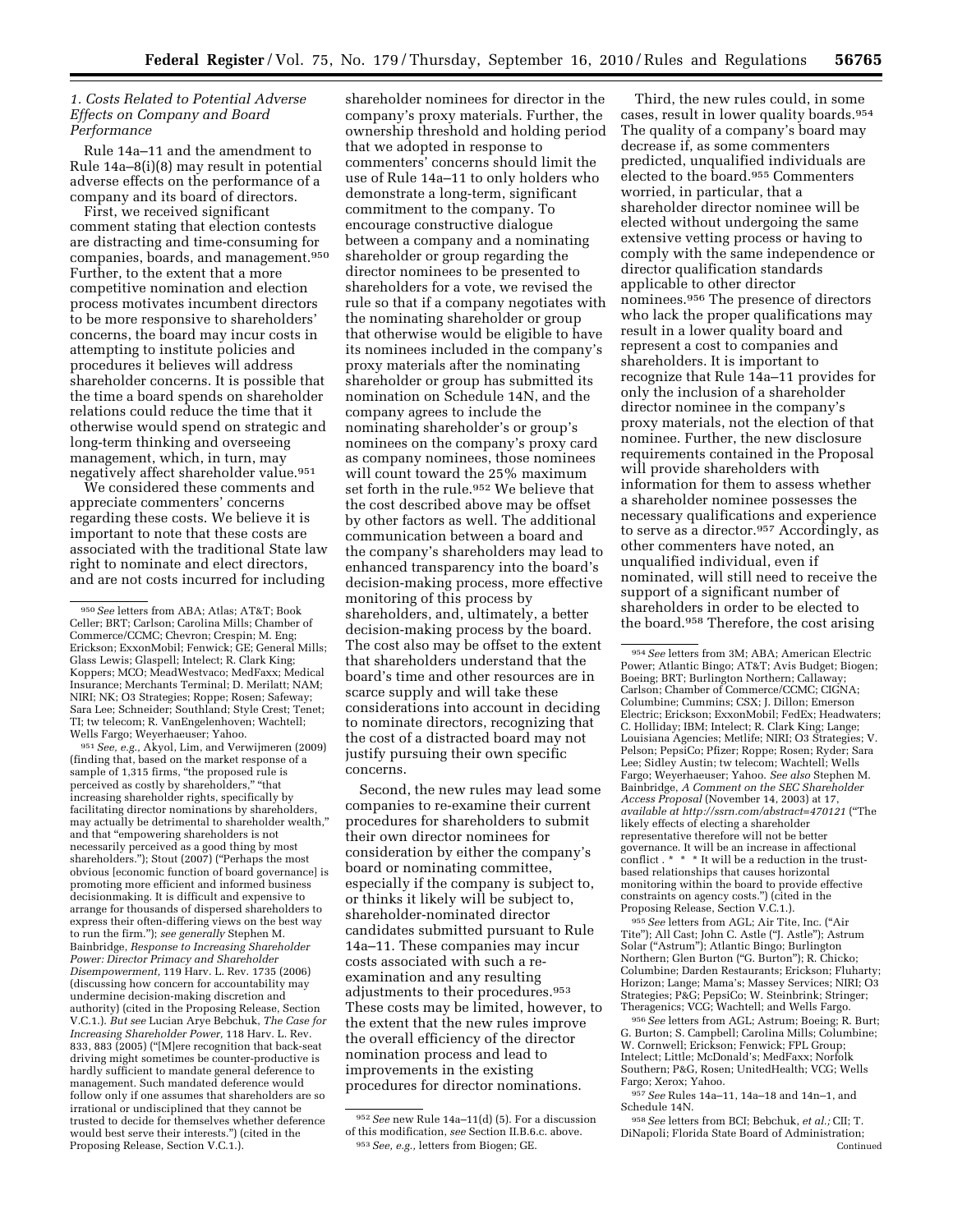## *1. Costs Related to Potential Adverse Effects on Company and Board Performance*

Rule 14a–11 and the amendment to Rule 14a–8(i)(8) may result in potential adverse effects on the performance of a company and its board of directors.

First, we received significant comment stating that election contests are distracting and time-consuming for companies, boards, and management.950 Further, to the extent that a more competitive nomination and election process motivates incumbent directors to be more responsive to shareholders' concerns, the board may incur costs in attempting to institute policies and procedures it believes will address shareholder concerns. It is possible that the time a board spends on shareholder relations could reduce the time that it otherwise would spend on strategic and long-term thinking and overseeing management, which, in turn, may negatively affect shareholder value.951

We considered these comments and appreciate commenters' concerns regarding these costs. We believe it is important to note that these costs are associated with the traditional State law right to nominate and elect directors, and are not costs incurred for including

951*See, e.g.,* Akyol, Lim, and Verwijmeren (2009) (finding that, based on the market response of a sample of 1,315 firms, "the proposed rule is perceived as costly by shareholders,'' ''that increasing shareholder rights, specifically by facilitating director nominations by shareholders, may actually be detrimental to shareholder wealth,'' and that ''empowering shareholders is not necessarily perceived as a good thing by most shareholders.''); Stout (2007) (''Perhaps the most obvious [economic function of board governance] is promoting more efficient and informed business decisionmaking. It is difficult and expensive to arrange for thousands of dispersed shareholders to express their often-differing views on the best way to run the firm.''); *see generally* Stephen M. Bainbridge, *Response to Increasing Shareholder Power: Director Primacy and Shareholder Disempowerment,* 119 Harv. L. Rev. 1735 (2006) (discussing how concern for accountability may undermine decision-making discretion and authority) (cited in the Proposing Release, Section V.C.1.). *But see* Lucian Arye Bebchuk, *The Case for Increasing Shareholder Power,* 118 Harv. L. Rev. 833, 883 (2005) (''[M]ere recognition that back-seat driving might sometimes be counter-productive is hardly sufficient to mandate general deference to management. Such mandated deference would follow only if one assumes that shareholders are so irrational or undisciplined that they cannot be trusted to decide for themselves whether deference would best serve their interests.'') (cited in the Proposing Release, Section V.C.1.).

shareholder nominees for director in the company's proxy materials. Further, the ownership threshold and holding period that we adopted in response to commenters' concerns should limit the use of Rule 14a–11 to only holders who demonstrate a long-term, significant commitment to the company. To encourage constructive dialogue between a company and a nominating shareholder or group regarding the director nominees to be presented to shareholders for a vote, we revised the rule so that if a company negotiates with the nominating shareholder or group that otherwise would be eligible to have its nominees included in the company's proxy materials after the nominating shareholder or group has submitted its nomination on Schedule 14N, and the company agrees to include the nominating shareholder's or group's nominees on the company's proxy card as company nominees, those nominees will count toward the 25% maximum set forth in the rule.952 We believe that the cost described above may be offset by other factors as well. The additional communication between a board and the company's shareholders may lead to enhanced transparency into the board's decision-making process, more effective monitoring of this process by shareholders, and, ultimately, a better decision-making process by the board. The cost also may be offset to the extent that shareholders understand that the board's time and other resources are in scarce supply and will take these considerations into account in deciding to nominate directors, recognizing that the cost of a distracted board may not justify pursuing their own specific concerns.

Second, the new rules may lead some companies to re-examine their current procedures for shareholders to submit their own director nominees for consideration by either the company's board or nominating committee, especially if the company is subject to, or thinks it likely will be subject to, shareholder-nominated director candidates submitted pursuant to Rule 14a–11. These companies may incur costs associated with such a reexamination and any resulting adjustments to their procedures.953 These costs may be limited, however, to the extent that the new rules improve the overall efficiency of the director nomination process and lead to improvements in the existing procedures for director nominations.

Third, the new rules could, in some cases, result in lower quality boards.954 The quality of a company's board may decrease if, as some commenters predicted, unqualified individuals are elected to the board.955 Commenters worried, in particular, that a shareholder director nominee will be elected without undergoing the same extensive vetting process or having to comply with the same independence or director qualification standards applicable to other director nominees.956 The presence of directors who lack the proper qualifications may result in a lower quality board and represent a cost to companies and shareholders. It is important to recognize that Rule 14a–11 provides for only the inclusion of a shareholder director nominee in the company's proxy materials, not the election of that nominee. Further, the new disclosure requirements contained in the Proposal will provide shareholders with information for them to assess whether a shareholder nominee possesses the necessary qualifications and experience to serve as a director.957 Accordingly, as other commenters have noted, an unqualified individual, even if nominated, will still need to receive the support of a significant number of shareholders in order to be elected to the board.958 Therefore, the cost arising

955*See* letters from AGL; Air Tite, Inc. (''Air Tite''); All Cast; John C. Astle (''J. Astle''); Astrum Solar (''Astrum''); Atlantic Bingo; Burlington Northern; Glen Burton ("G. Burton"); R. Chicko; Columbine; Darden Restaurants; Erickson; Fluharty; Horizon; Lange; Mama's; Massey Services; NIRI; O3 Strategies; P&G; PepsiCo; W. Steinbrink; Stringer; Theragenics; VCG; Wachtell; and Wells Fargo.

956*See* letters from AGL; Astrum; Boeing; R. Burt; G. Burton; S. Campbell; Carolina Mills; Columbine; W. Cornwell; Erickson; Fenwick; FPL Group; Intelect; Little; McDonald's; MedFaxx; Norfolk Southern; P&G, Rosen; UnitedHealth; VCG; Wells Fargo; Xerox; Yahoo.

<sup>958</sup> See letters from BCI; Bebchuk, et al.; CII; T. DiNapoli; Florida State Board of Administration; Continued

<sup>950</sup>*See* letters from ABA; Atlas; AT&T; Book Celler; BRT; Carlson; Carolina Mills; Chamber of Commerce/CCMC; Chevron; Crespin; M. Eng; Erickson; ExxonMobil; Fenwick; GE; General Mills; Glass Lewis; Glaspell; Intelect; R. Clark King; Koppers; MCO; MeadWestvaco; MedFaxx; Medical Insurance; Merchants Terminal; D. Merilatt; NAM; NIRI; NK; O3 Strategies; Roppe; Rosen; Safeway; Sara Lee; Schneider; Southland; Style Crest; Tenet; TI; tw telecom; R. VanEngelenhoven; Wachtell; Wells Fargo; Weyerhaeuser; Yahoo.

<sup>952</sup>*See* new Rule 14a–11(d) (5). For a discussion of this modification, *see* Section II.B.6.c. above. 953*See, e.g.,* letters from Biogen; GE.

<sup>954</sup>*See* letters from 3M; ABA; American Electric Power; Atlantic Bingo; AT&T; Avis Budget; Biogen; Boeing; BRT; Burlington Northern; Callaway; Carlson; Chamber of Commerce/CCMC; CIGNA; Columbine; Cummins; CSX; J. Dillon; Emerson Electric; Erickson; ExxonMobil; FedEx; Headwaters; C. Holliday; IBM; Intelect; R. Clark King; Lange; Louisiana Agencies; Metlife; NIRI; O3 Strategies; V. Pelson; PepsiCo; Pfizer; Roppe; Rosen; Ryder; Sara Lee; Sidley Austin; tw telecom; Wachtell; Wells Fargo; Weyerhaeuser; Yahoo. *See also* Stephen M. Bainbridge, *A Comment on the SEC Shareholder Access Proposal* (November 14, 2003) at 17, *available at<http://ssrn.com/abstract=470121>*(''The likely effects of electing a shareholder representative therefore will not be better governance. It will be an increase in affectional conflict . \* \* \* It will be a reduction in the trustbased relationships that causes horizontal monitoring within the board to provide effective constraints on agency costs.'') (cited in the Proposing Release, Section V.C.1.).

<sup>957</sup>*See* Rules 14a–11, 14a–18 and 14n–1, and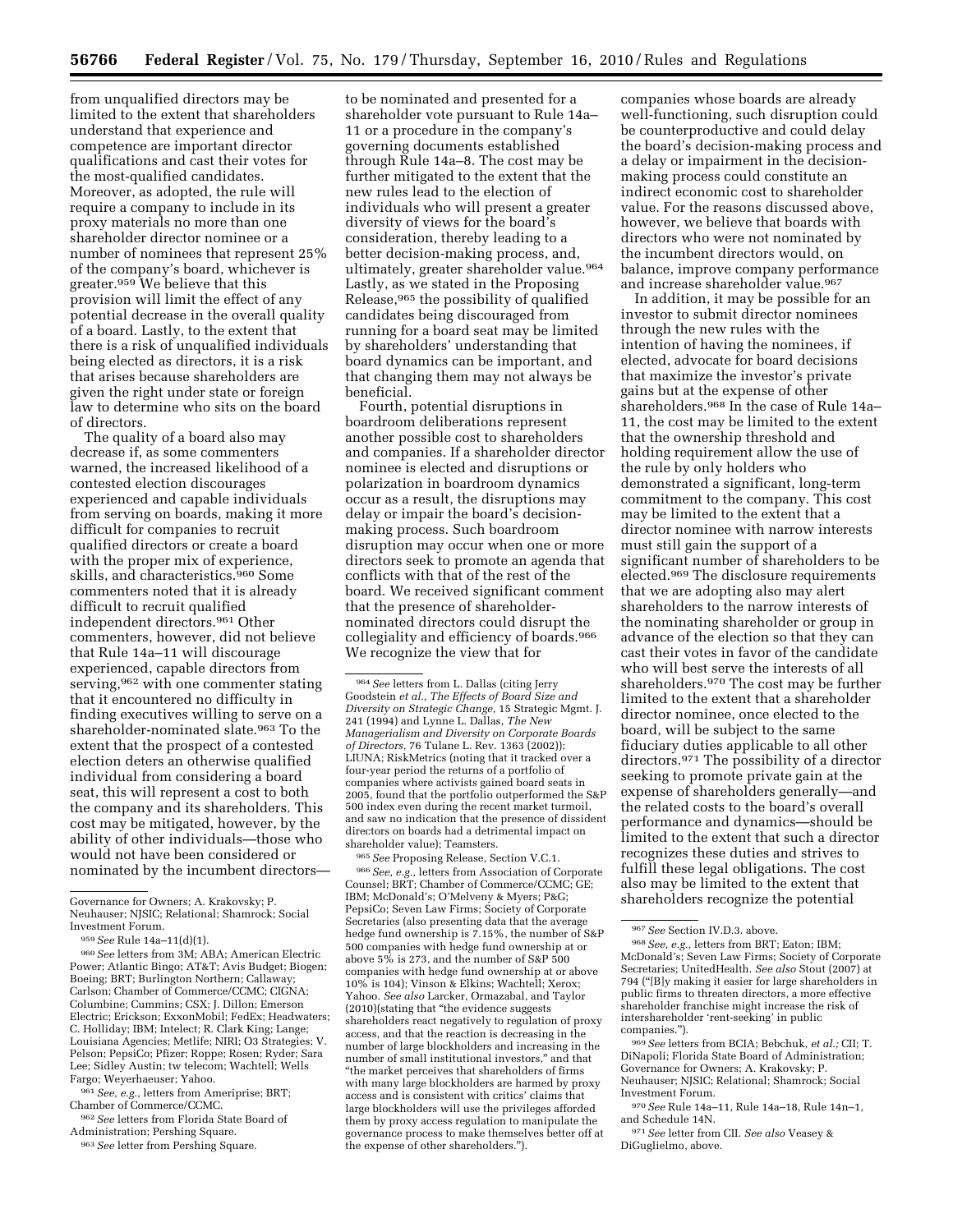from unqualified directors may be limited to the extent that shareholders understand that experience and competence are important director qualifications and cast their votes for the most-qualified candidates. Moreover, as adopted, the rule will require a company to include in its proxy materials no more than one shareholder director nominee or a number of nominees that represent 25% of the company's board, whichever is greater.959 We believe that this provision will limit the effect of any potential decrease in the overall quality of a board. Lastly, to the extent that there is a risk of unqualified individuals being elected as directors, it is a risk that arises because shareholders are given the right under state or foreign law to determine who sits on the board of directors.

The quality of a board also may decrease if, as some commenters warned, the increased likelihood of a contested election discourages experienced and capable individuals from serving on boards, making it more difficult for companies to recruit qualified directors or create a board with the proper mix of experience, skills, and characteristics.960 Some commenters noted that it is already difficult to recruit qualified independent directors.961 Other commenters, however, did not believe that Rule 14a–11 will discourage experienced, capable directors from serving,962 with one commenter stating that it encountered no difficulty in finding executives willing to serve on a shareholder-nominated slate.963 To the extent that the prospect of a contested election deters an otherwise qualified individual from considering a board seat, this will represent a cost to both the company and its shareholders. This cost may be mitigated, however, by the ability of other individuals—those who would not have been considered or nominated by the incumbent directors—

960*See* letters from 3M; ABA; American Electric Power; Atlantic Bingo; AT&T; Avis Budget; Biogen; Boeing; BRT; Burlington Northern; Callaway; Carlson; Chamber of Commerce/CCMC; CIGNA; Columbine; Cummins; CSX; J. Dillon; Emerson Electric; Erickson; ExxonMobil; FedEx; Headwaters; C. Holliday; IBM; Intelect; R. Clark King; Lange; Louisiana Agencies; Metlife; NIRI; O3 Strategies; V. Pelson; PepsiCo; Pfizer; Roppe; Rosen; Ryder; Sara Lee; Sidley Austin; tw telecom; Wachtell; Wells Fargo; Weyerhaeuser; Yahoo.

961*See, e.g.,* letters from Ameriprise; BRT; Chamber of Commerce/CCMC.

962*See* letters from Florida State Board of Administration; Pershing Square.

963*See* letter from Pershing Square.

to be nominated and presented for a shareholder vote pursuant to Rule 14a– 11 or a procedure in the company's governing documents established through Rule 14a–8. The cost may be further mitigated to the extent that the new rules lead to the election of individuals who will present a greater diversity of views for the board's consideration, thereby leading to a better decision-making process, and, ultimately, greater shareholder value.964 Lastly, as we stated in the Proposing Release,965 the possibility of qualified candidates being discouraged from running for a board seat may be limited by shareholders' understanding that board dynamics can be important, and that changing them may not always be beneficial.

Fourth, potential disruptions in boardroom deliberations represent another possible cost to shareholders and companies. If a shareholder director nominee is elected and disruptions or polarization in boardroom dynamics occur as a result, the disruptions may delay or impair the board's decisionmaking process. Such boardroom disruption may occur when one or more directors seek to promote an agenda that conflicts with that of the rest of the board. We received significant comment that the presence of shareholdernominated directors could disrupt the collegiality and efficiency of boards.966 We recognize the view that for

964*See* letters from L. Dallas (citing Jerry Goodstein *et al., The Effects of Board Size and Diversity on Strategic Change,* 15 Strategic Mgmt. J. 241 (1994) and Lynne L. Dallas, *The New Managerialism and Diversity on Corporate Boards of Directors,* 76 Tulane L. Rev. 1363 (2002)); LIUNA; RiskMetrics (noting that it tracked over a four-year period the returns of a portfolio of companies where activists gained board seats in 2005, found that the portfolio outperformed the S&P 500 index even during the recent market turmoil, and saw no indication that the presence of dissident directors on boards had a detrimental impact on shareholder value); Teamsters.

965*See* Proposing Release, Section V.C.1. 966*See, e.g.,* letters from Association of Corporate Counsel; BRT; Chamber of Commerce/CCMC; GE; IBM; McDonald's; O'Melveny & Myers; P&G; PepsiCo; Seven Law Firms; Society of Corporate Secretaries (also presenting data that the average hedge fund ownership is 7.15%, the number of S&P 500 companies with hedge fund ownership at or above 5% is 273, and the number of S&P 500 companies with hedge fund ownership at or above 10% is 104); Vinson & Elkins; Wachtell; Xerox; Yahoo. *See also* Larcker, Ormazabal, and Taylor (2010)(stating that ''the evidence suggests shareholders react negatively to regulation of proxy access, and that the reaction is decreasing in the number of large blockholders and increasing in the number of small institutional investors,'' and that ''the market perceives that shareholders of firms with many large blockholders are harmed by proxy access and is consistent with critics' claims that large blockholders will use the privileges afforded them by proxy access regulation to manipulate the governance process to make themselves better off at the expense of other shareholders.'').

companies whose boards are already well-functioning, such disruption could be counterproductive and could delay the board's decision-making process and a delay or impairment in the decisionmaking process could constitute an indirect economic cost to shareholder value. For the reasons discussed above, however, we believe that boards with directors who were not nominated by the incumbent directors would, on balance, improve company performance and increase shareholder value.967

In addition, it may be possible for an investor to submit director nominees through the new rules with the intention of having the nominees, if elected, advocate for board decisions that maximize the investor's private gains but at the expense of other shareholders.968 In the case of Rule 14a– 11, the cost may be limited to the extent that the ownership threshold and holding requirement allow the use of the rule by only holders who demonstrated a significant, long-term commitment to the company. This cost may be limited to the extent that a director nominee with narrow interests must still gain the support of a significant number of shareholders to be elected.969 The disclosure requirements that we are adopting also may alert shareholders to the narrow interests of the nominating shareholder or group in advance of the election so that they can cast their votes in favor of the candidate who will best serve the interests of all shareholders.970 The cost may be further limited to the extent that a shareholder director nominee, once elected to the board, will be subject to the same fiduciary duties applicable to all other directors.971 The possibility of a director seeking to promote private gain at the expense of shareholders generally—and the related costs to the board's overall performance and dynamics—should be limited to the extent that such a director recognizes these duties and strives to fulfill these legal obligations. The cost also may be limited to the extent that shareholders recognize the potential

Governance for Owners; A. Krakovsky; P. Neuhauser; NJSIC; Relational; Shamrock; Social Investment Forum.

<sup>959</sup>*See* Rule 14a–11(d)(1).

<sup>967</sup>*See* Section IV.D.3. above.

<sup>968</sup>*See, e.g.,* letters from BRT; Eaton; IBM; McDonald's; Seven Law Firms; Society of Corporate Secretaries; UnitedHealth. *See also* Stout (2007) at 794 (''[B]y making it easier for large shareholders in public firms to threaten directors, a more effective shareholder franchise might increase the risk of intershareholder 'rent-seeking' in public companies.'').

<sup>969</sup>*See* letters from BCIA; Bebchuk, *et al.;* CII; T. DiNapoli; Florida State Board of Administration; Governance for Owners; A. Krakovsky; P. Neuhauser; NJSIC; Relational; Shamrock; Social Investment Forum. 970*See* Rule 14a–11, Rule 14a–18, Rule 14n–1,

and Schedule 14N.

<sup>971</sup>*See* letter from CII. *See also* Veasey & DiGuglielmo, above.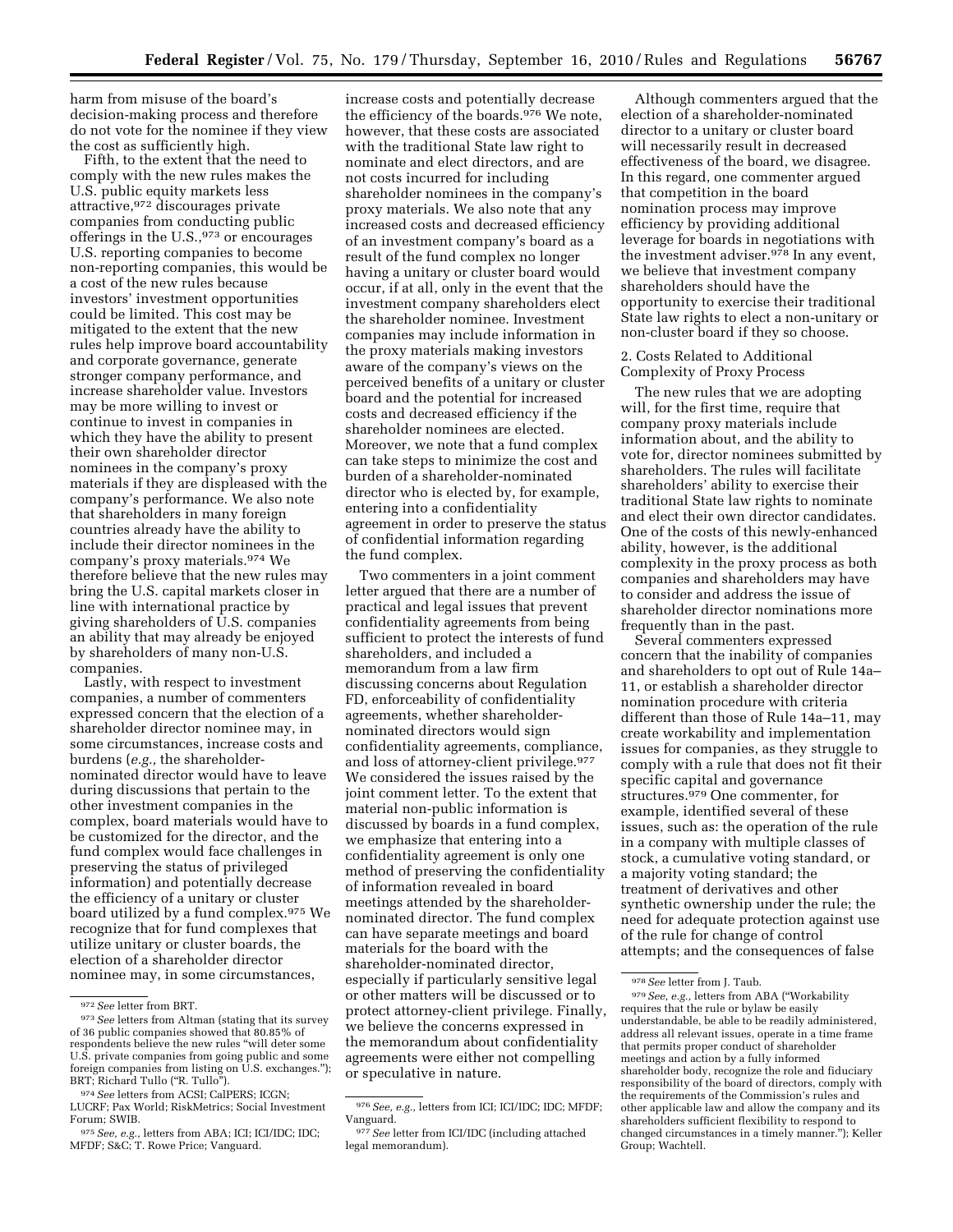harm from misuse of the board's decision-making process and therefore do not vote for the nominee if they view the cost as sufficiently high.

Fifth, to the extent that the need to comply with the new rules makes the U.S. public equity markets less attractive,972 discourages private companies from conducting public offerings in the U.S.,973 or encourages U.S. reporting companies to become non-reporting companies, this would be a cost of the new rules because investors' investment opportunities could be limited. This cost may be mitigated to the extent that the new rules help improve board accountability and corporate governance, generate stronger company performance, and increase shareholder value. Investors may be more willing to invest or continue to invest in companies in which they have the ability to present their own shareholder director nominees in the company's proxy materials if they are displeased with the company's performance. We also note that shareholders in many foreign countries already have the ability to include their director nominees in the company's proxy materials.974 We therefore believe that the new rules may bring the U.S. capital markets closer in line with international practice by giving shareholders of U.S. companies an ability that may already be enjoyed by shareholders of many non-U.S. companies.

Lastly, with respect to investment companies, a number of commenters expressed concern that the election of a shareholder director nominee may, in some circumstances, increase costs and burdens (*e.g.,* the shareholdernominated director would have to leave during discussions that pertain to the other investment companies in the complex, board materials would have to be customized for the director, and the fund complex would face challenges in preserving the status of privileged information) and potentially decrease the efficiency of a unitary or cluster board utilized by a fund complex.975 We recognize that for fund complexes that utilize unitary or cluster boards, the election of a shareholder director nominee may, in some circumstances,

increase costs and potentially decrease the efficiency of the boards.976 We note, however, that these costs are associated with the traditional State law right to nominate and elect directors, and are not costs incurred for including shareholder nominees in the company's proxy materials. We also note that any increased costs and decreased efficiency of an investment company's board as a result of the fund complex no longer having a unitary or cluster board would occur, if at all, only in the event that the investment company shareholders elect the shareholder nominee. Investment companies may include information in the proxy materials making investors aware of the company's views on the perceived benefits of a unitary or cluster board and the potential for increased costs and decreased efficiency if the shareholder nominees are elected. Moreover, we note that a fund complex can take steps to minimize the cost and burden of a shareholder-nominated director who is elected by, for example, entering into a confidentiality agreement in order to preserve the status of confidential information regarding the fund complex.

Two commenters in a joint comment letter argued that there are a number of practical and legal issues that prevent confidentiality agreements from being sufficient to protect the interests of fund shareholders, and included a memorandum from a law firm discussing concerns about Regulation FD, enforceability of confidentiality agreements, whether shareholdernominated directors would sign confidentiality agreements, compliance, and loss of attorney-client privilege.977 We considered the issues raised by the joint comment letter. To the extent that material non-public information is discussed by boards in a fund complex, we emphasize that entering into a confidentiality agreement is only one method of preserving the confidentiality of information revealed in board meetings attended by the shareholdernominated director. The fund complex can have separate meetings and board materials for the board with the shareholder-nominated director, especially if particularly sensitive legal or other matters will be discussed or to protect attorney-client privilege. Finally, we believe the concerns expressed in the memorandum about confidentiality agreements were either not compelling or speculative in nature.

Although commenters argued that the election of a shareholder-nominated director to a unitary or cluster board will necessarily result in decreased effectiveness of the board, we disagree. In this regard, one commenter argued that competition in the board nomination process may improve efficiency by providing additional leverage for boards in negotiations with the investment adviser.978 In any event, we believe that investment company shareholders should have the opportunity to exercise their traditional State law rights to elect a non-unitary or non-cluster board if they so choose.

## 2. Costs Related to Additional Complexity of Proxy Process

The new rules that we are adopting will, for the first time, require that company proxy materials include information about, and the ability to vote for, director nominees submitted by shareholders. The rules will facilitate shareholders' ability to exercise their traditional State law rights to nominate and elect their own director candidates. One of the costs of this newly-enhanced ability, however, is the additional complexity in the proxy process as both companies and shareholders may have to consider and address the issue of shareholder director nominations more frequently than in the past.

Several commenters expressed concern that the inability of companies and shareholders to opt out of Rule 14a– 11, or establish a shareholder director nomination procedure with criteria different than those of Rule 14a–11, may create workability and implementation issues for companies, as they struggle to comply with a rule that does not fit their specific capital and governance structures.979 One commenter, for example, identified several of these issues, such as: the operation of the rule in a company with multiple classes of stock, a cumulative voting standard, or a majority voting standard; the treatment of derivatives and other synthetic ownership under the rule; the need for adequate protection against use of the rule for change of control attempts; and the consequences of false

<sup>972</sup>*See* letter from BRT. 973*See* letters from Altman (stating that its survey of 36 public companies showed that 80.85% of respondents believe the new rules ''will deter some U.S. private companies from going public and some foreign companies from listing on U.S. exchanges.''); BRT; Richard Tullo (''R. Tullo'').

<sup>974</sup>*See* letters from ACSI; CalPERS; ICGN; LUCRF; Pax World; RiskMetrics; Social Investment Forum; SWIB.

<sup>975</sup>*See, e.g.,* letters from ABA; ICI; ICI/IDC; IDC; MFDF; S&C; T. Rowe Price; Vanguard.

<sup>976</sup>*See, e.g.,* letters from ICI; ICI/IDC; IDC; MFDF; Vanguard.

<sup>977</sup>*See* letter from ICI/IDC (including attached legal memorandum).

<sup>978</sup>*See* letter from J. Taub.

<sup>979</sup>*See, e.g.,* letters from ABA (''Workability requires that the rule or bylaw be easily understandable, be able to be readily administered, address all relevant issues, operate in a time frame that permits proper conduct of shareholder meetings and action by a fully informed shareholder body, recognize the role and fiduciary responsibility of the board of directors, comply with the requirements of the Commission's rules and other applicable law and allow the company and its shareholders sufficient flexibility to respond to changed circumstances in a timely manner.''); Keller Group; Wachtell.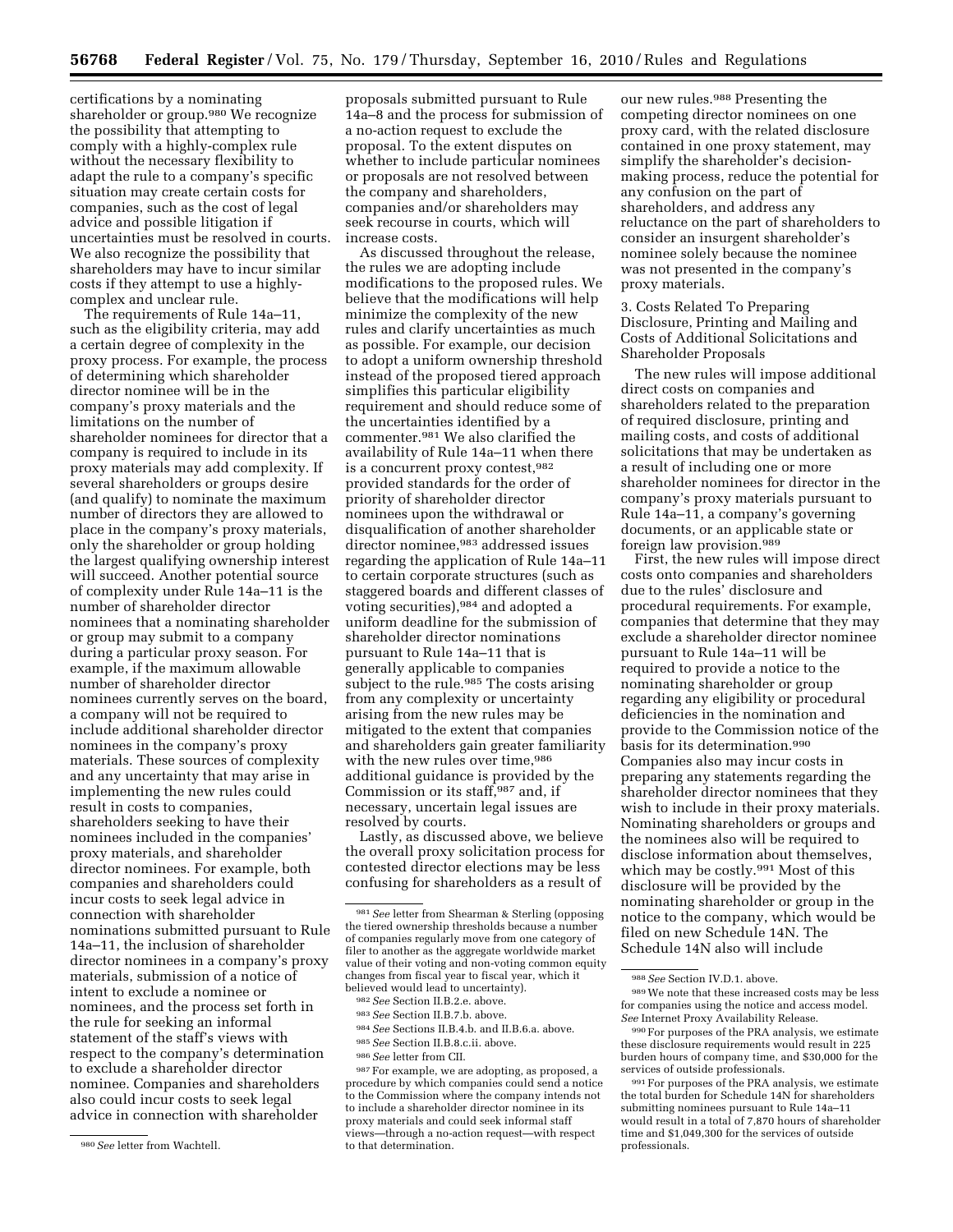certifications by a nominating shareholder or group.980 We recognize the possibility that attempting to comply with a highly-complex rule without the necessary flexibility to adapt the rule to a company's specific situation may create certain costs for companies, such as the cost of legal advice and possible litigation if uncertainties must be resolved in courts. We also recognize the possibility that shareholders may have to incur similar costs if they attempt to use a highlycomplex and unclear rule.

The requirements of Rule 14a–11, such as the eligibility criteria, may add a certain degree of complexity in the proxy process. For example, the process of determining which shareholder director nominee will be in the company's proxy materials and the limitations on the number of shareholder nominees for director that a company is required to include in its proxy materials may add complexity. If several shareholders or groups desire (and qualify) to nominate the maximum number of directors they are allowed to place in the company's proxy materials, only the shareholder or group holding the largest qualifying ownership interest will succeed. Another potential source of complexity under Rule 14a–11 is the number of shareholder director nominees that a nominating shareholder or group may submit to a company during a particular proxy season. For example, if the maximum allowable number of shareholder director nominees currently serves on the board, a company will not be required to include additional shareholder director nominees in the company's proxy materials. These sources of complexity and any uncertainty that may arise in implementing the new rules could result in costs to companies, shareholders seeking to have their nominees included in the companies' proxy materials, and shareholder director nominees. For example, both companies and shareholders could incur costs to seek legal advice in connection with shareholder nominations submitted pursuant to Rule 14a–11, the inclusion of shareholder director nominees in a company's proxy materials, submission of a notice of intent to exclude a nominee or nominees, and the process set forth in the rule for seeking an informal statement of the staff's views with respect to the company's determination to exclude a shareholder director nominee. Companies and shareholders also could incur costs to seek legal advice in connection with shareholder

proposals submitted pursuant to Rule 14a–8 and the process for submission of a no-action request to exclude the proposal. To the extent disputes on whether to include particular nominees or proposals are not resolved between the company and shareholders, companies and/or shareholders may seek recourse in courts, which will increase costs.

As discussed throughout the release, the rules we are adopting include modifications to the proposed rules. We believe that the modifications will help minimize the complexity of the new rules and clarify uncertainties as much as possible. For example, our decision to adopt a uniform ownership threshold instead of the proposed tiered approach simplifies this particular eligibility requirement and should reduce some of the uncertainties identified by a commenter.981 We also clarified the availability of Rule 14a–11 when there is a concurrent proxy contest,982 provided standards for the order of priority of shareholder director nominees upon the withdrawal or disqualification of another shareholder director nominee,983 addressed issues regarding the application of Rule 14a–11 to certain corporate structures (such as staggered boards and different classes of voting securities),984 and adopted a uniform deadline for the submission of shareholder director nominations pursuant to Rule 14a–11 that is generally applicable to companies subject to the rule.<sup>985</sup> The costs arising from any complexity or uncertainty arising from the new rules may be mitigated to the extent that companies and shareholders gain greater familiarity with the new rules over time, 986 additional guidance is provided by the Commission or its staff,987 and, if necessary, uncertain legal issues are resolved by courts.

Lastly, as discussed above, we believe the overall proxy solicitation process for contested director elections may be less confusing for shareholders as a result of

- 982*See* Section II.B.2.e. above.
- 983*See* Section II.B.7.b. above.

987For example, we are adopting, as proposed, a procedure by which companies could send a notice to the Commission where the company intends not to include a shareholder director nominee in its proxy materials and could seek informal staff views—through a no-action request—with respect to that determination.

our new rules.988 Presenting the competing director nominees on one proxy card, with the related disclosure contained in one proxy statement, may simplify the shareholder's decisionmaking process, reduce the potential for any confusion on the part of shareholders, and address any reluctance on the part of shareholders to consider an insurgent shareholder's nominee solely because the nominee was not presented in the company's proxy materials.

3. Costs Related To Preparing Disclosure, Printing and Mailing and Costs of Additional Solicitations and Shareholder Proposals

The new rules will impose additional direct costs on companies and shareholders related to the preparation of required disclosure, printing and mailing costs, and costs of additional solicitations that may be undertaken as a result of including one or more shareholder nominees for director in the company's proxy materials pursuant to Rule 14a–11, a company's governing documents, or an applicable state or foreign law provision.989

First, the new rules will impose direct costs onto companies and shareholders due to the rules' disclosure and procedural requirements. For example, companies that determine that they may exclude a shareholder director nominee pursuant to Rule 14a–11 will be required to provide a notice to the nominating shareholder or group regarding any eligibility or procedural deficiencies in the nomination and provide to the Commission notice of the basis for its determination.990 Companies also may incur costs in preparing any statements regarding the shareholder director nominees that they wish to include in their proxy materials. Nominating shareholders or groups and the nominees also will be required to disclose information about themselves, which may be costly.<sup>991</sup> Most of this disclosure will be provided by the nominating shareholder or group in the notice to the company, which would be filed on new Schedule 14N. The Schedule 14N also will include

989We note that these increased costs may be less for companies using the notice and access model. *See* Internet Proxy Availability Release.

990For purposes of the PRA analysis, we estimate these disclosure requirements would result in 225 burden hours of company time, and \$30,000 for the services of outside professionals.

<sup>980</sup>*See* letter from Wachtell.

<sup>981</sup>*See* letter from Shearman & Sterling (opposing the tiered ownership thresholds because a number of companies regularly move from one category of filer to another as the aggregate worldwide market value of their voting and non-voting common equity changes from fiscal year to fiscal year, which it believed would lead to uncertainty).

<sup>984</sup>*See* Sections II.B.4.b. and II.B.6.a. above.

<sup>985</sup>*See* Section II.B.8.c.ii. above.

<sup>986</sup>*See* letter from CII.

<sup>988</sup>*See* Section IV.D.1. above.

<sup>991</sup>For purposes of the PRA analysis, we estimate the total burden for Schedule 14N for shareholders submitting nominees pursuant to Rule 14a–11 would result in a total of 7,870 hours of shareholder time and \$1,049,300 for the services of outside professionals.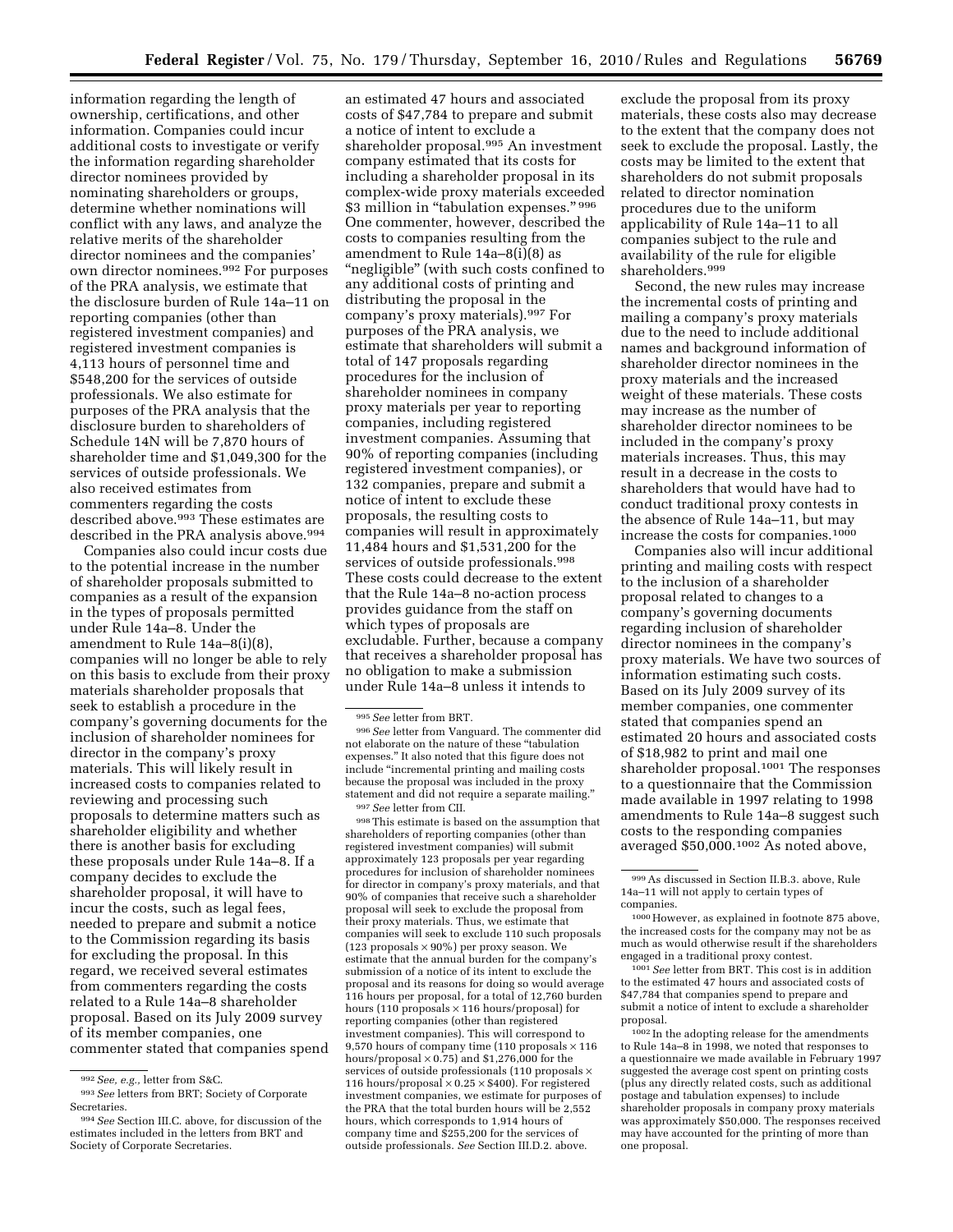information regarding the length of ownership, certifications, and other information. Companies could incur additional costs to investigate or verify the information regarding shareholder director nominees provided by nominating shareholders or groups, determine whether nominations will conflict with any laws, and analyze the relative merits of the shareholder director nominees and the companies' own director nominees.992 For purposes of the PRA analysis, we estimate that the disclosure burden of Rule 14a–11 on reporting companies (other than registered investment companies) and registered investment companies is 4,113 hours of personnel time and \$548,200 for the services of outside professionals. We also estimate for purposes of the PRA analysis that the disclosure burden to shareholders of Schedule 14N will be 7,870 hours of shareholder time and \$1,049,300 for the services of outside professionals. We also received estimates from commenters regarding the costs described above.<sup>993</sup> These estimates are described in the PRA analysis above.994

Companies also could incur costs due to the potential increase in the number of shareholder proposals submitted to companies as a result of the expansion in the types of proposals permitted under Rule 14a–8. Under the amendment to Rule 14a–8(i)(8), companies will no longer be able to rely on this basis to exclude from their proxy materials shareholder proposals that seek to establish a procedure in the company's governing documents for the inclusion of shareholder nominees for director in the company's proxy materials. This will likely result in increased costs to companies related to reviewing and processing such proposals to determine matters such as shareholder eligibility and whether there is another basis for excluding these proposals under Rule 14a–8. If a company decides to exclude the shareholder proposal, it will have to incur the costs, such as legal fees, needed to prepare and submit a notice to the Commission regarding its basis for excluding the proposal. In this regard, we received several estimates from commenters regarding the costs related to a Rule 14a–8 shareholder proposal. Based on its July 2009 survey of its member companies, one commenter stated that companies spend

an estimated 47 hours and associated costs of \$47,784 to prepare and submit a notice of intent to exclude a shareholder proposal.995 An investment company estimated that its costs for including a shareholder proposal in its complex-wide proxy materials exceeded \$3 million in "tabulation expenses." 996 One commenter, however, described the costs to companies resulting from the amendment to Rule 14a–8(i)(8) as ''negligible'' (with such costs confined to any additional costs of printing and distributing the proposal in the company's proxy materials).997 For purposes of the PRA analysis, we estimate that shareholders will submit a total of 147 proposals regarding procedures for the inclusion of shareholder nominees in company proxy materials per year to reporting companies, including registered investment companies. Assuming that 90% of reporting companies (including registered investment companies), or 132 companies, prepare and submit a notice of intent to exclude these proposals, the resulting costs to companies will result in approximately 11,484 hours and \$1,531,200 for the services of outside professionals.998 These costs could decrease to the extent that the Rule 14a–8 no-action process provides guidance from the staff on which types of proposals are excludable. Further, because a company that receives a shareholder proposal has no obligation to make a submission under Rule 14a–8 unless it intends to

998This estimate is based on the assumption that shareholders of reporting companies (other than registered investment companies) will submit approximately 123 proposals per year regarding procedures for inclusion of shareholder nominees for director in company's proxy materials, and that 90% of companies that receive such a shareholder proposal will seek to exclude the proposal from their proxy materials. Thus, we estimate that companies will seek to exclude 110 such proposals (123 proposals  $\times$  90%) per proxy season. We estimate that the annual burden for the company's submission of a notice of its intent to exclude the proposal and its reasons for doing so would average 116 hours per proposal, for a total of 12,760 burden hours (110 proposals  $\times$  116 hours/proposal) for reporting companies (other than registered investment companies). This will correspond to 9,570 hours of company time (110 proposals  $\times$  116 hours/proposal  $\times$  0.75) and \$1,276,000 for the services of outside professionals (110 proposals  $\times$ 116 hours/proposal  $\times$  0.25  $\times$  \$400). For registered investment companies, we estimate for purposes of the PRA that the total burden hours will be 2,552 hours, which corresponds to 1,914 hours of company time and \$255,200 for the services of outside professionals. *See* Section III.D.2. above.

exclude the proposal from its proxy materials, these costs also may decrease to the extent that the company does not seek to exclude the proposal. Lastly, the costs may be limited to the extent that shareholders do not submit proposals related to director nomination procedures due to the uniform applicability of Rule 14a–11 to all companies subject to the rule and availability of the rule for eligible shareholders.999

Second, the new rules may increase the incremental costs of printing and mailing a company's proxy materials due to the need to include additional names and background information of shareholder director nominees in the proxy materials and the increased weight of these materials. These costs may increase as the number of shareholder director nominees to be included in the company's proxy materials increases. Thus, this may result in a decrease in the costs to shareholders that would have had to conduct traditional proxy contests in the absence of Rule 14a–11, but may increase the costs for companies.1000

Companies also will incur additional printing and mailing costs with respect to the inclusion of a shareholder proposal related to changes to a company's governing documents regarding inclusion of shareholder director nominees in the company's proxy materials. We have two sources of information estimating such costs. Based on its July 2009 survey of its member companies, one commenter stated that companies spend an estimated 20 hours and associated costs of \$18,982 to print and mail one shareholder proposal.1001 The responses to a questionnaire that the Commission made available in 1997 relating to 1998 amendments to Rule 14a–8 suggest such costs to the responding companies averaged \$50,000.1002 As noted above,

1001*See* letter from BRT. This cost is in addition to the estimated 47 hours and associated costs of \$47,784 that companies spend to prepare and submit a notice of intent to exclude a shareholder proposal.

1002 In the adopting release for the amendments to Rule 14a–8 in 1998, we noted that responses to a questionnaire we made available in February 1997 suggested the average cost spent on printing costs (plus any directly related costs, such as additional postage and tabulation expenses) to include shareholder proposals in company proxy materials was approximately \$50,000. The responses received may have accounted for the printing of more than one proposal.

<sup>992</sup>*See, e.g.,* letter from S&C.

<sup>993</sup>*See* letters from BRT; Society of Corporate Secretaries.

<sup>994</sup>*See* Section III.C. above, for discussion of the estimates included in the letters from BRT and Society of Corporate Secretaries.

<sup>995</sup>*See* letter from BRT.

<sup>996</sup>*See* letter from Vanguard. The commenter did not elaborate on the nature of these ''tabulation expenses.'' It also noted that this figure does not include ''incremental printing and mailing costs because the proposal was included in the proxy statement and did not require a separate mailing.'' 997*See* letter from CII.

<sup>999</sup>As discussed in Section II.B.3. above, Rule 14a–11 will not apply to certain types of companies.

<sup>1000</sup> However, as explained in footnote 875 above, the increased costs for the company may not be as much as would otherwise result if the shareholders engaged in a traditional proxy contest.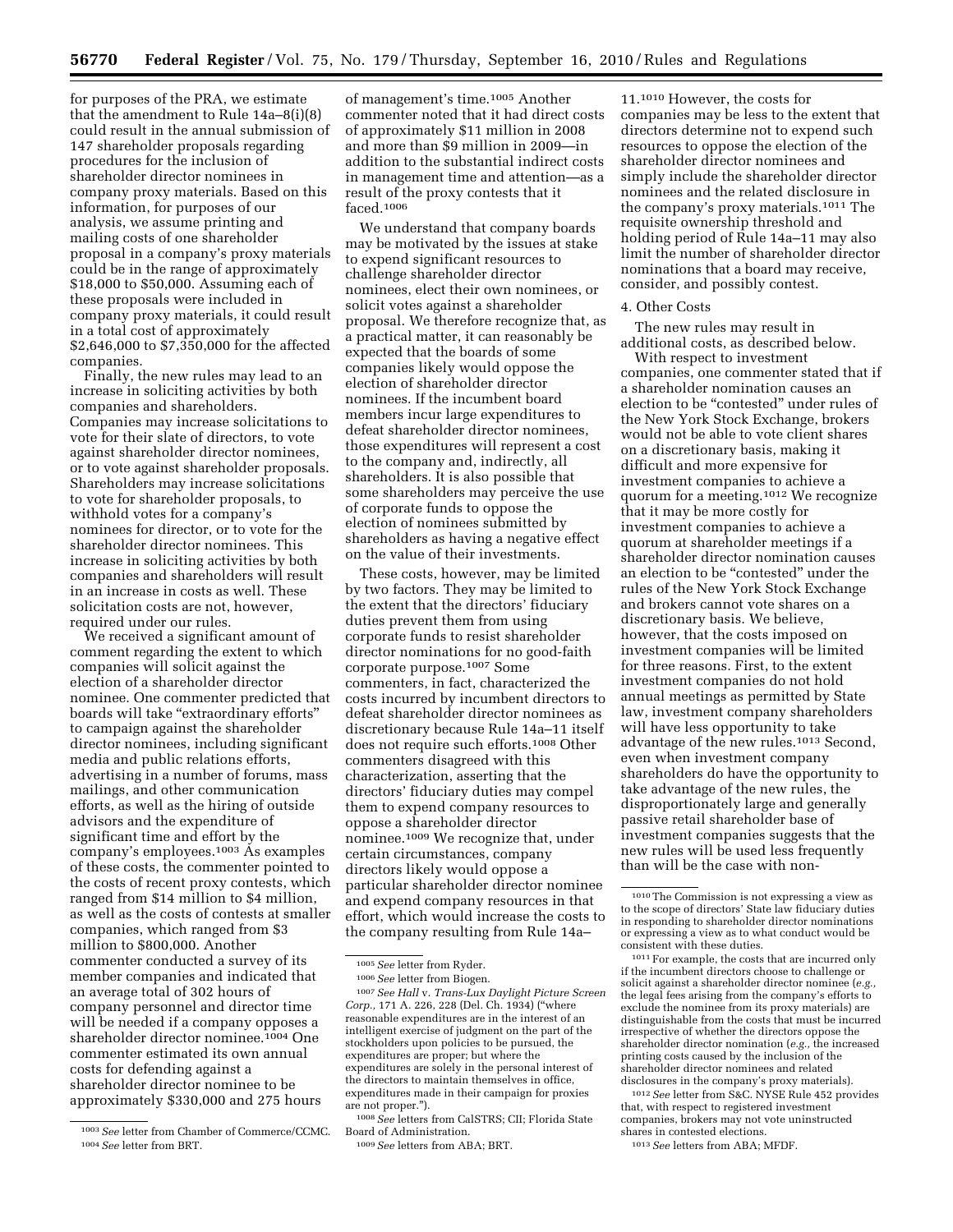for purposes of the PRA, we estimate that the amendment to Rule 14a–8(i)(8) could result in the annual submission of 147 shareholder proposals regarding procedures for the inclusion of shareholder director nominees in company proxy materials. Based on this information, for purposes of our analysis, we assume printing and mailing costs of one shareholder proposal in a company's proxy materials could be in the range of approximately \$18,000 to \$50,000. Assuming each of these proposals were included in company proxy materials, it could result in a total cost of approximately \$2,646,000 to \$7,350,000 for the affected companies.

Finally, the new rules may lead to an increase in soliciting activities by both companies and shareholders. Companies may increase solicitations to vote for their slate of directors, to vote against shareholder director nominees, or to vote against shareholder proposals. Shareholders may increase solicitations to vote for shareholder proposals, to withhold votes for a company's nominees for director, or to vote for the shareholder director nominees. This increase in soliciting activities by both companies and shareholders will result in an increase in costs as well. These solicitation costs are not, however, required under our rules.

We received a significant amount of comment regarding the extent to which companies will solicit against the election of a shareholder director nominee. One commenter predicted that boards will take "extraordinary efforts" to campaign against the shareholder director nominees, including significant media and public relations efforts, advertising in a number of forums, mass mailings, and other communication efforts, as well as the hiring of outside advisors and the expenditure of significant time and effort by the company's employees.1003 As examples of these costs, the commenter pointed to the costs of recent proxy contests, which ranged from \$14 million to \$4 million, as well as the costs of contests at smaller companies, which ranged from \$3 million to \$800,000. Another commenter conducted a survey of its member companies and indicated that an average total of 302 hours of company personnel and director time will be needed if a company opposes a shareholder director nominee.1004 One commenter estimated its own annual costs for defending against a shareholder director nominee to be approximately \$330,000 and 275 hours

of management's time.1005 Another commenter noted that it had direct costs of approximately \$11 million in 2008 and more than \$9 million in 2009—in addition to the substantial indirect costs in management time and attention—as a result of the proxy contests that it faced.1006

We understand that company boards may be motivated by the issues at stake to expend significant resources to challenge shareholder director nominees, elect their own nominees, or solicit votes against a shareholder proposal. We therefore recognize that, as a practical matter, it can reasonably be expected that the boards of some companies likely would oppose the election of shareholder director nominees. If the incumbent board members incur large expenditures to defeat shareholder director nominees, those expenditures will represent a cost to the company and, indirectly, all shareholders. It is also possible that some shareholders may perceive the use of corporate funds to oppose the election of nominees submitted by shareholders as having a negative effect on the value of their investments.

These costs, however, may be limited by two factors. They may be limited to the extent that the directors' fiduciary duties prevent them from using corporate funds to resist shareholder director nominations for no good-faith corporate purpose.1007 Some commenters, in fact, characterized the costs incurred by incumbent directors to defeat shareholder director nominees as discretionary because Rule 14a–11 itself does not require such efforts.1008 Other commenters disagreed with this characterization, asserting that the directors' fiduciary duties may compel them to expend company resources to oppose a shareholder director nominee.1009 We recognize that, under certain circumstances, company directors likely would oppose a particular shareholder director nominee and expend company resources in that effort, which would increase the costs to the company resulting from Rule 14a–

1008*See* letters from CalSTRS; CII; Florida State Board of Administration.

1009*See* letters from ABA; BRT.

11.1010 However, the costs for companies may be less to the extent that directors determine not to expend such resources to oppose the election of the shareholder director nominees and simply include the shareholder director nominees and the related disclosure in the company's proxy materials.1011 The requisite ownership threshold and holding period of Rule 14a–11 may also limit the number of shareholder director nominations that a board may receive, consider, and possibly contest.

### 4. Other Costs

The new rules may result in additional costs, as described below.

With respect to investment companies, one commenter stated that if a shareholder nomination causes an election to be ''contested'' under rules of the New York Stock Exchange, brokers would not be able to vote client shares on a discretionary basis, making it difficult and more expensive for investment companies to achieve a quorum for a meeting.1012 We recognize that it may be more costly for investment companies to achieve a quorum at shareholder meetings if a shareholder director nomination causes an election to be ''contested'' under the rules of the New York Stock Exchange and brokers cannot vote shares on a discretionary basis. We believe, however, that the costs imposed on investment companies will be limited for three reasons. First, to the extent investment companies do not hold annual meetings as permitted by State law, investment company shareholders will have less opportunity to take advantage of the new rules.1013 Second, even when investment company shareholders do have the opportunity to take advantage of the new rules, the disproportionately large and generally passive retail shareholder base of investment companies suggests that the new rules will be used less frequently than will be the case with non-

<sup>1011</sup> For example, the costs that are incurred only if the incumbent directors choose to challenge or solicit against a shareholder director nominee (*e.g.,*  the legal fees arising from the company's efforts to exclude the nominee from its proxy materials) are distinguishable from the costs that must be incurred irrespective of whether the directors oppose the shareholder director nomination (*e.g.,* the increased printing costs caused by the inclusion of the shareholder director nominees and related disclosures in the company's proxy materials).

1012*See* letter from S&C. NYSE Rule 452 provides that, with respect to registered investment companies, brokers may not vote uninstructed shares in contested elections.

1013*See* letters from ABA; MFDF.

<sup>1003</sup>*See* letter from Chamber of Commerce/CCMC. 1004*See* letter from BRT.

<sup>1005</sup>*See* letter from Ryder.

<sup>1006</sup>*See* letter from Biogen.

<sup>1007</sup>*See Hall* v. *Trans-Lux Daylight Picture Screen Corp.,* 171 A. 226, 228 (Del. Ch. 1934) (''where reasonable expenditures are in the interest of an intelligent exercise of judgment on the part of the stockholders upon policies to be pursued, the expenditures are proper; but where the expenditures are solely in the personal interest of the directors to maintain themselves in office, expenditures made in their campaign for proxies are not proper.'').

<sup>1010</sup>The Commission is not expressing a view as to the scope of directors' State law fiduciary duties in responding to shareholder director nominations or expressing a view as to what conduct would be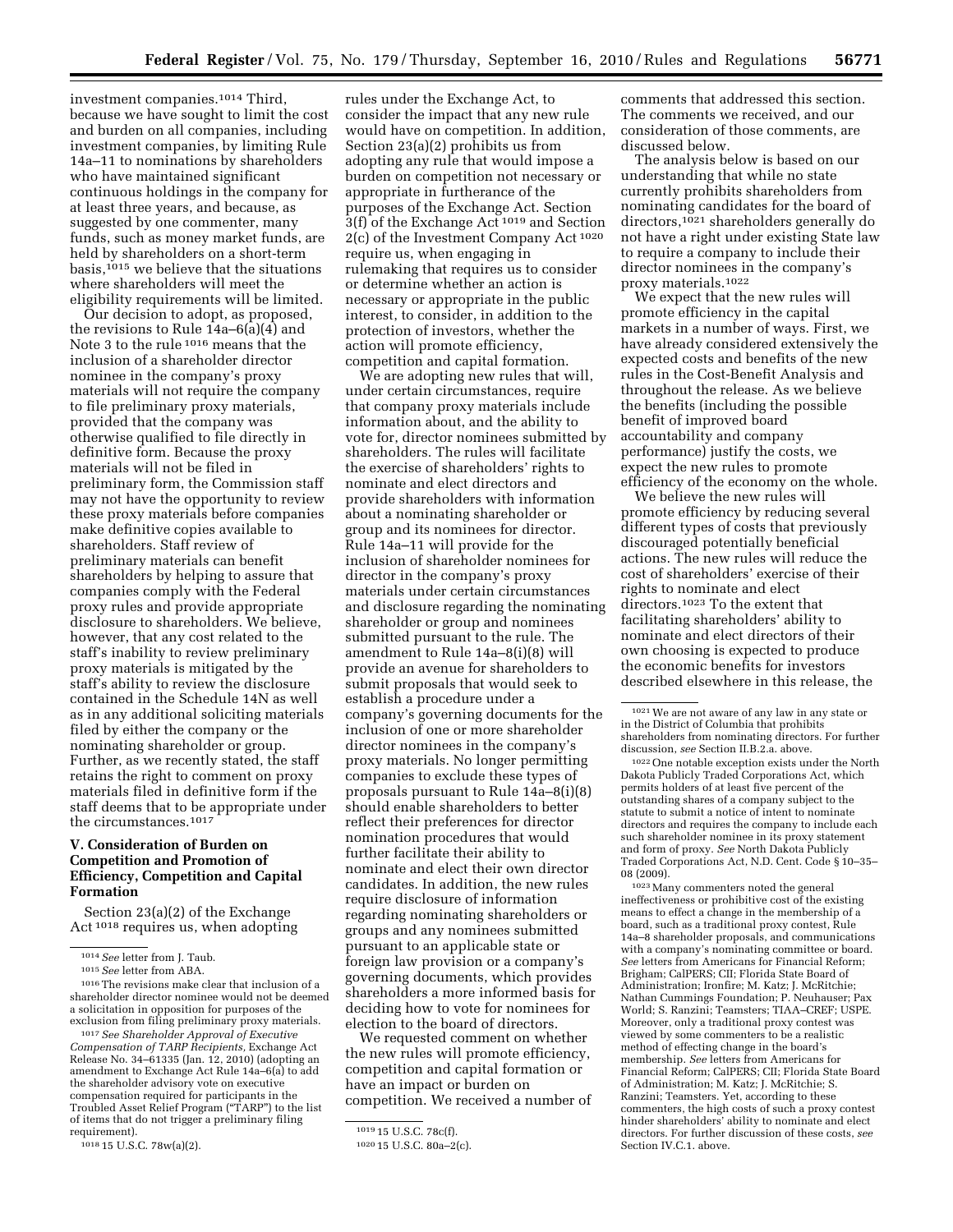investment companies.1014 Third, because we have sought to limit the cost and burden on all companies, including investment companies, by limiting Rule 14a–11 to nominations by shareholders who have maintained significant continuous holdings in the company for at least three years, and because, as suggested by one commenter, many funds, such as money market funds, are held by shareholders on a short-term basis,<sup>1015</sup> we believe that the situations where shareholders will meet the eligibility requirements will be limited.

Our decision to adopt, as proposed, the revisions to Rule 14a–6(a)(4) and Note 3 to the rule 1016 means that the inclusion of a shareholder director nominee in the company's proxy materials will not require the company to file preliminary proxy materials, provided that the company was otherwise qualified to file directly in definitive form. Because the proxy materials will not be filed in preliminary form, the Commission staff may not have the opportunity to review these proxy materials before companies make definitive copies available to shareholders. Staff review of preliminary materials can benefit shareholders by helping to assure that companies comply with the Federal proxy rules and provide appropriate disclosure to shareholders. We believe, however, that any cost related to the staff's inability to review preliminary proxy materials is mitigated by the staff's ability to review the disclosure contained in the Schedule 14N as well as in any additional soliciting materials filed by either the company or the nominating shareholder or group. Further, as we recently stated, the staff retains the right to comment on proxy materials filed in definitive form if the staff deems that to be appropriate under the circumstances.1017

## **V. Consideration of Burden on Competition and Promotion of Efficiency, Competition and Capital Formation**

Section 23(a)(2) of the Exchange Act 1018 requires us, when adopting

<sup>1017</sup> See Shareholder Approval of Executive *Compensation of TARP Recipients,* Exchange Act Release No. 34–61335 (Jan. 12, 2010) (adopting an amendment to Exchange Act Rule 14a–6(a) to add the shareholder advisory vote on executive compensation required for participants in the Troubled Asset Relief Program (''TARP'') to the list of items that do not trigger a preliminary filing requirement).

1018 15 U.S.C. 78w(a)(2).

rules under the Exchange Act, to consider the impact that any new rule would have on competition. In addition, Section 23(a)(2) prohibits us from adopting any rule that would impose a burden on competition not necessary or appropriate in furtherance of the purposes of the Exchange Act. Section 3(f) of the Exchange Act 1019 and Section 2(c) of the Investment Company Act 1020 require us, when engaging in rulemaking that requires us to consider or determine whether an action is necessary or appropriate in the public interest, to consider, in addition to the protection of investors, whether the action will promote efficiency, competition and capital formation.

We are adopting new rules that will, under certain circumstances, require that company proxy materials include information about, and the ability to vote for, director nominees submitted by shareholders. The rules will facilitate the exercise of shareholders' rights to nominate and elect directors and provide shareholders with information about a nominating shareholder or group and its nominees for director. Rule 14a–11 will provide for the inclusion of shareholder nominees for director in the company's proxy materials under certain circumstances and disclosure regarding the nominating shareholder or group and nominees submitted pursuant to the rule. The amendment to Rule 14a–8(i)(8) will provide an avenue for shareholders to submit proposals that would seek to establish a procedure under a company's governing documents for the inclusion of one or more shareholder director nominees in the company's proxy materials. No longer permitting companies to exclude these types of proposals pursuant to Rule 14a–8(i)(8) should enable shareholders to better reflect their preferences for director nomination procedures that would further facilitate their ability to nominate and elect their own director candidates. In addition, the new rules require disclosure of information regarding nominating shareholders or groups and any nominees submitted pursuant to an applicable state or foreign law provision or a company's governing documents, which provides shareholders a more informed basis for deciding how to vote for nominees for election to the board of directors.

We requested comment on whether the new rules will promote efficiency, competition and capital formation or have an impact or burden on competition. We received a number of

comments that addressed this section. The comments we received, and our consideration of those comments, are discussed below.

The analysis below is based on our understanding that while no state currently prohibits shareholders from nominating candidates for the board of directors,<sup>1021</sup> shareholders generally do not have a right under existing State law to require a company to include their director nominees in the company's proxy materials.1022

We expect that the new rules will promote efficiency in the capital markets in a number of ways. First, we have already considered extensively the expected costs and benefits of the new rules in the Cost-Benefit Analysis and throughout the release. As we believe the benefits (including the possible benefit of improved board accountability and company performance) justify the costs, we expect the new rules to promote efficiency of the economy on the whole.

We believe the new rules will promote efficiency by reducing several different types of costs that previously discouraged potentially beneficial actions. The new rules will reduce the cost of shareholders' exercise of their rights to nominate and elect directors.1023 To the extent that facilitating shareholders' ability to nominate and elect directors of their own choosing is expected to produce the economic benefits for investors described elsewhere in this release, the

1022One notable exception exists under the North Dakota Publicly Traded Corporations Act, which permits holders of at least five percent of the outstanding shares of a company subject to the statute to submit a notice of intent to nominate directors and requires the company to include each such shareholder nominee in its proxy statement and form of proxy. *See* North Dakota Publicly Traded Corporations Act, N.D. Cent. Code § 10–35– 08 (2009).

1023Many commenters noted the general ineffectiveness or prohibitive cost of the existing means to effect a change in the membership of a board, such as a traditional proxy contest, Rule 14a–8 shareholder proposals, and communications with a company's nominating committee or board. *See* letters from Americans for Financial Reform; Brigham; CalPERS; CII; Florida State Board of Administration; Ironfire; M. Katz; J. McRitchie; Nathan Cummings Foundation; P. Neuhauser; Pax World; S. Ranzini; Teamsters; TIAA–CREF; USPE. Moreover, only a traditional proxy contest was viewed by some commenters to be a realistic method of effecting change in the board's membership. *See* letters from Americans for Financial Reform; CalPERS; CII; Florida State Board of Administration; M. Katz; J. McRitchie; S. Ranzini; Teamsters. Yet, according to these commenters, the high costs of such a proxy contest hinder shareholders' ability to nominate and elect directors. For further discussion of these costs, *see*  Section IV.C.1. above.

<sup>1014</sup>*See* letter from J. Taub. 1015*See* letter from ABA. 1016The revisions make clear that inclusion of a shareholder director nominee would not be deemed a solicitation in opposition for purposes of the

<sup>1019</sup> 15 U.S.C. 78c(f).

<sup>1020</sup> 15 U.S.C. 80a–2(c).

<sup>1021</sup>We are not aware of any law in any state or in the District of Columbia that prohibits shareholders from nominating directors. For further discussion, *see* Section II.B.2.a. above.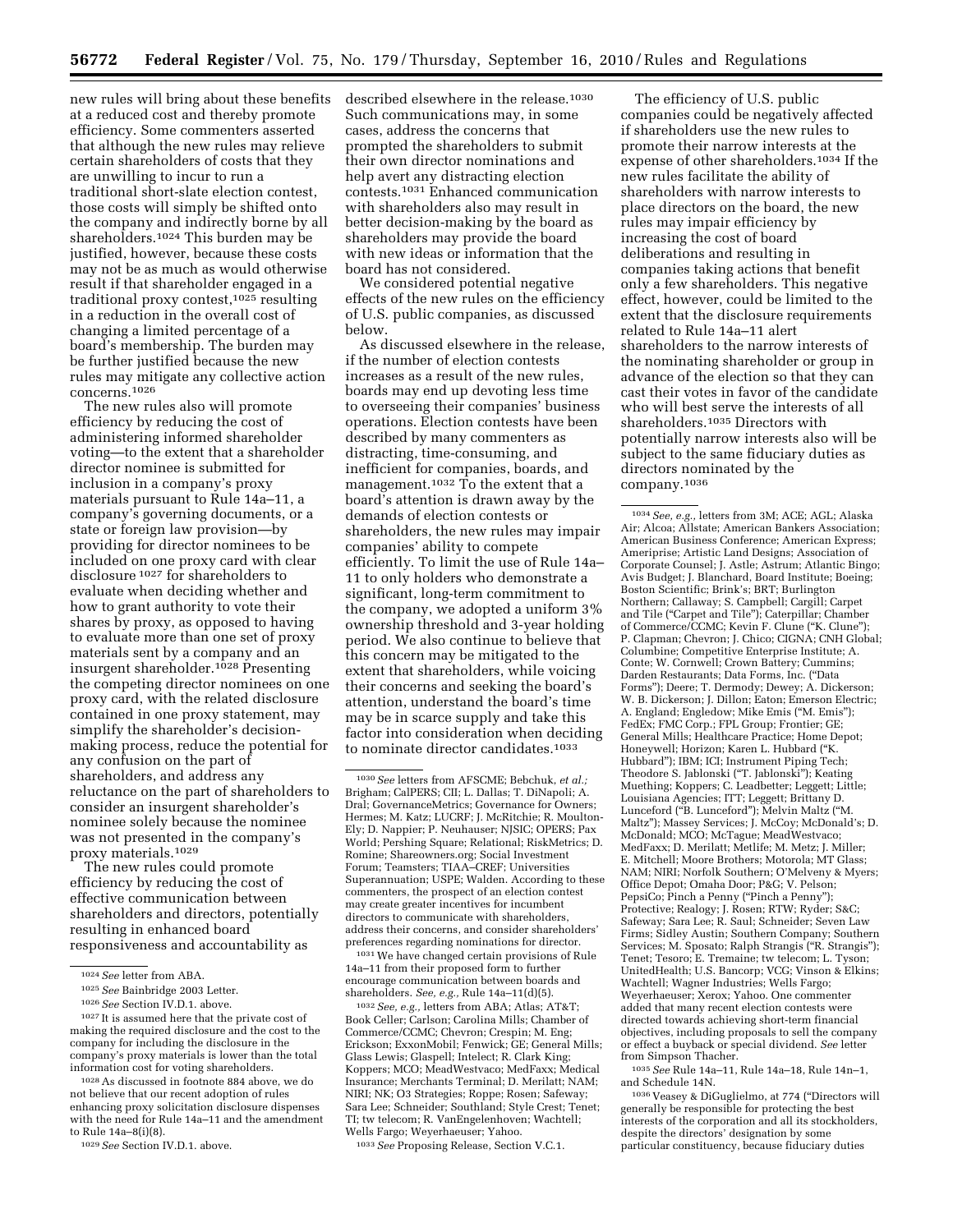new rules will bring about these benefits at a reduced cost and thereby promote efficiency. Some commenters asserted that although the new rules may relieve certain shareholders of costs that they are unwilling to incur to run a traditional short-slate election contest, those costs will simply be shifted onto the company and indirectly borne by all shareholders.<sup>1024</sup> This burden may be justified, however, because these costs may not be as much as would otherwise result if that shareholder engaged in a traditional proxy contest,1025 resulting in a reduction in the overall cost of changing a limited percentage of a board's membership. The burden may be further justified because the new rules may mitigate any collective action concerns.1026

The new rules also will promote efficiency by reducing the cost of administering informed shareholder voting—to the extent that a shareholder director nominee is submitted for inclusion in a company's proxy materials pursuant to Rule 14a–11, a company's governing documents, or a state or foreign law provision—by providing for director nominees to be included on one proxy card with clear disclosure 1027 for shareholders to evaluate when deciding whether and how to grant authority to vote their shares by proxy, as opposed to having to evaluate more than one set of proxy materials sent by a company and an insurgent shareholder.1028 Presenting the competing director nominees on one proxy card, with the related disclosure contained in one proxy statement, may simplify the shareholder's decisionmaking process, reduce the potential for any confusion on the part of shareholders, and address any reluctance on the part of shareholders to consider an insurgent shareholder's nominee solely because the nominee was not presented in the company's proxy materials.1029

The new rules could promote efficiency by reducing the cost of effective communication between shareholders and directors, potentially resulting in enhanced board responsiveness and accountability as

1027 It is assumed here that the private cost of making the required disclosure and the cost to the company for including the disclosure in the company's proxy materials is lower than the total information cost for voting shareholders.

1028As discussed in footnote 884 above, we do not believe that our recent adoption of rules enhancing proxy solicitation disclosure dispenses with the need for Rule 14a–11 and the amendment to Rule 14a–8(i)(8).

1029*See* Section IV.D.1. above.

described elsewhere in the release.<sup>1030</sup> Such communications may, in some cases, address the concerns that prompted the shareholders to submit their own director nominations and help avert any distracting election contests.1031 Enhanced communication with shareholders also may result in better decision-making by the board as shareholders may provide the board with new ideas or information that the board has not considered.

We considered potential negative effects of the new rules on the efficiency of U.S. public companies, as discussed below.

As discussed elsewhere in the release, if the number of election contests increases as a result of the new rules, boards may end up devoting less time to overseeing their companies' business operations. Election contests have been described by many commenters as distracting, time-consuming, and inefficient for companies, boards, and management.1032 To the extent that a board's attention is drawn away by the demands of election contests or shareholders, the new rules may impair companies' ability to compete efficiently. To limit the use of Rule 14a– 11 to only holders who demonstrate a significant, long-term commitment to the company, we adopted a uniform 3% ownership threshold and 3-year holding period. We also continue to believe that this concern may be mitigated to the extent that shareholders, while voicing their concerns and seeking the board's attention, understand the board's time may be in scarce supply and take this factor into consideration when deciding to nominate director candidates.1033

1031We have changed certain provisions of Rule 14a–11 from their proposed form to further encourage communication between boards and shareholders. *See, e.g.,* Rule 14a–11(d)(5).

1032*See, e.g.,* letters from ABA; Atlas; AT&T; Book Celler; Carlson; Carolina Mills; Chamber of Commerce/CCMC; Chevron; Crespin; M. Eng; Erickson; ExxonMobil; Fenwick; GE; General Mills; Glass Lewis; Glaspell; Intelect; R. Clark King; Koppers; MCO; MeadWestvaco; MedFaxx; Medical Insurance; Merchants Terminal; D. Merilatt; NAM; NIRI; NK; O3 Strategies; Roppe; Rosen; Safeway; Sara Lee; Schneider; Southland; Style Crest; Tenet; TI; tw telecom; R. VanEngelenhoven; Wachtell; Wells Fargo; Weyerhaeuser; Yahoo.

1033*See* Proposing Release, Section V.C.1.

The efficiency of U.S. public companies could be negatively affected if shareholders use the new rules to promote their narrow interests at the expense of other shareholders.1034 If the new rules facilitate the ability of shareholders with narrow interests to place directors on the board, the new rules may impair efficiency by increasing the cost of board deliberations and resulting in companies taking actions that benefit only a few shareholders. This negative effect, however, could be limited to the extent that the disclosure requirements related to Rule 14a–11 alert shareholders to the narrow interests of the nominating shareholder or group in advance of the election so that they can cast their votes in favor of the candidate who will best serve the interests of all shareholders.1035 Directors with potentially narrow interests also will be subject to the same fiduciary duties as directors nominated by the company.1036

from Simpson Thacher. 1035*See* Rule 14a–11, Rule 14a–18, Rule 14n–1, and Schedule 14N.

1036 Veasey & DiGuglielmo, at 774 (''Directors will generally be responsible for protecting the best interests of the corporation and all its stockholders, despite the directors' designation by some particular constituency, because fiduciary duties

<sup>1024</sup>*See* letter from ABA.

<sup>1025</sup>*See* Bainbridge 2003 Letter.

<sup>1026</sup>*See* Section IV.D.1. above.

<sup>1030</sup>*See* letters from AFSCME; Bebchuk, *et al.;*  Brigham; CalPERS; CII; L. Dallas; T. DiNapoli; A. Dral; GovernanceMetrics; Governance for Owners; Hermes; M. Katz; LUCRF; J. McRitchie; R. Moulton-Ely; D. Nappier; P. Neuhauser; NJSIC; OPERS; Pax World; Pershing Square; Relational; RiskMetrics; D. Romine; Shareowners.org; Social Investment Forum; Teamsters; TIAA–CREF; Universities Superannuation; USPE; Walden. According to these commenters, the prospect of an election contest may create greater incentives for incumbent directors to communicate with shareholders, address their concerns, and consider shareholders' preferences regarding nominations for director.

<sup>1034</sup>*See, e.g.,* letters from 3M; ACE; AGL; Alaska Air; Alcoa; Allstate; American Bankers Association; American Business Conference; American Express; Ameriprise; Artistic Land Designs; Association of Corporate Counsel; J. Astle; Astrum; Atlantic Bingo; Avis Budget; J. Blanchard, Board Institute; Boeing; Boston Scientific; Brink's; BRT; Burlington Northern; Callaway; S. Campbell; Cargill; Carpet and Tile (''Carpet and Tile''); Caterpillar; Chamber of Commerce/CCMC; Kevin F. Clune (''K. Clune''); P. Clapman; Chevron; J. Chico; CIGNA; CNH Global; Columbine; Competitive Enterprise Institute; A. Conte; W. Cornwell; Crown Battery; Cummins; Darden Restaurants; Data Forms, Inc. (''Data Forms''); Deere; T. Dermody; Dewey; A. Dickerson; W. B. Dickerson; J. Dillon; Eaton; Emerson Electric; A. England; Engledow; Mike Emis (''M. Emis''); FedEx; FMC Corp.; FPL Group; Frontier; GE; General Mills; Healthcare Practice; Home Depot; Honeywell; Horizon; Karen L. Hubbard (''K. Hubbard''); IBM; ICI; Instrument Piping Tech; Theodore S. Jablonski (''T. Jablonski''); Keating Muething; Koppers; C. Leadbetter; Leggett; Little; Louisiana Agencies; ITT; Leggett; Brittany D. Lunceford (''B. Lunceford''); Melvin Maltz (''M. Maltz''); Massey Services; J. McCoy; McDonald's; D. McDonald; MCO; McTague; MeadWestvaco; MedFaxx; D. Merilatt; Metlife; M. Metz; J. Miller; E. Mitchell; Moore Brothers; Motorola; MT Glass; NAM; NIRI; Norfolk Southern; O'Melveny & Myers; Office Depot; Omaha Door; P&G; V. Pelson; PepsiCo; Pinch a Penny ("Pinch a Penny"); Protective; Realogy; J. Rosen; RTW; Ryder; S&C; Safeway; Sara Lee; R. Saul; Schneider; Seven Law Firms; Sidley Austin; Southern Company; Southern Services; M. Sposato; Ralph Strangis ("R. Strangis"); Tenet; Tesoro; E. Tremaine; tw telecom; L. Tyson; UnitedHealth; U.S. Bancorp; VCG; Vinson & Elkins; Wachtell; Wagner Industries; Wells Fargo; Weyerhaeuser; Xerox; Yahoo. One commenter added that many recent election contests were directed towards achieving short-term financial objectives, including proposals to sell the company or effect a buyback or special dividend. *See* letter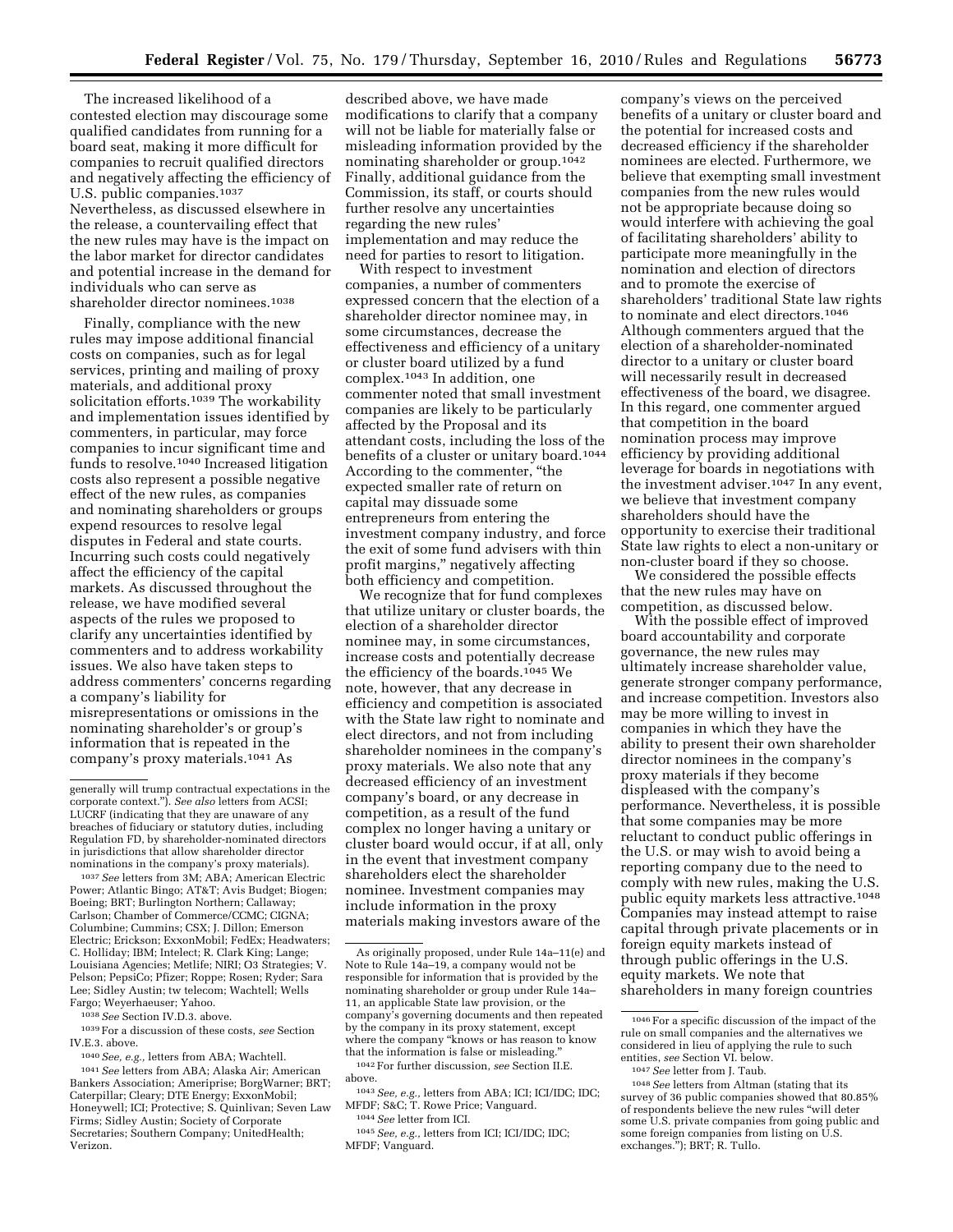The increased likelihood of a contested election may discourage some qualified candidates from running for a board seat, making it more difficult for companies to recruit qualified directors and negatively affecting the efficiency of U.S. public companies.<sup>1037</sup> Nevertheless, as discussed elsewhere in the release, a countervailing effect that the new rules may have is the impact on the labor market for director candidates and potential increase in the demand for individuals who can serve as shareholder director nominees.1038

Finally, compliance with the new rules may impose additional financial costs on companies, such as for legal services, printing and mailing of proxy materials, and additional proxy solicitation efforts.<sup>1039</sup> The workability and implementation issues identified by commenters, in particular, may force companies to incur significant time and funds to resolve.1040 Increased litigation costs also represent a possible negative effect of the new rules, as companies and nominating shareholders or groups expend resources to resolve legal disputes in Federal and state courts. Incurring such costs could negatively affect the efficiency of the capital markets. As discussed throughout the release, we have modified several aspects of the rules we proposed to clarify any uncertainties identified by commenters and to address workability issues. We also have taken steps to address commenters' concerns regarding a company's liability for misrepresentations or omissions in the nominating shareholder's or group's information that is repeated in the company's proxy materials.1041 As

1037*See* letters from 3M; ABA; American Electric Power; Atlantic Bingo; AT&T; Avis Budget; Biogen; Boeing; BRT; Burlington Northern; Callaway; Carlson; Chamber of Commerce/CCMC; CIGNA; Columbine; Cummins; CSX; J. Dillon; Emerson Electric; Erickson; ExxonMobil; FedEx; Headwaters; C. Holliday; IBM; Intelect; R. Clark King; Lange; Louisiana Agencies; Metlife; NIRI; O3 Strategies; V. Pelson; PepsiCo; Pfizer; Roppe; Rosen; Ryder; Sara Lee; Sidley Austin; tw telecom; Wachtell; Wells Fargo; Weyerhaeuser; Yahoo.

1038*See* Section IV.D.3. above.

1039For a discussion of these costs, *see* Section IV.E.3. above.

1040*See, e.g.,* letters from ABA; Wachtell.

1041*See* letters from ABA; Alaska Air; American Bankers Association; Ameriprise; BorgWarner; BRT; Caterpillar; Cleary; DTE Energy; ExxonMobil; Honeywell; ICI; Protective; S. Quinlivan; Seven Law Firms; Sidley Austin; Society of Corporate Secretaries; Southern Company; UnitedHealth; Verizon.

described above, we have made modifications to clarify that a company will not be liable for materially false or misleading information provided by the nominating shareholder or group.1042 Finally, additional guidance from the Commission, its staff, or courts should further resolve any uncertainties regarding the new rules' implementation and may reduce the need for parties to resort to litigation.

With respect to investment companies, a number of commenters expressed concern that the election of a shareholder director nominee may, in some circumstances, decrease the effectiveness and efficiency of a unitary or cluster board utilized by a fund complex.1043 In addition, one commenter noted that small investment companies are likely to be particularly affected by the Proposal and its attendant costs, including the loss of the benefits of a cluster or unitary board.<sup>1044</sup> According to the commenter, ''the expected smaller rate of return on capital may dissuade some entrepreneurs from entering the investment company industry, and force the exit of some fund advisers with thin profit margins,'' negatively affecting both efficiency and competition.

We recognize that for fund complexes that utilize unitary or cluster boards, the election of a shareholder director nominee may, in some circumstances, increase costs and potentially decrease the efficiency of the boards.1045 We note, however, that any decrease in efficiency and competition is associated with the State law right to nominate and elect directors, and not from including shareholder nominees in the company's proxy materials. We also note that any decreased efficiency of an investment company's board, or any decrease in competition, as a result of the fund complex no longer having a unitary or cluster board would occur, if at all, only in the event that investment company shareholders elect the shareholder nominee. Investment companies may include information in the proxy materials making investors aware of the

above. 1043*See, e.g.,* letters from ABA; ICI; ICI/IDC; IDC;

MFDF; S&C; T. Rowe Price; Vanguard. 1044*See* letter from ICI.

1045*See, e.g.,* letters from ICI; ICI/IDC; IDC; MFDF; Vanguard.

company's views on the perceived benefits of a unitary or cluster board and the potential for increased costs and decreased efficiency if the shareholder nominees are elected. Furthermore, we believe that exempting small investment companies from the new rules would not be appropriate because doing so would interfere with achieving the goal of facilitating shareholders' ability to participate more meaningfully in the nomination and election of directors and to promote the exercise of shareholders' traditional State law rights to nominate and elect directors.1046 Although commenters argued that the election of a shareholder-nominated director to a unitary or cluster board will necessarily result in decreased effectiveness of the board, we disagree. In this regard, one commenter argued that competition in the board nomination process may improve efficiency by providing additional leverage for boards in negotiations with the investment adviser.1047 In any event, we believe that investment company shareholders should have the opportunity to exercise their traditional State law rights to elect a non-unitary or non-cluster board if they so choose.

We considered the possible effects that the new rules may have on competition, as discussed below.

With the possible effect of improved board accountability and corporate governance, the new rules may ultimately increase shareholder value, generate stronger company performance, and increase competition. Investors also may be more willing to invest in companies in which they have the ability to present their own shareholder director nominees in the company's proxy materials if they become displeased with the company's performance. Nevertheless, it is possible that some companies may be more reluctant to conduct public offerings in the U.S. or may wish to avoid being a reporting company due to the need to comply with new rules, making the U.S. public equity markets less attractive.1048 Companies may instead attempt to raise capital through private placements or in foreign equity markets instead of through public offerings in the U.S. equity markets. We note that shareholders in many foreign countries

generally will trump contractual expectations in the corporate context.''). *See also* letters from ACSI; LUCRF (indicating that they are unaware of any breaches of fiduciary or statutory duties, including Regulation FD, by shareholder-nominated directors in jurisdictions that allow shareholder director nominations in the company's proxy materials).

As originally proposed, under Rule 14a–11(e) and Note to Rule 14a–19, a company would not be responsible for information that is provided by the nominating shareholder or group under Rule 14a– 11, an applicable State law provision, or the company's governing documents and then repeated by the company in its proxy statement, except where the company "knows or has reason to know that the information is false or misleading. 1042For further discussion, *see* Section II.E.

<sup>1046</sup>For a specific discussion of the impact of the rule on small companies and the alternatives we considered in lieu of applying the rule to such<br>entities, see Section VI, below.

<sup>&</sup>lt;sup>1047</sup> See letter from J. Taub.<br><sup>1048</sup> See letters from Altman (stating that its survey of 36 public companies showed that 80.85% of respondents believe the new rules ''will deter some U.S. private companies from going public and some foreign companies from listing on U.S. exchanges."); BRT; R. Tullo.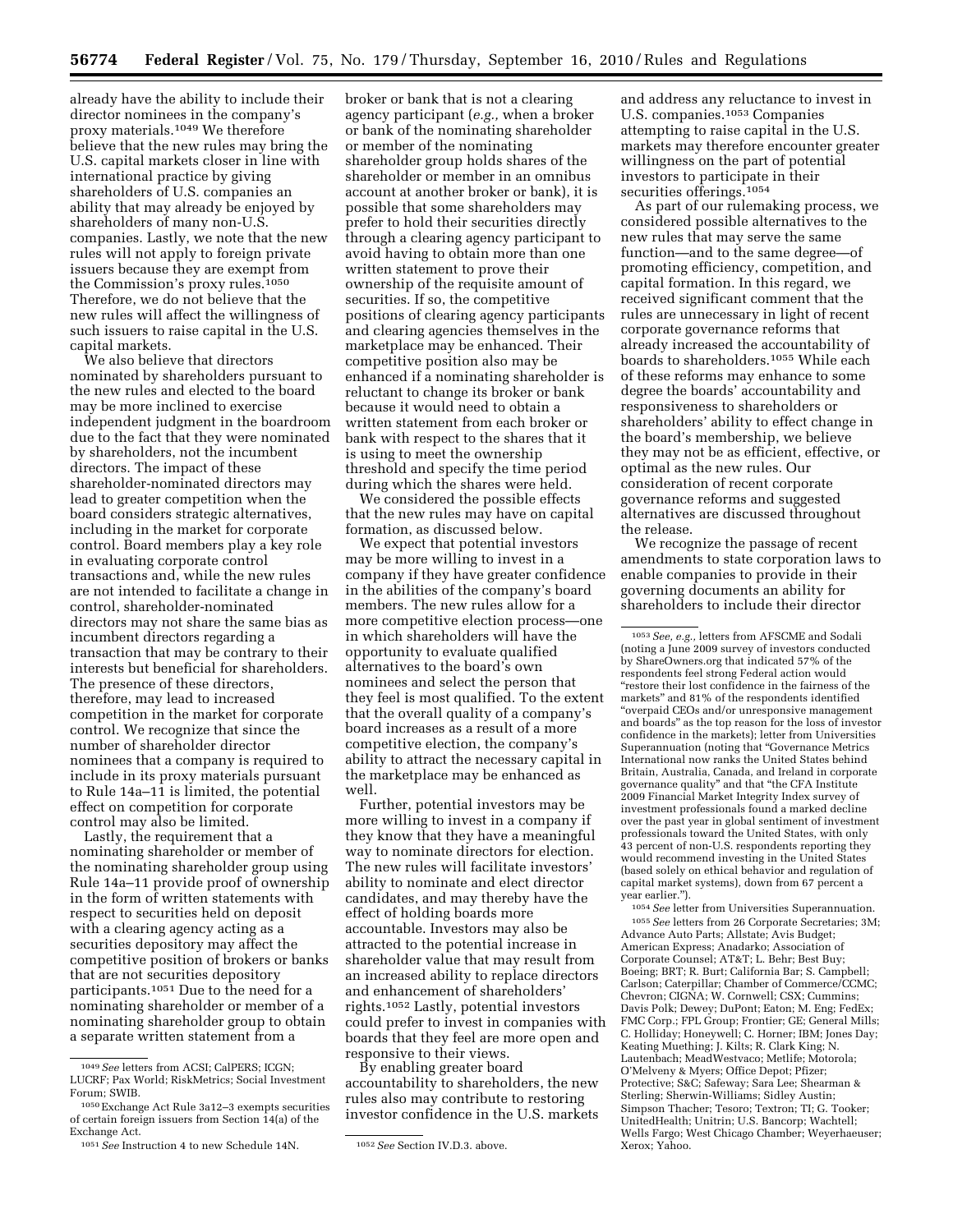already have the ability to include their director nominees in the company's proxy materials.1049 We therefore believe that the new rules may bring the U.S. capital markets closer in line with international practice by giving shareholders of U.S. companies an ability that may already be enjoyed by shareholders of many non-U.S. companies. Lastly, we note that the new rules will not apply to foreign private issuers because they are exempt from the Commission's proxy rules.1050 Therefore, we do not believe that the new rules will affect the willingness of such issuers to raise capital in the U.S. capital markets.

We also believe that directors nominated by shareholders pursuant to the new rules and elected to the board may be more inclined to exercise independent judgment in the boardroom due to the fact that they were nominated by shareholders, not the incumbent directors. The impact of these shareholder-nominated directors may lead to greater competition when the board considers strategic alternatives, including in the market for corporate control. Board members play a key role in evaluating corporate control transactions and, while the new rules are not intended to facilitate a change in control, shareholder-nominated directors may not share the same bias as incumbent directors regarding a transaction that may be contrary to their interests but beneficial for shareholders. The presence of these directors, therefore, may lead to increased competition in the market for corporate control. We recognize that since the number of shareholder director nominees that a company is required to include in its proxy materials pursuant to Rule 14a–11 is limited, the potential effect on competition for corporate control may also be limited.

Lastly, the requirement that a nominating shareholder or member of the nominating shareholder group using Rule 14a–11 provide proof of ownership in the form of written statements with respect to securities held on deposit with a clearing agency acting as a securities depository may affect the competitive position of brokers or banks that are not securities depository participants.1051 Due to the need for a nominating shareholder or member of a nominating shareholder group to obtain a separate written statement from a

broker or bank that is not a clearing agency participant (*e.g.,* when a broker or bank of the nominating shareholder or member of the nominating shareholder group holds shares of the shareholder or member in an omnibus account at another broker or bank), it is possible that some shareholders may prefer to hold their securities directly through a clearing agency participant to avoid having to obtain more than one written statement to prove their ownership of the requisite amount of securities. If so, the competitive positions of clearing agency participants and clearing agencies themselves in the marketplace may be enhanced. Their competitive position also may be enhanced if a nominating shareholder is reluctant to change its broker or bank because it would need to obtain a written statement from each broker or bank with respect to the shares that it is using to meet the ownership threshold and specify the time period during which the shares were held.

We considered the possible effects that the new rules may have on capital formation, as discussed below.

We expect that potential investors may be more willing to invest in a company if they have greater confidence in the abilities of the company's board members. The new rules allow for a more competitive election process—one in which shareholders will have the opportunity to evaluate qualified alternatives to the board's own nominees and select the person that they feel is most qualified. To the extent that the overall quality of a company's board increases as a result of a more competitive election, the company's ability to attract the necessary capital in the marketplace may be enhanced as well.

Further, potential investors may be more willing to invest in a company if they know that they have a meaningful way to nominate directors for election. The new rules will facilitate investors' ability to nominate and elect director candidates, and may thereby have the effect of holding boards more accountable. Investors may also be attracted to the potential increase in shareholder value that may result from an increased ability to replace directors and enhancement of shareholders' rights.1052 Lastly, potential investors could prefer to invest in companies with boards that they feel are more open and responsive to their views.

By enabling greater board accountability to shareholders, the new rules also may contribute to restoring investor confidence in the U.S. markets and address any reluctance to invest in U.S. companies.1053 Companies attempting to raise capital in the U.S. markets may therefore encounter greater willingness on the part of potential investors to participate in their securities offerings.1054

As part of our rulemaking process, we considered possible alternatives to the new rules that may serve the same function—and to the same degree—of promoting efficiency, competition, and capital formation. In this regard, we received significant comment that the rules are unnecessary in light of recent corporate governance reforms that already increased the accountability of boards to shareholders.1055 While each of these reforms may enhance to some degree the boards' accountability and responsiveness to shareholders or shareholders' ability to effect change in the board's membership, we believe they may not be as efficient, effective, or optimal as the new rules. Our consideration of recent corporate governance reforms and suggested alternatives are discussed throughout the release.

We recognize the passage of recent amendments to state corporation laws to enable companies to provide in their governing documents an ability for shareholders to include their director

1054*See* letter from Universities Superannuation. 1055*See* letters from 26 Corporate Secretaries; 3M; Advance Auto Parts; Allstate; Avis Budget; American Express; Anadarko; Association of Corporate Counsel; AT&T; L. Behr; Best Buy; Boeing; BRT; R. Burt; California Bar; S. Campbell; Carlson; Caterpillar; Chamber of Commerce/CCMC; Chevron; CIGNA; W. Cornwell; CSX; Cummins; Davis Polk; Dewey; DuPont; Eaton; M. Eng; FedEx; FMC Corp.; FPL Group; Frontier; GE; General Mills; C. Holliday; Honeywell; C. Horner; IBM; Jones Day; Keating Muething; J. Kilts; R. Clark King; N. Lautenbach; MeadWestvaco; Metlife; Motorola; O'Melveny & Myers; Office Depot; Pfizer; Protective; S&C; Safeway; Sara Lee; Shearman & Sterling; Sherwin-Williams; Sidley Austin; Simpson Thacher; Tesoro; Textron; TI; G. Tooker; UnitedHealth; Unitrin; U.S. Bancorp; Wachtell; Wells Fargo; West Chicago Chamber; Weyerhaeuser; Xerox; Yahoo.

<sup>1049</sup>*See* letters from ACSI; CalPERS; ICGN; LUCRF; Pax World; RiskMetrics; Social Investment Forum; SWIB.

<sup>1050</sup>Exchange Act Rule 3a12–3 exempts securities of certain foreign issuers from Section 14(a) of the Exchange Act.

<sup>1051</sup>*See* Instruction 4 to new Schedule 14N. 1052*See* Section IV.D.3. above.

<sup>1053</sup>*See, e.g.,* letters from AFSCME and Sodali (noting a June 2009 survey of investors conducted by ShareOwners.org that indicated 57% of the respondents feel strong Federal action would "restore their lost confidence in the fairness of the markets'' and 81% of the respondents identified ''overpaid CEOs and/or unresponsive management and boards'' as the top reason for the loss of investor confidence in the markets); letter from Universities Superannuation (noting that ''Governance Metrics International now ranks the United States behind Britain, Australia, Canada, and Ireland in corporate governance quality'' and that ''the CFA Institute 2009 Financial Market Integrity Index survey of investment professionals found a marked decline over the past year in global sentiment of investment professionals toward the United States, with only <sup>1</sup> 43 percent of non-U.S. respondents reporting they would recommend investing in the United States (based solely on ethical behavior and regulation of capital market systems), down from 67 percent a year earlier.'').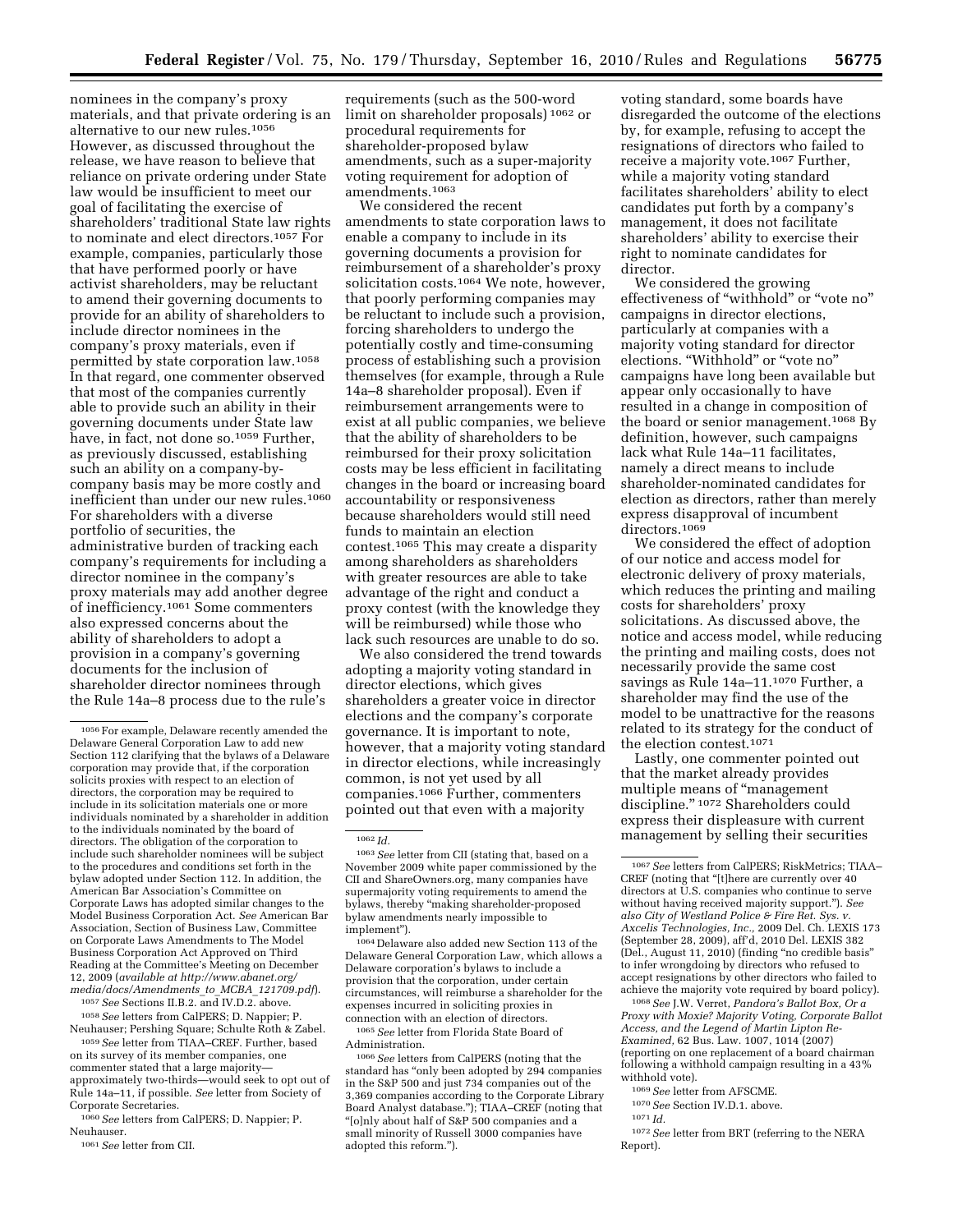nominees in the company's proxy materials, and that private ordering is an alternative to our new rules.1056 However, as discussed throughout the release, we have reason to believe that reliance on private ordering under State law would be insufficient to meet our goal of facilitating the exercise of shareholders' traditional State law rights to nominate and elect directors.1057 For example, companies, particularly those that have performed poorly or have activist shareholders, may be reluctant to amend their governing documents to provide for an ability of shareholders to include director nominees in the company's proxy materials, even if permitted by state corporation law.1058 In that regard, one commenter observed that most of the companies currently able to provide such an ability in their governing documents under State law have, in fact, not done so.<sup>1059</sup> Further, as previously discussed, establishing such an ability on a company-bycompany basis may be more costly and inefficient than under our new rules.1060 For shareholders with a diverse portfolio of securities, the administrative burden of tracking each company's requirements for including a director nominee in the company's proxy materials may add another degree of inefficiency.1061 Some commenters also expressed concerns about the ability of shareholders to adopt a provision in a company's governing documents for the inclusion of shareholder director nominees through the Rule 14a–8 process due to the rule's

1057*See* Sections II.B.2. and IV.D.2. above. 1058*See* letters from CalPERS; D. Nappier; P.

Neuhauser; Pershing Square; Schulte Roth & Zabel. 1059*See* letter from TIAA–CREF. Further, based

on its survey of its member companies, one commenter stated that a large majority approximately two-thirds—would seek to opt out of Rule 14a–11, if possible. *See* letter from Society of Corporate Secretaries.

1060*See* letters from CalPERS; D. Nappier; P. Neuhauser.

1061*See* letter from CII.

requirements (such as the 500-word limit on shareholder proposals) 1062 or procedural requirements for shareholder-proposed bylaw amendments, such as a super-majority voting requirement for adoption of amendments.1063

We considered the recent amendments to state corporation laws to enable a company to include in its governing documents a provision for reimbursement of a shareholder's proxy solicitation costs.1064 We note, however, that poorly performing companies may be reluctant to include such a provision, forcing shareholders to undergo the potentially costly and time-consuming process of establishing such a provision themselves (for example, through a Rule 14a–8 shareholder proposal). Even if reimbursement arrangements were to exist at all public companies, we believe that the ability of shareholders to be reimbursed for their proxy solicitation costs may be less efficient in facilitating changes in the board or increasing board accountability or responsiveness because shareholders would still need funds to maintain an election contest.1065 This may create a disparity among shareholders as shareholders with greater resources are able to take advantage of the right and conduct a proxy contest (with the knowledge they will be reimbursed) while those who lack such resources are unable to do so.

We also considered the trend towards adopting a majority voting standard in director elections, which gives shareholders a greater voice in director elections and the company's corporate governance. It is important to note, however, that a majority voting standard in director elections, while increasingly common, is not yet used by all companies.1066 Further, commenters pointed out that even with a majority

1064 Delaware also added new Section 113 of the Delaware General Corporation Law, which allows a Delaware corporation's bylaws to include a provision that the corporation, under certain circumstances, will reimburse a shareholder for the expenses incurred in soliciting proxies in connection with an election of directors.

1065*See* letter from Florida State Board of Administration.

voting standard, some boards have disregarded the outcome of the elections by, for example, refusing to accept the resignations of directors who failed to receive a majority vote.1067 Further, while a majority voting standard facilitates shareholders' ability to elect candidates put forth by a company's management, it does not facilitate shareholders' ability to exercise their right to nominate candidates for director.

We considered the growing effectiveness of "withhold" or "vote no" campaigns in director elections, particularly at companies with a majority voting standard for director elections. ''Withhold'' or ''vote no'' campaigns have long been available but appear only occasionally to have resulted in a change in composition of the board or senior management.1068 By definition, however, such campaigns lack what Rule 14a–11 facilitates, namely a direct means to include shareholder-nominated candidates for election as directors, rather than merely express disapproval of incumbent directors.<sup>1069</sup>

We considered the effect of adoption of our notice and access model for electronic delivery of proxy materials, which reduces the printing and mailing costs for shareholders' proxy solicitations. As discussed above, the notice and access model, while reducing the printing and mailing costs, does not necessarily provide the same cost savings as Rule 14a–11.1070 Further, a shareholder may find the use of the model to be unattractive for the reasons related to its strategy for the conduct of the election contest.1071

Lastly, one commenter pointed out that the market already provides multiple means of ''management discipline." 1072 Shareholders could express their displeasure with current management by selling their securities

1068*See* J.W. Verret, *Pandora's Ballot Box, Or a Proxy with Moxie? Majority Voting, Corporate Ballot Access, and the Legend of Martin Lipton Re-Examined,* 62 Bus. Law. 1007, 1014 (2007) (reporting on one replacement of a board chairman following a withhold campaign resulting in a 43% withhold vote).

1069*See* letter from AFSCME.

1071 *Id.* 

1072*See* letter from BRT (referring to the NERA Report).

<sup>1056</sup>For example, Delaware recently amended the Delaware General Corporation Law to add new Section 112 clarifying that the bylaws of a Delaware corporation may provide that, if the corporation solicits proxies with respect to an election of directors, the corporation may be required to include in its solicitation materials one or more individuals nominated by a shareholder in addition to the individuals nominated by the board of directors. The obligation of the corporation to include such shareholder nominees will be subject to the procedures and conditions set forth in the bylaw adopted under Section 112. In addition, the American Bar Association's Committee on Corporate Laws has adopted similar changes to the Model Business Corporation Act. *See* American Bar Association, Section of Business Law, Committee on Corporate Laws Amendments to The Model Business Corporation Act Approved on Third Reading at the Committee's Meeting on December 12, 2009 (*available at [http://www.abanet.org/](http://www.abanet.org/media/docs/Amendments_to_MCBA_121709.pdf)  [media/docs/Amendments](http://www.abanet.org/media/docs/Amendments_to_MCBA_121709.pdf)*\_*to*\_*MCBA*\_*121709.pdf*).

<sup>1062</sup> *Id.* 

<sup>1063</sup>*See* letter from CII (stating that, based on a November 2009 white paper commissioned by the CII and ShareOwners.org, many companies have supermajority voting requirements to amend the bylaws, thereby ''making shareholder-proposed bylaw amendments nearly impossible to implement'').

<sup>1066</sup>*See* letters from CalPERS (noting that the standard has ''only been adopted by 294 companies in the S&P 500 and just 734 companies out of the 3,369 companies according to the Corporate Library Board Analyst database.''); TIAA–CREF (noting that ''[o]nly about half of S&P 500 companies and a small minority of Russell 3000 companies have adopted this reform.'').

<sup>1067</sup>*See* letters from CalPERS; RiskMetrics; TIAA– CREF (noting that "[t]here are currently over 40 directors at U.S. companies who continue to serve without having received majority support.''). *See also City of Westland Police & Fire Ret. Sys. v. Axcelis Technologies, Inc.,* 2009 Del. Ch. LEXIS 173 (September 28, 2009), aff'd, 2010 Del. LEXIS 382 (Del., August 11, 2010) (finding ''no credible basis'' to infer wrongdoing by directors who refused to accept resignations by other directors who failed to achieve the majority vote required by board policy).

<sup>1070</sup>*See* Section IV.D.1. above.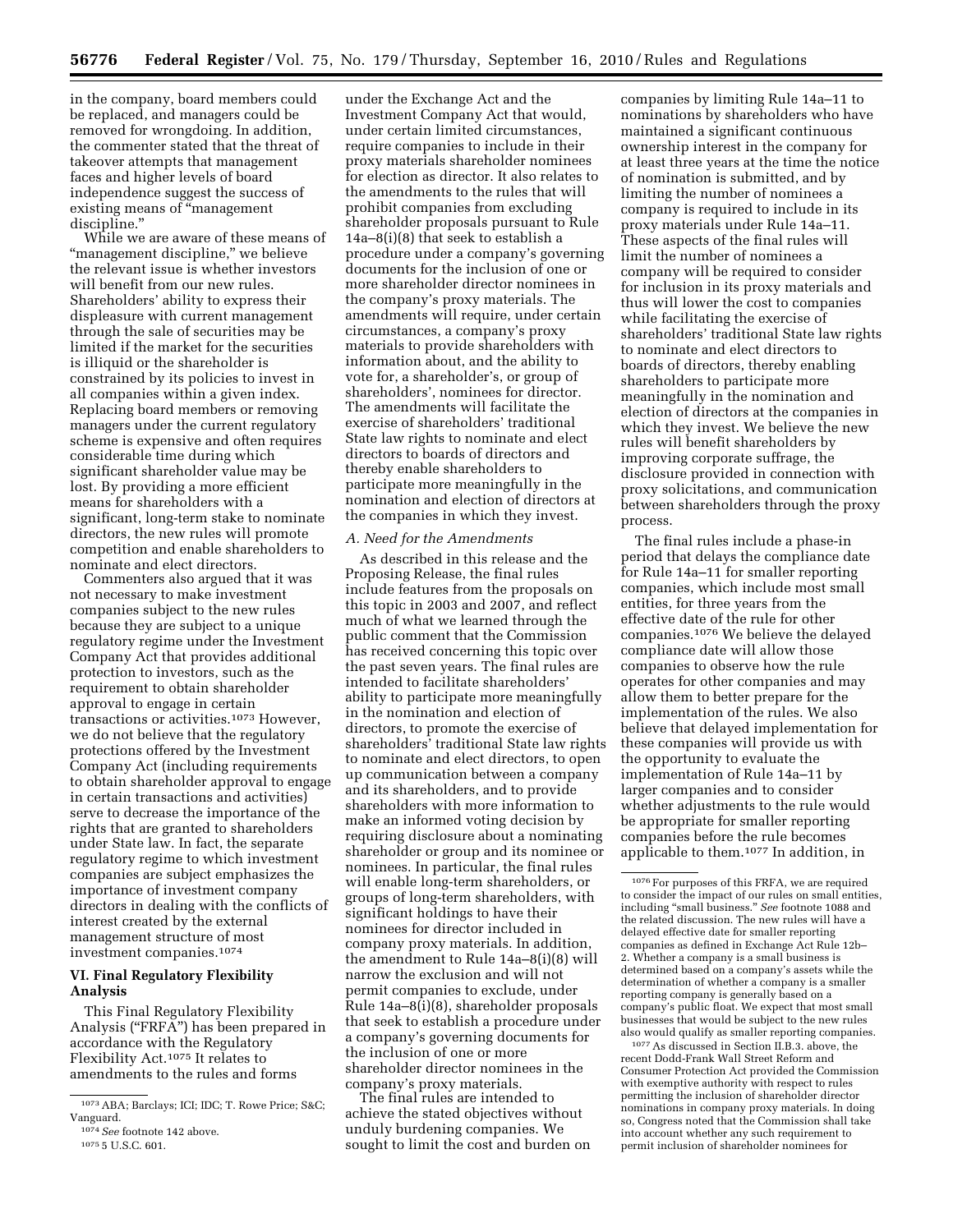in the company, board members could be replaced, and managers could be removed for wrongdoing. In addition, the commenter stated that the threat of takeover attempts that management faces and higher levels of board independence suggest the success of existing means of ''management discipline.''

While we are aware of these means of "management discipline," we believe the relevant issue is whether investors will benefit from our new rules. Shareholders' ability to express their displeasure with current management through the sale of securities may be limited if the market for the securities is illiquid or the shareholder is constrained by its policies to invest in all companies within a given index. Replacing board members or removing managers under the current regulatory scheme is expensive and often requires considerable time during which significant shareholder value may be lost. By providing a more efficient means for shareholders with a significant, long-term stake to nominate directors, the new rules will promote competition and enable shareholders to nominate and elect directors.

Commenters also argued that it was not necessary to make investment companies subject to the new rules because they are subject to a unique regulatory regime under the Investment Company Act that provides additional protection to investors, such as the requirement to obtain shareholder approval to engage in certain transactions or activities.1073 However, we do not believe that the regulatory protections offered by the Investment Company Act (including requirements to obtain shareholder approval to engage in certain transactions and activities) serve to decrease the importance of the rights that are granted to shareholders under State law. In fact, the separate regulatory regime to which investment companies are subject emphasizes the importance of investment company directors in dealing with the conflicts of interest created by the external management structure of most investment companies.1074

## **VI. Final Regulatory Flexibility Analysis**

This Final Regulatory Flexibility Analysis ("FRFA") has been prepared in accordance with the Regulatory Flexibility Act.1075 It relates to amendments to the rules and forms

under the Exchange Act and the Investment Company Act that would, under certain limited circumstances, require companies to include in their proxy materials shareholder nominees for election as director. It also relates to the amendments to the rules that will prohibit companies from excluding shareholder proposals pursuant to Rule 14a–8(i)(8) that seek to establish a procedure under a company's governing documents for the inclusion of one or more shareholder director nominees in the company's proxy materials. The amendments will require, under certain circumstances, a company's proxy materials to provide shareholders with information about, and the ability to vote for, a shareholder's, or group of shareholders', nominees for director. The amendments will facilitate the exercise of shareholders' traditional State law rights to nominate and elect directors to boards of directors and thereby enable shareholders to participate more meaningfully in the nomination and election of directors at the companies in which they invest.

#### *A. Need for the Amendments*

As described in this release and the Proposing Release, the final rules include features from the proposals on this topic in 2003 and 2007, and reflect much of what we learned through the public comment that the Commission has received concerning this topic over the past seven years. The final rules are intended to facilitate shareholders' ability to participate more meaningfully in the nomination and election of directors, to promote the exercise of shareholders' traditional State law rights to nominate and elect directors, to open up communication between a company and its shareholders, and to provide shareholders with more information to make an informed voting decision by requiring disclosure about a nominating shareholder or group and its nominee or nominees. In particular, the final rules will enable long-term shareholders, or groups of long-term shareholders, with significant holdings to have their nominees for director included in company proxy materials. In addition, the amendment to Rule 14a–8(i)(8) will narrow the exclusion and will not permit companies to exclude, under Rule 14a–8(i)(8), shareholder proposals that seek to establish a procedure under a company's governing documents for the inclusion of one or more shareholder director nominees in the company's proxy materials.

The final rules are intended to achieve the stated objectives without unduly burdening companies. We sought to limit the cost and burden on companies by limiting Rule 14a–11 to nominations by shareholders who have maintained a significant continuous ownership interest in the company for at least three years at the time the notice of nomination is submitted, and by limiting the number of nominees a company is required to include in its proxy materials under Rule 14a–11. These aspects of the final rules will limit the number of nominees a company will be required to consider for inclusion in its proxy materials and thus will lower the cost to companies while facilitating the exercise of shareholders' traditional State law rights to nominate and elect directors to boards of directors, thereby enabling shareholders to participate more meaningfully in the nomination and election of directors at the companies in which they invest. We believe the new rules will benefit shareholders by improving corporate suffrage, the disclosure provided in connection with proxy solicitations, and communication between shareholders through the proxy process.

The final rules include a phase-in period that delays the compliance date for Rule 14a–11 for smaller reporting companies, which include most small entities, for three years from the effective date of the rule for other companies.1076 We believe the delayed compliance date will allow those companies to observe how the rule operates for other companies and may allow them to better prepare for the implementation of the rules. We also believe that delayed implementation for these companies will provide us with the opportunity to evaluate the implementation of Rule 14a–11 by larger companies and to consider whether adjustments to the rule would be appropriate for smaller reporting companies before the rule becomes applicable to them.1077 In addition, in

1077As discussed in Section II.B.3. above, the recent Dodd-Frank Wall Street Reform and Consumer Protection Act provided the Commission with exemptive authority with respect to rules permitting the inclusion of shareholder director nominations in company proxy materials. In doing so, Congress noted that the Commission shall take into account whether any such requirement to permit inclusion of shareholder nominees for

<sup>1073</sup>ABA; Barclays; ICI; IDC; T. Rowe Price; S&C; Vanguard. 1074*See* footnote 142 above.

<sup>1075</sup> 5 U.S.C. 601.

<sup>1076</sup>For purposes of this FRFA, we are required to consider the impact of our rules on small entities, including "small business." See footnote 1088 and the related discussion. The new rules will have a delayed effective date for smaller reporting companies as defined in Exchange Act Rule 12b– 2. Whether a company is a small business is determined based on a company's assets while the determination of whether a company is a smaller reporting company is generally based on a company's public float. We expect that most small businesses that would be subject to the new rules also would qualify as smaller reporting companies.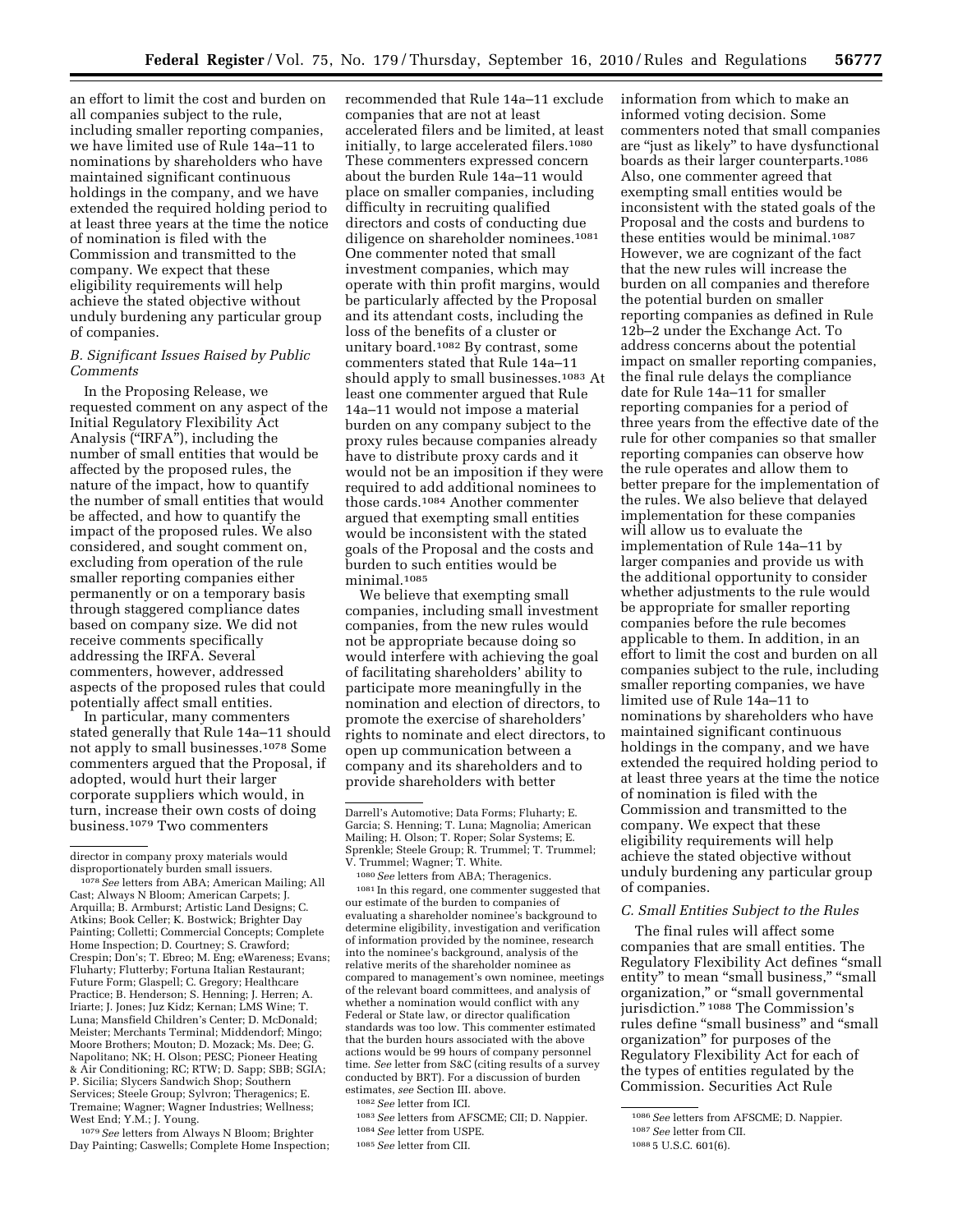an effort to limit the cost and burden on all companies subject to the rule, including smaller reporting companies, we have limited use of Rule 14a–11 to nominations by shareholders who have maintained significant continuous holdings in the company, and we have extended the required holding period to at least three years at the time the notice of nomination is filed with the Commission and transmitted to the company. We expect that these eligibility requirements will help achieve the stated objective without unduly burdening any particular group of companies.

## *B. Significant Issues Raised by Public Comments*

In the Proposing Release, we requested comment on any aspect of the Initial Regulatory Flexibility Act Analysis (''IRFA''), including the number of small entities that would be affected by the proposed rules, the nature of the impact, how to quantify the number of small entities that would be affected, and how to quantify the impact of the proposed rules. We also considered, and sought comment on, excluding from operation of the rule smaller reporting companies either permanently or on a temporary basis through staggered compliance dates based on company size. We did not receive comments specifically addressing the IRFA. Several commenters, however, addressed aspects of the proposed rules that could potentially affect small entities.

In particular, many commenters stated generally that Rule 14a–11 should not apply to small businesses.1078 Some commenters argued that the Proposal, if adopted, would hurt their larger corporate suppliers which would, in turn, increase their own costs of doing business.1079 Two commenters

1078*See* letters from ABA; American Mailing; All Cast; Always N Bloom; American Carpets; J. Arquilla; B. Armburst; Artistic Land Designs; C. Atkins; Book Celler; K. Bostwick; Brighter Day Painting; Colletti; Commercial Concepts; Complete Home Inspection; D. Courtney; S. Crawford; Crespin; Don's; T. Ebreo; M. Eng; eWareness; Evans; Fluharty; Flutterby; Fortuna Italian Restaurant; Future Form; Glaspell; C. Gregory; Healthcare Practice; B. Henderson; S. Henning; J. Herren; A. Iriarte; J. Jones; Juz Kidz; Kernan; LMS Wine; T. Luna; Mansfield Children's Center; D. McDonald; Meister; Merchants Terminal; Middendorf; Mingo; Moore Brothers; Mouton; D. Mozack; Ms. Dee; G. Napolitano; NK; H. Olson; PESC; Pioneer Heating & Air Conditioning; RC; RTW; D. Sapp; SBB; SGIA; P. Sicilia; Slycers Sandwich Shop; Southern Services; Steele Group; Sylvron; Theragenics; E. Tremaine; Wagner; Wagner Industries; Wellness; West End; Y.M.; J. Young.

1079*See* letters from Always N Bloom; Brighter Day Painting; Caswells; Complete Home Inspection; recommended that Rule 14a–11 exclude companies that are not at least accelerated filers and be limited, at least initially, to large accelerated filers.1080 These commenters expressed concern about the burden Rule 14a–11 would place on smaller companies, including difficulty in recruiting qualified directors and costs of conducting due diligence on shareholder nominees.<sup>1081</sup> One commenter noted that small investment companies, which may operate with thin profit margins, would be particularly affected by the Proposal and its attendant costs, including the loss of the benefits of a cluster or unitary board.1082 By contrast, some commenters stated that Rule 14a–11 should apply to small businesses.<sup>1083</sup> At least one commenter argued that Rule 14a–11 would not impose a material burden on any company subject to the proxy rules because companies already have to distribute proxy cards and it would not be an imposition if they were required to add additional nominees to those cards.1084 Another commenter argued that exempting small entities would be inconsistent with the stated goals of the Proposal and the costs and burden to such entities would be minimal.1085

We believe that exempting small companies, including small investment companies, from the new rules would not be appropriate because doing so would interfere with achieving the goal of facilitating shareholders' ability to participate more meaningfully in the nomination and election of directors, to promote the exercise of shareholders' rights to nominate and elect directors, to open up communication between a company and its shareholders and to provide shareholders with better

1080*See* letters from ABA; Theragenics. 1081 In this regard, one commenter suggested that our estimate of the burden to companies of evaluating a shareholder nominee's background to determine eligibility, investigation and verification of information provided by the nominee, research into the nominee's background, analysis of the relative merits of the shareholder nominee as compared to management's own nominee, meetings of the relevant board committees, and analysis of whether a nomination would conflict with any Federal or State law, or director qualification standards was too low. This commenter estimated that the burden hours associated with the above actions would be 99 hours of company personnel time. *See* letter from S&C (citing results of a survey conducted by BRT). For a discussion of burden estimates, *see* Section III. above.

1082*See* letter from ICI.

1083*See* letters from AFSCME; CII; D. Nappier. 1084*See* letter from USPE.

1085*See* letter from CII.

information from which to make an informed voting decision. Some commenters noted that small companies are ''just as likely'' to have dysfunctional boards as their larger counterparts.1086 Also, one commenter agreed that exempting small entities would be inconsistent with the stated goals of the Proposal and the costs and burdens to these entities would be minimal.1087 However, we are cognizant of the fact that the new rules will increase the burden on all companies and therefore the potential burden on smaller reporting companies as defined in Rule 12b–2 under the Exchange Act. To address concerns about the potential impact on smaller reporting companies, the final rule delays the compliance date for Rule 14a–11 for smaller reporting companies for a period of three years from the effective date of the rule for other companies so that smaller reporting companies can observe how the rule operates and allow them to better prepare for the implementation of the rules. We also believe that delayed implementation for these companies will allow us to evaluate the implementation of Rule 14a–11 by larger companies and provide us with the additional opportunity to consider whether adjustments to the rule would be appropriate for smaller reporting companies before the rule becomes applicable to them. In addition, in an effort to limit the cost and burden on all companies subject to the rule, including smaller reporting companies, we have limited use of Rule 14a–11 to nominations by shareholders who have maintained significant continuous holdings in the company, and we have extended the required holding period to at least three years at the time the notice of nomination is filed with the Commission and transmitted to the company. We expect that these eligibility requirements will help achieve the stated objective without unduly burdening any particular group of companies.

#### *C. Small Entities Subject to the Rules*

The final rules will affect some companies that are small entities. The Regulatory Flexibility Act defines ''small entity" to mean "small business," "small organization,'' or ''small governmental jurisdiction.'' 1088 The Commission's rules define ''small business'' and ''small organization'' for purposes of the Regulatory Flexibility Act for each of the types of entities regulated by the Commission. Securities Act Rule

director in company proxy materials would disproportionately burden small issuers.

Darrell's Automotive; Data Forms; Fluharty; E. Garcia; S. Henning; T. Luna; Magnolia; American Mailing; H. Olson; T. Roper; Solar Systems; E. Sprenkle; Steele Group; R. Trummel; T. Trummel; V. Trummel; Wagner; T. White.

<sup>1086</sup>*See* letters from AFSCME; D. Nappier. 1087*See* letter from CII.

<sup>1088</sup> 5 U.S.C. 601(6).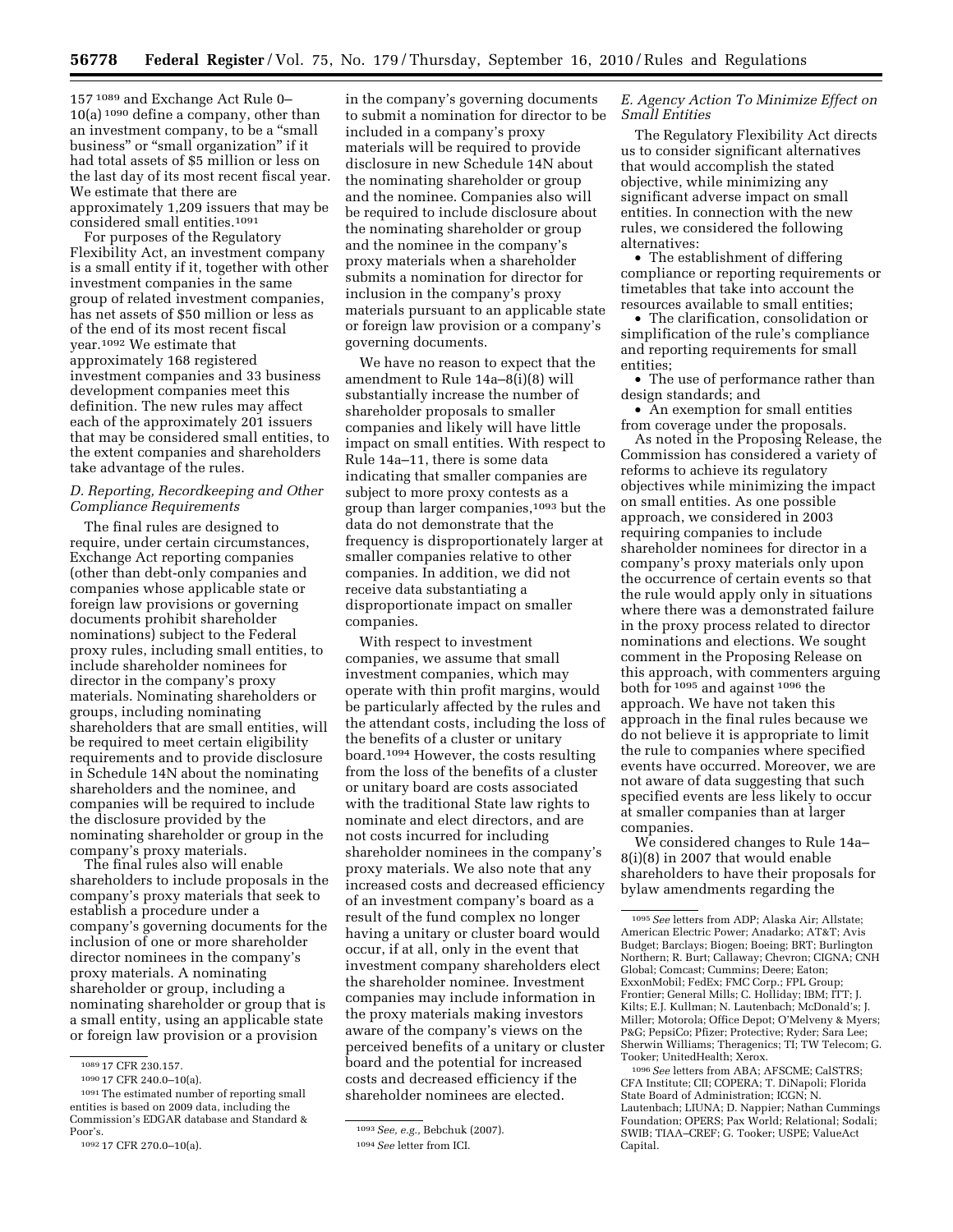157 1089 and Exchange Act Rule 0– 10(a) 1090 define a company, other than an investment company, to be a ''small business'' or ''small organization'' if it had total assets of \$5 million or less on the last day of its most recent fiscal year. We estimate that there are approximately 1,209 issuers that may be considered small entities.1091

For purposes of the Regulatory Flexibility Act, an investment company is a small entity if it, together with other investment companies in the same group of related investment companies, has net assets of \$50 million or less as of the end of its most recent fiscal year.1092 We estimate that approximately 168 registered investment companies and 33 business development companies meet this definition. The new rules may affect each of the approximately 201 issuers that may be considered small entities, to the extent companies and shareholders take advantage of the rules.

#### *D. Reporting, Recordkeeping and Other Compliance Requirements*

The final rules are designed to require, under certain circumstances, Exchange Act reporting companies (other than debt-only companies and companies whose applicable state or foreign law provisions or governing documents prohibit shareholder nominations) subject to the Federal proxy rules, including small entities, to include shareholder nominees for director in the company's proxy materials. Nominating shareholders or groups, including nominating shareholders that are small entities, will be required to meet certain eligibility requirements and to provide disclosure in Schedule 14N about the nominating shareholders and the nominee, and companies will be required to include the disclosure provided by the nominating shareholder or group in the company's proxy materials.

The final rules also will enable shareholders to include proposals in the company's proxy materials that seek to establish a procedure under a company's governing documents for the inclusion of one or more shareholder director nominees in the company's proxy materials. A nominating shareholder or group, including a nominating shareholder or group that is a small entity, using an applicable state or foreign law provision or a provision

in the company's governing documents to submit a nomination for director to be included in a company's proxy materials will be required to provide disclosure in new Schedule 14N about the nominating shareholder or group and the nominee. Companies also will be required to include disclosure about the nominating shareholder or group and the nominee in the company's proxy materials when a shareholder submits a nomination for director for inclusion in the company's proxy materials pursuant to an applicable state or foreign law provision or a company's governing documents.

We have no reason to expect that the amendment to Rule 14a–8(i)(8) will substantially increase the number of shareholder proposals to smaller companies and likely will have little impact on small entities. With respect to Rule 14a–11, there is some data indicating that smaller companies are subject to more proxy contests as a group than larger companies,1093 but the data do not demonstrate that the frequency is disproportionately larger at smaller companies relative to other companies. In addition, we did not receive data substantiating a disproportionate impact on smaller companies.

With respect to investment companies, we assume that small investment companies, which may operate with thin profit margins, would be particularly affected by the rules and the attendant costs, including the loss of the benefits of a cluster or unitary board.1094 However, the costs resulting from the loss of the benefits of a cluster or unitary board are costs associated with the traditional State law rights to nominate and elect directors, and are not costs incurred for including shareholder nominees in the company's proxy materials. We also note that any increased costs and decreased efficiency of an investment company's board as a result of the fund complex no longer having a unitary or cluster board would occur, if at all, only in the event that investment company shareholders elect the shareholder nominee. Investment companies may include information in the proxy materials making investors aware of the company's views on the perceived benefits of a unitary or cluster board and the potential for increased costs and decreased efficiency if the shareholder nominees are elected.

## *E. Agency Action To Minimize Effect on Small Entities*

The Regulatory Flexibility Act directs us to consider significant alternatives that would accomplish the stated objective, while minimizing any significant adverse impact on small entities. In connection with the new rules, we considered the following alternatives:

• The establishment of differing compliance or reporting requirements or timetables that take into account the resources available to small entities;

• The clarification, consolidation or simplification of the rule's compliance and reporting requirements for small entities;

• The use of performance rather than design standards; and

• An exemption for small entities from coverage under the proposals.

As noted in the Proposing Release, the Commission has considered a variety of reforms to achieve its regulatory objectives while minimizing the impact on small entities. As one possible approach, we considered in 2003 requiring companies to include shareholder nominees for director in a company's proxy materials only upon the occurrence of certain events so that the rule would apply only in situations where there was a demonstrated failure in the proxy process related to director nominations and elections. We sought comment in the Proposing Release on this approach, with commenters arguing both for 1095 and against 1096 the approach. We have not taken this approach in the final rules because we do not believe it is appropriate to limit the rule to companies where specified events have occurred. Moreover, we are not aware of data suggesting that such specified events are less likely to occur at smaller companies than at larger companies.

We considered changes to Rule 14a– 8(i)(8) in 2007 that would enable shareholders to have their proposals for bylaw amendments regarding the

<sup>1089</sup> 17 CFR 230.157.

<sup>1090</sup> 17 CFR 240.0–10(a).

<sup>1091</sup>The estimated number of reporting small entities is based on 2009 data, including the Commission's EDGAR database and Standard & Poor's.

<sup>1092</sup> 17 CFR 270.0–10(a).

<sup>1093</sup>*See, e.g.,* Bebchuk (2007).

<sup>1094</sup>*See* letter from ICI.

<sup>1095</sup>*See* letters from ADP; Alaska Air; Allstate; American Electric Power; Anadarko; AT&T; Avis Budget; Barclays; Biogen; Boeing; BRT; Burlington Northern; R. Burt; Callaway; Chevron; CIGNA; CNH Global; Comcast; Cummins; Deere; Eaton; ExxonMobil; FedEx; FMC Corp.; FPL Group; Frontier; General Mills; C. Holliday; IBM; ITT; J. Kilts; E.J. Kullman; N. Lautenbach; McDonald's; J. Miller; Motorola; Office Depot; O'Melveny & Myers; P&G; PepsiCo; Pfizer; Protective; Ryder; Sara Lee; Sherwin Williams; Theragenics; TI; TW Telecom; G. Tooker; UnitedHealth; Xerox.

<sup>1096</sup>*See* letters from ABA; AFSCME; CalSTRS; CFA Institute; CII; COPERA; T. DiNapoli; Florida State Board of Administration; ICGN; N. Lautenbach; LIUNA; D. Nappier; Nathan Cummings Foundation; OPERS; Pax World; Relational; Sodali; SWIB; TIAA–CREF; G. Tooker; USPE; ValueAct Capital.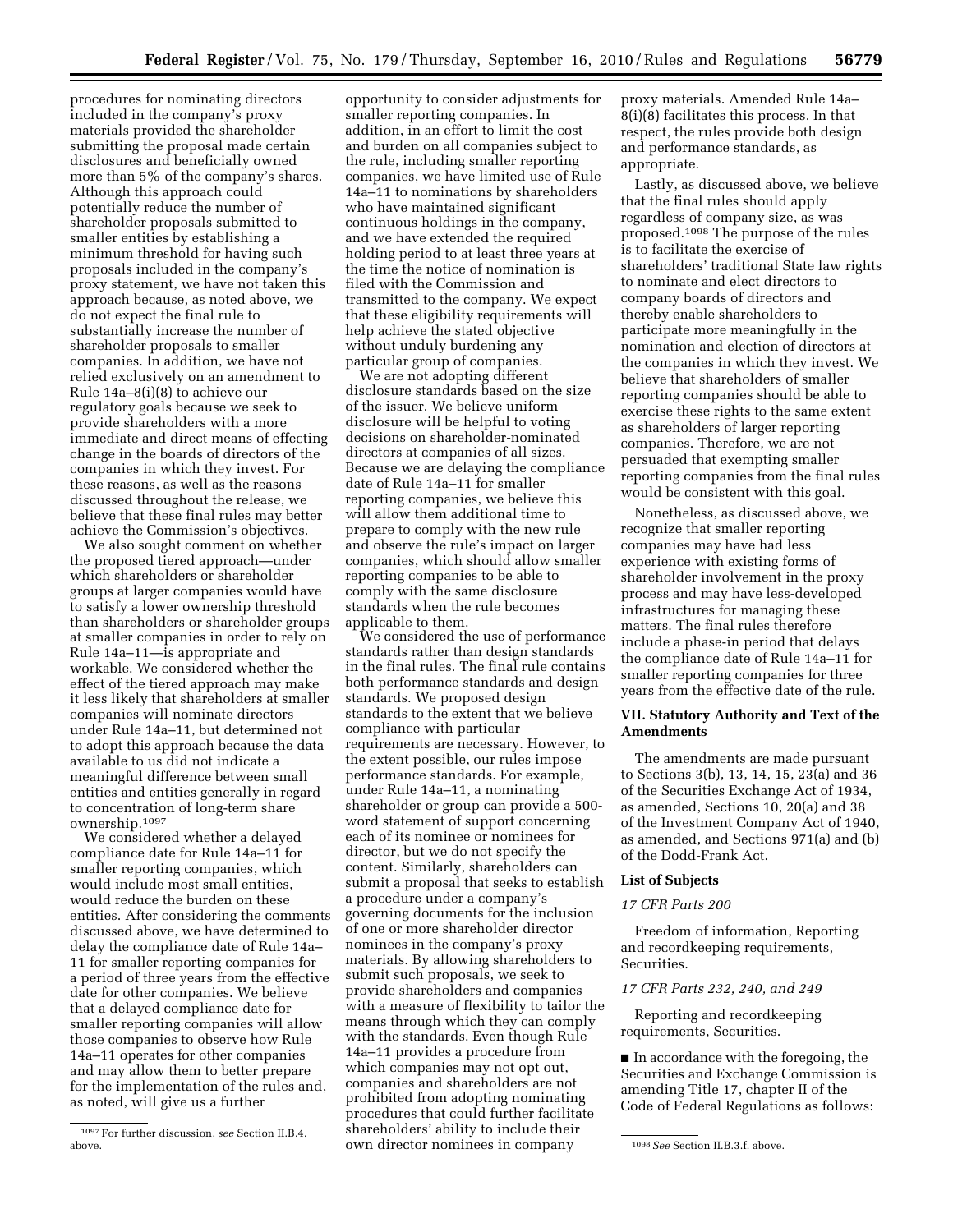procedures for nominating directors included in the company's proxy materials provided the shareholder submitting the proposal made certain disclosures and beneficially owned more than 5% of the company's shares. Although this approach could potentially reduce the number of shareholder proposals submitted to smaller entities by establishing a minimum threshold for having such proposals included in the company's proxy statement, we have not taken this approach because, as noted above, we do not expect the final rule to substantially increase the number of shareholder proposals to smaller companies. In addition, we have not relied exclusively on an amendment to Rule 14a–8(i)(8) to achieve our regulatory goals because we seek to provide shareholders with a more immediate and direct means of effecting change in the boards of directors of the companies in which they invest. For these reasons, as well as the reasons discussed throughout the release, we believe that these final rules may better achieve the Commission's objectives.

We also sought comment on whether the proposed tiered approach—under which shareholders or shareholder groups at larger companies would have to satisfy a lower ownership threshold than shareholders or shareholder groups at smaller companies in order to rely on Rule 14a–11—is appropriate and workable. We considered whether the effect of the tiered approach may make it less likely that shareholders at smaller companies will nominate directors under Rule 14a–11, but determined not to adopt this approach because the data available to us did not indicate a meaningful difference between small entities and entities generally in regard to concentration of long-term share ownership.1097

We considered whether a delayed compliance date for Rule 14a–11 for smaller reporting companies, which would include most small entities, would reduce the burden on these entities. After considering the comments discussed above, we have determined to delay the compliance date of Rule 14a– 11 for smaller reporting companies for a period of three years from the effective date for other companies. We believe that a delayed compliance date for smaller reporting companies will allow those companies to observe how Rule 14a–11 operates for other companies and may allow them to better prepare for the implementation of the rules and, as noted, will give us a further

opportunity to consider adjustments for smaller reporting companies. In addition, in an effort to limit the cost and burden on all companies subject to the rule, including smaller reporting companies, we have limited use of Rule 14a–11 to nominations by shareholders who have maintained significant continuous holdings in the company, and we have extended the required holding period to at least three years at the time the notice of nomination is filed with the Commission and transmitted to the company. We expect that these eligibility requirements will help achieve the stated objective without unduly burdening any particular group of companies.

We are not adopting different disclosure standards based on the size of the issuer. We believe uniform disclosure will be helpful to voting decisions on shareholder-nominated directors at companies of all sizes. Because we are delaying the compliance date of Rule 14a–11 for smaller reporting companies, we believe this will allow them additional time to prepare to comply with the new rule and observe the rule's impact on larger companies, which should allow smaller reporting companies to be able to comply with the same disclosure standards when the rule becomes applicable to them.

We considered the use of performance standards rather than design standards in the final rules. The final rule contains both performance standards and design standards. We proposed design standards to the extent that we believe compliance with particular requirements are necessary. However, to the extent possible, our rules impose performance standards. For example, under Rule 14a–11, a nominating shareholder or group can provide a 500 word statement of support concerning each of its nominee or nominees for director, but we do not specify the content. Similarly, shareholders can submit a proposal that seeks to establish a procedure under a company's governing documents for the inclusion of one or more shareholder director nominees in the company's proxy materials. By allowing shareholders to submit such proposals, we seek to provide shareholders and companies with a measure of flexibility to tailor the means through which they can comply with the standards. Even though Rule 14a–11 provides a procedure from which companies may not opt out, companies and shareholders are not prohibited from adopting nominating procedures that could further facilitate shareholders' ability to include their

proxy materials. Amended Rule 14a– 8(i)(8) facilitates this process. In that respect, the rules provide both design and performance standards, as appropriate.

Lastly, as discussed above, we believe that the final rules should apply regardless of company size, as was proposed.1098 The purpose of the rules is to facilitate the exercise of shareholders' traditional State law rights to nominate and elect directors to company boards of directors and thereby enable shareholders to participate more meaningfully in the nomination and election of directors at the companies in which they invest. We believe that shareholders of smaller reporting companies should be able to exercise these rights to the same extent as shareholders of larger reporting companies. Therefore, we are not persuaded that exempting smaller reporting companies from the final rules would be consistent with this goal.

Nonetheless, as discussed above, we recognize that smaller reporting companies may have had less experience with existing forms of shareholder involvement in the proxy process and may have less-developed infrastructures for managing these matters. The final rules therefore include a phase-in period that delays the compliance date of Rule 14a–11 for smaller reporting companies for three years from the effective date of the rule.

## **VII. Statutory Authority and Text of the Amendments**

The amendments are made pursuant to Sections 3(b), 13, 14, 15, 23(a) and 36 of the Securities Exchange Act of 1934, as amended, Sections 10, 20(a) and 38 of the Investment Company Act of 1940, as amended, and Sections 971(a) and (b) of the Dodd-Frank Act.

#### **List of Subjects**

#### *17 CFR Parts 200*

Freedom of information, Reporting and recordkeeping requirements, Securities.

#### *17 CFR Parts 232, 240, and 249*

Reporting and recordkeeping requirements, Securities.

■ In accordance with the foregoing, the Securities and Exchange Commission is amending Title 17, chapter II of the Code of Federal Regulations as follows:

<sup>1097</sup>For further discussion, *see* Section II.B.4. above. **1098** See Section II.B.3.f. above. **1098** See Section II.B.3.f. above.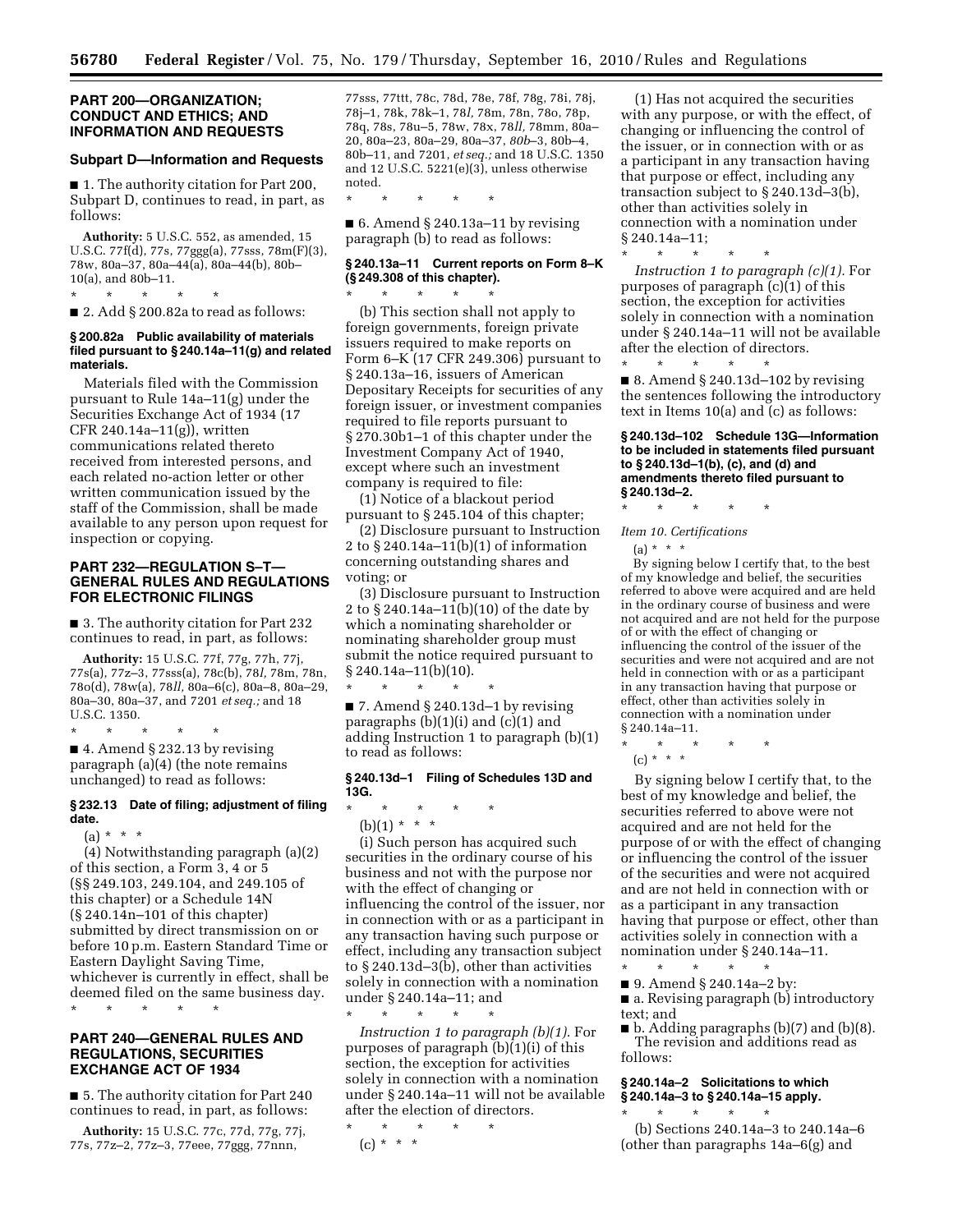#### **PART 200—ORGANIZATION; CONDUCT AND ETHICS; AND INFORMATION AND REQUESTS**

#### **Subpart D—Information and Requests**

■ 1. The authority citation for Part 200, Subpart D, continues to read, in part, as follows:

**Authority:** 5 U.S.C. 552, as amended, 15 U.S.C. 77f(d), 77s, 77ggg(a), 77sss, 78m(F)(3), 78w, 80a–37, 80a–44(a), 80a–44(b), 80b– 10(a), and 80b–11.

\* \* \* \* \* ■ 2. Add § 200.82a to read as follows:

#### **§ 200.82a Public availability of materials filed pursuant to § 240.14a–11(g) and related materials.**

Materials filed with the Commission pursuant to Rule 14a–11(g) under the Securities Exchange Act of 1934 (17 CFR 240.14a–11(g)), written communications related thereto received from interested persons, and each related no-action letter or other written communication issued by the staff of the Commission, shall be made available to any person upon request for inspection or copying.

## **PART 232—REGULATION S–T— GENERAL RULES AND REGULATIONS FOR ELECTRONIC FILINGS**

■ 3. The authority citation for Part 232 continues to read, in part, as follows:

**Authority:** 15 U.S.C. 77f, 77g, 77h, 77j, 77s(a), 77z–3, 77sss(a), 78c(b), 78*l,* 78m, 78n, 78o(d), 78w(a), 78*ll,* 80a–6(c), 80a–8, 80a–29, 80a–30, 80a–37, and 7201 *et seq.;* and 18 U.S.C. 1350.

\* \* \* \* \* ■ 4. Amend § 232.13 by revising paragraph (a)(4) (the note remains unchanged) to read as follows:

## **§ 232.13 Date of filing; adjustment of filing date.**

(a) \* \* \*

(4) Notwithstanding paragraph (a)(2) of this section, a Form 3, 4 or 5 (§§ 249.103, 249.104, and 249.105 of this chapter) or a Schedule 14N (§ 240.14n–101 of this chapter) submitted by direct transmission on or before 10 p.m. Eastern Standard Time or Eastern Daylight Saving Time, whichever is currently in effect, shall be deemed filed on the same business day.

\* \* \* \* \* **PART 240—GENERAL RULES AND** 

## **REGULATIONS, SECURITIES EXCHANGE ACT OF 1934**

■ 5. The authority citation for Part 240 continues to read, in part, as follows:

**Authority:** 15 U.S.C. 77c, 77d, 77g, 77j, 77s, 77z–2, 77z–3, 77eee, 77ggg, 77nnn,

77sss, 77ttt, 78c, 78d, 78e, 78f, 78g, 78i, 78j, 78j–1, 78k, 78k–1, 78*l,* 78m, 78n, 78o, 78p, 78q, 78s, 78u–5, 78w, 78x, 78*ll,* 78mm, 80a– 20, 80a–23, 80a–29, 80a–37, *80b*–3, 80b–4, 80b–11, and 7201, *et seq.;* and 18 U.S.C. 1350 and 12 U.S.C. 5221(e)(3), unless otherwise noted.

\* \* \* \* \*

■ 6. Amend § 240.13a–11 by revising paragraph (b) to read as follows:

#### **§ 240.13a–11 Current reports on Form 8–K (§ 249.308 of this chapter).**

\* \* \* \* \* (b) This section shall not apply to foreign governments, foreign private issuers required to make reports on Form  $6-K(17$  CFR 249.306) pursuant to § 240.13a–16, issuers of American Depositary Receipts for securities of any foreign issuer, or investment companies required to file reports pursuant to § 270.30b1–1 of this chapter under the Investment Company Act of 1940, except where such an investment company is required to file:

(1) Notice of a blackout period pursuant to § 245.104 of this chapter;

(2) Disclosure pursuant to Instruction 2 to § 240.14a–11(b)(1) of information concerning outstanding shares and voting; or

(3) Disclosure pursuant to Instruction 2 to § 240.14a–11(b)(10) of the date by which a nominating shareholder or nominating shareholder group must submit the notice required pursuant to § 240.14a–11(b)(10).

\* \* \* \* \*  $\blacksquare$  7. Amend § 240.13d-1 by revising paragraphs (b)(1)(i) and (c)(1) and adding Instruction 1 to paragraph (b)(1) to read as follows:

## **§ 240.13d–1 Filing of Schedules 13D and 13G.**

\* \* \* \* \*  $(b)(1) * * * *$ 

(i) Such person has acquired such securities in the ordinary course of his business and not with the purpose nor with the effect of changing or influencing the control of the issuer, nor in connection with or as a participant in any transaction having such purpose or effect, including any transaction subject to § 240.13d–3(b), other than activities solely in connection with a nomination under § 240.14a–11; and

\* \* \* \* \* *Instruction 1 to paragraph (b)(1).* For purposes of paragraph (b)(1)(i) of this section, the exception for activities solely in connection with a nomination under § 240.14a–11 will not be available after the election of directors.

\* \* \* \* \* (c) \* \* \*

(1) Has not acquired the securities with any purpose, or with the effect, of changing or influencing the control of the issuer, or in connection with or as a participant in any transaction having that purpose or effect, including any transaction subject to § 240.13d–3(b), other than activities solely in connection with a nomination under § 240.14a–11;

\* \* \* \* \*

*Instruction 1 to paragraph (c)(1).* For purposes of paragraph (c)(1) of this section, the exception for activities solely in connection with a nomination under § 240.14a–11 will not be available after the election of directors.

\* \* \* \* \*  $\blacksquare$  8. Amend § 240.13d–102 by revising the sentences following the introductory text in Items 10(a) and (c) as follows:

#### **§ 240.13d–102 Schedule 13G—Information to be included in statements filed pursuant to § 240.13d–1(b), (c), and (d) and amendments thereto filed pursuant to § 240.13d–2.**

\* \* \* \* \*

*Item 10. Certifications* 

(a) \* \* \*

By signing below I certify that, to the best of my knowledge and belief, the securities referred to above were acquired and are held in the ordinary course of business and were not acquired and are not held for the purpose of or with the effect of changing or influencing the control of the issuer of the securities and were not acquired and are not held in connection with or as a participant in any transaction having that purpose or effect, other than activities solely in connection with a nomination under § 240.14a–11.

- $\star$   $\star$
- (c) \* \* \*

By signing below I certify that, to the best of my knowledge and belief, the securities referred to above were not acquired and are not held for the purpose of or with the effect of changing or influencing the control of the issuer of the securities and were not acquired and are not held in connection with or as a participant in any transaction having that purpose or effect, other than activities solely in connection with a nomination under § 240.14a–11.

\* \* \* \* \* ■ 9. Amend § 240.14a–2 by:

■ a. Revising paragraph (b) introductory text; and

 $\blacksquare$  b. Adding paragraphs (b)(7) and (b)(8). The revision and additions read as follows:

#### **§ 240.14a–2 Solicitations to which § 240.14a–3 to § 240.14a–15 apply.**  \* \* \* \* \*

(b) Sections 240.14a–3 to 240.14a–6 (other than paragraphs 14a–6(g) and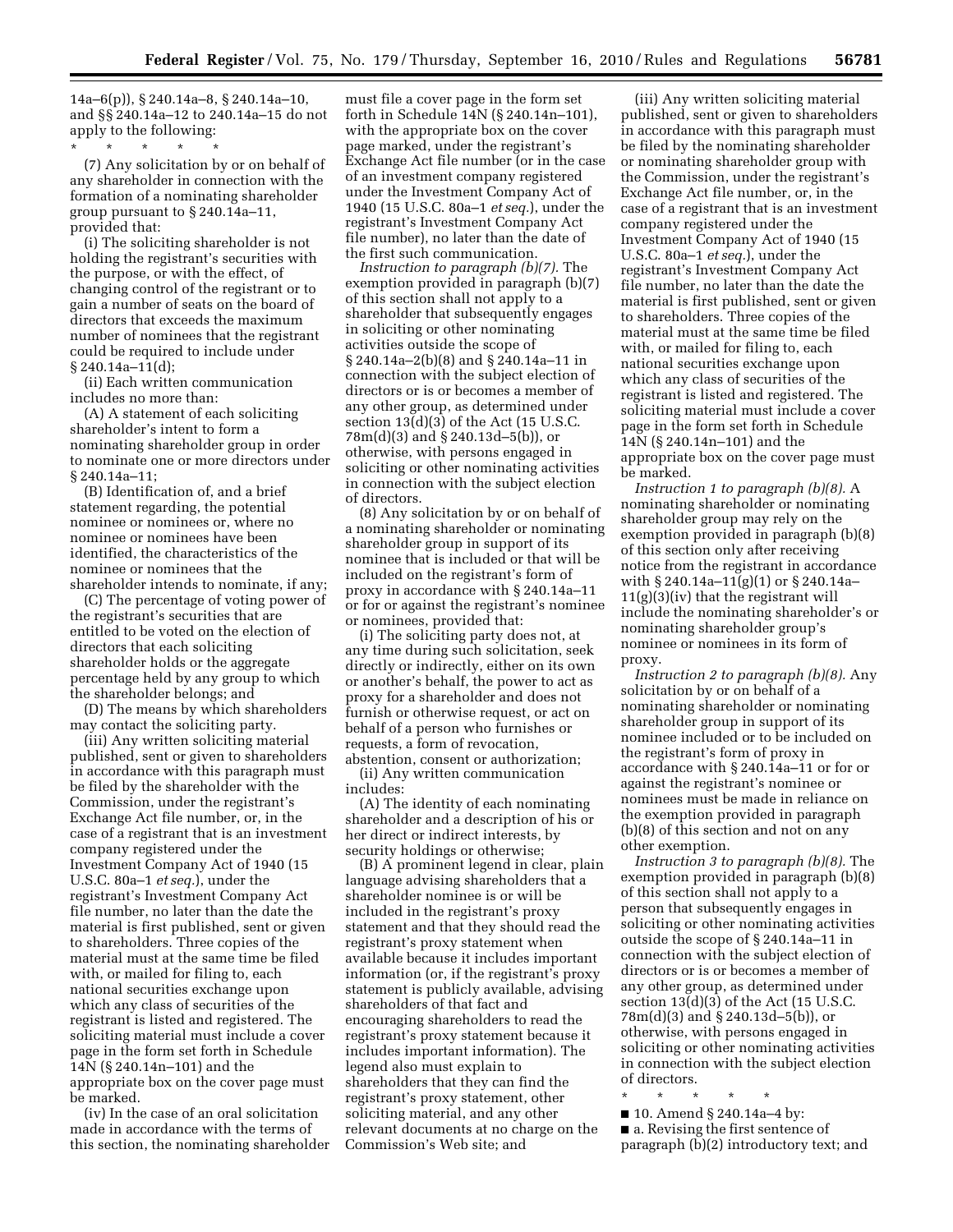14a–6(p)), § 240.14a–8, § 240.14a–10, and §§ 240.14a–12 to 240.14a–15 do not apply to the following: \* \* \* \* \*

(7) Any solicitation by or on behalf of any shareholder in connection with the formation of a nominating shareholder group pursuant to § 240.14a–11, provided that:

(i) The soliciting shareholder is not holding the registrant's securities with the purpose, or with the effect, of changing control of the registrant or to gain a number of seats on the board of directors that exceeds the maximum number of nominees that the registrant could be required to include under § 240.14a–11(d);

(ii) Each written communication includes no more than:

(A) A statement of each soliciting shareholder's intent to form a nominating shareholder group in order to nominate one or more directors under § 240.14a–11;

(B) Identification of, and a brief statement regarding, the potential nominee or nominees or, where no nominee or nominees have been identified, the characteristics of the nominee or nominees that the shareholder intends to nominate, if any;

(C) The percentage of voting power of the registrant's securities that are entitled to be voted on the election of directors that each soliciting shareholder holds or the aggregate percentage held by any group to which the shareholder belongs; and

(D) The means by which shareholders may contact the soliciting party.

(iii) Any written soliciting material published, sent or given to shareholders in accordance with this paragraph must be filed by the shareholder with the Commission, under the registrant's Exchange Act file number, or, in the case of a registrant that is an investment company registered under the Investment Company Act of 1940 (15 U.S.C. 80a–1 *et seq.*), under the registrant's Investment Company Act file number, no later than the date the material is first published, sent or given to shareholders. Three copies of the material must at the same time be filed with, or mailed for filing to, each national securities exchange upon which any class of securities of the registrant is listed and registered. The soliciting material must include a cover page in the form set forth in Schedule 14N (§ 240.14n–101) and the appropriate box on the cover page must be marked.

(iv) In the case of an oral solicitation made in accordance with the terms of this section, the nominating shareholder must file a cover page in the form set forth in Schedule 14N (§ 240.14n–101), with the appropriate box on the cover page marked, under the registrant's Exchange Act file number (or in the case of an investment company registered under the Investment Company Act of 1940 (15 U.S.C. 80a–1 *et seq.*), under the registrant's Investment Company Act file number), no later than the date of the first such communication.

*Instruction to paragraph (b)(7).* The exemption provided in paragraph (b)(7) of this section shall not apply to a shareholder that subsequently engages in soliciting or other nominating activities outside the scope of § 240.14a–2(b)(8) and § 240.14a–11 in connection with the subject election of directors or is or becomes a member of any other group, as determined under section  $13(d)(3)$  of the Act (15 U.S.C. 78m(d)(3) and § 240.13d–5(b)), or otherwise, with persons engaged in soliciting or other nominating activities in connection with the subject election of directors.

(8) Any solicitation by or on behalf of a nominating shareholder or nominating shareholder group in support of its nominee that is included or that will be included on the registrant's form of proxy in accordance with § 240.14a–11 or for or against the registrant's nominee or nominees, provided that:

(i) The soliciting party does not, at any time during such solicitation, seek directly or indirectly, either on its own or another's behalf, the power to act as proxy for a shareholder and does not furnish or otherwise request, or act on behalf of a person who furnishes or requests, a form of revocation, abstention, consent or authorization;

(ii) Any written communication includes:

(A) The identity of each nominating shareholder and a description of his or her direct or indirect interests, by security holdings or otherwise;

(B) A prominent legend in clear, plain language advising shareholders that a shareholder nominee is or will be included in the registrant's proxy statement and that they should read the registrant's proxy statement when available because it includes important information (or, if the registrant's proxy statement is publicly available, advising shareholders of that fact and encouraging shareholders to read the registrant's proxy statement because it includes important information). The legend also must explain to shareholders that they can find the registrant's proxy statement, other soliciting material, and any other relevant documents at no charge on the Commission's Web site; and

(iii) Any written soliciting material published, sent or given to shareholders in accordance with this paragraph must be filed by the nominating shareholder or nominating shareholder group with the Commission, under the registrant's Exchange Act file number, or, in the case of a registrant that is an investment company registered under the Investment Company Act of 1940 (15 U.S.C. 80a–1 *et seq.*), under the registrant's Investment Company Act file number, no later than the date the material is first published, sent or given to shareholders. Three copies of the material must at the same time be filed with, or mailed for filing to, each national securities exchange upon which any class of securities of the registrant is listed and registered. The soliciting material must include a cover page in the form set forth in Schedule 14N (§ 240.14n–101) and the appropriate box on the cover page must be marked.

*Instruction 1 to paragraph (b)(8).* A nominating shareholder or nominating shareholder group may rely on the exemption provided in paragraph (b)(8) of this section only after receiving notice from the registrant in accordance with § 240.14a–11(g)(1) or § 240.14a–  $11(g)(3)(iv)$  that the registrant will include the nominating shareholder's or nominating shareholder group's nominee or nominees in its form of proxy.

*Instruction 2 to paragraph (b)(8).* Any solicitation by or on behalf of a nominating shareholder or nominating shareholder group in support of its nominee included or to be included on the registrant's form of proxy in accordance with § 240.14a–11 or for or against the registrant's nominee or nominees must be made in reliance on the exemption provided in paragraph (b)(8) of this section and not on any other exemption.

*Instruction 3 to paragraph (b)(8).* The exemption provided in paragraph (b)(8) of this section shall not apply to a person that subsequently engages in soliciting or other nominating activities outside the scope of § 240.14a–11 in connection with the subject election of directors or is or becomes a member of any other group, as determined under section 13(d)(3) of the Act (15 U.S.C. 78m(d)(3) and § 240.13d–5(b)), or otherwise, with persons engaged in soliciting or other nominating activities in connection with the subject election of directors.

\* \* \* \* \* ■ 10. Amend § 240.14a–4 by: ■ a. Revising the first sentence of paragraph (b)(2) introductory text; and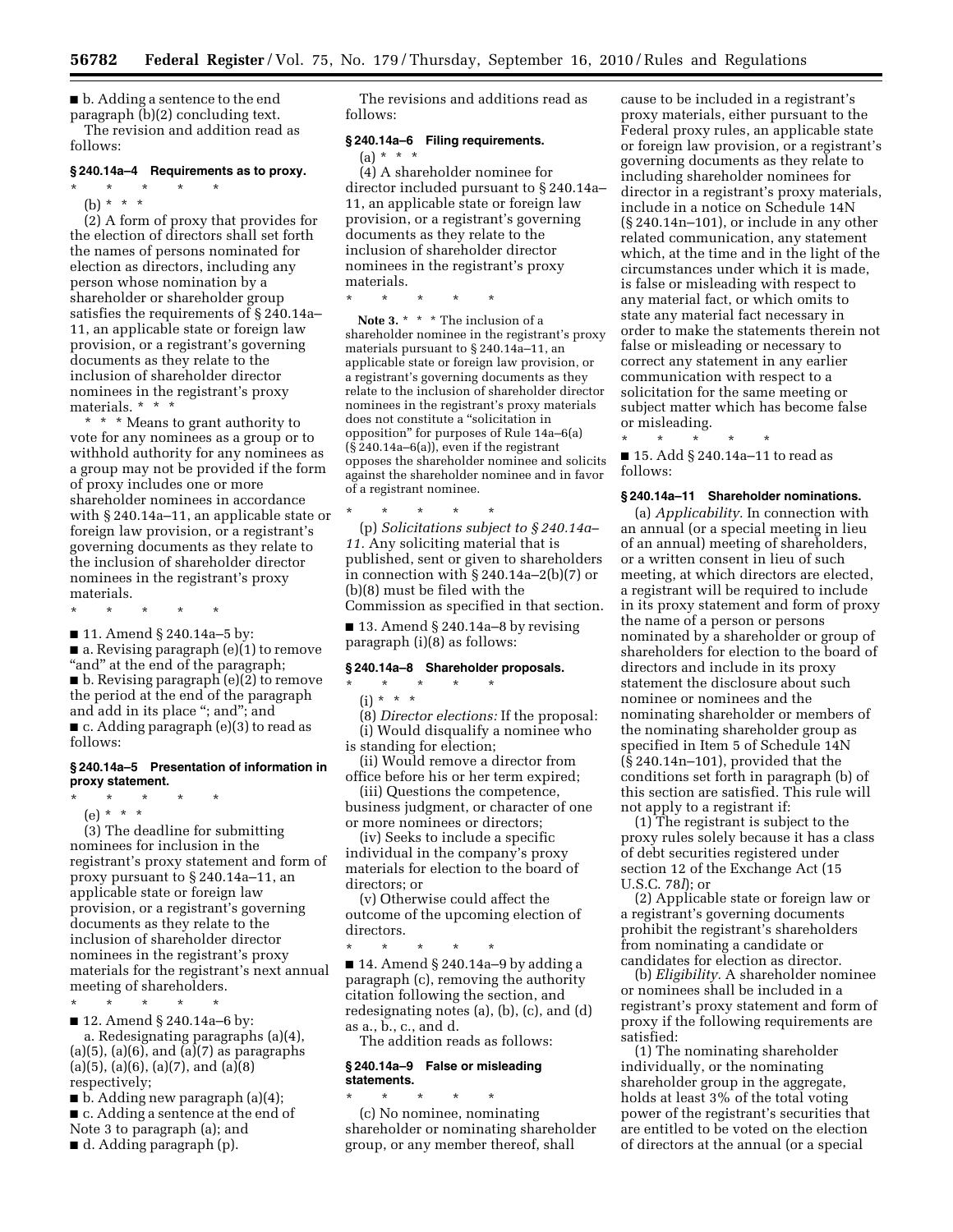■ b. Adding a sentence to the end paragraph (b)(2) concluding text. The revision and addition read as follows:

#### **§ 240.14a–4 Requirements as to proxy.**

- \* \* \* \* \*
- (b) \* \* \*

(2) A form of proxy that provides for the election of directors shall set forth the names of persons nominated for election as directors, including any person whose nomination by a shareholder or shareholder group satisfies the requirements of § 240.14a– 11, an applicable state or foreign law provision, or a registrant's governing documents as they relate to the inclusion of shareholder director nominees in the registrant's proxy materials. \* \* \*

\* \* \* Means to grant authority to vote for any nominees as a group or to withhold authority for any nominees as a group may not be provided if the form of proxy includes one or more shareholder nominees in accordance with § 240.14a–11, an applicable state or foreign law provision, or a registrant's governing documents as they relate to the inclusion of shareholder director nominees in the registrant's proxy materials.

\* \* \* \* \*

■ 11. Amend § 240.14a–5 by: ■ a. Revising paragraph (e)(1) to remove

"and" at the end of the paragraph; ■ b. Revising paragraph (e)(2) to remove the period at the end of the paragraph and add in its place "; and"; and ■ c. Adding paragraph (e)(3) to read as follows:

## **§ 240.14a–5 Presentation of information in proxy statement.**

 $\star$   $\star$ 

(e) \* \* \* (3) The deadline for submitting nominees for inclusion in the registrant's proxy statement and form of proxy pursuant to § 240.14a–11, an applicable state or foreign law provision, or a registrant's governing documents as they relate to the inclusion of shareholder director nominees in the registrant's proxy materials for the registrant's next annual meeting of shareholders.

\* \* \* \* \* ■ 12. Amend § 240.14a–6 by: a. Redesignating paragraphs (a)(4),  $(a)(5)$ ,  $(a)(6)$ , and  $(a)(7)$  as paragraphs  $(a)(5)$ ,  $(a)(6)$ ,  $(a)(7)$ , and  $(a)(8)$ respectively;

 $\blacksquare$  b. Adding new paragraph (a)(4); ■ c. Adding a sentence at the end of Note 3 to paragraph (a); and

■ d. Adding paragraph (p).

The revisions and additions read as follows:

#### **§ 240.14a–6 Filing requirements.**

 $(a) * * * *$ 

(4) A shareholder nominee for director included pursuant to § 240.14a– 11, an applicable state or foreign law provision, or a registrant's governing documents as they relate to the inclusion of shareholder director nominees in the registrant's proxy materials.

\* \* \* \* \*

**Note 3.** \* \* \* The inclusion of a shareholder nominee in the registrant's proxy materials pursuant to § 240.14a–11, an applicable state or foreign law provision, or a registrant's governing documents as they relate to the inclusion of shareholder director nominees in the registrant's proxy materials does not constitute a ''solicitation in opposition'' for purposes of Rule 14a–6(a) (§ 240.14a–6(a)), even if the registrant opposes the shareholder nominee and solicits against the shareholder nominee and in favor of a registrant nominee.

\* \* \* \* \* (p) *Solicitations subject to § 240.14a– 11.* Any soliciting material that is published, sent or given to shareholders in connection with § 240.14a–2(b)(7) or (b)(8) must be filed with the Commission as specified in that section.

 $\blacksquare$  13. Amend § 240.14a–8 by revising paragraph (i)(8) as follows:

## **§ 240.14a–8 Shareholder proposals.**

\* \* \* \* \*

 $(i) * * * *$ 

(8) *Director elections:* If the proposal: (i) Would disqualify a nominee who is standing for election;

(ii) Would remove a director from office before his or her term expired;

(iii) Questions the competence, business judgment, or character of one or more nominees or directors;

(iv) Seeks to include a specific individual in the company's proxy materials for election to the board of directors; or

(v) Otherwise could affect the outcome of the upcoming election of directors.

\* \* \* \* \*  $\blacksquare$  14. Amend § 240.14a–9 by adding a paragraph (c), removing the authority citation following the section, and redesignating notes (a), (b), (c), and (d) as a., b., c., and d.

The addition reads as follows:

#### **§ 240.14a–9 False or misleading statements.**

\* \* \* \* \* (c) No nominee, nominating shareholder or nominating shareholder group, or any member thereof, shall

cause to be included in a registrant's proxy materials, either pursuant to the Federal proxy rules, an applicable state or foreign law provision, or a registrant's governing documents as they relate to including shareholder nominees for director in a registrant's proxy materials, include in a notice on Schedule 14N (§ 240.14n–101), or include in any other related communication, any statement which, at the time and in the light of the circumstances under which it is made, is false or misleading with respect to any material fact, or which omits to state any material fact necessary in order to make the statements therein not false or misleading or necessary to correct any statement in any earlier communication with respect to a solicitation for the same meeting or subject matter which has become false or misleading.

\* \* \* \* \* ■ 15. Add § 240.14a–11 to read as follows:

#### **§ 240.14a–11 Shareholder nominations.**

(a) *Applicability.* In connection with an annual (or a special meeting in lieu of an annual) meeting of shareholders, or a written consent in lieu of such meeting, at which directors are elected, a registrant will be required to include in its proxy statement and form of proxy the name of a person or persons nominated by a shareholder or group of shareholders for election to the board of directors and include in its proxy statement the disclosure about such nominee or nominees and the nominating shareholder or members of the nominating shareholder group as specified in Item 5 of Schedule 14N (§ 240.14n–101), provided that the conditions set forth in paragraph (b) of this section are satisfied. This rule will not apply to a registrant if:

(1) The registrant is subject to the proxy rules solely because it has a class of debt securities registered under section 12 of the Exchange Act (15 U.S.C. 78*l*); or

(2) Applicable state or foreign law or a registrant's governing documents prohibit the registrant's shareholders from nominating a candidate or candidates for election as director.

(b) *Eligibility.* A shareholder nominee or nominees shall be included in a registrant's proxy statement and form of proxy if the following requirements are satisfied:

(1) The nominating shareholder individually, or the nominating shareholder group in the aggregate, holds at least 3% of the total voting power of the registrant's securities that are entitled to be voted on the election of directors at the annual (or a special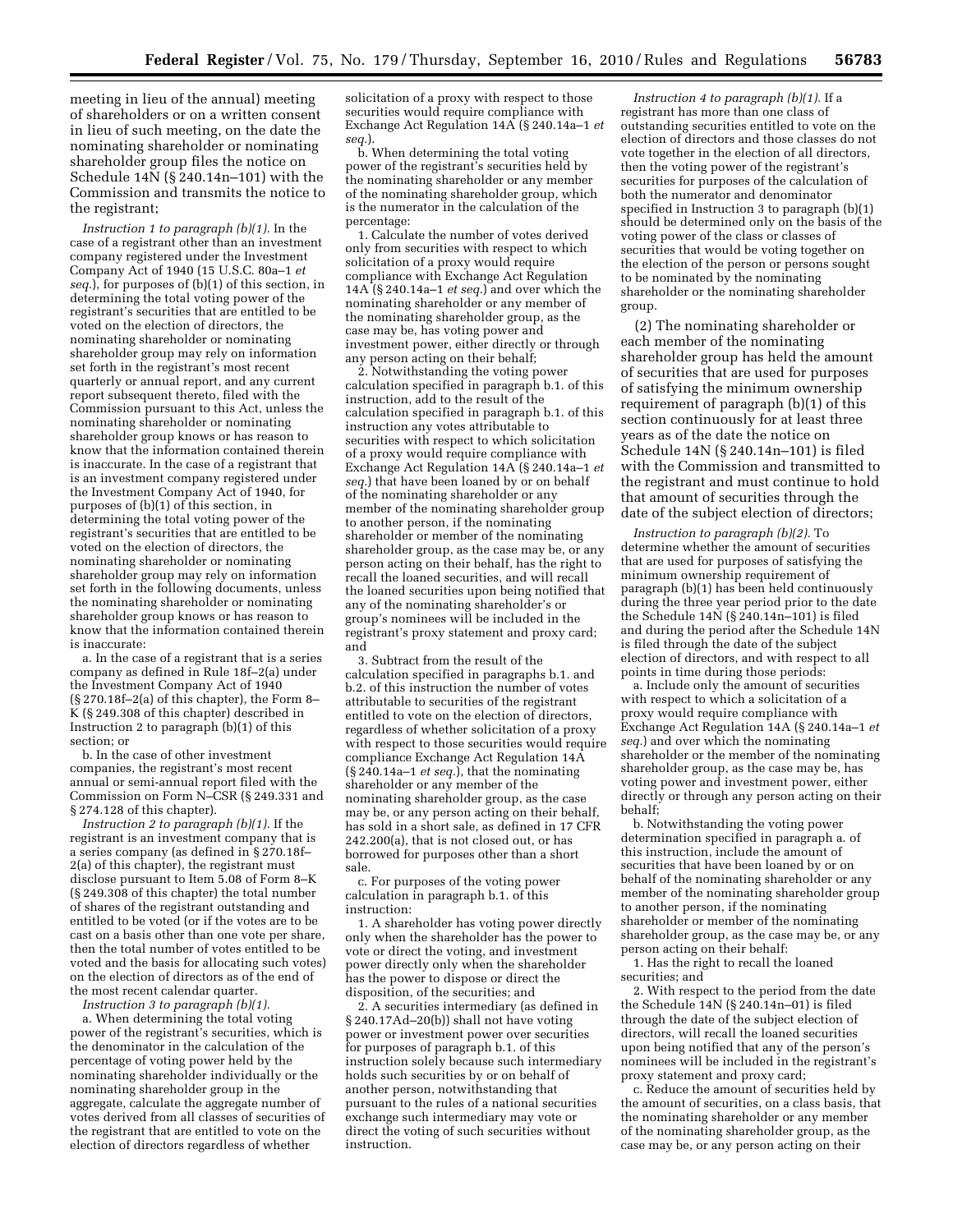meeting in lieu of the annual) meeting of shareholders or on a written consent in lieu of such meeting, on the date the nominating shareholder or nominating shareholder group files the notice on Schedule  $14N$  (§  $240.14n-101$ ) with the Commission and transmits the notice to the registrant;

*Instruction 1 to paragraph (b)(1).* In the case of a registrant other than an investment company registered under the Investment Company Act of 1940 (15 U.S.C. 80a–1 *et seq.*), for purposes of (b)(1) of this section, in determining the total voting power of the registrant's securities that are entitled to be voted on the election of directors, the nominating shareholder or nominating shareholder group may rely on information set forth in the registrant's most recent quarterly or annual report, and any current report subsequent thereto, filed with the Commission pursuant to this Act, unless the nominating shareholder or nominating shareholder group knows or has reason to know that the information contained therein is inaccurate. In the case of a registrant that is an investment company registered under the Investment Company Act of 1940, for purposes of (b)(1) of this section, in determining the total voting power of the registrant's securities that are entitled to be voted on the election of directors, the nominating shareholder or nominating shareholder group may rely on information set forth in the following documents, unless the nominating shareholder or nominating shareholder group knows or has reason to know that the information contained therein is inaccurate:

a. In the case of a registrant that is a series company as defined in Rule 18f–2(a) under the Investment Company Act of 1940 (§ 270.18f–2(a) of this chapter), the Form 8– K (§ 249.308 of this chapter) described in Instruction 2 to paragraph  $(b)(1)$  of this section; or

b. In the case of other investment companies, the registrant's most recent annual or semi-annual report filed with the Commission on Form N–CSR (§ 249.331 and § 274.128 of this chapter).

*Instruction 2 to paragraph (b)(1).* If the registrant is an investment company that is a series company (as defined in § 270.18f– 2(a) of this chapter), the registrant must disclose pursuant to Item 5.08 of Form 8–K (§ 249.308 of this chapter) the total number of shares of the registrant outstanding and entitled to be voted (or if the votes are to be cast on a basis other than one vote per share, then the total number of votes entitled to be voted and the basis for allocating such votes) on the election of directors as of the end of the most recent calendar quarter.

*Instruction 3 to paragraph (b)(1).* 

a. When determining the total voting power of the registrant's securities, which is the denominator in the calculation of the percentage of voting power held by the nominating shareholder individually or the nominating shareholder group in the aggregate, calculate the aggregate number of votes derived from all classes of securities of the registrant that are entitled to vote on the election of directors regardless of whether

solicitation of a proxy with respect to those securities would require compliance with Exchange Act Regulation 14A (§ 240.14a–1 *et seq.*).

b. When determining the total voting power of the registrant's securities held by the nominating shareholder or any member of the nominating shareholder group, which is the numerator in the calculation of the percentage:

1. Calculate the number of votes derived only from securities with respect to which solicitation of a proxy would require compliance with Exchange Act Regulation 14A (§ 240.14a–1 *et seq.*) and over which the nominating shareholder or any member of the nominating shareholder group, as the case may be, has voting power and investment power, either directly or through any person acting on their behalf;

2. Notwithstanding the voting power calculation specified in paragraph b.1. of this instruction, add to the result of the calculation specified in paragraph b.1. of this instruction any votes attributable to securities with respect to which solicitation of a proxy would require compliance with Exchange Act Regulation 14A (§ 240.14a–1 *et seq.*) that have been loaned by or on behalf of the nominating shareholder or any member of the nominating shareholder group to another person, if the nominating shareholder or member of the nominating shareholder group, as the case may be, or any person acting on their behalf, has the right to recall the loaned securities, and will recall the loaned securities upon being notified that any of the nominating shareholder's or group's nominees will be included in the registrant's proxy statement and proxy card; and

3. Subtract from the result of the calculation specified in paragraphs b.1. and b.2. of this instruction the number of votes attributable to securities of the registrant entitled to vote on the election of directors, regardless of whether solicitation of a proxy with respect to those securities would require compliance Exchange Act Regulation 14A (§ 240.14a–1 *et seq.*), that the nominating shareholder or any member of the nominating shareholder group, as the case may be, or any person acting on their behalf, has sold in a short sale, as defined in 17 CFR 242.200(a), that is not closed out, or has borrowed for purposes other than a short sale.

c. For purposes of the voting power calculation in paragraph b.1. of this instruction:

1. A shareholder has voting power directly only when the shareholder has the power to vote or direct the voting, and investment power directly only when the shareholder has the power to dispose or direct the disposition, of the securities; and

2. A securities intermediary (as defined in § 240.17Ad–20(b)) shall not have voting power or investment power over securities for purposes of paragraph b.1. of this instruction solely because such intermediary holds such securities by or on behalf of another person, notwithstanding that pursuant to the rules of a national securities exchange such intermediary may vote or direct the voting of such securities without instruction.

*Instruction 4 to paragraph (b)(1).* If a registrant has more than one class of outstanding securities entitled to vote on the election of directors and those classes do not vote together in the election of all directors, then the voting power of the registrant's securities for purposes of the calculation of both the numerator and denominator specified in Instruction 3 to paragraph (b)(1) should be determined only on the basis of the voting power of the class or classes of securities that would be voting together on the election of the person or persons sought to be nominated by the nominating shareholder or the nominating shareholder group.

(2) The nominating shareholder or each member of the nominating shareholder group has held the amount of securities that are used for purposes of satisfying the minimum ownership requirement of paragraph (b)(1) of this section continuously for at least three years as of the date the notice on Schedule 14N (§ 240.14n–101) is filed with the Commission and transmitted to the registrant and must continue to hold that amount of securities through the date of the subject election of directors;

*Instruction to paragraph (b)(2).* To determine whether the amount of securities that are used for purposes of satisfying the minimum ownership requirement of paragraph (b)(1) has been held continuously during the three year period prior to the date the Schedule  $14N$  (§  $240.14n-101$ ) is filed and during the period after the Schedule 14N is filed through the date of the subject election of directors, and with respect to all points in time during those periods:

a. Include only the amount of securities with respect to which a solicitation of a proxy would require compliance with Exchange Act Regulation 14A (§ 240.14a–1 *et seq.*) and over which the nominating shareholder or the member of the nominating shareholder group, as the case may be, has voting power and investment power, either directly or through any person acting on their behalf;

b. Notwithstanding the voting power determination specified in paragraph a. of this instruction, include the amount of securities that have been loaned by or on behalf of the nominating shareholder or any member of the nominating shareholder group to another person, if the nominating shareholder or member of the nominating shareholder group, as the case may be, or any person acting on their behalf:

1. Has the right to recall the loaned securities; and

2. With respect to the period from the date the Schedule 14N (§ 240.14n–01) is filed through the date of the subject election of directors, will recall the loaned securities upon being notified that any of the person's nominees will be included in the registrant's proxy statement and proxy card;

c. Reduce the amount of securities held by the amount of securities, on a class basis, that the nominating shareholder or any member of the nominating shareholder group, as the case may be, or any person acting on their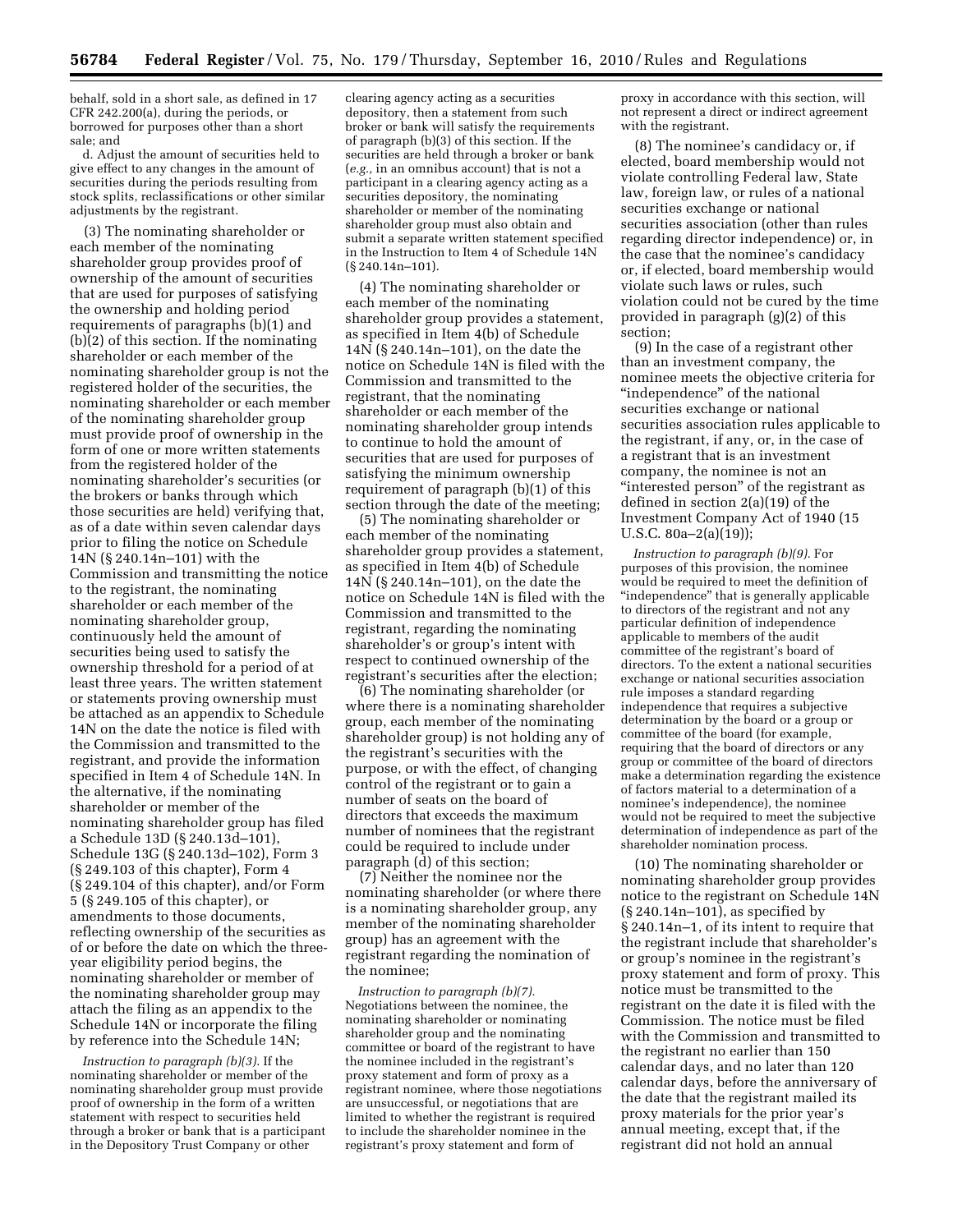behalf, sold in a short sale, as defined in 17 CFR 242.200(a), during the periods, or borrowed for purposes other than a short sale; and

d. Adjust the amount of securities held to give effect to any changes in the amount of securities during the periods resulting from stock splits, reclassifications or other similar adjustments by the registrant.

(3) The nominating shareholder or each member of the nominating shareholder group provides proof of ownership of the amount of securities that are used for purposes of satisfying the ownership and holding period requirements of paragraphs (b)(1) and (b)(2) of this section. If the nominating shareholder or each member of the nominating shareholder group is not the registered holder of the securities, the nominating shareholder or each member of the nominating shareholder group must provide proof of ownership in the form of one or more written statements from the registered holder of the nominating shareholder's securities (or the brokers or banks through which those securities are held) verifying that, as of a date within seven calendar days prior to filing the notice on Schedule 14N (§ 240.14n–101) with the Commission and transmitting the notice to the registrant, the nominating shareholder or each member of the nominating shareholder group, continuously held the amount of securities being used to satisfy the ownership threshold for a period of at least three years. The written statement or statements proving ownership must be attached as an appendix to Schedule 14N on the date the notice is filed with the Commission and transmitted to the registrant, and provide the information specified in Item 4 of Schedule 14N. In the alternative, if the nominating shareholder or member of the nominating shareholder group has filed a Schedule 13D (§ 240.13d–101), Schedule 13G (§ 240.13d–102), Form 3 (§ 249.103 of this chapter), Form 4 (§ 249.104 of this chapter), and/or Form 5 (§ 249.105 of this chapter), or amendments to those documents, reflecting ownership of the securities as of or before the date on which the threeyear eligibility period begins, the nominating shareholder or member of the nominating shareholder group may attach the filing as an appendix to the Schedule 14N or incorporate the filing by reference into the Schedule 14N;

*Instruction to paragraph (b)(3).* If the nominating shareholder or member of the nominating shareholder group must provide proof of ownership in the form of a written statement with respect to securities held through a broker or bank that is a participant in the Depository Trust Company or other

clearing agency acting as a securities depository, then a statement from such broker or bank will satisfy the requirements of paragraph (b)(3) of this section. If the securities are held through a broker or bank (*e.g.,* in an omnibus account) that is not a participant in a clearing agency acting as a securities depository, the nominating shareholder or member of the nominating shareholder group must also obtain and submit a separate written statement specified in the Instruction to Item 4 of Schedule 14N (§ 240.14n–101).

(4) The nominating shareholder or each member of the nominating shareholder group provides a statement, as specified in Item 4(b) of Schedule 14N (§ 240.14n–101), on the date the notice on Schedule 14N is filed with the Commission and transmitted to the registrant, that the nominating shareholder or each member of the nominating shareholder group intends to continue to hold the amount of securities that are used for purposes of satisfying the minimum ownership requirement of paragraph (b)(1) of this section through the date of the meeting;

(5) The nominating shareholder or each member of the nominating shareholder group provides a statement, as specified in Item 4(b) of Schedule 14N (§ 240.14n–101), on the date the notice on Schedule 14N is filed with the Commission and transmitted to the registrant, regarding the nominating shareholder's or group's intent with respect to continued ownership of the registrant's securities after the election;

(6) The nominating shareholder (or where there is a nominating shareholder group, each member of the nominating shareholder group) is not holding any of the registrant's securities with the purpose, or with the effect, of changing control of the registrant or to gain a number of seats on the board of directors that exceeds the maximum number of nominees that the registrant could be required to include under paragraph (d) of this section;

(7) Neither the nominee nor the nominating shareholder (or where there is a nominating shareholder group, any member of the nominating shareholder group) has an agreement with the registrant regarding the nomination of the nominee;

*Instruction to paragraph (b)(7).*  Negotiations between the nominee, the nominating shareholder or nominating shareholder group and the nominating committee or board of the registrant to have the nominee included in the registrant's proxy statement and form of proxy as a registrant nominee, where those negotiations are unsuccessful, or negotiations that are limited to whether the registrant is required to include the shareholder nominee in the registrant's proxy statement and form of

proxy in accordance with this section, will not represent a direct or indirect agreement with the registrant.

(8) The nominee's candidacy or, if elected, board membership would not violate controlling Federal law, State law, foreign law, or rules of a national securities exchange or national securities association (other than rules regarding director independence) or, in the case that the nominee's candidacy or, if elected, board membership would violate such laws or rules, such violation could not be cured by the time provided in paragraph (g)(2) of this section;

(9) In the case of a registrant other than an investment company, the nominee meets the objective criteria for "independence" of the national securities exchange or national securities association rules applicable to the registrant, if any, or, in the case of a registrant that is an investment company, the nominee is not an ''interested person'' of the registrant as defined in section 2(a)(19) of the Investment Company Act of 1940 (15 U.S.C. 80a–2(a)(19));

*Instruction to paragraph (b)(9).* For purposes of this provision, the nominee would be required to meet the definition of "independence" that is generally applicable to directors of the registrant and not any particular definition of independence applicable to members of the audit committee of the registrant's board of directors. To the extent a national securities exchange or national securities association rule imposes a standard regarding independence that requires a subjective determination by the board or a group or committee of the board (for example, requiring that the board of directors or any group or committee of the board of directors make a determination regarding the existence of factors material to a determination of a nominee's independence), the nominee would not be required to meet the subjective determination of independence as part of the shareholder nomination process.

(10) The nominating shareholder or nominating shareholder group provides notice to the registrant on Schedule 14N (§ 240.14n–101), as specified by § 240.14n–1, of its intent to require that the registrant include that shareholder's or group's nominee in the registrant's proxy statement and form of proxy. This notice must be transmitted to the registrant on the date it is filed with the Commission. The notice must be filed with the Commission and transmitted to the registrant no earlier than 150 calendar days, and no later than 120 calendar days, before the anniversary of the date that the registrant mailed its proxy materials for the prior year's annual meeting, except that, if the registrant did not hold an annual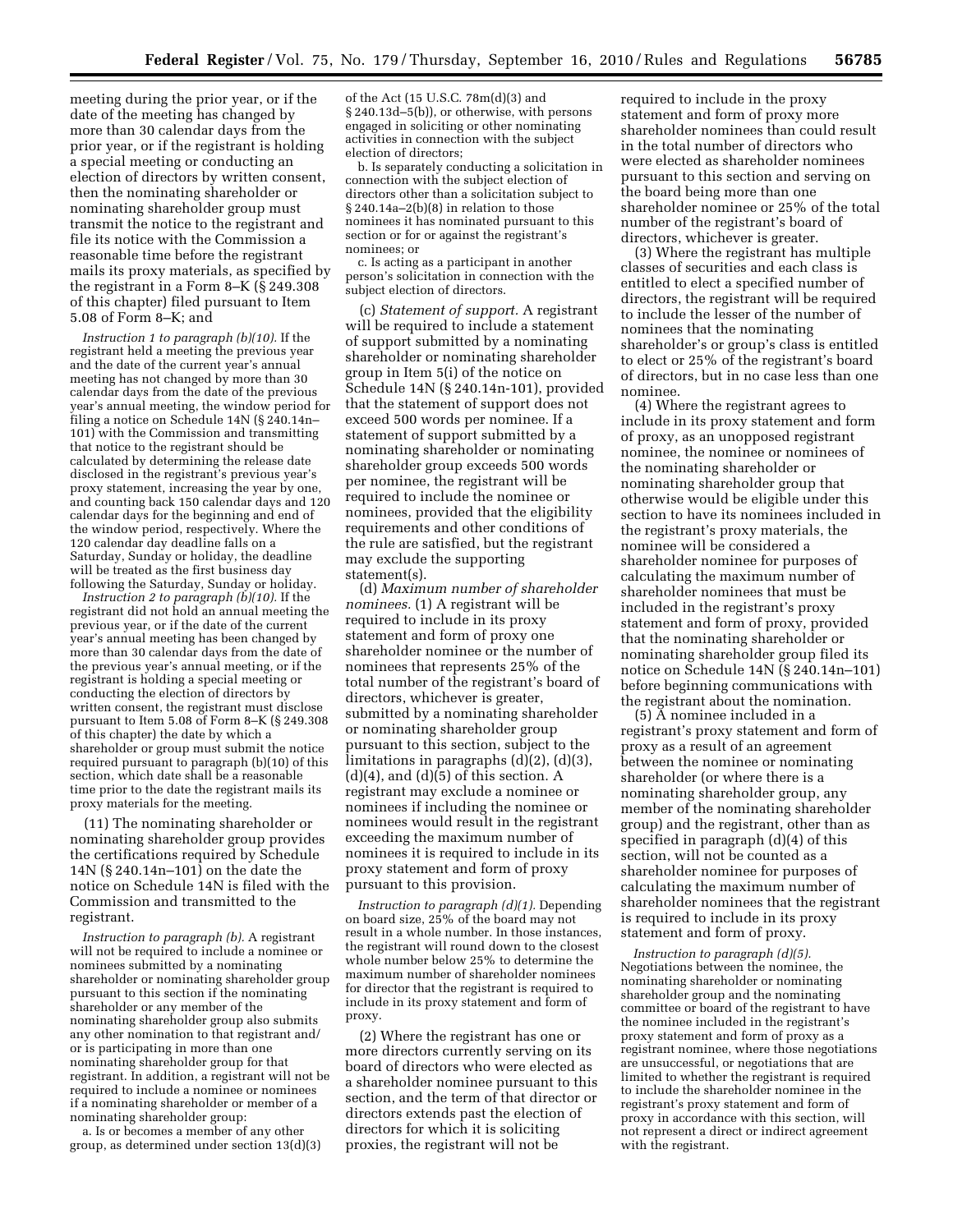meeting during the prior year, or if the date of the meeting has changed by more than 30 calendar days from the prior year, or if the registrant is holding a special meeting or conducting an election of directors by written consent, then the nominating shareholder or nominating shareholder group must transmit the notice to the registrant and file its notice with the Commission a reasonable time before the registrant mails its proxy materials, as specified by the registrant in a Form 8–K (§ 249.308 of this chapter) filed pursuant to Item 5.08 of Form 8–K; and

*Instruction 1 to paragraph (b)(10).* If the registrant held a meeting the previous year and the date of the current year's annual meeting has not changed by more than 30 calendar days from the date of the previous year's annual meeting, the window period for filing a notice on Schedule  $14N$  (§  $240.14n-$ 101) with the Commission and transmitting that notice to the registrant should be calculated by determining the release date disclosed in the registrant's previous year's proxy statement, increasing the year by one, and counting back 150 calendar days and 120 calendar days for the beginning and end of the window period, respectively. Where the 120 calendar day deadline falls on a Saturday, Sunday or holiday, the deadline will be treated as the first business day following the Saturday, Sunday or holiday.

*Instruction 2 to paragraph (b)(10).* If the registrant did not hold an annual meeting the previous year, or if the date of the current year's annual meeting has been changed by more than 30 calendar days from the date of the previous year's annual meeting, or if the registrant is holding a special meeting or conducting the election of directors by written consent, the registrant must disclose pursuant to Item 5.08 of Form 8–K (§ 249.308 of this chapter) the date by which a shareholder or group must submit the notice required pursuant to paragraph (b)(10) of this section, which date shall be a reasonable time prior to the date the registrant mails its proxy materials for the meeting.

(11) The nominating shareholder or nominating shareholder group provides the certifications required by Schedule 14N (§ 240.14n–101) on the date the notice on Schedule 14N is filed with the Commission and transmitted to the registrant.

*Instruction to paragraph (b).* A registrant will not be required to include a nominee or nominees submitted by a nominating shareholder or nominating shareholder group pursuant to this section if the nominating shareholder or any member of the nominating shareholder group also submits any other nomination to that registrant and/ or is participating in more than one nominating shareholder group for that registrant. In addition, a registrant will not be required to include a nominee or nominees if a nominating shareholder or member of a nominating shareholder group:

a. Is or becomes a member of any other group, as determined under section 13(d)(3) of the Act (15 U.S.C. 78m(d)(3) and § 240.13d–5(b)), or otherwise, with persons engaged in soliciting or other nominating activities in connection with the subject election of directors;

b. Is separately conducting a solicitation in connection with the subject election of directors other than a solicitation subject to § 240.14a–2(b)(8) in relation to those nominees it has nominated pursuant to this section or for or against the registrant's nominees; or

c. Is acting as a participant in another person's solicitation in connection with the subject election of directors.

(c) *Statement of support.* A registrant will be required to include a statement of support submitted by a nominating shareholder or nominating shareholder group in Item 5(i) of the notice on Schedule 14N (§ 240.14n-101), provided that the statement of support does not exceed 500 words per nominee. If a statement of support submitted by a nominating shareholder or nominating shareholder group exceeds 500 words per nominee, the registrant will be required to include the nominee or nominees, provided that the eligibility requirements and other conditions of the rule are satisfied, but the registrant may exclude the supporting statement(s).

(d) *Maximum number of shareholder nominees.* (1) A registrant will be required to include in its proxy statement and form of proxy one shareholder nominee or the number of nominees that represents 25% of the total number of the registrant's board of directors, whichever is greater, submitted by a nominating shareholder or nominating shareholder group pursuant to this section, subject to the limitations in paragraphs (d)(2), (d)(3),  $(d)(4)$ , and  $(d)(5)$  of this section. A registrant may exclude a nominee or nominees if including the nominee or nominees would result in the registrant exceeding the maximum number of nominees it is required to include in its proxy statement and form of proxy pursuant to this provision.

*Instruction to paragraph (d)(1).* Depending on board size, 25% of the board may not result in a whole number. In those instances, the registrant will round down to the closest whole number below 25% to determine the maximum number of shareholder nominees for director that the registrant is required to include in its proxy statement and form of proxy.

(2) Where the registrant has one or more directors currently serving on its board of directors who were elected as a shareholder nominee pursuant to this section, and the term of that director or directors extends past the election of directors for which it is soliciting proxies, the registrant will not be

required to include in the proxy statement and form of proxy more shareholder nominees than could result in the total number of directors who were elected as shareholder nominees pursuant to this section and serving on the board being more than one shareholder nominee or 25% of the total number of the registrant's board of directors, whichever is greater.

(3) Where the registrant has multiple classes of securities and each class is entitled to elect a specified number of directors, the registrant will be required to include the lesser of the number of nominees that the nominating shareholder's or group's class is entitled to elect or 25% of the registrant's board of directors, but in no case less than one nominee.

(4) Where the registrant agrees to include in its proxy statement and form of proxy, as an unopposed registrant nominee, the nominee or nominees of the nominating shareholder or nominating shareholder group that otherwise would be eligible under this section to have its nominees included in the registrant's proxy materials, the nominee will be considered a shareholder nominee for purposes of calculating the maximum number of shareholder nominees that must be included in the registrant's proxy statement and form of proxy, provided that the nominating shareholder or nominating shareholder group filed its notice on Schedule 14N (§ 240.14n–101) before beginning communications with the registrant about the nomination.

(5) A nominee included in a registrant's proxy statement and form of proxy as a result of an agreement between the nominee or nominating shareholder (or where there is a nominating shareholder group, any member of the nominating shareholder group) and the registrant, other than as specified in paragraph (d)(4) of this section, will not be counted as a shareholder nominee for purposes of calculating the maximum number of shareholder nominees that the registrant is required to include in its proxy statement and form of proxy.

*Instruction to paragraph (d)(5).*  Negotiations between the nominee, the nominating shareholder or nominating shareholder group and the nominating committee or board of the registrant to have the nominee included in the registrant's proxy statement and form of proxy as a registrant nominee, where those negotiations are unsuccessful, or negotiations that are limited to whether the registrant is required to include the shareholder nominee in the registrant's proxy statement and form of proxy in accordance with this section, will not represent a direct or indirect agreement with the registrant.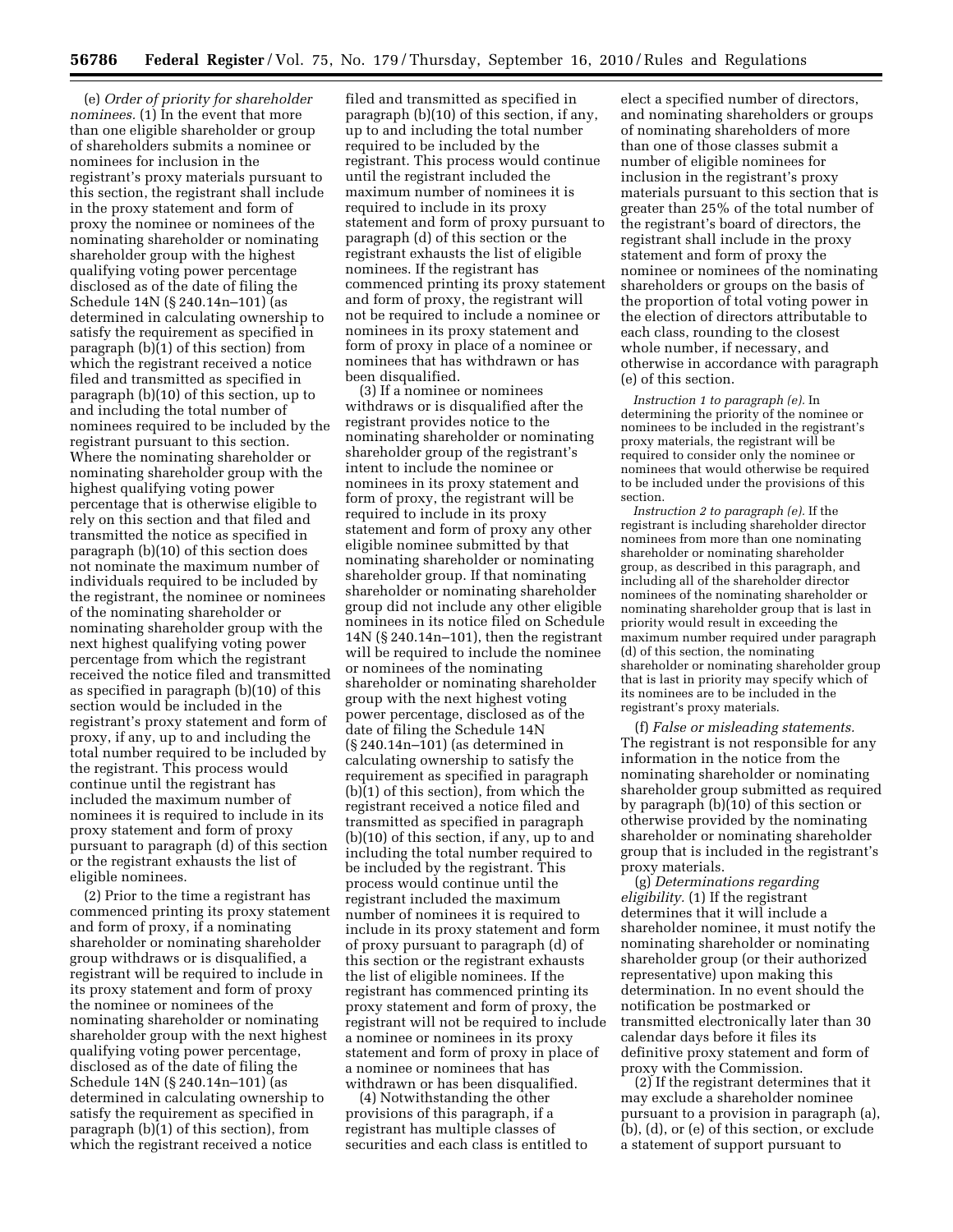(e) *Order of priority for shareholder nominees.* (1) In the event that more than one eligible shareholder or group of shareholders submits a nominee or nominees for inclusion in the registrant's proxy materials pursuant to this section, the registrant shall include in the proxy statement and form of proxy the nominee or nominees of the nominating shareholder or nominating shareholder group with the highest qualifying voting power percentage disclosed as of the date of filing the Schedule 14N (§ 240.14n–101) (as determined in calculating ownership to satisfy the requirement as specified in paragraph (b)(1) of this section) from which the registrant received a notice filed and transmitted as specified in paragraph (b)(10) of this section, up to and including the total number of nominees required to be included by the registrant pursuant to this section. Where the nominating shareholder or nominating shareholder group with the highest qualifying voting power percentage that is otherwise eligible to rely on this section and that filed and transmitted the notice as specified in paragraph (b)(10) of this section does not nominate the maximum number of individuals required to be included by the registrant, the nominee or nominees of the nominating shareholder or nominating shareholder group with the next highest qualifying voting power percentage from which the registrant received the notice filed and transmitted as specified in paragraph (b)(10) of this section would be included in the registrant's proxy statement and form of proxy, if any, up to and including the total number required to be included by the registrant. This process would continue until the registrant has included the maximum number of nominees it is required to include in its proxy statement and form of proxy pursuant to paragraph (d) of this section or the registrant exhausts the list of eligible nominees.

(2) Prior to the time a registrant has commenced printing its proxy statement and form of proxy, if a nominating shareholder or nominating shareholder group withdraws or is disqualified, a registrant will be required to include in its proxy statement and form of proxy the nominee or nominees of the nominating shareholder or nominating shareholder group with the next highest qualifying voting power percentage, disclosed as of the date of filing the Schedule 14N (§ 240.14n–101) (as determined in calculating ownership to satisfy the requirement as specified in paragraph (b)(1) of this section), from which the registrant received a notice

filed and transmitted as specified in paragraph (b)(10) of this section, if any, up to and including the total number required to be included by the registrant. This process would continue until the registrant included the maximum number of nominees it is required to include in its proxy statement and form of proxy pursuant to paragraph (d) of this section or the registrant exhausts the list of eligible nominees. If the registrant has commenced printing its proxy statement and form of proxy, the registrant will not be required to include a nominee or nominees in its proxy statement and form of proxy in place of a nominee or nominees that has withdrawn or has been disqualified.

(3) If a nominee or nominees withdraws or is disqualified after the registrant provides notice to the nominating shareholder or nominating shareholder group of the registrant's intent to include the nominee or nominees in its proxy statement and form of proxy, the registrant will be required to include in its proxy statement and form of proxy any other eligible nominee submitted by that nominating shareholder or nominating shareholder group. If that nominating shareholder or nominating shareholder group did not include any other eligible nominees in its notice filed on Schedule 14N (§ 240.14n–101), then the registrant will be required to include the nominee or nominees of the nominating shareholder or nominating shareholder group with the next highest voting power percentage, disclosed as of the date of filing the Schedule 14N (§ 240.14n–101) (as determined in calculating ownership to satisfy the requirement as specified in paragraph (b)(1) of this section), from which the registrant received a notice filed and transmitted as specified in paragraph (b)(10) of this section, if any, up to and including the total number required to be included by the registrant. This process would continue until the registrant included the maximum number of nominees it is required to include in its proxy statement and form of proxy pursuant to paragraph (d) of this section or the registrant exhausts the list of eligible nominees. If the registrant has commenced printing its proxy statement and form of proxy, the registrant will not be required to include a nominee or nominees in its proxy statement and form of proxy in place of a nominee or nominees that has withdrawn or has been disqualified.

(4) Notwithstanding the other provisions of this paragraph, if a registrant has multiple classes of securities and each class is entitled to

elect a specified number of directors, and nominating shareholders or groups of nominating shareholders of more than one of those classes submit a number of eligible nominees for inclusion in the registrant's proxy materials pursuant to this section that is greater than 25% of the total number of the registrant's board of directors, the registrant shall include in the proxy statement and form of proxy the nominee or nominees of the nominating shareholders or groups on the basis of the proportion of total voting power in the election of directors attributable to each class, rounding to the closest whole number, if necessary, and otherwise in accordance with paragraph (e) of this section.

*Instruction 1 to paragraph (e).* In determining the priority of the nominee or nominees to be included in the registrant's proxy materials, the registrant will be required to consider only the nominee or nominees that would otherwise be required to be included under the provisions of this section.

*Instruction 2 to paragraph (e).* If the registrant is including shareholder director nominees from more than one nominating shareholder or nominating shareholder group, as described in this paragraph, and including all of the shareholder director nominees of the nominating shareholder or nominating shareholder group that is last in priority would result in exceeding the maximum number required under paragraph (d) of this section, the nominating shareholder or nominating shareholder group that is last in priority may specify which of its nominees are to be included in the registrant's proxy materials.

(f) *False or misleading statements.*  The registrant is not responsible for any information in the notice from the nominating shareholder or nominating shareholder group submitted as required by paragraph (b)(10) of this section or otherwise provided by the nominating shareholder or nominating shareholder group that is included in the registrant's proxy materials.

(g) *Determinations regarding eligibility.* (1) If the registrant determines that it will include a shareholder nominee, it must notify the nominating shareholder or nominating shareholder group (or their authorized representative) upon making this determination. In no event should the notification be postmarked or transmitted electronically later than 30 calendar days before it files its definitive proxy statement and form of proxy with the Commission.

(2) If the registrant determines that it may exclude a shareholder nominee pursuant to a provision in paragraph (a), (b), (d), or (e) of this section, or exclude a statement of support pursuant to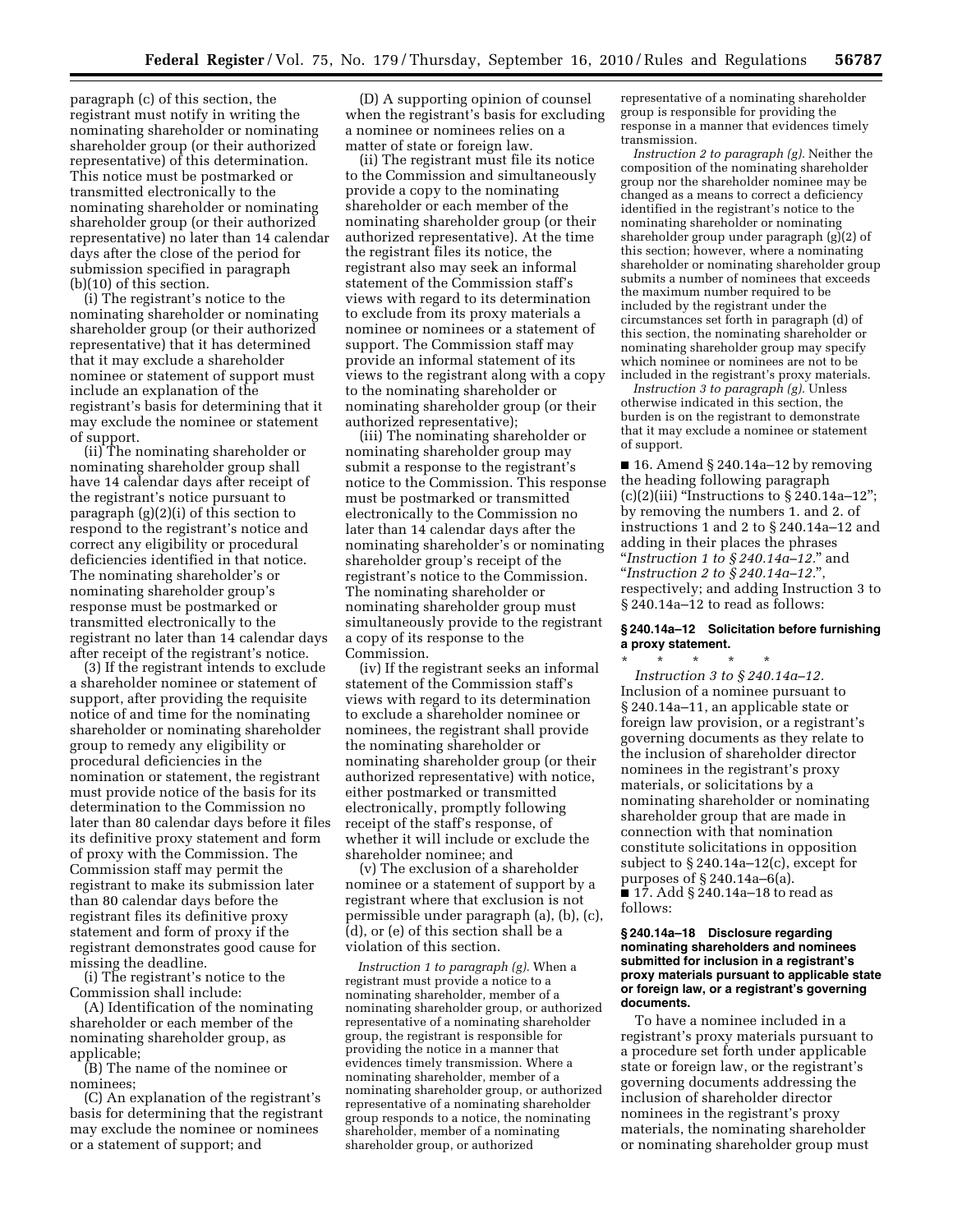paragraph (c) of this section, the registrant must notify in writing the nominating shareholder or nominating shareholder group (or their authorized representative) of this determination. This notice must be postmarked or transmitted electronically to the nominating shareholder or nominating shareholder group (or their authorized representative) no later than 14 calendar days after the close of the period for submission specified in paragraph (b)(10) of this section.

(i) The registrant's notice to the nominating shareholder or nominating shareholder group (or their authorized representative) that it has determined that it may exclude a shareholder nominee or statement of support must include an explanation of the registrant's basis for determining that it may exclude the nominee or statement of support.

(ii) The nominating shareholder or nominating shareholder group shall have 14 calendar days after receipt of the registrant's notice pursuant to paragraph (g)(2)(i) of this section to respond to the registrant's notice and correct any eligibility or procedural deficiencies identified in that notice. The nominating shareholder's or nominating shareholder group's response must be postmarked or transmitted electronically to the registrant no later than 14 calendar days after receipt of the registrant's notice.

(3) If the registrant intends to exclude a shareholder nominee or statement of support, after providing the requisite notice of and time for the nominating shareholder or nominating shareholder group to remedy any eligibility or procedural deficiencies in the nomination or statement, the registrant must provide notice of the basis for its determination to the Commission no later than 80 calendar days before it files its definitive proxy statement and form of proxy with the Commission. The Commission staff may permit the registrant to make its submission later than 80 calendar days before the registrant files its definitive proxy statement and form of proxy if the registrant demonstrates good cause for missing the deadline.

(i) The registrant's notice to the Commission shall include:

(A) Identification of the nominating shareholder or each member of the nominating shareholder group, as applicable;

(B) The name of the nominee or nominees;

(C) An explanation of the registrant's basis for determining that the registrant may exclude the nominee or nominees or a statement of support; and

(D) A supporting opinion of counsel when the registrant's basis for excluding a nominee or nominees relies on a matter of state or foreign law.

(ii) The registrant must file its notice to the Commission and simultaneously provide a copy to the nominating shareholder or each member of the nominating shareholder group (or their authorized representative). At the time the registrant files its notice, the registrant also may seek an informal statement of the Commission staff's views with regard to its determination to exclude from its proxy materials a nominee or nominees or a statement of support. The Commission staff may provide an informal statement of its views to the registrant along with a copy to the nominating shareholder or nominating shareholder group (or their authorized representative);

(iii) The nominating shareholder or nominating shareholder group may submit a response to the registrant's notice to the Commission. This response must be postmarked or transmitted electronically to the Commission no later than 14 calendar days after the nominating shareholder's or nominating shareholder group's receipt of the registrant's notice to the Commission. The nominating shareholder or nominating shareholder group must simultaneously provide to the registrant a copy of its response to the Commission.

(iv) If the registrant seeks an informal statement of the Commission staff's views with regard to its determination to exclude a shareholder nominee or nominees, the registrant shall provide the nominating shareholder or nominating shareholder group (or their authorized representative) with notice, either postmarked or transmitted electronically, promptly following receipt of the staff's response, of whether it will include or exclude the shareholder nominee; and

(v) The exclusion of a shareholder nominee or a statement of support by a registrant where that exclusion is not permissible under paragraph (a), (b), (c), (d), or (e) of this section shall be a violation of this section.

*Instruction 1 to paragraph (g).* When a registrant must provide a notice to a nominating shareholder, member of a nominating shareholder group, or authorized representative of a nominating shareholder group, the registrant is responsible for providing the notice in a manner that evidences timely transmission. Where a nominating shareholder, member of a nominating shareholder group, or authorized representative of a nominating shareholder group responds to a notice, the nominating shareholder, member of a nominating shareholder group, or authorized

representative of a nominating shareholder group is responsible for providing the response in a manner that evidences timely transmission.

*Instruction 2 to paragraph (g).* Neither the composition of the nominating shareholder group nor the shareholder nominee may be changed as a means to correct a deficiency identified in the registrant's notice to the nominating shareholder or nominating shareholder group under paragraph (g)(2) of this section; however, where a nominating shareholder or nominating shareholder group submits a number of nominees that exceeds the maximum number required to be included by the registrant under the circumstances set forth in paragraph (d) of this section, the nominating shareholder or nominating shareholder group may specify which nominee or nominees are not to be included in the registrant's proxy materials.

*Instruction 3 to paragraph (g).* Unless otherwise indicated in this section, the burden is on the registrant to demonstrate that it may exclude a nominee or statement of support.

 $\blacksquare$  16. Amend § 240.14a–12 by removing the heading following paragraph  $(c)(2)(iii)$  "Instructions to § 240.14a–12"; by removing the numbers 1. and 2. of instructions 1 and 2 to § 240.14a–12 and adding in their places the phrases ''*Instruction 1 to § 240.14a–12.*'' and ''*Instruction 2 to § 240.14a–12.*'', respectively; and adding Instruction 3 to § 240.14a–12 to read as follows:

### **§ 240.14a–12 Solicitation before furnishing a proxy statement.**

\* \* \* \* \* *Instruction 3 to § 240.14a–12.*  Inclusion of a nominee pursuant to § 240.14a–11, an applicable state or foreign law provision, or a registrant's governing documents as they relate to the inclusion of shareholder director nominees in the registrant's proxy materials, or solicitations by a nominating shareholder or nominating shareholder group that are made in connection with that nomination constitute solicitations in opposition subject to § 240.14a–12(c), except for purposes of § 240.14a–6(a). ■ 17. Add § 240.14a–18 to read as follows:

#### **§ 240.14a–18 Disclosure regarding nominating shareholders and nominees submitted for inclusion in a registrant's proxy materials pursuant to applicable state or foreign law, or a registrant's governing documents.**

To have a nominee included in a registrant's proxy materials pursuant to a procedure set forth under applicable state or foreign law, or the registrant's governing documents addressing the inclusion of shareholder director nominees in the registrant's proxy materials, the nominating shareholder or nominating shareholder group must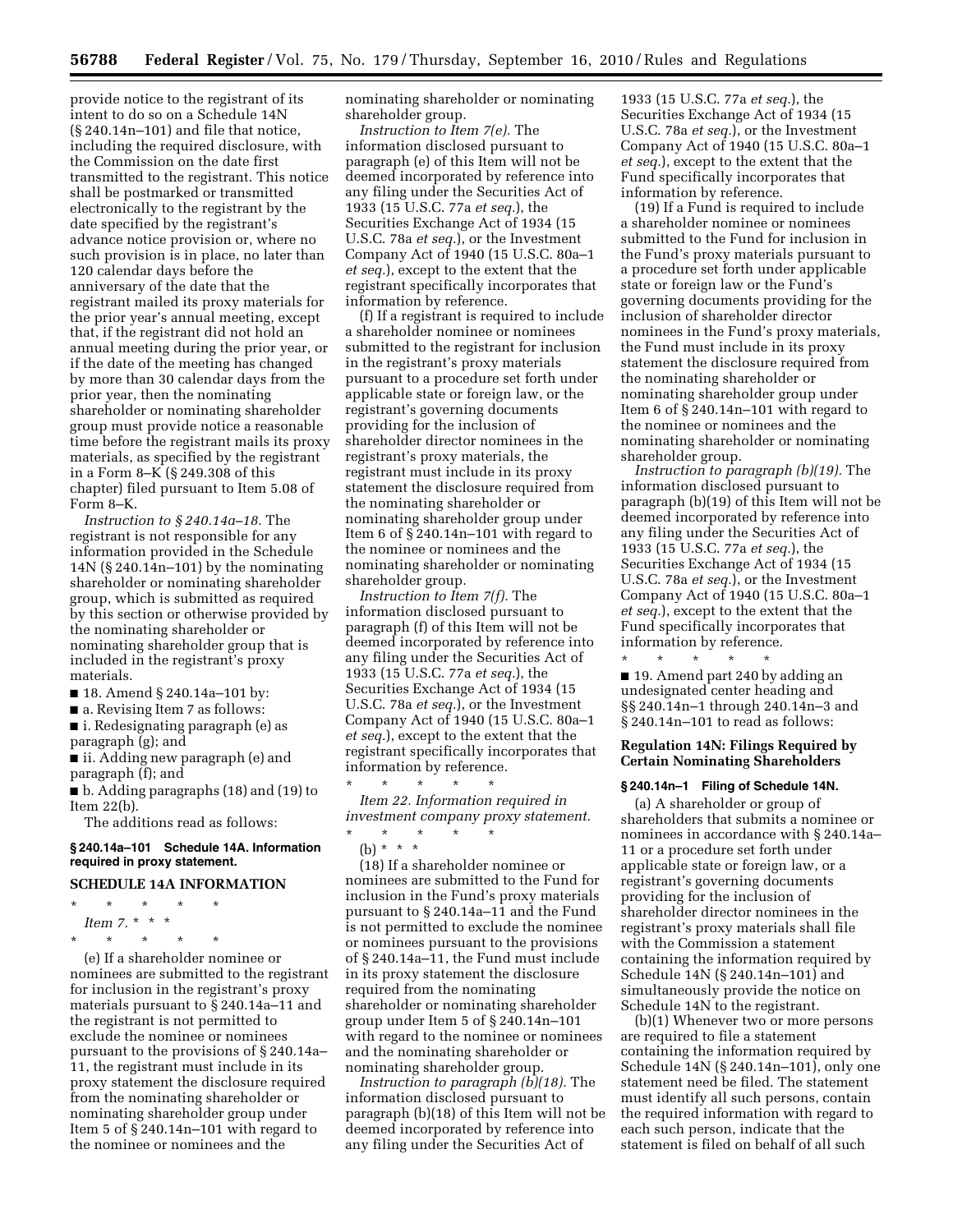provide notice to the registrant of its intent to do so on a Schedule 14N (§ 240.14n–101) and file that notice, including the required disclosure, with the Commission on the date first transmitted to the registrant. This notice shall be postmarked or transmitted electronically to the registrant by the date specified by the registrant's advance notice provision or, where no such provision is in place, no later than 120 calendar days before the anniversary of the date that the registrant mailed its proxy materials for the prior year's annual meeting, except that, if the registrant did not hold an annual meeting during the prior year, or if the date of the meeting has changed by more than 30 calendar days from the prior year, then the nominating shareholder or nominating shareholder group must provide notice a reasonable time before the registrant mails its proxy materials, as specified by the registrant in a Form 8–K (§ 249.308 of this chapter) filed pursuant to Item 5.08 of Form 8–K.

*Instruction to § 240.14a–18.* The registrant is not responsible for any information provided in the Schedule 14N (§ 240.14n–101) by the nominating shareholder or nominating shareholder group, which is submitted as required by this section or otherwise provided by the nominating shareholder or nominating shareholder group that is included in the registrant's proxy materials.

■ 18. Amend § 240.14a–101 by:

■ a. Revising Item 7 as follows:

■ i. Redesignating paragraph (e) as paragraph (g); and

■ ii. Adding new paragraph (e) and paragraph (f); and

■ b. Adding paragraphs (18) and (19) to Item 22(b).

The additions read as follows:

#### **§ 240.14a–101 Schedule 14A. Information required in proxy statement.**

#### **SCHEDULE 14A INFORMATION**

\* \* \* \* \* *Item 7.* \* \* \* \* \* \* \* \*

(e) If a shareholder nominee or nominees are submitted to the registrant for inclusion in the registrant's proxy materials pursuant to § 240.14a–11 and the registrant is not permitted to exclude the nominee or nominees pursuant to the provisions of § 240.14a– 11, the registrant must include in its proxy statement the disclosure required from the nominating shareholder or nominating shareholder group under Item 5 of § 240.14n–101 with regard to the nominee or nominees and the

nominating shareholder or nominating shareholder group.

*Instruction to Item 7(e).* The information disclosed pursuant to paragraph (e) of this Item will not be deemed incorporated by reference into any filing under the Securities Act of 1933 (15 U.S.C. 77a *et seq.*), the Securities Exchange Act of 1934 (15 U.S.C. 78a *et seq.*), or the Investment Company Act of 1940 (15 U.S.C. 80a–1 *et seq.*), except to the extent that the registrant specifically incorporates that information by reference.

(f) If a registrant is required to include a shareholder nominee or nominees submitted to the registrant for inclusion in the registrant's proxy materials pursuant to a procedure set forth under applicable state or foreign law, or the registrant's governing documents providing for the inclusion of shareholder director nominees in the registrant's proxy materials, the registrant must include in its proxy statement the disclosure required from the nominating shareholder or nominating shareholder group under Item 6 of § 240.14n–101 with regard to the nominee or nominees and the nominating shareholder or nominating shareholder group.

*Instruction to Item 7(f).* The information disclosed pursuant to paragraph (f) of this Item will not be deemed incorporated by reference into any filing under the Securities Act of 1933 (15 U.S.C. 77a *et seq.*), the Securities Exchange Act of 1934 (15 U.S.C. 78a *et seq.*), or the Investment Company Act of 1940 (15 U.S.C. 80a–1 *et seq.*), except to the extent that the registrant specifically incorporates that information by reference.

\* \* \* \* \* *Item 22. Information required in investment company proxy statement.* 

\* \* \* \* \* (b) \* \* \*

(18) If a shareholder nominee or nominees are submitted to the Fund for inclusion in the Fund's proxy materials pursuant to § 240.14a–11 and the Fund is not permitted to exclude the nominee or nominees pursuant to the provisions of § 240.14a–11, the Fund must include in its proxy statement the disclosure required from the nominating shareholder or nominating shareholder group under Item 5 of § 240.14n–101 with regard to the nominee or nominees and the nominating shareholder or nominating shareholder group.

*Instruction to paragraph (b)(18).* The information disclosed pursuant to paragraph (b)(18) of this Item will not be deemed incorporated by reference into any filing under the Securities Act of

1933 (15 U.S.C. 77a *et seq.*), the Securities Exchange Act of 1934 (15 U.S.C. 78a *et seq.*), or the Investment Company Act of 1940 (15 U.S.C. 80a–1 *et seq.*), except to the extent that the Fund specifically incorporates that information by reference.

(19) If a Fund is required to include a shareholder nominee or nominees submitted to the Fund for inclusion in the Fund's proxy materials pursuant to a procedure set forth under applicable state or foreign law or the Fund's governing documents providing for the inclusion of shareholder director nominees in the Fund's proxy materials, the Fund must include in its proxy statement the disclosure required from the nominating shareholder or nominating shareholder group under Item 6 of § 240.14n–101 with regard to the nominee or nominees and the nominating shareholder or nominating shareholder group.

*Instruction to paragraph (b)(19).* The information disclosed pursuant to paragraph (b)(19) of this Item will not be deemed incorporated by reference into any filing under the Securities Act of 1933 (15 U.S.C. 77a *et seq.*), the Securities Exchange Act of 1934 (15 U.S.C. 78a *et seq.*), or the Investment Company Act of 1940 (15 U.S.C. 80a–1 *et seq.*), except to the extent that the Fund specifically incorporates that information by reference.

\* \* \* \* \* ■ 19. Amend part 240 by adding an undesignated center heading and §§ 240.14n–1 through 240.14n–3 and § 240.14n–101 to read as follows:

#### **Regulation 14N: Filings Required by Certain Nominating Shareholders**

#### **§ 240.14n–1 Filing of Schedule 14N.**

(a) A shareholder or group of shareholders that submits a nominee or nominees in accordance with § 240.14a– 11 or a procedure set forth under applicable state or foreign law, or a registrant's governing documents providing for the inclusion of shareholder director nominees in the registrant's proxy materials shall file with the Commission a statement containing the information required by Schedule 14N (§ 240.14n–101) and simultaneously provide the notice on Schedule 14N to the registrant.

(b)(1) Whenever two or more persons are required to file a statement containing the information required by Schedule 14N (§ 240.14n–101), only one statement need be filed. The statement must identify all such persons, contain the required information with regard to each such person, indicate that the statement is filed on behalf of all such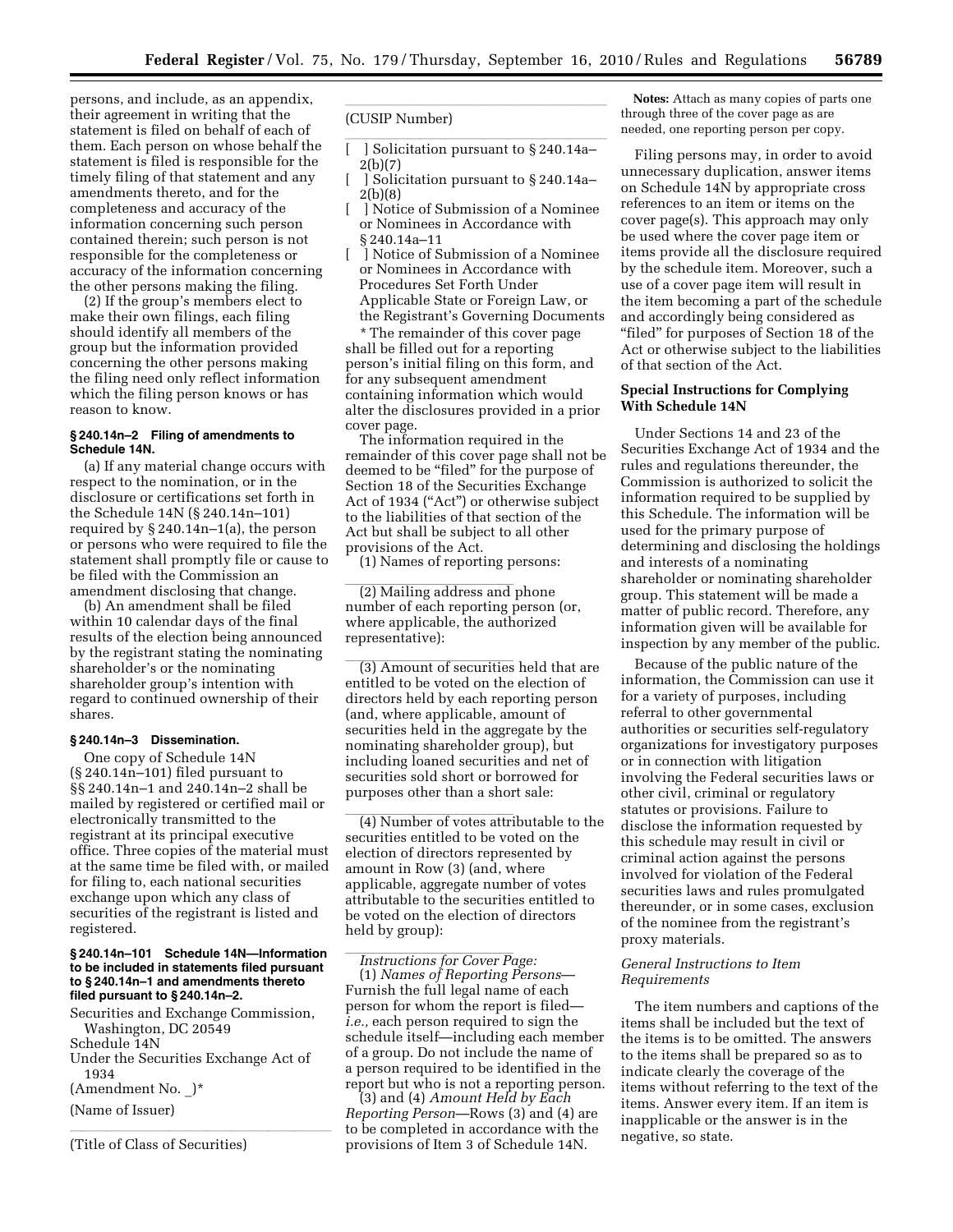persons, and include, as an appendix, their agreement in writing that the statement is filed on behalf of each of them. Each person on whose behalf the statement is filed is responsible for the timely filing of that statement and any amendments thereto, and for the completeness and accuracy of the information concerning such person contained therein; such person is not responsible for the completeness or accuracy of the information concerning the other persons making the filing.

(2) If the group's members elect to make their own filings, each filing should identify all members of the group but the information provided concerning the other persons making the filing need only reflect information which the filing person knows or has reason to know.

## **§ 240.14n–2 Filing of amendments to Schedule 14N.**

(a) If any material change occurs with respect to the nomination, or in the disclosure or certifications set forth in the Schedule 14N (§ 240.14n–101) required by § 240.14n–1(a), the person or persons who were required to file the statement shall promptly file or cause to be filed with the Commission an amendment disclosing that change.

(b) An amendment shall be filed within 10 calendar days of the final results of the election being announced by the registrant stating the nominating shareholder's or the nominating shareholder group's intention with regard to continued ownership of their shares.

## **§ 240.14n–3 Dissemination.**

One copy of Schedule 14N (§ 240.14n–101) filed pursuant to §§ 240.14n–1 and 240.14n–2 shall be mailed by registered or certified mail or electronically transmitted to the registrant at its principal executive office. Three copies of the material must at the same time be filed with, or mailed for filing to, each national securities exchange upon which any class of securities of the registrant is listed and registered.

#### **§ 240.14n–101 Schedule 14N—Information to be included in statements filed pursuant to § 240.14n–1 and amendments thereto filed pursuant to § 240.14n–2.**

- Securities and Exchange Commission, Washington, DC 20549
- Schedule 14N
- Under the Securities Exchange Act of 1934
- (Amendment No. \_)\*

(Name of Issuer)

(Title of Class of Securities)

# (CUSIP Number)

- $\left[ \begin{array}{c} \end{array} \right]$  Solicitation pursuant to § 240.14a– 2(b)(7)
- [ ] Solicitation pursuant to § 240.14a– 2(b)(8)
- [ ] Notice of Submission of a Nominee or Nominees in Accordance with § 240.14a–11
- [ ] Notice of Submission of a Nominee or Nominees in Accordance with Procedures Set Forth Under Applicable State or Foreign Law, or the Registrant's Governing Documents

\* The remainder of this cover page shall be filled out for a reporting person's initial filing on this form, and for any subsequent amendment containing information which would alter the disclosures provided in a prior cover page.

The information required in the remainder of this cover page shall not be deemed to be "filed" for the purpose of Section 18 of the Securities Exchange Act of 1934 ("Act") or otherwise subject to the liabilities of that section of the Act but shall be subject to all other provisions of the Act.

(1) Names of reporting persons:

(2) Mailing address and phone number of each reporting person (or, where applicable, the authorized representative):

(3) Amount of securities held that are entitled to be voted on the election of directors held by each reporting person (and, where applicable, amount of securities held in the aggregate by the nominating shareholder group), but including loaned securities and net of securities sold short or borrowed for purposes other than a short sale:

(4) Number of votes attributable to the securities entitled to be voted on the election of directors represented by amount in Row (3) (and, where applicable, aggregate number of votes attributable to the securities entitled to be voted on the election of directors held by group):

**Instructions for Cover Page:** (1) *Names of Reporting Persons*— Furnish the full legal name of each person for whom the report is filed *i.e.,* each person required to sign the schedule itself—including each member of a group. Do not include the name of a person required to be identified in the report but who is not a reporting person.

(3) and (4) *Amount Held by Each Reporting Person*—Rows (3) and (4) are to be completed in accordance with the provisions of Item 3 of Schedule 14N.

**Notes:** Attach as many copies of parts one through three of the cover page as are needed, one reporting person per copy.

Filing persons may, in order to avoid unnecessary duplication, answer items on Schedule 14N by appropriate cross references to an item or items on the cover page(s). This approach may only be used where the cover page item or items provide all the disclosure required by the schedule item. Moreover, such a use of a cover page item will result in the item becoming a part of the schedule and accordingly being considered as "filed" for purposes of Section 18 of the Act or otherwise subject to the liabilities of that section of the Act.

## **Special Instructions for Complying With Schedule 14N**

Under Sections 14 and 23 of the Securities Exchange Act of 1934 and the rules and regulations thereunder, the Commission is authorized to solicit the information required to be supplied by this Schedule. The information will be used for the primary purpose of determining and disclosing the holdings and interests of a nominating shareholder or nominating shareholder group. This statement will be made a matter of public record. Therefore, any information given will be available for inspection by any member of the public.

Because of the public nature of the information, the Commission can use it for a variety of purposes, including referral to other governmental authorities or securities self-regulatory organizations for investigatory purposes or in connection with litigation involving the Federal securities laws or other civil, criminal or regulatory statutes or provisions. Failure to disclose the information requested by this schedule may result in civil or criminal action against the persons involved for violation of the Federal securities laws and rules promulgated thereunder, or in some cases, exclusion of the nominee from the registrant's proxy materials.

## *General Instructions to Item Requirements*

The item numbers and captions of the items shall be included but the text of the items is to be omitted. The answers to the items shall be prepared so as to indicate clearly the coverage of the items without referring to the text of the items. Answer every item. If an item is inapplicable or the answer is in the negative, so state.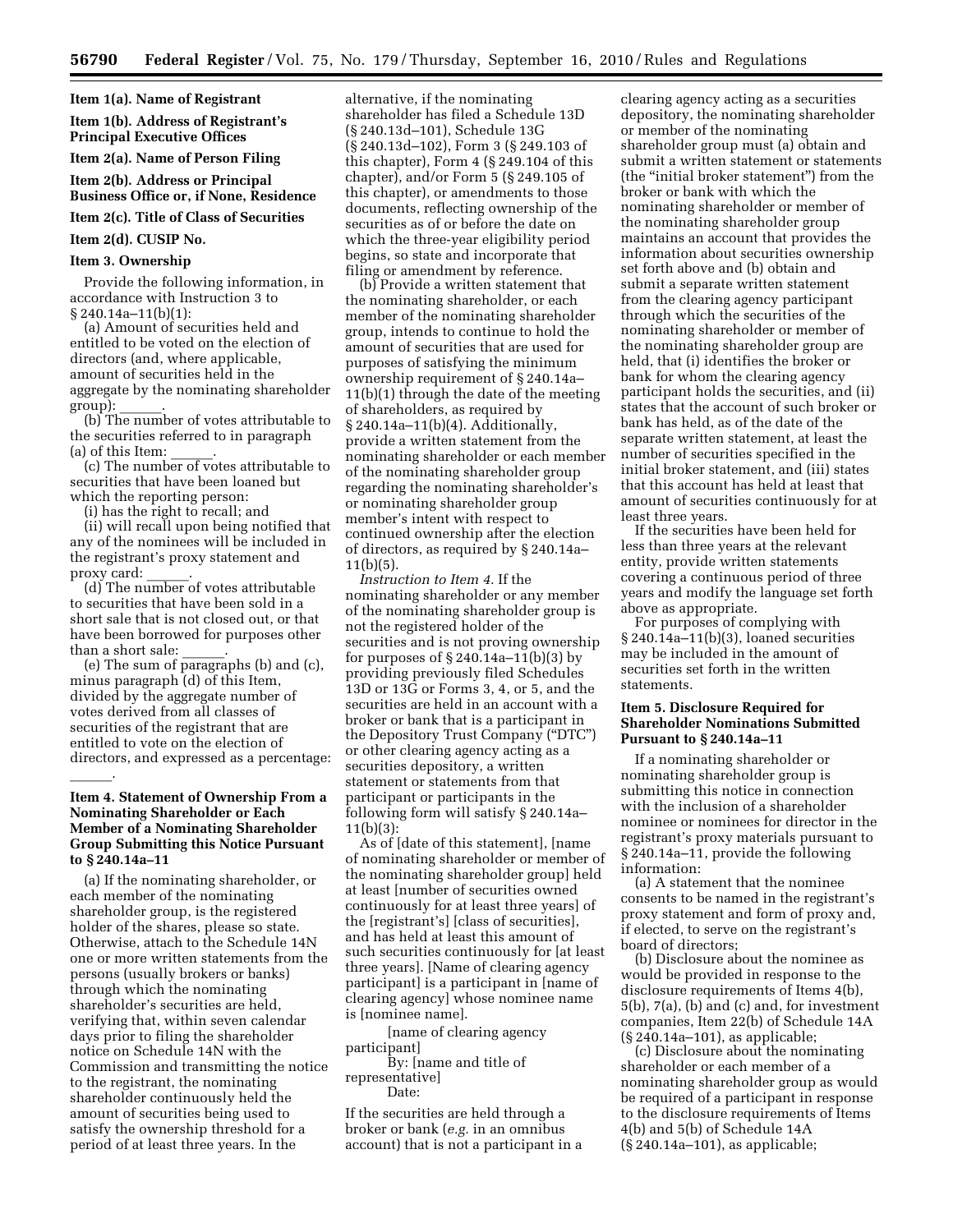**Item 1(a). Name of Registrant** 

**Item 1(b). Address of Registrant's Principal Executive Offices** 

**Item 2(a). Name of Person Filing** 

**Item 2(b). Address or Principal Business Office or, if None, Residence** 

## **Item 2(c). Title of Class of Securities**

**Item 2(d). CUSIP No.** 

#### **Item 3. Ownership**

Provide the following information, in accordance with Instruction 3 to § 240.14a–11(b)(1):

(a) Amount of securities held and entitled to be voted on the election of directors (and, where applicable, amount of securities held in the aggregate by the nominating shareholder group): \_\_\_\_\_\_.

(b) The number of votes attributable to the securities referred to in paragraph (a) of this Item:

(c) The number of votes attributable to securities that have been loaned but which the reporting person:

(i) has the right to recall; and

(ii) will recall upon being notified that any of the nominees will be included in the registrant's proxy statement and proxy card:

(d) The number of votes attributable to securities that have been sold in a short sale that is not closed out, or that have been borrowed for purposes other than a short sale: \_\_\_\_\_\_.

(e) The sum of paragraphs (b) and (c), minus paragraph (d) of this Item, divided by the aggregate number of votes derived from all classes of securities of the registrant that are entitled to vote on the election of directors, and expressed as a percentage:  $\mathcal{L}=\mathcal{L}$ 

## **Item 4. Statement of Ownership From a Nominating Shareholder or Each Member of a Nominating Shareholder Group Submitting this Notice Pursuant to § 240.14a–11**

(a) If the nominating shareholder, or each member of the nominating shareholder group, is the registered holder of the shares, please so state. Otherwise, attach to the Schedule 14N one or more written statements from the persons (usually brokers or banks) through which the nominating shareholder's securities are held, verifying that, within seven calendar days prior to filing the shareholder notice on Schedule 14N with the Commission and transmitting the notice to the registrant, the nominating shareholder continuously held the amount of securities being used to satisfy the ownership threshold for a period of at least three years. In the

alternative, if the nominating shareholder has filed a Schedule 13D (§ 240.13d–101), Schedule 13G (§ 240.13d–102), Form 3 (§ 249.103 of this chapter), Form 4 (§ 249.104 of this chapter), and/or Form 5 (§ 249.105 of this chapter), or amendments to those documents, reflecting ownership of the securities as of or before the date on which the three-year eligibility period begins, so state and incorporate that filing or amendment by reference.

(b) Provide a written statement that the nominating shareholder, or each member of the nominating shareholder group, intends to continue to hold the amount of securities that are used for purposes of satisfying the minimum ownership requirement of § 240.14a– 11(b)(1) through the date of the meeting of shareholders, as required by § 240.14a–11(b)(4). Additionally, provide a written statement from the nominating shareholder or each member of the nominating shareholder group regarding the nominating shareholder's or nominating shareholder group member's intent with respect to continued ownership after the election of directors, as required by § 240.14a– 11(b)(5).

*Instruction to Item 4.* If the nominating shareholder or any member of the nominating shareholder group is not the registered holder of the securities and is not proving ownership for purposes of  $\S 240.14a - 11(b)(3)$  by providing previously filed Schedules 13D or 13G or Forms 3, 4, or 5, and the securities are held in an account with a broker or bank that is a participant in the Depository Trust Company (''DTC'') or other clearing agency acting as a securities depository, a written statement or statements from that participant or participants in the following form will satisfy § 240.14a– 11(b)(3):

As of [date of this statement], [name of nominating shareholder or member of the nominating shareholder group] held at least [number of securities owned continuously for at least three years] of the [registrant's] [class of securities], and has held at least this amount of such securities continuously for [at least three years]. [Name of clearing agency participant] is a participant in [name of clearing agency] whose nominee name is [nominee name].

[name of clearing agency participant]

By: [name and title of representative]

Date:

If the securities are held through a broker or bank (*e.g.* in an omnibus account) that is not a participant in a

clearing agency acting as a securities depository, the nominating shareholder or member of the nominating shareholder group must (a) obtain and submit a written statement or statements (the ''initial broker statement'') from the broker or bank with which the nominating shareholder or member of the nominating shareholder group maintains an account that provides the information about securities ownership set forth above and (b) obtain and submit a separate written statement from the clearing agency participant through which the securities of the nominating shareholder or member of the nominating shareholder group are held, that (i) identifies the broker or bank for whom the clearing agency participant holds the securities, and (ii) states that the account of such broker or bank has held, as of the date of the separate written statement, at least the number of securities specified in the initial broker statement, and (iii) states that this account has held at least that amount of securities continuously for at least three years.

If the securities have been held for less than three years at the relevant entity, provide written statements covering a continuous period of three years and modify the language set forth above as appropriate.

For purposes of complying with § 240.14a–11(b)(3), loaned securities may be included in the amount of securities set forth in the written statements.

## **Item 5. Disclosure Required for Shareholder Nominations Submitted Pursuant to § 240.14a–11**

If a nominating shareholder or nominating shareholder group is submitting this notice in connection with the inclusion of a shareholder nominee or nominees for director in the registrant's proxy materials pursuant to § 240.14a–11, provide the following information:

(a) A statement that the nominee consents to be named in the registrant's proxy statement and form of proxy and, if elected, to serve on the registrant's board of directors;

(b) Disclosure about the nominee as would be provided in response to the disclosure requirements of Items 4(b), 5(b), 7(a), (b) and (c) and, for investment companies, Item 22(b) of Schedule 14A (§ 240.14a–101), as applicable;

(c) Disclosure about the nominating shareholder or each member of a nominating shareholder group as would be required of a participant in response to the disclosure requirements of Items 4(b) and 5(b) of Schedule 14A (§ 240.14a–101), as applicable;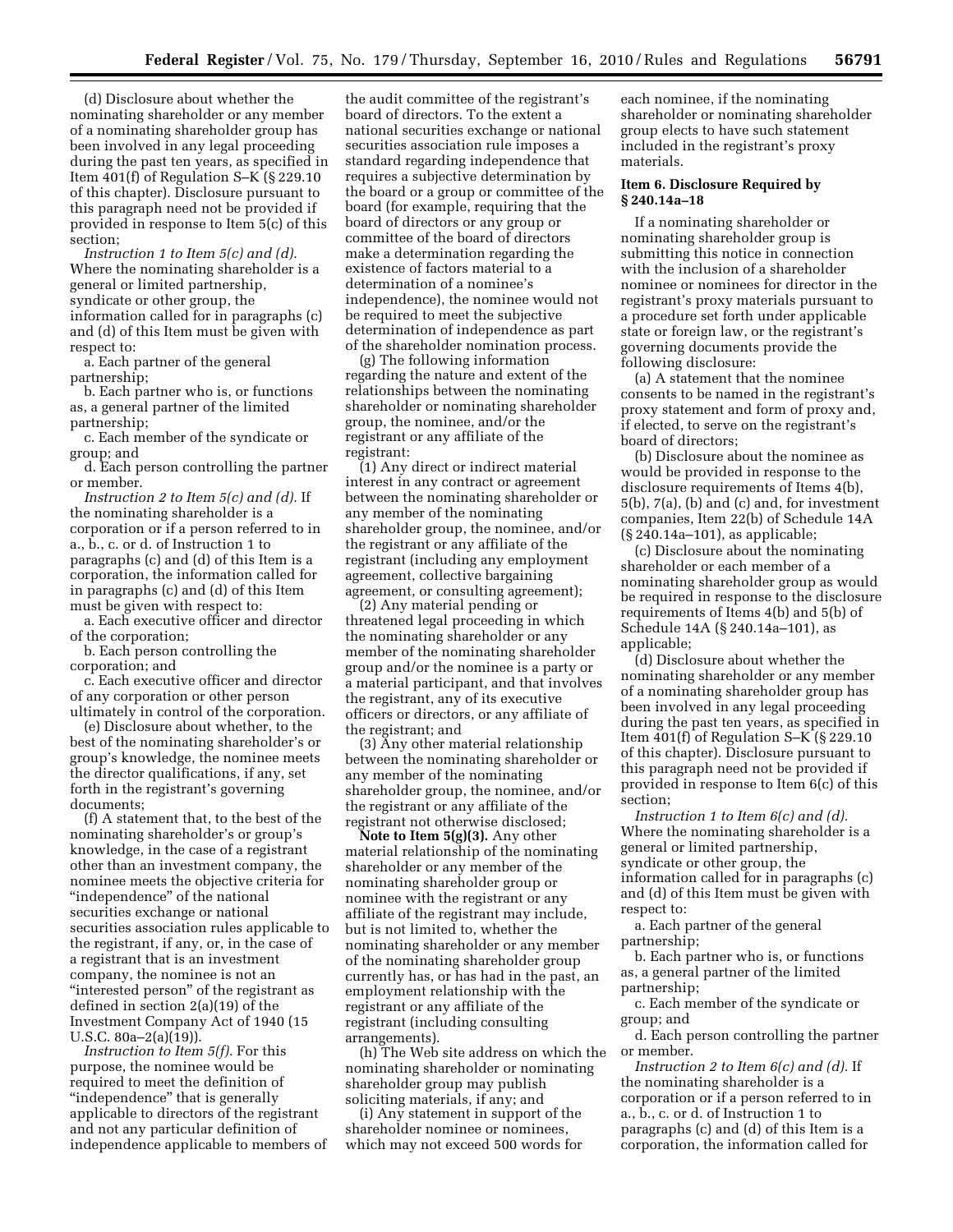(d) Disclosure about whether the nominating shareholder or any member of a nominating shareholder group has been involved in any legal proceeding during the past ten years, as specified in Item  $401(f)$  of Regulation S–K (§ 229.10 of this chapter). Disclosure pursuant to this paragraph need not be provided if provided in response to Item 5(c) of this section;

*Instruction 1 to Item 5(c) and (d).*  Where the nominating shareholder is a general or limited partnership, syndicate or other group, the information called for in paragraphs (c) and (d) of this Item must be given with respect to:

a. Each partner of the general partnership;

b. Each partner who is, or functions as, a general partner of the limited partnership;

c. Each member of the syndicate or group; and

d. Each person controlling the partner or member.

*Instruction 2 to Item 5(c) and (d).* If the nominating shareholder is a corporation or if a person referred to in a., b., c. or d. of Instruction 1 to paragraphs (c) and (d) of this Item is a corporation, the information called for in paragraphs (c) and (d) of this Item must be given with respect to:

a. Each executive officer and director of the corporation;

b. Each person controlling the corporation; and

c. Each executive officer and director of any corporation or other person ultimately in control of the corporation.

(e) Disclosure about whether, to the best of the nominating shareholder's or group's knowledge, the nominee meets the director qualifications, if any, set forth in the registrant's governing documents;

(f) A statement that, to the best of the nominating shareholder's or group's knowledge, in the case of a registrant other than an investment company, the nominee meets the objective criteria for ''independence'' of the national securities exchange or national securities association rules applicable to the registrant, if any, or, in the case of a registrant that is an investment company, the nominee is not an "interested person" of the registrant as defined in section 2(a)(19) of the Investment Company Act of 1940 (15 U.S.C. 80a–2(a)(19)).

*Instruction to Item 5(f).* For this purpose, the nominee would be required to meet the definition of ''independence'' that is generally applicable to directors of the registrant and not any particular definition of independence applicable to members of

the audit committee of the registrant's board of directors. To the extent a national securities exchange or national securities association rule imposes a standard regarding independence that requires a subjective determination by the board or a group or committee of the board (for example, requiring that the board of directors or any group or committee of the board of directors make a determination regarding the existence of factors material to a determination of a nominee's independence), the nominee would not be required to meet the subjective determination of independence as part of the shareholder nomination process.

(g) The following information regarding the nature and extent of the relationships between the nominating shareholder or nominating shareholder group, the nominee, and/or the registrant or any affiliate of the registrant:

(1) Any direct or indirect material interest in any contract or agreement between the nominating shareholder or any member of the nominating shareholder group, the nominee, and/or the registrant or any affiliate of the registrant (including any employment agreement, collective bargaining agreement, or consulting agreement);

(2) Any material pending or threatened legal proceeding in which the nominating shareholder or any member of the nominating shareholder group and/or the nominee is a party or a material participant, and that involves the registrant, any of its executive officers or directors, or any affiliate of the registrant; and

(3) Any other material relationship between the nominating shareholder or any member of the nominating shareholder group, the nominee, and/or the registrant or any affiliate of the registrant not otherwise disclosed;

**Note to Item 5(g)(3).** Any other material relationship of the nominating shareholder or any member of the nominating shareholder group or nominee with the registrant or any affiliate of the registrant may include, but is not limited to, whether the nominating shareholder or any member of the nominating shareholder group currently has, or has had in the past, an employment relationship with the registrant or any affiliate of the registrant (including consulting arrangements).

(h) The Web site address on which the nominating shareholder or nominating shareholder group may publish soliciting materials, if any; and

(i) Any statement in support of the shareholder nominee or nominees, which may not exceed 500 words for

each nominee, if the nominating shareholder or nominating shareholder group elects to have such statement included in the registrant's proxy materials.

#### **Item 6. Disclosure Required by § 240.14a–18**

If a nominating shareholder or nominating shareholder group is submitting this notice in connection with the inclusion of a shareholder nominee or nominees for director in the registrant's proxy materials pursuant to a procedure set forth under applicable state or foreign law, or the registrant's governing documents provide the following disclosure:

(a) A statement that the nominee consents to be named in the registrant's proxy statement and form of proxy and, if elected, to serve on the registrant's board of directors;

(b) Disclosure about the nominee as would be provided in response to the disclosure requirements of Items 4(b), 5(b), 7(a), (b) and (c) and, for investment companies, Item 22(b) of Schedule 14A (§ 240.14a–101), as applicable;

(c) Disclosure about the nominating shareholder or each member of a nominating shareholder group as would be required in response to the disclosure requirements of Items 4(b) and 5(b) of Schedule 14A (§ 240.14a–101), as applicable;

(d) Disclosure about whether the nominating shareholder or any member of a nominating shareholder group has been involved in any legal proceeding during the past ten years, as specified in Item 401(f) of Regulation S–K (§ 229.10 of this chapter). Disclosure pursuant to this paragraph need not be provided if provided in response to Item 6(c) of this section;

*Instruction 1 to Item 6(c) and (d).*  Where the nominating shareholder is a general or limited partnership, syndicate or other group, the information called for in paragraphs (c) and (d) of this Item must be given with respect to:

a. Each partner of the general partnership;

b. Each partner who is, or functions as, a general partner of the limited partnership;

c. Each member of the syndicate or group; and

d. Each person controlling the partner or member.

*Instruction 2 to Item 6(c) and (d).* If the nominating shareholder is a corporation or if a person referred to in a., b., c. or d. of Instruction 1 to paragraphs (c) and (d) of this Item is a corporation, the information called for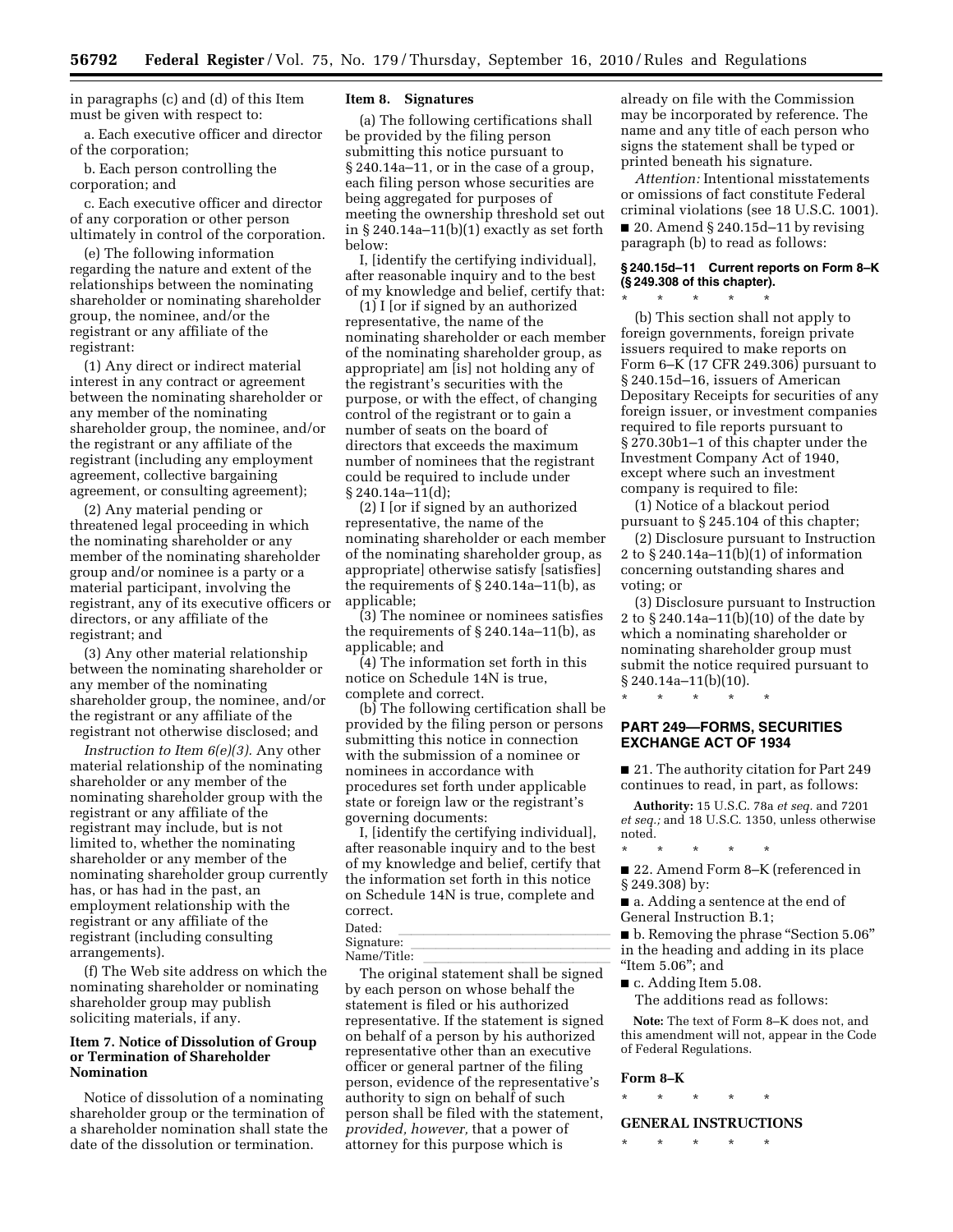in paragraphs (c) and (d) of this Item must be given with respect to:

a. Each executive officer and director of the corporation;

b. Each person controlling the corporation; and

c. Each executive officer and director of any corporation or other person ultimately in control of the corporation.

(e) The following information regarding the nature and extent of the relationships between the nominating shareholder or nominating shareholder group, the nominee, and/or the registrant or any affiliate of the registrant:

(1) Any direct or indirect material interest in any contract or agreement between the nominating shareholder or any member of the nominating shareholder group, the nominee, and/or the registrant or any affiliate of the registrant (including any employment agreement, collective bargaining agreement, or consulting agreement);

(2) Any material pending or threatened legal proceeding in which the nominating shareholder or any member of the nominating shareholder group and/or nominee is a party or a material participant, involving the registrant, any of its executive officers or directors, or any affiliate of the registrant; and

(3) Any other material relationship between the nominating shareholder or any member of the nominating shareholder group, the nominee, and/or the registrant or any affiliate of the registrant not otherwise disclosed; and

*Instruction to Item 6(e)(3).* Any other material relationship of the nominating shareholder or any member of the nominating shareholder group with the registrant or any affiliate of the registrant may include, but is not limited to, whether the nominating shareholder or any member of the nominating shareholder group currently has, or has had in the past, an employment relationship with the registrant or any affiliate of the registrant (including consulting arrangements).

(f) The Web site address on which the nominating shareholder or nominating shareholder group may publish soliciting materials, if any.

## **Item 7. Notice of Dissolution of Group or Termination of Shareholder Nomination**

Notice of dissolution of a nominating shareholder group or the termination of a shareholder nomination shall state the date of the dissolution or termination.

#### **Item 8. Signatures**

(a) The following certifications shall be provided by the filing person submitting this notice pursuant to § 240.14a–11, or in the case of a group, each filing person whose securities are being aggregated for purposes of meeting the ownership threshold set out in  $\S 240.14a-11(b)(1)$  exactly as set forth below:

I, [identify the certifying individual], after reasonable inquiry and to the best of my knowledge and belief, certify that:

(1) I [or if signed by an authorized representative, the name of the nominating shareholder or each member of the nominating shareholder group, as appropriate] am [is] not holding any of the registrant's securities with the purpose, or with the effect, of changing control of the registrant or to gain a number of seats on the board of directors that exceeds the maximum number of nominees that the registrant could be required to include under § 240.14a–11(d);

(2) I [or if signed by an authorized representative, the name of the nominating shareholder or each member of the nominating shareholder group, as appropriate] otherwise satisfy [satisfies] the requirements of § 240.14a–11(b), as applicable;

(3) The nominee or nominees satisfies the requirements of  $\S 240.14a-11(b)$ , as applicable; and

(4) The information set forth in this notice on Schedule 14N is true, complete and correct.

(b) The following certification shall be provided by the filing person or persons submitting this notice in connection with the submission of a nominee or nominees in accordance with procedures set forth under applicable state or foreign law or the registrant's governing documents:

I, [identify the certifying individual], after reasonable inquiry and to the best of my knowledge and belief, certify that the information set forth in this notice on Schedule 14N is true, complete and correct.

| Dated:    |  |  |  |  |  |  |  |  |
|-----------|--|--|--|--|--|--|--|--|
| Sianatura |  |  |  |  |  |  |  |  |

Signature: llllllllllllllll

Name/Title: lllllllllllllll The original statement shall be signed by each person on whose behalf the statement is filed or his authorized representative. If the statement is signed on behalf of a person by his authorized representative other than an executive officer or general partner of the filing person, evidence of the representative's authority to sign on behalf of such person shall be filed with the statement, *provided, however,* that a power of attorney for this purpose which is

already on file with the Commission may be incorporated by reference. The name and any title of each person who signs the statement shall be typed or printed beneath his signature.

*Attention:* Intentional misstatements or omissions of fact constitute Federal criminal violations (see 18 U.S.C. 1001).  $\blacksquare$  20. Amend § 240.15d-11 by revising paragraph (b) to read as follows:

## **§ 240.15d–11 Current reports on Form 8–K (§ 249.308 of this chapter).**

\* \* \* \* \*

(b) This section shall not apply to foreign governments, foreign private issuers required to make reports on Form 6–K (17 CFR 249.306) pursuant to § 240.15d–16, issuers of American Depositary Receipts for securities of any foreign issuer, or investment companies required to file reports pursuant to § 270.30b1–1 of this chapter under the Investment Company Act of 1940, except where such an investment company is required to file:

(1) Notice of a blackout period pursuant to § 245.104 of this chapter;

(2) Disclosure pursuant to Instruction 2 to § 240.14a–11(b)(1) of information concerning outstanding shares and voting; or

(3) Disclosure pursuant to Instruction 2 to § 240.14a–11(b)(10) of the date by which a nominating shareholder or nominating shareholder group must submit the notice required pursuant to § 240.14a–11(b)(10).

## **PART 249—FORMS, SECURITIES EXCHANGE ACT OF 1934**

\* \* \* \* \*

■ 21. The authority citation for Part 249 continues to read, in part, as follows:

**Authority:** 15 U.S.C. 78a *et seq.* and 7201 *et seq.;* and 18 U.S.C. 1350, unless otherwise noted.

\* \* \* \* \* ■ 22. Amend Form 8–K (referenced in § 249.308) by:

■ a. Adding a sentence at the end of General Instruction B.1;

■ b. Removing the phrase "Section 5.06" in the heading and adding in its place "Item 5.06"; and

■ c. Adding Item 5.08. The additions read as follows:

**Note:** The text of Form 8–K does not, and this amendment will not, appear in the Code of Federal Regulations.

#### **Form 8–K**

\* \* \* \* \*

**GENERAL INSTRUCTIONS** 

\* \* \* \* \*